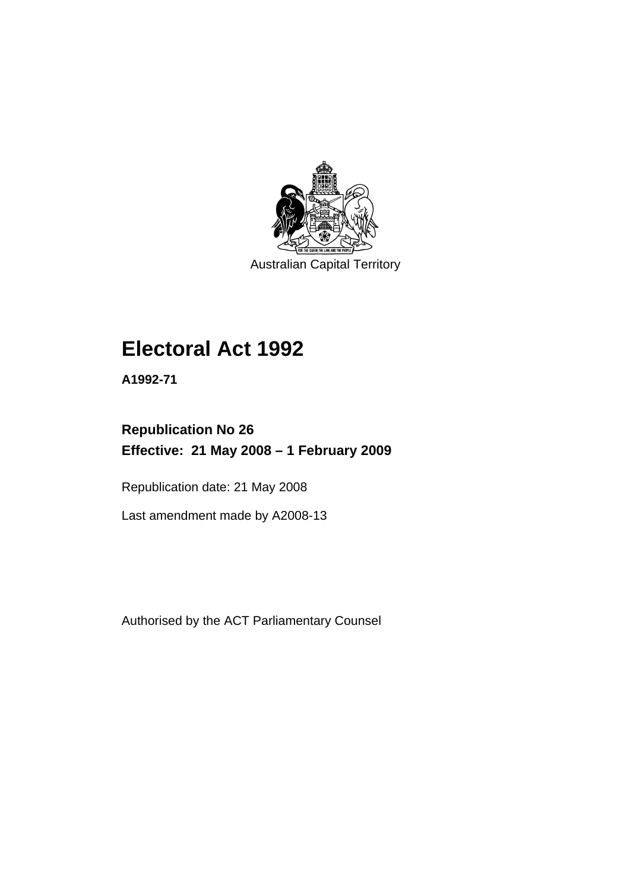

Australian Capital Territory

# **[Electoral Act 1992](#page-18-0)**

**A1992-71** 

# **Republication No 26 Effective: 21 May 2008 – 1 February 2009**

Republication date: 21 May 2008

Last amendment made by A2008-13

Authorised by the ACT Parliamentary Counsel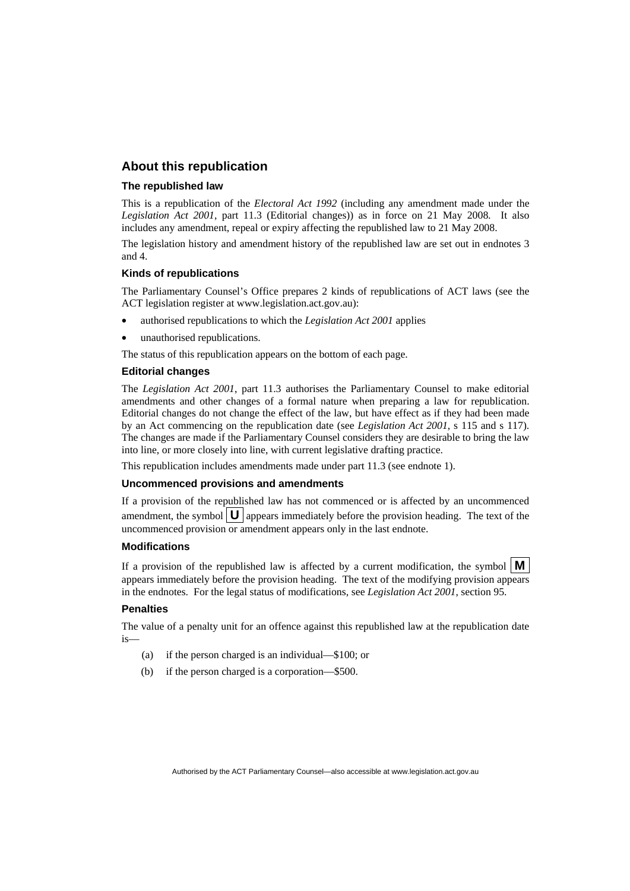#### **About this republication**

#### **The republished law**

This is a republication of the *Electoral Act 1992* (including any amendment made under the *Legislation Act 2001*, part 11.3 (Editorial changes)) as in force on 21 May 2008*.* It also includes any amendment, repeal or expiry affecting the republished law to 21 May 2008.

The legislation history and amendment history of the republished law are set out in endnotes 3 and 4.

#### **Kinds of republications**

The Parliamentary Counsel's Office prepares 2 kinds of republications of ACT laws (see the ACT legislation register at www.legislation.act.gov.au):

- authorised republications to which the *Legislation Act 2001* applies
- unauthorised republications.

The status of this republication appears on the bottom of each page.

#### **Editorial changes**

The *Legislation Act 2001*, part 11.3 authorises the Parliamentary Counsel to make editorial amendments and other changes of a formal nature when preparing a law for republication. Editorial changes do not change the effect of the law, but have effect as if they had been made by an Act commencing on the republication date (see *Legislation Act 2001*, s 115 and s 117). The changes are made if the Parliamentary Counsel considers they are desirable to bring the law into line, or more closely into line, with current legislative drafting practice.

This republication includes amendments made under part 11.3 (see endnote 1).

#### **Uncommenced provisions and amendments**

If a provision of the republished law has not commenced or is affected by an uncommenced amendment, the symbol  $\mathbf{U}$  appears immediately before the provision heading. The text of the uncommenced provision or amendment appears only in the last endnote.

#### **Modifications**

If a provision of the republished law is affected by a current modification, the symbol  $\mathbf{M}$ appears immediately before the provision heading. The text of the modifying provision appears in the endnotes. For the legal status of modifications, see *Legislation Act 2001*, section 95.

#### **Penalties**

The value of a penalty unit for an offence against this republished law at the republication date is—

- (a) if the person charged is an individual—\$100; or
- (b) if the person charged is a corporation—\$500.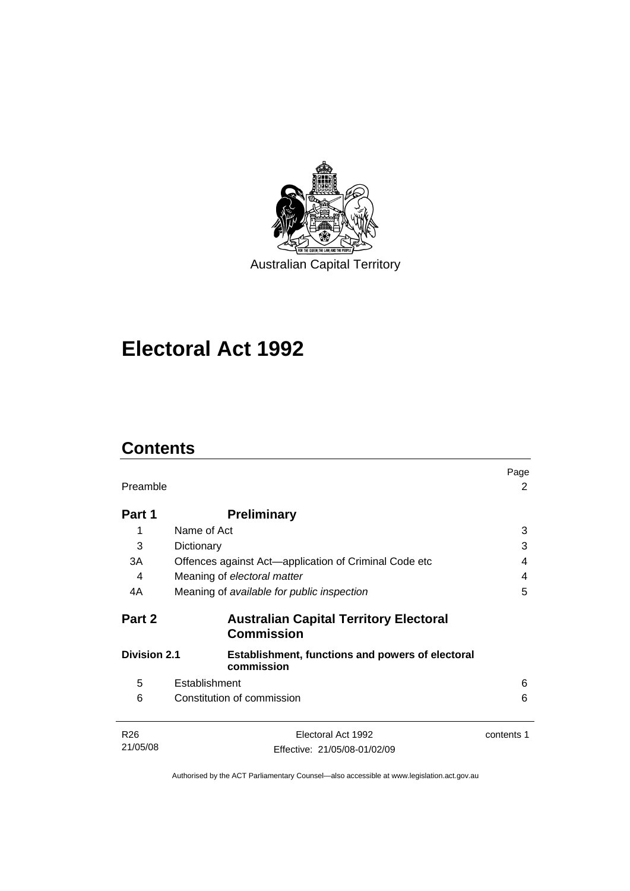

# **[Electoral Act 1992](#page-18-0)**

# **Contents**

| Preamble                                                              |                                                     |  |
|-----------------------------------------------------------------------|-----------------------------------------------------|--|
| <b>Preliminary</b>                                                    |                                                     |  |
| Name of Act                                                           | 3                                                   |  |
| Dictionary                                                            | 3                                                   |  |
| Offences against Act-application of Criminal Code etc                 | 4                                                   |  |
| Meaning of electoral matter                                           | 4                                                   |  |
| Meaning of available for public inspection                            | 5                                                   |  |
| <b>Australian Capital Territory Electoral</b><br><b>Commission</b>    |                                                     |  |
| <b>Establishment, functions and powers of electoral</b><br>commission |                                                     |  |
| Establishment                                                         | 6                                                   |  |
| Constitution of commission                                            | 6                                                   |  |
| Electoral Act 1992                                                    | contents 1                                          |  |
|                                                                       | <b>Division 2.1</b><br>Effective: 21/05/08-01/02/09 |  |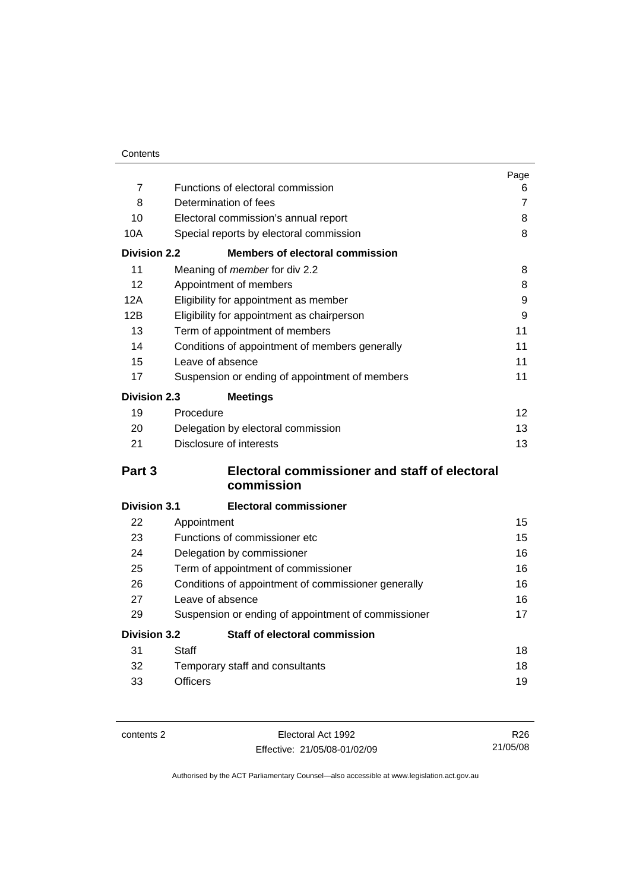| Contents |
|----------|
|          |

|                     |                                                     | Page |
|---------------------|-----------------------------------------------------|------|
| $\overline{7}$      | Functions of electoral commission                   | 6    |
| 8                   | Determination of fees                               |      |
| 10                  | Electoral commission's annual report                |      |
| 10A                 | Special reports by electoral commission             | 8    |
| <b>Division 2.2</b> | <b>Members of electoral commission</b>              |      |
| 11                  | Meaning of member for div 2.2                       | 8    |
| 12                  | Appointment of members                              | 8    |
| 12A                 | Eligibility for appointment as member               | 9    |
| 12B                 | Eligibility for appointment as chairperson          | 9    |
| 13                  | Term of appointment of members                      | 11   |
| 14                  | Conditions of appointment of members generally      | 11   |
| 15                  | Leave of absence                                    | 11   |
| 17                  | Suspension or ending of appointment of members      | 11   |
| <b>Division 2.3</b> | <b>Meetings</b>                                     |      |
| 19                  | Procedure                                           | 12   |
| 20                  | Delegation by electoral commission                  |      |
| 21                  | Disclosure of interests                             | 13   |
| Part 3              | Electoral commissioner and staff of electoral       |      |
|                     | commission                                          |      |
| <b>Division 3.1</b> | <b>Electoral commissioner</b>                       |      |
| 22                  | Appointment                                         | 15   |
| 23                  | Functions of commissioner etc                       | 15   |
| 24                  | Delegation by commissioner                          | 16   |
| 25                  | Term of appointment of commissioner                 | 16   |
| 26                  | Conditions of appointment of commissioner generally |      |
| 27                  | Leave of absence                                    |      |
| 29                  | Suspension or ending of appointment of commissioner | 17   |
| <b>Division 3.2</b> | Staff of electoral commission                       |      |
| 31                  | Staff                                               | 18   |
| 32                  | Temporary staff and consultants                     | 18   |
| 33                  | <b>Officers</b>                                     | 19   |

contents 2 Electoral Act 1992 Effective: 21/05/08-01/02/09

R26 21/05/08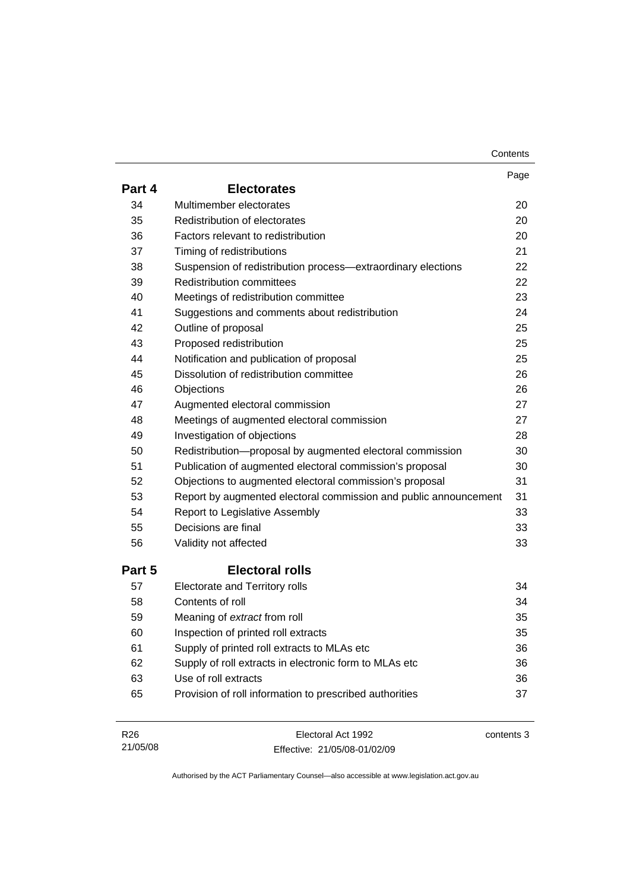| Contents |
|----------|
|----------|

|                 |                                                                  | Page       |
|-----------------|------------------------------------------------------------------|------------|
| Part 4          | <b>Electorates</b>                                               |            |
| 34              | Multimember electorates                                          | 20         |
| 35              | Redistribution of electorates                                    | 20         |
| 36              | Factors relevant to redistribution                               | 20         |
| 37              | Timing of redistributions                                        | 21         |
| 38              | Suspension of redistribution process-extraordinary elections     | 22         |
| 39              | <b>Redistribution committees</b>                                 | 22         |
| 40              | Meetings of redistribution committee                             | 23         |
| 41              | Suggestions and comments about redistribution                    | 24         |
| 42              | Outline of proposal                                              | 25         |
| 43              | Proposed redistribution                                          | 25         |
| 44              | Notification and publication of proposal                         | 25         |
| 45              | Dissolution of redistribution committee                          | 26         |
| 46              | Objections                                                       | 26         |
| 47              | Augmented electoral commission                                   | 27         |
| 48              | Meetings of augmented electoral commission                       | 27         |
| 49              | Investigation of objections                                      | 28         |
| 50              | Redistribution-proposal by augmented electoral commission        | 30         |
| 51              | Publication of augmented electoral commission's proposal         | 30         |
| 52              | Objections to augmented electoral commission's proposal          | 31         |
| 53              | Report by augmented electoral commission and public announcement | 31         |
| 54              | <b>Report to Legislative Assembly</b>                            | 33         |
| 55              | Decisions are final                                              | 33         |
| 56              | Validity not affected                                            | 33         |
| Part 5          | <b>Electoral rolls</b>                                           |            |
| 57              | Electorate and Territory rolls                                   | 34         |
| 58              | Contents of roll                                                 | 34         |
| 59              | Meaning of extract from roll                                     | 35         |
| 60              | Inspection of printed roll extracts                              | 35         |
| 61              | Supply of printed roll extracts to MLAs etc                      | 36         |
| 62              | Supply of roll extracts in electronic form to MLAs etc           | 36         |
| 63              | Use of roll extracts                                             | 36         |
| 65              | Provision of roll information to prescribed authorities          | 37         |
|                 |                                                                  |            |
| R <sub>26</sub> | Electoral Act 1992                                               | contents 3 |

21/05/08 Effective: 21/05/08-01/02/09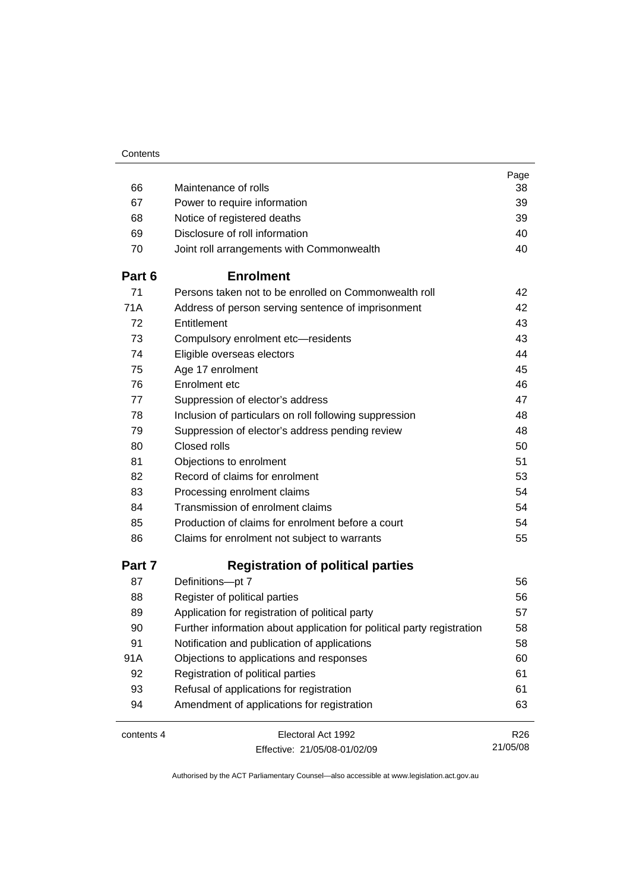|            |                                                                        | Page            |
|------------|------------------------------------------------------------------------|-----------------|
| 66         | Maintenance of rolls                                                   | 38              |
| 67         | Power to require information                                           | 39              |
| 68         | Notice of registered deaths                                            | 39              |
| 69         | Disclosure of roll information                                         | 40              |
| 70         | Joint roll arrangements with Commonwealth                              | 40              |
| Part 6     | <b>Enrolment</b>                                                       |                 |
| 71         | Persons taken not to be enrolled on Commonwealth roll                  | 42              |
| 71A        | Address of person serving sentence of imprisonment                     | 42              |
| 72         | Entitlement                                                            | 43              |
| 73         | Compulsory enrolment etc-residents                                     | 43              |
| 74         | Eligible overseas electors                                             | 44              |
| 75         | Age 17 enrolment                                                       | 45              |
| 76         | Enrolment etc                                                          | 46              |
| 77         | Suppression of elector's address                                       | 47              |
| 78         | Inclusion of particulars on roll following suppression                 | 48              |
| 79         | Suppression of elector's address pending review                        | 48              |
| 80         | Closed rolls                                                           | 50              |
| 81         | Objections to enrolment                                                | 51              |
| 82         | Record of claims for enrolment                                         | 53              |
| 83         | Processing enrolment claims                                            | 54              |
| 84         | Transmission of enrolment claims                                       | 54              |
| 85         | Production of claims for enrolment before a court                      | 54              |
| 86         | Claims for enrolment not subject to warrants                           | 55              |
| Part 7     | <b>Registration of political parties</b>                               |                 |
| 87         | Definitions-pt 7                                                       | 56              |
| 88         | Register of political parties                                          | 56              |
| 89         | Application for registration of political party                        | 57              |
| 90         | Further information about application for political party registration | 58              |
| 91         | Notification and publication of applications                           | 58              |
| 91A        | Objections to applications and responses                               | 60              |
| 92         | Registration of political parties                                      | 61              |
| 93         | Refusal of applications for registration                               | 61              |
| 94         | Amendment of applications for registration                             | 63              |
| contents 4 | Electoral Act 1992                                                     | R <sub>26</sub> |
|            | Effective: 21/05/08-01/02/09                                           | 21/05/08        |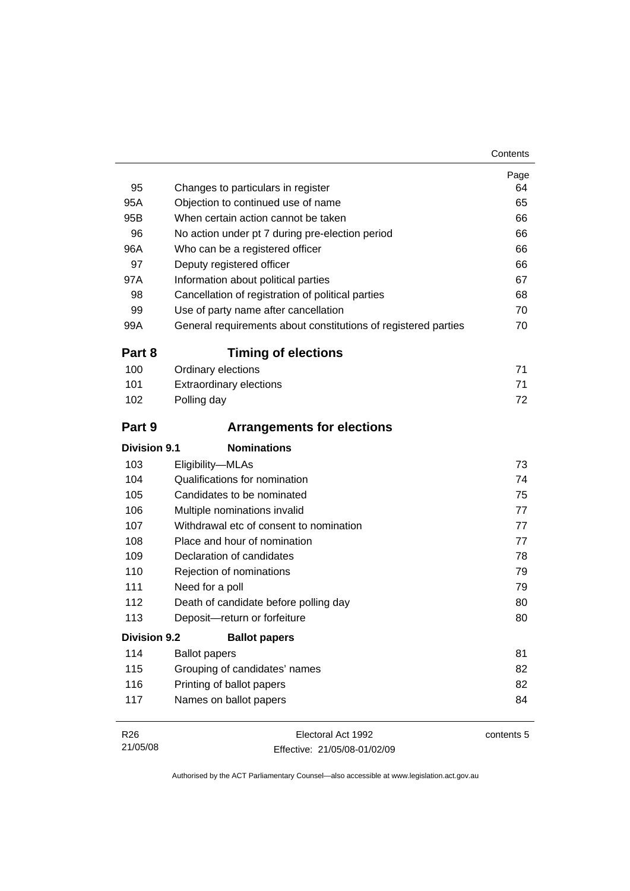| 95                  | Changes to particulars in register                             | Page<br>64 |
|---------------------|----------------------------------------------------------------|------------|
| 95A                 | Objection to continued use of name                             | 65         |
| 95B                 | When certain action cannot be taken                            | 66         |
| 96                  | No action under pt 7 during pre-election period                | 66         |
| 96A                 | Who can be a registered officer                                | 66         |
| 97                  | Deputy registered officer                                      | 66         |
| 97A                 | Information about political parties                            | 67         |
| 98                  | Cancellation of registration of political parties              | 68         |
| 99                  | Use of party name after cancellation                           | 70         |
| 99A                 | General requirements about constitutions of registered parties | 70         |
| Part 8              | <b>Timing of elections</b>                                     |            |
| 100                 | Ordinary elections                                             | 71         |
| 101                 | <b>Extraordinary elections</b>                                 | 71         |
| 102                 | Polling day                                                    | 72         |
| Part 9              | <b>Arrangements for elections</b>                              |            |
| <b>Division 9.1</b> | <b>Nominations</b>                                             |            |
| 103                 | Eligibility-MLAs                                               | 73         |
| 104                 | Qualifications for nomination                                  | 74         |
| 105                 | Candidates to be nominated                                     | 75         |
| 106                 | Multiple nominations invalid                                   | 77         |
| 107                 | Withdrawal etc of consent to nomination                        | 77         |
| 108                 | Place and hour of nomination                                   | 77         |
| 109                 | Declaration of candidates                                      | 78         |
| 110                 | Rejection of nominations                                       | 79         |
| 111                 | Need for a poll                                                | 79         |
| 112                 | Death of candidate before polling day                          | 80         |
| 113                 | Deposit-return or forfeiture                                   | 80         |
| <b>Division 9.2</b> | <b>Ballot papers</b>                                           |            |
| 114                 | <b>Ballot papers</b>                                           | 81         |
|                     | Grouping of candidates' names                                  | 82         |
| 115                 |                                                                |            |
| 116                 | Printing of ballot papers                                      | 82         |

| R <sub>26</sub> | Electoral Act 1992           | contents 5 |
|-----------------|------------------------------|------------|
| 21/05/08        | Effective: 21/05/08-01/02/09 |            |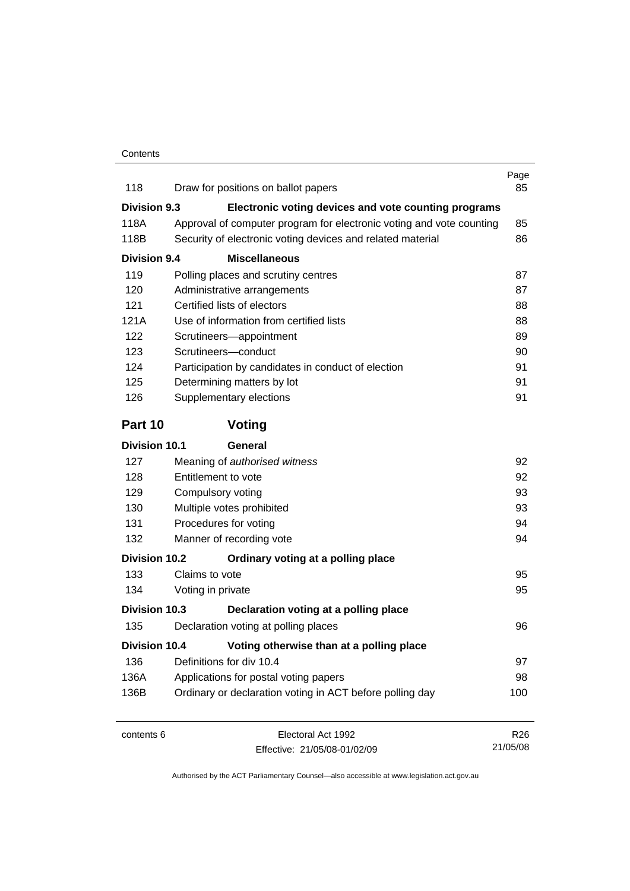| 118                  | Draw for positions on ballot papers                                  | Page<br>85      |
|----------------------|----------------------------------------------------------------------|-----------------|
| <b>Division 9.3</b>  | Electronic voting devices and vote counting programs                 |                 |
| 118A                 | Approval of computer program for electronic voting and vote counting | 85              |
| 118B                 | Security of electronic voting devices and related material           | 86              |
| <b>Division 9.4</b>  | <b>Miscellaneous</b>                                                 |                 |
| 119                  | Polling places and scrutiny centres                                  | 87              |
| 120                  | Administrative arrangements                                          | 87              |
| 121                  | Certified lists of electors                                          | 88              |
| 121A                 | Use of information from certified lists                              | 88              |
| 122                  | Scrutineers-appointment                                              | 89              |
| 123                  | Scrutineers-conduct                                                  | 90              |
| 124                  | Participation by candidates in conduct of election                   | 91              |
| 125                  | Determining matters by lot                                           | 91              |
| 126                  | Supplementary elections                                              | 91              |
| Part 10              | Voting                                                               |                 |
| <b>Division 10.1</b> | General                                                              |                 |
| 127                  | Meaning of authorised witness                                        | 92              |
| 128                  | Entitlement to vote                                                  | 92              |
| 129                  | Compulsory voting                                                    | 93              |
| 130                  | Multiple votes prohibited                                            | 93              |
| 131                  | Procedures for voting                                                |                 |
| 132                  | Manner of recording vote                                             |                 |
| <b>Division 10.2</b> | Ordinary voting at a polling place                                   |                 |
| 133                  | Claims to vote                                                       | 95              |
| 134                  | Voting in private                                                    | 95              |
| Division 10.3        | Declaration voting at a polling place                                |                 |
| 135                  | Declaration voting at polling places                                 | 96              |
| <b>Division 10.4</b> | Voting otherwise than at a polling place                             |                 |
| 136                  | Definitions for div 10.4                                             | 97              |
| 136A                 | Applications for postal voting papers                                |                 |
| 136B                 | Ordinary or declaration voting in ACT before polling day             | 100             |
| contents 6           | Electoral Act 1992                                                   | R <sub>26</sub> |
|                      | Effective: 21/05/08-01/02/09                                         | 21/05/08        |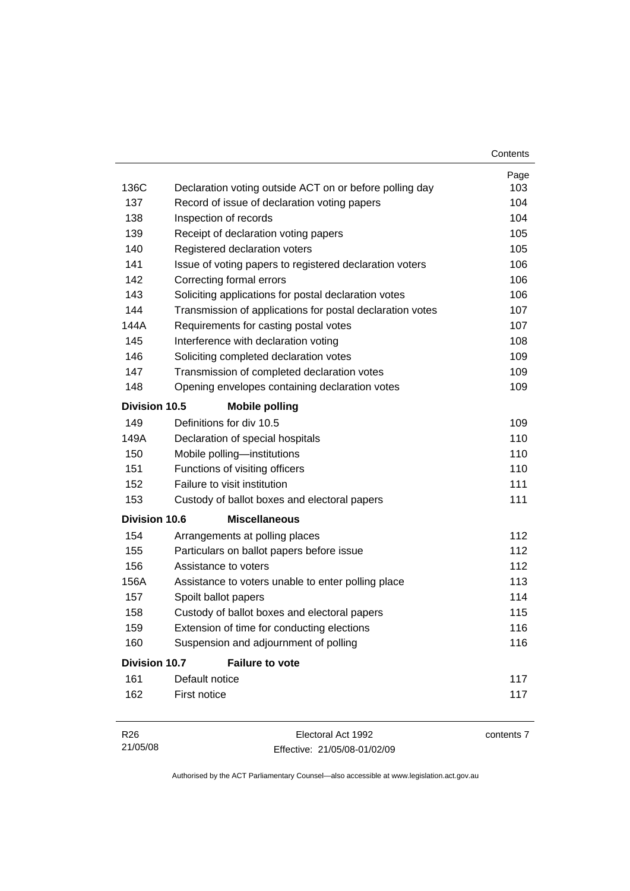|                      |                                                           | Contents |
|----------------------|-----------------------------------------------------------|----------|
|                      |                                                           | Page     |
| 136C                 | Declaration voting outside ACT on or before polling day   | 103      |
| 137                  | Record of issue of declaration voting papers              | 104      |
| 138                  | Inspection of records                                     | 104      |
| 139                  | Receipt of declaration voting papers                      | 105      |
| 140                  | Registered declaration voters                             | 105      |
| 141                  | Issue of voting papers to registered declaration voters   | 106      |
| 142                  | Correcting formal errors                                  | 106      |
| 143                  | Soliciting applications for postal declaration votes      | 106      |
| 144                  | Transmission of applications for postal declaration votes | 107      |
| 144A                 | Requirements for casting postal votes                     | 107      |
| 145                  | Interference with declaration voting                      | 108      |
| 146                  | Soliciting completed declaration votes                    | 109      |
| 147                  | Transmission of completed declaration votes               | 109      |
| 148                  | Opening envelopes containing declaration votes            | 109      |
| Division 10.5        | <b>Mobile polling</b>                                     |          |
| 149                  | Definitions for div 10.5                                  | 109      |
| 149A                 | Declaration of special hospitals                          | 110      |
| 150                  | Mobile polling-institutions                               | 110      |
| 151                  | Functions of visiting officers                            | 110      |
| 152                  | Failure to visit institution                              | 111      |
| 153                  | Custody of ballot boxes and electoral papers              | 111      |
| <b>Division 10.6</b> | <b>Miscellaneous</b>                                      |          |
| 154                  | Arrangements at polling places                            | 112      |
| 155                  | Particulars on ballot papers before issue                 | 112      |
| 156                  | Assistance to voters                                      | 112      |
| 156A                 | Assistance to voters unable to enter polling place        | 113      |
| 157                  | Spoilt ballot papers                                      | 114      |
|                      |                                                           |          |
| 158                  | Custody of ballot boxes and electoral papers              | 115      |
| 159                  | Extension of time for conducting elections                | 116      |
| 160                  | Suspension and adjournment of polling                     | 116      |
| <b>Division 10.7</b> | <b>Failure to vote</b>                                    |          |
| 161                  | Default notice                                            | 117      |

| R <sub>26</sub> | Electoral Act 1992           | contents 7 |
|-----------------|------------------------------|------------|
| 21/05/08        | Effective: 21/05/08-01/02/09 |            |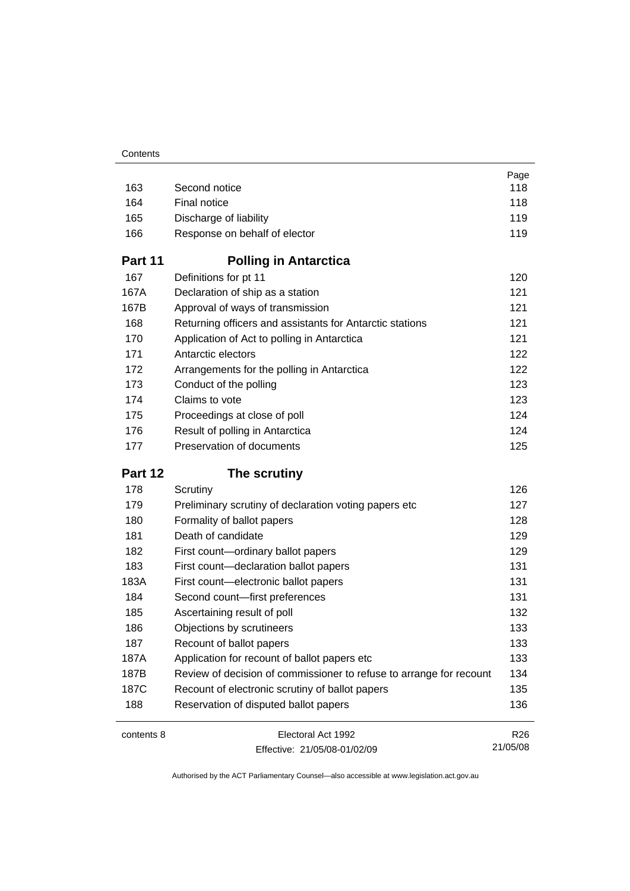|            |                                                                     | Page                        |
|------------|---------------------------------------------------------------------|-----------------------------|
| 163        | Second notice                                                       | 118                         |
| 164        | Final notice                                                        | 118                         |
| 165        | Discharge of liability                                              | 119                         |
| 166        | Response on behalf of elector                                       | 119                         |
| Part 11    | <b>Polling in Antarctica</b>                                        |                             |
| 167        | Definitions for pt 11                                               | 120                         |
| 167A       | Declaration of ship as a station                                    | 121                         |
| 167B       | Approval of ways of transmission                                    | 121                         |
| 168        | Returning officers and assistants for Antarctic stations            | 121                         |
| 170        | Application of Act to polling in Antarctica                         | 121                         |
| 171        | Antarctic electors                                                  | 122                         |
| 172        | Arrangements for the polling in Antarctica                          | 122                         |
| 173        | Conduct of the polling                                              | 123                         |
| 174        | Claims to vote                                                      | 123                         |
| 175        | Proceedings at close of poll                                        | 124                         |
| 176        | Result of polling in Antarctica                                     | 124                         |
| 177        | Preservation of documents                                           | 125                         |
| Part 12    | The scrutiny                                                        |                             |
| 178        | Scrutiny                                                            | 126                         |
| 179        | Preliminary scrutiny of declaration voting papers etc               | 127                         |
| 180        | Formality of ballot papers                                          | 128                         |
| 181        | Death of candidate                                                  | 129                         |
| 182        | First count-ordinary ballot papers                                  | 129                         |
| 183        | First count-declaration ballot papers                               | 131                         |
| 183A       | First count-electronic ballot papers                                | 131                         |
| 184        | Second count-first preferences                                      | 131                         |
| 185        | Ascertaining result of poll                                         | 132                         |
| 186        | Objections by scrutineers                                           | 133                         |
| 187        | Recount of ballot papers                                            | 133                         |
| 187A       | Application for recount of ballot papers etc                        | 133                         |
| 187B       | Review of decision of commissioner to refuse to arrange for recount | 134                         |
|            |                                                                     |                             |
| 187C       | Recount of electronic scrutiny of ballot papers                     | 135                         |
| 188        | Reservation of disputed ballot papers                               | 136                         |
| contents 8 | Electoral Act 1992                                                  | R <sub>26</sub><br>21/05/08 |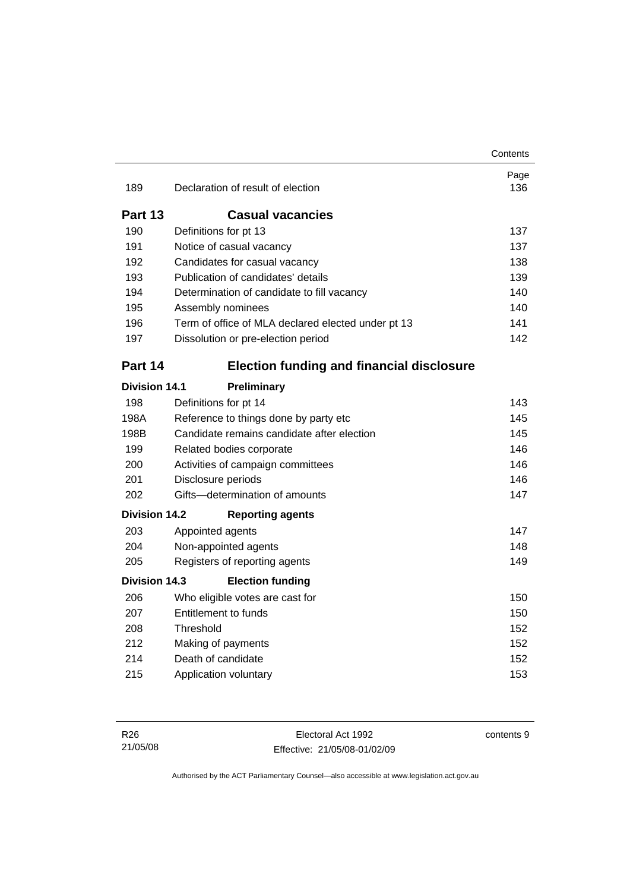|                      |                                                    | Contents    |  |
|----------------------|----------------------------------------------------|-------------|--|
| 189                  | Declaration of result of election                  | Page<br>136 |  |
| Part 13              | <b>Casual vacancies</b>                            |             |  |
| 190                  | Definitions for pt 13                              | 137         |  |
| 191                  | Notice of casual vacancy                           | 137         |  |
| 192                  | Candidates for casual vacancy                      | 138         |  |
| 193                  | Publication of candidates' details                 | 139         |  |
| 194                  | Determination of candidate to fill vacancy         | 140         |  |
| 195                  | Assembly nominees                                  | 140         |  |
| 196                  | Term of office of MLA declared elected under pt 13 | 141         |  |
| 197                  | Dissolution or pre-election period                 | 142         |  |
| Part 14              | <b>Election funding and financial disclosure</b>   |             |  |
| <b>Division 14.1</b> | Preliminary                                        |             |  |
| 198                  | Definitions for pt 14                              | 143         |  |
| 198A                 | Reference to things done by party etc              |             |  |
| 198B                 | Candidate remains candidate after election         | 145         |  |
| 199                  | Related bodies corporate                           | 146         |  |
| 200                  | Activities of campaign committees                  | 146         |  |
| 201                  | Disclosure periods                                 | 146         |  |
| 202                  | Gifts-determination of amounts                     | 147         |  |
| <b>Division 14.2</b> | <b>Reporting agents</b>                            |             |  |
| 203                  | Appointed agents                                   | 147         |  |
| 204                  | Non-appointed agents                               | 148         |  |
| 205                  | Registers of reporting agents                      | 149         |  |
| Division 14.3        | <b>Election funding</b>                            |             |  |
| 206                  | Who eligible votes are cast for                    | 150         |  |
| 207                  | <b>Entitlement to funds</b>                        | 150         |  |
| 208                  | Threshold                                          | 152         |  |
| 212                  | Making of payments                                 | 152         |  |
| 214                  | Death of candidate                                 | 152         |  |
| 215                  | Application voluntary                              | 153         |  |

contents 9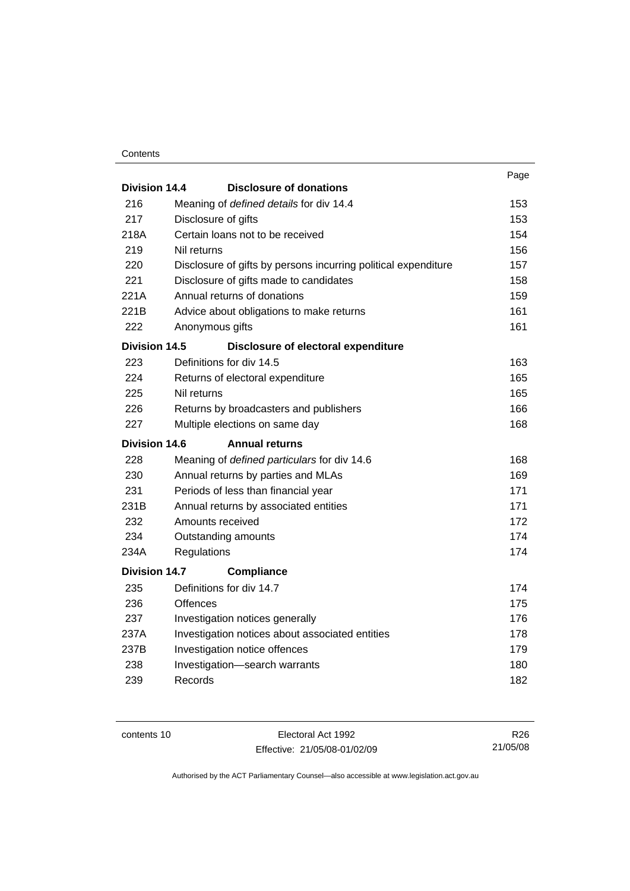#### **Contents**

|                      |                                                                | Page |  |  |
|----------------------|----------------------------------------------------------------|------|--|--|
| Division 14.4        | <b>Disclosure of donations</b>                                 |      |  |  |
| 216                  | Meaning of defined details for div 14.4                        | 153  |  |  |
| 217                  | Disclosure of gifts                                            | 153  |  |  |
| 218A                 | Certain loans not to be received                               | 154  |  |  |
| 219                  | Nil returns                                                    | 156  |  |  |
| 220                  | Disclosure of gifts by persons incurring political expenditure | 157  |  |  |
| 221                  | Disclosure of gifts made to candidates                         | 158  |  |  |
| 221A                 | Annual returns of donations                                    | 159  |  |  |
| 221B                 | Advice about obligations to make returns                       | 161  |  |  |
| 222                  | Anonymous gifts                                                | 161  |  |  |
| Division 14.5        | Disclosure of electoral expenditure                            |      |  |  |
| 223                  | Definitions for div 14.5                                       | 163  |  |  |
| 224                  | Returns of electoral expenditure                               | 165  |  |  |
| 225                  | Nil returns                                                    | 165  |  |  |
| 226                  | Returns by broadcasters and publishers                         | 166  |  |  |
| 227                  | Multiple elections on same day                                 |      |  |  |
| Division 14.6        | <b>Annual returns</b>                                          |      |  |  |
| 228                  | Meaning of defined particulars for div 14.6                    | 168  |  |  |
| 230                  | Annual returns by parties and MLAs                             | 169  |  |  |
| 231                  | Periods of less than financial year                            | 171  |  |  |
| 231B                 | Annual returns by associated entities                          | 171  |  |  |
| 232                  | Amounts received                                               | 172  |  |  |
| 234                  | Outstanding amounts                                            | 174  |  |  |
| 234A                 | Regulations                                                    | 174  |  |  |
| <b>Division 14.7</b> | <b>Compliance</b>                                              |      |  |  |
| 235                  | Definitions for div 14.7                                       | 174  |  |  |
| 236                  | Offences                                                       | 175  |  |  |
| 237                  | Investigation notices generally                                | 176  |  |  |
| 237A                 | Investigation notices about associated entities                | 178  |  |  |
| 237B                 | Investigation notice offences                                  | 179  |  |  |
| 238                  | Investigation-search warrants                                  | 180  |  |  |
| 239                  | Records                                                        | 182  |  |  |
|                      |                                                                |      |  |  |

contents 10 Electoral Act 1992 Effective: 21/05/08-01/02/09

R26 21/05/08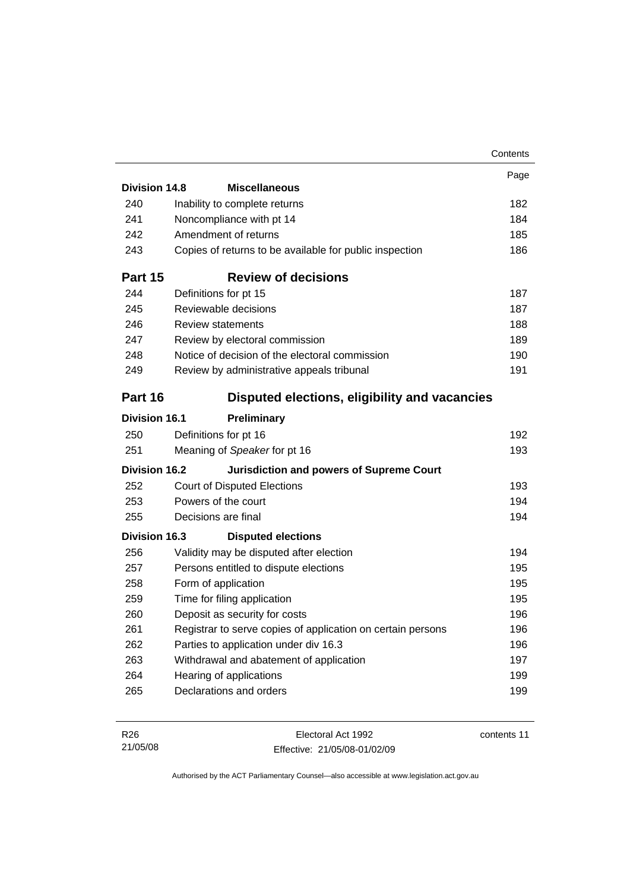|                      |                                                             | Contents                               |
|----------------------|-------------------------------------------------------------|----------------------------------------|
|                      |                                                             | Page                                   |
| <b>Division 14.8</b> | <b>Miscellaneous</b>                                        |                                        |
| 240                  | Inability to complete returns                               | 182                                    |
| 241                  | Noncompliance with pt 14                                    | 184                                    |
| 242                  | Amendment of returns                                        | 185                                    |
| 243                  | Copies of returns to be available for public inspection     | 186                                    |
| Part 15              | <b>Review of decisions</b>                                  |                                        |
| 244                  | Definitions for pt 15                                       | 187                                    |
| 245                  | Reviewable decisions                                        | 187                                    |
| 246                  | <b>Review statements</b>                                    | 188                                    |
| 247                  | Review by electoral commission                              | 189                                    |
| 248                  | Notice of decision of the electoral commission              | 190                                    |
| 249                  | Review by administrative appeals tribunal                   | 191                                    |
| Part 16              | Disputed elections, eligibility and vacancies               |                                        |
| <b>Division 16.1</b> | Preliminary                                                 |                                        |
| 250                  | Definitions for pt 16                                       | 192                                    |
| 251                  | Meaning of Speaker for pt 16                                | 193                                    |
|                      | <b>Jurisdiction and powers of Supreme Court</b>             |                                        |
| <b>Division 16.2</b> |                                                             |                                        |
| 252                  | <b>Court of Disputed Elections</b>                          |                                        |
| 253                  | Powers of the court                                         |                                        |
| 255                  | Decisions are final                                         |                                        |
| Division 16.3        | <b>Disputed elections</b>                                   |                                        |
| 256                  | Validity may be disputed after election                     |                                        |
| 257                  | Persons entitled to dispute elections                       |                                        |
| 258                  | Form of application                                         | 193<br>194<br>194<br>194<br>195<br>195 |
| 259                  | Time for filing application                                 | 195                                    |
| 260                  | Deposit as security for costs                               | 196                                    |
| 261                  | Registrar to serve copies of application on certain persons |                                        |
| 262                  | Parties to application under div 16.3                       |                                        |
| 263                  | Withdrawal and abatement of application                     |                                        |
| 264                  | Hearing of applications                                     | 196<br>196<br>197<br>199               |

| R26      | Electoral Act 1992           | contents 11 |
|----------|------------------------------|-------------|
| 21/05/08 | Effective: 21/05/08-01/02/09 |             |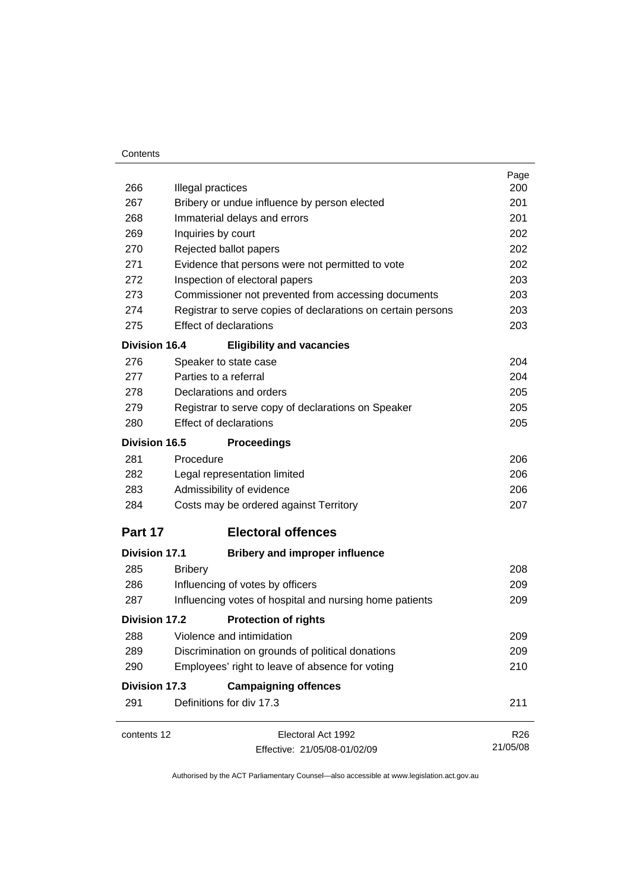#### **Contents**

| 266                  | Illegal practices                                            | Page<br>200     |  |  |  |
|----------------------|--------------------------------------------------------------|-----------------|--|--|--|
| 267                  | Bribery or undue influence by person elected                 | 201             |  |  |  |
| 268                  | Immaterial delays and errors                                 |                 |  |  |  |
| 269                  | Inquiries by court                                           |                 |  |  |  |
| 270                  | Rejected ballot papers                                       |                 |  |  |  |
| 271                  | Evidence that persons were not permitted to vote             | 202<br>202      |  |  |  |
| 272                  | Inspection of electoral papers                               | 203             |  |  |  |
| 273                  | Commissioner not prevented from accessing documents          | 203             |  |  |  |
| 274                  | Registrar to serve copies of declarations on certain persons | 203             |  |  |  |
| 275                  | <b>Effect of declarations</b>                                | 203             |  |  |  |
| <b>Division 16.4</b> | <b>Eligibility and vacancies</b>                             |                 |  |  |  |
| 276                  | Speaker to state case                                        | 204             |  |  |  |
| 277                  | Parties to a referral                                        | 204             |  |  |  |
| 278                  | Declarations and orders                                      | 205             |  |  |  |
| 279                  | Registrar to serve copy of declarations on Speaker           | 205             |  |  |  |
| 280                  | <b>Effect of declarations</b>                                | 205             |  |  |  |
| <b>Division 16.5</b> | <b>Proceedings</b>                                           |                 |  |  |  |
| 281                  | Procedure                                                    | 206             |  |  |  |
| 282                  | Legal representation limited                                 | 206             |  |  |  |
| 283                  | Admissibility of evidence                                    | 206             |  |  |  |
| 284                  | Costs may be ordered against Territory                       | 207             |  |  |  |
| Part 17              | <b>Electoral offences</b>                                    |                 |  |  |  |
| <b>Division 17.1</b> | <b>Bribery and improper influence</b>                        |                 |  |  |  |
| 285                  | <b>Bribery</b>                                               | 208             |  |  |  |
| 286                  | Influencing of votes by officers                             | 209             |  |  |  |
| 287                  | Influencing votes of hospital and nursing home patients      | 209             |  |  |  |
| Division 17.2        | <b>Protection of rights</b>                                  |                 |  |  |  |
| 288                  | Violence and intimidation                                    | 209             |  |  |  |
| 289                  | Discrimination on grounds of political donations             | 209             |  |  |  |
| 290                  | Employees' right to leave of absence for voting              | 210             |  |  |  |
| <b>Division 17.3</b> | <b>Campaigning offences</b>                                  |                 |  |  |  |
| 291                  | Definitions for div 17.3                                     | 211             |  |  |  |
| contents 12          | Electoral Act 1992                                           | R <sub>26</sub> |  |  |  |
|                      | Effective: 21/05/08-01/02/09                                 | 21/05/08        |  |  |  |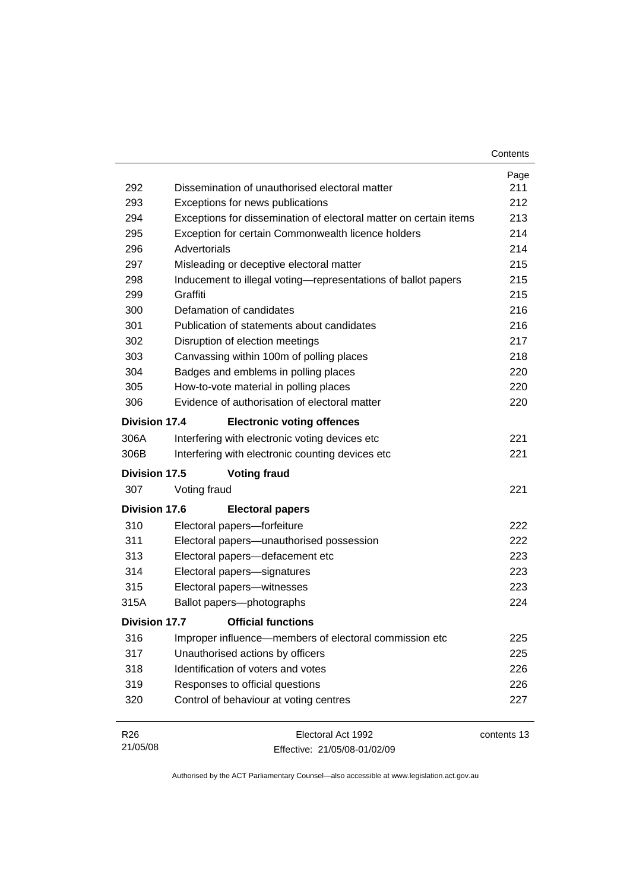|                      |                                                                   | Contents    |  |  |
|----------------------|-------------------------------------------------------------------|-------------|--|--|
|                      |                                                                   | Page        |  |  |
| 292                  | Dissemination of unauthorised electoral matter                    |             |  |  |
| 293                  | Exceptions for news publications                                  |             |  |  |
| 294                  | Exceptions for dissemination of electoral matter on certain items |             |  |  |
| 295                  | Exception for certain Commonwealth licence holders                | 214         |  |  |
| 296                  | Advertorials                                                      | 214         |  |  |
| 297                  | Misleading or deceptive electoral matter                          | 215         |  |  |
| 298                  | Inducement to illegal voting—representations of ballot papers     | 215         |  |  |
| 299                  | Graffiti                                                          | 215         |  |  |
| 300                  | Defamation of candidates                                          | 216         |  |  |
| 301                  | Publication of statements about candidates                        | 216         |  |  |
| 302                  | Disruption of election meetings                                   | 217         |  |  |
| 303                  | Canvassing within 100m of polling places                          | 218         |  |  |
| 304                  | Badges and emblems in polling places                              | 220         |  |  |
| 305                  | How-to-vote material in polling places                            | 220         |  |  |
| 306                  | Evidence of authorisation of electoral matter                     | 220         |  |  |
| Division 17.4        | <b>Electronic voting offences</b>                                 |             |  |  |
| 306A                 | Interfering with electronic voting devices etc                    | 221         |  |  |
| 306B                 | Interfering with electronic counting devices etc                  | 221         |  |  |
| <b>Division 17.5</b> | <b>Voting fraud</b>                                               |             |  |  |
| 307                  | Voting fraud                                                      | 221         |  |  |
| <b>Division 17.6</b> | <b>Electoral papers</b>                                           |             |  |  |
| 310                  | Electoral papers-forfeiture                                       | 222         |  |  |
| 311                  | Electoral papers-unauthorised possession                          | 222         |  |  |
| 313                  | Electoral papers-defacement etc                                   | 223         |  |  |
| 314                  | Electoral papers-signatures                                       | 223         |  |  |
| 315                  | Electoral papers-witnesses                                        | 223         |  |  |
| 315A                 | Ballot papers-photographs                                         | 224         |  |  |
| <b>Division 17.7</b> | <b>Official functions</b>                                         |             |  |  |
| 316                  | Improper influence—members of electoral commission etc            | 225         |  |  |
| 317                  | Unauthorised actions by officers                                  | 225         |  |  |
| 318                  | Identification of voters and votes                                | 226         |  |  |
| 319                  | Responses to official questions                                   | 226         |  |  |
| 320                  | Control of behaviour at voting centres                            | 227         |  |  |
| R <sub>26</sub>      | Electoral Act 1992                                                | contents 13 |  |  |

Effective: 21/05/08-01/02/09

21/05/08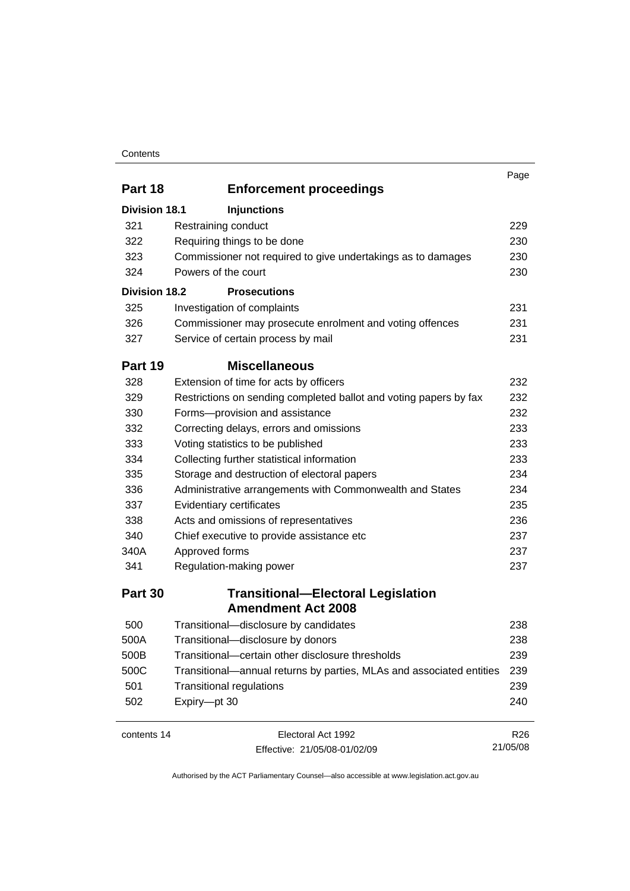#### **Contents**

|                      |                                                                      | Page            |
|----------------------|----------------------------------------------------------------------|-----------------|
| Part 18              | <b>Enforcement proceedings</b>                                       |                 |
| <b>Division 18.1</b> | <b>Injunctions</b>                                                   |                 |
| 321                  | Restraining conduct                                                  | 229             |
| 322                  | Requiring things to be done                                          | 230             |
| 323                  | Commissioner not required to give undertakings as to damages         | 230             |
| 324                  | Powers of the court                                                  | 230             |
| <b>Division 18.2</b> | <b>Prosecutions</b>                                                  |                 |
| 325                  | Investigation of complaints                                          | 231             |
| 326                  | Commissioner may prosecute enrolment and voting offences             | 231             |
| 327                  | Service of certain process by mail                                   | 231             |
| Part 19              | <b>Miscellaneous</b>                                                 |                 |
| 328                  | Extension of time for acts by officers                               | 232             |
| 329                  | Restrictions on sending completed ballot and voting papers by fax    | 232             |
| 330                  | Forms-provision and assistance                                       | 232             |
| 332                  | Correcting delays, errors and omissions                              | 233             |
| 333                  | Voting statistics to be published                                    | 233             |
| 334                  | Collecting further statistical information                           | 233             |
| 335                  | Storage and destruction of electoral papers                          | 234             |
| 336                  | Administrative arrangements with Commonwealth and States             | 234             |
| 337                  | Evidentiary certificates                                             | 235             |
| 338                  | Acts and omissions of representatives                                | 236             |
| 340                  | Chief executive to provide assistance etc                            | 237             |
| 340A                 | Approved forms                                                       | 237             |
| 341                  | Regulation-making power                                              | 237             |
| Part 30              | <b>Transitional-Electoral Legislation</b>                            |                 |
|                      | <b>Amendment Act 2008</b>                                            |                 |
| 500                  | Transitional-disclosure by candidates                                | 238             |
| 500A                 | Transitional-disclosure by donors                                    | 238             |
| 500B                 | Transitional-certain other disclosure thresholds                     | 239             |
| 500C                 | Transitional—annual returns by parties, MLAs and associated entities | 239             |
| 501                  | <b>Transitional regulations</b>                                      | 239             |
| 502                  | Expiry-pt 30                                                         | 240             |
| contents 14          | Electoral Act 1992                                                   | R <sub>26</sub> |

Effective: 21/05/08-01/02/09

R26 21/05/08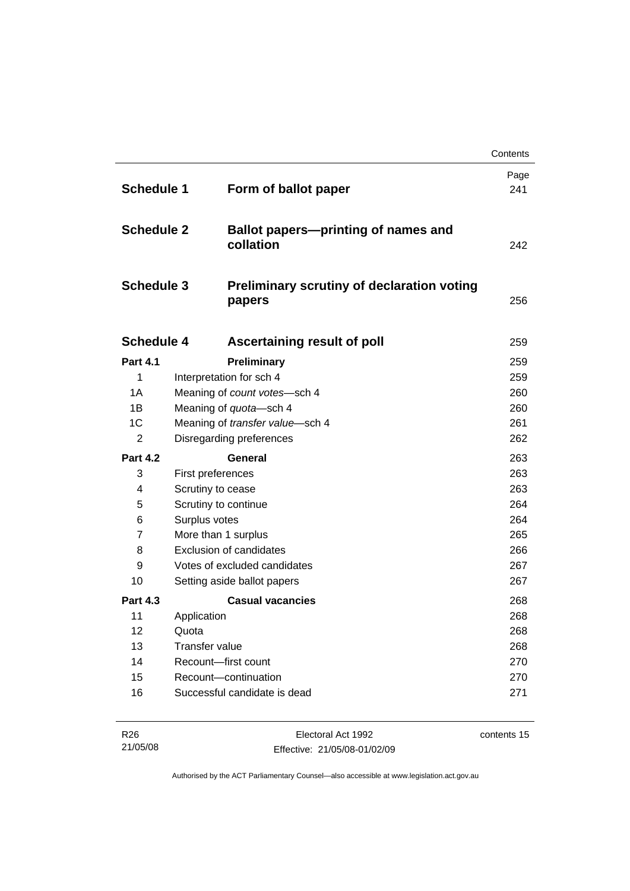|                   |                                 |                                                             | Contents    |
|-------------------|---------------------------------|-------------------------------------------------------------|-------------|
| <b>Schedule 1</b> |                                 | Form of ballot paper                                        | Page<br>241 |
| <b>Schedule 2</b> |                                 | <b>Ballot papers-printing of names and</b><br>collation     | 242         |
| <b>Schedule 3</b> |                                 | <b>Preliminary scrutiny of declaration voting</b><br>papers | 256         |
| <b>Schedule 4</b> |                                 | <b>Ascertaining result of poll</b>                          | 259         |
| <b>Part 4.1</b>   |                                 | Preliminary                                                 | 259         |
| 1                 |                                 | Interpretation for sch 4                                    | 259         |
| 1A                |                                 | Meaning of count votes-sch 4                                | 260         |
| 1B                |                                 | Meaning of quota-sch 4                                      | 260         |
| 1C                | Meaning of transfer value-sch 4 |                                                             |             |
| 2                 | Disregarding preferences        |                                                             | 262         |
| <b>Part 4.2</b>   |                                 | General                                                     | 263         |
| 3                 | First preferences               |                                                             | 263         |
| 4                 | Scrutiny to cease               |                                                             | 263<br>264  |
| 5                 |                                 | Scrutiny to continue                                        |             |
| 6                 | Surplus votes                   |                                                             | 264         |
| $\overline{7}$    |                                 | More than 1 surplus                                         | 265         |
| 8                 |                                 | <b>Exclusion of candidates</b>                              | 266         |
| 9                 |                                 | Votes of excluded candidates                                | 267         |
| 10                |                                 | Setting aside ballot papers                                 | 267         |
| <b>Part 4.3</b>   |                                 | <b>Casual vacancies</b>                                     | 268         |
| 11                | Application                     |                                                             | 268         |
| 12                | Quota                           |                                                             | 268         |
| 13                | <b>Transfer value</b>           |                                                             | 268         |
| 14                |                                 | Recount-first count                                         | 270         |
| 15                |                                 | Recount-continuation                                        | 270         |
| 16                |                                 | Successful candidate is dead                                | 271         |
|                   |                                 |                                                             |             |

| R26      | Electoral Act 1992           | contents 15 |
|----------|------------------------------|-------------|
| 21/05/08 | Effective: 21/05/08-01/02/09 |             |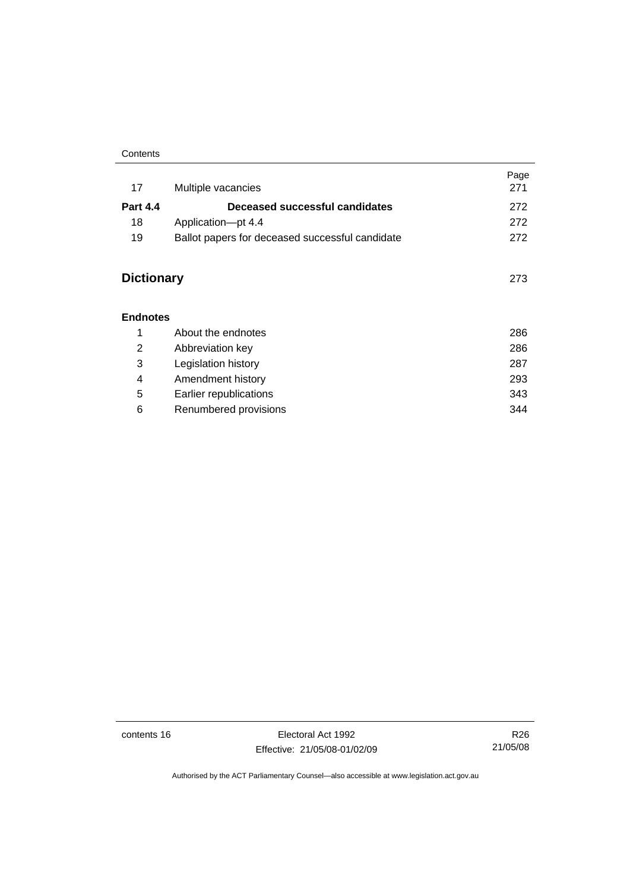#### **Contents**

| 17                | Multiple vacancies                              | Page<br>271 |
|-------------------|-------------------------------------------------|-------------|
| <b>Part 4.4</b>   | Deceased successful candidates                  | 272         |
| 18                | Application-pt 4.4                              | 272         |
| 19                | Ballot papers for deceased successful candidate | 272         |
| <b>Dictionary</b> |                                                 | 273         |
| <b>Endnotes</b>   |                                                 |             |
| 1                 | About the endnotes                              | 286         |
| 2                 | Abbreviation key                                | 286         |

|   | Legislation history    | 287 |
|---|------------------------|-----|
| 4 | Amendment history      | 293 |
| 5 | Earlier republications | 343 |
| 6 | Renumbered provisions  | 344 |

contents 16 Electoral Act 1992 Effective: 21/05/08-01/02/09

R26 21/05/08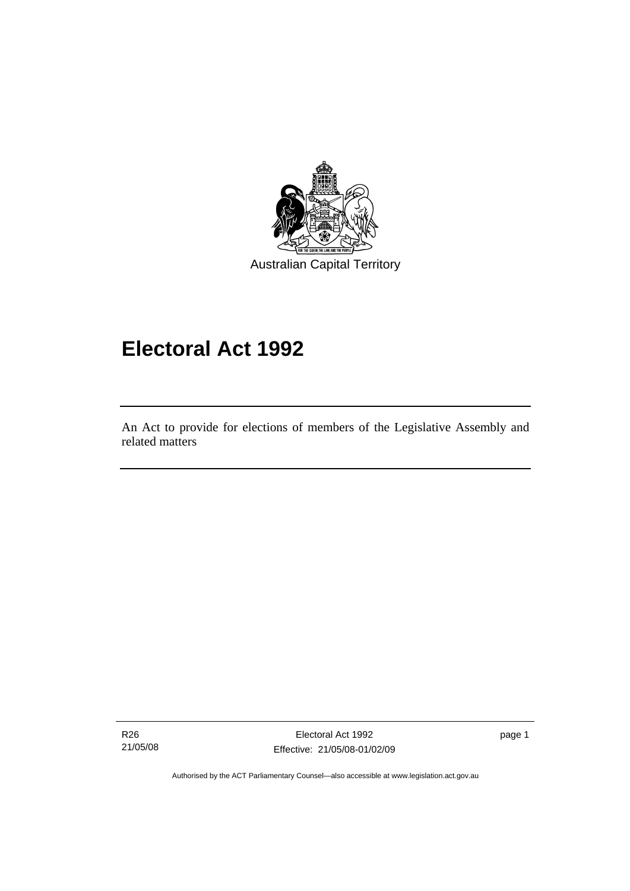<span id="page-18-0"></span>

# **Electoral Act 1992**

An Act to provide for elections of members of the Legislative Assembly and related matters

R26 21/05/08

l

Electoral Act 1992 Effective: 21/05/08-01/02/09 page 1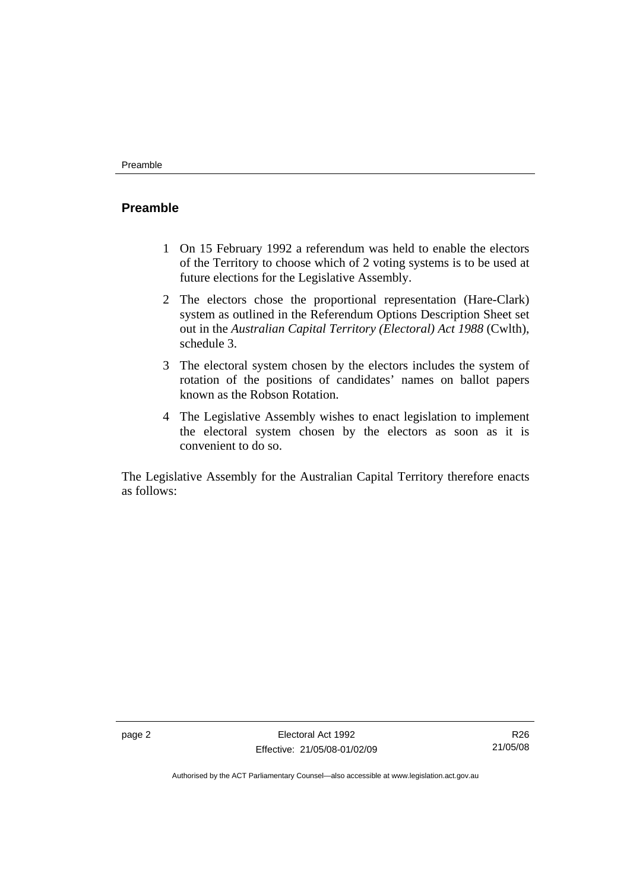#### <span id="page-19-0"></span>**Preamble**

- 1 On 15 February 1992 a referendum was held to enable the electors of the Territory to choose which of 2 voting systems is to be used at future elections for the Legislative Assembly.
- 2 The electors chose the proportional representation (Hare-Clark) system as outlined in the Referendum Options Description Sheet set out in the *Australian Capital Territory (Electoral) Act 1988* (Cwlth), schedule 3.
- 3 The electoral system chosen by the electors includes the system of rotation of the positions of candidates' names on ballot papers known as the Robson Rotation.
- 4 The Legislative Assembly wishes to enact legislation to implement the electoral system chosen by the electors as soon as it is convenient to do so.

The Legislative Assembly for the Australian Capital Territory therefore enacts as follows: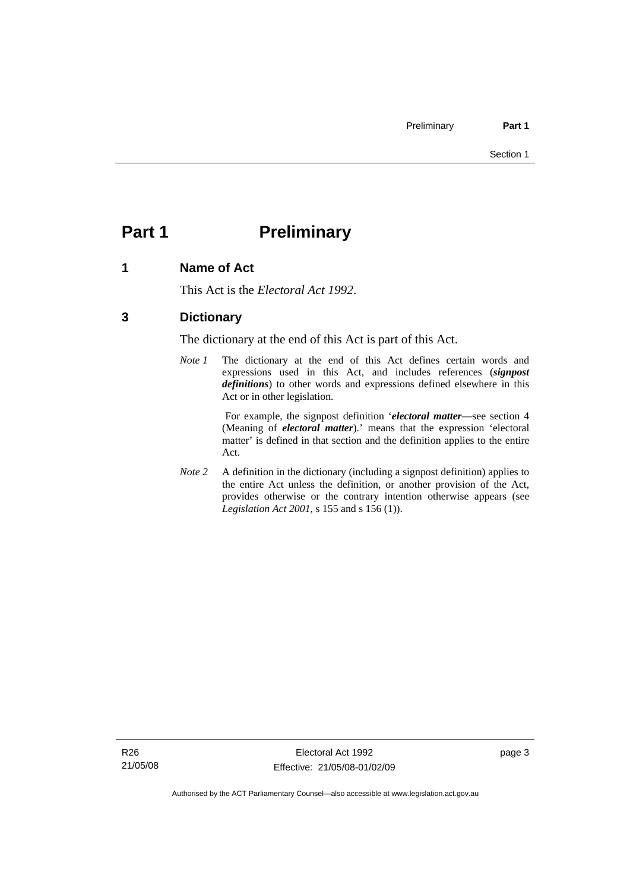# <span id="page-20-0"></span>**Part 1** Preliminary

### **1 Name of Act**

This Act is the *Electoral Act 1992*.

### **3 Dictionary**

The dictionary at the end of this Act is part of this Act.

*Note 1* The dictionary at the end of this Act defines certain words and expressions used in this Act, and includes references (*signpost definitions*) to other words and expressions defined elsewhere in this Act or in other legislation.

> For example, the signpost definition '*electoral matter*—see section 4 (Meaning of *electoral matter*).' means that the expression 'electoral matter' is defined in that section and the definition applies to the entire Act.

*Note 2* A definition in the dictionary (including a signpost definition) applies to the entire Act unless the definition, or another provision of the Act, provides otherwise or the contrary intention otherwise appears (see *Legislation Act 2001*, s 155 and s 156 (1)).

page 3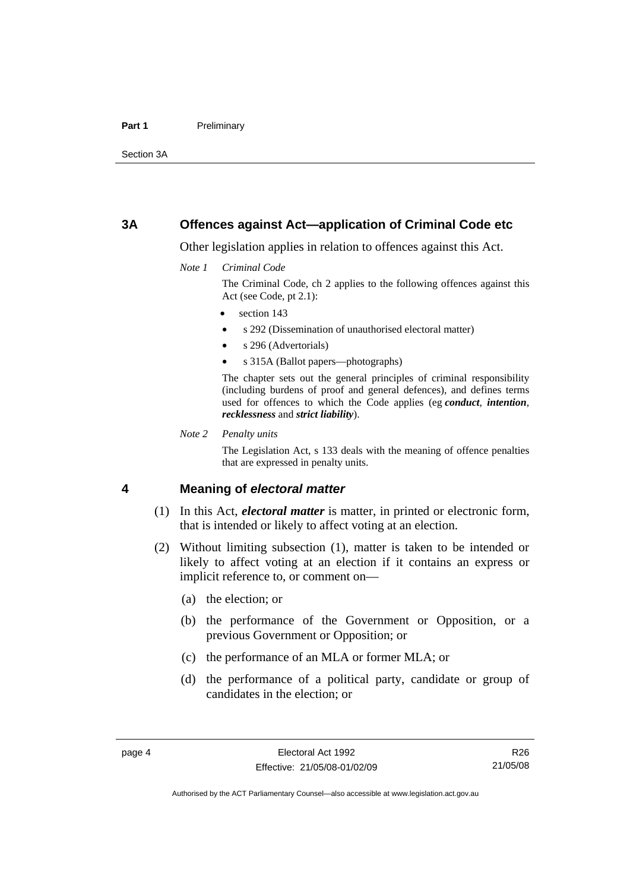#### <span id="page-21-0"></span>Part 1 **Preliminary**

Section 3A

#### **3A Offences against Act—application of Criminal Code etc**

Other legislation applies in relation to offences against this Act.

*Note 1 Criminal Code*

The Criminal Code, ch 2 applies to the following offences against this Act (see Code, pt 2.1):

- section 143
- s 292 (Dissemination of unauthorised electoral matter)
- s 296 (Advertorials)
- s 315A (Ballot papers—photographs)

The chapter sets out the general principles of criminal responsibility (including burdens of proof and general defences), and defines terms used for offences to which the Code applies (eg *conduct*, *intention*, *recklessness* and *strict liability*).

*Note 2 Penalty units* 

The Legislation Act, s 133 deals with the meaning of offence penalties that are expressed in penalty units.

#### **4 Meaning of** *electoral matter*

- (1) In this Act, *electoral matter* is matter, in printed or electronic form, that is intended or likely to affect voting at an election.
- (2) Without limiting subsection (1), matter is taken to be intended or likely to affect voting at an election if it contains an express or implicit reference to, or comment on—
	- (a) the election; or
	- (b) the performance of the Government or Opposition, or a previous Government or Opposition; or
	- (c) the performance of an MLA or former MLA; or
	- (d) the performance of a political party, candidate or group of candidates in the election; or

R26 21/05/08

Authorised by the ACT Parliamentary Counsel—also accessible at www.legislation.act.gov.au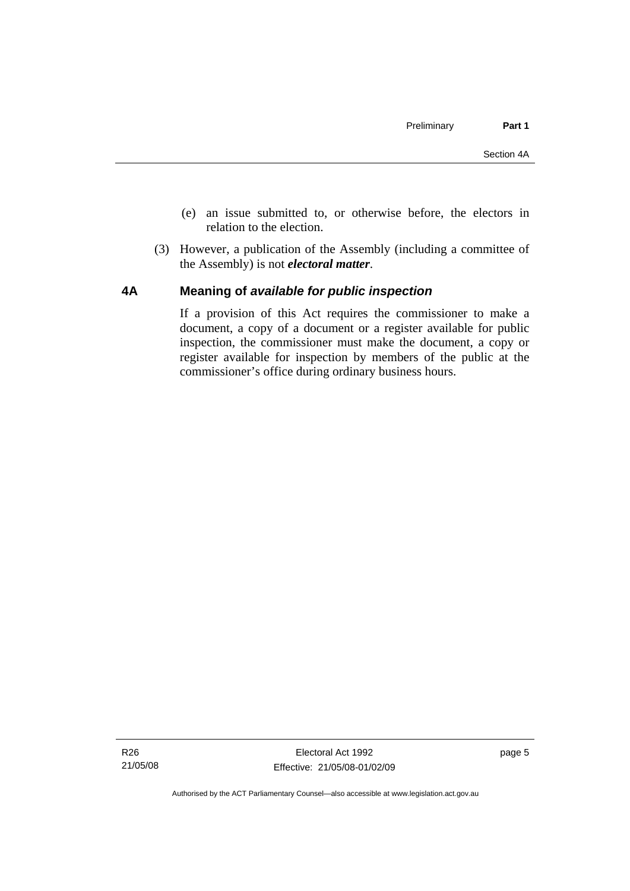- <span id="page-22-0"></span> (e) an issue submitted to, or otherwise before, the electors in relation to the election.
- (3) However, a publication of the Assembly (including a committee of the Assembly) is not *electoral matter*.

#### **4A Meaning of** *available for public inspection*

If a provision of this Act requires the commissioner to make a document, a copy of a document or a register available for public inspection, the commissioner must make the document, a copy or register available for inspection by members of the public at the commissioner's office during ordinary business hours.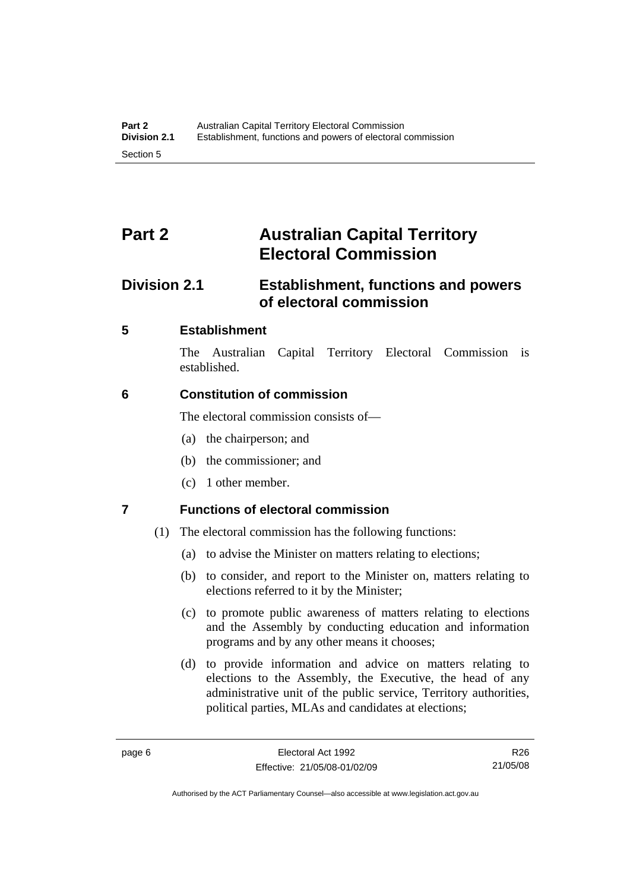# <span id="page-23-0"></span>**Part 2 Australian Capital Territory Electoral Commission**

# **Division 2.1 Establishment, functions and powers of electoral commission**

### **5 Establishment**

The Australian Capital Territory Electoral Commission is established.

### **6 Constitution of commission**

The electoral commission consists of—

- (a) the chairperson; and
- (b) the commissioner; and
- (c) 1 other member.

## **7 Functions of electoral commission**

- (1) The electoral commission has the following functions:
	- (a) to advise the Minister on matters relating to elections;
	- (b) to consider, and report to the Minister on, matters relating to elections referred to it by the Minister;
	- (c) to promote public awareness of matters relating to elections and the Assembly by conducting education and information programs and by any other means it chooses;
	- (d) to provide information and advice on matters relating to elections to the Assembly, the Executive, the head of any administrative unit of the public service, Territory authorities, political parties, MLAs and candidates at elections;

R26 21/05/08

Authorised by the ACT Parliamentary Counsel—also accessible at www.legislation.act.gov.au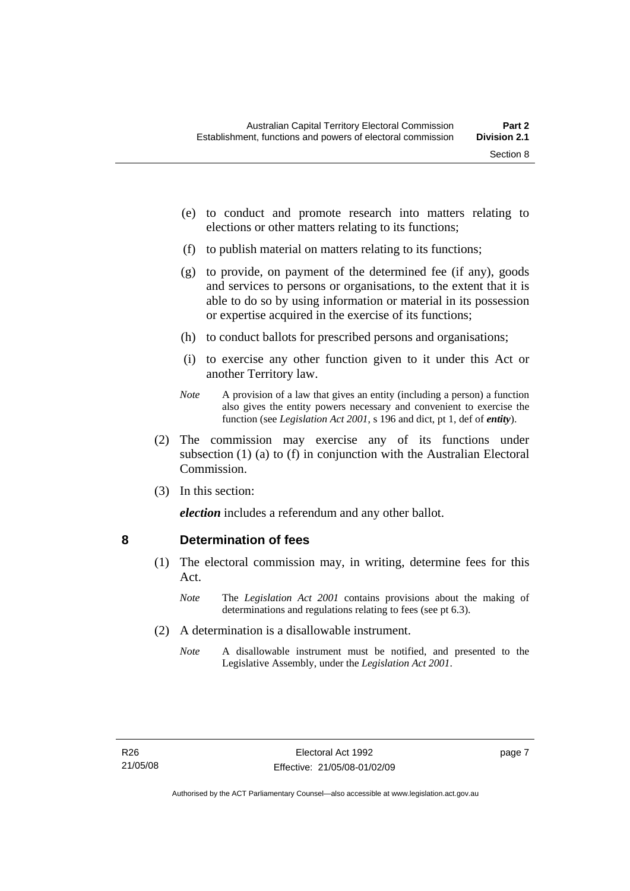- <span id="page-24-0"></span> (e) to conduct and promote research into matters relating to elections or other matters relating to its functions;
- (f) to publish material on matters relating to its functions;
- (g) to provide, on payment of the determined fee (if any), goods and services to persons or organisations, to the extent that it is able to do so by using information or material in its possession or expertise acquired in the exercise of its functions;
- (h) to conduct ballots for prescribed persons and organisations;
- (i) to exercise any other function given to it under this Act or another Territory law.
- *Note* A provision of a law that gives an entity (including a person) a function also gives the entity powers necessary and convenient to exercise the function (see *Legislation Act 2001*, s 196 and dict, pt 1, def of *entity*).
- (2) The commission may exercise any of its functions under subsection (1) (a) to (f) in conjunction with the Australian Electoral Commission.
- (3) In this section:

*election* includes a referendum and any other ballot.

#### **8 Determination of fees**

- (1) The electoral commission may, in writing, determine fees for this Act.
	- *Note* The *Legislation Act 2001* contains provisions about the making of determinations and regulations relating to fees (see pt 6.3).
- (2) A determination is a disallowable instrument.
	- *Note* A disallowable instrument must be notified, and presented to the Legislative Assembly, under the *Legislation Act 2001*.

page 7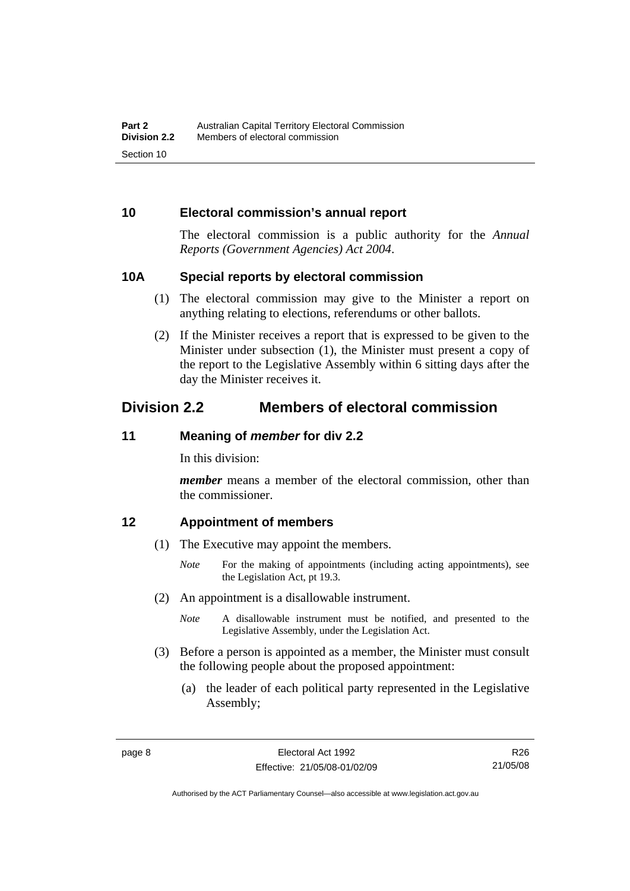#### <span id="page-25-0"></span>**10 Electoral commission's annual report**

The electoral commission is a public authority for the *Annual Reports (Government Agencies) Act 2004*.

#### **10A Special reports by electoral commission**

- (1) The electoral commission may give to the Minister a report on anything relating to elections, referendums or other ballots.
- (2) If the Minister receives a report that is expressed to be given to the Minister under subsection (1), the Minister must present a copy of the report to the Legislative Assembly within 6 sitting days after the day the Minister receives it.

# **Division 2.2 Members of electoral commission**

#### **11 Meaning of** *member* **for div 2.2**

In this division:

*member* means a member of the electoral commission, other than the commissioner.

#### **12 Appointment of members**

- (1) The Executive may appoint the members.
	- *Note* For the making of appointments (including acting appointments), see the Legislation Act, pt 19.3.
- (2) An appointment is a disallowable instrument.
	- *Note* A disallowable instrument must be notified, and presented to the Legislative Assembly, under the Legislation Act.
- (3) Before a person is appointed as a member, the Minister must consult the following people about the proposed appointment:
	- (a) the leader of each political party represented in the Legislative Assembly;

Authorised by the ACT Parliamentary Counsel—also accessible at www.legislation.act.gov.au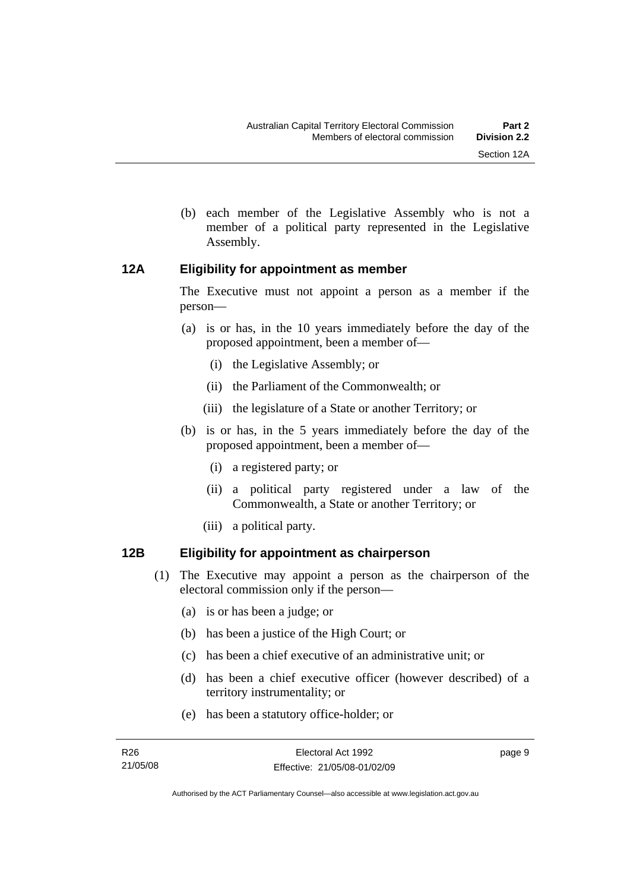- 
- <span id="page-26-0"></span> (b) each member of the Legislative Assembly who is not a member of a political party represented in the Legislative Assembly.

#### **12A Eligibility for appointment as member**

The Executive must not appoint a person as a member if the person—

- (a) is or has, in the 10 years immediately before the day of the proposed appointment, been a member of—
	- (i) the Legislative Assembly; or
	- (ii) the Parliament of the Commonwealth; or
	- (iii) the legislature of a State or another Territory; or
- (b) is or has, in the 5 years immediately before the day of the proposed appointment, been a member of—
	- (i) a registered party; or
	- (ii) a political party registered under a law of the Commonwealth, a State or another Territory; or
	- (iii) a political party.

### **12B Eligibility for appointment as chairperson**

- (1) The Executive may appoint a person as the chairperson of the electoral commission only if the person—
	- (a) is or has been a judge; or
	- (b) has been a justice of the High Court; or
	- (c) has been a chief executive of an administrative unit; or
	- (d) has been a chief executive officer (however described) of a territory instrumentality; or
	- (e) has been a statutory office-holder; or

page 9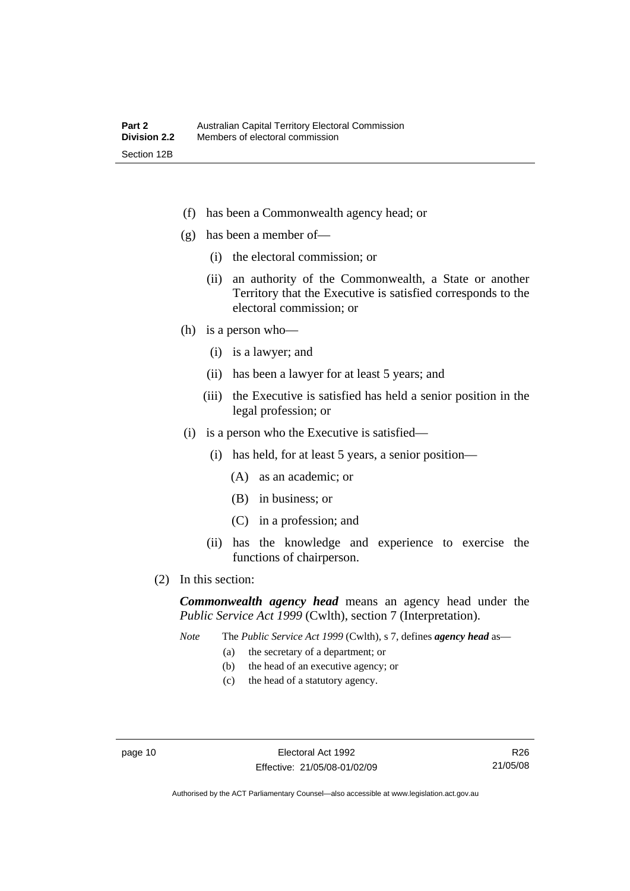- (f) has been a Commonwealth agency head; or
- (g) has been a member of—
	- (i) the electoral commission; or
	- (ii) an authority of the Commonwealth, a State or another Territory that the Executive is satisfied corresponds to the electoral commission; or
- (h) is a person who—
	- (i) is a lawyer; and
	- (ii) has been a lawyer for at least 5 years; and
	- (iii) the Executive is satisfied has held a senior position in the legal profession; or
- (i) is a person who the Executive is satisfied—
	- (i) has held, for at least 5 years, a senior position—
		- (A) as an academic; or
		- (B) in business; or
		- (C) in a profession; and
	- (ii) has the knowledge and experience to exercise the functions of chairperson.
- (2) In this section:

*Commonwealth agency head* means an agency head under the *Public Service Act 1999* (Cwlth), section 7 (Interpretation).

*Note* The *Public Service Act 1999* (Cwlth), s 7, defines *agency head* as—

- (a) the secretary of a department; or
- (b) the head of an executive agency; or
- (c) the head of a statutory agency.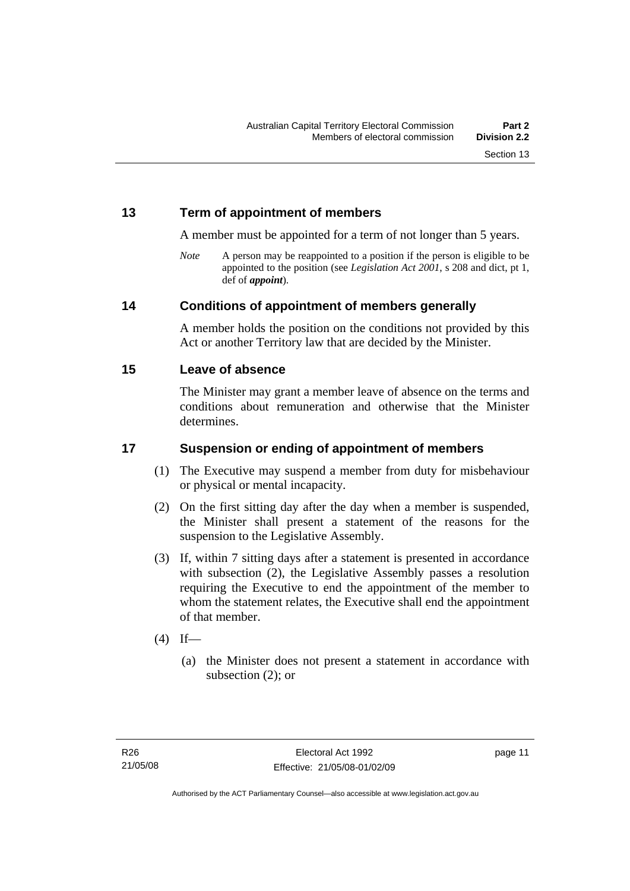#### <span id="page-28-0"></span>**13 Term of appointment of members**

A member must be appointed for a term of not longer than 5 years.

*Note* A person may be reappointed to a position if the person is eligible to be appointed to the position (see *Legislation Act 2001*, s 208 and dict, pt 1, def of *appoint*).

#### **14 Conditions of appointment of members generally**

A member holds the position on the conditions not provided by this Act or another Territory law that are decided by the Minister.

#### **15 Leave of absence**

The Minister may grant a member leave of absence on the terms and conditions about remuneration and otherwise that the Minister determines.

### **17 Suspension or ending of appointment of members**

- (1) The Executive may suspend a member from duty for misbehaviour or physical or mental incapacity.
- (2) On the first sitting day after the day when a member is suspended, the Minister shall present a statement of the reasons for the suspension to the Legislative Assembly.
- (3) If, within 7 sitting days after a statement is presented in accordance with subsection (2), the Legislative Assembly passes a resolution requiring the Executive to end the appointment of the member to whom the statement relates, the Executive shall end the appointment of that member.
- $(4)$  If—
	- (a) the Minister does not present a statement in accordance with subsection (2); or

page 11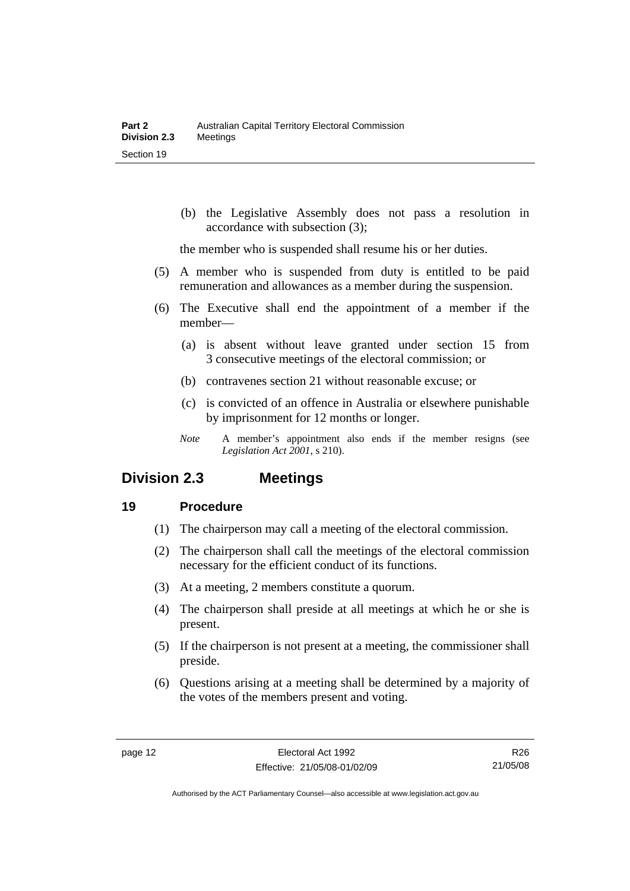<span id="page-29-0"></span> (b) the Legislative Assembly does not pass a resolution in accordance with subsection (3);

the member who is suspended shall resume his or her duties.

- (5) A member who is suspended from duty is entitled to be paid remuneration and allowances as a member during the suspension.
- (6) The Executive shall end the appointment of a member if the member—
	- (a) is absent without leave granted under section 15 from 3 consecutive meetings of the electoral commission; or
	- (b) contravenes section 21 without reasonable excuse; or
	- (c) is convicted of an offence in Australia or elsewhere punishable by imprisonment for 12 months or longer.
	- *Note* A member's appointment also ends if the member resigns (see *Legislation Act 2001*, s 210).

## **Division 2.3 Meetings**

#### **19 Procedure**

- (1) The chairperson may call a meeting of the electoral commission.
- (2) The chairperson shall call the meetings of the electoral commission necessary for the efficient conduct of its functions.
- (3) At a meeting, 2 members constitute a quorum.
- (4) The chairperson shall preside at all meetings at which he or she is present.
- (5) If the chairperson is not present at a meeting, the commissioner shall preside.
- (6) Questions arising at a meeting shall be determined by a majority of the votes of the members present and voting.

R26 21/05/08

Authorised by the ACT Parliamentary Counsel—also accessible at www.legislation.act.gov.au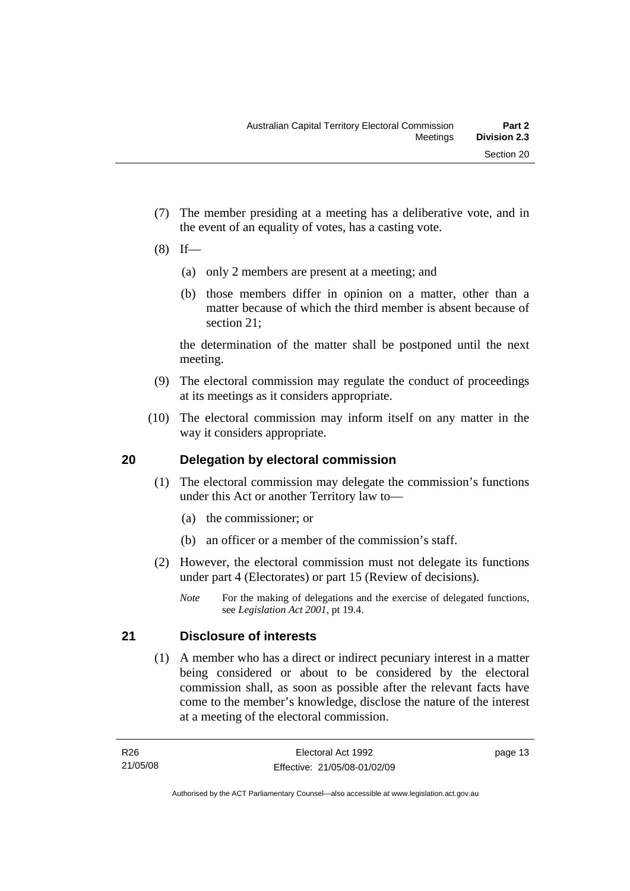- <span id="page-30-0"></span> (7) The member presiding at a meeting has a deliberative vote, and in the event of an equality of votes, has a casting vote.
- $(8)$  If—
	- (a) only 2 members are present at a meeting; and
	- (b) those members differ in opinion on a matter, other than a matter because of which the third member is absent because of section 21;

the determination of the matter shall be postponed until the next meeting.

- (9) The electoral commission may regulate the conduct of proceedings at its meetings as it considers appropriate.
- (10) The electoral commission may inform itself on any matter in the way it considers appropriate.

### **20 Delegation by electoral commission**

- (1) The electoral commission may delegate the commission's functions under this Act or another Territory law to—
	- (a) the commissioner; or
	- (b) an officer or a member of the commission's staff.
- (2) However, the electoral commission must not delegate its functions under part 4 (Electorates) or part 15 (Review of decisions).
	- *Note* For the making of delegations and the exercise of delegated functions, see *Legislation Act 2001*, pt 19.4.

## **21 Disclosure of interests**

 (1) A member who has a direct or indirect pecuniary interest in a matter being considered or about to be considered by the electoral commission shall, as soon as possible after the relevant facts have come to the member's knowledge, disclose the nature of the interest at a meeting of the electoral commission.

page 13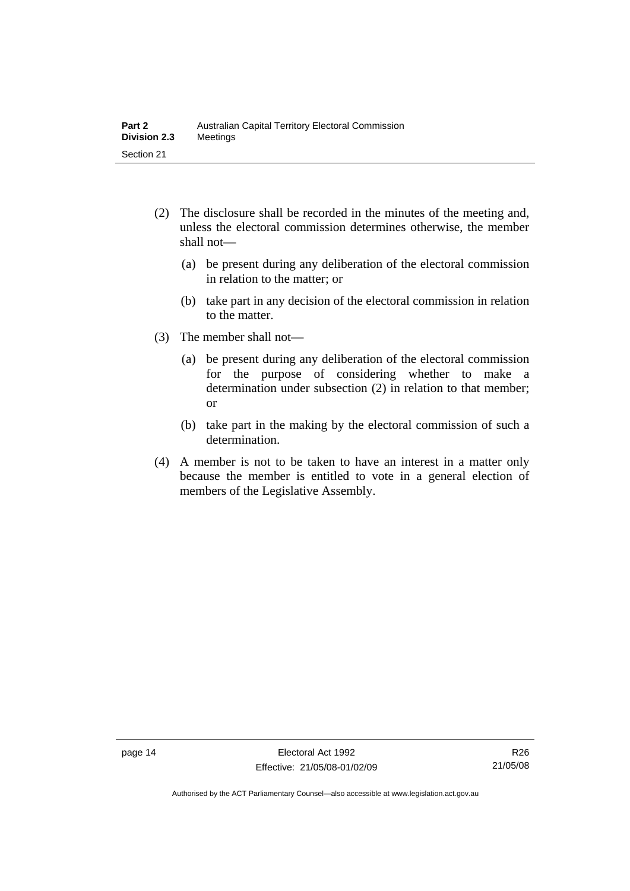- (2) The disclosure shall be recorded in the minutes of the meeting and, unless the electoral commission determines otherwise, the member shall not—
	- (a) be present during any deliberation of the electoral commission in relation to the matter; or
	- (b) take part in any decision of the electoral commission in relation to the matter.
- (3) The member shall not—
	- (a) be present during any deliberation of the electoral commission for the purpose of considering whether to make a determination under subsection (2) in relation to that member; or
	- (b) take part in the making by the electoral commission of such a determination.
- (4) A member is not to be taken to have an interest in a matter only because the member is entitled to vote in a general election of members of the Legislative Assembly.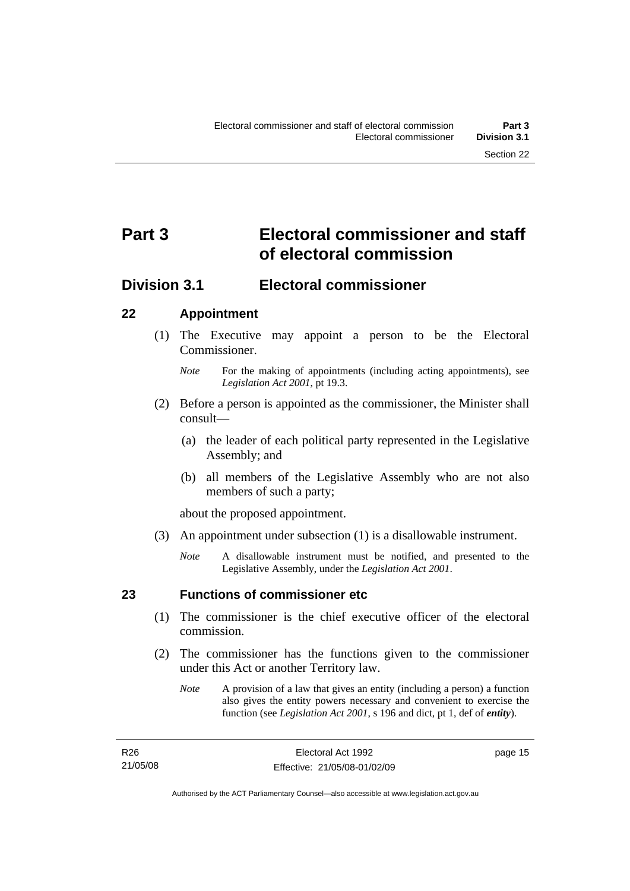# <span id="page-32-0"></span>**Part 3 Electoral commissioner and staff of electoral commission**

# **Division 3.1 Electoral commissioner**

### **22 Appointment**

- (1) The Executive may appoint a person to be the Electoral Commissioner.
	- *Note* For the making of appointments (including acting appointments), see *Legislation Act 2001*, pt 19.3.
- (2) Before a person is appointed as the commissioner, the Minister shall consult—
	- (a) the leader of each political party represented in the Legislative Assembly; and
	- (b) all members of the Legislative Assembly who are not also members of such a party;

about the proposed appointment.

- (3) An appointment under subsection (1) is a disallowable instrument.
	- *Note* A disallowable instrument must be notified, and presented to the Legislative Assembly, under the *Legislation Act 2001*.

### **23 Functions of commissioner etc**

- (1) The commissioner is the chief executive officer of the electoral commission.
- (2) The commissioner has the functions given to the commissioner under this Act or another Territory law.
	- *Note* A provision of a law that gives an entity (including a person) a function also gives the entity powers necessary and convenient to exercise the function (see *Legislation Act 2001*, s 196 and dict, pt 1, def of *entity*).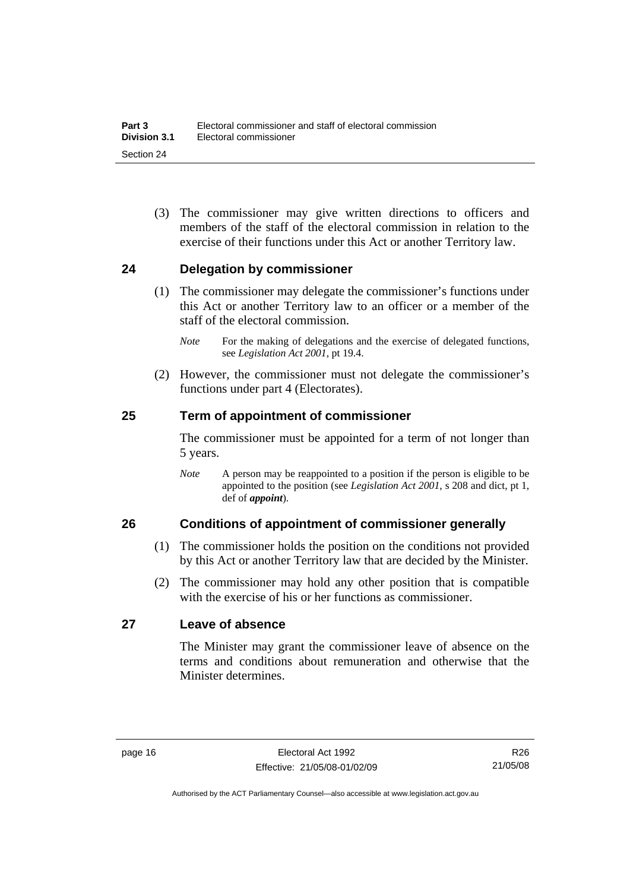<span id="page-33-0"></span> (3) The commissioner may give written directions to officers and members of the staff of the electoral commission in relation to the exercise of their functions under this Act or another Territory law.

#### **24 Delegation by commissioner**

- (1) The commissioner may delegate the commissioner's functions under this Act or another Territory law to an officer or a member of the staff of the electoral commission.
	- *Note* For the making of delegations and the exercise of delegated functions, see *Legislation Act 2001*, pt 19.4.
- (2) However, the commissioner must not delegate the commissioner's functions under part 4 (Electorates).

#### **25 Term of appointment of commissioner**

The commissioner must be appointed for a term of not longer than 5 years.

*Note* A person may be reappointed to a position if the person is eligible to be appointed to the position (see *Legislation Act 2001*, s 208 and dict, pt 1, def of *appoint*).

#### **26 Conditions of appointment of commissioner generally**

- (1) The commissioner holds the position on the conditions not provided by this Act or another Territory law that are decided by the Minister.
- (2) The commissioner may hold any other position that is compatible with the exercise of his or her functions as commissioner.

#### **27 Leave of absence**

The Minister may grant the commissioner leave of absence on the terms and conditions about remuneration and otherwise that the Minister determines.

R26 21/05/08

Authorised by the ACT Parliamentary Counsel—also accessible at www.legislation.act.gov.au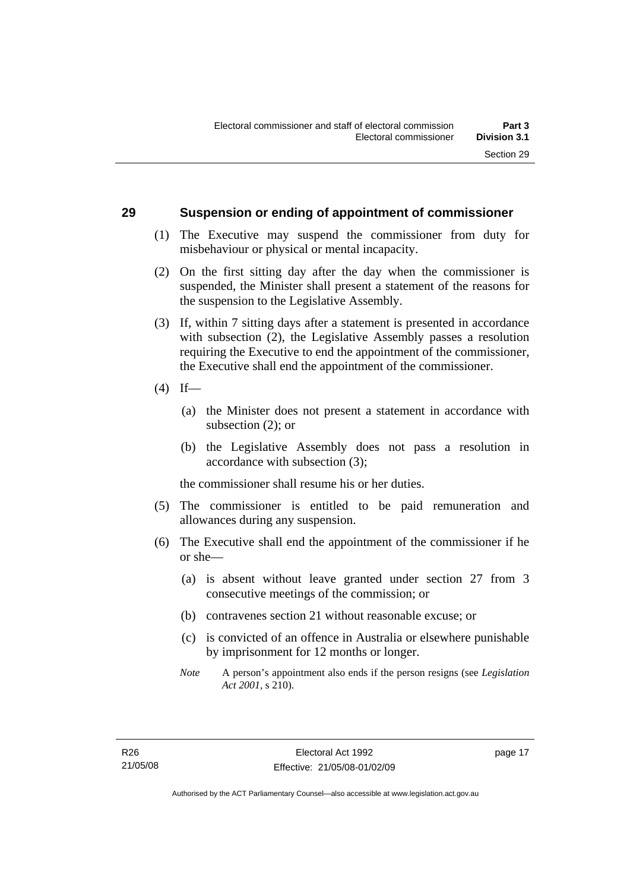#### <span id="page-34-0"></span>**29 Suspension or ending of appointment of commissioner**

- (1) The Executive may suspend the commissioner from duty for misbehaviour or physical or mental incapacity.
- (2) On the first sitting day after the day when the commissioner is suspended, the Minister shall present a statement of the reasons for the suspension to the Legislative Assembly.
- (3) If, within 7 sitting days after a statement is presented in accordance with subsection (2), the Legislative Assembly passes a resolution requiring the Executive to end the appointment of the commissioner, the Executive shall end the appointment of the commissioner.
- $(4)$  If—
	- (a) the Minister does not present a statement in accordance with subsection (2); or
	- (b) the Legislative Assembly does not pass a resolution in accordance with subsection (3);

the commissioner shall resume his or her duties.

- (5) The commissioner is entitled to be paid remuneration and allowances during any suspension.
- (6) The Executive shall end the appointment of the commissioner if he or she—
	- (a) is absent without leave granted under section 27 from 3 consecutive meetings of the commission; or
	- (b) contravenes section 21 without reasonable excuse; or
	- (c) is convicted of an offence in Australia or elsewhere punishable by imprisonment for 12 months or longer.
	- *Note* A person's appointment also ends if the person resigns (see *Legislation Act 2001*, s 210).

page 17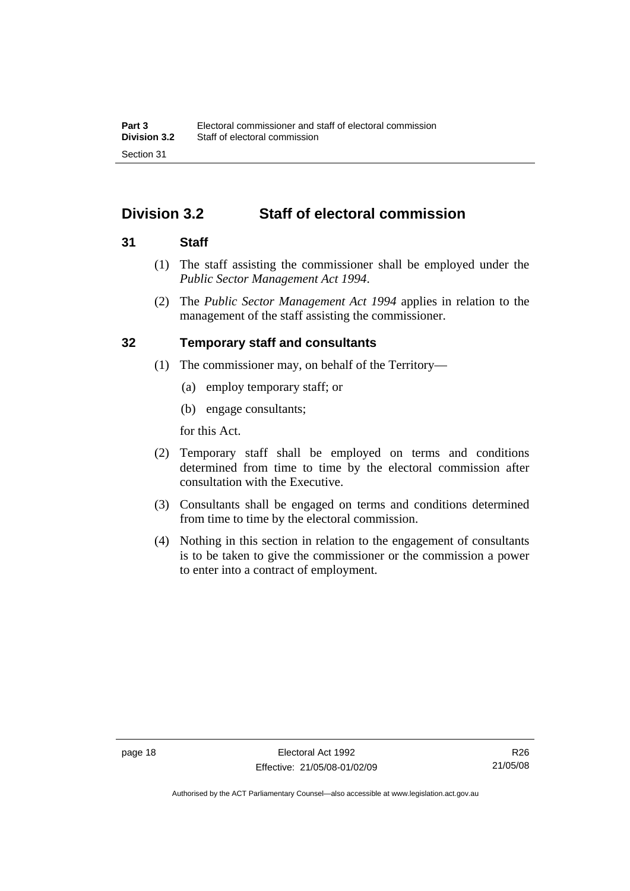# <span id="page-35-0"></span>**Division 3.2 Staff of electoral commission**

#### **31 Staff**

- (1) The staff assisting the commissioner shall be employed under the *Public Sector Management Act 1994*.
- (2) The *Public Sector Management Act 1994* applies in relation to the management of the staff assisting the commissioner.

#### **32 Temporary staff and consultants**

- (1) The commissioner may, on behalf of the Territory—
	- (a) employ temporary staff; or
	- (b) engage consultants;

for this Act.

- (2) Temporary staff shall be employed on terms and conditions determined from time to time by the electoral commission after consultation with the Executive.
- (3) Consultants shall be engaged on terms and conditions determined from time to time by the electoral commission.
- (4) Nothing in this section in relation to the engagement of consultants is to be taken to give the commissioner or the commission a power to enter into a contract of employment.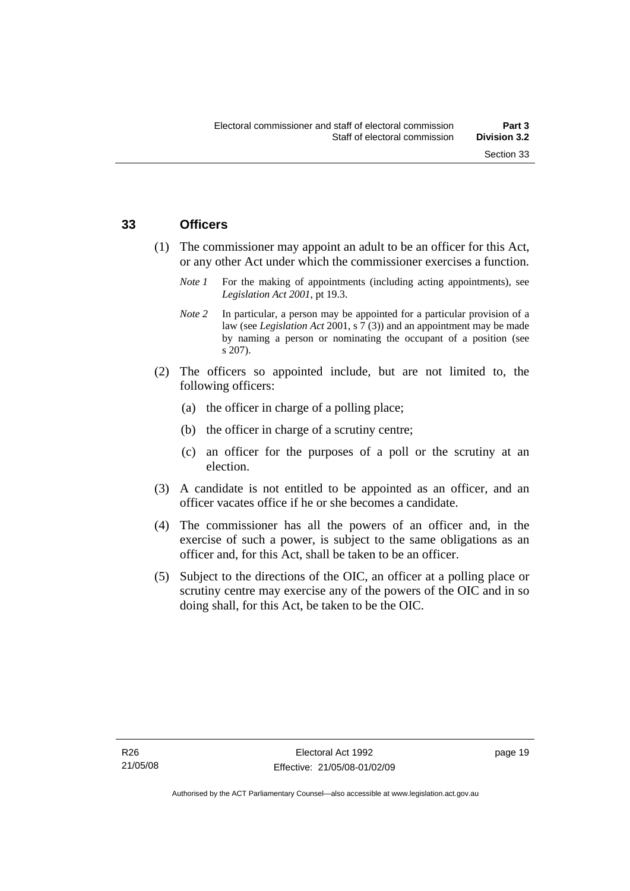## **33 Officers**

- (1) The commissioner may appoint an adult to be an officer for this Act, or any other Act under which the commissioner exercises a function.
	- *Note 1* For the making of appointments (including acting appointments), see *Legislation Act 2001*, pt 19.3.
	- *Note 2* In particular, a person may be appointed for a particular provision of a law (see *Legislation Act* 2001, s 7 (3)) and an appointment may be made by naming a person or nominating the occupant of a position (see s 207).
- (2) The officers so appointed include, but are not limited to, the following officers:
	- (a) the officer in charge of a polling place;
	- (b) the officer in charge of a scrutiny centre;
	- (c) an officer for the purposes of a poll or the scrutiny at an election.
- (3) A candidate is not entitled to be appointed as an officer, and an officer vacates office if he or she becomes a candidate.
- (4) The commissioner has all the powers of an officer and, in the exercise of such a power, is subject to the same obligations as an officer and, for this Act, shall be taken to be an officer.
- (5) Subject to the directions of the OIC, an officer at a polling place or scrutiny centre may exercise any of the powers of the OIC and in so doing shall, for this Act, be taken to be the OIC.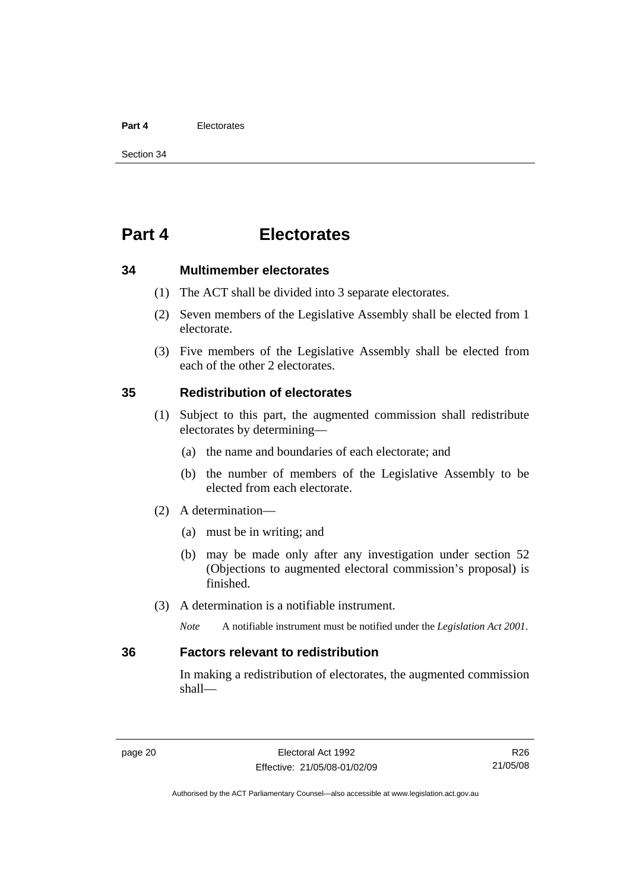#### **Part 4** Electorates

Section 34

# **Part 4 Electorates**

**34 Multimember electorates** 

- (1) The ACT shall be divided into 3 separate electorates.
- (2) Seven members of the Legislative Assembly shall be elected from 1 electorate.
- (3) Five members of the Legislative Assembly shall be elected from each of the other 2 electorates.

## **35 Redistribution of electorates**

- (1) Subject to this part, the augmented commission shall redistribute electorates by determining—
	- (a) the name and boundaries of each electorate; and
	- (b) the number of members of the Legislative Assembly to be elected from each electorate.
- (2) A determination—
	- (a) must be in writing; and
	- (b) may be made only after any investigation under section 52 (Objections to augmented electoral commission's proposal) is finished.
- (3) A determination is a notifiable instrument.

*Note* A notifiable instrument must be notified under the *Legislation Act 2001*.

## **36 Factors relevant to redistribution**

In making a redistribution of electorates, the augmented commission shall—

R26 21/05/08

Authorised by the ACT Parliamentary Counsel—also accessible at www.legislation.act.gov.au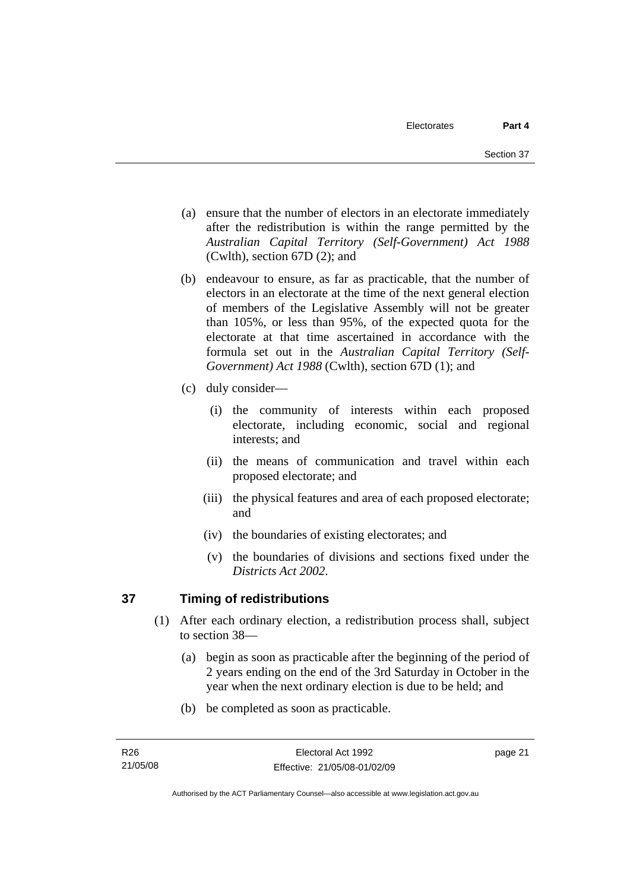- (a) ensure that the number of electors in an electorate immediately after the redistribution is within the range permitted by the *Australian Capital Territory (Self-Government) Act 1988*  (Cwlth), section 67D (2); and
- (b) endeavour to ensure, as far as practicable, that the number of electors in an electorate at the time of the next general election of members of the Legislative Assembly will not be greater than 105%, or less than 95%, of the expected quota for the electorate at that time ascertained in accordance with the formula set out in the *Australian Capital Territory (Self-Government) Act 1988* (Cwlth), section 67D (1); and
- (c) duly consider—
	- (i) the community of interests within each proposed electorate, including economic, social and regional interests; and
	- (ii) the means of communication and travel within each proposed electorate; and
	- (iii) the physical features and area of each proposed electorate; and
	- (iv) the boundaries of existing electorates; and
	- (v) the boundaries of divisions and sections fixed under the *Districts Act 2002*.

# **37 Timing of redistributions**

- (1) After each ordinary election, a redistribution process shall, subject to section 38—
	- (a) begin as soon as practicable after the beginning of the period of 2 years ending on the end of the 3rd Saturday in October in the year when the next ordinary election is due to be held; and
	- (b) be completed as soon as practicable.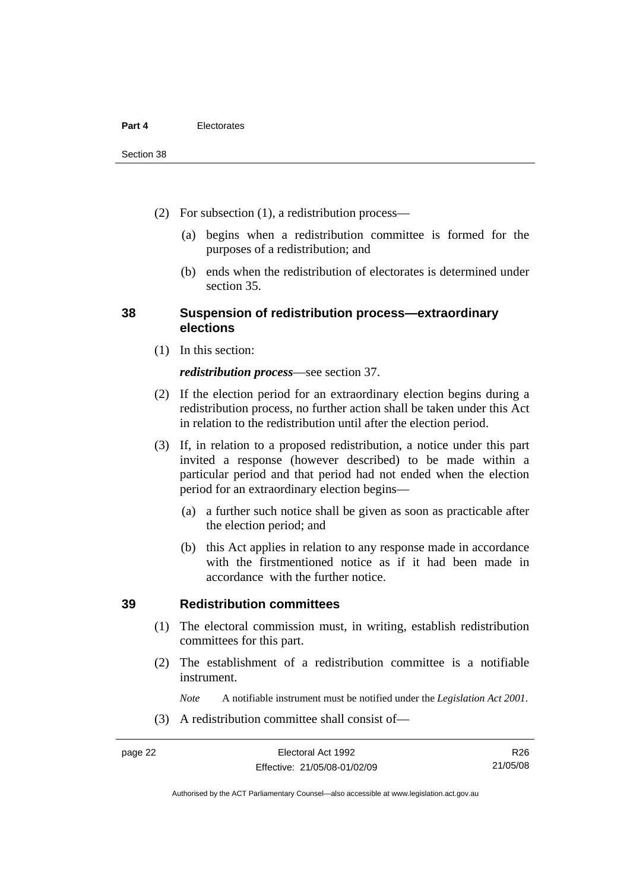- (2) For subsection (1), a redistribution process—
	- (a) begins when a redistribution committee is formed for the purposes of a redistribution; and
	- (b) ends when the redistribution of electorates is determined under section 35.

## **38 Suspension of redistribution process—extraordinary elections**

(1) In this section:

#### *redistribution process*—see section 37.

- (2) If the election period for an extraordinary election begins during a redistribution process, no further action shall be taken under this Act in relation to the redistribution until after the election period.
- (3) If, in relation to a proposed redistribution, a notice under this part invited a response (however described) to be made within a particular period and that period had not ended when the election period for an extraordinary election begins—
	- (a) a further such notice shall be given as soon as practicable after the election period; and
	- (b) this Act applies in relation to any response made in accordance with the firstmentioned notice as if it had been made in accordance with the further notice.

#### **39 Redistribution committees**

- (1) The electoral commission must, in writing, establish redistribution committees for this part.
- (2) The establishment of a redistribution committee is a notifiable instrument.

*Note* A notifiable instrument must be notified under the *Legislation Act 2001*.

(3) A redistribution committee shall consist of—

Authorised by the ACT Parliamentary Counsel—also accessible at www.legislation.act.gov.au

R26 21/05/08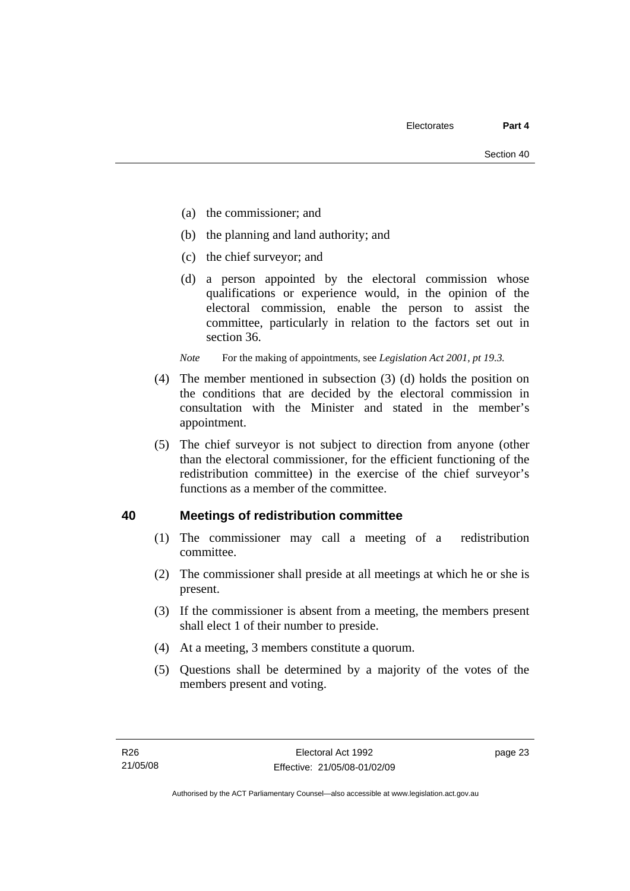- (a) the commissioner; and
- (b) the planning and land authority; and
- (c) the chief surveyor; and
- (d) a person appointed by the electoral commission whose qualifications or experience would, in the opinion of the electoral commission, enable the person to assist the committee, particularly in relation to the factors set out in section 36.

*Note* For the making of appointments, see *Legislation Act 2001, pt 19.3.* 

- (4) The member mentioned in subsection (3) (d) holds the position on the conditions that are decided by the electoral commission in consultation with the Minister and stated in the member's appointment.
- (5) The chief surveyor is not subject to direction from anyone (other than the electoral commissioner, for the efficient functioning of the redistribution committee) in the exercise of the chief surveyor's functions as a member of the committee.

## **40 Meetings of redistribution committee**

- (1) The commissioner may call a meeting of a redistribution committee.
- (2) The commissioner shall preside at all meetings at which he or she is present.
- (3) If the commissioner is absent from a meeting, the members present shall elect 1 of their number to preside.
- (4) At a meeting, 3 members constitute a quorum.
- (5) Questions shall be determined by a majority of the votes of the members present and voting.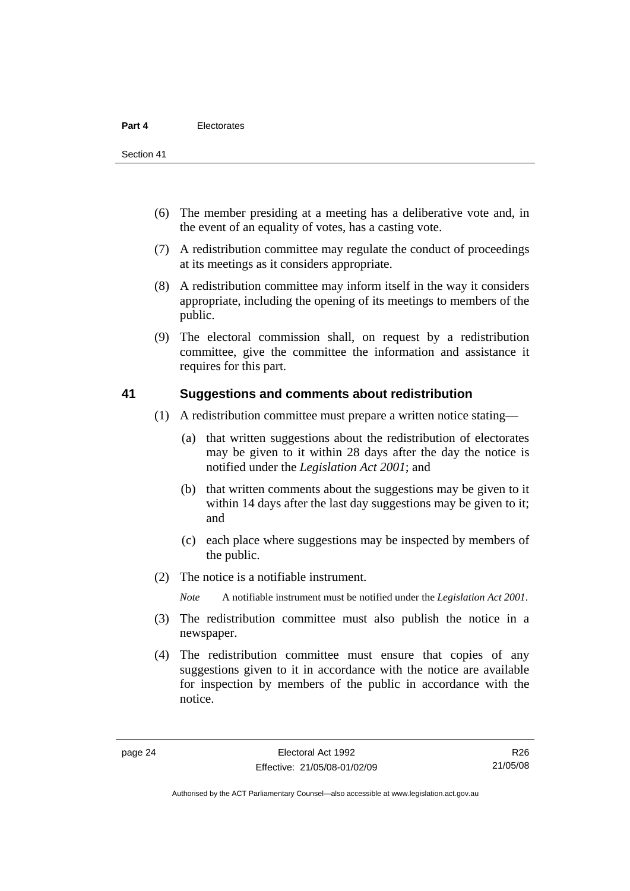Section 41

- (6) The member presiding at a meeting has a deliberative vote and, in the event of an equality of votes, has a casting vote.
- (7) A redistribution committee may regulate the conduct of proceedings at its meetings as it considers appropriate.
- (8) A redistribution committee may inform itself in the way it considers appropriate, including the opening of its meetings to members of the public.
- (9) The electoral commission shall, on request by a redistribution committee, give the committee the information and assistance it requires for this part.

## **41 Suggestions and comments about redistribution**

- (1) A redistribution committee must prepare a written notice stating—
	- (a) that written suggestions about the redistribution of electorates may be given to it within 28 days after the day the notice is notified under the *Legislation Act 2001*; and
	- (b) that written comments about the suggestions may be given to it within 14 days after the last day suggestions may be given to it; and
	- (c) each place where suggestions may be inspected by members of the public.
- (2) The notice is a notifiable instrument.

*Note* A notifiable instrument must be notified under the *Legislation Act 2001*.

- (3) The redistribution committee must also publish the notice in a newspaper.
- (4) The redistribution committee must ensure that copies of any suggestions given to it in accordance with the notice are available for inspection by members of the public in accordance with the notice.

Authorised by the ACT Parliamentary Counsel—also accessible at www.legislation.act.gov.au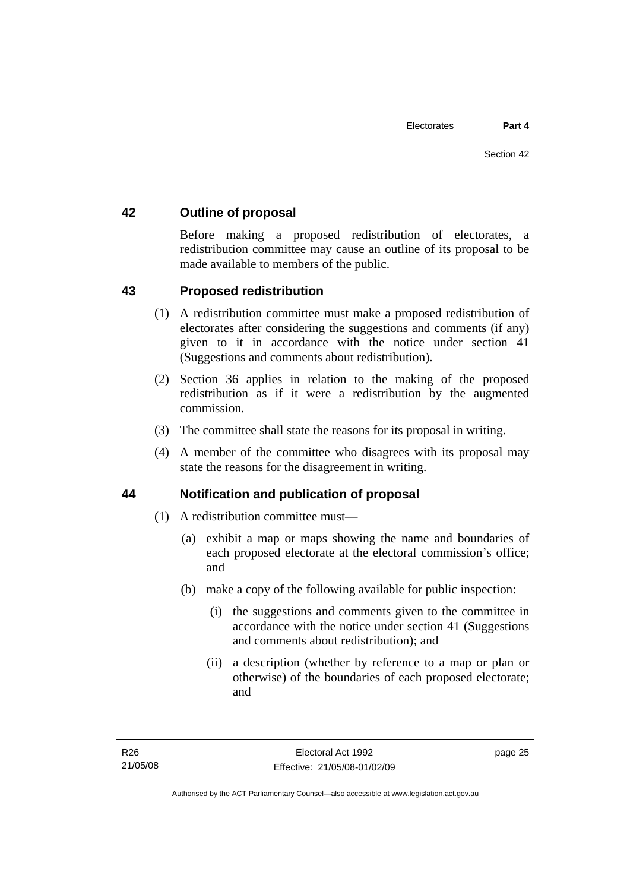## **42 Outline of proposal**

Before making a proposed redistribution of electorates, a redistribution committee may cause an outline of its proposal to be made available to members of the public.

## **43 Proposed redistribution**

- (1) A redistribution committee must make a proposed redistribution of electorates after considering the suggestions and comments (if any) given to it in accordance with the notice under section 41 (Suggestions and comments about redistribution).
- (2) Section 36 applies in relation to the making of the proposed redistribution as if it were a redistribution by the augmented commission.
- (3) The committee shall state the reasons for its proposal in writing.
- (4) A member of the committee who disagrees with its proposal may state the reasons for the disagreement in writing.

## **44 Notification and publication of proposal**

- (1) A redistribution committee must—
	- (a) exhibit a map or maps showing the name and boundaries of each proposed electorate at the electoral commission's office; and
	- (b) make a copy of the following available for public inspection:
		- (i) the suggestions and comments given to the committee in accordance with the notice under section 41 (Suggestions and comments about redistribution); and
		- (ii) a description (whether by reference to a map or plan or otherwise) of the boundaries of each proposed electorate; and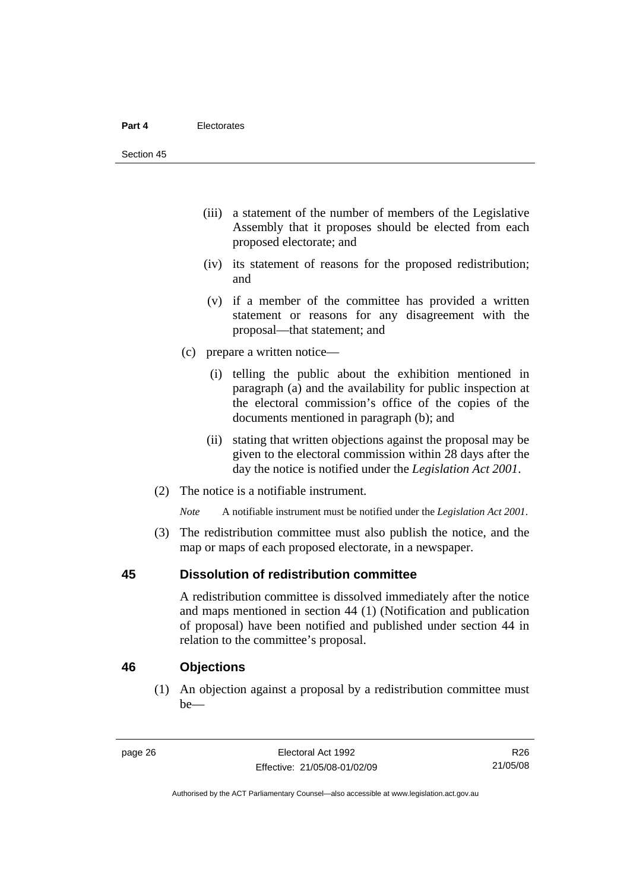- (iii) a statement of the number of members of the Legislative Assembly that it proposes should be elected from each proposed electorate; and
- (iv) its statement of reasons for the proposed redistribution; and
- (v) if a member of the committee has provided a written statement or reasons for any disagreement with the proposal—that statement; and
- (c) prepare a written notice—
	- (i) telling the public about the exhibition mentioned in paragraph (a) and the availability for public inspection at the electoral commission's office of the copies of the documents mentioned in paragraph (b); and
	- (ii) stating that written objections against the proposal may be given to the electoral commission within 28 days after the day the notice is notified under the *Legislation Act 2001*.
- (2) The notice is a notifiable instrument.

*Note* A notifiable instrument must be notified under the *Legislation Act 2001*.

 (3) The redistribution committee must also publish the notice, and the map or maps of each proposed electorate, in a newspaper.

## **45 Dissolution of redistribution committee**

A redistribution committee is dissolved immediately after the notice and maps mentioned in section 44 (1) (Notification and publication of proposal) have been notified and published under section 44 in relation to the committee's proposal.

## **46 Objections**

 (1) An objection against a proposal by a redistribution committee must be—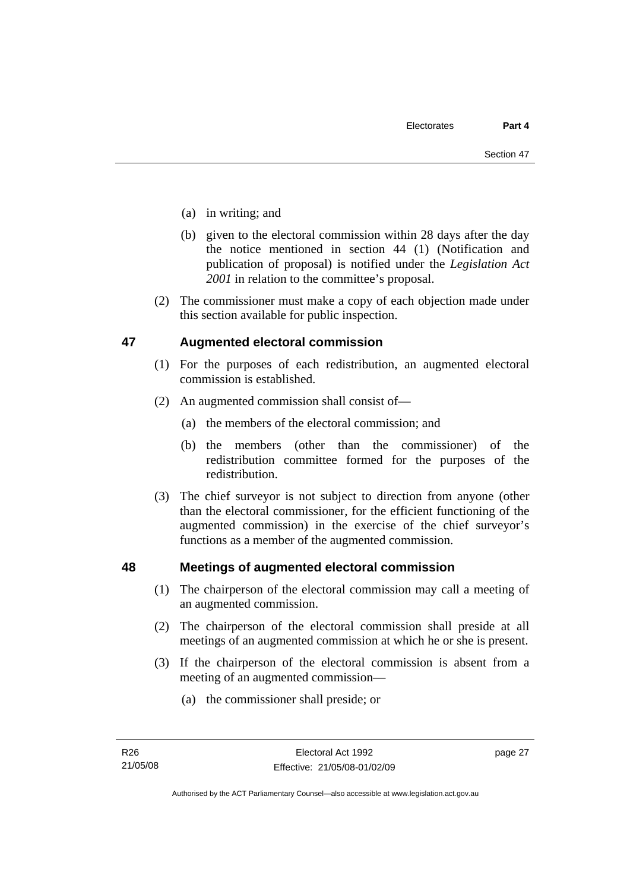- (a) in writing; and
- (b) given to the electoral commission within 28 days after the day the notice mentioned in section 44 (1) (Notification and publication of proposal) is notified under the *Legislation Act 2001* in relation to the committee's proposal.
- (2) The commissioner must make a copy of each objection made under this section available for public inspection.

## **47 Augmented electoral commission**

- (1) For the purposes of each redistribution, an augmented electoral commission is established.
- (2) An augmented commission shall consist of—
	- (a) the members of the electoral commission; and
	- (b) the members (other than the commissioner) of the redistribution committee formed for the purposes of the redistribution.
- (3) The chief surveyor is not subject to direction from anyone (other than the electoral commissioner, for the efficient functioning of the augmented commission) in the exercise of the chief surveyor's functions as a member of the augmented commission.

## **48 Meetings of augmented electoral commission**

- (1) The chairperson of the electoral commission may call a meeting of an augmented commission.
- (2) The chairperson of the electoral commission shall preside at all meetings of an augmented commission at which he or she is present.
- (3) If the chairperson of the electoral commission is absent from a meeting of an augmented commission—
	- (a) the commissioner shall preside; or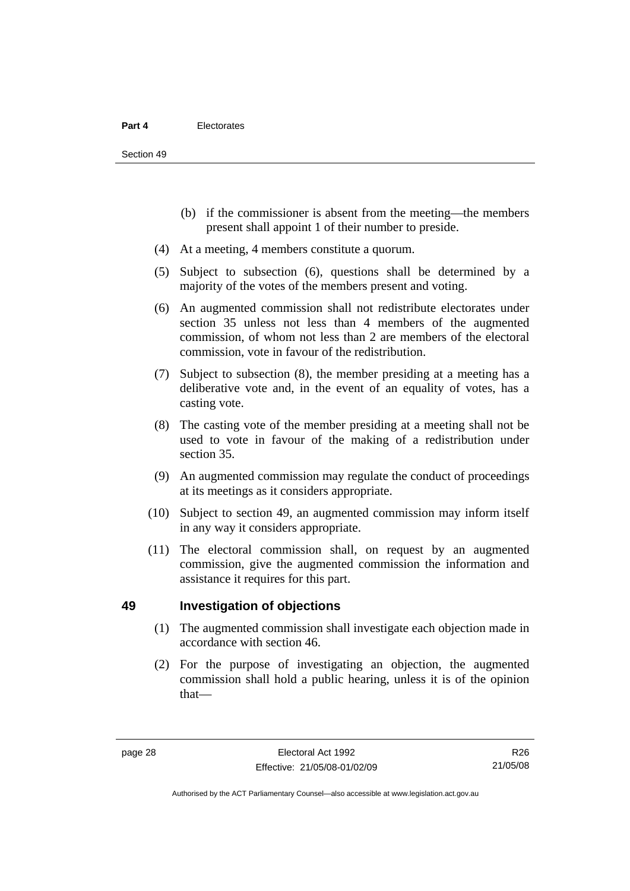- (b) if the commissioner is absent from the meeting—the members present shall appoint 1 of their number to preside.
- (4) At a meeting, 4 members constitute a quorum.
- (5) Subject to subsection (6), questions shall be determined by a majority of the votes of the members present and voting.
- (6) An augmented commission shall not redistribute electorates under section 35 unless not less than 4 members of the augmented commission, of whom not less than 2 are members of the electoral commission, vote in favour of the redistribution.
- (7) Subject to subsection (8), the member presiding at a meeting has a deliberative vote and, in the event of an equality of votes, has a casting vote.
- (8) The casting vote of the member presiding at a meeting shall not be used to vote in favour of the making of a redistribution under section 35.
- (9) An augmented commission may regulate the conduct of proceedings at its meetings as it considers appropriate.
- (10) Subject to section 49, an augmented commission may inform itself in any way it considers appropriate.
- (11) The electoral commission shall, on request by an augmented commission, give the augmented commission the information and assistance it requires for this part.

## **49 Investigation of objections**

- (1) The augmented commission shall investigate each objection made in accordance with section 46.
- (2) For the purpose of investigating an objection, the augmented commission shall hold a public hearing, unless it is of the opinion that—

R26 21/05/08

Authorised by the ACT Parliamentary Counsel—also accessible at www.legislation.act.gov.au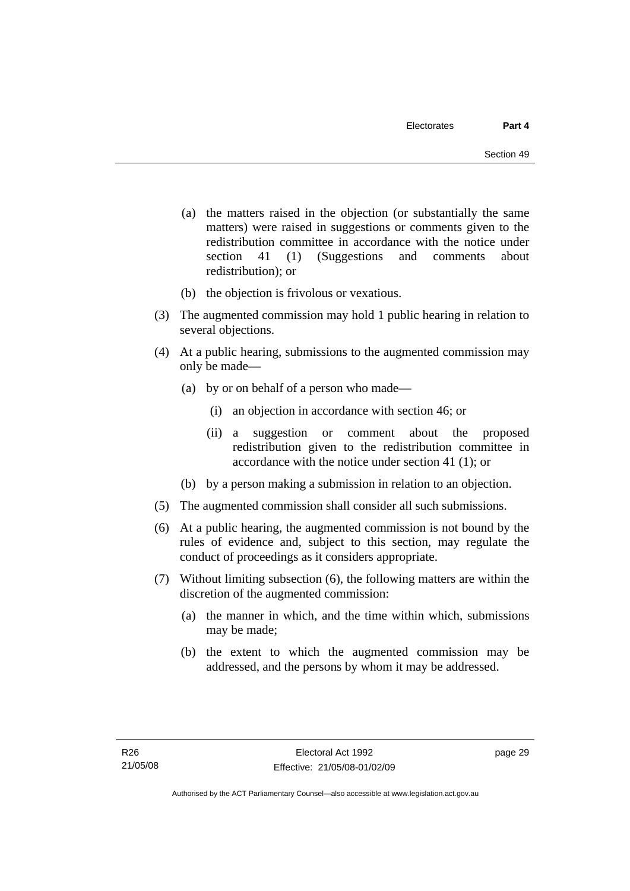- (a) the matters raised in the objection (or substantially the same matters) were raised in suggestions or comments given to the redistribution committee in accordance with the notice under section 41 (1) (Suggestions and comments about redistribution); or
- (b) the objection is frivolous or vexatious.
- (3) The augmented commission may hold 1 public hearing in relation to several objections.
- (4) At a public hearing, submissions to the augmented commission may only be made—
	- (a) by or on behalf of a person who made—
		- (i) an objection in accordance with section 46; or
		- (ii) a suggestion or comment about the proposed redistribution given to the redistribution committee in accordance with the notice under section 41 (1); or
	- (b) by a person making a submission in relation to an objection.
- (5) The augmented commission shall consider all such submissions.
- (6) At a public hearing, the augmented commission is not bound by the rules of evidence and, subject to this section, may regulate the conduct of proceedings as it considers appropriate.
- (7) Without limiting subsection (6), the following matters are within the discretion of the augmented commission:
	- (a) the manner in which, and the time within which, submissions may be made;
	- (b) the extent to which the augmented commission may be addressed, and the persons by whom it may be addressed.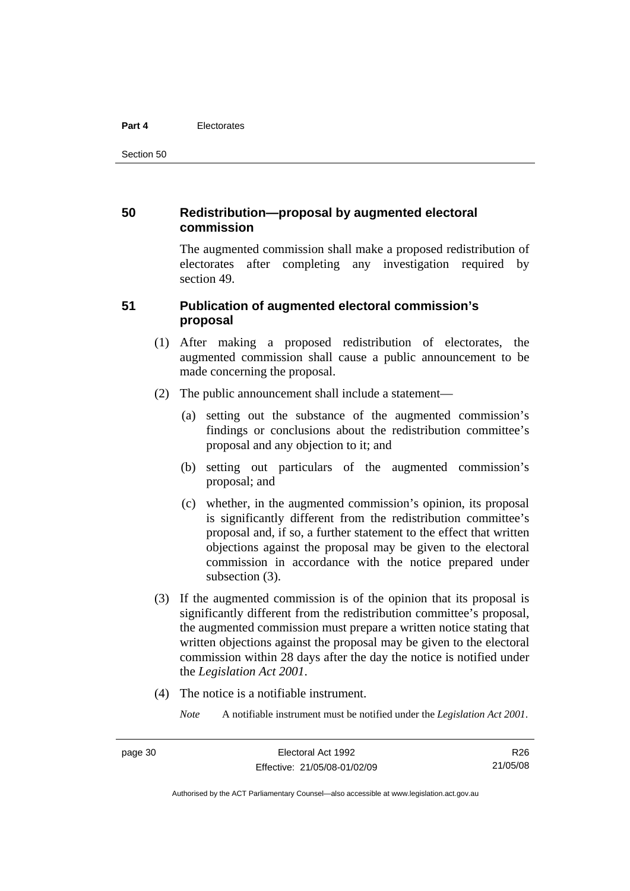#### **Part 4** Electorates

Section 50

## **50 Redistribution—proposal by augmented electoral commission**

The augmented commission shall make a proposed redistribution of electorates after completing any investigation required by section 49.

## **51 Publication of augmented electoral commission's proposal**

- (1) After making a proposed redistribution of electorates, the augmented commission shall cause a public announcement to be made concerning the proposal.
- (2) The public announcement shall include a statement—
	- (a) setting out the substance of the augmented commission's findings or conclusions about the redistribution committee's proposal and any objection to it; and
	- (b) setting out particulars of the augmented commission's proposal; and
	- (c) whether, in the augmented commission's opinion, its proposal is significantly different from the redistribution committee's proposal and, if so, a further statement to the effect that written objections against the proposal may be given to the electoral commission in accordance with the notice prepared under subsection  $(3)$ .
- (3) If the augmented commission is of the opinion that its proposal is significantly different from the redistribution committee's proposal, the augmented commission must prepare a written notice stating that written objections against the proposal may be given to the electoral commission within 28 days after the day the notice is notified under the *Legislation Act 2001*.
- (4) The notice is a notifiable instrument.

*Note* A notifiable instrument must be notified under the *Legislation Act 2001*.

R26 21/05/08

Authorised by the ACT Parliamentary Counsel—also accessible at www.legislation.act.gov.au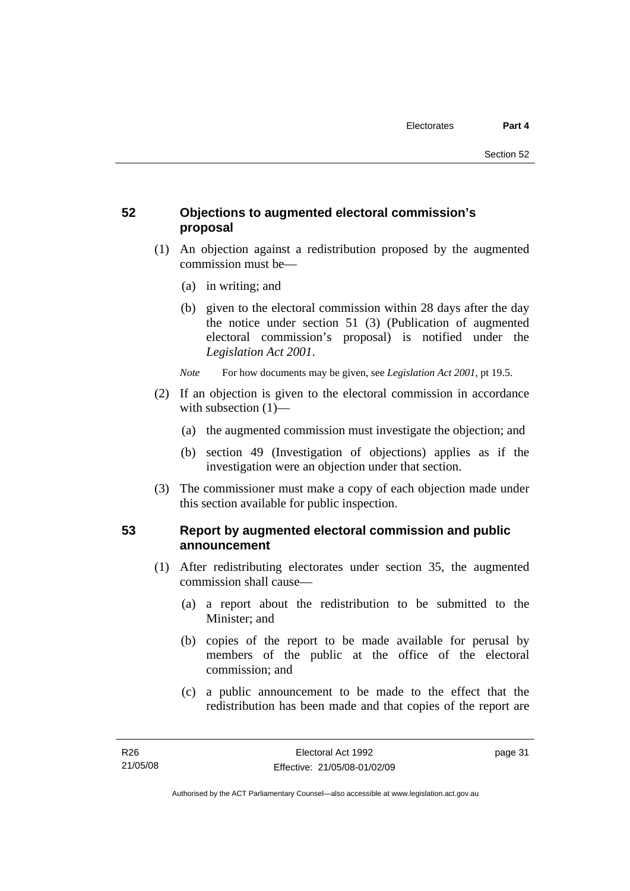# **52 Objections to augmented electoral commission's proposal**

- (1) An objection against a redistribution proposed by the augmented commission must be—
	- (a) in writing; and
	- (b) given to the electoral commission within 28 days after the day the notice under section 51 (3) (Publication of augmented electoral commission's proposal) is notified under the *Legislation Act 2001*.
	- *Note* For how documents may be given, see *Legislation Act 2001*, pt 19.5.
- (2) If an objection is given to the electoral commission in accordance with subsection (1)—
	- (a) the augmented commission must investigate the objection; and
	- (b) section 49 (Investigation of objections) applies as if the investigation were an objection under that section.
- (3) The commissioner must make a copy of each objection made under this section available for public inspection.

# **53 Report by augmented electoral commission and public announcement**

- (1) After redistributing electorates under section 35, the augmented commission shall cause—
	- (a) a report about the redistribution to be submitted to the Minister; and
	- (b) copies of the report to be made available for perusal by members of the public at the office of the electoral commission; and
	- (c) a public announcement to be made to the effect that the redistribution has been made and that copies of the report are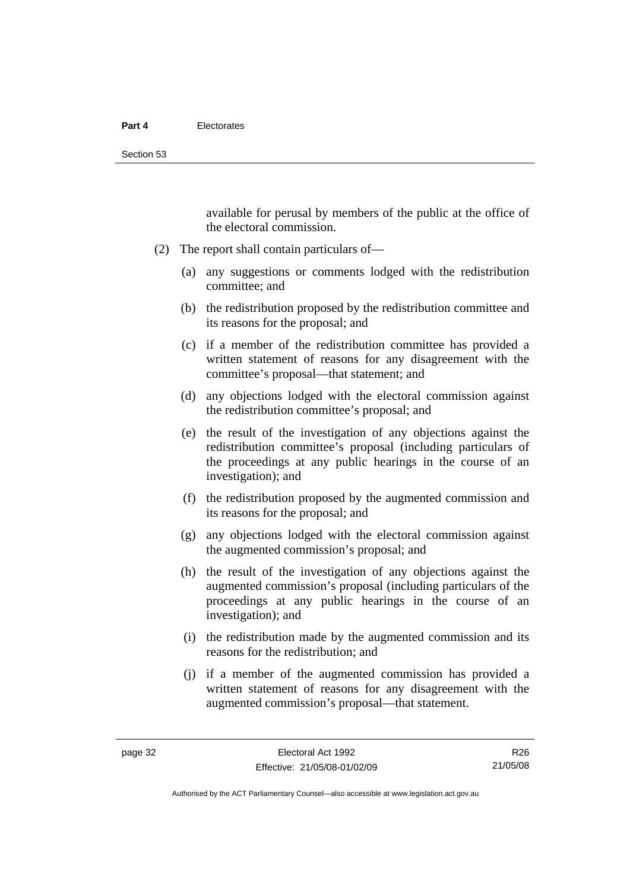available for perusal by members of the public at the office of the electoral commission.

- (2) The report shall contain particulars of—
	- (a) any suggestions or comments lodged with the redistribution committee; and
	- (b) the redistribution proposed by the redistribution committee and its reasons for the proposal; and
	- (c) if a member of the redistribution committee has provided a written statement of reasons for any disagreement with the committee's proposal—that statement; and
	- (d) any objections lodged with the electoral commission against the redistribution committee's proposal; and
	- (e) the result of the investigation of any objections against the redistribution committee's proposal (including particulars of the proceedings at any public hearings in the course of an investigation); and
	- (f) the redistribution proposed by the augmented commission and its reasons for the proposal; and
	- (g) any objections lodged with the electoral commission against the augmented commission's proposal; and
	- (h) the result of the investigation of any objections against the augmented commission's proposal (including particulars of the proceedings at any public hearings in the course of an investigation); and
	- (i) the redistribution made by the augmented commission and its reasons for the redistribution; and
	- (j) if a member of the augmented commission has provided a written statement of reasons for any disagreement with the augmented commission's proposal—that statement.

R26 21/05/08

Authorised by the ACT Parliamentary Counsel—also accessible at www.legislation.act.gov.au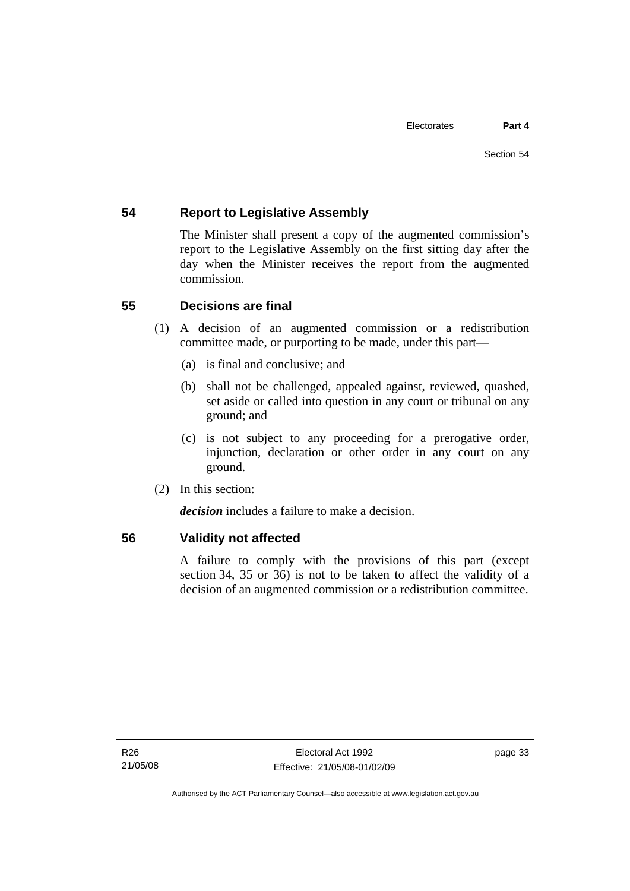# **54 Report to Legislative Assembly**

The Minister shall present a copy of the augmented commission's report to the Legislative Assembly on the first sitting day after the day when the Minister receives the report from the augmented commission.

# **55 Decisions are final**

- (1) A decision of an augmented commission or a redistribution committee made, or purporting to be made, under this part—
	- (a) is final and conclusive; and
	- (b) shall not be challenged, appealed against, reviewed, quashed, set aside or called into question in any court or tribunal on any ground; and
	- (c) is not subject to any proceeding for a prerogative order, injunction, declaration or other order in any court on any ground.
- (2) In this section:

*decision* includes a failure to make a decision.

## **56 Validity not affected**

A failure to comply with the provisions of this part (except section 34, 35 or 36) is not to be taken to affect the validity of a decision of an augmented commission or a redistribution committee.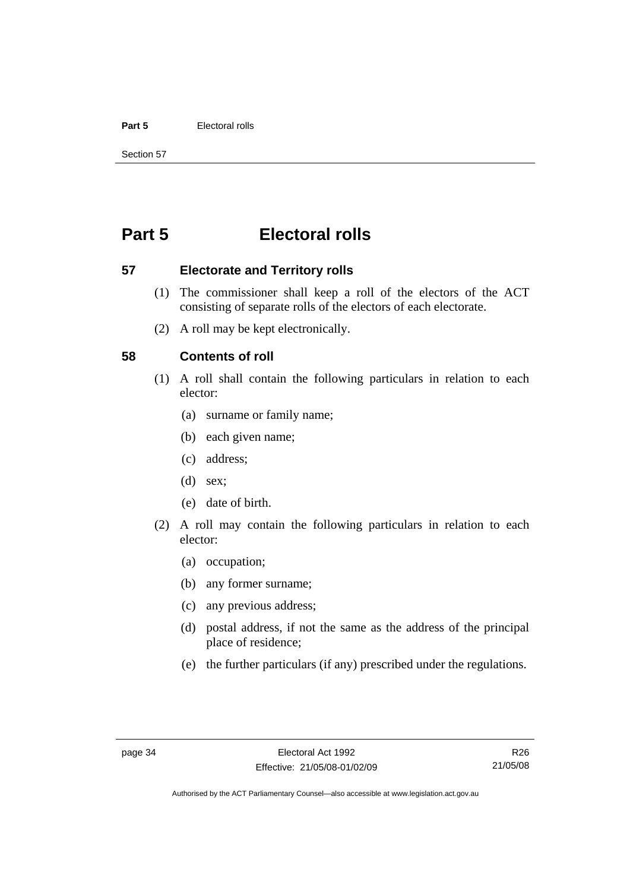#### **Part 5** Electoral rolls

Section 57

# **Part 5 Electoral rolls**

**57 Electorate and Territory rolls** 

- (1) The commissioner shall keep a roll of the electors of the ACT consisting of separate rolls of the electors of each electorate.
- (2) A roll may be kept electronically.

## **58 Contents of roll**

- (1) A roll shall contain the following particulars in relation to each elector:
	- (a) surname or family name;
	- (b) each given name;
	- (c) address;
	- (d) sex;
	- (e) date of birth.
- (2) A roll may contain the following particulars in relation to each elector:
	- (a) occupation;
	- (b) any former surname;
	- (c) any previous address;
	- (d) postal address, if not the same as the address of the principal place of residence;
	- (e) the further particulars (if any) prescribed under the regulations.

R26 21/05/08

Authorised by the ACT Parliamentary Counsel—also accessible at www.legislation.act.gov.au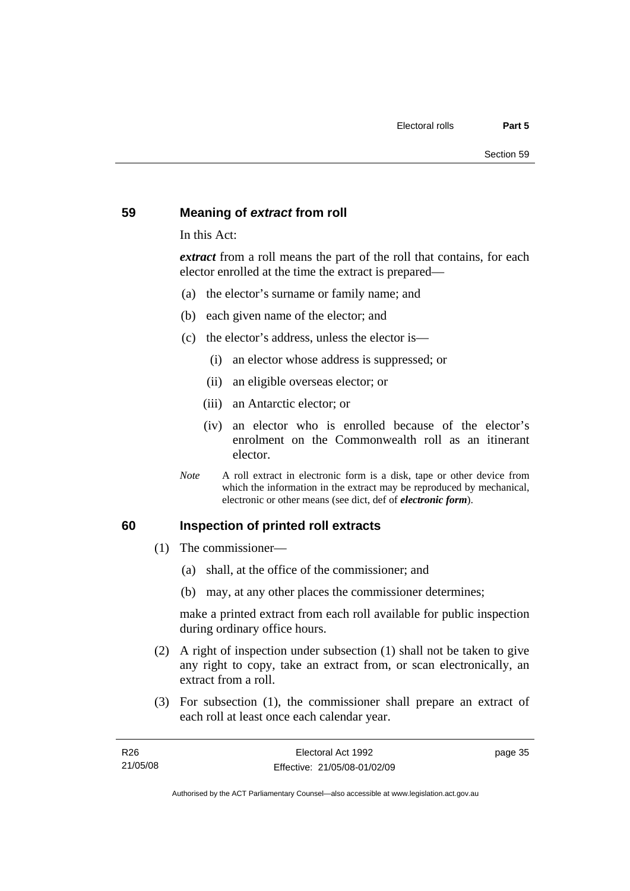## **59 Meaning of** *extract* **from roll**

In this Act:

*extract* from a roll means the part of the roll that contains, for each elector enrolled at the time the extract is prepared—

- (a) the elector's surname or family name; and
- (b) each given name of the elector; and
- (c) the elector's address, unless the elector is—
	- (i) an elector whose address is suppressed; or
	- (ii) an eligible overseas elector; or
	- (iii) an Antarctic elector; or
	- (iv) an elector who is enrolled because of the elector's enrolment on the Commonwealth roll as an itinerant elector.
- *Note* A roll extract in electronic form is a disk, tape or other device from which the information in the extract may be reproduced by mechanical, electronic or other means (see dict, def of *electronic form*).

#### **60 Inspection of printed roll extracts**

- (1) The commissioner—
	- (a) shall, at the office of the commissioner; and
	- (b) may, at any other places the commissioner determines;

make a printed extract from each roll available for public inspection during ordinary office hours.

- (2) A right of inspection under subsection (1) shall not be taken to give any right to copy, take an extract from, or scan electronically, an extract from a roll.
- (3) For subsection (1), the commissioner shall prepare an extract of each roll at least once each calendar year.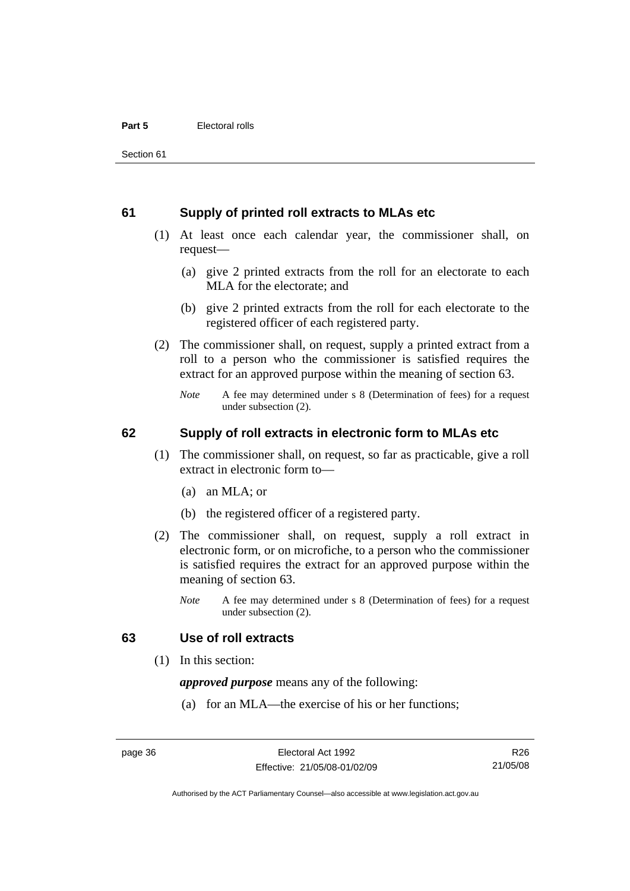### **61 Supply of printed roll extracts to MLAs etc**

- (1) At least once each calendar year, the commissioner shall, on request—
	- (a) give 2 printed extracts from the roll for an electorate to each MLA for the electorate; and
	- (b) give 2 printed extracts from the roll for each electorate to the registered officer of each registered party.
- (2) The commissioner shall, on request, supply a printed extract from a roll to a person who the commissioner is satisfied requires the extract for an approved purpose within the meaning of section 63.
	- *Note* A fee may determined under s 8 (Determination of fees) for a request under subsection (2).

## **62 Supply of roll extracts in electronic form to MLAs etc**

- (1) The commissioner shall, on request, so far as practicable, give a roll extract in electronic form to—
	- (a) an MLA; or
	- (b) the registered officer of a registered party.
- (2) The commissioner shall, on request, supply a roll extract in electronic form, or on microfiche, to a person who the commissioner is satisfied requires the extract for an approved purpose within the meaning of section 63.
	- *Note* A fee may determined under s 8 (Determination of fees) for a request under subsection (2).

## **63 Use of roll extracts**

(1) In this section:

*approved purpose* means any of the following:

(a) for an MLA—the exercise of his or her functions;

R26 21/05/08

Authorised by the ACT Parliamentary Counsel—also accessible at www.legislation.act.gov.au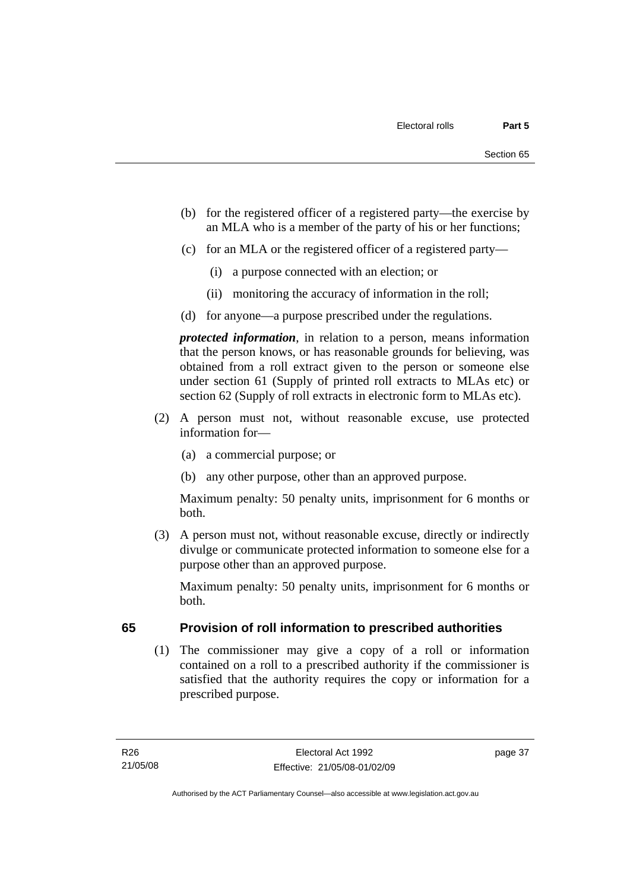- (b) for the registered officer of a registered party—the exercise by an MLA who is a member of the party of his or her functions;
- (c) for an MLA or the registered officer of a registered party—
	- (i) a purpose connected with an election; or
	- (ii) monitoring the accuracy of information in the roll;
- (d) for anyone—a purpose prescribed under the regulations.

*protected information*, in relation to a person, means information that the person knows, or has reasonable grounds for believing, was obtained from a roll extract given to the person or someone else under section 61 (Supply of printed roll extracts to MLAs etc) or section 62 (Supply of roll extracts in electronic form to MLAs etc).

- (2) A person must not, without reasonable excuse, use protected information for—
	- (a) a commercial purpose; or
	- (b) any other purpose, other than an approved purpose.

Maximum penalty: 50 penalty units, imprisonment for 6 months or both.

 (3) A person must not, without reasonable excuse, directly or indirectly divulge or communicate protected information to someone else for a purpose other than an approved purpose.

Maximum penalty: 50 penalty units, imprisonment for 6 months or both.

# **65 Provision of roll information to prescribed authorities**

 (1) The commissioner may give a copy of a roll or information contained on a roll to a prescribed authority if the commissioner is satisfied that the authority requires the copy or information for a prescribed purpose.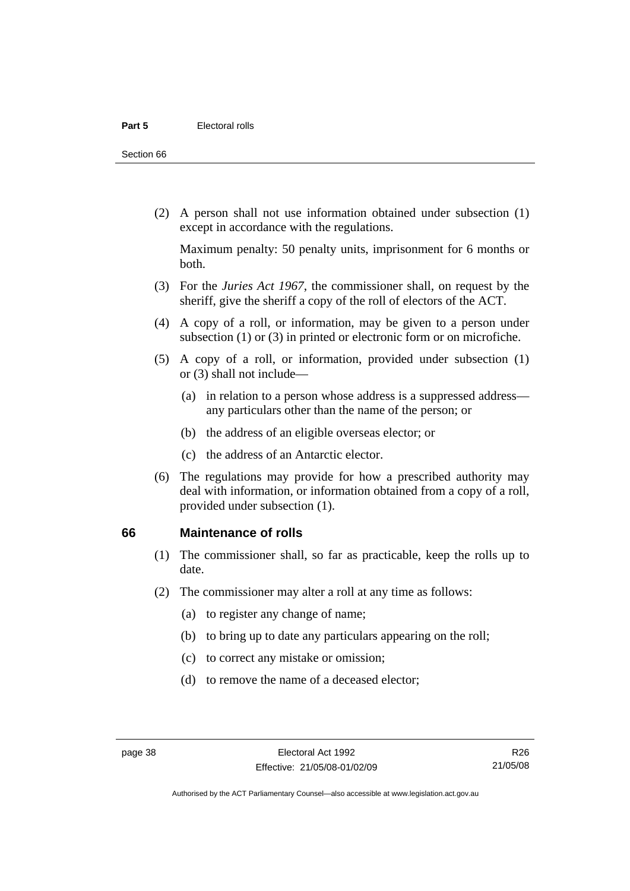Section 66

 (2) A person shall not use information obtained under subsection (1) except in accordance with the regulations.

Maximum penalty: 50 penalty units, imprisonment for 6 months or both.

- (3) For the *Juries Act 1967*, the commissioner shall, on request by the sheriff, give the sheriff a copy of the roll of electors of the ACT.
- (4) A copy of a roll, or information, may be given to a person under subsection (1) or (3) in printed or electronic form or on microfiche.
- (5) A copy of a roll, or information, provided under subsection (1) or (3) shall not include—
	- (a) in relation to a person whose address is a suppressed address any particulars other than the name of the person; or
	- (b) the address of an eligible overseas elector; or
	- (c) the address of an Antarctic elector.
- (6) The regulations may provide for how a prescribed authority may deal with information, or information obtained from a copy of a roll, provided under subsection (1).

#### **66 Maintenance of rolls**

- (1) The commissioner shall, so far as practicable, keep the rolls up to date.
- (2) The commissioner may alter a roll at any time as follows:
	- (a) to register any change of name;
	- (b) to bring up to date any particulars appearing on the roll;
	- (c) to correct any mistake or omission;
	- (d) to remove the name of a deceased elector;

R26 21/05/08

Authorised by the ACT Parliamentary Counsel—also accessible at www.legislation.act.gov.au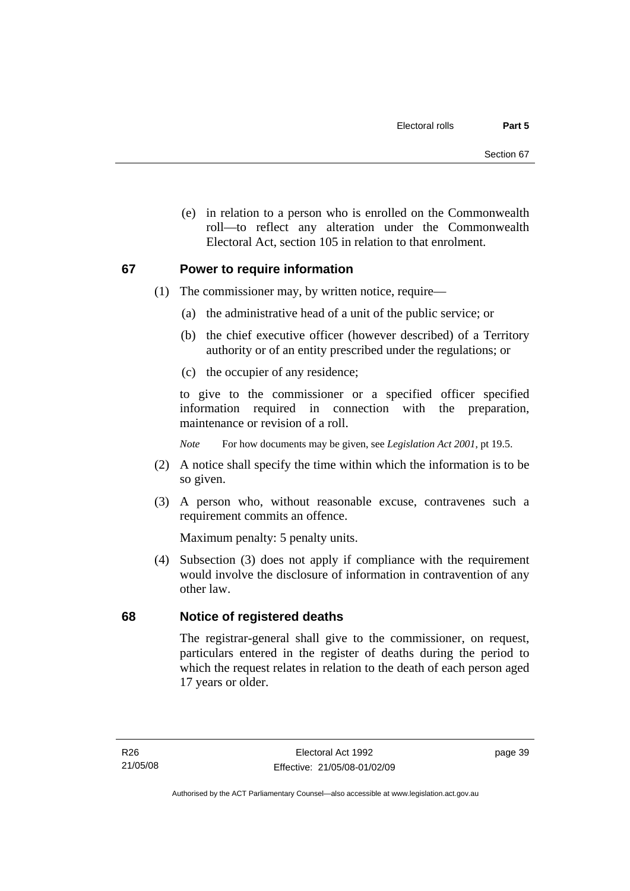(e) in relation to a person who is enrolled on the Commonwealth roll—to reflect any alteration under the Commonwealth Electoral Act, section 105 in relation to that enrolment.

## **67 Power to require information**

- (1) The commissioner may, by written notice, require—
	- (a) the administrative head of a unit of the public service; or
	- (b) the chief executive officer (however described) of a Territory authority or of an entity prescribed under the regulations; or
	- (c) the occupier of any residence;

to give to the commissioner or a specified officer specified information required in connection with the preparation, maintenance or revision of a roll.

*Note* For how documents may be given, see *Legislation Act 2001*, pt 19.5.

- (2) A notice shall specify the time within which the information is to be so given.
- (3) A person who, without reasonable excuse, contravenes such a requirement commits an offence.

Maximum penalty: 5 penalty units.

 (4) Subsection (3) does not apply if compliance with the requirement would involve the disclosure of information in contravention of any other law.

# **68 Notice of registered deaths**

The registrar-general shall give to the commissioner, on request, particulars entered in the register of deaths during the period to which the request relates in relation to the death of each person aged 17 years or older.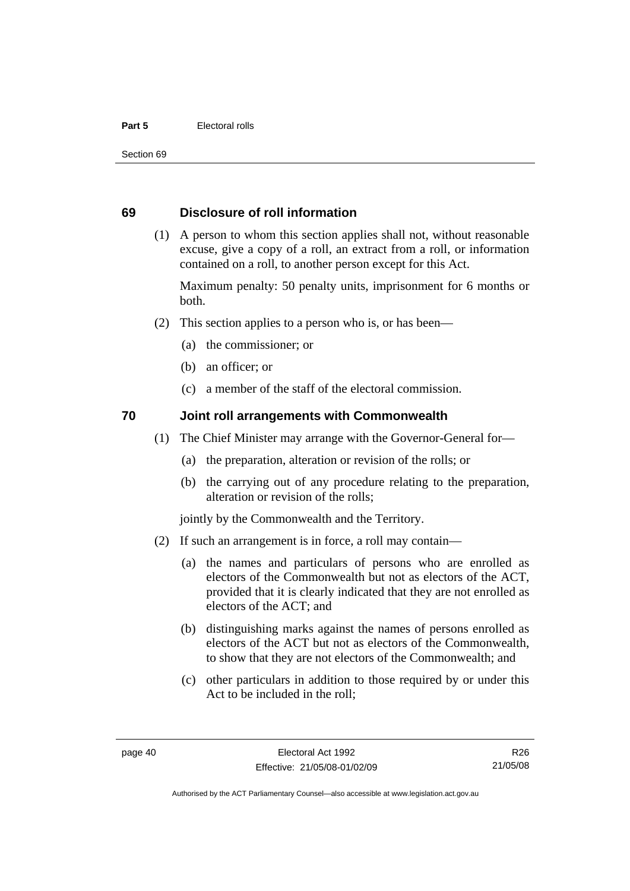#### **Part 5** Electoral rolls

Section 69

## **69 Disclosure of roll information**

 (1) A person to whom this section applies shall not, without reasonable excuse, give a copy of a roll, an extract from a roll, or information contained on a roll, to another person except for this Act.

Maximum penalty: 50 penalty units, imprisonment for 6 months or both.

- (2) This section applies to a person who is, or has been—
	- (a) the commissioner; or
	- (b) an officer; or
	- (c) a member of the staff of the electoral commission.

## **70 Joint roll arrangements with Commonwealth**

- (1) The Chief Minister may arrange with the Governor-General for—
	- (a) the preparation, alteration or revision of the rolls; or
	- (b) the carrying out of any procedure relating to the preparation, alteration or revision of the rolls;

jointly by the Commonwealth and the Territory.

- (2) If such an arrangement is in force, a roll may contain—
	- (a) the names and particulars of persons who are enrolled as electors of the Commonwealth but not as electors of the ACT, provided that it is clearly indicated that they are not enrolled as electors of the ACT; and
	- (b) distinguishing marks against the names of persons enrolled as electors of the ACT but not as electors of the Commonwealth, to show that they are not electors of the Commonwealth; and
	- (c) other particulars in addition to those required by or under this Act to be included in the roll;

R26 21/05/08

Authorised by the ACT Parliamentary Counsel—also accessible at www.legislation.act.gov.au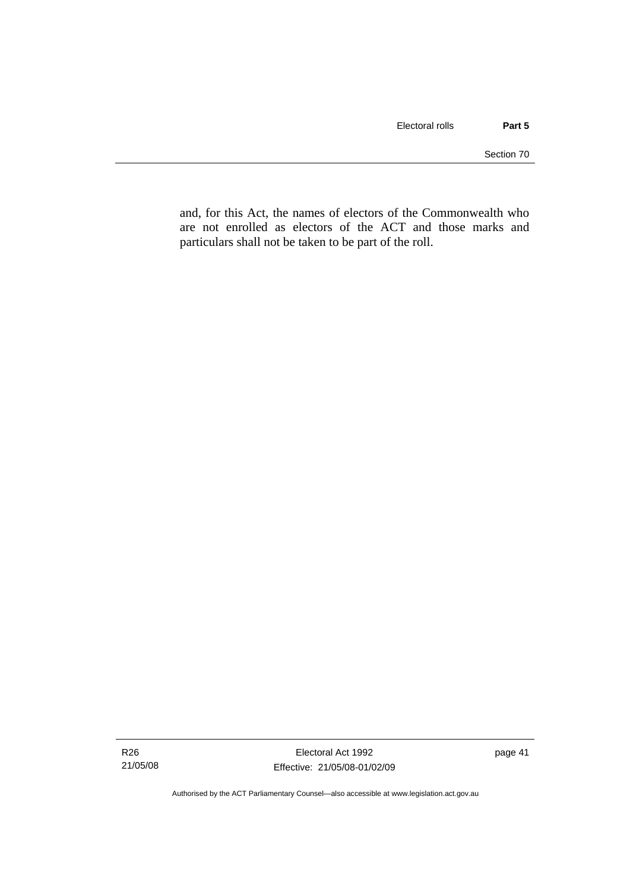and, for this Act, the names of electors of the Commonwealth who are not enrolled as electors of the ACT and those marks and particulars shall not be taken to be part of the roll.

Authorised by the ACT Parliamentary Counsel—also accessible at www.legislation.act.gov.au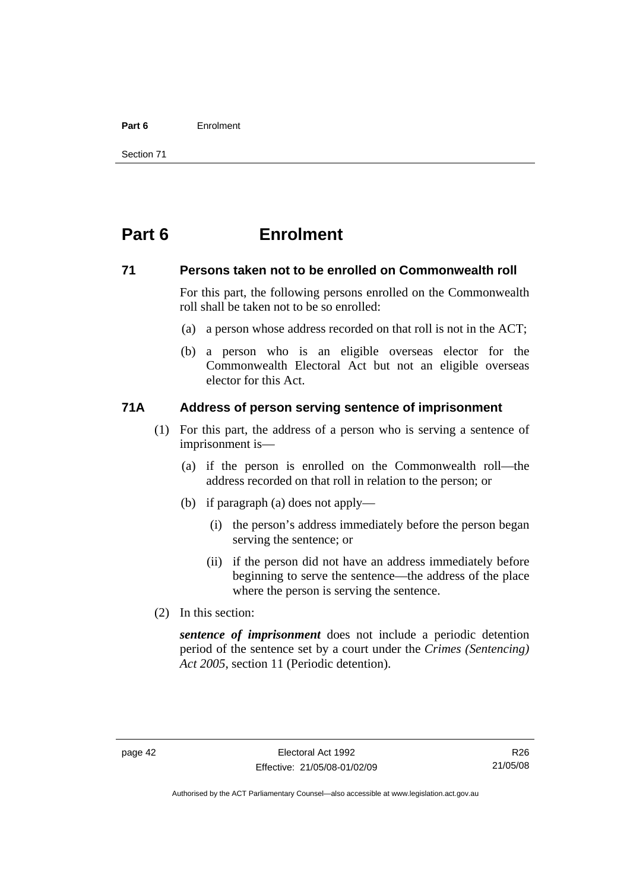#### **Part 6** Enrolment

Section 71

# **Part 6 Enrolment**

## **71 Persons taken not to be enrolled on Commonwealth roll**

For this part, the following persons enrolled on the Commonwealth roll shall be taken not to be so enrolled:

- (a) a person whose address recorded on that roll is not in the ACT;
- (b) a person who is an eligible overseas elector for the Commonwealth Electoral Act but not an eligible overseas elector for this Act.

## **71A Address of person serving sentence of imprisonment**

- (1) For this part, the address of a person who is serving a sentence of imprisonment is—
	- (a) if the person is enrolled on the Commonwealth roll—the address recorded on that roll in relation to the person; or
	- (b) if paragraph (a) does not apply—
		- (i) the person's address immediately before the person began serving the sentence; or
		- (ii) if the person did not have an address immediately before beginning to serve the sentence—the address of the place where the person is serving the sentence.
- (2) In this section:

*sentence of imprisonment* does not include a periodic detention period of the sentence set by a court under the *Crimes (Sentencing) Act 2005*, section 11 (Periodic detention).

R26 21/05/08

Authorised by the ACT Parliamentary Counsel—also accessible at www.legislation.act.gov.au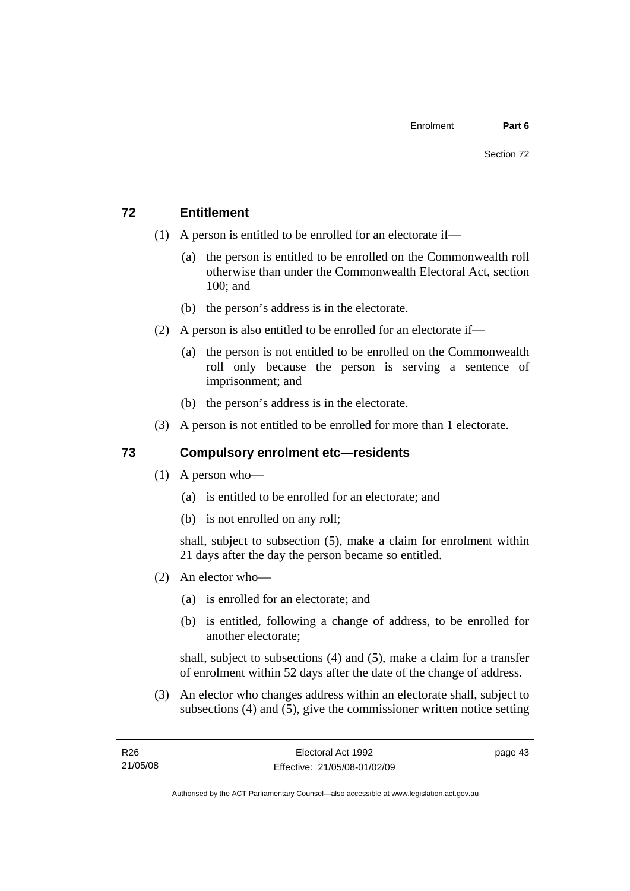# **72 Entitlement**

- (1) A person is entitled to be enrolled for an electorate if—
	- (a) the person is entitled to be enrolled on the Commonwealth roll otherwise than under the Commonwealth Electoral Act, section 100; and
	- (b) the person's address is in the electorate.
- (2) A person is also entitled to be enrolled for an electorate if—
	- (a) the person is not entitled to be enrolled on the Commonwealth roll only because the person is serving a sentence of imprisonment; and
	- (b) the person's address is in the electorate.
- (3) A person is not entitled to be enrolled for more than 1 electorate.

# **73 Compulsory enrolment etc—residents**

- (1) A person who—
	- (a) is entitled to be enrolled for an electorate; and
	- (b) is not enrolled on any roll;

shall, subject to subsection (5), make a claim for enrolment within 21 days after the day the person became so entitled.

- (2) An elector who—
	- (a) is enrolled for an electorate; and
	- (b) is entitled, following a change of address, to be enrolled for another electorate;

shall, subject to subsections (4) and (5), make a claim for a transfer of enrolment within 52 days after the date of the change of address.

 (3) An elector who changes address within an electorate shall, subject to subsections (4) and (5), give the commissioner written notice setting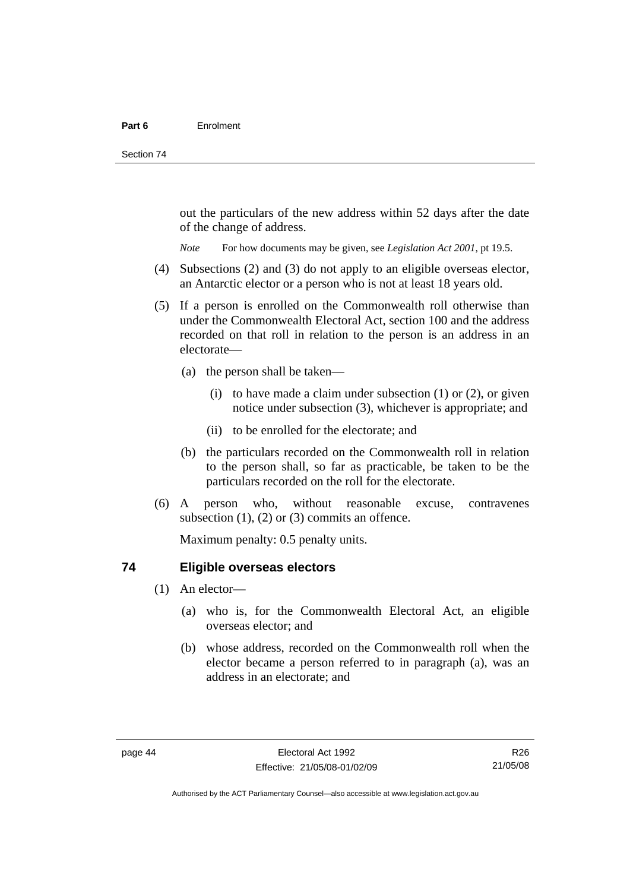out the particulars of the new address within 52 days after the date of the change of address.

*Note* For how documents may be given, see *Legislation Act 2001*, pt 19.5.

- (4) Subsections (2) and (3) do not apply to an eligible overseas elector, an Antarctic elector or a person who is not at least 18 years old.
- (5) If a person is enrolled on the Commonwealth roll otherwise than under the Commonwealth Electoral Act, section 100 and the address recorded on that roll in relation to the person is an address in an electorate—
	- (a) the person shall be taken—
		- (i) to have made a claim under subsection  $(1)$  or  $(2)$ , or given notice under subsection (3), whichever is appropriate; and
		- (ii) to be enrolled for the electorate; and
	- (b) the particulars recorded on the Commonwealth roll in relation to the person shall, so far as practicable, be taken to be the particulars recorded on the roll for the electorate.
- (6) A person who, without reasonable excuse, contravenes subsection  $(1)$ ,  $(2)$  or  $(3)$  commits an offence.

Maximum penalty: 0.5 penalty units.

## **74 Eligible overseas electors**

- (1) An elector—
	- (a) who is, for the Commonwealth Electoral Act, an eligible overseas elector; and
	- (b) whose address, recorded on the Commonwealth roll when the elector became a person referred to in paragraph (a), was an address in an electorate; and

R26 21/05/08

Authorised by the ACT Parliamentary Counsel—also accessible at www.legislation.act.gov.au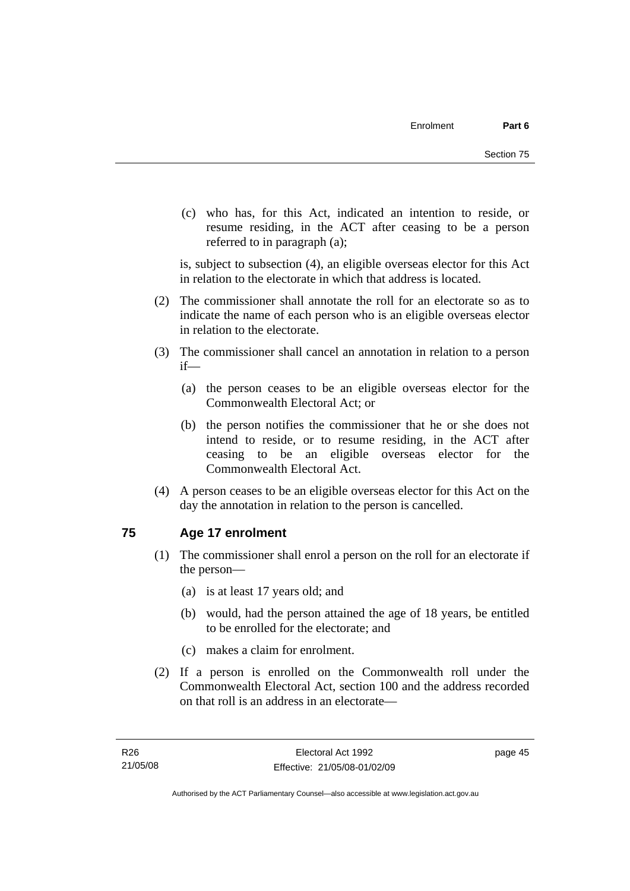(c) who has, for this Act, indicated an intention to reside, or resume residing, in the ACT after ceasing to be a person referred to in paragraph (a);

is, subject to subsection (4), an eligible overseas elector for this Act in relation to the electorate in which that address is located.

- (2) The commissioner shall annotate the roll for an electorate so as to indicate the name of each person who is an eligible overseas elector in relation to the electorate.
- (3) The commissioner shall cancel an annotation in relation to a person if—
	- (a) the person ceases to be an eligible overseas elector for the Commonwealth Electoral Act; or
	- (b) the person notifies the commissioner that he or she does not intend to reside, or to resume residing, in the ACT after ceasing to be an eligible overseas elector for the Commonwealth Electoral Act.
- (4) A person ceases to be an eligible overseas elector for this Act on the day the annotation in relation to the person is cancelled.

# **75 Age 17 enrolment**

- (1) The commissioner shall enrol a person on the roll for an electorate if the person—
	- (a) is at least 17 years old; and
	- (b) would, had the person attained the age of 18 years, be entitled to be enrolled for the electorate; and
	- (c) makes a claim for enrolment.
- (2) If a person is enrolled on the Commonwealth roll under the Commonwealth Electoral Act, section 100 and the address recorded on that roll is an address in an electorate—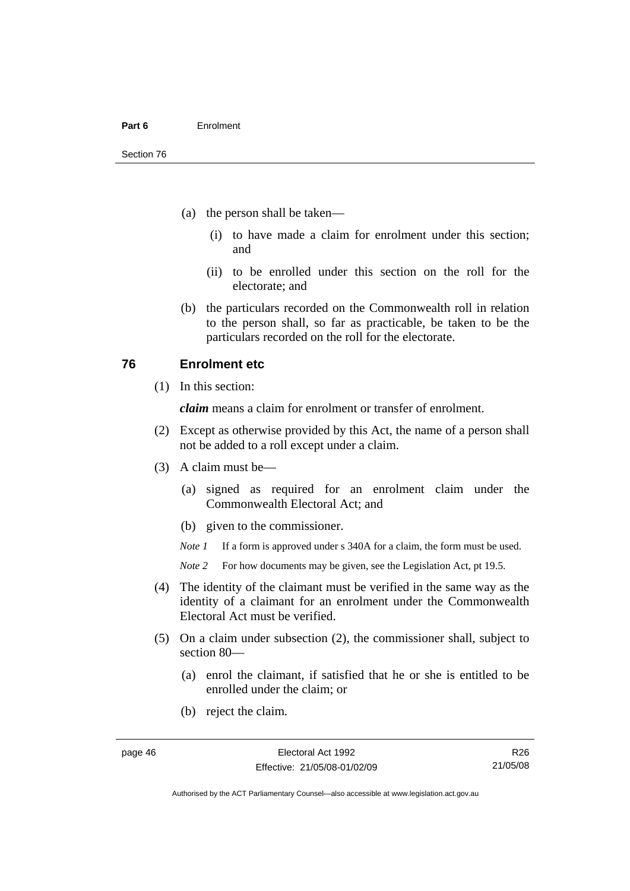- (a) the person shall be taken—
	- (i) to have made a claim for enrolment under this section; and
	- (ii) to be enrolled under this section on the roll for the electorate; and
- (b) the particulars recorded on the Commonwealth roll in relation to the person shall, so far as practicable, be taken to be the particulars recorded on the roll for the electorate.

## **76 Enrolment etc**

(1) In this section:

*claim* means a claim for enrolment or transfer of enrolment.

- (2) Except as otherwise provided by this Act, the name of a person shall not be added to a roll except under a claim.
- (3) A claim must be—
	- (a) signed as required for an enrolment claim under the Commonwealth Electoral Act; and
	- (b) given to the commissioner.

*Note 1* If a form is approved under s 340A for a claim, the form must be used.

- *Note* 2 For how documents may be given, see the Legislation Act, pt 19.5.
- (4) The identity of the claimant must be verified in the same way as the identity of a claimant for an enrolment under the Commonwealth Electoral Act must be verified.
- (5) On a claim under subsection (2), the commissioner shall, subject to section 80—
	- (a) enrol the claimant, if satisfied that he or she is entitled to be enrolled under the claim; or
	- (b) reject the claim.

Authorised by the ACT Parliamentary Counsel—also accessible at www.legislation.act.gov.au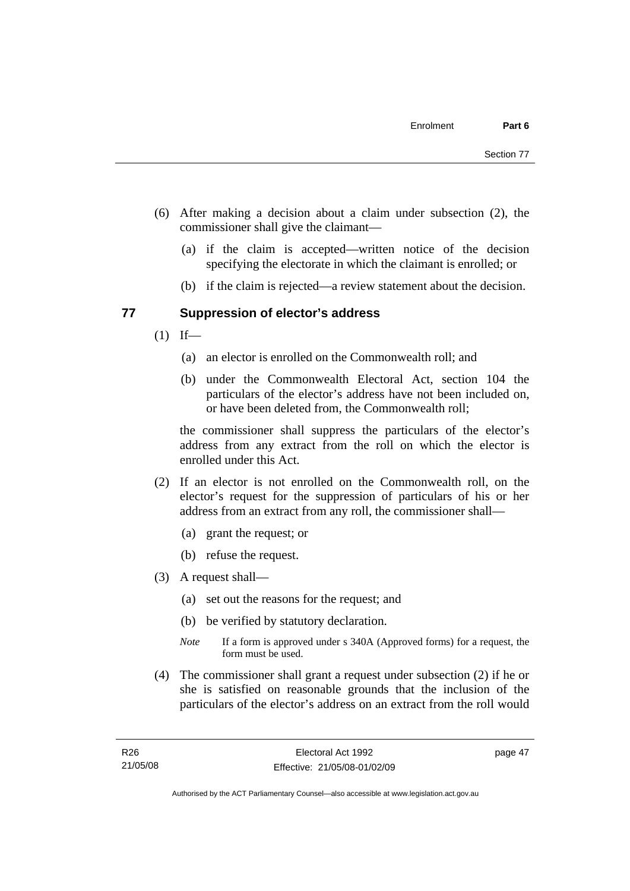- (6) After making a decision about a claim under subsection (2), the commissioner shall give the claimant—
	- (a) if the claim is accepted—written notice of the decision specifying the electorate in which the claimant is enrolled; or
	- (b) if the claim is rejected—a review statement about the decision.

## **77 Suppression of elector's address**

- $(1)$  If—
	- (a) an elector is enrolled on the Commonwealth roll; and
	- (b) under the Commonwealth Electoral Act, section 104 the particulars of the elector's address have not been included on, or have been deleted from, the Commonwealth roll;

the commissioner shall suppress the particulars of the elector's address from any extract from the roll on which the elector is enrolled under this Act.

- (2) If an elector is not enrolled on the Commonwealth roll, on the elector's request for the suppression of particulars of his or her address from an extract from any roll, the commissioner shall—
	- (a) grant the request; or
	- (b) refuse the request.
- (3) A request shall—
	- (a) set out the reasons for the request; and
	- (b) be verified by statutory declaration.
	- *Note* If a form is approved under s 340A (Approved forms) for a request, the form must be used.
- (4) The commissioner shall grant a request under subsection (2) if he or she is satisfied on reasonable grounds that the inclusion of the particulars of the elector's address on an extract from the roll would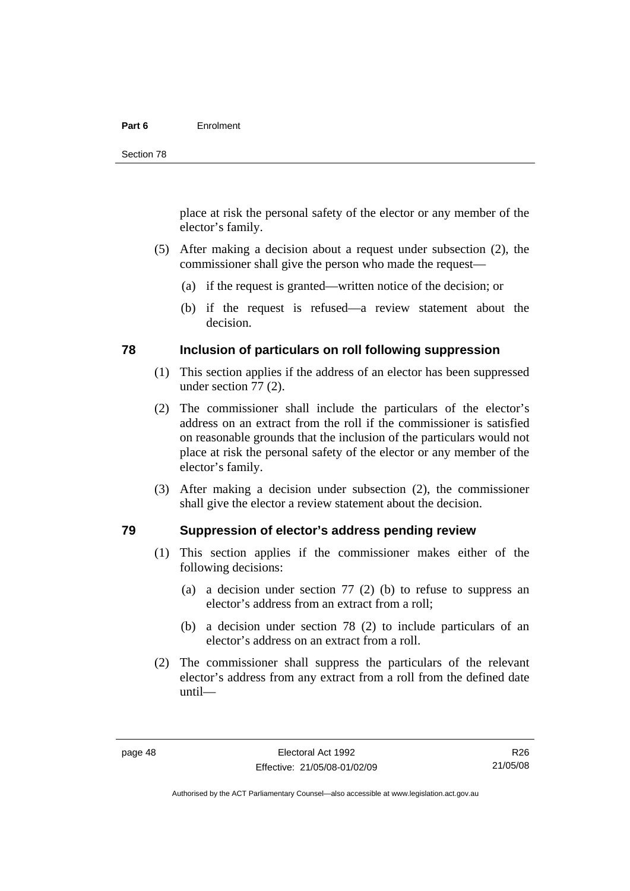#### **Part 6** Enrolment

place at risk the personal safety of the elector or any member of the elector's family.

- (5) After making a decision about a request under subsection (2), the commissioner shall give the person who made the request—
	- (a) if the request is granted—written notice of the decision; or
	- (b) if the request is refused—a review statement about the decision.

## **78 Inclusion of particulars on roll following suppression**

- (1) This section applies if the address of an elector has been suppressed under section 77 (2).
- (2) The commissioner shall include the particulars of the elector's address on an extract from the roll if the commissioner is satisfied on reasonable grounds that the inclusion of the particulars would not place at risk the personal safety of the elector or any member of the elector's family.
- (3) After making a decision under subsection (2), the commissioner shall give the elector a review statement about the decision.

## **79 Suppression of elector's address pending review**

- (1) This section applies if the commissioner makes either of the following decisions:
	- (a) a decision under section 77 (2) (b) to refuse to suppress an elector's address from an extract from a roll;
	- (b) a decision under section 78 (2) to include particulars of an elector's address on an extract from a roll.
- (2) The commissioner shall suppress the particulars of the relevant elector's address from any extract from a roll from the defined date until—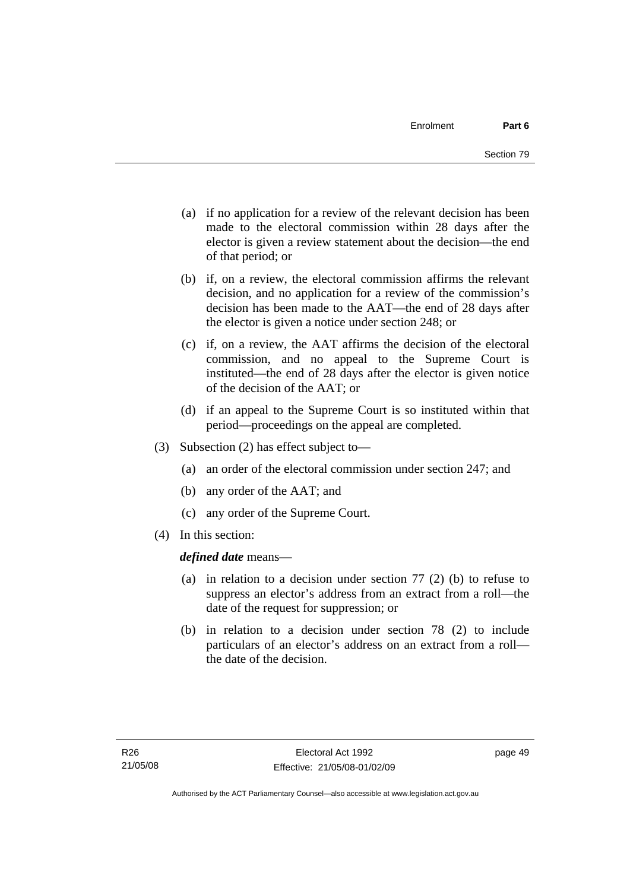- (a) if no application for a review of the relevant decision has been made to the electoral commission within 28 days after the elector is given a review statement about the decision—the end of that period; or
- (b) if, on a review, the electoral commission affirms the relevant decision, and no application for a review of the commission's decision has been made to the AAT—the end of 28 days after the elector is given a notice under section 248; or
- (c) if, on a review, the AAT affirms the decision of the electoral commission, and no appeal to the Supreme Court is instituted—the end of 28 days after the elector is given notice of the decision of the AAT; or
- (d) if an appeal to the Supreme Court is so instituted within that period—proceedings on the appeal are completed.
- (3) Subsection (2) has effect subject to—
	- (a) an order of the electoral commission under section 247; and
	- (b) any order of the AAT; and
	- (c) any order of the Supreme Court.
- (4) In this section:

*defined date* means—

- (a) in relation to a decision under section 77 (2) (b) to refuse to suppress an elector's address from an extract from a roll—the date of the request for suppression; or
- (b) in relation to a decision under section 78 (2) to include particulars of an elector's address on an extract from a roll the date of the decision.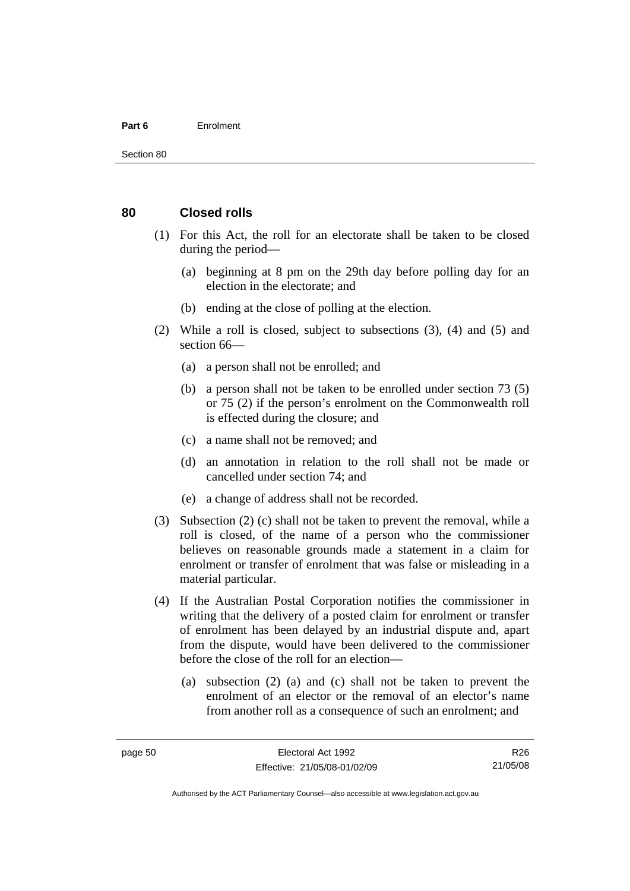#### **Part 6** Enrolment

#### **80 Closed rolls**

- (1) For this Act, the roll for an electorate shall be taken to be closed during the period—
	- (a) beginning at 8 pm on the 29th day before polling day for an election in the electorate; and
	- (b) ending at the close of polling at the election.
- (2) While a roll is closed, subject to subsections (3), (4) and (5) and section 66—
	- (a) a person shall not be enrolled; and
	- (b) a person shall not be taken to be enrolled under section 73 (5) or 75 (2) if the person's enrolment on the Commonwealth roll is effected during the closure; and
	- (c) a name shall not be removed; and
	- (d) an annotation in relation to the roll shall not be made or cancelled under section 74; and
	- (e) a change of address shall not be recorded.
- (3) Subsection (2) (c) shall not be taken to prevent the removal, while a roll is closed, of the name of a person who the commissioner believes on reasonable grounds made a statement in a claim for enrolment or transfer of enrolment that was false or misleading in a material particular.
- (4) If the Australian Postal Corporation notifies the commissioner in writing that the delivery of a posted claim for enrolment or transfer of enrolment has been delayed by an industrial dispute and, apart from the dispute, would have been delivered to the commissioner before the close of the roll for an election—
	- (a) subsection (2) (a) and (c) shall not be taken to prevent the enrolment of an elector or the removal of an elector's name from another roll as a consequence of such an enrolment; and

R26 21/05/08

Authorised by the ACT Parliamentary Counsel—also accessible at www.legislation.act.gov.au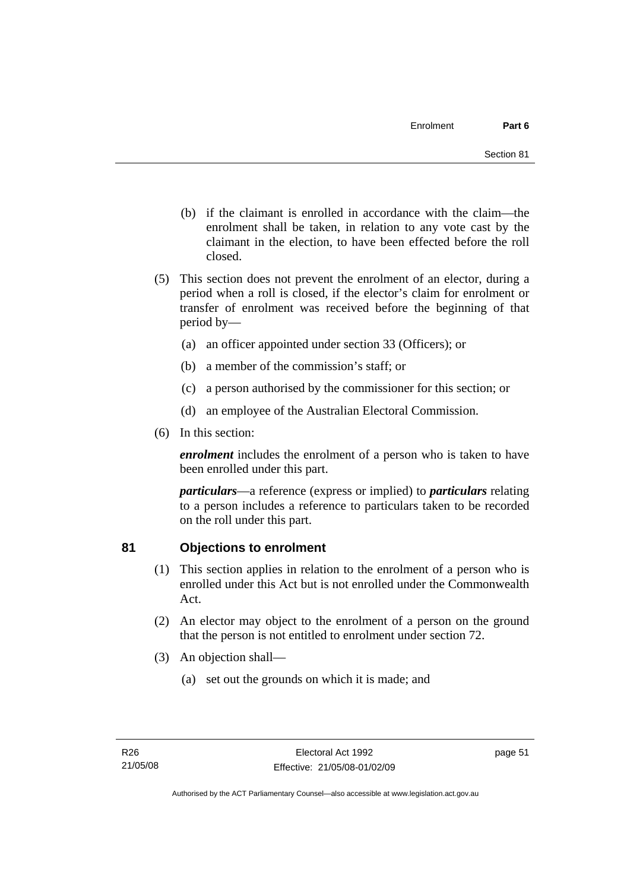- (b) if the claimant is enrolled in accordance with the claim—the enrolment shall be taken, in relation to any vote cast by the claimant in the election, to have been effected before the roll closed.
- (5) This section does not prevent the enrolment of an elector, during a period when a roll is closed, if the elector's claim for enrolment or transfer of enrolment was received before the beginning of that period by—
	- (a) an officer appointed under section 33 (Officers); or
	- (b) a member of the commission's staff; or
	- (c) a person authorised by the commissioner for this section; or
	- (d) an employee of the Australian Electoral Commission.
- (6) In this section:

*enrolment* includes the enrolment of a person who is taken to have been enrolled under this part.

*particulars*—a reference (express or implied) to *particulars* relating to a person includes a reference to particulars taken to be recorded on the roll under this part.

# **81 Objections to enrolment**

- (1) This section applies in relation to the enrolment of a person who is enrolled under this Act but is not enrolled under the Commonwealth Act.
- (2) An elector may object to the enrolment of a person on the ground that the person is not entitled to enrolment under section 72.
- (3) An objection shall—
	- (a) set out the grounds on which it is made; and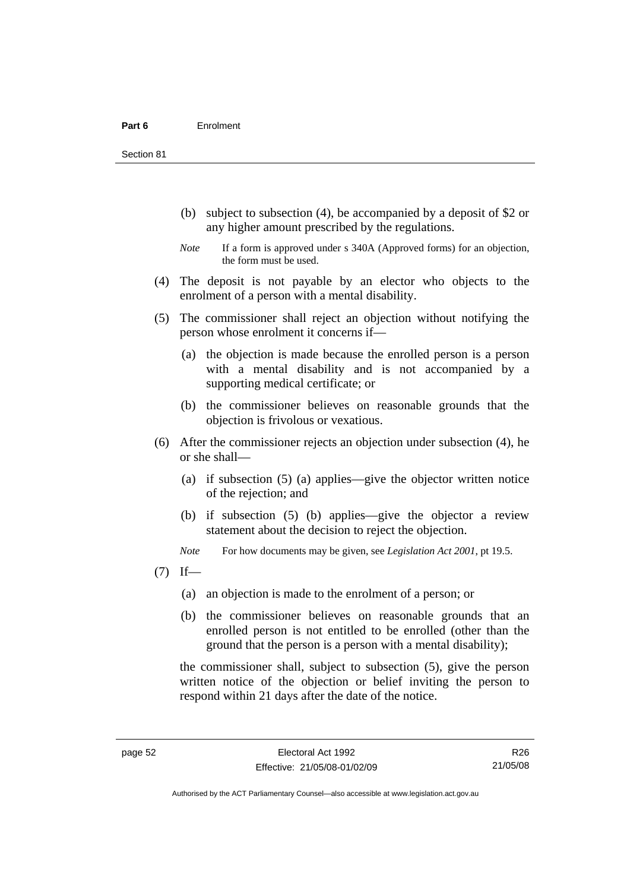Section 81

- (b) subject to subsection (4), be accompanied by a deposit of \$2 or any higher amount prescribed by the regulations.
- *Note* If a form is approved under s 340A (Approved forms) for an objection, the form must be used.
- (4) The deposit is not payable by an elector who objects to the enrolment of a person with a mental disability.
- (5) The commissioner shall reject an objection without notifying the person whose enrolment it concerns if—
	- (a) the objection is made because the enrolled person is a person with a mental disability and is not accompanied by a supporting medical certificate; or
	- (b) the commissioner believes on reasonable grounds that the objection is frivolous or vexatious.
- (6) After the commissioner rejects an objection under subsection (4), he or she shall—
	- (a) if subsection (5) (a) applies—give the objector written notice of the rejection; and
	- (b) if subsection (5) (b) applies—give the objector a review statement about the decision to reject the objection.

*Note* For how documents may be given, see *Legislation Act 2001*, pt 19.5.

- $(7)$  If—
	- (a) an objection is made to the enrolment of a person; or
	- (b) the commissioner believes on reasonable grounds that an enrolled person is not entitled to be enrolled (other than the ground that the person is a person with a mental disability);

the commissioner shall, subject to subsection (5), give the person written notice of the objection or belief inviting the person to respond within 21 days after the date of the notice.

R26 21/05/08

Authorised by the ACT Parliamentary Counsel—also accessible at www.legislation.act.gov.au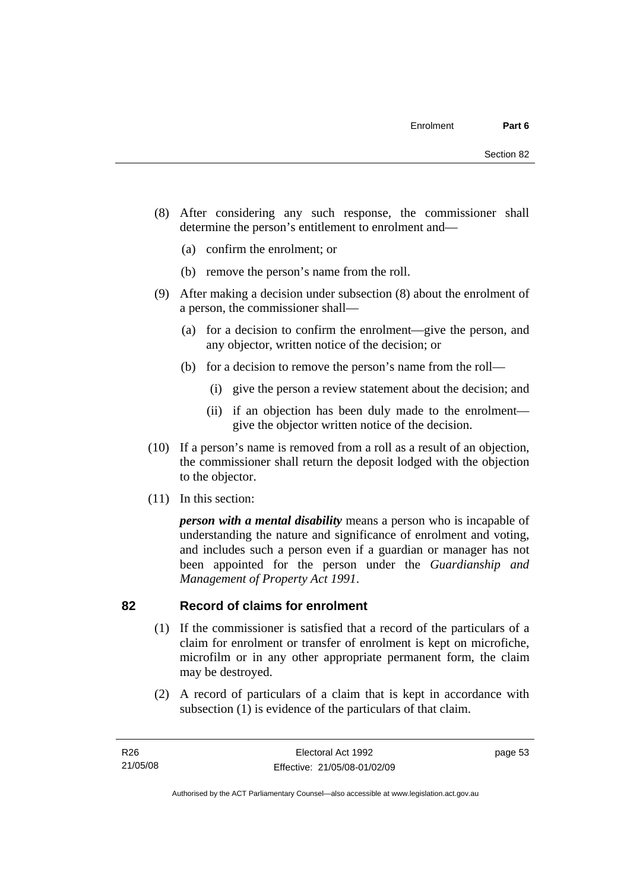- (8) After considering any such response, the commissioner shall determine the person's entitlement to enrolment and—
	- (a) confirm the enrolment; or
	- (b) remove the person's name from the roll.
- (9) After making a decision under subsection (8) about the enrolment of a person, the commissioner shall—
	- (a) for a decision to confirm the enrolment—give the person, and any objector, written notice of the decision; or
	- (b) for a decision to remove the person's name from the roll—
		- (i) give the person a review statement about the decision; and
		- (ii) if an objection has been duly made to the enrolment give the objector written notice of the decision.
- (10) If a person's name is removed from a roll as a result of an objection, the commissioner shall return the deposit lodged with the objection to the objector.
- (11) In this section:

*person with a mental disability* means a person who is incapable of understanding the nature and significance of enrolment and voting, and includes such a person even if a guardian or manager has not been appointed for the person under the *Guardianship and Management of Property Act 1991*.

## **82 Record of claims for enrolment**

- (1) If the commissioner is satisfied that a record of the particulars of a claim for enrolment or transfer of enrolment is kept on microfiche, microfilm or in any other appropriate permanent form, the claim may be destroyed.
- (2) A record of particulars of a claim that is kept in accordance with subsection (1) is evidence of the particulars of that claim.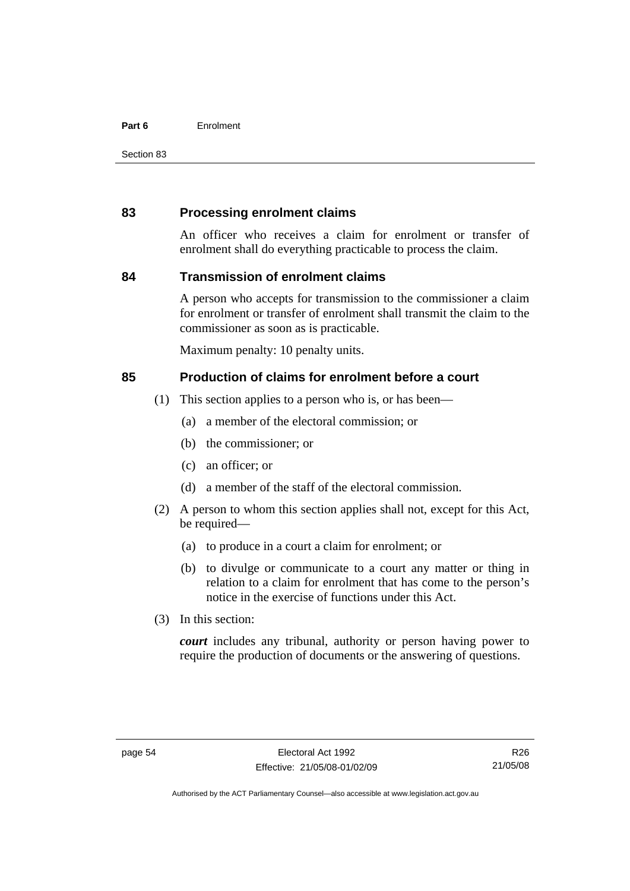#### **Part 6** Enrolment

Section 83

## **83 Processing enrolment claims**

An officer who receives a claim for enrolment or transfer of enrolment shall do everything practicable to process the claim.

## **84 Transmission of enrolment claims**

A person who accepts for transmission to the commissioner a claim for enrolment or transfer of enrolment shall transmit the claim to the commissioner as soon as is practicable.

Maximum penalty: 10 penalty units.

## **85 Production of claims for enrolment before a court**

- (1) This section applies to a person who is, or has been—
	- (a) a member of the electoral commission; or
	- (b) the commissioner; or
	- (c) an officer; or
	- (d) a member of the staff of the electoral commission.
- (2) A person to whom this section applies shall not, except for this Act, be required—
	- (a) to produce in a court a claim for enrolment; or
	- (b) to divulge or communicate to a court any matter or thing in relation to a claim for enrolment that has come to the person's notice in the exercise of functions under this Act.
- (3) In this section:

*court* includes any tribunal, authority or person having power to require the production of documents or the answering of questions.

R26 21/05/08

Authorised by the ACT Parliamentary Counsel—also accessible at www.legislation.act.gov.au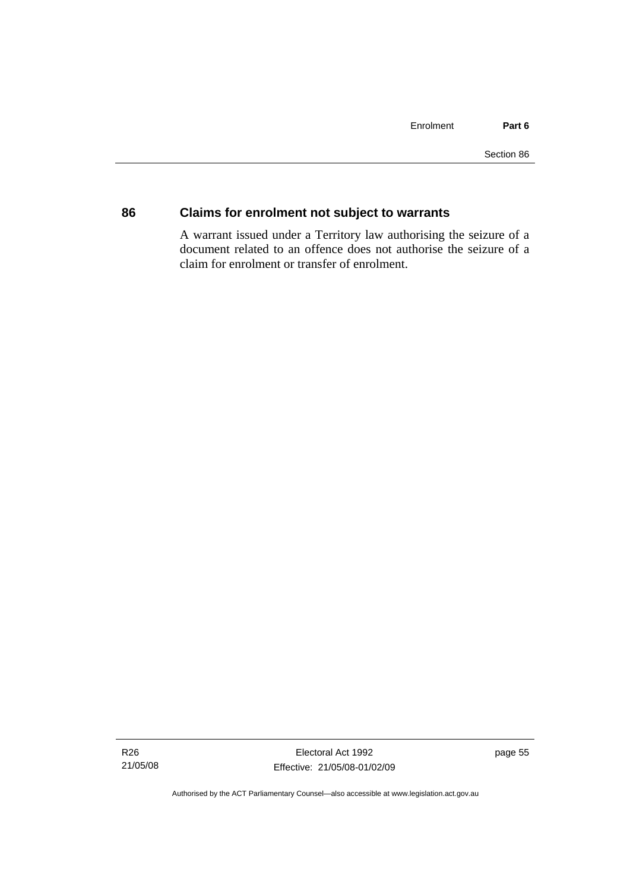## **86 Claims for enrolment not subject to warrants**

A warrant issued under a Territory law authorising the seizure of a document related to an offence does not authorise the seizure of a claim for enrolment or transfer of enrolment.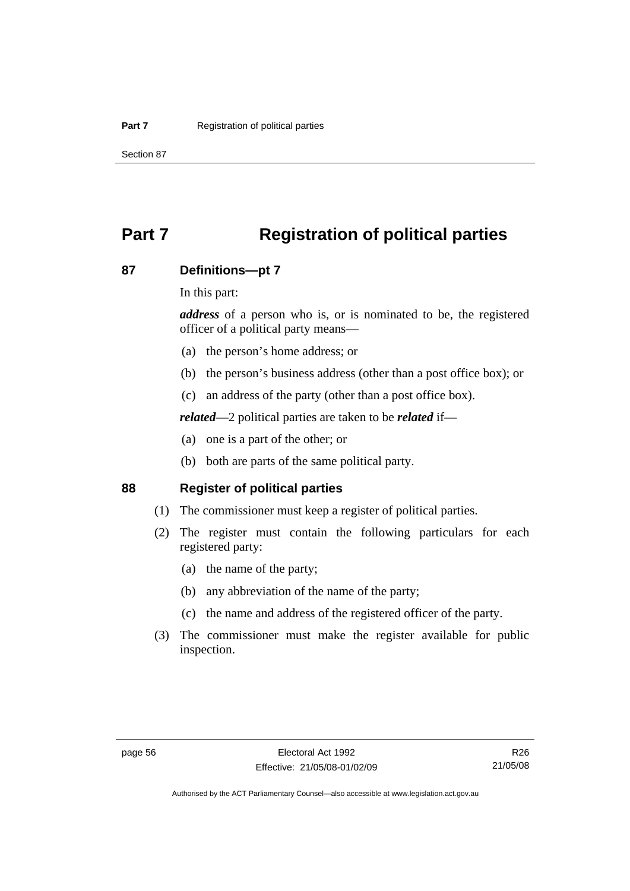# **Part 7 Registration of political parties**

#### **87 Definitions—pt 7**

In this part:

*address* of a person who is, or is nominated to be, the registered officer of a political party means—

- (a) the person's home address; or
- (b) the person's business address (other than a post office box); or
- (c) an address of the party (other than a post office box).

*related*—2 political parties are taken to be *related* if—

- (a) one is a part of the other; or
- (b) both are parts of the same political party.

#### **88 Register of political parties**

- (1) The commissioner must keep a register of political parties.
- (2) The register must contain the following particulars for each registered party:
	- (a) the name of the party;
	- (b) any abbreviation of the name of the party;
	- (c) the name and address of the registered officer of the party.
- (3) The commissioner must make the register available for public inspection.

R26 21/05/08

Authorised by the ACT Parliamentary Counsel—also accessible at www.legislation.act.gov.au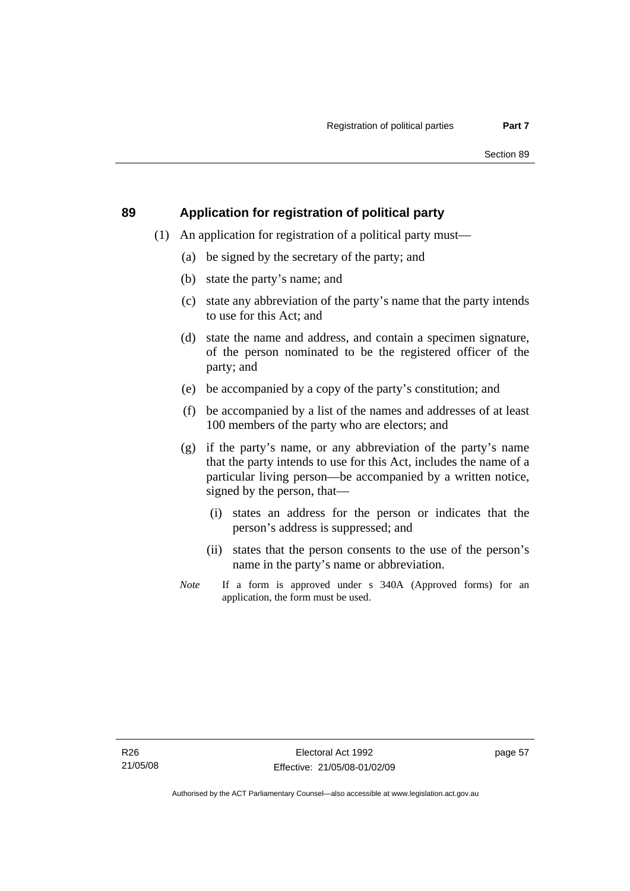## **89 Application for registration of political party**

- (1) An application for registration of a political party must—
	- (a) be signed by the secretary of the party; and
	- (b) state the party's name; and
	- (c) state any abbreviation of the party's name that the party intends to use for this Act; and
	- (d) state the name and address, and contain a specimen signature, of the person nominated to be the registered officer of the party; and
	- (e) be accompanied by a copy of the party's constitution; and
	- (f) be accompanied by a list of the names and addresses of at least 100 members of the party who are electors; and
	- (g) if the party's name, or any abbreviation of the party's name that the party intends to use for this Act, includes the name of a particular living person—be accompanied by a written notice, signed by the person, that—
		- (i) states an address for the person or indicates that the person's address is suppressed; and
		- (ii) states that the person consents to the use of the person's name in the party's name or abbreviation.
	- *Note* If a form is approved under s 340A (Approved forms) for an application, the form must be used.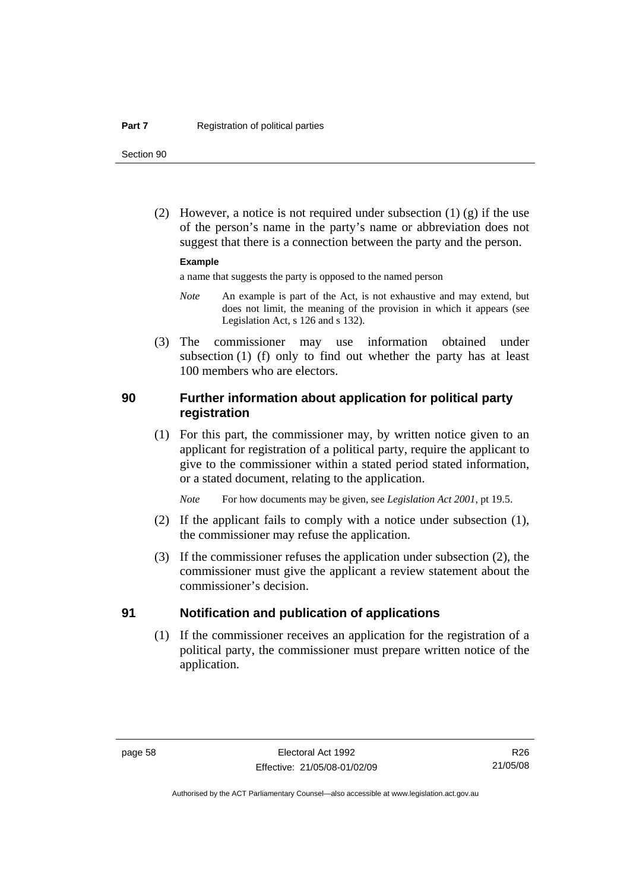Section 90

(2) However, a notice is not required under subsection  $(1)$   $(g)$  if the use of the person's name in the party's name or abbreviation does not suggest that there is a connection between the party and the person.

#### **Example**

a name that suggests the party is opposed to the named person

- *Note* An example is part of the Act, is not exhaustive and may extend, but does not limit, the meaning of the provision in which it appears (see Legislation Act, s 126 and s 132).
- (3) The commissioner may use information obtained under subsection (1) (f) only to find out whether the party has at least 100 members who are electors.

#### **90 Further information about application for political party registration**

 (1) For this part, the commissioner may, by written notice given to an applicant for registration of a political party, require the applicant to give to the commissioner within a stated period stated information, or a stated document, relating to the application.

*Note* For how documents may be given, see *Legislation Act 2001*, pt 19.5.

- (2) If the applicant fails to comply with a notice under subsection (1), the commissioner may refuse the application.
- (3) If the commissioner refuses the application under subsection (2), the commissioner must give the applicant a review statement about the commissioner's decision.

#### **91 Notification and publication of applications**

 (1) If the commissioner receives an application for the registration of a political party, the commissioner must prepare written notice of the application.

R26 21/05/08

Authorised by the ACT Parliamentary Counsel—also accessible at www.legislation.act.gov.au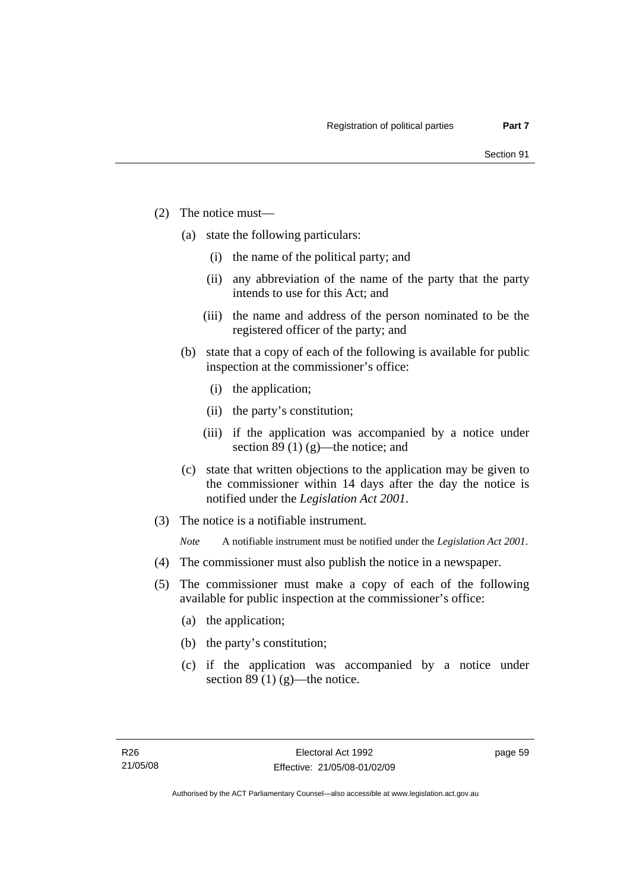- (2) The notice must—
	- (a) state the following particulars:
		- (i) the name of the political party; and
		- (ii) any abbreviation of the name of the party that the party intends to use for this Act; and
		- (iii) the name and address of the person nominated to be the registered officer of the party; and
	- (b) state that a copy of each of the following is available for public inspection at the commissioner's office:
		- (i) the application;
		- (ii) the party's constitution;
		- (iii) if the application was accompanied by a notice under section 89 (1) (g)—the notice; and
	- (c) state that written objections to the application may be given to the commissioner within 14 days after the day the notice is notified under the *Legislation Act 2001*.
- (3) The notice is a notifiable instrument.

*Note* A notifiable instrument must be notified under the *Legislation Act 2001*.

- (4) The commissioner must also publish the notice in a newspaper.
- (5) The commissioner must make a copy of each of the following available for public inspection at the commissioner's office:
	- (a) the application;
	- (b) the party's constitution;
	- (c) if the application was accompanied by a notice under section 89 (1)  $(g)$ —the notice.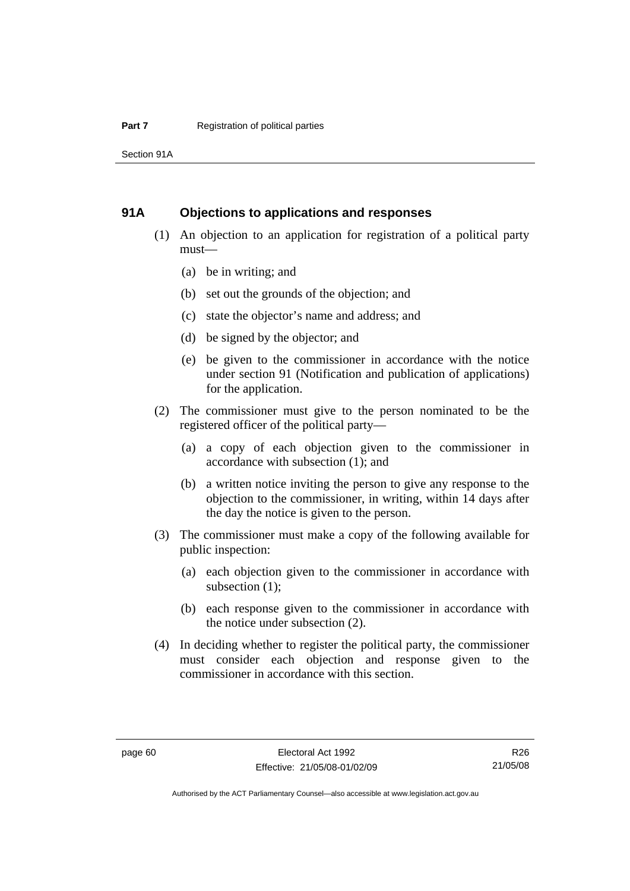Section 91A

#### **91A Objections to applications and responses**

- (1) An objection to an application for registration of a political party must—
	- (a) be in writing; and
	- (b) set out the grounds of the objection; and
	- (c) state the objector's name and address; and
	- (d) be signed by the objector; and
	- (e) be given to the commissioner in accordance with the notice under section 91 (Notification and publication of applications) for the application.
- (2) The commissioner must give to the person nominated to be the registered officer of the political party—
	- (a) a copy of each objection given to the commissioner in accordance with subsection (1); and
	- (b) a written notice inviting the person to give any response to the objection to the commissioner, in writing, within 14 days after the day the notice is given to the person.
- (3) The commissioner must make a copy of the following available for public inspection:
	- (a) each objection given to the commissioner in accordance with subsection (1);
	- (b) each response given to the commissioner in accordance with the notice under subsection (2).
- (4) In deciding whether to register the political party, the commissioner must consider each objection and response given to the commissioner in accordance with this section.

R26 21/05/08

Authorised by the ACT Parliamentary Counsel—also accessible at www.legislation.act.gov.au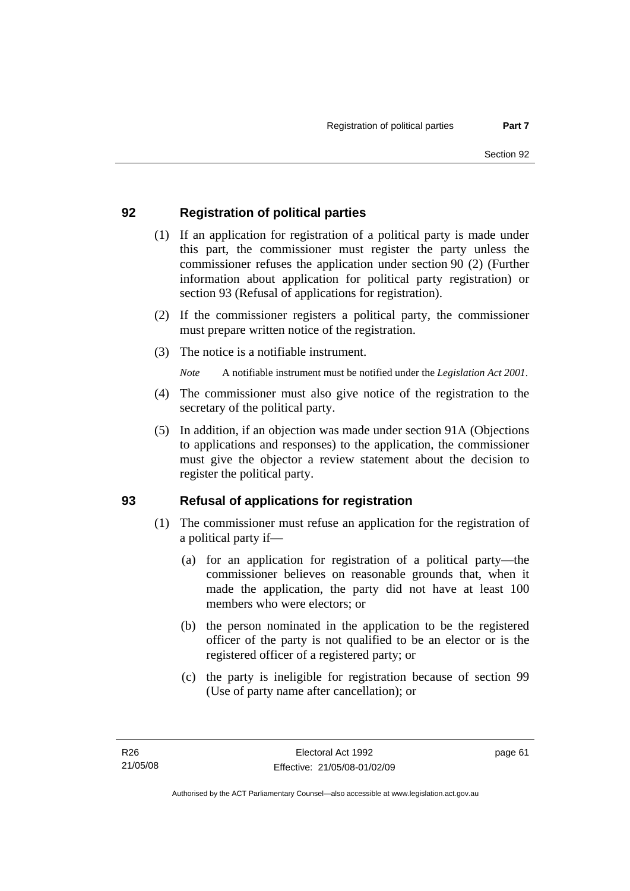## **92 Registration of political parties**

- (1) If an application for registration of a political party is made under this part, the commissioner must register the party unless the commissioner refuses the application under section 90 (2) (Further information about application for political party registration) or section 93 (Refusal of applications for registration).
- (2) If the commissioner registers a political party, the commissioner must prepare written notice of the registration.
- (3) The notice is a notifiable instrument.

*Note* A notifiable instrument must be notified under the *Legislation Act 2001*.

- (4) The commissioner must also give notice of the registration to the secretary of the political party.
- (5) In addition, if an objection was made under section 91A (Objections to applications and responses) to the application, the commissioner must give the objector a review statement about the decision to register the political party.

## **93 Refusal of applications for registration**

- (1) The commissioner must refuse an application for the registration of a political party if—
	- (a) for an application for registration of a political party—the commissioner believes on reasonable grounds that, when it made the application, the party did not have at least 100 members who were electors; or
	- (b) the person nominated in the application to be the registered officer of the party is not qualified to be an elector or is the registered officer of a registered party; or
	- (c) the party is ineligible for registration because of section 99 (Use of party name after cancellation); or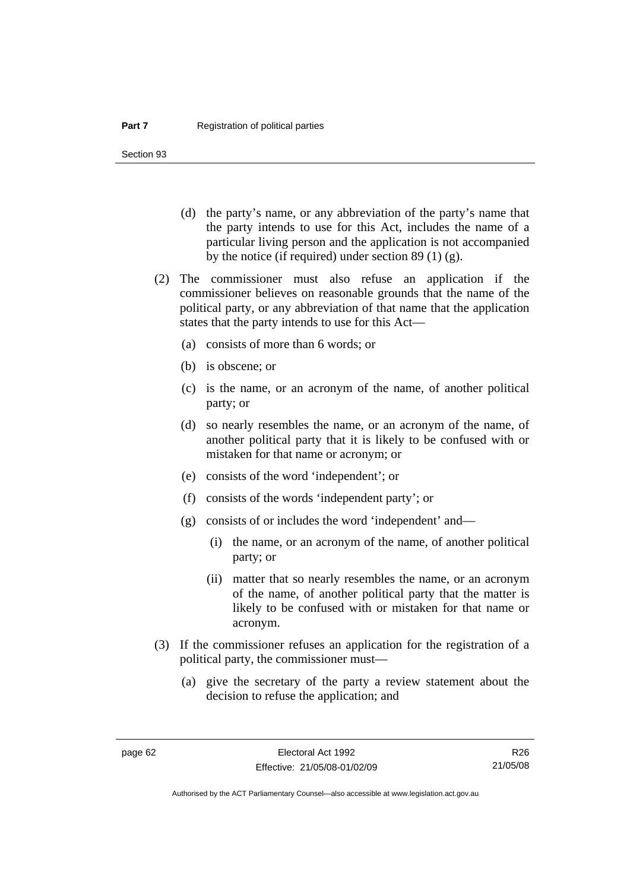Section 93

- (d) the party's name, or any abbreviation of the party's name that the party intends to use for this Act, includes the name of a particular living person and the application is not accompanied by the notice (if required) under section 89 (1) (g).
- (2) The commissioner must also refuse an application if the commissioner believes on reasonable grounds that the name of the political party, or any abbreviation of that name that the application states that the party intends to use for this Act—
	- (a) consists of more than 6 words; or
	- (b) is obscene; or
	- (c) is the name, or an acronym of the name, of another political party; or
	- (d) so nearly resembles the name, or an acronym of the name, of another political party that it is likely to be confused with or mistaken for that name or acronym; or
	- (e) consists of the word 'independent'; or
	- (f) consists of the words 'independent party'; or
	- (g) consists of or includes the word 'independent' and—
		- (i) the name, or an acronym of the name, of another political party; or
		- (ii) matter that so nearly resembles the name, or an acronym of the name, of another political party that the matter is likely to be confused with or mistaken for that name or acronym.
- (3) If the commissioner refuses an application for the registration of a political party, the commissioner must—
	- (a) give the secretary of the party a review statement about the decision to refuse the application; and

R26 21/05/08

Authorised by the ACT Parliamentary Counsel—also accessible at www.legislation.act.gov.au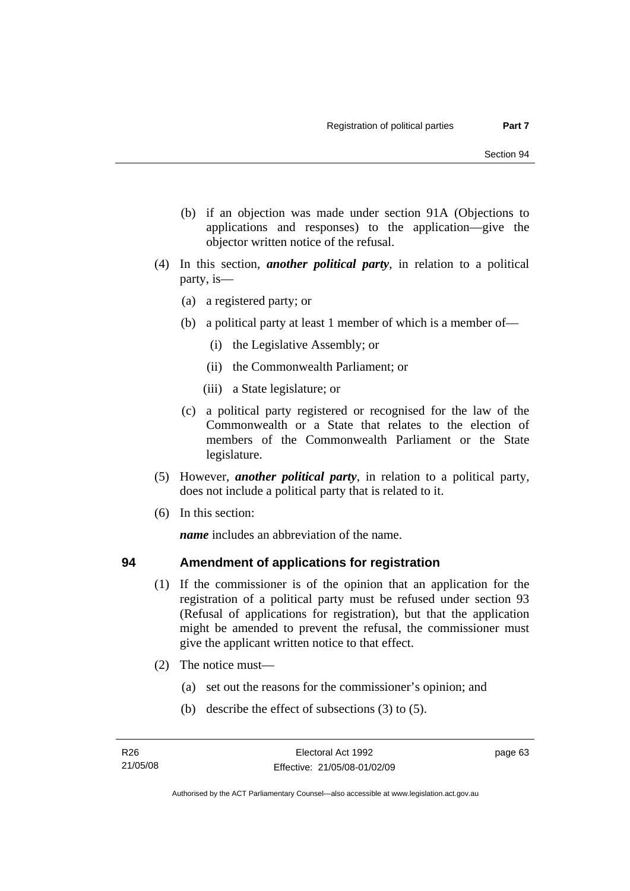- (b) if an objection was made under section 91A (Objections to applications and responses) to the application—give the objector written notice of the refusal.
- (4) In this section, *another political party*, in relation to a political party, is—
	- (a) a registered party; or
	- (b) a political party at least 1 member of which is a member of—
		- (i) the Legislative Assembly; or
		- (ii) the Commonwealth Parliament; or
		- (iii) a State legislature; or
	- (c) a political party registered or recognised for the law of the Commonwealth or a State that relates to the election of members of the Commonwealth Parliament or the State legislature.
- (5) However, *another political party*, in relation to a political party, does not include a political party that is related to it.
- (6) In this section:

*name* includes an abbreviation of the name.

## **94 Amendment of applications for registration**

- (1) If the commissioner is of the opinion that an application for the registration of a political party must be refused under section 93 (Refusal of applications for registration), but that the application might be amended to prevent the refusal, the commissioner must give the applicant written notice to that effect.
- (2) The notice must—
	- (a) set out the reasons for the commissioner's opinion; and
	- (b) describe the effect of subsections (3) to (5).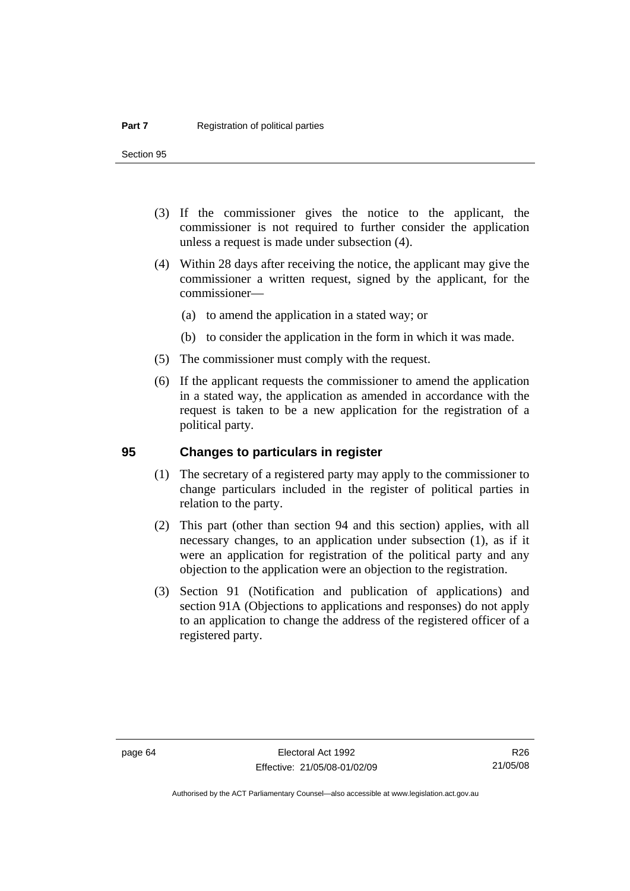Section 95

- (3) If the commissioner gives the notice to the applicant, the commissioner is not required to further consider the application unless a request is made under subsection (4).
- (4) Within 28 days after receiving the notice, the applicant may give the commissioner a written request, signed by the applicant, for the commissioner—
	- (a) to amend the application in a stated way; or
	- (b) to consider the application in the form in which it was made.
- (5) The commissioner must comply with the request.
- (6) If the applicant requests the commissioner to amend the application in a stated way, the application as amended in accordance with the request is taken to be a new application for the registration of a political party.

#### **95 Changes to particulars in register**

- (1) The secretary of a registered party may apply to the commissioner to change particulars included in the register of political parties in relation to the party.
- (2) This part (other than section 94 and this section) applies, with all necessary changes, to an application under subsection (1), as if it were an application for registration of the political party and any objection to the application were an objection to the registration.
- (3) Section 91 (Notification and publication of applications) and section 91A (Objections to applications and responses) do not apply to an application to change the address of the registered officer of a registered party.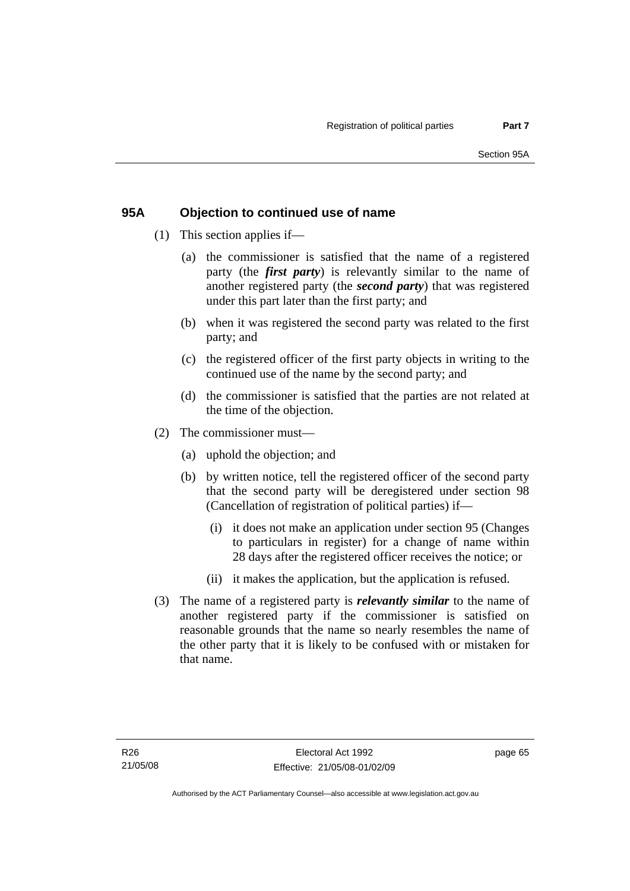## **95A Objection to continued use of name**

- (1) This section applies if—
	- (a) the commissioner is satisfied that the name of a registered party (the *first party*) is relevantly similar to the name of another registered party (the *second party*) that was registered under this part later than the first party; and
	- (b) when it was registered the second party was related to the first party; and
	- (c) the registered officer of the first party objects in writing to the continued use of the name by the second party; and
	- (d) the commissioner is satisfied that the parties are not related at the time of the objection.
- (2) The commissioner must—
	- (a) uphold the objection; and
	- (b) by written notice, tell the registered officer of the second party that the second party will be deregistered under section 98 (Cancellation of registration of political parties) if—
		- (i) it does not make an application under section 95 (Changes to particulars in register) for a change of name within 28 days after the registered officer receives the notice; or
		- (ii) it makes the application, but the application is refused.
- (3) The name of a registered party is *relevantly similar* to the name of another registered party if the commissioner is satisfied on reasonable grounds that the name so nearly resembles the name of the other party that it is likely to be confused with or mistaken for that name.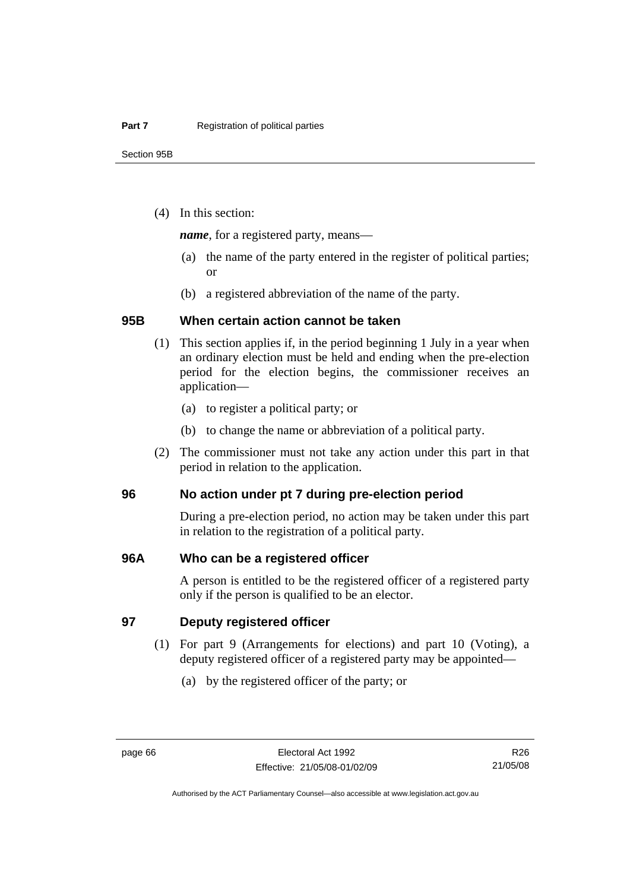(4) In this section:

*name*, for a registered party, means—

- (a) the name of the party entered in the register of political parties; or
- (b) a registered abbreviation of the name of the party.

## **95B When certain action cannot be taken**

- (1) This section applies if, in the period beginning 1 July in a year when an ordinary election must be held and ending when the pre-election period for the election begins, the commissioner receives an application—
	- (a) to register a political party; or
	- (b) to change the name or abbreviation of a political party.
- (2) The commissioner must not take any action under this part in that period in relation to the application.

#### **96 No action under pt 7 during pre-election period**

During a pre-election period, no action may be taken under this part in relation to the registration of a political party.

#### **96A Who can be a registered officer**

A person is entitled to be the registered officer of a registered party only if the person is qualified to be an elector.

#### **97 Deputy registered officer**

- (1) For part 9 (Arrangements for elections) and part 10 (Voting), a deputy registered officer of a registered party may be appointed—
	- (a) by the registered officer of the party; or

R26 21/05/08

Authorised by the ACT Parliamentary Counsel—also accessible at www.legislation.act.gov.au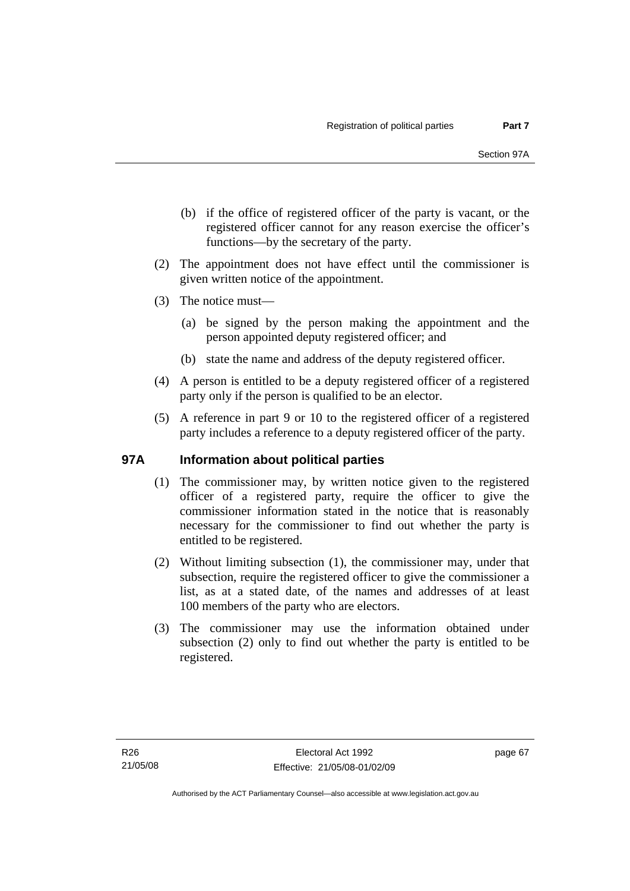- (b) if the office of registered officer of the party is vacant, or the registered officer cannot for any reason exercise the officer's functions—by the secretary of the party.
- (2) The appointment does not have effect until the commissioner is given written notice of the appointment.
- (3) The notice must—
	- (a) be signed by the person making the appointment and the person appointed deputy registered officer; and
	- (b) state the name and address of the deputy registered officer.
- (4) A person is entitled to be a deputy registered officer of a registered party only if the person is qualified to be an elector.
- (5) A reference in part 9 or 10 to the registered officer of a registered party includes a reference to a deputy registered officer of the party.

#### **97A Information about political parties**

- (1) The commissioner may, by written notice given to the registered officer of a registered party, require the officer to give the commissioner information stated in the notice that is reasonably necessary for the commissioner to find out whether the party is entitled to be registered.
- (2) Without limiting subsection (1), the commissioner may, under that subsection, require the registered officer to give the commissioner a list, as at a stated date, of the names and addresses of at least 100 members of the party who are electors.
- (3) The commissioner may use the information obtained under subsection (2) only to find out whether the party is entitled to be registered.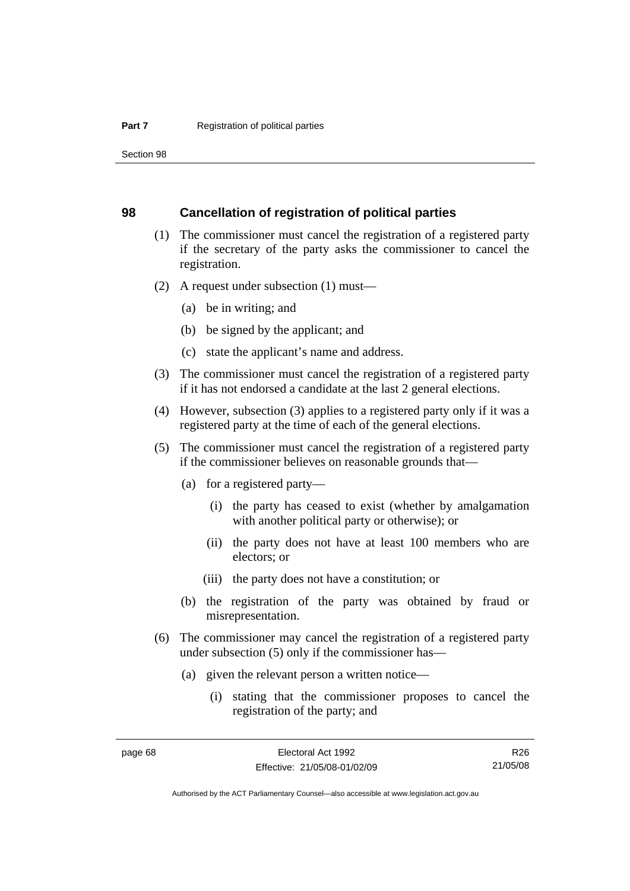Section 98

#### **98 Cancellation of registration of political parties**

- (1) The commissioner must cancel the registration of a registered party if the secretary of the party asks the commissioner to cancel the registration.
- (2) A request under subsection (1) must—
	- (a) be in writing; and
	- (b) be signed by the applicant; and
	- (c) state the applicant's name and address.
- (3) The commissioner must cancel the registration of a registered party if it has not endorsed a candidate at the last 2 general elections.
- (4) However, subsection (3) applies to a registered party only if it was a registered party at the time of each of the general elections.
- (5) The commissioner must cancel the registration of a registered party if the commissioner believes on reasonable grounds that—
	- (a) for a registered party—
		- (i) the party has ceased to exist (whether by amalgamation with another political party or otherwise); or
		- (ii) the party does not have at least 100 members who are electors; or
		- (iii) the party does not have a constitution; or
	- (b) the registration of the party was obtained by fraud or misrepresentation.
- (6) The commissioner may cancel the registration of a registered party under subsection (5) only if the commissioner has—
	- (a) given the relevant person a written notice—
		- (i) stating that the commissioner proposes to cancel the registration of the party; and

R26 21/05/08

Authorised by the ACT Parliamentary Counsel—also accessible at www.legislation.act.gov.au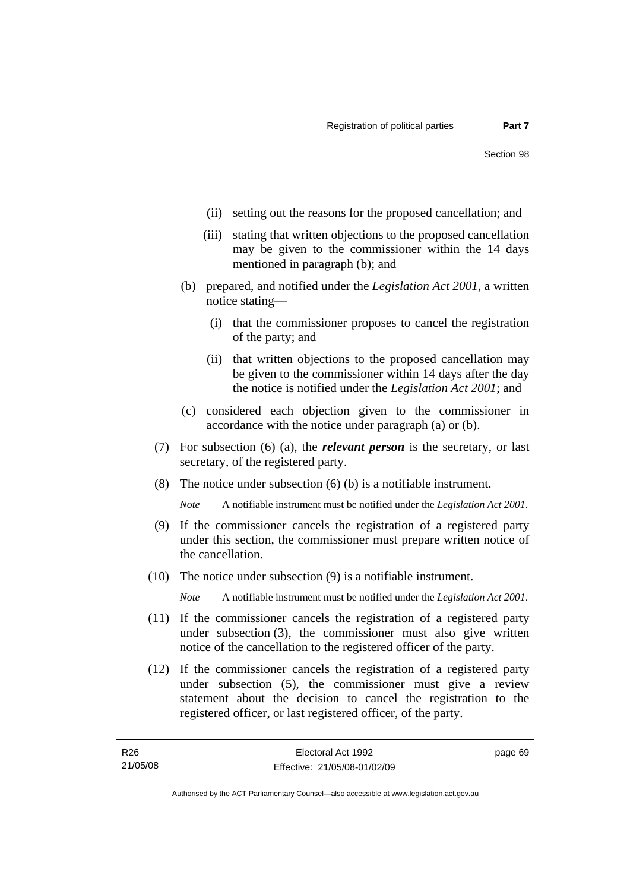- (ii) setting out the reasons for the proposed cancellation; and
- (iii) stating that written objections to the proposed cancellation may be given to the commissioner within the 14 days mentioned in paragraph (b); and
- (b) prepared, and notified under the *Legislation Act 2001*, a written notice stating—
	- (i) that the commissioner proposes to cancel the registration of the party; and
	- (ii) that written objections to the proposed cancellation may be given to the commissioner within 14 days after the day the notice is notified under the *Legislation Act 2001*; and
- (c) considered each objection given to the commissioner in accordance with the notice under paragraph (a) or (b).
- (7) For subsection (6) (a), the *relevant person* is the secretary, or last secretary, of the registered party.
- (8) The notice under subsection (6) (b) is a notifiable instrument.

*Note* A notifiable instrument must be notified under the *Legislation Act 2001*.

- (9) If the commissioner cancels the registration of a registered party under this section, the commissioner must prepare written notice of the cancellation.
- (10) The notice under subsection (9) is a notifiable instrument.

*Note* A notifiable instrument must be notified under the *Legislation Act 2001*.

- (11) If the commissioner cancels the registration of a registered party under subsection (3), the commissioner must also give written notice of the cancellation to the registered officer of the party.
- (12) If the commissioner cancels the registration of a registered party under subsection (5), the commissioner must give a review statement about the decision to cancel the registration to the registered officer, or last registered officer, of the party.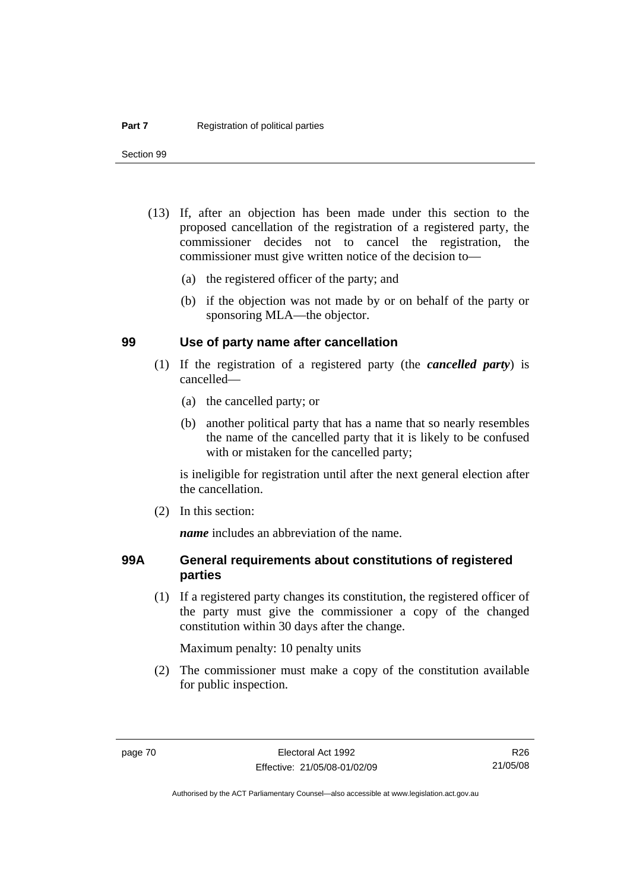- (13) If, after an objection has been made under this section to the proposed cancellation of the registration of a registered party, the commissioner decides not to cancel the registration, the commissioner must give written notice of the decision to—
	- (a) the registered officer of the party; and
	- (b) if the objection was not made by or on behalf of the party or sponsoring MLA—the objector.

#### **99 Use of party name after cancellation**

- (1) If the registration of a registered party (the *cancelled party*) is cancelled—
	- (a) the cancelled party; or
	- (b) another political party that has a name that so nearly resembles the name of the cancelled party that it is likely to be confused with or mistaken for the cancelled party;

is ineligible for registration until after the next general election after the cancellation.

(2) In this section:

*name* includes an abbreviation of the name.

## **99A General requirements about constitutions of registered parties**

 (1) If a registered party changes its constitution, the registered officer of the party must give the commissioner a copy of the changed constitution within 30 days after the change.

Maximum penalty: 10 penalty units

 (2) The commissioner must make a copy of the constitution available for public inspection.

R26 21/05/08

Authorised by the ACT Parliamentary Counsel—also accessible at www.legislation.act.gov.au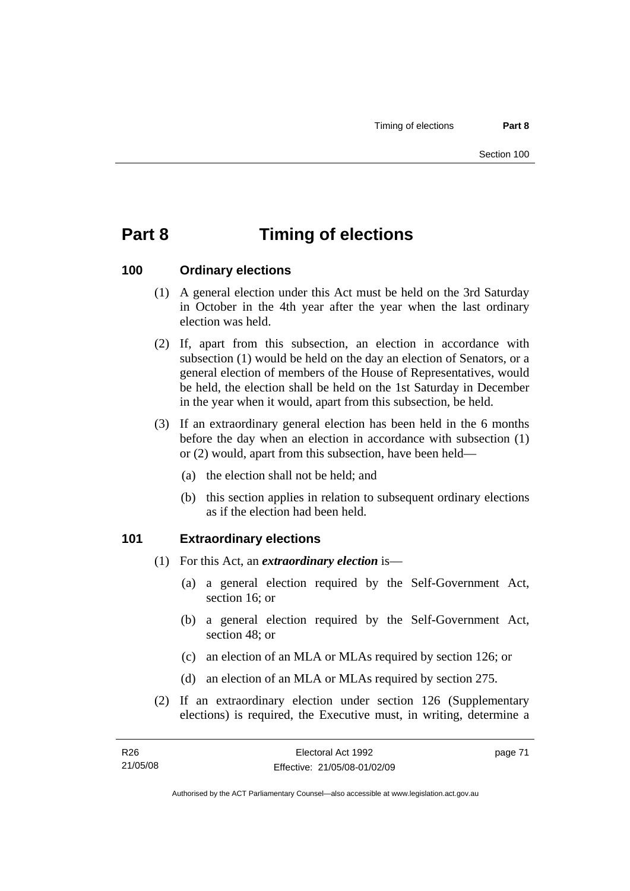# **Part 8 Timing of elections**

## **100 Ordinary elections**

- (1) A general election under this Act must be held on the 3rd Saturday in October in the 4th year after the year when the last ordinary election was held.
- (2) If, apart from this subsection, an election in accordance with subsection (1) would be held on the day an election of Senators, or a general election of members of the House of Representatives, would be held, the election shall be held on the 1st Saturday in December in the year when it would, apart from this subsection, be held.
- (3) If an extraordinary general election has been held in the 6 months before the day when an election in accordance with subsection (1) or (2) would, apart from this subsection, have been held—
	- (a) the election shall not be held; and
	- (b) this section applies in relation to subsequent ordinary elections as if the election had been held.

## **101 Extraordinary elections**

- (1) For this Act, an *extraordinary election* is—
	- (a) a general election required by the Self-Government Act, section 16; or
	- (b) a general election required by the Self-Government Act, section 48; or
	- (c) an election of an MLA or MLAs required by section 126; or
	- (d) an election of an MLA or MLAs required by section 275.
- (2) If an extraordinary election under section 126 (Supplementary elections) is required, the Executive must, in writing, determine a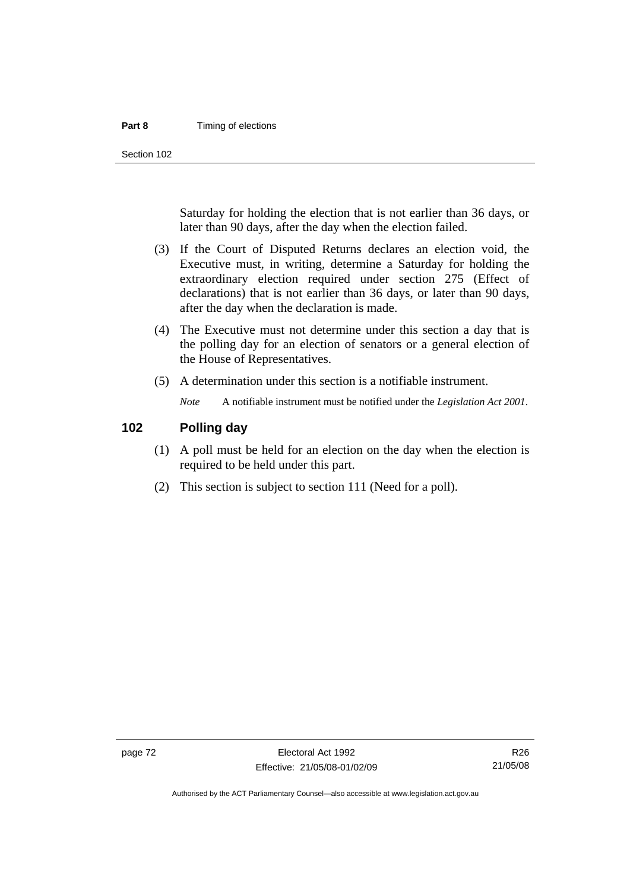#### **Part 8 Timing of elections**

Section 102

Saturday for holding the election that is not earlier than 36 days, or later than 90 days, after the day when the election failed.

- (3) If the Court of Disputed Returns declares an election void, the Executive must, in writing, determine a Saturday for holding the extraordinary election required under section 275 (Effect of declarations) that is not earlier than 36 days, or later than 90 days, after the day when the declaration is made.
- (4) The Executive must not determine under this section a day that is the polling day for an election of senators or a general election of the House of Representatives.
- (5) A determination under this section is a notifiable instrument.

*Note* A notifiable instrument must be notified under the *Legislation Act 2001*.

#### **102 Polling day**

- (1) A poll must be held for an election on the day when the election is required to be held under this part.
- (2) This section is subject to section 111 (Need for a poll).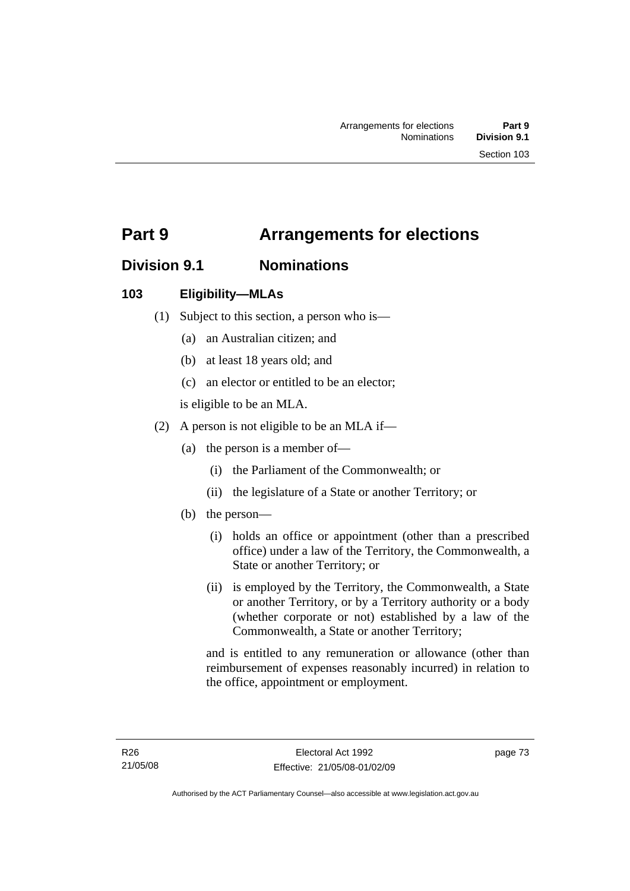# **Part 9 Arrangements for elections**

# **Division 9.1 Nominations**

## **103 Eligibility—MLAs**

- (1) Subject to this section, a person who is—
	- (a) an Australian citizen; and
	- (b) at least 18 years old; and
	- (c) an elector or entitled to be an elector;

is eligible to be an MLA.

- (2) A person is not eligible to be an MLA if—
	- (a) the person is a member of—
		- (i) the Parliament of the Commonwealth; or
		- (ii) the legislature of a State or another Territory; or
	- (b) the person—
		- (i) holds an office or appointment (other than a prescribed office) under a law of the Territory, the Commonwealth, a State or another Territory; or
		- (ii) is employed by the Territory, the Commonwealth, a State or another Territory, or by a Territory authority or a body (whether corporate or not) established by a law of the Commonwealth, a State or another Territory;

and is entitled to any remuneration or allowance (other than reimbursement of expenses reasonably incurred) in relation to the office, appointment or employment.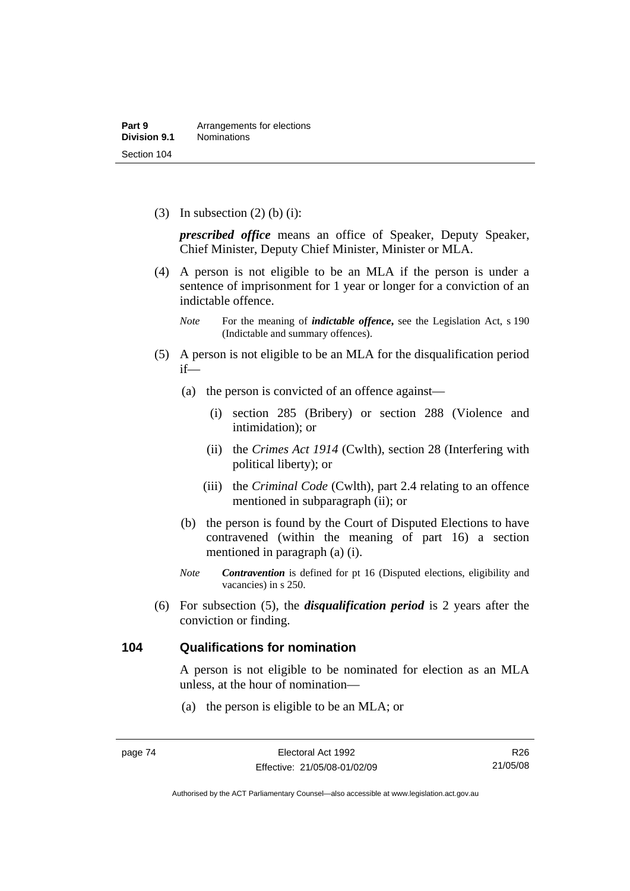(3) In subsection  $(2)$  (b) (i):

*prescribed office* means an office of Speaker, Deputy Speaker, Chief Minister, Deputy Chief Minister, Minister or MLA.

 (4) A person is not eligible to be an MLA if the person is under a sentence of imprisonment for 1 year or longer for a conviction of an indictable offence.

- (5) A person is not eligible to be an MLA for the disqualification period if—
	- (a) the person is convicted of an offence against—
		- (i) section 285 (Bribery) or section 288 (Violence and intimidation); or
		- (ii) the *Crimes Act 1914* (Cwlth), section 28 (Interfering with political liberty); or
		- (iii) the *Criminal Code* (Cwlth), part 2.4 relating to an offence mentioned in subparagraph (ii); or
	- (b) the person is found by the Court of Disputed Elections to have contravened (within the meaning of part 16) a section mentioned in paragraph (a) (i).
	- *Note Contravention* is defined for pt 16 (Disputed elections, eligibility and vacancies) in s 250.
- (6) For subsection (5), the *disqualification period* is 2 years after the conviction or finding.

#### **104 Qualifications for nomination**

A person is not eligible to be nominated for election as an MLA unless, at the hour of nomination—

(a) the person is eligible to be an MLA; or

*Note* For the meaning of *indictable offence*, see the Legislation Act, s 190 (Indictable and summary offences).

R26 21/05/08

Authorised by the ACT Parliamentary Counsel—also accessible at www.legislation.act.gov.au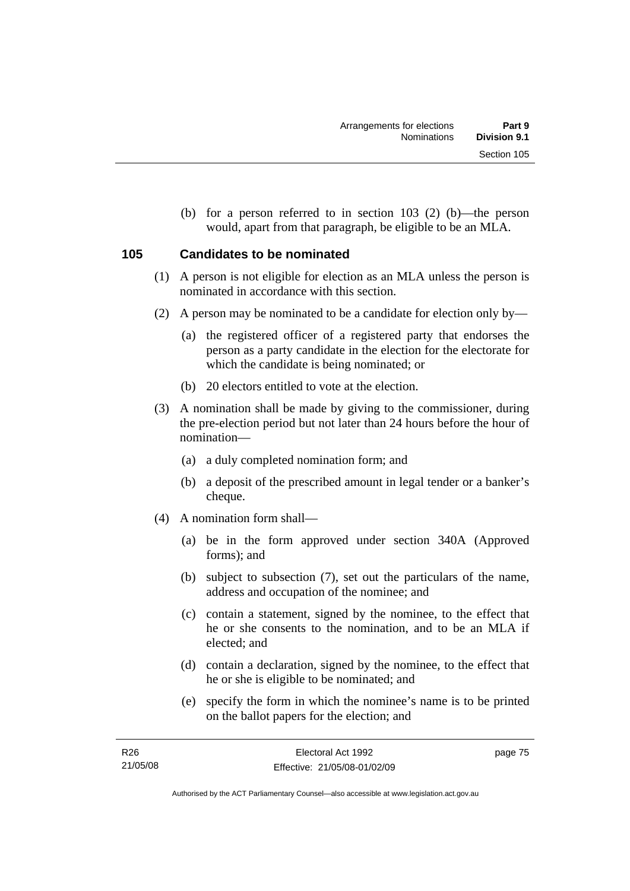(b) for a person referred to in section 103 (2) (b)—the person would, apart from that paragraph, be eligible to be an MLA.

## **105 Candidates to be nominated**

- (1) A person is not eligible for election as an MLA unless the person is nominated in accordance with this section.
- (2) A person may be nominated to be a candidate for election only by—
	- (a) the registered officer of a registered party that endorses the person as a party candidate in the election for the electorate for which the candidate is being nominated; or
	- (b) 20 electors entitled to vote at the election.
- (3) A nomination shall be made by giving to the commissioner, during the pre-election period but not later than 24 hours before the hour of nomination—
	- (a) a duly completed nomination form; and
	- (b) a deposit of the prescribed amount in legal tender or a banker's cheque.
- (4) A nomination form shall—
	- (a) be in the form approved under section 340A (Approved forms); and
	- (b) subject to subsection (7), set out the particulars of the name, address and occupation of the nominee; and
	- (c) contain a statement, signed by the nominee, to the effect that he or she consents to the nomination, and to be an MLA if elected; and
	- (d) contain a declaration, signed by the nominee, to the effect that he or she is eligible to be nominated; and
	- (e) specify the form in which the nominee's name is to be printed on the ballot papers for the election; and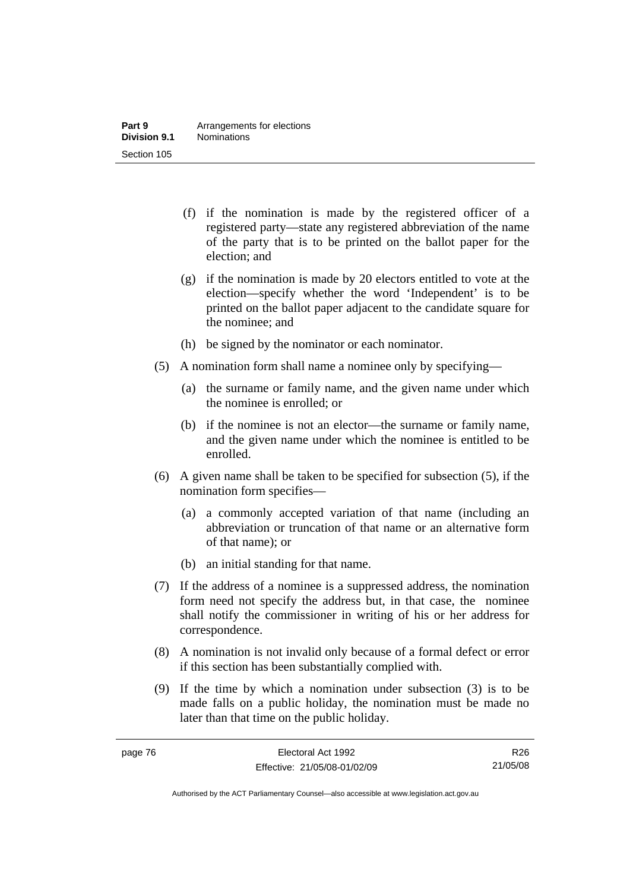- (f) if the nomination is made by the registered officer of a registered party—state any registered abbreviation of the name of the party that is to be printed on the ballot paper for the election; and
- (g) if the nomination is made by 20 electors entitled to vote at the election—specify whether the word 'Independent' is to be printed on the ballot paper adjacent to the candidate square for the nominee; and
- (h) be signed by the nominator or each nominator.
- (5) A nomination form shall name a nominee only by specifying—
	- (a) the surname or family name, and the given name under which the nominee is enrolled; or
	- (b) if the nominee is not an elector—the surname or family name, and the given name under which the nominee is entitled to be enrolled.
- (6) A given name shall be taken to be specified for subsection (5), if the nomination form specifies—
	- (a) a commonly accepted variation of that name (including an abbreviation or truncation of that name or an alternative form of that name); or
	- (b) an initial standing for that name.
- (7) If the address of a nominee is a suppressed address, the nomination form need not specify the address but, in that case, the nominee shall notify the commissioner in writing of his or her address for correspondence.
- (8) A nomination is not invalid only because of a formal defect or error if this section has been substantially complied with.
- (9) If the time by which a nomination under subsection (3) is to be made falls on a public holiday, the nomination must be made no later than that time on the public holiday.

R26 21/05/08

Authorised by the ACT Parliamentary Counsel—also accessible at www.legislation.act.gov.au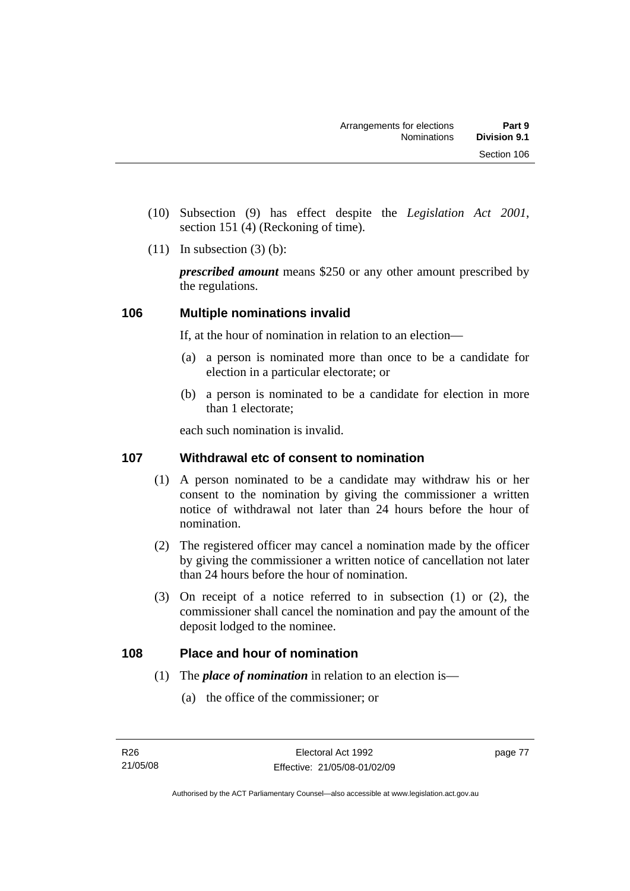- (10) Subsection (9) has effect despite the *Legislation Act 2001*, section 151 (4) (Reckoning of time).
- $(11)$  In subsection  $(3)$  (b):

*prescribed amount* means \$250 or any other amount prescribed by the regulations.

## **106 Multiple nominations invalid**

If, at the hour of nomination in relation to an election—

- (a) a person is nominated more than once to be a candidate for election in a particular electorate; or
- (b) a person is nominated to be a candidate for election in more than 1 electorate;

each such nomination is invalid.

## **107 Withdrawal etc of consent to nomination**

- (1) A person nominated to be a candidate may withdraw his or her consent to the nomination by giving the commissioner a written notice of withdrawal not later than 24 hours before the hour of nomination.
- (2) The registered officer may cancel a nomination made by the officer by giving the commissioner a written notice of cancellation not later than 24 hours before the hour of nomination.
- (3) On receipt of a notice referred to in subsection (1) or (2), the commissioner shall cancel the nomination and pay the amount of the deposit lodged to the nominee.

## **108 Place and hour of nomination**

- (1) The *place of nomination* in relation to an election is—
	- (a) the office of the commissioner; or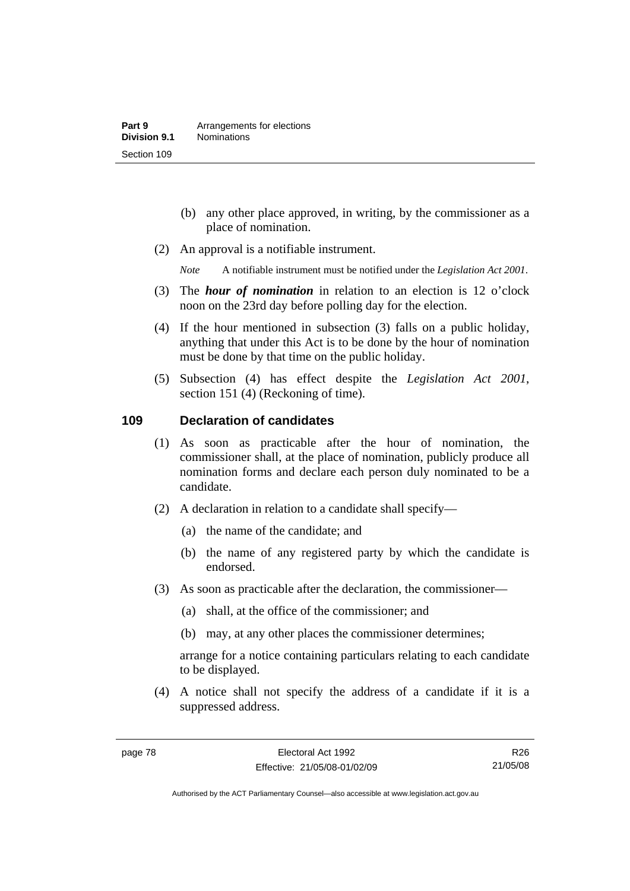- (b) any other place approved, in writing, by the commissioner as a place of nomination.
- (2) An approval is a notifiable instrument.

*Note* A notifiable instrument must be notified under the *Legislation Act 2001*.

- (3) The *hour of nomination* in relation to an election is 12 o'clock noon on the 23rd day before polling day for the election.
- (4) If the hour mentioned in subsection (3) falls on a public holiday, anything that under this Act is to be done by the hour of nomination must be done by that time on the public holiday.
- (5) Subsection (4) has effect despite the *Legislation Act 2001*, section 151 (4) (Reckoning of time).

#### **109 Declaration of candidates**

- (1) As soon as practicable after the hour of nomination, the commissioner shall, at the place of nomination, publicly produce all nomination forms and declare each person duly nominated to be a candidate.
- (2) A declaration in relation to a candidate shall specify—
	- (a) the name of the candidate; and
	- (b) the name of any registered party by which the candidate is endorsed.
- (3) As soon as practicable after the declaration, the commissioner—
	- (a) shall, at the office of the commissioner; and
	- (b) may, at any other places the commissioner determines;

arrange for a notice containing particulars relating to each candidate to be displayed.

 (4) A notice shall not specify the address of a candidate if it is a suppressed address.

R26 21/05/08

Authorised by the ACT Parliamentary Counsel—also accessible at www.legislation.act.gov.au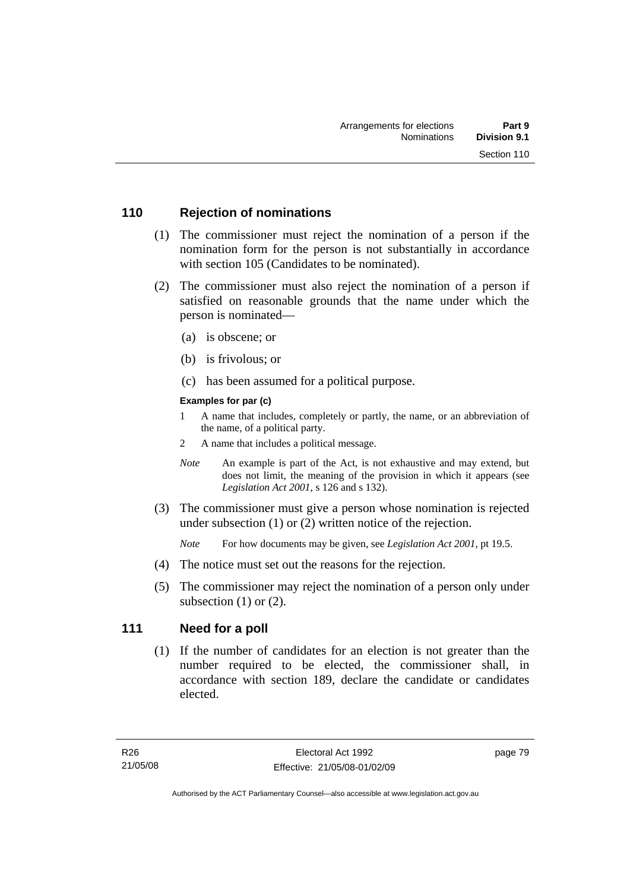## **110 Rejection of nominations**

- (1) The commissioner must reject the nomination of a person if the nomination form for the person is not substantially in accordance with section 105 (Candidates to be nominated).
- (2) The commissioner must also reject the nomination of a person if satisfied on reasonable grounds that the name under which the person is nominated—
	- (a) is obscene; or
	- (b) is frivolous; or
	- (c) has been assumed for a political purpose.

#### **Examples for par (c)**

- 1 A name that includes, completely or partly, the name, or an abbreviation of the name, of a political party.
- 2 A name that includes a political message.
- *Note* An example is part of the Act, is not exhaustive and may extend, but does not limit, the meaning of the provision in which it appears (see *Legislation Act 2001*, s 126 and s 132).
- (3) The commissioner must give a person whose nomination is rejected under subsection (1) or (2) written notice of the rejection.

*Note* For how documents may be given, see *Legislation Act 2001*, pt 19.5.

- (4) The notice must set out the reasons for the rejection.
- (5) The commissioner may reject the nomination of a person only under subsection  $(1)$  or  $(2)$ .

## **111 Need for a poll**

 (1) If the number of candidates for an election is not greater than the number required to be elected, the commissioner shall, in accordance with section 189, declare the candidate or candidates elected.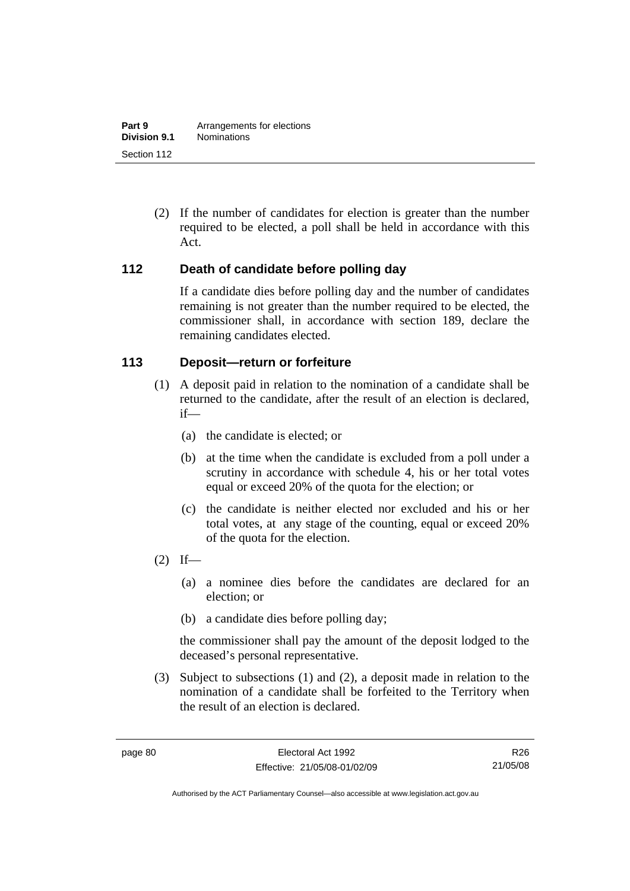(2) If the number of candidates for election is greater than the number required to be elected, a poll shall be held in accordance with this Act.

## **112 Death of candidate before polling day**

If a candidate dies before polling day and the number of candidates remaining is not greater than the number required to be elected, the commissioner shall, in accordance with section 189, declare the remaining candidates elected.

## **113 Deposit—return or forfeiture**

- (1) A deposit paid in relation to the nomination of a candidate shall be returned to the candidate, after the result of an election is declared, if—
	- (a) the candidate is elected; or
	- (b) at the time when the candidate is excluded from a poll under a scrutiny in accordance with schedule 4, his or her total votes equal or exceed 20% of the quota for the election; or
	- (c) the candidate is neither elected nor excluded and his or her total votes, at any stage of the counting, equal or exceed 20% of the quota for the election.
- $(2)$  If—
	- (a) a nominee dies before the candidates are declared for an election; or
	- (b) a candidate dies before polling day;

the commissioner shall pay the amount of the deposit lodged to the deceased's personal representative.

 (3) Subject to subsections (1) and (2), a deposit made in relation to the nomination of a candidate shall be forfeited to the Territory when the result of an election is declared.

R26 21/05/08

Authorised by the ACT Parliamentary Counsel—also accessible at www.legislation.act.gov.au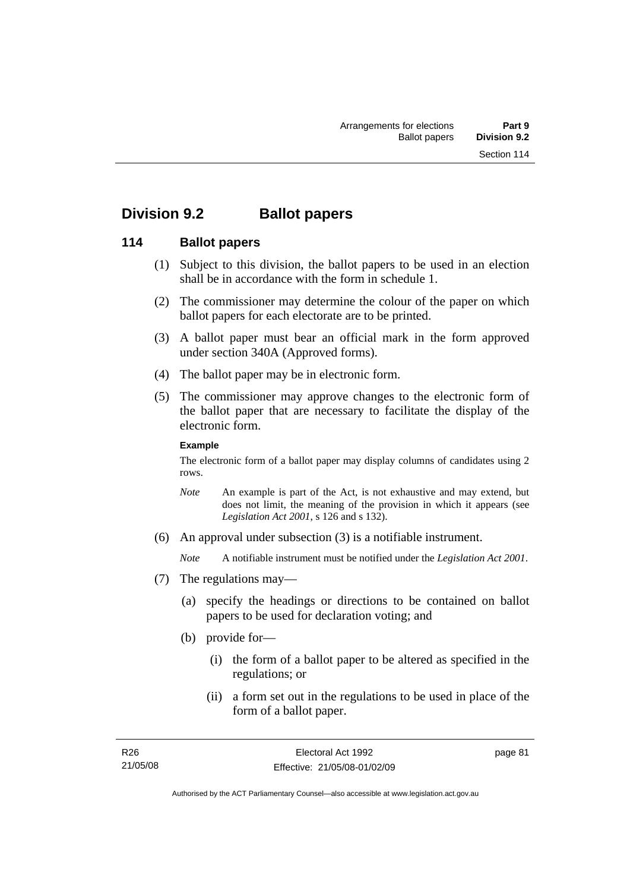# **Division 9.2 Ballot papers**

## **114 Ballot papers**

- (1) Subject to this division, the ballot papers to be used in an election shall be in accordance with the form in schedule 1.
- (2) The commissioner may determine the colour of the paper on which ballot papers for each electorate are to be printed.
- (3) A ballot paper must bear an official mark in the form approved under section 340A (Approved forms).
- (4) The ballot paper may be in electronic form.
- (5) The commissioner may approve changes to the electronic form of the ballot paper that are necessary to facilitate the display of the electronic form.

#### **Example**

The electronic form of a ballot paper may display columns of candidates using 2 rows.

- *Note* An example is part of the Act, is not exhaustive and may extend, but does not limit, the meaning of the provision in which it appears (see *Legislation Act 2001*, s 126 and s 132).
- (6) An approval under subsection (3) is a notifiable instrument.

*Note* A notifiable instrument must be notified under the *Legislation Act 2001*.

- (7) The regulations may—
	- (a) specify the headings or directions to be contained on ballot papers to be used for declaration voting; and
	- (b) provide for—
		- (i) the form of a ballot paper to be altered as specified in the regulations; or
		- (ii) a form set out in the regulations to be used in place of the form of a ballot paper.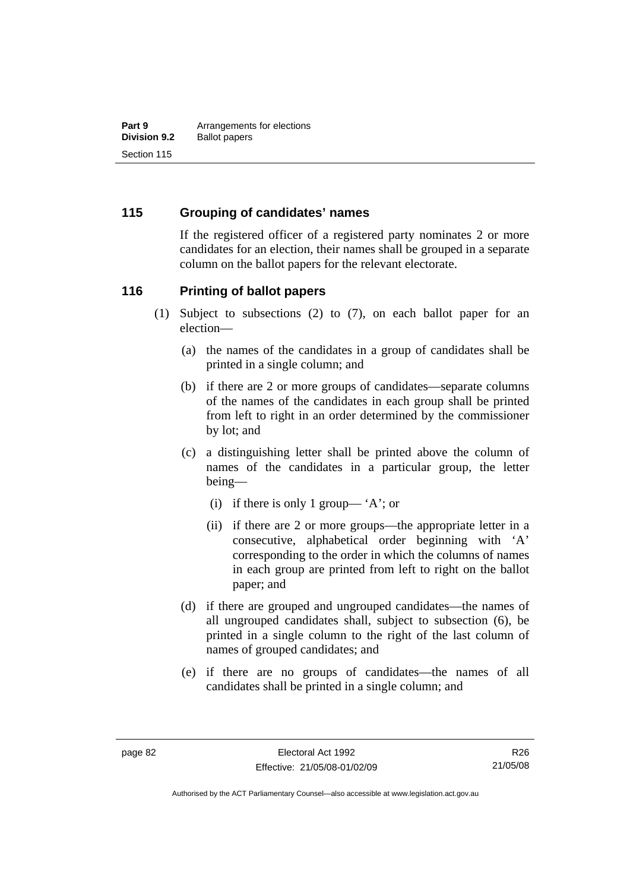## **115 Grouping of candidates' names**

If the registered officer of a registered party nominates 2 or more candidates for an election, their names shall be grouped in a separate column on the ballot papers for the relevant electorate.

#### **116 Printing of ballot papers**

- (1) Subject to subsections (2) to (7), on each ballot paper for an election—
	- (a) the names of the candidates in a group of candidates shall be printed in a single column; and
	- (b) if there are 2 or more groups of candidates—separate columns of the names of the candidates in each group shall be printed from left to right in an order determined by the commissioner by lot; and
	- (c) a distinguishing letter shall be printed above the column of names of the candidates in a particular group, the letter being—
		- (i) if there is only 1 group— 'A'; or
		- (ii) if there are 2 or more groups—the appropriate letter in a consecutive, alphabetical order beginning with 'A' corresponding to the order in which the columns of names in each group are printed from left to right on the ballot paper; and
	- (d) if there are grouped and ungrouped candidates—the names of all ungrouped candidates shall, subject to subsection (6), be printed in a single column to the right of the last column of names of grouped candidates; and
	- (e) if there are no groups of candidates—the names of all candidates shall be printed in a single column; and

Authorised by the ACT Parliamentary Counsel—also accessible at www.legislation.act.gov.au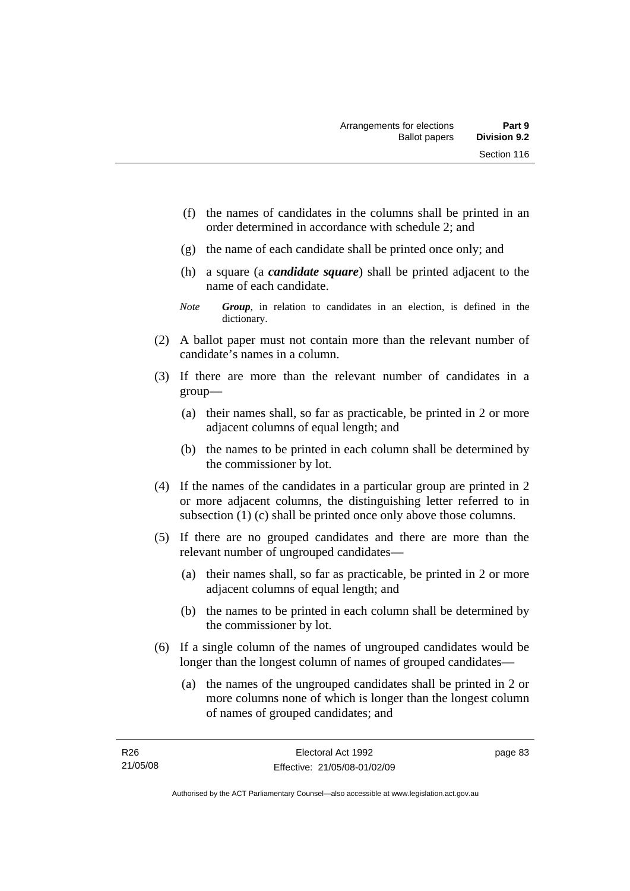- (f) the names of candidates in the columns shall be printed in an order determined in accordance with schedule 2; and
- (g) the name of each candidate shall be printed once only; and
- (h) a square (a *candidate square*) shall be printed adjacent to the name of each candidate.
- *Note Group*, in relation to candidates in an election, is defined in the dictionary.
- (2) A ballot paper must not contain more than the relevant number of candidate's names in a column.
- (3) If there are more than the relevant number of candidates in a group—
	- (a) their names shall, so far as practicable, be printed in 2 or more adjacent columns of equal length; and
	- (b) the names to be printed in each column shall be determined by the commissioner by lot.
- (4) If the names of the candidates in a particular group are printed in 2 or more adjacent columns, the distinguishing letter referred to in subsection (1) (c) shall be printed once only above those columns.
- (5) If there are no grouped candidates and there are more than the relevant number of ungrouped candidates—
	- (a) their names shall, so far as practicable, be printed in 2 or more adjacent columns of equal length; and
	- (b) the names to be printed in each column shall be determined by the commissioner by lot.
- (6) If a single column of the names of ungrouped candidates would be longer than the longest column of names of grouped candidates—
	- (a) the names of the ungrouped candidates shall be printed in 2 or more columns none of which is longer than the longest column of names of grouped candidates; and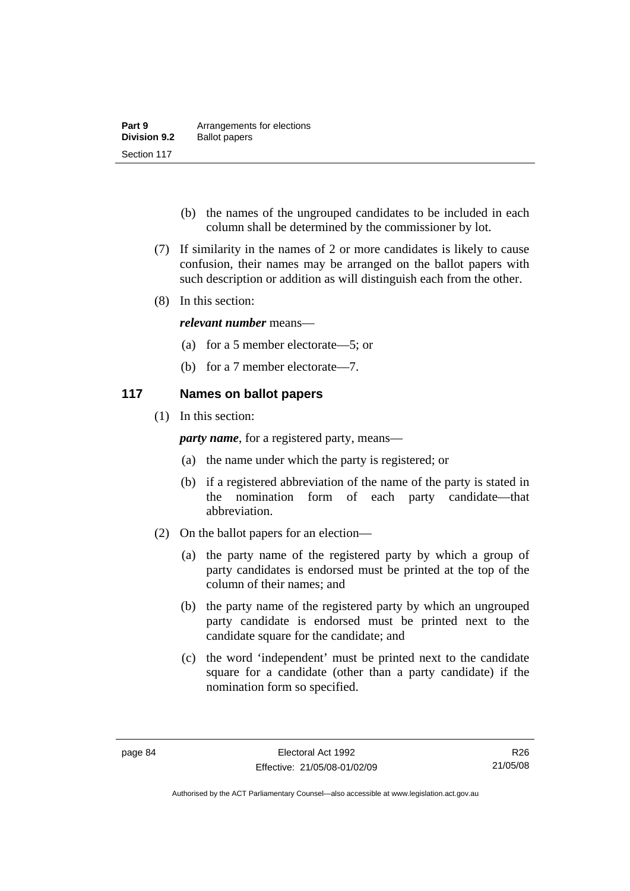| Part 9              | Arrangements for elections |
|---------------------|----------------------------|
| <b>Division 9.2</b> | <b>Ballot papers</b>       |
| Section 117         |                            |

- (b) the names of the ungrouped candidates to be included in each column shall be determined by the commissioner by lot.
- (7) If similarity in the names of 2 or more candidates is likely to cause confusion, their names may be arranged on the ballot papers with such description or addition as will distinguish each from the other.
- (8) In this section:

#### *relevant number* means—

- (a) for a 5 member electorate—5; or
- (b) for a 7 member electorate—7.

## **117 Names on ballot papers**

(1) In this section:

*party name*, for a registered party, means—

- (a) the name under which the party is registered; or
- (b) if a registered abbreviation of the name of the party is stated in the nomination form of each party candidate—that abbreviation.
- (2) On the ballot papers for an election—
	- (a) the party name of the registered party by which a group of party candidates is endorsed must be printed at the top of the column of their names; and
	- (b) the party name of the registered party by which an ungrouped party candidate is endorsed must be printed next to the candidate square for the candidate; and
	- (c) the word 'independent' must be printed next to the candidate square for a candidate (other than a party candidate) if the nomination form so specified.

R26 21/05/08

Authorised by the ACT Parliamentary Counsel—also accessible at www.legislation.act.gov.au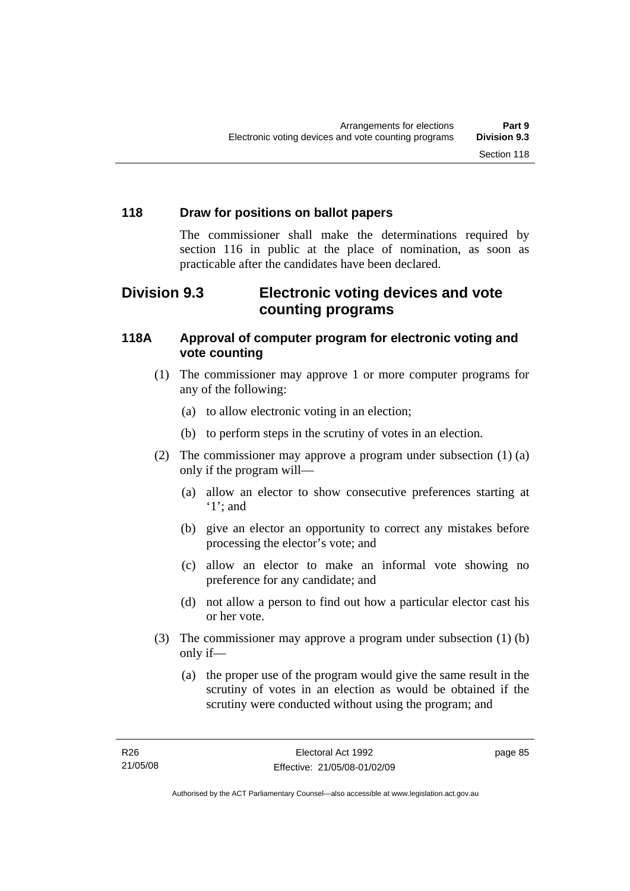## **118 Draw for positions on ballot papers**

The commissioner shall make the determinations required by section 116 in public at the place of nomination, as soon as practicable after the candidates have been declared.

# **Division 9.3 Electronic voting devices and vote counting programs**

## **118A Approval of computer program for electronic voting and vote counting**

- (1) The commissioner may approve 1 or more computer programs for any of the following:
	- (a) to allow electronic voting in an election;
	- (b) to perform steps in the scrutiny of votes in an election.
- (2) The commissioner may approve a program under subsection (1) (a) only if the program will—
	- (a) allow an elector to show consecutive preferences starting at '1'; and
	- (b) give an elector an opportunity to correct any mistakes before processing the elector's vote; and
	- (c) allow an elector to make an informal vote showing no preference for any candidate; and
	- (d) not allow a person to find out how a particular elector cast his or her vote.
- (3) The commissioner may approve a program under subsection (1) (b) only if—
	- (a) the proper use of the program would give the same result in the scrutiny of votes in an election as would be obtained if the scrutiny were conducted without using the program; and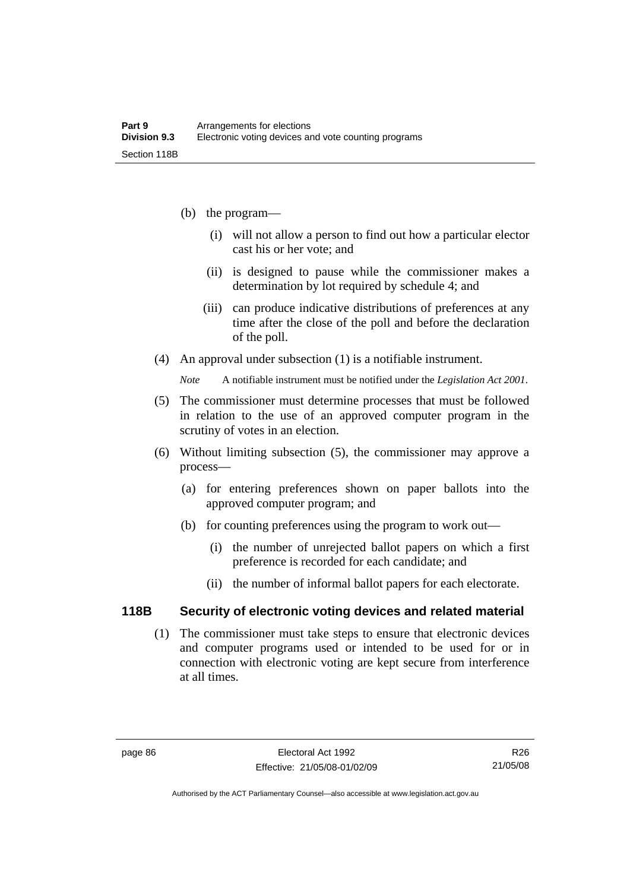- (b) the program—
	- (i) will not allow a person to find out how a particular elector cast his or her vote; and
	- (ii) is designed to pause while the commissioner makes a determination by lot required by schedule 4; and
	- (iii) can produce indicative distributions of preferences at any time after the close of the poll and before the declaration of the poll.
- (4) An approval under subsection (1) is a notifiable instrument.

*Note* A notifiable instrument must be notified under the *Legislation Act 2001*.

- (5) The commissioner must determine processes that must be followed in relation to the use of an approved computer program in the scrutiny of votes in an election.
- (6) Without limiting subsection (5), the commissioner may approve a process—
	- (a) for entering preferences shown on paper ballots into the approved computer program; and
	- (b) for counting preferences using the program to work out—
		- (i) the number of unrejected ballot papers on which a first preference is recorded for each candidate; and
		- (ii) the number of informal ballot papers for each electorate.

#### **118B Security of electronic voting devices and related material**

 (1) The commissioner must take steps to ensure that electronic devices and computer programs used or intended to be used for or in connection with electronic voting are kept secure from interference at all times.

Authorised by the ACT Parliamentary Counsel—also accessible at www.legislation.act.gov.au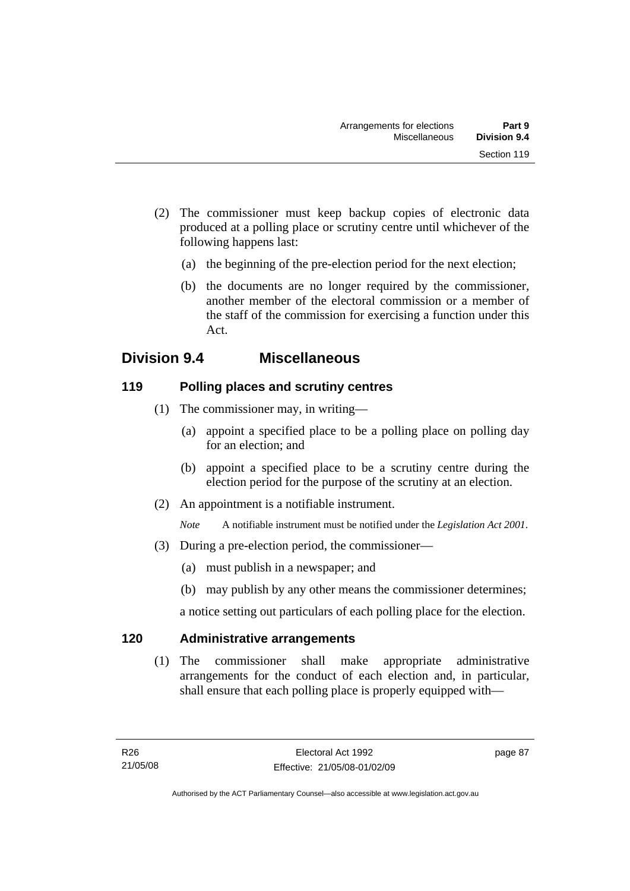- (2) The commissioner must keep backup copies of electronic data produced at a polling place or scrutiny centre until whichever of the following happens last:
	- (a) the beginning of the pre-election period for the next election;
	- (b) the documents are no longer required by the commissioner, another member of the electoral commission or a member of the staff of the commission for exercising a function under this Act.

# **Division 9.4 Miscellaneous**

## **119 Polling places and scrutiny centres**

- (1) The commissioner may, in writing—
	- (a) appoint a specified place to be a polling place on polling day for an election; and
	- (b) appoint a specified place to be a scrutiny centre during the election period for the purpose of the scrutiny at an election.
- (2) An appointment is a notifiable instrument.

*Note* A notifiable instrument must be notified under the *Legislation Act 2001*.

- (3) During a pre-election period, the commissioner—
	- (a) must publish in a newspaper; and
	- (b) may publish by any other means the commissioner determines;

a notice setting out particulars of each polling place for the election.

## **120 Administrative arrangements**

 (1) The commissioner shall make appropriate administrative arrangements for the conduct of each election and, in particular, shall ensure that each polling place is properly equipped with—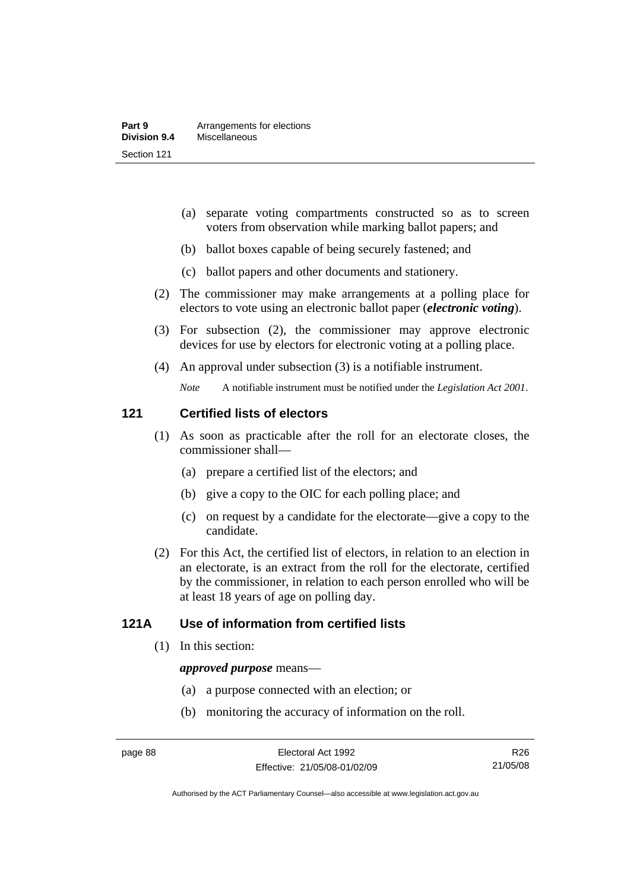- (a) separate voting compartments constructed so as to screen voters from observation while marking ballot papers; and
- (b) ballot boxes capable of being securely fastened; and
- (c) ballot papers and other documents and stationery.
- (2) The commissioner may make arrangements at a polling place for electors to vote using an electronic ballot paper (*electronic voting*).
- (3) For subsection (2), the commissioner may approve electronic devices for use by electors for electronic voting at a polling place.
- (4) An approval under subsection (3) is a notifiable instrument.

*Note* A notifiable instrument must be notified under the *Legislation Act 2001*.

#### **121 Certified lists of electors**

- (1) As soon as practicable after the roll for an electorate closes, the commissioner shall—
	- (a) prepare a certified list of the electors; and
	- (b) give a copy to the OIC for each polling place; and
	- (c) on request by a candidate for the electorate—give a copy to the candidate.
- (2) For this Act, the certified list of electors, in relation to an election in an electorate, is an extract from the roll for the electorate, certified by the commissioner, in relation to each person enrolled who will be at least 18 years of age on polling day.

## **121A Use of information from certified lists**

(1) In this section:

#### *approved purpose* means—

- (a) a purpose connected with an election; or
- (b) monitoring the accuracy of information on the roll.

Authorised by the ACT Parliamentary Counsel—also accessible at www.legislation.act.gov.au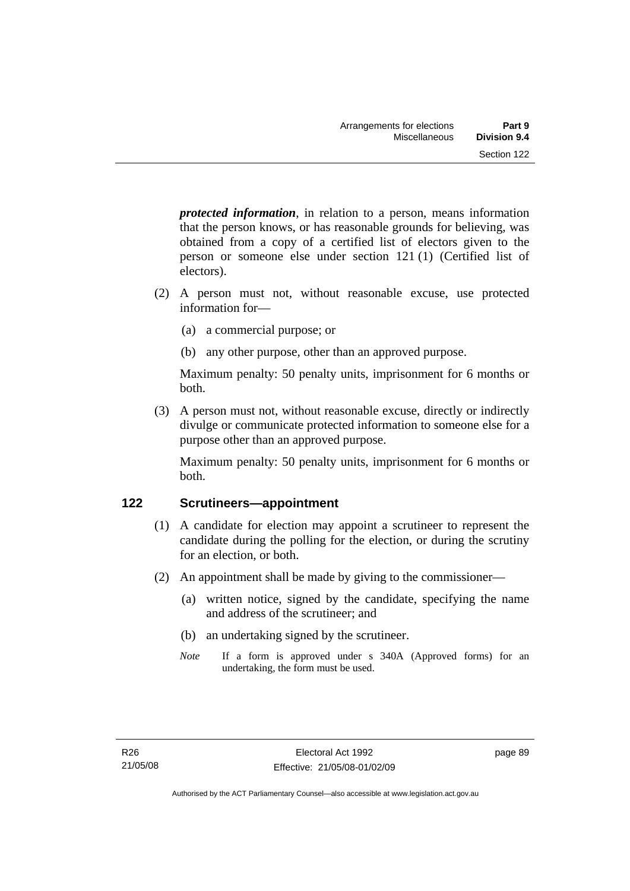*protected information*, in relation to a person, means information that the person knows, or has reasonable grounds for believing, was obtained from a copy of a certified list of electors given to the person or someone else under section 121 (1) (Certified list of electors).

- (2) A person must not, without reasonable excuse, use protected information for—
	- (a) a commercial purpose; or
	- (b) any other purpose, other than an approved purpose.

Maximum penalty: 50 penalty units, imprisonment for 6 months or both.

 (3) A person must not, without reasonable excuse, directly or indirectly divulge or communicate protected information to someone else for a purpose other than an approved purpose.

Maximum penalty: 50 penalty units, imprisonment for 6 months or both.

## **122 Scrutineers—appointment**

- (1) A candidate for election may appoint a scrutineer to represent the candidate during the polling for the election, or during the scrutiny for an election, or both.
- (2) An appointment shall be made by giving to the commissioner—
	- (a) written notice, signed by the candidate, specifying the name and address of the scrutineer; and
	- (b) an undertaking signed by the scrutineer.
	- *Note* If a form is approved under s 340A (Approved forms) for an undertaking, the form must be used.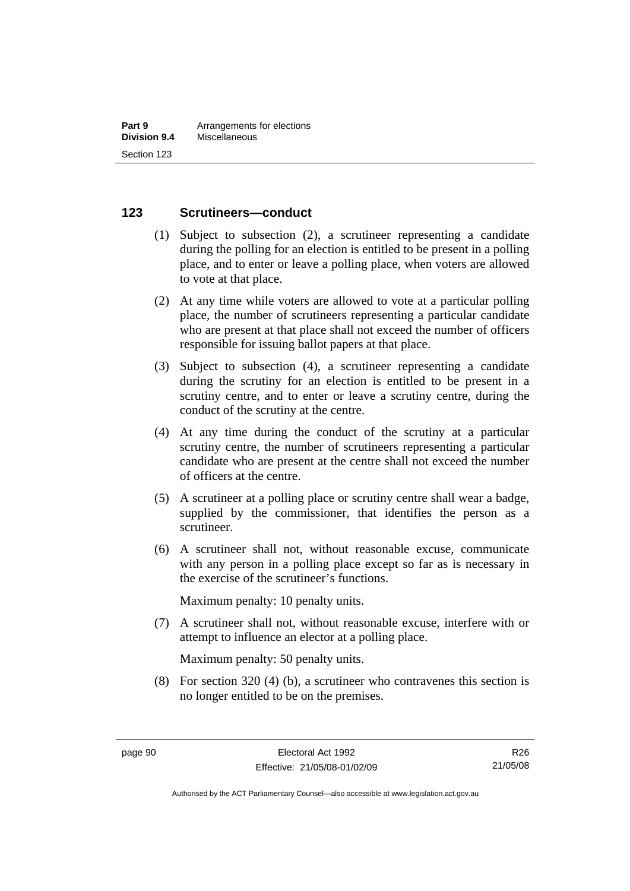#### **123 Scrutineers—conduct**

- (1) Subject to subsection (2), a scrutineer representing a candidate during the polling for an election is entitled to be present in a polling place, and to enter or leave a polling place, when voters are allowed to vote at that place.
- (2) At any time while voters are allowed to vote at a particular polling place, the number of scrutineers representing a particular candidate who are present at that place shall not exceed the number of officers responsible for issuing ballot papers at that place.
- (3) Subject to subsection (4), a scrutineer representing a candidate during the scrutiny for an election is entitled to be present in a scrutiny centre, and to enter or leave a scrutiny centre, during the conduct of the scrutiny at the centre.
- (4) At any time during the conduct of the scrutiny at a particular scrutiny centre, the number of scrutineers representing a particular candidate who are present at the centre shall not exceed the number of officers at the centre.
- (5) A scrutineer at a polling place or scrutiny centre shall wear a badge, supplied by the commissioner, that identifies the person as a scrutineer.
- (6) A scrutineer shall not, without reasonable excuse, communicate with any person in a polling place except so far as is necessary in the exercise of the scrutineer's functions.

Maximum penalty: 10 penalty units.

 (7) A scrutineer shall not, without reasonable excuse, interfere with or attempt to influence an elector at a polling place.

Maximum penalty: 50 penalty units.

 (8) For section 320 (4) (b), a scrutineer who contravenes this section is no longer entitled to be on the premises.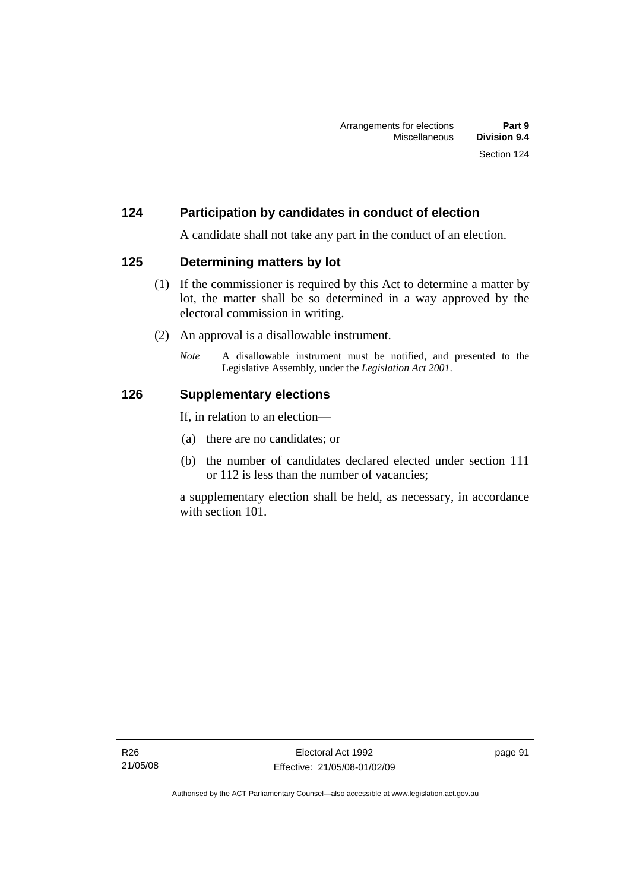### **124 Participation by candidates in conduct of election**

A candidate shall not take any part in the conduct of an election.

### **125 Determining matters by lot**

- (1) If the commissioner is required by this Act to determine a matter by lot, the matter shall be so determined in a way approved by the electoral commission in writing.
- (2) An approval is a disallowable instrument.
	- *Note* A disallowable instrument must be notified, and presented to the Legislative Assembly, under the *Legislation Act 2001*.

### **126 Supplementary elections**

If, in relation to an election—

- (a) there are no candidates; or
- (b) the number of candidates declared elected under section 111 or 112 is less than the number of vacancies;

a supplementary election shall be held, as necessary, in accordance with section 101.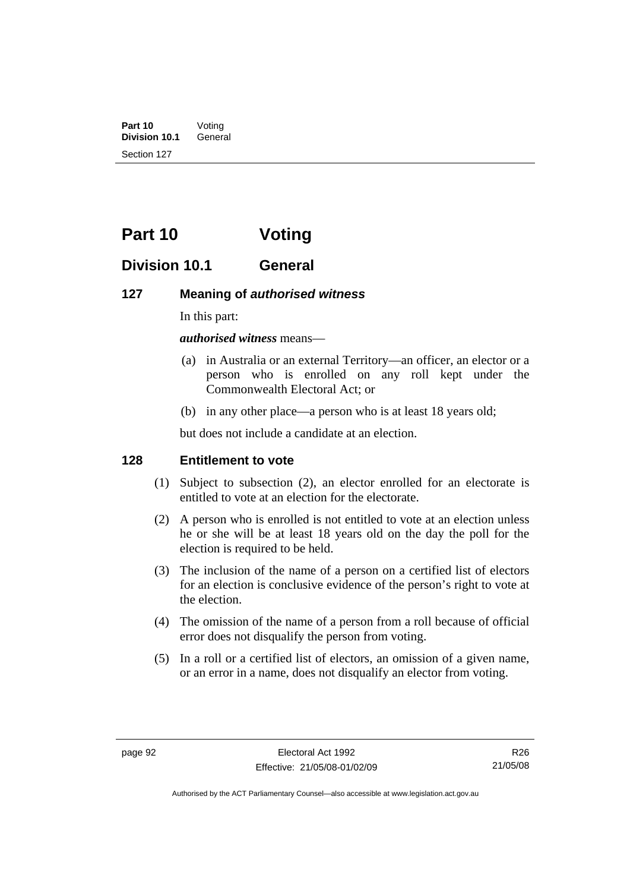**Part 10** Voting<br>**Division 10.1** General **Division 10.1** Section 127

# **Part 10 Voting**

## **Division 10.1 General**

#### **127 Meaning of** *authorised witness*

In this part:

*authorised witness* means—

- (a) in Australia or an external Territory—an officer, an elector or a person who is enrolled on any roll kept under the Commonwealth Electoral Act; or
- (b) in any other place—a person who is at least 18 years old;

but does not include a candidate at an election.

## **128 Entitlement to vote**

- (1) Subject to subsection (2), an elector enrolled for an electorate is entitled to vote at an election for the electorate.
- (2) A person who is enrolled is not entitled to vote at an election unless he or she will be at least 18 years old on the day the poll for the election is required to be held.
- (3) The inclusion of the name of a person on a certified list of electors for an election is conclusive evidence of the person's right to vote at the election.
- (4) The omission of the name of a person from a roll because of official error does not disqualify the person from voting.
- (5) In a roll or a certified list of electors, an omission of a given name, or an error in a name, does not disqualify an elector from voting.

Authorised by the ACT Parliamentary Counsel—also accessible at www.legislation.act.gov.au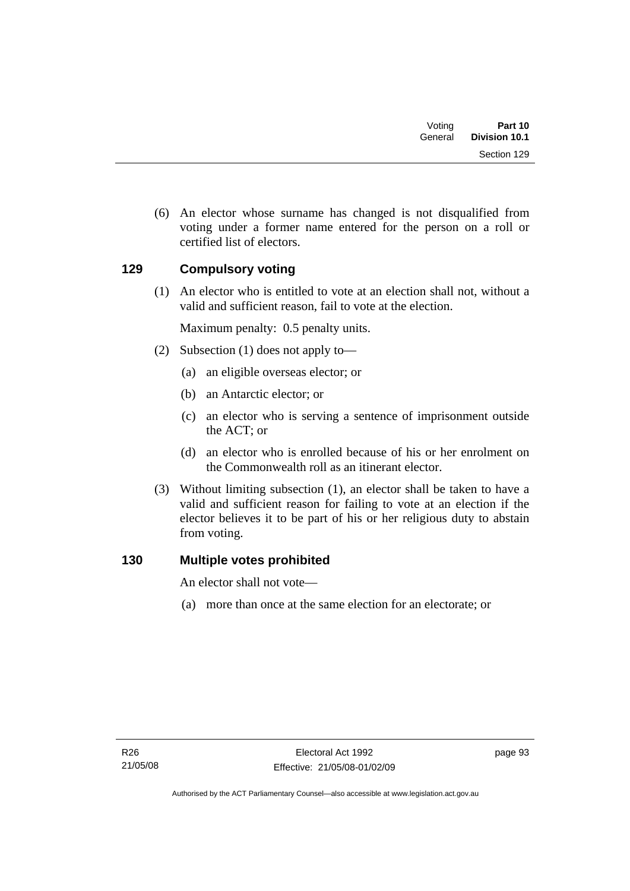| Part 10<br><b>Division 10.1</b> | Votina<br>General |  |
|---------------------------------|-------------------|--|
| Section 129                     |                   |  |

 (6) An elector whose surname has changed is not disqualified from voting under a former name entered for the person on a roll or certified list of electors.

## **129 Compulsory voting**

 (1) An elector who is entitled to vote at an election shall not, without a valid and sufficient reason, fail to vote at the election.

Maximum penalty: 0.5 penalty units.

- (2) Subsection (1) does not apply to—
	- (a) an eligible overseas elector; or
	- (b) an Antarctic elector; or
	- (c) an elector who is serving a sentence of imprisonment outside the ACT; or
	- (d) an elector who is enrolled because of his or her enrolment on the Commonwealth roll as an itinerant elector.
- (3) Without limiting subsection (1), an elector shall be taken to have a valid and sufficient reason for failing to vote at an election if the elector believes it to be part of his or her religious duty to abstain from voting.

## **130 Multiple votes prohibited**

An elector shall not vote—

(a) more than once at the same election for an electorate; or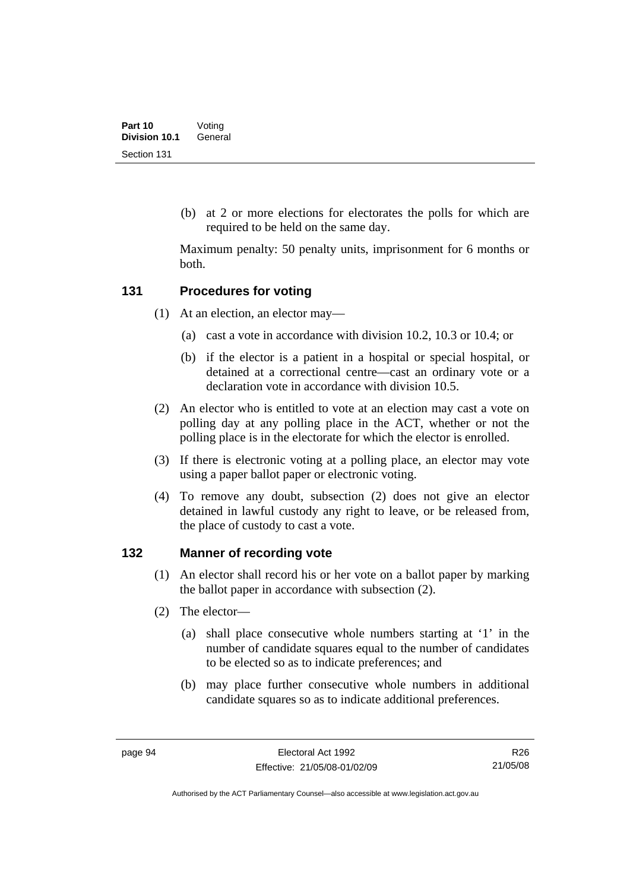(b) at 2 or more elections for electorates the polls for which are required to be held on the same day.

Maximum penalty: 50 penalty units, imprisonment for 6 months or both.

### **131 Procedures for voting**

- (1) At an election, an elector may—
	- (a) cast a vote in accordance with division 10.2, 10.3 or 10.4; or
	- (b) if the elector is a patient in a hospital or special hospital, or detained at a correctional centre—cast an ordinary vote or a declaration vote in accordance with division 10.5.
- (2) An elector who is entitled to vote at an election may cast a vote on polling day at any polling place in the ACT, whether or not the polling place is in the electorate for which the elector is enrolled.
- (3) If there is electronic voting at a polling place, an elector may vote using a paper ballot paper or electronic voting.
- (4) To remove any doubt, subsection (2) does not give an elector detained in lawful custody any right to leave, or be released from, the place of custody to cast a vote.

### **132 Manner of recording vote**

- (1) An elector shall record his or her vote on a ballot paper by marking the ballot paper in accordance with subsection (2).
- (2) The elector—
	- (a) shall place consecutive whole numbers starting at '1' in the number of candidate squares equal to the number of candidates to be elected so as to indicate preferences; and
	- (b) may place further consecutive whole numbers in additional candidate squares so as to indicate additional preferences.

R26 21/05/08

Authorised by the ACT Parliamentary Counsel—also accessible at www.legislation.act.gov.au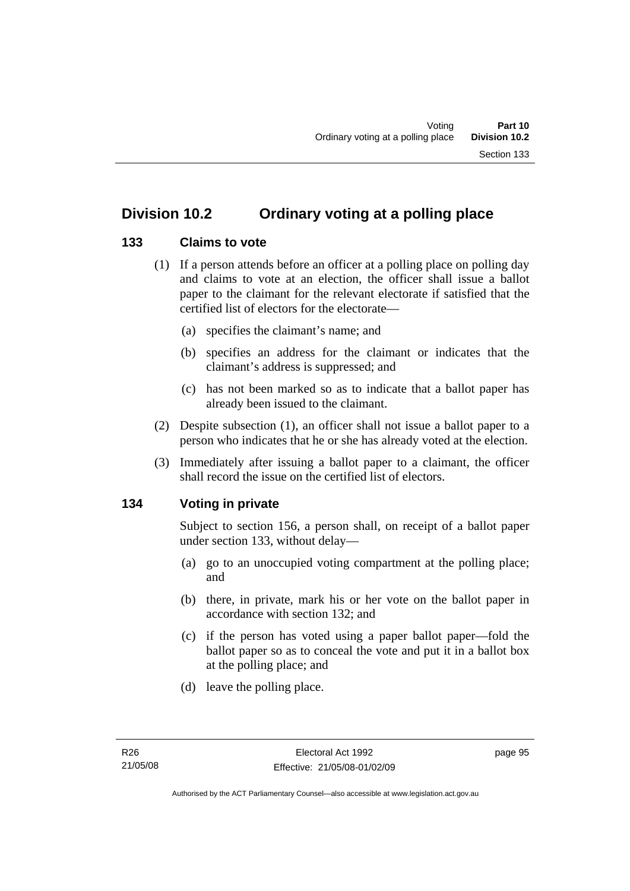## **133 Claims to vote**

- (1) If a person attends before an officer at a polling place on polling day and claims to vote at an election, the officer shall issue a ballot paper to the claimant for the relevant electorate if satisfied that the certified list of electors for the electorate—
	- (a) specifies the claimant's name; and
	- (b) specifies an address for the claimant or indicates that the claimant's address is suppressed; and
	- (c) has not been marked so as to indicate that a ballot paper has already been issued to the claimant.
- (2) Despite subsection (1), an officer shall not issue a ballot paper to a person who indicates that he or she has already voted at the election.
- (3) Immediately after issuing a ballot paper to a claimant, the officer shall record the issue on the certified list of electors.

## **134 Voting in private**

Subject to section 156, a person shall, on receipt of a ballot paper under section 133, without delay—

- (a) go to an unoccupied voting compartment at the polling place; and
- (b) there, in private, mark his or her vote on the ballot paper in accordance with section 132; and
- (c) if the person has voted using a paper ballot paper—fold the ballot paper so as to conceal the vote and put it in a ballot box at the polling place; and
- (d) leave the polling place.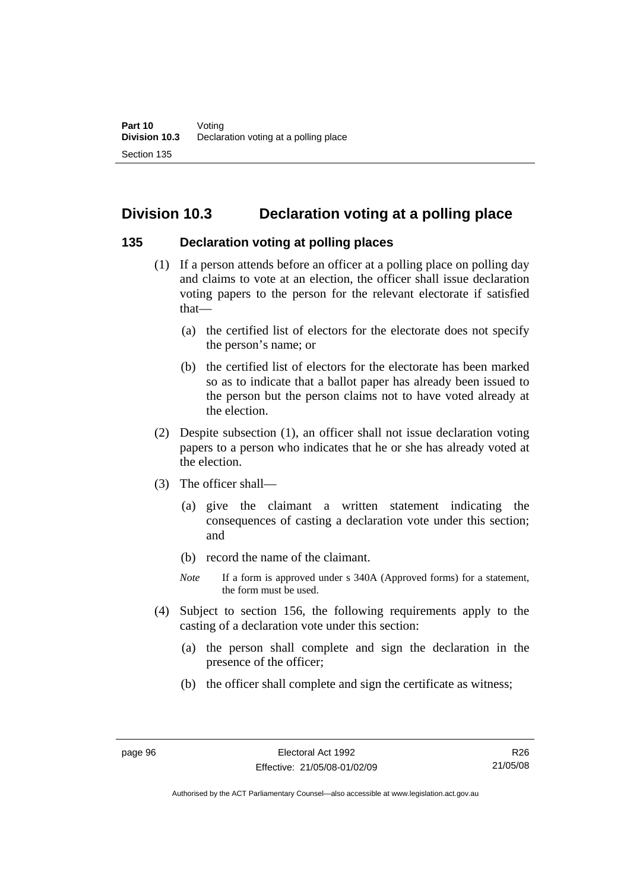# **Division 10.3 Declaration voting at a polling place**

### **135 Declaration voting at polling places**

- (1) If a person attends before an officer at a polling place on polling day and claims to vote at an election, the officer shall issue declaration voting papers to the person for the relevant electorate if satisfied that—
	- (a) the certified list of electors for the electorate does not specify the person's name; or
	- (b) the certified list of electors for the electorate has been marked so as to indicate that a ballot paper has already been issued to the person but the person claims not to have voted already at the election.
- (2) Despite subsection (1), an officer shall not issue declaration voting papers to a person who indicates that he or she has already voted at the election.
- (3) The officer shall—
	- (a) give the claimant a written statement indicating the consequences of casting a declaration vote under this section; and
	- (b) record the name of the claimant.
	- *Note* If a form is approved under s 340A (Approved forms) for a statement, the form must be used.
- (4) Subject to section 156, the following requirements apply to the casting of a declaration vote under this section:
	- (a) the person shall complete and sign the declaration in the presence of the officer;
	- (b) the officer shall complete and sign the certificate as witness;

R26 21/05/08

Authorised by the ACT Parliamentary Counsel—also accessible at www.legislation.act.gov.au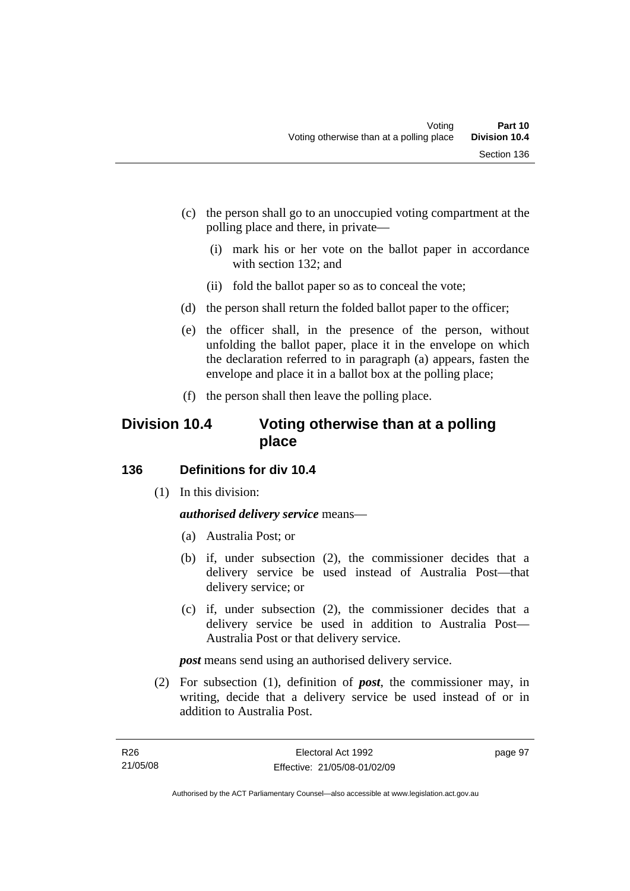- (c) the person shall go to an unoccupied voting compartment at the polling place and there, in private—
	- (i) mark his or her vote on the ballot paper in accordance with section 132; and
	- (ii) fold the ballot paper so as to conceal the vote;
- (d) the person shall return the folded ballot paper to the officer;
- (e) the officer shall, in the presence of the person, without unfolding the ballot paper, place it in the envelope on which the declaration referred to in paragraph (a) appears, fasten the envelope and place it in a ballot box at the polling place;
- (f) the person shall then leave the polling place.

## **Division 10.4 Voting otherwise than at a polling place**

## **136 Definitions for div 10.4**

(1) In this division:

## *authorised delivery service* means—

- (a) Australia Post; or
- (b) if, under subsection (2), the commissioner decides that a delivery service be used instead of Australia Post—that delivery service; or
- (c) if, under subsection (2), the commissioner decides that a delivery service be used in addition to Australia Post— Australia Post or that delivery service.

*post* means send using an authorised delivery service.

 (2) For subsection (1), definition of *post*, the commissioner may, in writing, decide that a delivery service be used instead of or in addition to Australia Post.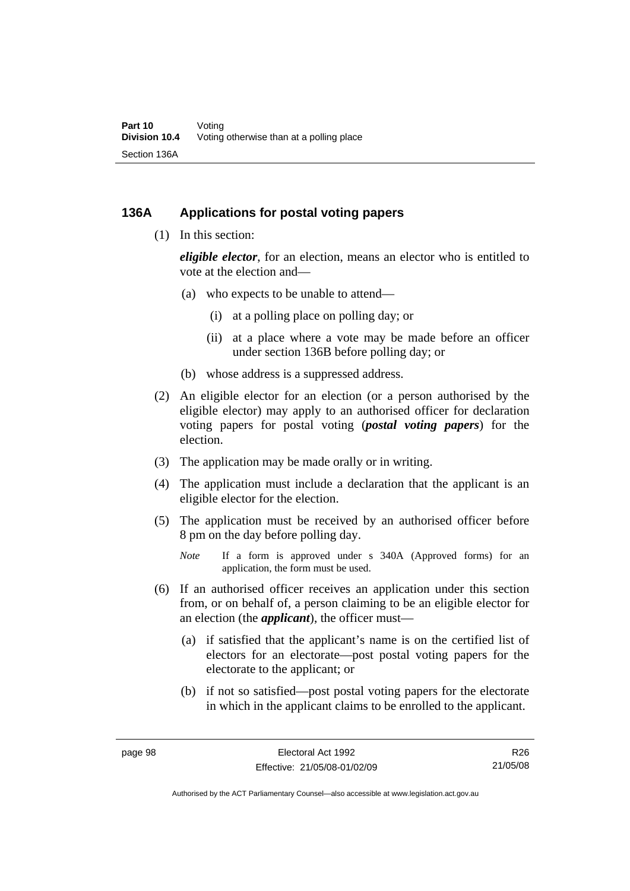### **136A Applications for postal voting papers**

(1) In this section:

*eligible elector*, for an election, means an elector who is entitled to vote at the election and—

- (a) who expects to be unable to attend—
	- (i) at a polling place on polling day; or
	- (ii) at a place where a vote may be made before an officer under section 136B before polling day; or
- (b) whose address is a suppressed address.
- (2) An eligible elector for an election (or a person authorised by the eligible elector) may apply to an authorised officer for declaration voting papers for postal voting (*postal voting papers*) for the election.
- (3) The application may be made orally or in writing.
- (4) The application must include a declaration that the applicant is an eligible elector for the election.
- (5) The application must be received by an authorised officer before 8 pm on the day before polling day.
	- *Note* If a form is approved under s 340A (Approved forms) for an application, the form must be used.
- (6) If an authorised officer receives an application under this section from, or on behalf of, a person claiming to be an eligible elector for an election (the *applicant*), the officer must—
	- (a) if satisfied that the applicant's name is on the certified list of electors for an electorate—post postal voting papers for the electorate to the applicant; or
	- (b) if not so satisfied—post postal voting papers for the electorate in which in the applicant claims to be enrolled to the applicant.

R26 21/05/08

Authorised by the ACT Parliamentary Counsel—also accessible at www.legislation.act.gov.au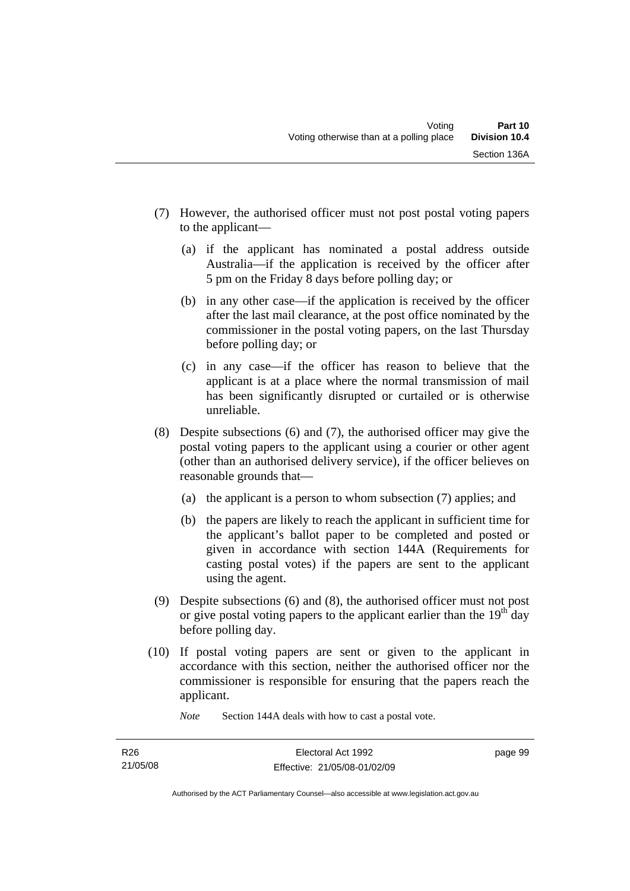- (7) However, the authorised officer must not post postal voting papers to the applicant—
	- (a) if the applicant has nominated a postal address outside Australia—if the application is received by the officer after 5 pm on the Friday 8 days before polling day; or
	- (b) in any other case—if the application is received by the officer after the last mail clearance, at the post office nominated by the commissioner in the postal voting papers, on the last Thursday before polling day; or
	- (c) in any case—if the officer has reason to believe that the applicant is at a place where the normal transmission of mail has been significantly disrupted or curtailed or is otherwise unreliable.
- (8) Despite subsections (6) and (7), the authorised officer may give the postal voting papers to the applicant using a courier or other agent (other than an authorised delivery service), if the officer believes on reasonable grounds that—
	- (a) the applicant is a person to whom subsection (7) applies; and
	- (b) the papers are likely to reach the applicant in sufficient time for the applicant's ballot paper to be completed and posted or given in accordance with section 144A (Requirements for casting postal votes) if the papers are sent to the applicant using the agent.
- (9) Despite subsections (6) and (8), the authorised officer must not post or give postal voting papers to the applicant earlier than the  $19<sup>th</sup>$  day before polling day.
- (10) If postal voting papers are sent or given to the applicant in accordance with this section, neither the authorised officer nor the commissioner is responsible for ensuring that the papers reach the applicant.

*Note* Section 144A deals with how to cast a postal vote.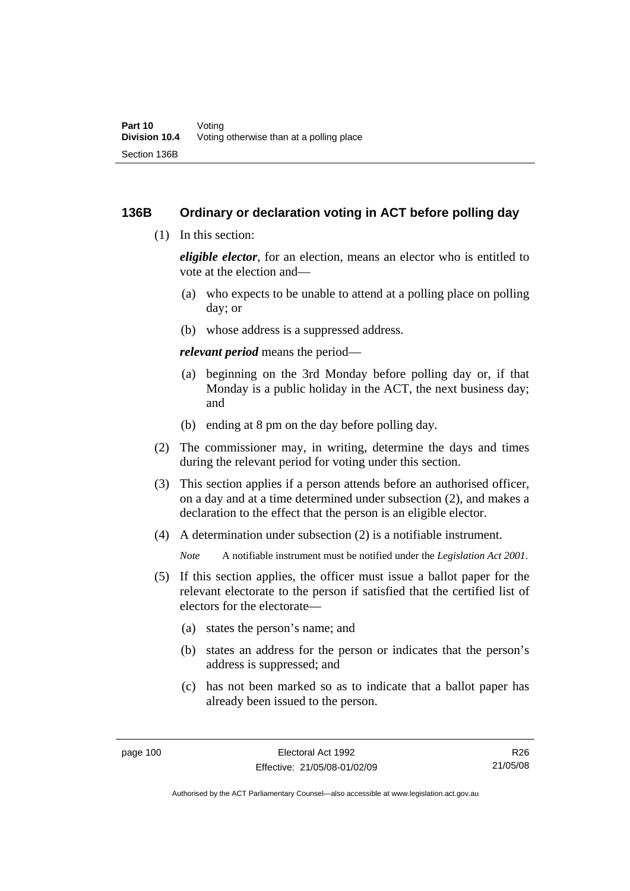### **136B Ordinary or declaration voting in ACT before polling day**

(1) In this section:

*eligible elector*, for an election, means an elector who is entitled to vote at the election and—

- (a) who expects to be unable to attend at a polling place on polling day; or
- (b) whose address is a suppressed address.

*relevant period* means the period—

- (a) beginning on the 3rd Monday before polling day or, if that Monday is a public holiday in the ACT, the next business day; and
- (b) ending at 8 pm on the day before polling day.
- (2) The commissioner may, in writing, determine the days and times during the relevant period for voting under this section.
- (3) This section applies if a person attends before an authorised officer, on a day and at a time determined under subsection (2), and makes a declaration to the effect that the person is an eligible elector.
- (4) A determination under subsection (2) is a notifiable instrument.

*Note* A notifiable instrument must be notified under the *Legislation Act 2001*.

- (5) If this section applies, the officer must issue a ballot paper for the relevant electorate to the person if satisfied that the certified list of electors for the electorate—
	- (a) states the person's name; and
	- (b) states an address for the person or indicates that the person's address is suppressed; and
	- (c) has not been marked so as to indicate that a ballot paper has already been issued to the person.

R26 21/05/08

Authorised by the ACT Parliamentary Counsel—also accessible at www.legislation.act.gov.au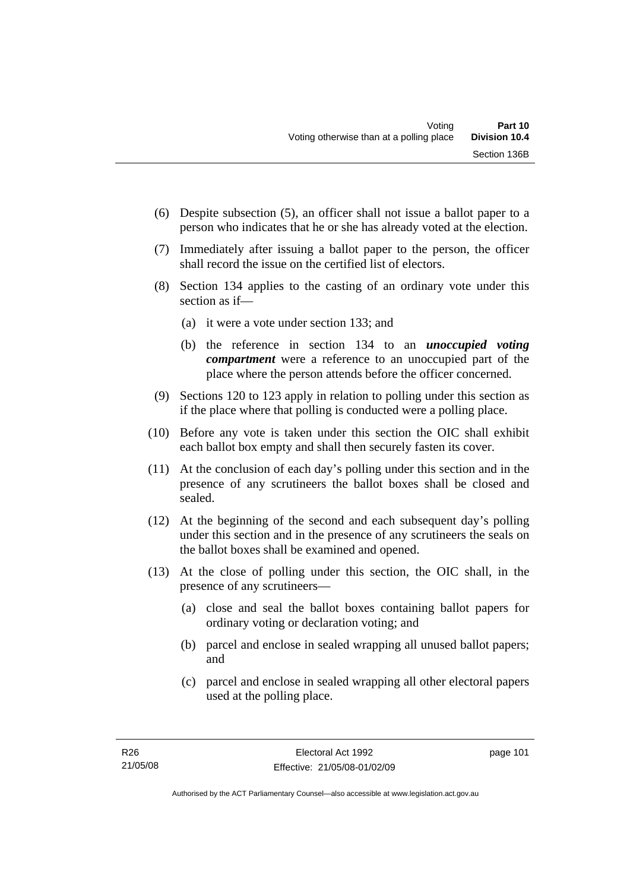- (6) Despite subsection (5), an officer shall not issue a ballot paper to a person who indicates that he or she has already voted at the election.
- (7) Immediately after issuing a ballot paper to the person, the officer shall record the issue on the certified list of electors.
- (8) Section 134 applies to the casting of an ordinary vote under this section as if—
	- (a) it were a vote under section 133; and
	- (b) the reference in section 134 to an *unoccupied voting compartment* were a reference to an unoccupied part of the place where the person attends before the officer concerned.
- (9) Sections 120 to 123 apply in relation to polling under this section as if the place where that polling is conducted were a polling place.
- (10) Before any vote is taken under this section the OIC shall exhibit each ballot box empty and shall then securely fasten its cover.
- (11) At the conclusion of each day's polling under this section and in the presence of any scrutineers the ballot boxes shall be closed and sealed.
- (12) At the beginning of the second and each subsequent day's polling under this section and in the presence of any scrutineers the seals on the ballot boxes shall be examined and opened.
- (13) At the close of polling under this section, the OIC shall, in the presence of any scrutineers—
	- (a) close and seal the ballot boxes containing ballot papers for ordinary voting or declaration voting; and
	- (b) parcel and enclose in sealed wrapping all unused ballot papers; and
	- (c) parcel and enclose in sealed wrapping all other electoral papers used at the polling place.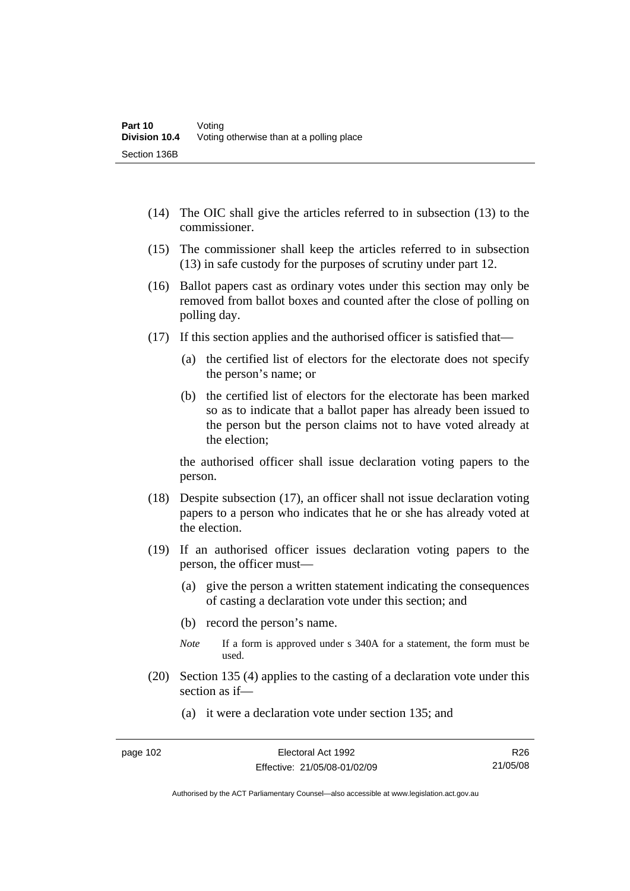- (14) The OIC shall give the articles referred to in subsection (13) to the commissioner.
- (15) The commissioner shall keep the articles referred to in subsection (13) in safe custody for the purposes of scrutiny under part 12.
- (16) Ballot papers cast as ordinary votes under this section may only be removed from ballot boxes and counted after the close of polling on polling day.
- (17) If this section applies and the authorised officer is satisfied that—
	- (a) the certified list of electors for the electorate does not specify the person's name; or
	- (b) the certified list of electors for the electorate has been marked so as to indicate that a ballot paper has already been issued to the person but the person claims not to have voted already at the election;

the authorised officer shall issue declaration voting papers to the person.

- (18) Despite subsection (17), an officer shall not issue declaration voting papers to a person who indicates that he or she has already voted at the election.
- (19) If an authorised officer issues declaration voting papers to the person, the officer must—
	- (a) give the person a written statement indicating the consequences of casting a declaration vote under this section; and
	- (b) record the person's name.
	- *Note* If a form is approved under s 340A for a statement, the form must be used.
- (20) Section 135 (4) applies to the casting of a declaration vote under this section as if—
	- (a) it were a declaration vote under section 135; and

R26 21/05/08

Authorised by the ACT Parliamentary Counsel—also accessible at www.legislation.act.gov.au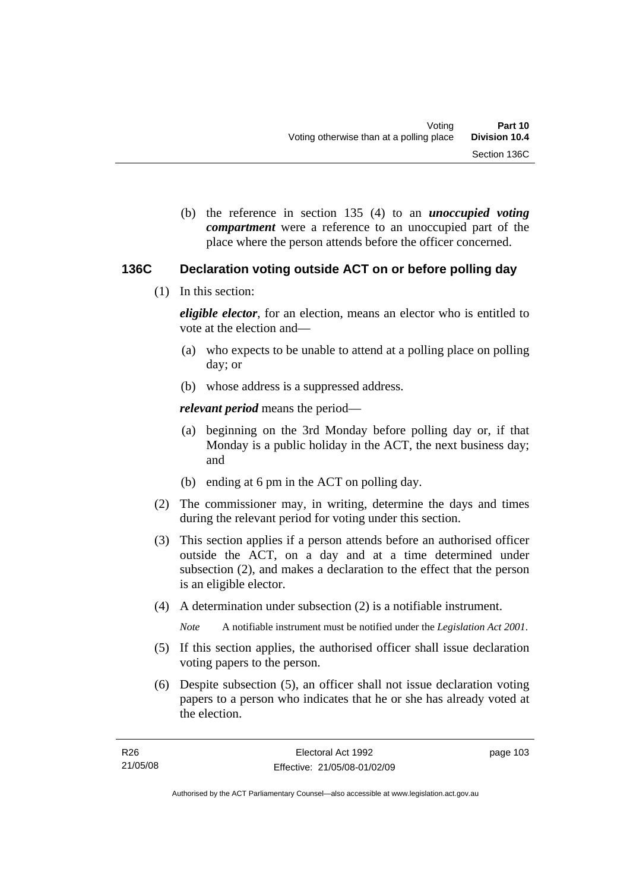(b) the reference in section 135 (4) to an *unoccupied voting compartment* were a reference to an unoccupied part of the place where the person attends before the officer concerned.

## **136C Declaration voting outside ACT on or before polling day**

(1) In this section:

*eligible elector*, for an election, means an elector who is entitled to vote at the election and—

- (a) who expects to be unable to attend at a polling place on polling day; or
- (b) whose address is a suppressed address.

*relevant period* means the period—

- (a) beginning on the 3rd Monday before polling day or, if that Monday is a public holiday in the ACT, the next business day; and
- (b) ending at 6 pm in the ACT on polling day.
- (2) The commissioner may, in writing, determine the days and times during the relevant period for voting under this section.
- (3) This section applies if a person attends before an authorised officer outside the ACT, on a day and at a time determined under subsection (2), and makes a declaration to the effect that the person is an eligible elector.
- (4) A determination under subsection (2) is a notifiable instrument.

*Note* A notifiable instrument must be notified under the *Legislation Act 2001*.

- (5) If this section applies, the authorised officer shall issue declaration voting papers to the person.
- (6) Despite subsection (5), an officer shall not issue declaration voting papers to a person who indicates that he or she has already voted at the election.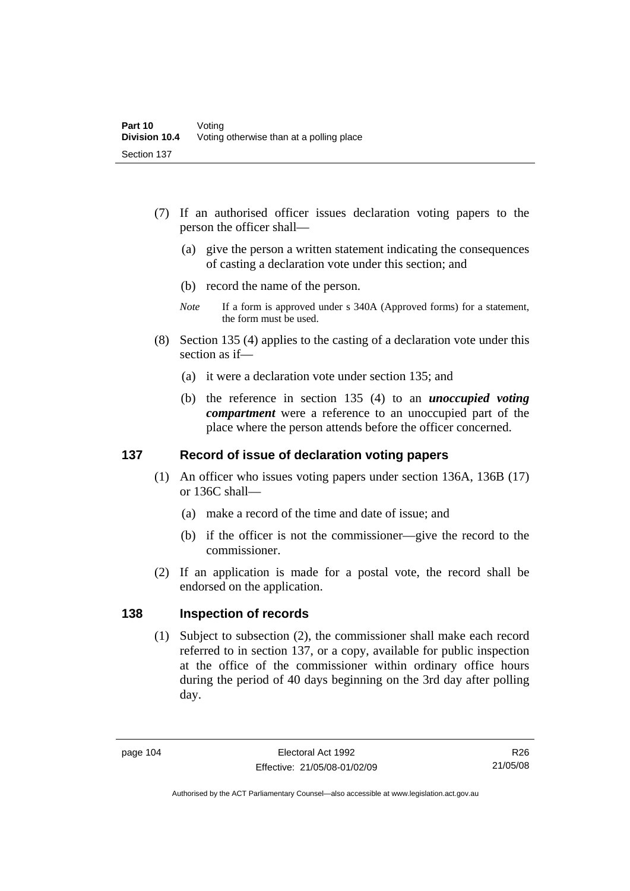- (7) If an authorised officer issues declaration voting papers to the person the officer shall—
	- (a) give the person a written statement indicating the consequences of casting a declaration vote under this section; and
	- (b) record the name of the person.
	- *Note* If a form is approved under s 340A (Approved forms) for a statement, the form must be used.
- (8) Section 135 (4) applies to the casting of a declaration vote under this section as if—
	- (a) it were a declaration vote under section 135; and
	- (b) the reference in section 135 (4) to an *unoccupied voting compartment* were a reference to an unoccupied part of the place where the person attends before the officer concerned.

### **137 Record of issue of declaration voting papers**

- (1) An officer who issues voting papers under section 136A, 136B (17) or 136C shall—
	- (a) make a record of the time and date of issue; and
	- (b) if the officer is not the commissioner—give the record to the commissioner.
- (2) If an application is made for a postal vote, the record shall be endorsed on the application.

### **138 Inspection of records**

 (1) Subject to subsection (2), the commissioner shall make each record referred to in section 137, or a copy, available for public inspection at the office of the commissioner within ordinary office hours during the period of 40 days beginning on the 3rd day after polling day.

R26 21/05/08

Authorised by the ACT Parliamentary Counsel—also accessible at www.legislation.act.gov.au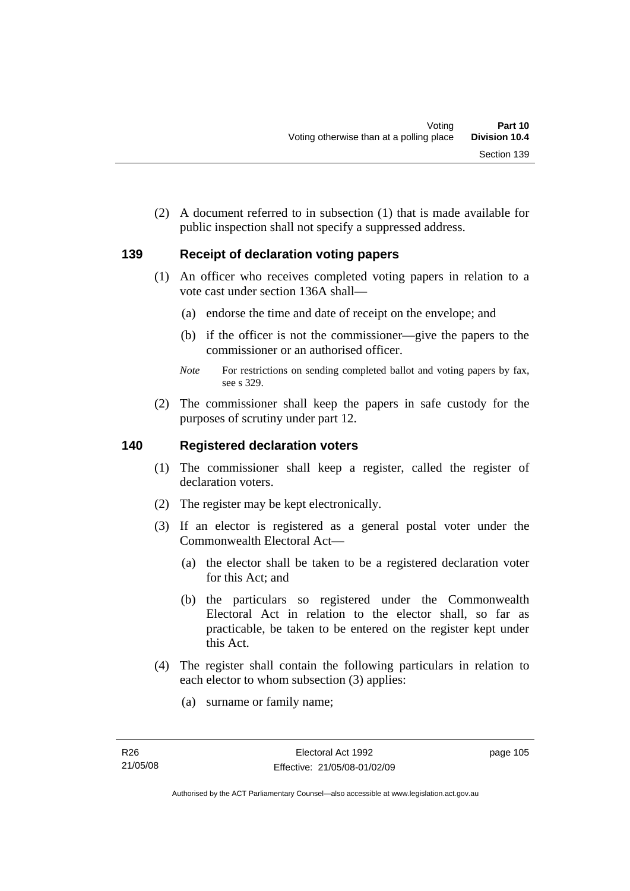(2) A document referred to in subsection (1) that is made available for public inspection shall not specify a suppressed address.

## **139 Receipt of declaration voting papers**

- (1) An officer who receives completed voting papers in relation to a vote cast under section 136A shall—
	- (a) endorse the time and date of receipt on the envelope; and
	- (b) if the officer is not the commissioner—give the papers to the commissioner or an authorised officer.
	- *Note* For restrictions on sending completed ballot and voting papers by fax, see s 329.
- (2) The commissioner shall keep the papers in safe custody for the purposes of scrutiny under part 12.

### **140 Registered declaration voters**

- (1) The commissioner shall keep a register, called the register of declaration voters.
- (2) The register may be kept electronically.
- (3) If an elector is registered as a general postal voter under the Commonwealth Electoral Act—
	- (a) the elector shall be taken to be a registered declaration voter for this Act; and
	- (b) the particulars so registered under the Commonwealth Electoral Act in relation to the elector shall, so far as practicable, be taken to be entered on the register kept under this Act.
- (4) The register shall contain the following particulars in relation to each elector to whom subsection (3) applies:
	- (a) surname or family name;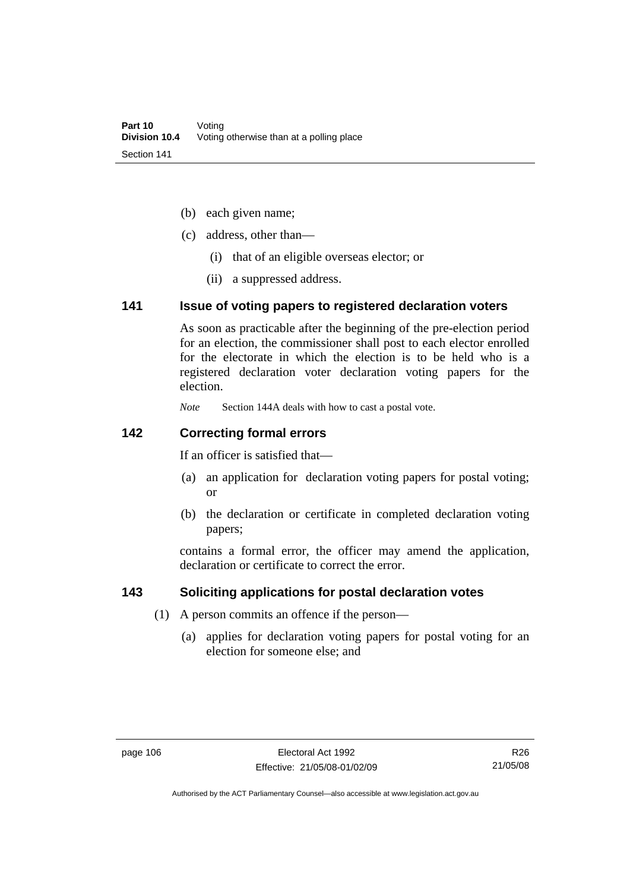- (b) each given name;
- (c) address, other than—
	- (i) that of an eligible overseas elector; or
	- (ii) a suppressed address.

### **141 Issue of voting papers to registered declaration voters**

As soon as practicable after the beginning of the pre-election period for an election, the commissioner shall post to each elector enrolled for the electorate in which the election is to be held who is a registered declaration voter declaration voting papers for the election.

*Note* Section 144A deals with how to cast a postal vote.

### **142 Correcting formal errors**

If an officer is satisfied that—

- (a) an application for declaration voting papers for postal voting; or
- (b) the declaration or certificate in completed declaration voting papers;

contains a formal error, the officer may amend the application, declaration or certificate to correct the error.

### **143 Soliciting applications for postal declaration votes**

- (1) A person commits an offence if the person—
	- (a) applies for declaration voting papers for postal voting for an election for someone else; and

R26 21/05/08

Authorised by the ACT Parliamentary Counsel—also accessible at www.legislation.act.gov.au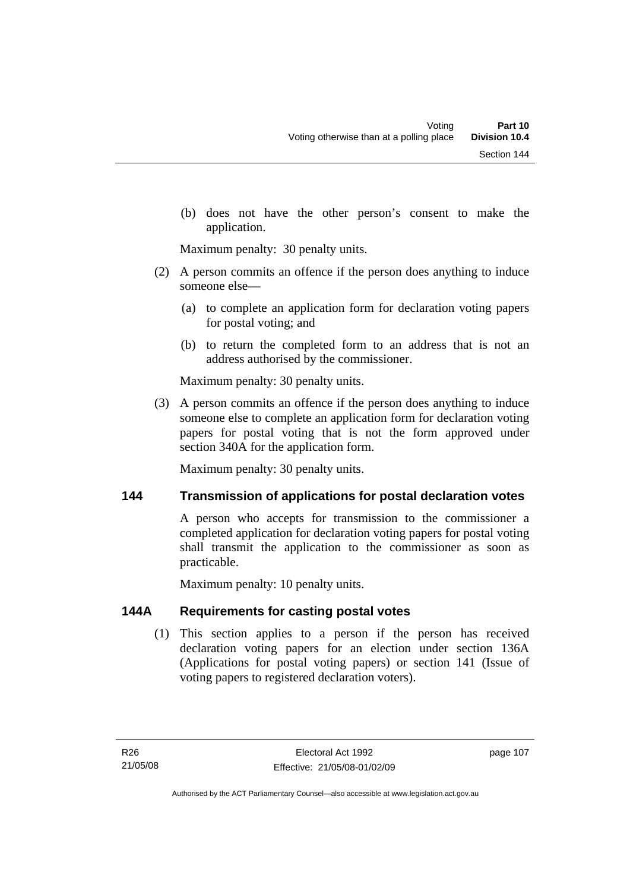(b) does not have the other person's consent to make the application.

Maximum penalty: 30 penalty units.

- (2) A person commits an offence if the person does anything to induce someone else—
	- (a) to complete an application form for declaration voting papers for postal voting; and
	- (b) to return the completed form to an address that is not an address authorised by the commissioner.

Maximum penalty: 30 penalty units.

 (3) A person commits an offence if the person does anything to induce someone else to complete an application form for declaration voting papers for postal voting that is not the form approved under section 340A for the application form.

Maximum penalty: 30 penalty units.

## **144 Transmission of applications for postal declaration votes**

A person who accepts for transmission to the commissioner a completed application for declaration voting papers for postal voting shall transmit the application to the commissioner as soon as practicable.

Maximum penalty: 10 penalty units.

## **144A Requirements for casting postal votes**

 (1) This section applies to a person if the person has received declaration voting papers for an election under section 136A (Applications for postal voting papers) or section 141 (Issue of voting papers to registered declaration voters).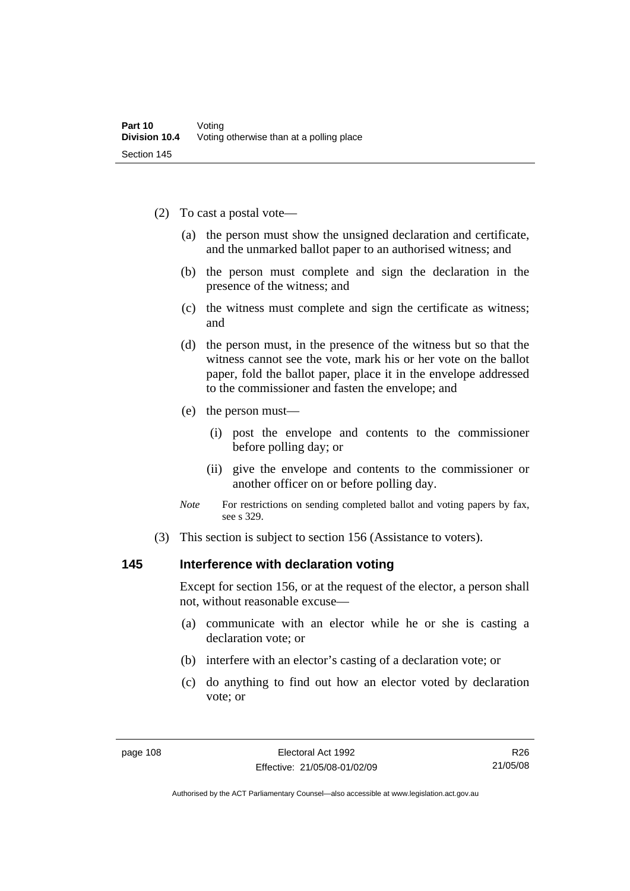- (2) To cast a postal vote—
	- (a) the person must show the unsigned declaration and certificate, and the unmarked ballot paper to an authorised witness; and
	- (b) the person must complete and sign the declaration in the presence of the witness; and
	- (c) the witness must complete and sign the certificate as witness; and
	- (d) the person must, in the presence of the witness but so that the witness cannot see the vote, mark his or her vote on the ballot paper, fold the ballot paper, place it in the envelope addressed to the commissioner and fasten the envelope; and
	- (e) the person must—
		- (i) post the envelope and contents to the commissioner before polling day; or
		- (ii) give the envelope and contents to the commissioner or another officer on or before polling day.
	- *Note* For restrictions on sending completed ballot and voting papers by fax, see s 329.
- (3) This section is subject to section 156 (Assistance to voters).

### **145 Interference with declaration voting**

Except for section 156, or at the request of the elector, a person shall not, without reasonable excuse—

- (a) communicate with an elector while he or she is casting a declaration vote; or
- (b) interfere with an elector's casting of a declaration vote; or
- (c) do anything to find out how an elector voted by declaration vote; or

R26 21/05/08

Authorised by the ACT Parliamentary Counsel—also accessible at www.legislation.act.gov.au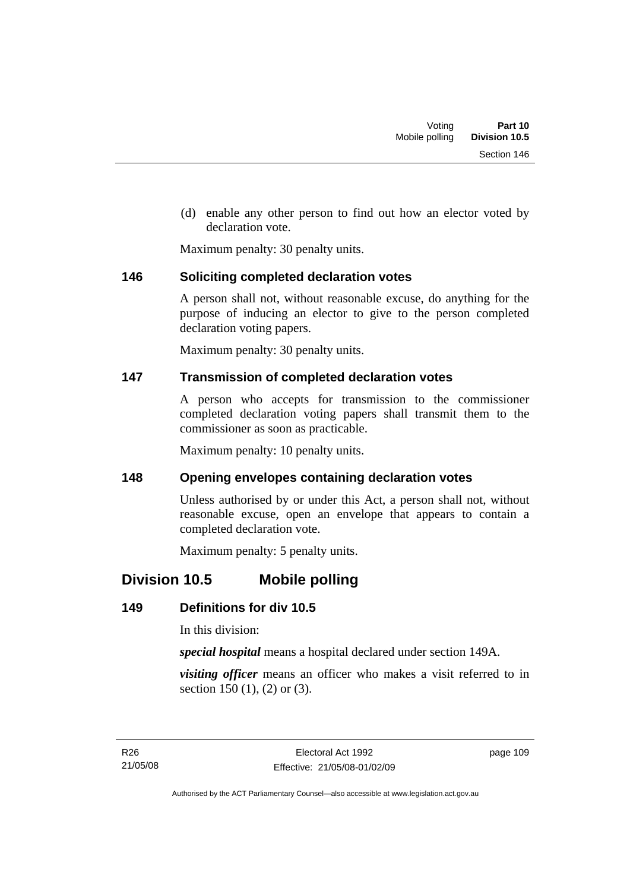(d) enable any other person to find out how an elector voted by declaration vote.

Maximum penalty: 30 penalty units.

## **146 Soliciting completed declaration votes**

A person shall not, without reasonable excuse, do anything for the purpose of inducing an elector to give to the person completed declaration voting papers.

Maximum penalty: 30 penalty units.

## **147 Transmission of completed declaration votes**

A person who accepts for transmission to the commissioner completed declaration voting papers shall transmit them to the commissioner as soon as practicable.

Maximum penalty: 10 penalty units.

## **148 Opening envelopes containing declaration votes**

Unless authorised by or under this Act, a person shall not, without reasonable excuse, open an envelope that appears to contain a completed declaration vote.

Maximum penalty: 5 penalty units.

# **Division 10.5 Mobile polling**

## **149 Definitions for div 10.5**

In this division:

*special hospital* means a hospital declared under section 149A.

*visiting officer* means an officer who makes a visit referred to in section 150 (1), (2) or (3).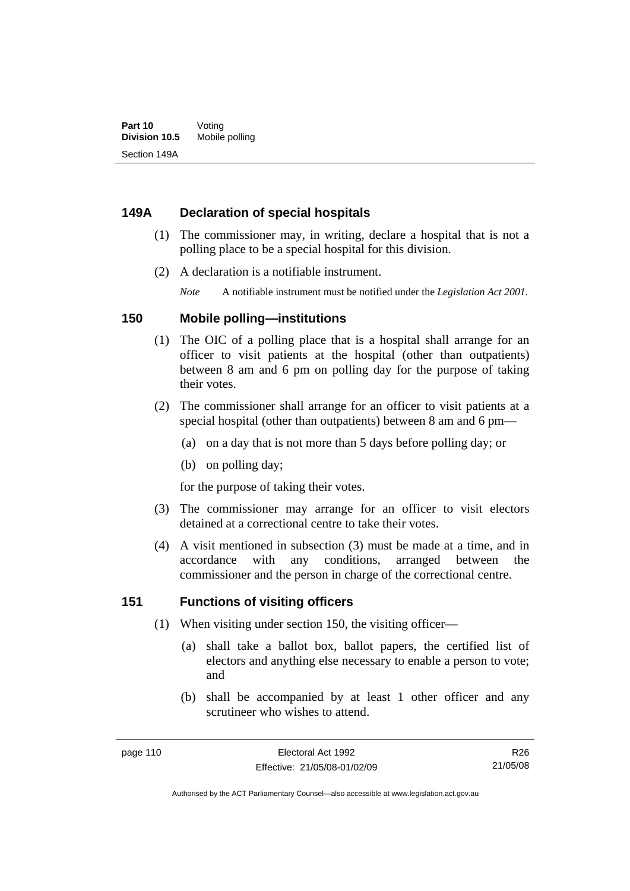### **149A Declaration of special hospitals**

- (1) The commissioner may, in writing, declare a hospital that is not a polling place to be a special hospital for this division.
- (2) A declaration is a notifiable instrument.

*Note* A notifiable instrument must be notified under the *Legislation Act 2001*.

### **150 Mobile polling—institutions**

- (1) The OIC of a polling place that is a hospital shall arrange for an officer to visit patients at the hospital (other than outpatients) between 8 am and 6 pm on polling day for the purpose of taking their votes.
- (2) The commissioner shall arrange for an officer to visit patients at a special hospital (other than outpatients) between 8 am and 6 pm—
	- (a) on a day that is not more than 5 days before polling day; or
	- (b) on polling day;

for the purpose of taking their votes.

- (3) The commissioner may arrange for an officer to visit electors detained at a correctional centre to take their votes.
- (4) A visit mentioned in subsection (3) must be made at a time, and in accordance with any conditions, arranged between the commissioner and the person in charge of the correctional centre.

### **151 Functions of visiting officers**

- (1) When visiting under section 150, the visiting officer—
	- (a) shall take a ballot box, ballot papers, the certified list of electors and anything else necessary to enable a person to vote; and
	- (b) shall be accompanied by at least 1 other officer and any scrutineer who wishes to attend.

R26 21/05/08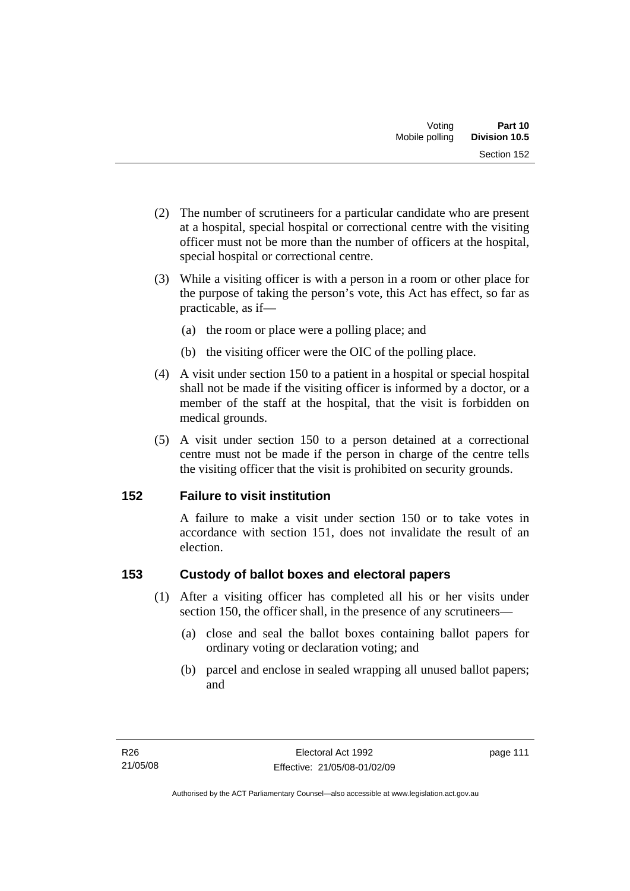- (2) The number of scrutineers for a particular candidate who are present at a hospital, special hospital or correctional centre with the visiting officer must not be more than the number of officers at the hospital, special hospital or correctional centre.
- (3) While a visiting officer is with a person in a room or other place for the purpose of taking the person's vote, this Act has effect, so far as practicable, as if—
	- (a) the room or place were a polling place; and
	- (b) the visiting officer were the OIC of the polling place.
- (4) A visit under section 150 to a patient in a hospital or special hospital shall not be made if the visiting officer is informed by a doctor, or a member of the staff at the hospital, that the visit is forbidden on medical grounds.
- (5) A visit under section 150 to a person detained at a correctional centre must not be made if the person in charge of the centre tells the visiting officer that the visit is prohibited on security grounds.

## **152 Failure to visit institution**

A failure to make a visit under section 150 or to take votes in accordance with section 151, does not invalidate the result of an election.

## **153 Custody of ballot boxes and electoral papers**

- (1) After a visiting officer has completed all his or her visits under section 150, the officer shall, in the presence of any scrutineers—
	- (a) close and seal the ballot boxes containing ballot papers for ordinary voting or declaration voting; and
	- (b) parcel and enclose in sealed wrapping all unused ballot papers; and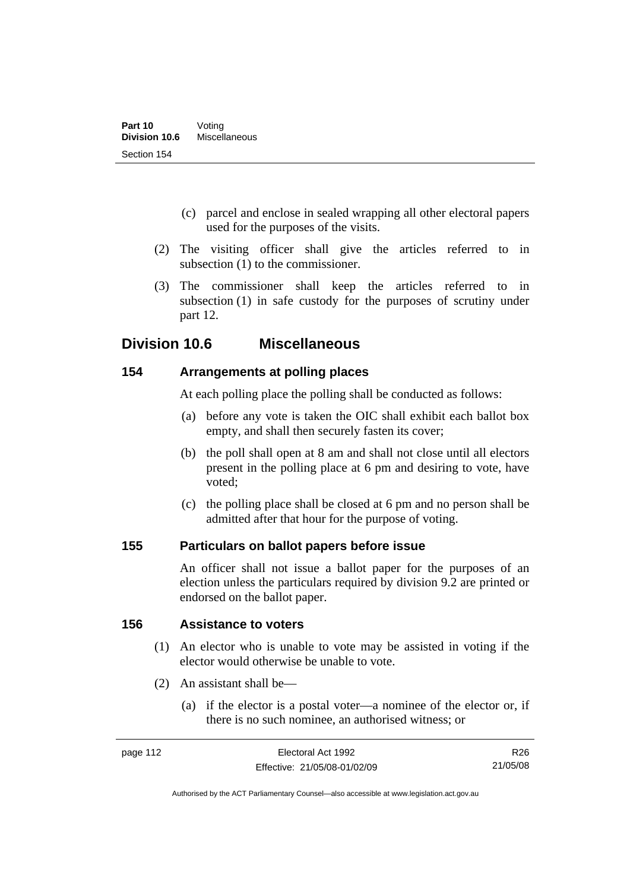- (c) parcel and enclose in sealed wrapping all other electoral papers used for the purposes of the visits.
- (2) The visiting officer shall give the articles referred to in subsection (1) to the commissioner.
- (3) The commissioner shall keep the articles referred to in subsection (1) in safe custody for the purposes of scrutiny under part 12.

## **Division 10.6 Miscellaneous**

### **154 Arrangements at polling places**

At each polling place the polling shall be conducted as follows:

- (a) before any vote is taken the OIC shall exhibit each ballot box empty, and shall then securely fasten its cover;
- (b) the poll shall open at 8 am and shall not close until all electors present in the polling place at 6 pm and desiring to vote, have voted;
- (c) the polling place shall be closed at 6 pm and no person shall be admitted after that hour for the purpose of voting.

## **155 Particulars on ballot papers before issue**

An officer shall not issue a ballot paper for the purposes of an election unless the particulars required by division 9.2 are printed or endorsed on the ballot paper.

### **156 Assistance to voters**

- (1) An elector who is unable to vote may be assisted in voting if the elector would otherwise be unable to vote.
- (2) An assistant shall be—
	- (a) if the elector is a postal voter—a nominee of the elector or, if there is no such nominee, an authorised witness; or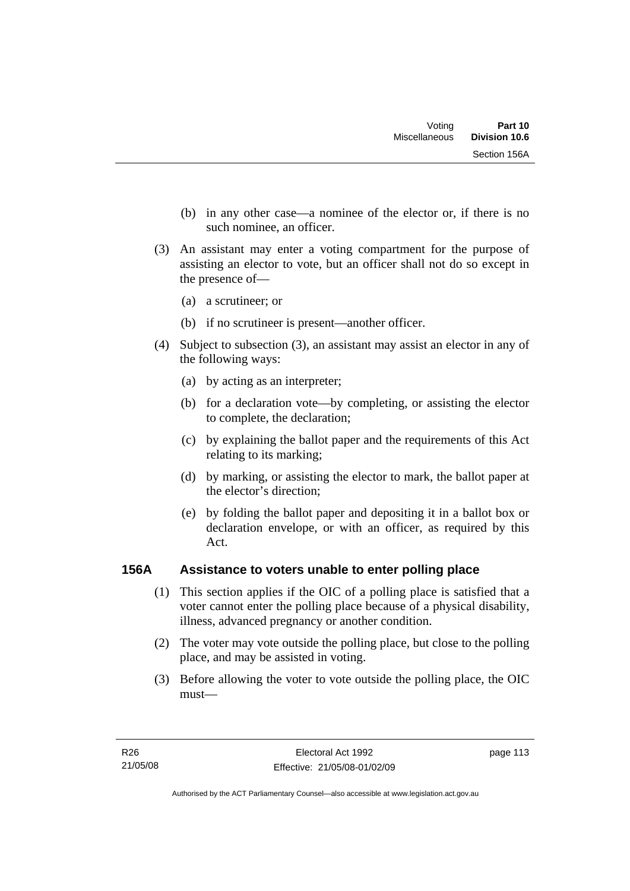- (b) in any other case—a nominee of the elector or, if there is no such nominee, an officer.
- (3) An assistant may enter a voting compartment for the purpose of assisting an elector to vote, but an officer shall not do so except in the presence of—
	- (a) a scrutineer; or
	- (b) if no scrutineer is present—another officer.
- (4) Subject to subsection (3), an assistant may assist an elector in any of the following ways:
	- (a) by acting as an interpreter;
	- (b) for a declaration vote—by completing, or assisting the elector to complete, the declaration;
	- (c) by explaining the ballot paper and the requirements of this Act relating to its marking;
	- (d) by marking, or assisting the elector to mark, the ballot paper at the elector's direction;
	- (e) by folding the ballot paper and depositing it in a ballot box or declaration envelope, or with an officer, as required by this Act.

## **156A Assistance to voters unable to enter polling place**

- (1) This section applies if the OIC of a polling place is satisfied that a voter cannot enter the polling place because of a physical disability, illness, advanced pregnancy or another condition.
- (2) The voter may vote outside the polling place, but close to the polling place, and may be assisted in voting.
- (3) Before allowing the voter to vote outside the polling place, the OIC must—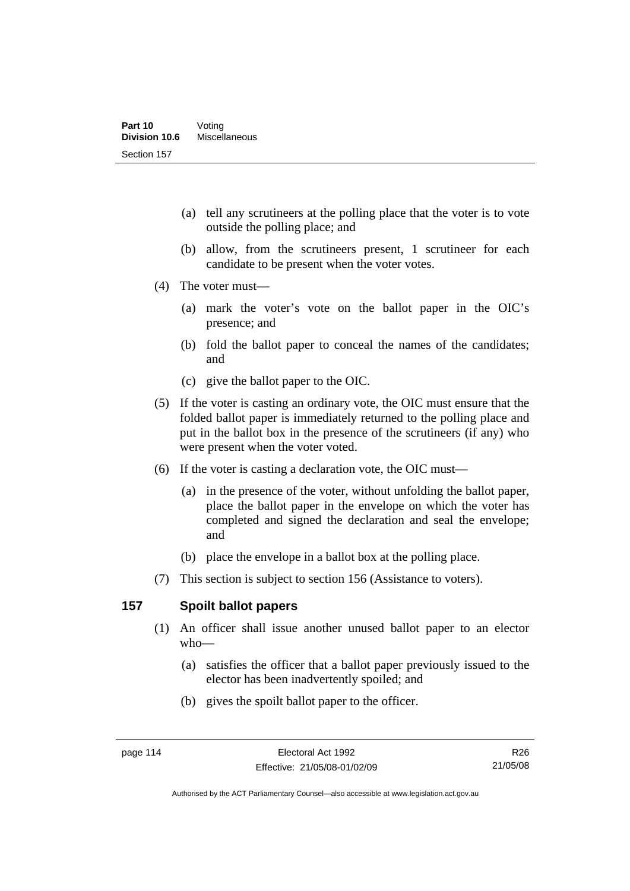- (a) tell any scrutineers at the polling place that the voter is to vote outside the polling place; and
- (b) allow, from the scrutineers present, 1 scrutineer for each candidate to be present when the voter votes.
- (4) The voter must—
	- (a) mark the voter's vote on the ballot paper in the OIC's presence; and
	- (b) fold the ballot paper to conceal the names of the candidates; and
	- (c) give the ballot paper to the OIC.
- (5) If the voter is casting an ordinary vote, the OIC must ensure that the folded ballot paper is immediately returned to the polling place and put in the ballot box in the presence of the scrutineers (if any) who were present when the voter voted.
- (6) If the voter is casting a declaration vote, the OIC must—
	- (a) in the presence of the voter, without unfolding the ballot paper, place the ballot paper in the envelope on which the voter has completed and signed the declaration and seal the envelope; and
	- (b) place the envelope in a ballot box at the polling place.
- (7) This section is subject to section 156 (Assistance to voters).

### **157 Spoilt ballot papers**

- (1) An officer shall issue another unused ballot paper to an elector who—
	- (a) satisfies the officer that a ballot paper previously issued to the elector has been inadvertently spoiled; and
	- (b) gives the spoilt ballot paper to the officer.

R26 21/05/08

Authorised by the ACT Parliamentary Counsel—also accessible at www.legislation.act.gov.au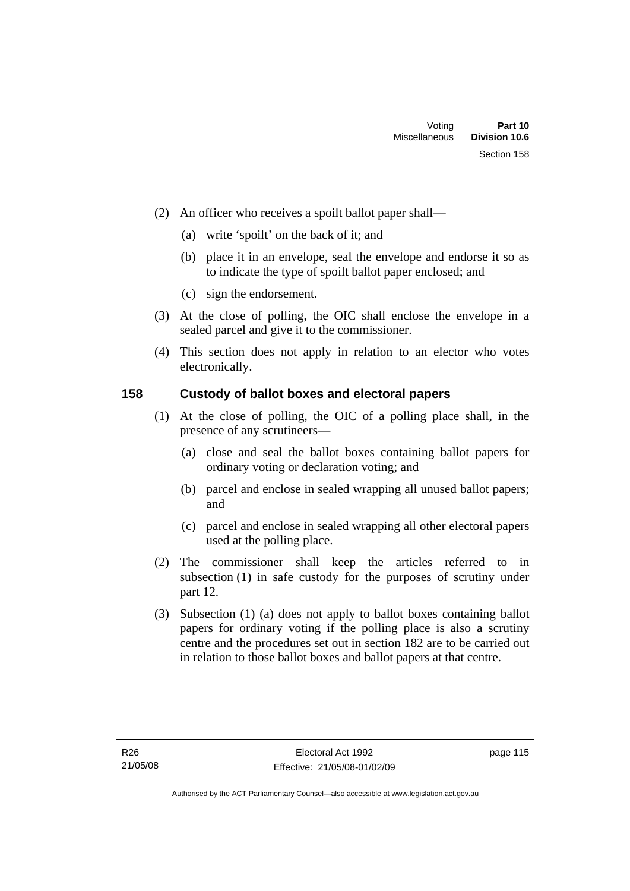- (2) An officer who receives a spoilt ballot paper shall—
	- (a) write 'spoilt' on the back of it; and
	- (b) place it in an envelope, seal the envelope and endorse it so as to indicate the type of spoilt ballot paper enclosed; and
	- (c) sign the endorsement.
- (3) At the close of polling, the OIC shall enclose the envelope in a sealed parcel and give it to the commissioner.
- (4) This section does not apply in relation to an elector who votes electronically.

### **158 Custody of ballot boxes and electoral papers**

- (1) At the close of polling, the OIC of a polling place shall, in the presence of any scrutineers—
	- (a) close and seal the ballot boxes containing ballot papers for ordinary voting or declaration voting; and
	- (b) parcel and enclose in sealed wrapping all unused ballot papers; and
	- (c) parcel and enclose in sealed wrapping all other electoral papers used at the polling place.
- (2) The commissioner shall keep the articles referred to in subsection (1) in safe custody for the purposes of scrutiny under part 12.
- (3) Subsection (1) (a) does not apply to ballot boxes containing ballot papers for ordinary voting if the polling place is also a scrutiny centre and the procedures set out in section 182 are to be carried out in relation to those ballot boxes and ballot papers at that centre.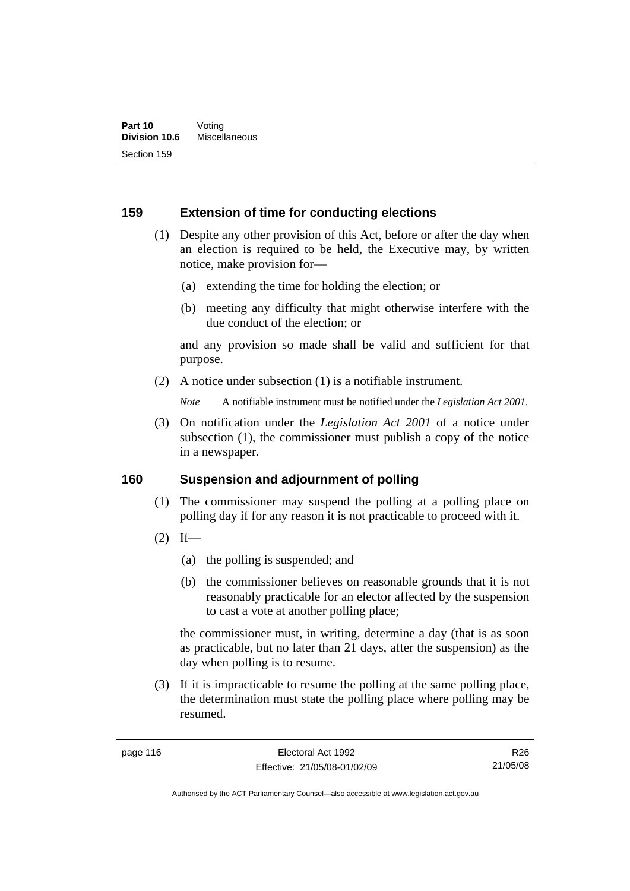### **159 Extension of time for conducting elections**

- (1) Despite any other provision of this Act, before or after the day when an election is required to be held, the Executive may, by written notice, make provision for—
	- (a) extending the time for holding the election; or
	- (b) meeting any difficulty that might otherwise interfere with the due conduct of the election; or

and any provision so made shall be valid and sufficient for that purpose.

(2) A notice under subsection (1) is a notifiable instrument.

*Note* A notifiable instrument must be notified under the *Legislation Act 2001*.

 (3) On notification under the *Legislation Act 2001* of a notice under subsection (1), the commissioner must publish a copy of the notice in a newspaper.

### **160 Suspension and adjournment of polling**

- (1) The commissioner may suspend the polling at a polling place on polling day if for any reason it is not practicable to proceed with it.
- $(2)$  If—
	- (a) the polling is suspended; and
	- (b) the commissioner believes on reasonable grounds that it is not reasonably practicable for an elector affected by the suspension to cast a vote at another polling place;

the commissioner must, in writing, determine a day (that is as soon as practicable, but no later than 21 days, after the suspension) as the day when polling is to resume.

 (3) If it is impracticable to resume the polling at the same polling place, the determination must state the polling place where polling may be resumed.

R26 21/05/08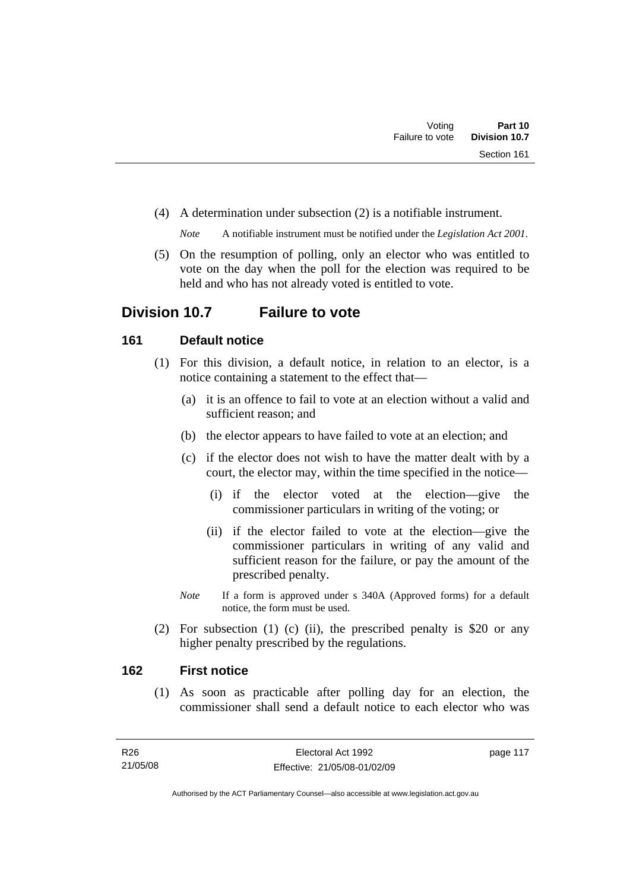(4) A determination under subsection (2) is a notifiable instrument.

*Note* A notifiable instrument must be notified under the *Legislation Act 2001*.

 (5) On the resumption of polling, only an elector who was entitled to vote on the day when the poll for the election was required to be held and who has not already voted is entitled to vote.

## **Division 10.7 Failure to vote**

## **161 Default notice**

- (1) For this division, a default notice, in relation to an elector, is a notice containing a statement to the effect that—
	- (a) it is an offence to fail to vote at an election without a valid and sufficient reason; and
	- (b) the elector appears to have failed to vote at an election; and
	- (c) if the elector does not wish to have the matter dealt with by a court, the elector may, within the time specified in the notice—
		- (i) if the elector voted at the election—give the commissioner particulars in writing of the voting; or
		- (ii) if the elector failed to vote at the election—give the commissioner particulars in writing of any valid and sufficient reason for the failure, or pay the amount of the prescribed penalty.
	- *Note* If a form is approved under s 340A (Approved forms) for a default notice, the form must be used.
- (2) For subsection (1) (c) (ii), the prescribed penalty is \$20 or any higher penalty prescribed by the regulations.

## **162 First notice**

 (1) As soon as practicable after polling day for an election, the commissioner shall send a default notice to each elector who was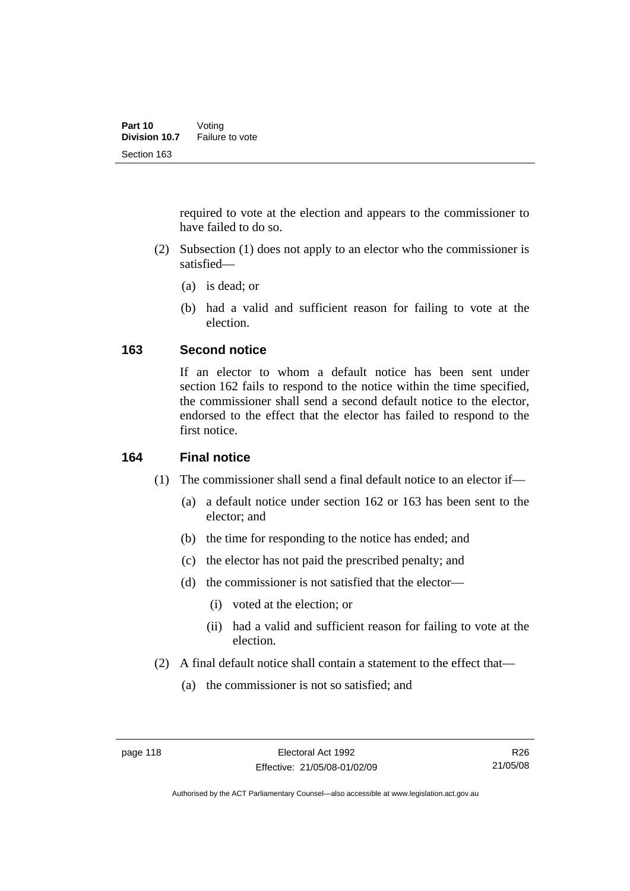required to vote at the election and appears to the commissioner to have failed to do so.

- (2) Subsection (1) does not apply to an elector who the commissioner is satisfied—
	- (a) is dead; or
	- (b) had a valid and sufficient reason for failing to vote at the election.

### **163 Second notice**

If an elector to whom a default notice has been sent under section 162 fails to respond to the notice within the time specified, the commissioner shall send a second default notice to the elector, endorsed to the effect that the elector has failed to respond to the first notice.

### **164 Final notice**

- (1) The commissioner shall send a final default notice to an elector if—
	- (a) a default notice under section 162 or 163 has been sent to the elector; and
	- (b) the time for responding to the notice has ended; and
	- (c) the elector has not paid the prescribed penalty; and
	- (d) the commissioner is not satisfied that the elector—
		- (i) voted at the election; or
		- (ii) had a valid and sufficient reason for failing to vote at the election.
- (2) A final default notice shall contain a statement to the effect that—
	- (a) the commissioner is not so satisfied; and

R26 21/05/08

Authorised by the ACT Parliamentary Counsel—also accessible at www.legislation.act.gov.au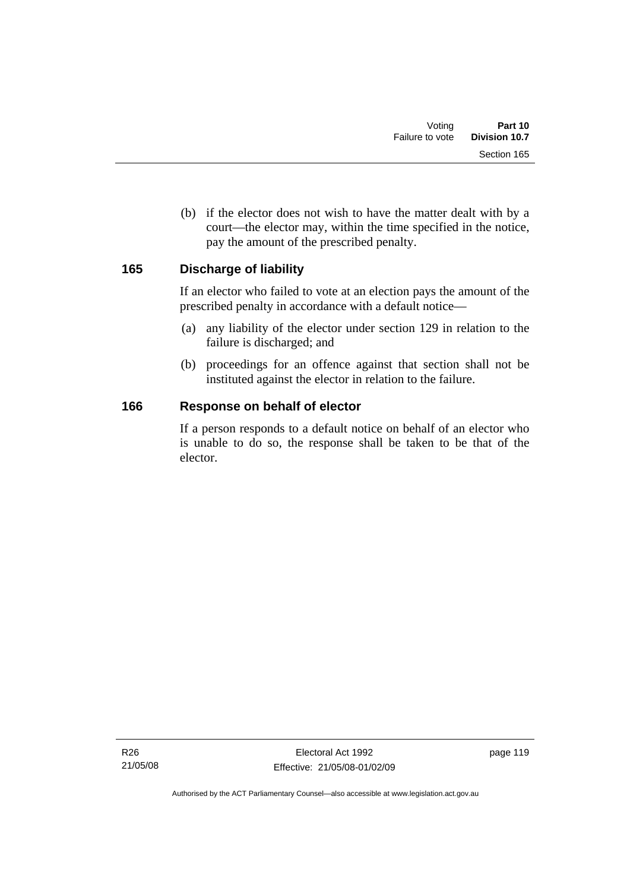(b) if the elector does not wish to have the matter dealt with by a court—the elector may, within the time specified in the notice, pay the amount of the prescribed penalty.

## **165 Discharge of liability**

If an elector who failed to vote at an election pays the amount of the prescribed penalty in accordance with a default notice—

- (a) any liability of the elector under section 129 in relation to the failure is discharged; and
- (b) proceedings for an offence against that section shall not be instituted against the elector in relation to the failure.

### **166 Response on behalf of elector**

If a person responds to a default notice on behalf of an elector who is unable to do so, the response shall be taken to be that of the elector.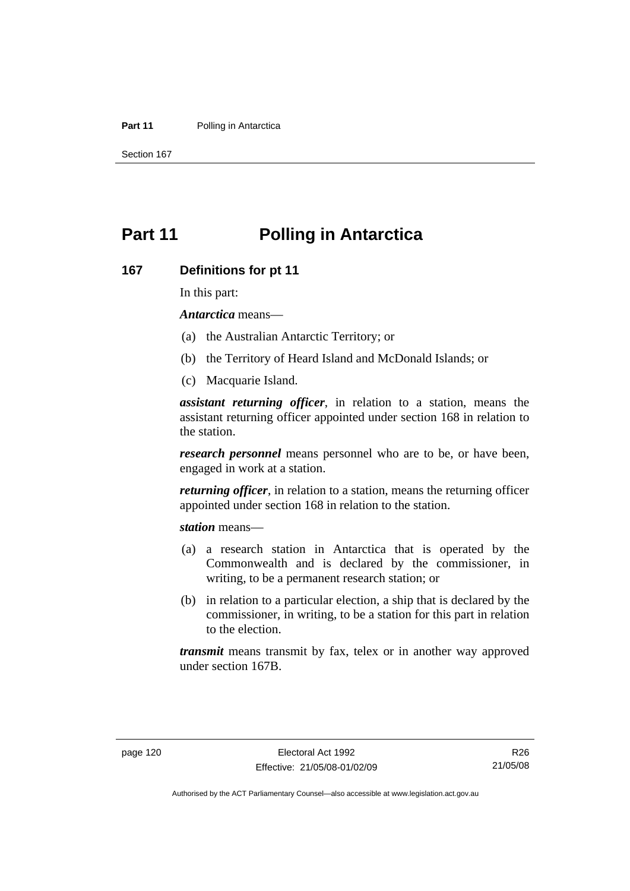#### **Part 11** Polling in Antarctica

Section 167

# **Part 11 Polling in Antarctica**

#### **167 Definitions for pt 11**

In this part:

*Antarctica* means—

- (a) the Australian Antarctic Territory; or
- (b) the Territory of Heard Island and McDonald Islands; or
- (c) Macquarie Island.

*assistant returning officer*, in relation to a station, means the assistant returning officer appointed under section 168 in relation to the station.

*research personnel* means personnel who are to be, or have been, engaged in work at a station.

*returning officer*, in relation to a station, means the returning officer appointed under section 168 in relation to the station.

*station* means—

- (a) a research station in Antarctica that is operated by the Commonwealth and is declared by the commissioner, in writing, to be a permanent research station; or
- (b) in relation to a particular election, a ship that is declared by the commissioner, in writing, to be a station for this part in relation to the election.

*transmit* means transmit by fax, telex or in another way approved under section 167B.

R26 21/05/08

Authorised by the ACT Parliamentary Counsel—also accessible at www.legislation.act.gov.au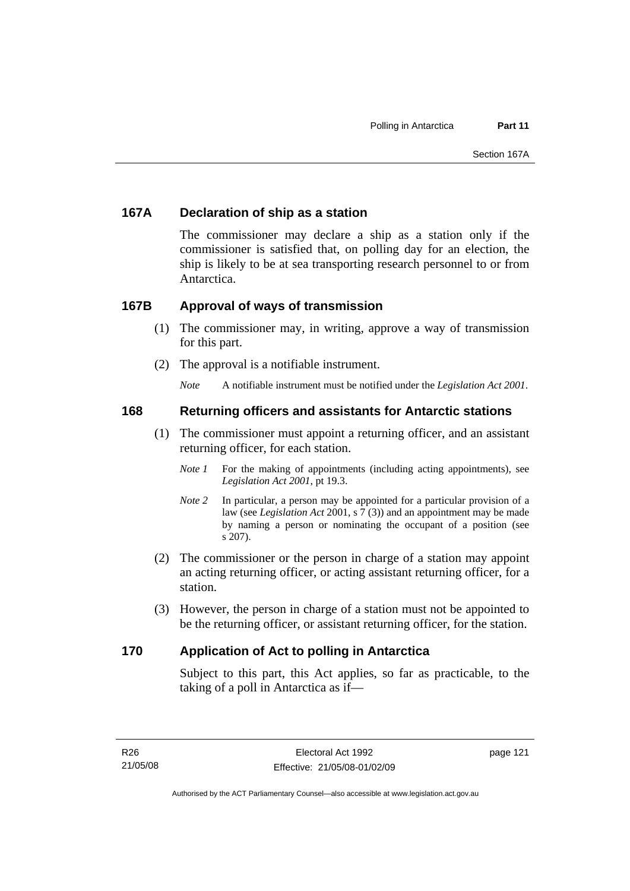## **167A Declaration of ship as a station**

The commissioner may declare a ship as a station only if the commissioner is satisfied that, on polling day for an election, the ship is likely to be at sea transporting research personnel to or from Antarctica.

### **167B Approval of ways of transmission**

- (1) The commissioner may, in writing, approve a way of transmission for this part.
- (2) The approval is a notifiable instrument.

*Note* A notifiable instrument must be notified under the *Legislation Act 2001*.

### **168 Returning officers and assistants for Antarctic stations**

- (1) The commissioner must appoint a returning officer, and an assistant returning officer, for each station.
	- *Note 1* For the making of appointments (including acting appointments), see *Legislation Act 2001*, pt 19.3.
	- *Note 2* In particular, a person may be appointed for a particular provision of a law (see *Legislation Act* 2001, s 7 (3)) and an appointment may be made by naming a person or nominating the occupant of a position (see s 207).
- (2) The commissioner or the person in charge of a station may appoint an acting returning officer, or acting assistant returning officer, for a station.
- (3) However, the person in charge of a station must not be appointed to be the returning officer, or assistant returning officer, for the station.

## **170 Application of Act to polling in Antarctica**

Subject to this part, this Act applies, so far as practicable, to the taking of a poll in Antarctica as if—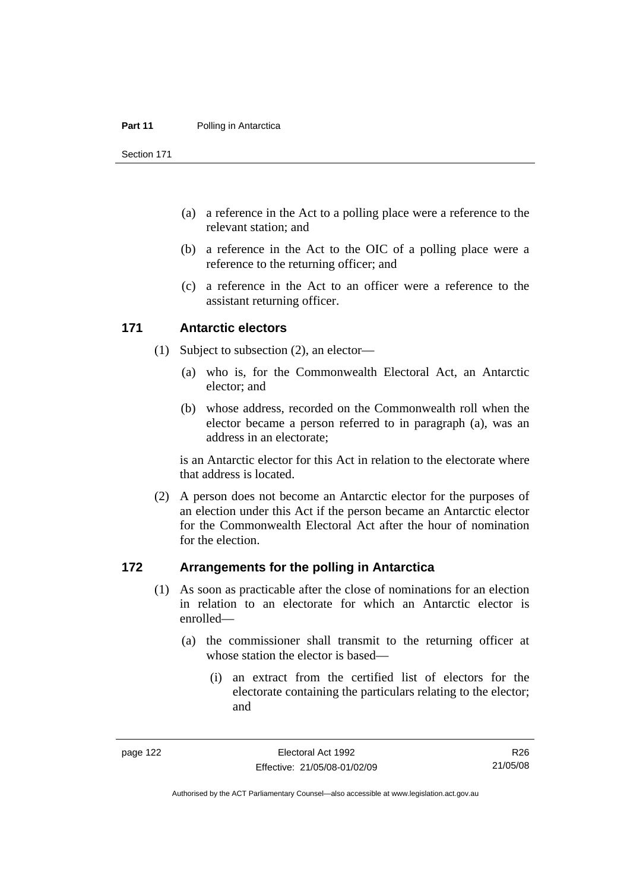#### **Part 11** Polling in Antarctica

Section 171

- (a) a reference in the Act to a polling place were a reference to the relevant station; and
- (b) a reference in the Act to the OIC of a polling place were a reference to the returning officer; and
- (c) a reference in the Act to an officer were a reference to the assistant returning officer.

#### **171 Antarctic electors**

- (1) Subject to subsection (2), an elector—
	- (a) who is, for the Commonwealth Electoral Act, an Antarctic elector; and
	- (b) whose address, recorded on the Commonwealth roll when the elector became a person referred to in paragraph (a), was an address in an electorate;

is an Antarctic elector for this Act in relation to the electorate where that address is located.

 (2) A person does not become an Antarctic elector for the purposes of an election under this Act if the person became an Antarctic elector for the Commonwealth Electoral Act after the hour of nomination for the election.

### **172 Arrangements for the polling in Antarctica**

- (1) As soon as practicable after the close of nominations for an election in relation to an electorate for which an Antarctic elector is enrolled—
	- (a) the commissioner shall transmit to the returning officer at whose station the elector is based—
		- (i) an extract from the certified list of electors for the electorate containing the particulars relating to the elector; and

Authorised by the ACT Parliamentary Counsel—also accessible at www.legislation.act.gov.au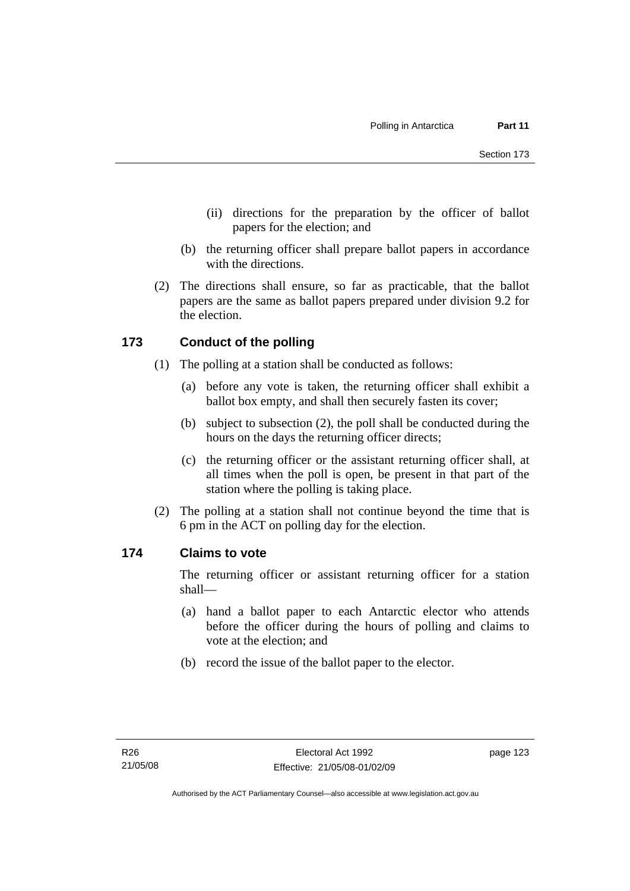- (ii) directions for the preparation by the officer of ballot papers for the election; and
- (b) the returning officer shall prepare ballot papers in accordance with the directions.
- (2) The directions shall ensure, so far as practicable, that the ballot papers are the same as ballot papers prepared under division 9.2 for the election.

## **173 Conduct of the polling**

- (1) The polling at a station shall be conducted as follows:
	- (a) before any vote is taken, the returning officer shall exhibit a ballot box empty, and shall then securely fasten its cover;
	- (b) subject to subsection (2), the poll shall be conducted during the hours on the days the returning officer directs;
	- (c) the returning officer or the assistant returning officer shall, at all times when the poll is open, be present in that part of the station where the polling is taking place.
- (2) The polling at a station shall not continue beyond the time that is 6 pm in the ACT on polling day for the election.

## **174 Claims to vote**

The returning officer or assistant returning officer for a station shall—

- (a) hand a ballot paper to each Antarctic elector who attends before the officer during the hours of polling and claims to vote at the election; and
- (b) record the issue of the ballot paper to the elector.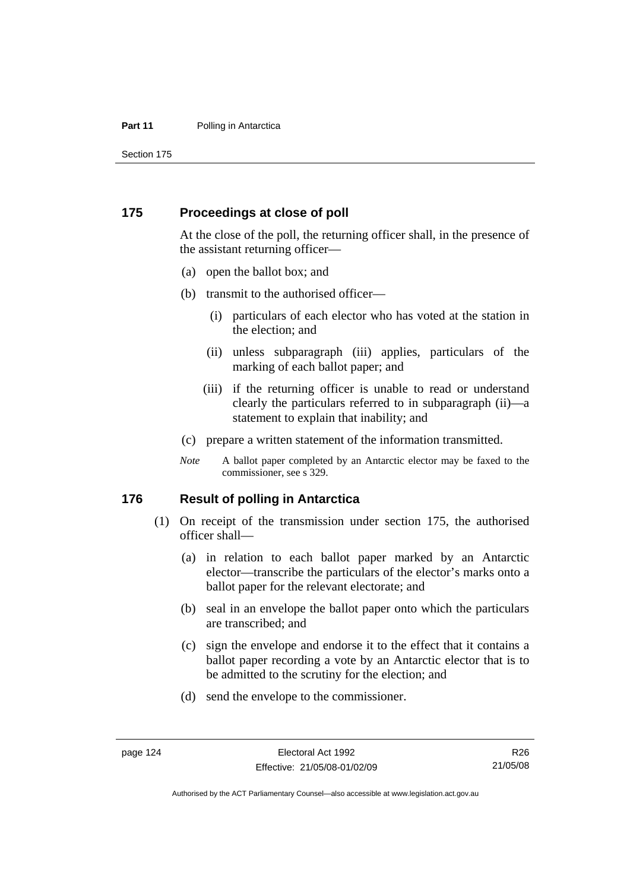#### **Part 11** Polling in Antarctica

Section 175

#### **175 Proceedings at close of poll**

At the close of the poll, the returning officer shall, in the presence of the assistant returning officer—

- (a) open the ballot box; and
- (b) transmit to the authorised officer—
	- (i) particulars of each elector who has voted at the station in the election; and
	- (ii) unless subparagraph (iii) applies, particulars of the marking of each ballot paper; and
	- (iii) if the returning officer is unable to read or understand clearly the particulars referred to in subparagraph (ii)—a statement to explain that inability; and
- (c) prepare a written statement of the information transmitted.
- *Note* A ballot paper completed by an Antarctic elector may be faxed to the commissioner, see s 329.

#### **176 Result of polling in Antarctica**

- (1) On receipt of the transmission under section 175, the authorised officer shall—
	- (a) in relation to each ballot paper marked by an Antarctic elector—transcribe the particulars of the elector's marks onto a ballot paper for the relevant electorate; and
	- (b) seal in an envelope the ballot paper onto which the particulars are transcribed; and
	- (c) sign the envelope and endorse it to the effect that it contains a ballot paper recording a vote by an Antarctic elector that is to be admitted to the scrutiny for the election; and
	- (d) send the envelope to the commissioner.

R26 21/05/08

Authorised by the ACT Parliamentary Counsel—also accessible at www.legislation.act.gov.au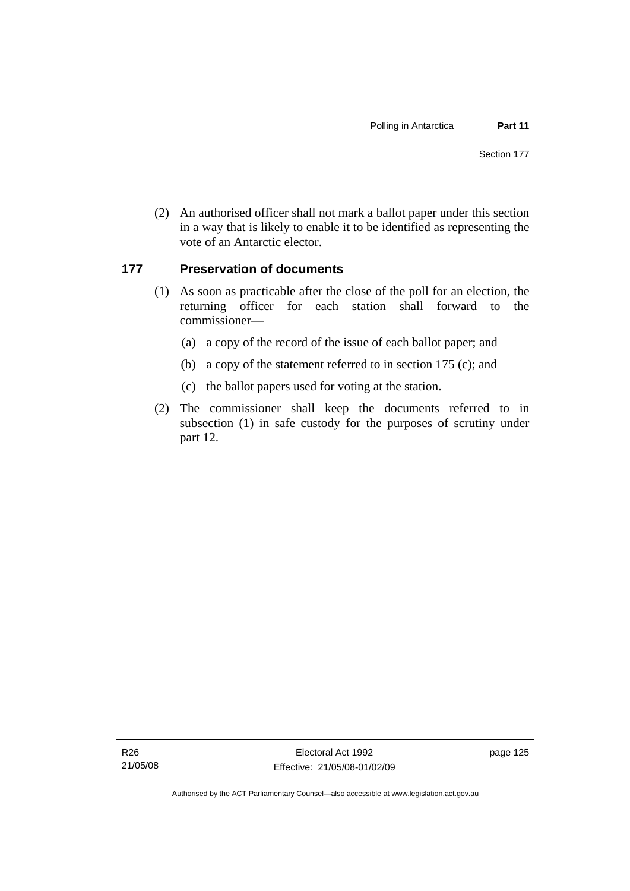(2) An authorised officer shall not mark a ballot paper under this section in a way that is likely to enable it to be identified as representing the vote of an Antarctic elector.

## **177 Preservation of documents**

- (1) As soon as practicable after the close of the poll for an election, the returning officer for each station shall forward to the commissioner—
	- (a) a copy of the record of the issue of each ballot paper; and
	- (b) a copy of the statement referred to in section 175 (c); and
	- (c) the ballot papers used for voting at the station.
- (2) The commissioner shall keep the documents referred to in subsection (1) in safe custody for the purposes of scrutiny under part 12.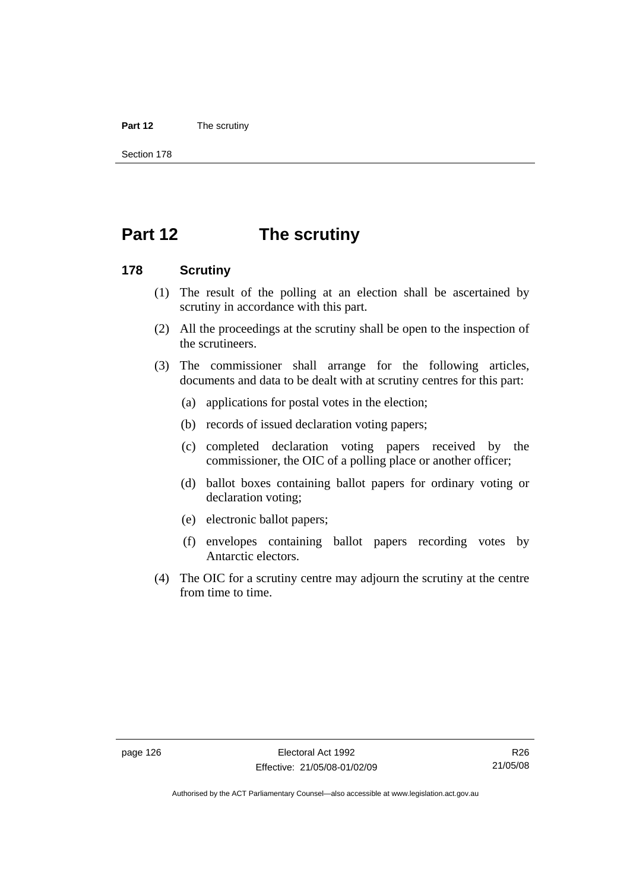#### **Part 12** The scrutiny

Section 178

# **Part 12 The scrutiny**

#### **178 Scrutiny**

- (1) The result of the polling at an election shall be ascertained by scrutiny in accordance with this part.
- (2) All the proceedings at the scrutiny shall be open to the inspection of the scrutineers.
- (3) The commissioner shall arrange for the following articles, documents and data to be dealt with at scrutiny centres for this part:
	- (a) applications for postal votes in the election;
	- (b) records of issued declaration voting papers;
	- (c) completed declaration voting papers received by the commissioner, the OIC of a polling place or another officer;
	- (d) ballot boxes containing ballot papers for ordinary voting or declaration voting;
	- (e) electronic ballot papers;
	- (f) envelopes containing ballot papers recording votes by Antarctic electors.
- (4) The OIC for a scrutiny centre may adjourn the scrutiny at the centre from time to time.

Authorised by the ACT Parliamentary Counsel—also accessible at www.legislation.act.gov.au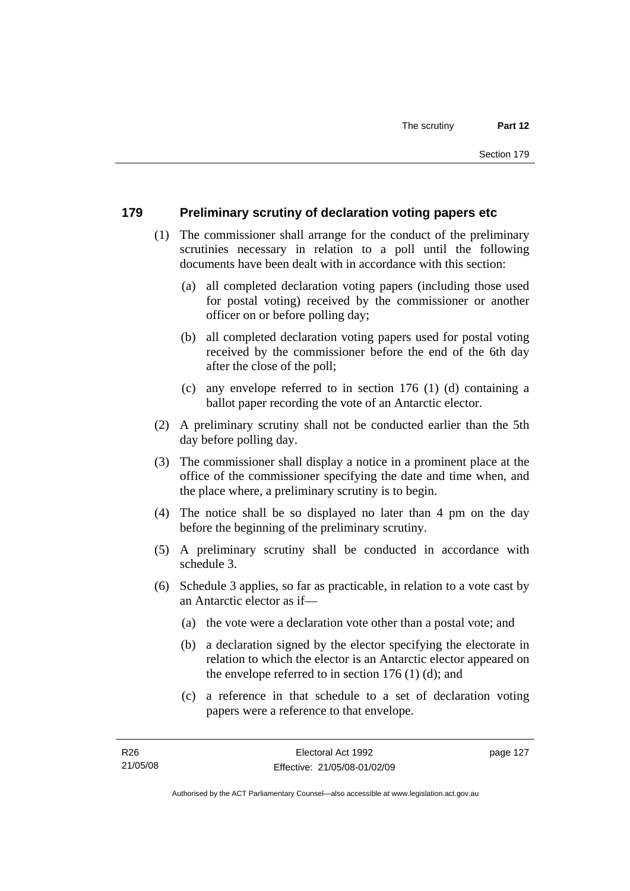## **179 Preliminary scrutiny of declaration voting papers etc**

- (1) The commissioner shall arrange for the conduct of the preliminary scrutinies necessary in relation to a poll until the following documents have been dealt with in accordance with this section:
	- (a) all completed declaration voting papers (including those used for postal voting) received by the commissioner or another officer on or before polling day;
	- (b) all completed declaration voting papers used for postal voting received by the commissioner before the end of the 6th day after the close of the poll;
	- (c) any envelope referred to in section 176 (1) (d) containing a ballot paper recording the vote of an Antarctic elector.
- (2) A preliminary scrutiny shall not be conducted earlier than the 5th day before polling day.
- (3) The commissioner shall display a notice in a prominent place at the office of the commissioner specifying the date and time when, and the place where, a preliminary scrutiny is to begin.
- (4) The notice shall be so displayed no later than 4 pm on the day before the beginning of the preliminary scrutiny.
- (5) A preliminary scrutiny shall be conducted in accordance with schedule 3.
- (6) Schedule 3 applies, so far as practicable, in relation to a vote cast by an Antarctic elector as if—
	- (a) the vote were a declaration vote other than a postal vote; and
	- (b) a declaration signed by the elector specifying the electorate in relation to which the elector is an Antarctic elector appeared on the envelope referred to in section 176 (1) (d); and
	- (c) a reference in that schedule to a set of declaration voting papers were a reference to that envelope.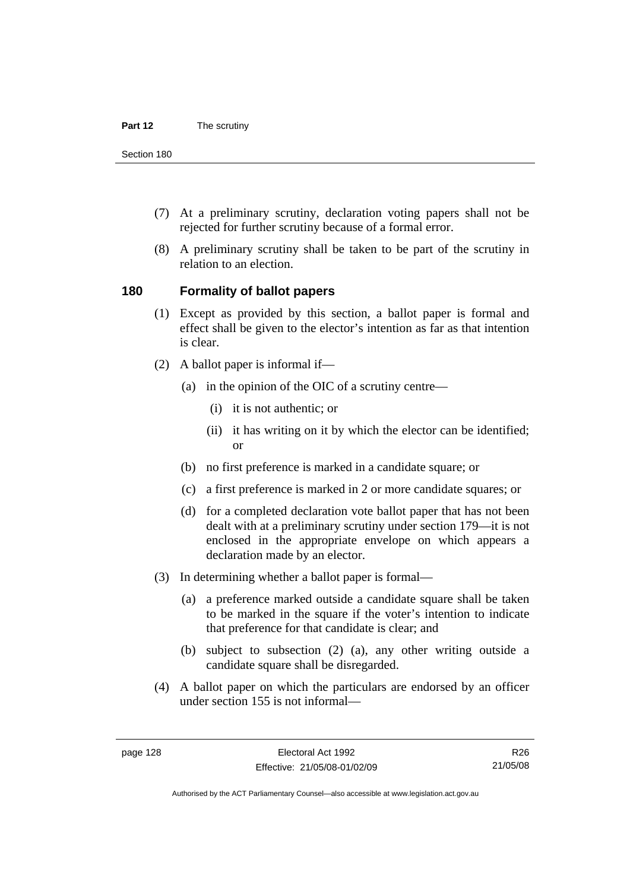Section 180

- (7) At a preliminary scrutiny, declaration voting papers shall not be rejected for further scrutiny because of a formal error.
- (8) A preliminary scrutiny shall be taken to be part of the scrutiny in relation to an election.

#### **180 Formality of ballot papers**

- (1) Except as provided by this section, a ballot paper is formal and effect shall be given to the elector's intention as far as that intention is clear.
- (2) A ballot paper is informal if—
	- (a) in the opinion of the OIC of a scrutiny centre—
		- (i) it is not authentic; or
		- (ii) it has writing on it by which the elector can be identified; or
	- (b) no first preference is marked in a candidate square; or
	- (c) a first preference is marked in 2 or more candidate squares; or
	- (d) for a completed declaration vote ballot paper that has not been dealt with at a preliminary scrutiny under section 179—it is not enclosed in the appropriate envelope on which appears a declaration made by an elector.
- (3) In determining whether a ballot paper is formal—
	- (a) a preference marked outside a candidate square shall be taken to be marked in the square if the voter's intention to indicate that preference for that candidate is clear; and
	- (b) subject to subsection (2) (a), any other writing outside a candidate square shall be disregarded.
- (4) A ballot paper on which the particulars are endorsed by an officer under section 155 is not informal—

R26 21/05/08

Authorised by the ACT Parliamentary Counsel—also accessible at www.legislation.act.gov.au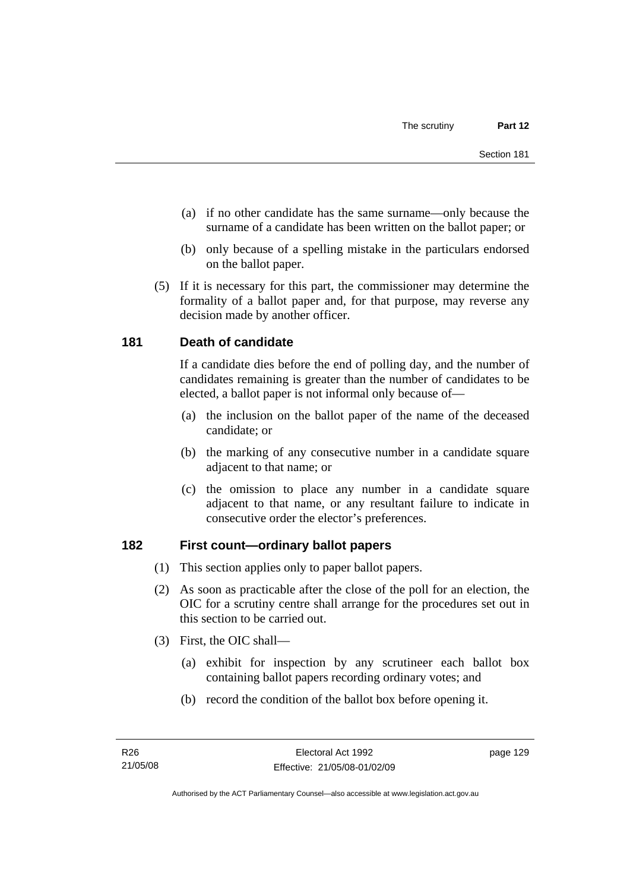- (a) if no other candidate has the same surname—only because the surname of a candidate has been written on the ballot paper; or
- (b) only because of a spelling mistake in the particulars endorsed on the ballot paper.
- (5) If it is necessary for this part, the commissioner may determine the formality of a ballot paper and, for that purpose, may reverse any decision made by another officer.

## **181 Death of candidate**

If a candidate dies before the end of polling day, and the number of candidates remaining is greater than the number of candidates to be elected, a ballot paper is not informal only because of—

- (a) the inclusion on the ballot paper of the name of the deceased candidate; or
- (b) the marking of any consecutive number in a candidate square adjacent to that name; or
- (c) the omission to place any number in a candidate square adjacent to that name, or any resultant failure to indicate in consecutive order the elector's preferences.

## **182 First count—ordinary ballot papers**

- (1) This section applies only to paper ballot papers.
- (2) As soon as practicable after the close of the poll for an election, the OIC for a scrutiny centre shall arrange for the procedures set out in this section to be carried out.
- (3) First, the OIC shall—
	- (a) exhibit for inspection by any scrutineer each ballot box containing ballot papers recording ordinary votes; and
	- (b) record the condition of the ballot box before opening it.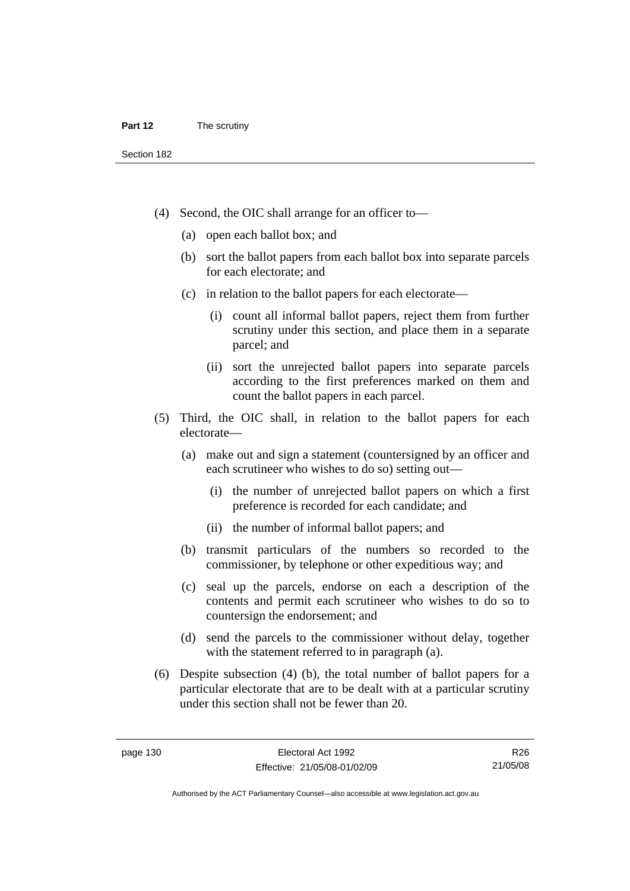Section 182

- (4) Second, the OIC shall arrange for an officer to—
	- (a) open each ballot box; and
	- (b) sort the ballot papers from each ballot box into separate parcels for each electorate; and
	- (c) in relation to the ballot papers for each electorate—
		- (i) count all informal ballot papers, reject them from further scrutiny under this section, and place them in a separate parcel; and
		- (ii) sort the unrejected ballot papers into separate parcels according to the first preferences marked on them and count the ballot papers in each parcel.
- (5) Third, the OIC shall, in relation to the ballot papers for each electorate—
	- (a) make out and sign a statement (countersigned by an officer and each scrutineer who wishes to do so) setting out—
		- (i) the number of unrejected ballot papers on which a first preference is recorded for each candidate; and
		- (ii) the number of informal ballot papers; and
	- (b) transmit particulars of the numbers so recorded to the commissioner, by telephone or other expeditious way; and
	- (c) seal up the parcels, endorse on each a description of the contents and permit each scrutineer who wishes to do so to countersign the endorsement; and
	- (d) send the parcels to the commissioner without delay, together with the statement referred to in paragraph (a).
- (6) Despite subsection (4) (b), the total number of ballot papers for a particular electorate that are to be dealt with at a particular scrutiny under this section shall not be fewer than 20.

Authorised by the ACT Parliamentary Counsel—also accessible at www.legislation.act.gov.au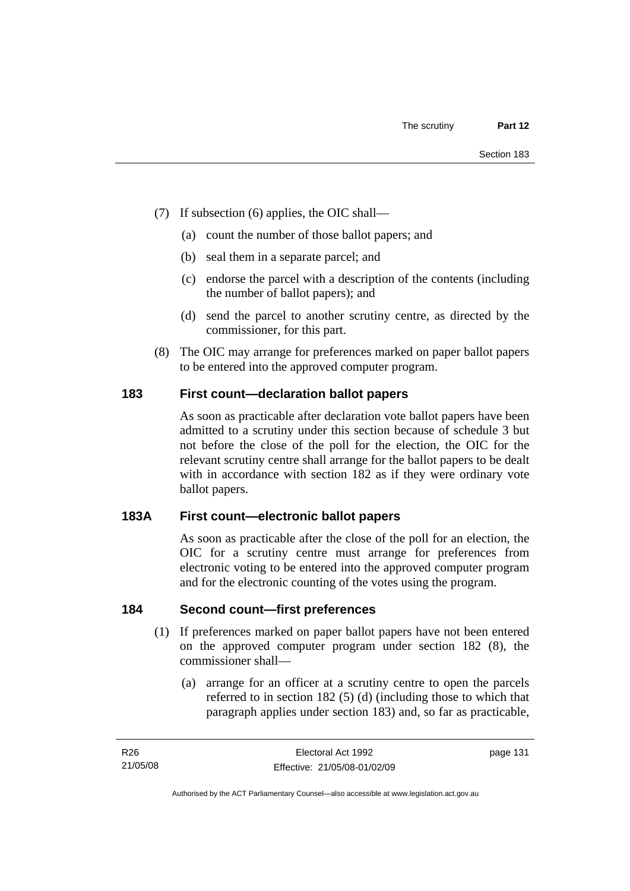- (7) If subsection (6) applies, the OIC shall—
	- (a) count the number of those ballot papers; and
	- (b) seal them in a separate parcel; and
	- (c) endorse the parcel with a description of the contents (including the number of ballot papers); and
	- (d) send the parcel to another scrutiny centre, as directed by the commissioner, for this part.
- (8) The OIC may arrange for preferences marked on paper ballot papers to be entered into the approved computer program.

## **183 First count—declaration ballot papers**

As soon as practicable after declaration vote ballot papers have been admitted to a scrutiny under this section because of schedule 3 but not before the close of the poll for the election, the OIC for the relevant scrutiny centre shall arrange for the ballot papers to be dealt with in accordance with section 182 as if they were ordinary vote ballot papers.

## **183A First count—electronic ballot papers**

As soon as practicable after the close of the poll for an election, the OIC for a scrutiny centre must arrange for preferences from electronic voting to be entered into the approved computer program and for the electronic counting of the votes using the program.

#### **184 Second count—first preferences**

- (1) If preferences marked on paper ballot papers have not been entered on the approved computer program under section 182 (8), the commissioner shall—
	- (a) arrange for an officer at a scrutiny centre to open the parcels referred to in section 182 (5) (d) (including those to which that paragraph applies under section 183) and, so far as practicable,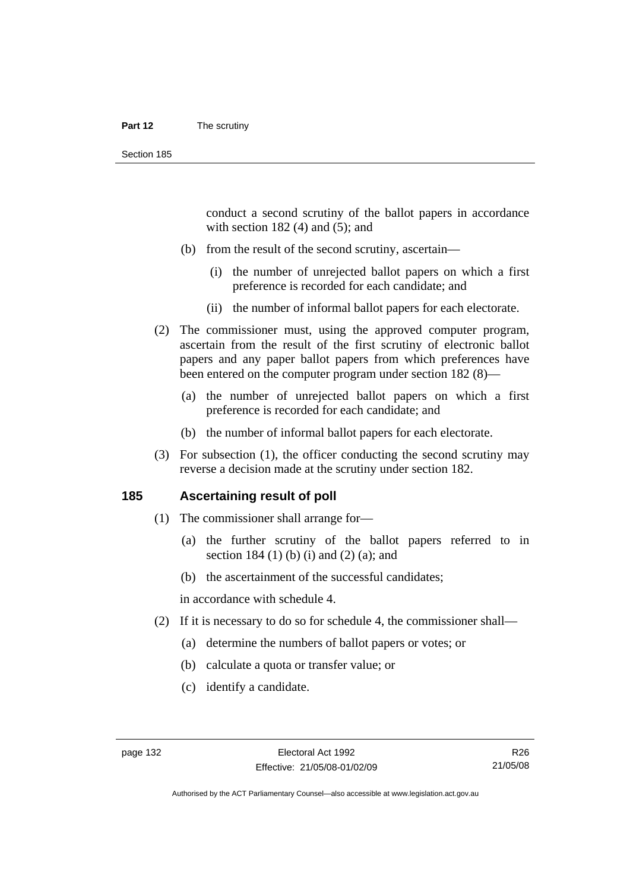#### **Part 12** The scrutiny

conduct a second scrutiny of the ballot papers in accordance with section  $182(4)$  and  $(5)$ ; and

- (b) from the result of the second scrutiny, ascertain—
	- (i) the number of unrejected ballot papers on which a first preference is recorded for each candidate; and
	- (ii) the number of informal ballot papers for each electorate.
- (2) The commissioner must, using the approved computer program, ascertain from the result of the first scrutiny of electronic ballot papers and any paper ballot papers from which preferences have been entered on the computer program under section 182 (8)—
	- (a) the number of unrejected ballot papers on which a first preference is recorded for each candidate; and
	- (b) the number of informal ballot papers for each electorate.
- (3) For subsection (1), the officer conducting the second scrutiny may reverse a decision made at the scrutiny under section 182.

#### **185 Ascertaining result of poll**

- (1) The commissioner shall arrange for—
	- (a) the further scrutiny of the ballot papers referred to in section 184 (1) (b) (i) and (2) (a); and
	- (b) the ascertainment of the successful candidates;

in accordance with schedule 4.

- (2) If it is necessary to do so for schedule 4, the commissioner shall—
	- (a) determine the numbers of ballot papers or votes; or
	- (b) calculate a quota or transfer value; or
	- (c) identify a candidate.

Authorised by the ACT Parliamentary Counsel—also accessible at www.legislation.act.gov.au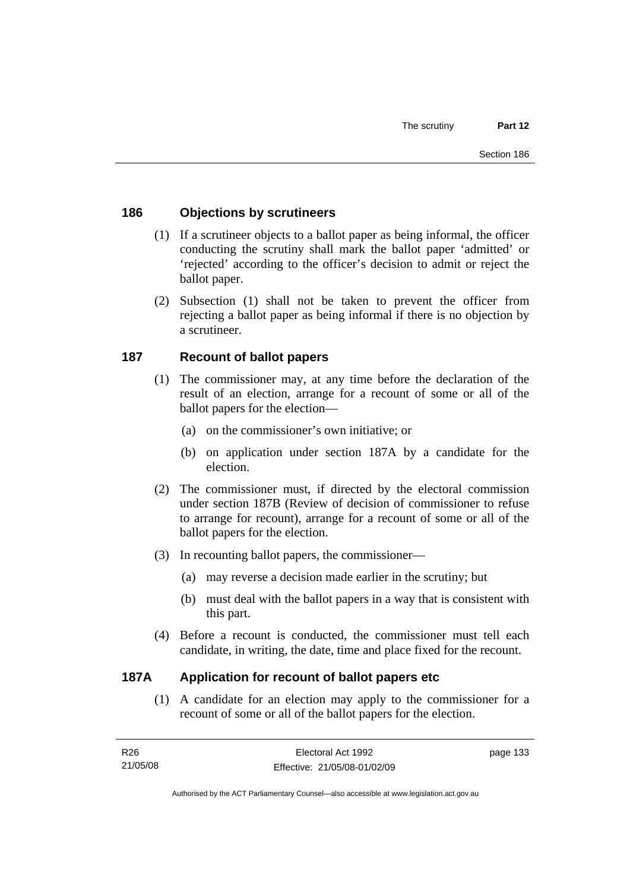## **186 Objections by scrutineers**

- (1) If a scrutineer objects to a ballot paper as being informal, the officer conducting the scrutiny shall mark the ballot paper 'admitted' or 'rejected' according to the officer's decision to admit or reject the ballot paper.
- (2) Subsection (1) shall not be taken to prevent the officer from rejecting a ballot paper as being informal if there is no objection by a scrutineer.

#### **187 Recount of ballot papers**

- (1) The commissioner may, at any time before the declaration of the result of an election, arrange for a recount of some or all of the ballot papers for the election—
	- (a) on the commissioner's own initiative; or
	- (b) on application under section 187A by a candidate for the election.
- (2) The commissioner must, if directed by the electoral commission under section 187B (Review of decision of commissioner to refuse to arrange for recount), arrange for a recount of some or all of the ballot papers for the election.
- (3) In recounting ballot papers, the commissioner—
	- (a) may reverse a decision made earlier in the scrutiny; but
	- (b) must deal with the ballot papers in a way that is consistent with this part.
- (4) Before a recount is conducted, the commissioner must tell each candidate, in writing, the date, time and place fixed for the recount.

#### **187A Application for recount of ballot papers etc**

 (1) A candidate for an election may apply to the commissioner for a recount of some or all of the ballot papers for the election.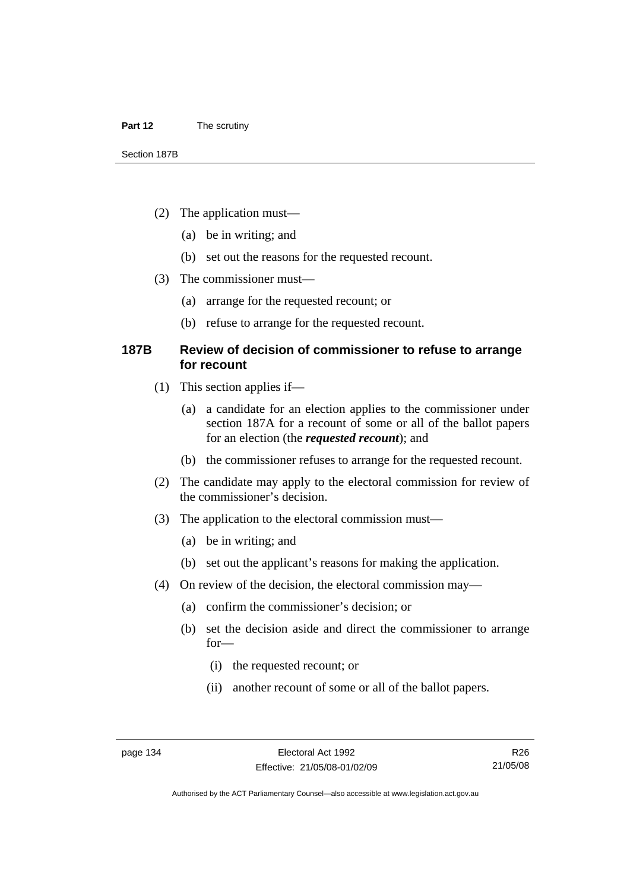- (2) The application must—
	- (a) be in writing; and
	- (b) set out the reasons for the requested recount.
- (3) The commissioner must—
	- (a) arrange for the requested recount; or
	- (b) refuse to arrange for the requested recount.

#### **187B Review of decision of commissioner to refuse to arrange for recount**

- (1) This section applies if—
	- (a) a candidate for an election applies to the commissioner under section 187A for a recount of some or all of the ballot papers for an election (the *requested recount*); and
	- (b) the commissioner refuses to arrange for the requested recount.
- (2) The candidate may apply to the electoral commission for review of the commissioner's decision.
- (3) The application to the electoral commission must—
	- (a) be in writing; and
	- (b) set out the applicant's reasons for making the application.
- (4) On review of the decision, the electoral commission may—
	- (a) confirm the commissioner's decision; or
	- (b) set the decision aside and direct the commissioner to arrange for—
		- (i) the requested recount; or
		- (ii) another recount of some or all of the ballot papers.

Authorised by the ACT Parliamentary Counsel—also accessible at www.legislation.act.gov.au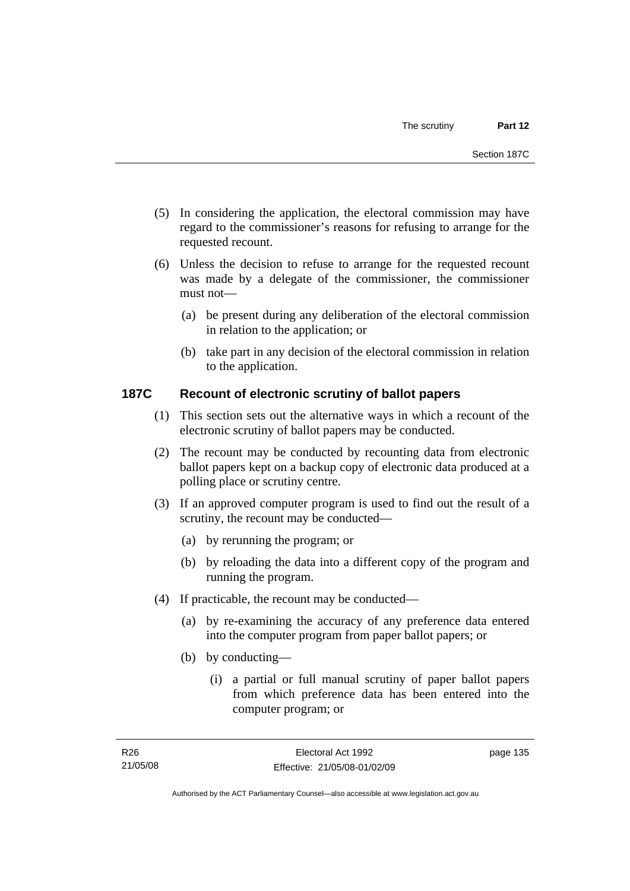- (5) In considering the application, the electoral commission may have regard to the commissioner's reasons for refusing to arrange for the requested recount.
- (6) Unless the decision to refuse to arrange for the requested recount was made by a delegate of the commissioner, the commissioner must not—
	- (a) be present during any deliberation of the electoral commission in relation to the application; or
	- (b) take part in any decision of the electoral commission in relation to the application.

## **187C Recount of electronic scrutiny of ballot papers**

- (1) This section sets out the alternative ways in which a recount of the electronic scrutiny of ballot papers may be conducted.
- (2) The recount may be conducted by recounting data from electronic ballot papers kept on a backup copy of electronic data produced at a polling place or scrutiny centre.
- (3) If an approved computer program is used to find out the result of a scrutiny, the recount may be conducted—
	- (a) by rerunning the program; or
	- (b) by reloading the data into a different copy of the program and running the program.
- (4) If practicable, the recount may be conducted—
	- (a) by re-examining the accuracy of any preference data entered into the computer program from paper ballot papers; or
	- (b) by conducting—
		- (i) a partial or full manual scrutiny of paper ballot papers from which preference data has been entered into the computer program; or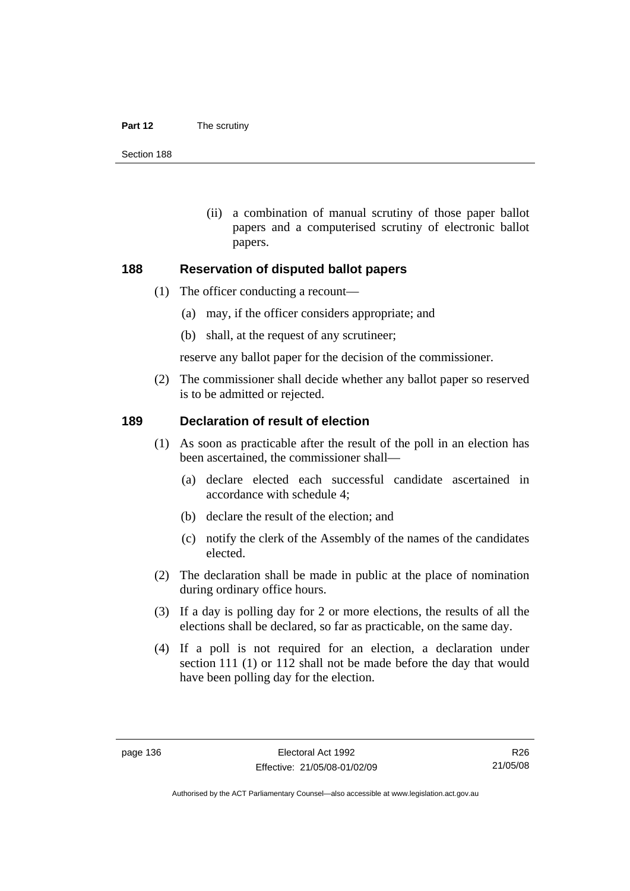#### **Part 12** The scrutiny

Section 188

 (ii) a combination of manual scrutiny of those paper ballot papers and a computerised scrutiny of electronic ballot papers.

#### **188 Reservation of disputed ballot papers**

- (1) The officer conducting a recount—
	- (a) may, if the officer considers appropriate; and
	- (b) shall, at the request of any scrutineer;

reserve any ballot paper for the decision of the commissioner.

 (2) The commissioner shall decide whether any ballot paper so reserved is to be admitted or rejected.

#### **189 Declaration of result of election**

- (1) As soon as practicable after the result of the poll in an election has been ascertained, the commissioner shall—
	- (a) declare elected each successful candidate ascertained in accordance with schedule 4;
	- (b) declare the result of the election; and
	- (c) notify the clerk of the Assembly of the names of the candidates elected.
- (2) The declaration shall be made in public at the place of nomination during ordinary office hours.
- (3) If a day is polling day for 2 or more elections, the results of all the elections shall be declared, so far as practicable, on the same day.
- (4) If a poll is not required for an election, a declaration under section 111 (1) or 112 shall not be made before the day that would have been polling day for the election.

R26 21/05/08

Authorised by the ACT Parliamentary Counsel—also accessible at www.legislation.act.gov.au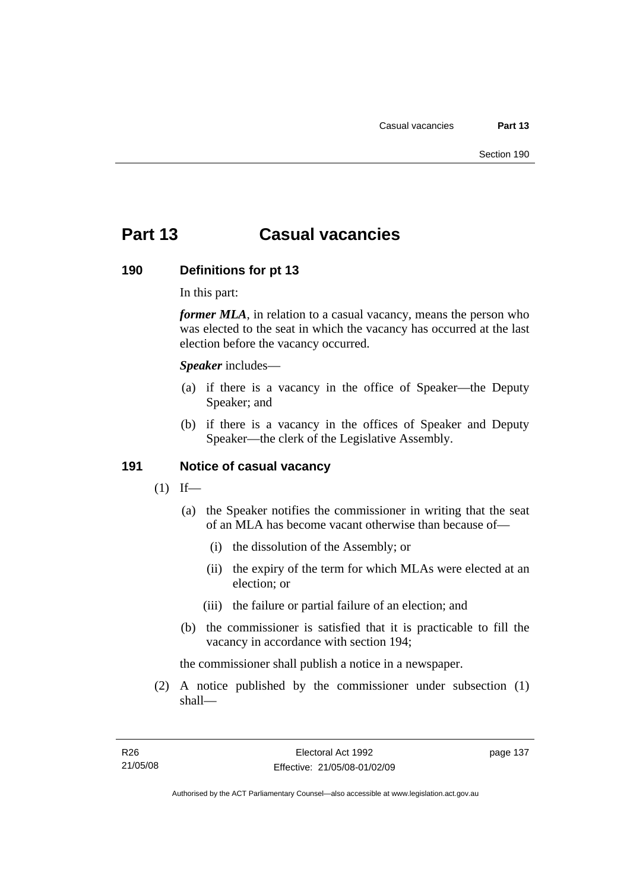# **Part 13 Casual vacancies**

#### **190 Definitions for pt 13**

In this part:

*former MLA*, in relation to a casual vacancy, means the person who was elected to the seat in which the vacancy has occurred at the last election before the vacancy occurred.

*Speaker* includes—

- (a) if there is a vacancy in the office of Speaker—the Deputy Speaker; and
- (b) if there is a vacancy in the offices of Speaker and Deputy Speaker—the clerk of the Legislative Assembly.

#### **191 Notice of casual vacancy**

- $(1)$  If—
	- (a) the Speaker notifies the commissioner in writing that the seat of an MLA has become vacant otherwise than because of—
		- (i) the dissolution of the Assembly; or
		- (ii) the expiry of the term for which MLAs were elected at an election; or
		- (iii) the failure or partial failure of an election; and
	- (b) the commissioner is satisfied that it is practicable to fill the vacancy in accordance with section 194;

the commissioner shall publish a notice in a newspaper.

 (2) A notice published by the commissioner under subsection (1) shall—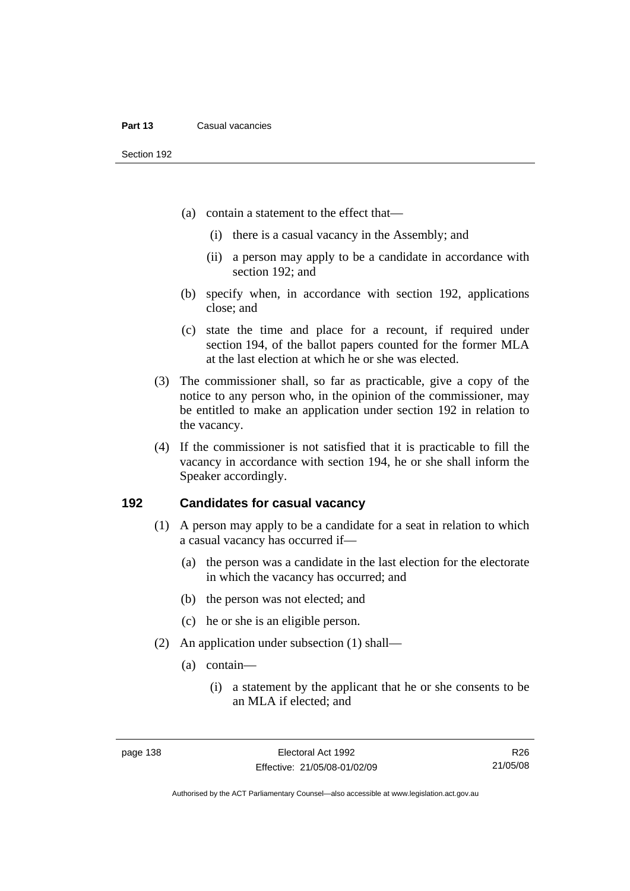- (a) contain a statement to the effect that—
	- (i) there is a casual vacancy in the Assembly; and
	- (ii) a person may apply to be a candidate in accordance with section 192; and
- (b) specify when, in accordance with section 192, applications close; and
- (c) state the time and place for a recount, if required under section 194, of the ballot papers counted for the former MLA at the last election at which he or she was elected.
- (3) The commissioner shall, so far as practicable, give a copy of the notice to any person who, in the opinion of the commissioner, may be entitled to make an application under section 192 in relation to the vacancy.
- (4) If the commissioner is not satisfied that it is practicable to fill the vacancy in accordance with section 194, he or she shall inform the Speaker accordingly.

#### **192 Candidates for casual vacancy**

- (1) A person may apply to be a candidate for a seat in relation to which a casual vacancy has occurred if—
	- (a) the person was a candidate in the last election for the electorate in which the vacancy has occurred; and
	- (b) the person was not elected; and
	- (c) he or she is an eligible person.
- (2) An application under subsection (1) shall—
	- (a) contain—
		- (i) a statement by the applicant that he or she consents to be an MLA if elected; and

R26 21/05/08

Authorised by the ACT Parliamentary Counsel—also accessible at www.legislation.act.gov.au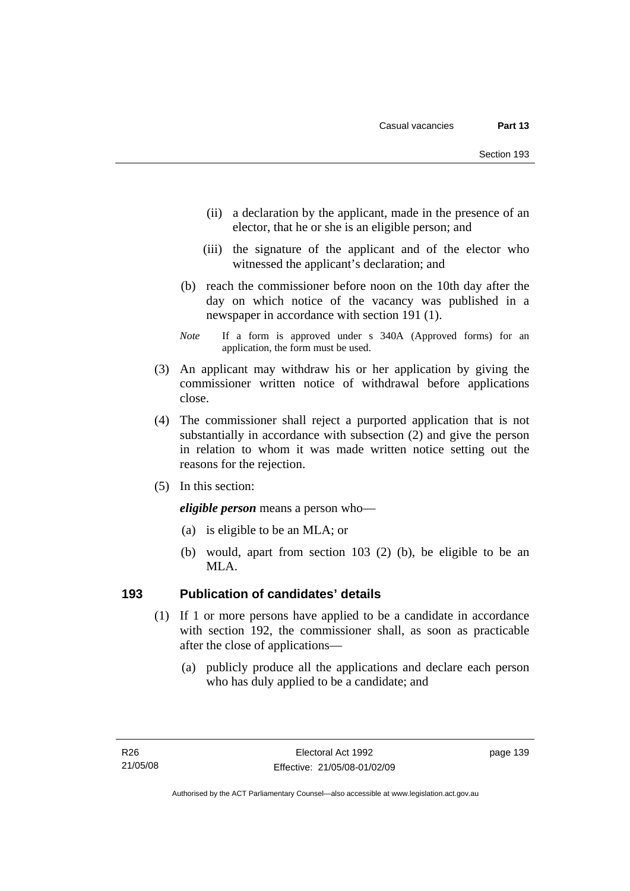- (ii) a declaration by the applicant, made in the presence of an elector, that he or she is an eligible person; and
- (iii) the signature of the applicant and of the elector who witnessed the applicant's declaration; and
- (b) reach the commissioner before noon on the 10th day after the day on which notice of the vacancy was published in a newspaper in accordance with section 191 (1).
- *Note* If a form is approved under s 340A (Approved forms) for an application, the form must be used.
- (3) An applicant may withdraw his or her application by giving the commissioner written notice of withdrawal before applications close.
- (4) The commissioner shall reject a purported application that is not substantially in accordance with subsection (2) and give the person in relation to whom it was made written notice setting out the reasons for the rejection.
- (5) In this section:

*eligible person* means a person who—

- (a) is eligible to be an MLA; or
- (b) would, apart from section 103 (2) (b), be eligible to be an MLA.

#### **193 Publication of candidates' details**

- (1) If 1 or more persons have applied to be a candidate in accordance with section 192, the commissioner shall, as soon as practicable after the close of applications—
	- (a) publicly produce all the applications and declare each person who has duly applied to be a candidate; and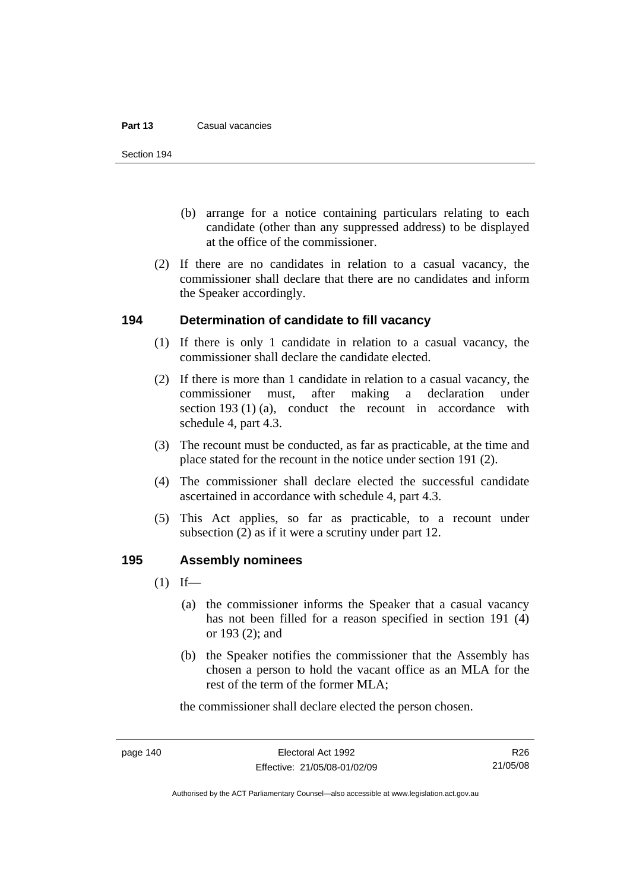#### **Part 13** Casual vacancies

Section 194

- (b) arrange for a notice containing particulars relating to each candidate (other than any suppressed address) to be displayed at the office of the commissioner.
- (2) If there are no candidates in relation to a casual vacancy, the commissioner shall declare that there are no candidates and inform the Speaker accordingly.

#### **194 Determination of candidate to fill vacancy**

- (1) If there is only 1 candidate in relation to a casual vacancy, the commissioner shall declare the candidate elected.
- (2) If there is more than 1 candidate in relation to a casual vacancy, the commissioner must, after making a declaration under section 193 (1) (a), conduct the recount in accordance with schedule 4, part 4.3.
- (3) The recount must be conducted, as far as practicable, at the time and place stated for the recount in the notice under section 191 (2).
- (4) The commissioner shall declare elected the successful candidate ascertained in accordance with schedule 4, part 4.3.
- (5) This Act applies, so far as practicable, to a recount under subsection (2) as if it were a scrutiny under part 12.

## **195 Assembly nominees**

- $(1)$  If—
	- (a) the commissioner informs the Speaker that a casual vacancy has not been filled for a reason specified in section 191 (4) or 193 (2); and
	- (b) the Speaker notifies the commissioner that the Assembly has chosen a person to hold the vacant office as an MLA for the rest of the term of the former MLA;

the commissioner shall declare elected the person chosen.

R26 21/05/08

Authorised by the ACT Parliamentary Counsel—also accessible at www.legislation.act.gov.au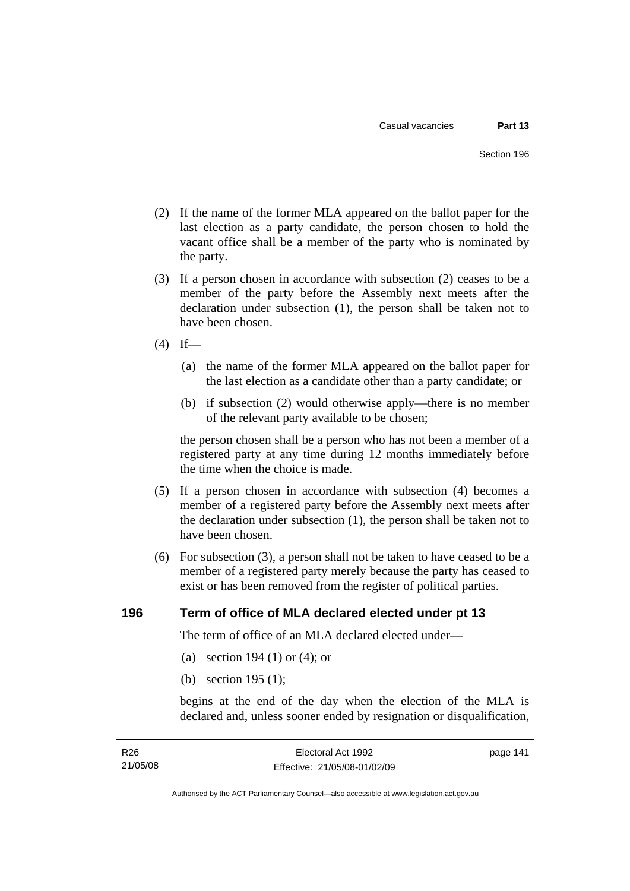- (2) If the name of the former MLA appeared on the ballot paper for the last election as a party candidate, the person chosen to hold the vacant office shall be a member of the party who is nominated by the party.
- (3) If a person chosen in accordance with subsection (2) ceases to be a member of the party before the Assembly next meets after the declaration under subsection (1), the person shall be taken not to have been chosen.
- $(4)$  If—
	- (a) the name of the former MLA appeared on the ballot paper for the last election as a candidate other than a party candidate; or
	- (b) if subsection (2) would otherwise apply—there is no member of the relevant party available to be chosen;

the person chosen shall be a person who has not been a member of a registered party at any time during 12 months immediately before the time when the choice is made.

- (5) If a person chosen in accordance with subsection (4) becomes a member of a registered party before the Assembly next meets after the declaration under subsection (1), the person shall be taken not to have been chosen.
- (6) For subsection (3), a person shall not be taken to have ceased to be a member of a registered party merely because the party has ceased to exist or has been removed from the register of political parties.

#### **196 Term of office of MLA declared elected under pt 13**

The term of office of an MLA declared elected under—

- (a) section 194 (1) or (4); or
- (b) section 195 (1);

begins at the end of the day when the election of the MLA is declared and, unless sooner ended by resignation or disqualification,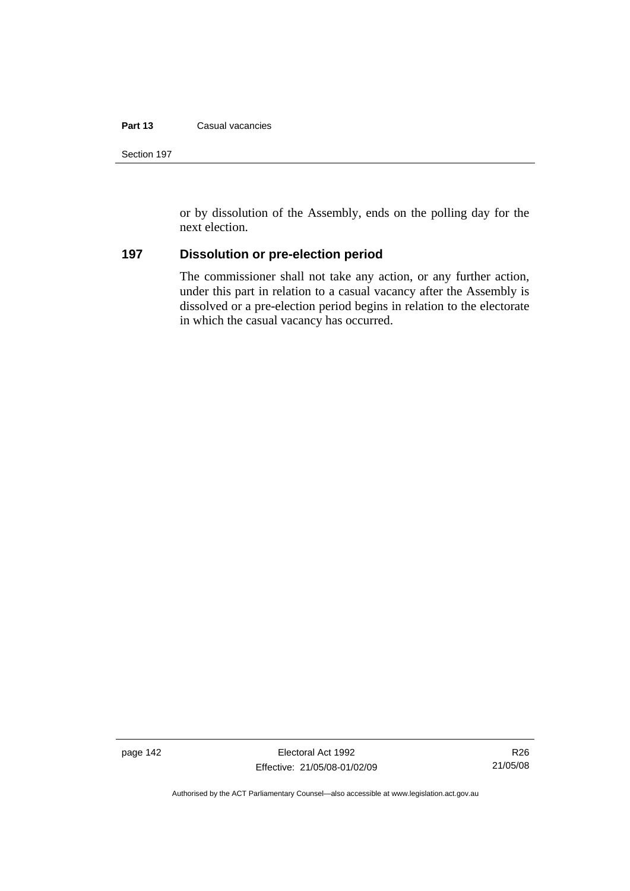#### **Part 13** Casual vacancies

or by dissolution of the Assembly, ends on the polling day for the next election.

## **197 Dissolution or pre-election period**

The commissioner shall not take any action, or any further action, under this part in relation to a casual vacancy after the Assembly is dissolved or a pre-election period begins in relation to the electorate in which the casual vacancy has occurred.

page 142 Electoral Act 1992 Effective: 21/05/08-01/02/09

Authorised by the ACT Parliamentary Counsel—also accessible at www.legislation.act.gov.au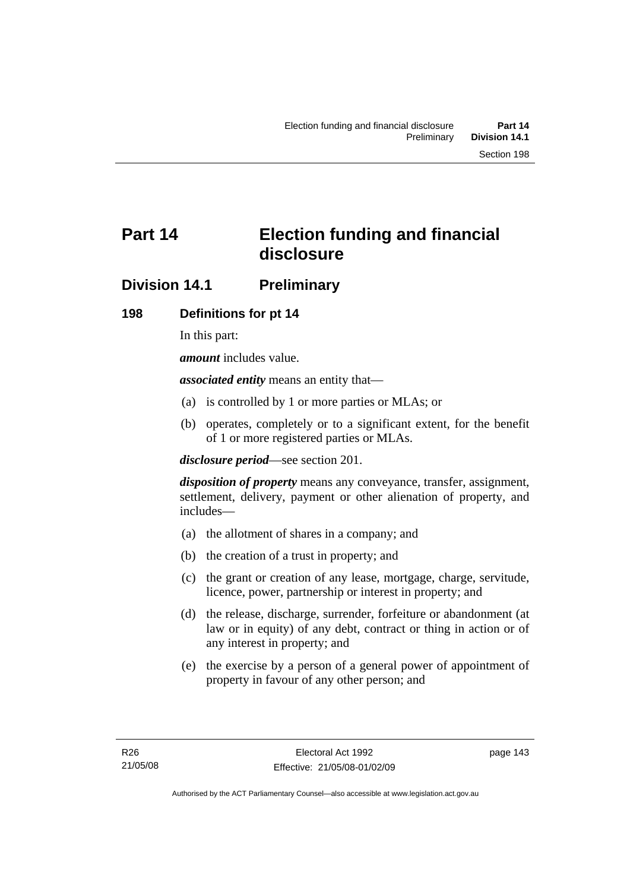# **Part 14 Election funding and financial disclosure**

# **Division 14.1 Preliminary**

## **198 Definitions for pt 14**

In this part:

*amount* includes value.

*associated entity* means an entity that—

- (a) is controlled by 1 or more parties or MLAs; or
- (b) operates, completely or to a significant extent, for the benefit of 1 or more registered parties or MLAs.

*disclosure period*—see section 201.

*disposition of property* means any conveyance, transfer, assignment, settlement, delivery, payment or other alienation of property, and includes—

- (a) the allotment of shares in a company; and
- (b) the creation of a trust in property; and
- (c) the grant or creation of any lease, mortgage, charge, servitude, licence, power, partnership or interest in property; and
- (d) the release, discharge, surrender, forfeiture or abandonment (at law or in equity) of any debt, contract or thing in action or of any interest in property; and
- (e) the exercise by a person of a general power of appointment of property in favour of any other person; and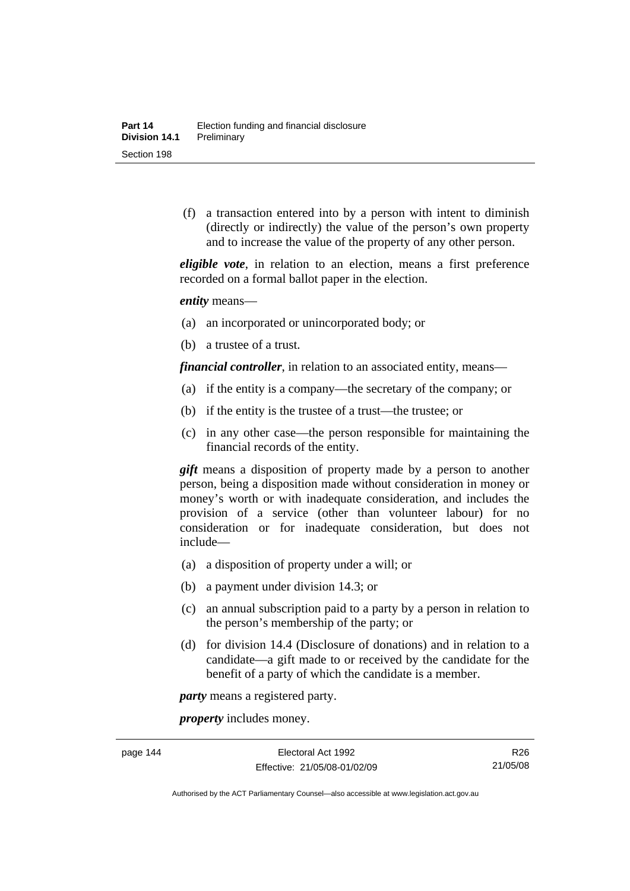(f) a transaction entered into by a person with intent to diminish (directly or indirectly) the value of the person's own property and to increase the value of the property of any other person.

*eligible vote*, in relation to an election, means a first preference recorded on a formal ballot paper in the election.

*entity* means—

- (a) an incorporated or unincorporated body; or
- (b) a trustee of a trust.

*financial controller*, in relation to an associated entity, means—

- (a) if the entity is a company—the secretary of the company; or
- (b) if the entity is the trustee of a trust—the trustee; or
- (c) in any other case—the person responsible for maintaining the financial records of the entity.

*gift* means a disposition of property made by a person to another person, being a disposition made without consideration in money or money's worth or with inadequate consideration, and includes the provision of a service (other than volunteer labour) for no consideration or for inadequate consideration, but does not include—

- (a) a disposition of property under a will; or
- (b) a payment under division 14.3; or
- (c) an annual subscription paid to a party by a person in relation to the person's membership of the party; or
- (d) for division 14.4 (Disclosure of donations) and in relation to a candidate—a gift made to or received by the candidate for the benefit of a party of which the candidate is a member.

*party* means a registered party.

*property* includes money.

Authorised by the ACT Parliamentary Counsel—also accessible at www.legislation.act.gov.au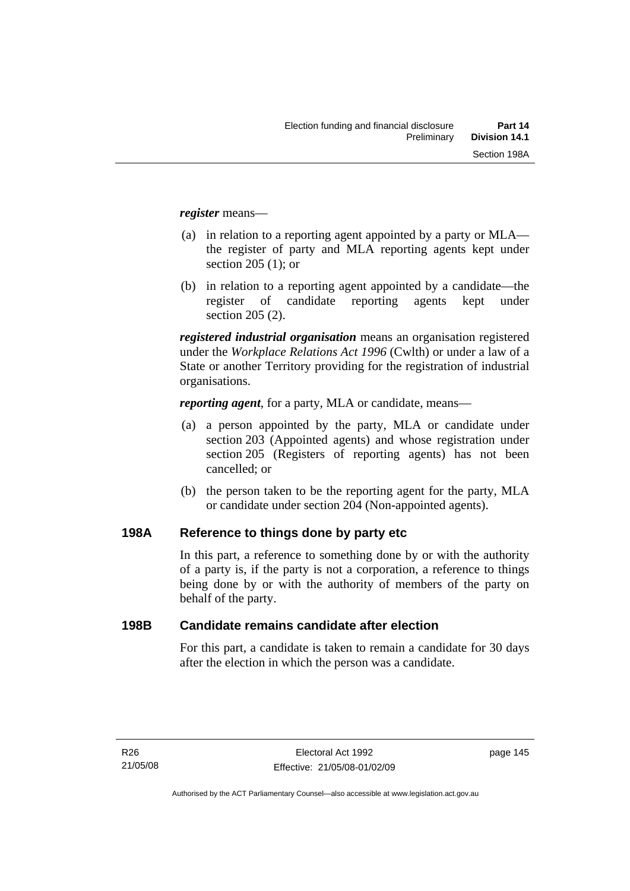*register* means—

- (a) in relation to a reporting agent appointed by a party or MLA the register of party and MLA reporting agents kept under section 205 (1); or
- (b) in relation to a reporting agent appointed by a candidate—the register of candidate reporting agents kept under section 205 (2).

*registered industrial organisation* means an organisation registered under the *Workplace Relations Act 1996* (Cwlth) or under a law of a State or another Territory providing for the registration of industrial organisations.

*reporting agent*, for a party, MLA or candidate, means—

- (a) a person appointed by the party, MLA or candidate under section 203 (Appointed agents) and whose registration under section 205 (Registers of reporting agents) has not been cancelled; or
- (b) the person taken to be the reporting agent for the party, MLA or candidate under section 204 (Non-appointed agents).

#### **198A Reference to things done by party etc**

In this part, a reference to something done by or with the authority of a party is, if the party is not a corporation, a reference to things being done by or with the authority of members of the party on behalf of the party.

#### **198B Candidate remains candidate after election**

For this part, a candidate is taken to remain a candidate for 30 days after the election in which the person was a candidate.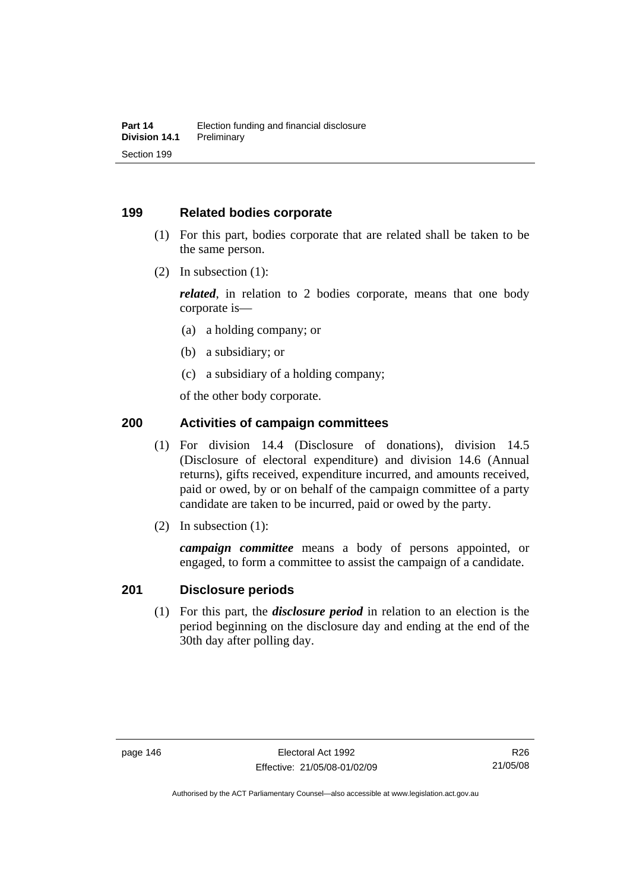#### **199 Related bodies corporate**

- (1) For this part, bodies corporate that are related shall be taken to be the same person.
- (2) In subsection (1):

*related*, in relation to 2 bodies corporate, means that one body corporate is—

- (a) a holding company; or
- (b) a subsidiary; or
- (c) a subsidiary of a holding company;

of the other body corporate.

#### **200 Activities of campaign committees**

- (1) For division 14.4 (Disclosure of donations), division 14.5 (Disclosure of electoral expenditure) and division 14.6 (Annual returns), gifts received, expenditure incurred, and amounts received, paid or owed, by or on behalf of the campaign committee of a party candidate are taken to be incurred, paid or owed by the party.
- (2) In subsection (1):

*campaign committee* means a body of persons appointed, or engaged, to form a committee to assist the campaign of a candidate.

#### **201 Disclosure periods**

 (1) For this part, the *disclosure period* in relation to an election is the period beginning on the disclosure day and ending at the end of the 30th day after polling day.

R26 21/05/08

Authorised by the ACT Parliamentary Counsel—also accessible at www.legislation.act.gov.au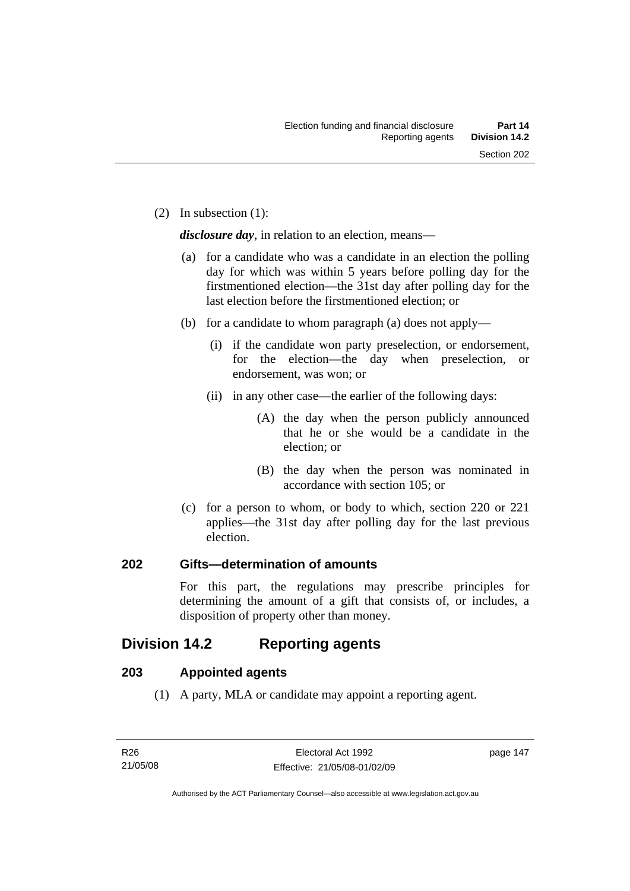(2) In subsection (1):

*disclosure day*, in relation to an election, means—

- (a) for a candidate who was a candidate in an election the polling day for which was within 5 years before polling day for the firstmentioned election—the 31st day after polling day for the last election before the firstmentioned election; or
- (b) for a candidate to whom paragraph (a) does not apply—
	- (i) if the candidate won party preselection, or endorsement, for the election—the day when preselection, or endorsement, was won; or
	- (ii) in any other case—the earlier of the following days:
		- (A) the day when the person publicly announced that he or she would be a candidate in the election; or
		- (B) the day when the person was nominated in accordance with section 105; or
- (c) for a person to whom, or body to which, section 220 or 221 applies—the 31st day after polling day for the last previous election.

#### **202 Gifts—determination of amounts**

For this part, the regulations may prescribe principles for determining the amount of a gift that consists of, or includes, a disposition of property other than money.

# **Division 14.2 Reporting agents**

#### **203 Appointed agents**

(1) A party, MLA or candidate may appoint a reporting agent.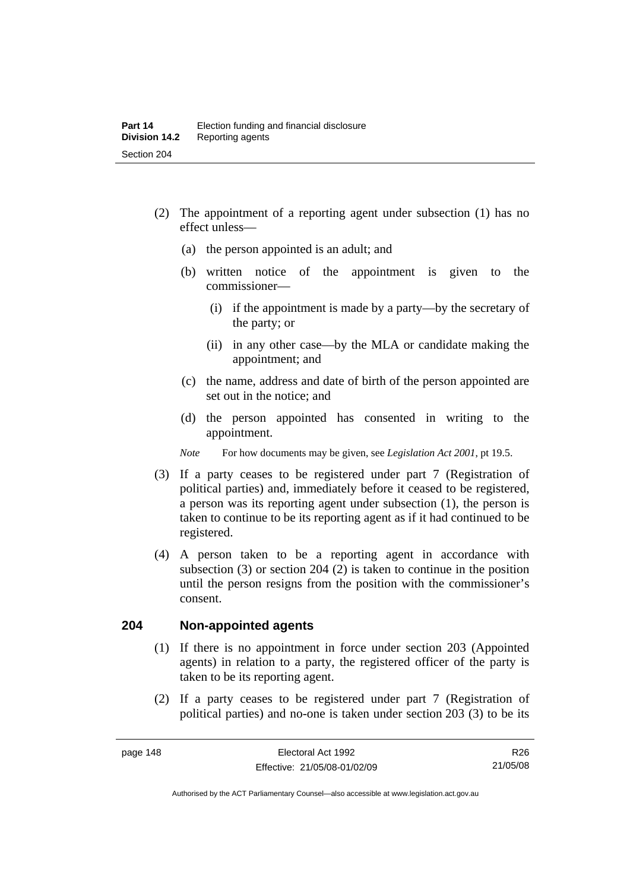- (2) The appointment of a reporting agent under subsection (1) has no effect unless—
	- (a) the person appointed is an adult; and
	- (b) written notice of the appointment is given to the commissioner—
		- (i) if the appointment is made by a party—by the secretary of the party; or
		- (ii) in any other case—by the MLA or candidate making the appointment; and
	- (c) the name, address and date of birth of the person appointed are set out in the notice; and
	- (d) the person appointed has consented in writing to the appointment.
	- *Note* For how documents may be given, see *Legislation Act 2001*, pt 19.5.
- (3) If a party ceases to be registered under part 7 (Registration of political parties) and, immediately before it ceased to be registered, a person was its reporting agent under subsection (1), the person is taken to continue to be its reporting agent as if it had continued to be registered.
- (4) A person taken to be a reporting agent in accordance with subsection (3) or section 204 (2) is taken to continue in the position until the person resigns from the position with the commissioner's consent.

#### **204 Non-appointed agents**

- (1) If there is no appointment in force under section 203 (Appointed agents) in relation to a party, the registered officer of the party is taken to be its reporting agent.
- (2) If a party ceases to be registered under part 7 (Registration of political parties) and no-one is taken under section 203 (3) to be its

Authorised by the ACT Parliamentary Counsel—also accessible at www.legislation.act.gov.au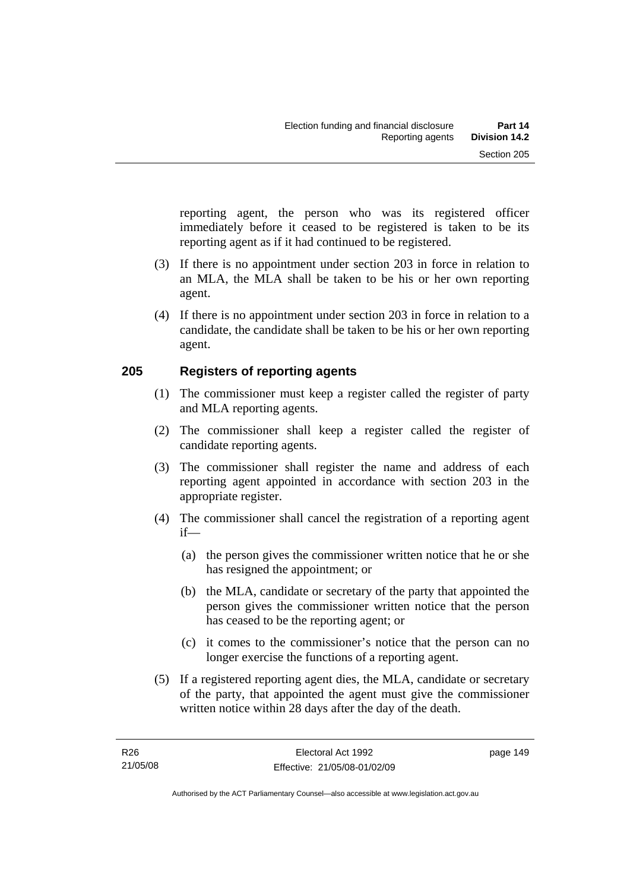reporting agent, the person who was its registered officer immediately before it ceased to be registered is taken to be its reporting agent as if it had continued to be registered.

- (3) If there is no appointment under section 203 in force in relation to an MLA, the MLA shall be taken to be his or her own reporting agent.
- (4) If there is no appointment under section 203 in force in relation to a candidate, the candidate shall be taken to be his or her own reporting agent.

#### **205 Registers of reporting agents**

- (1) The commissioner must keep a register called the register of party and MLA reporting agents.
- (2) The commissioner shall keep a register called the register of candidate reporting agents.
- (3) The commissioner shall register the name and address of each reporting agent appointed in accordance with section 203 in the appropriate register.
- (4) The commissioner shall cancel the registration of a reporting agent if—
	- (a) the person gives the commissioner written notice that he or she has resigned the appointment; or
	- (b) the MLA, candidate or secretary of the party that appointed the person gives the commissioner written notice that the person has ceased to be the reporting agent; or
	- (c) it comes to the commissioner's notice that the person can no longer exercise the functions of a reporting agent.
- (5) If a registered reporting agent dies, the MLA, candidate or secretary of the party, that appointed the agent must give the commissioner written notice within 28 days after the day of the death.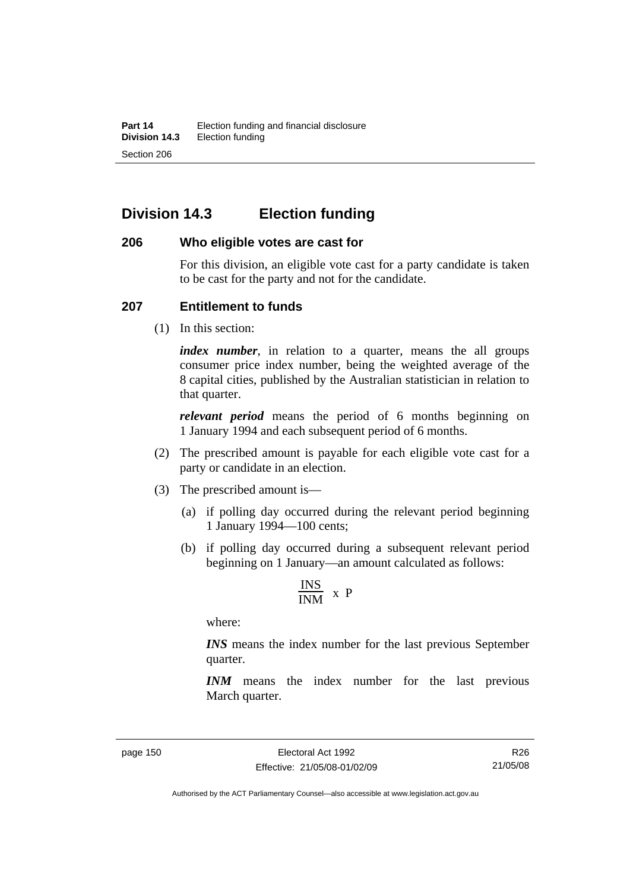# **Division 14.3 Election funding**

#### **206 Who eligible votes are cast for**

For this division, an eligible vote cast for a party candidate is taken to be cast for the party and not for the candidate.

#### **207 Entitlement to funds**

(1) In this section:

*index number*, in relation to a quarter, means the all groups consumer price index number, being the weighted average of the 8 capital cities, published by the Australian statistician in relation to that quarter.

*relevant period* means the period of 6 months beginning on 1 January 1994 and each subsequent period of 6 months.

- (2) The prescribed amount is payable for each eligible vote cast for a party or candidate in an election.
- (3) The prescribed amount is—
	- (a) if polling day occurred during the relevant period beginning 1 January 1994—100 cents;
	- (b) if polling day occurred during a subsequent relevant period beginning on 1 January—an amount calculated as follows:

$$
\frac{INS}{INM} \times P
$$

where:

*INS* means the index number for the last previous September quarter.

*INM* means the index number for the last previous March quarter.

R26 21/05/08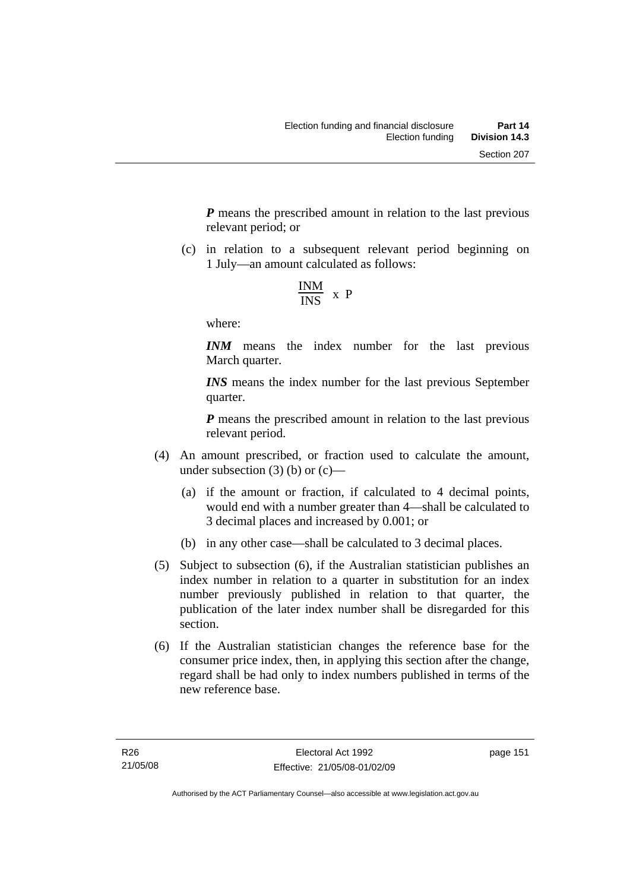*P* means the prescribed amount in relation to the last previous relevant period; or

 (c) in relation to a subsequent relevant period beginning on 1 July—an amount calculated as follows:

$$
\frac{INM}{INS} \times P
$$

where:

*INM* means the index number for the last previous March quarter.

*INS* means the index number for the last previous September quarter.

*P* means the prescribed amount in relation to the last previous relevant period.

- (4) An amount prescribed, or fraction used to calculate the amount, under subsection  $(3)$  (b) or  $(c)$ —
	- (a) if the amount or fraction, if calculated to 4 decimal points, would end with a number greater than 4—shall be calculated to 3 decimal places and increased by 0.001; or
	- (b) in any other case—shall be calculated to 3 decimal places.
- (5) Subject to subsection (6), if the Australian statistician publishes an index number in relation to a quarter in substitution for an index number previously published in relation to that quarter, the publication of the later index number shall be disregarded for this section.
- (6) If the Australian statistician changes the reference base for the consumer price index, then, in applying this section after the change, regard shall be had only to index numbers published in terms of the new reference base.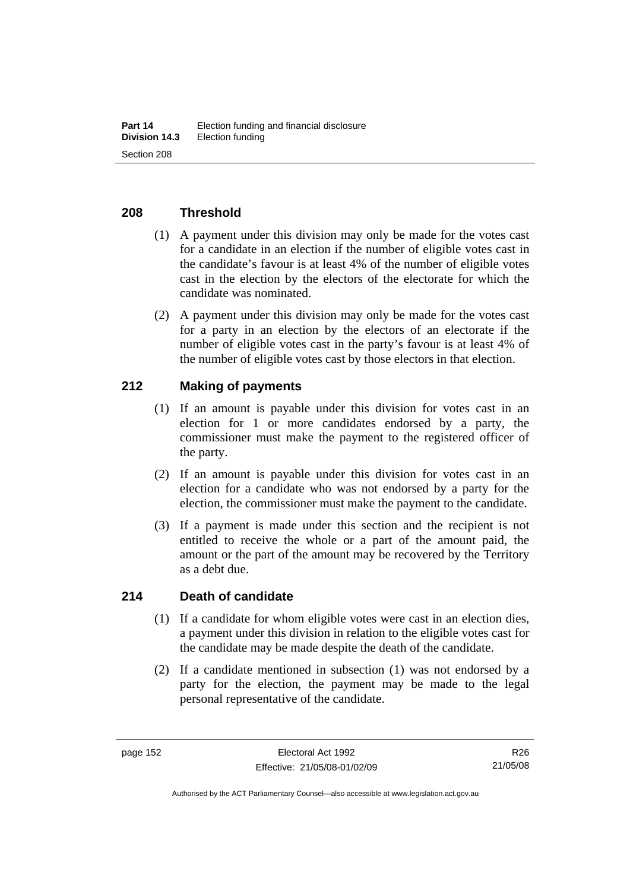#### **208 Threshold**

- (1) A payment under this division may only be made for the votes cast for a candidate in an election if the number of eligible votes cast in the candidate's favour is at least 4% of the number of eligible votes cast in the election by the electors of the electorate for which the candidate was nominated.
- (2) A payment under this division may only be made for the votes cast for a party in an election by the electors of an electorate if the number of eligible votes cast in the party's favour is at least 4% of the number of eligible votes cast by those electors in that election.

#### **212 Making of payments**

- (1) If an amount is payable under this division for votes cast in an election for 1 or more candidates endorsed by a party, the commissioner must make the payment to the registered officer of the party.
- (2) If an amount is payable under this division for votes cast in an election for a candidate who was not endorsed by a party for the election, the commissioner must make the payment to the candidate.
- (3) If a payment is made under this section and the recipient is not entitled to receive the whole or a part of the amount paid, the amount or the part of the amount may be recovered by the Territory as a debt due.

#### **214 Death of candidate**

- (1) If a candidate for whom eligible votes were cast in an election dies, a payment under this division in relation to the eligible votes cast for the candidate may be made despite the death of the candidate.
- (2) If a candidate mentioned in subsection (1) was not endorsed by a party for the election, the payment may be made to the legal personal representative of the candidate.

R26 21/05/08

Authorised by the ACT Parliamentary Counsel—also accessible at www.legislation.act.gov.au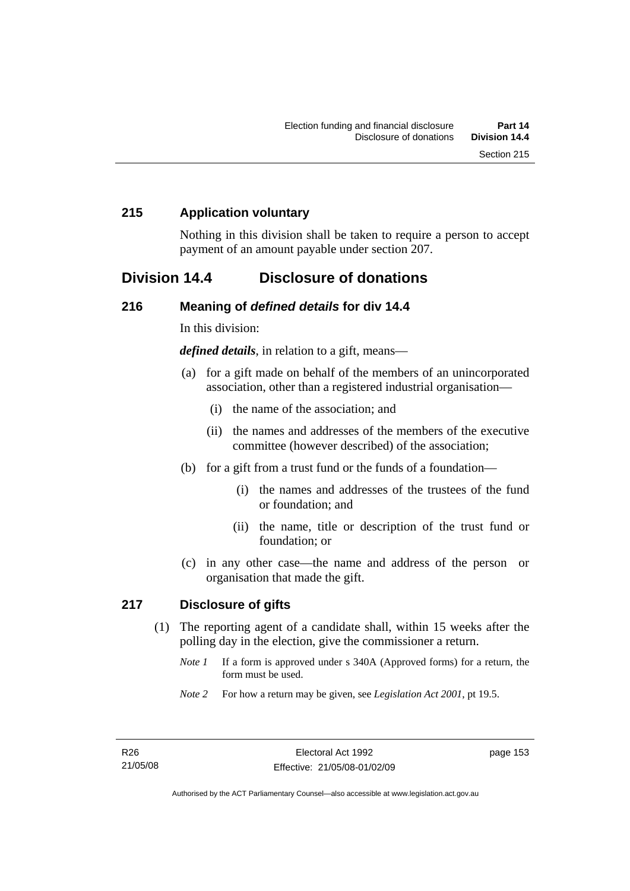#### **215 Application voluntary**

Nothing in this division shall be taken to require a person to accept payment of an amount payable under section 207.

## **Division 14.4 Disclosure of donations**

#### **216 Meaning of** *defined details* **for div 14.4**

In this division:

*defined details*, in relation to a gift, means—

- (a) for a gift made on behalf of the members of an unincorporated association, other than a registered industrial organisation—
	- (i) the name of the association; and
	- (ii) the names and addresses of the members of the executive committee (however described) of the association;
- (b) for a gift from a trust fund or the funds of a foundation—
	- (i) the names and addresses of the trustees of the fund or foundation; and
	- (ii) the name, title or description of the trust fund or foundation; or
- (c) in any other case—the name and address of the person or organisation that made the gift.

#### **217 Disclosure of gifts**

- (1) The reporting agent of a candidate shall, within 15 weeks after the polling day in the election, give the commissioner a return.
	- *Note 1* If a form is approved under s 340A (Approved forms) for a return, the form must be used.
	- *Note 2* For how a return may be given, see *Legislation Act 2001*, pt 19.5.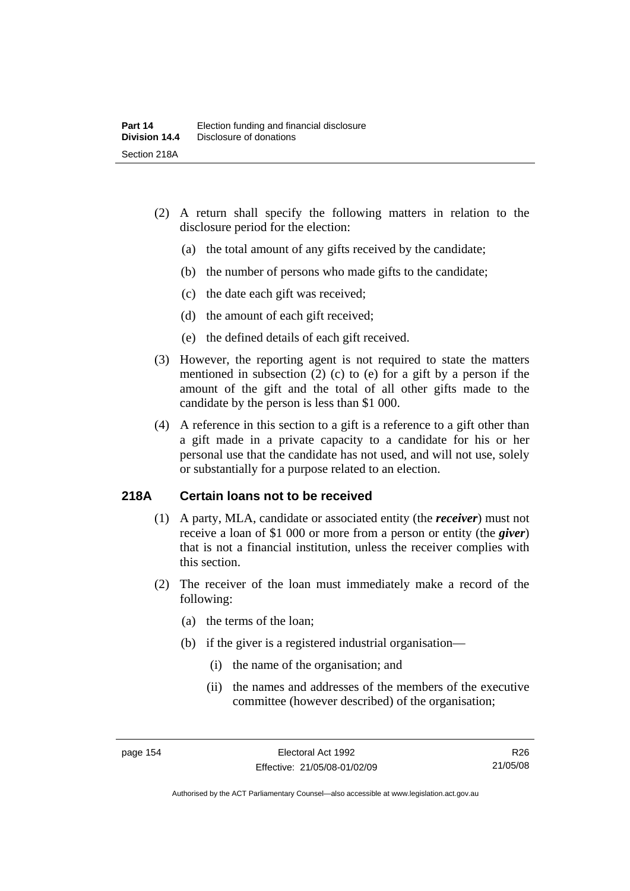- (2) A return shall specify the following matters in relation to the disclosure period for the election:
	- (a) the total amount of any gifts received by the candidate;
	- (b) the number of persons who made gifts to the candidate;
	- (c) the date each gift was received;
	- (d) the amount of each gift received;
	- (e) the defined details of each gift received.
- (3) However, the reporting agent is not required to state the matters mentioned in subsection (2) (c) to (e) for a gift by a person if the amount of the gift and the total of all other gifts made to the candidate by the person is less than \$1 000.
- (4) A reference in this section to a gift is a reference to a gift other than a gift made in a private capacity to a candidate for his or her personal use that the candidate has not used, and will not use, solely or substantially for a purpose related to an election.

#### **218A Certain loans not to be received**

- (1) A party, MLA, candidate or associated entity (the *receiver*) must not receive a loan of \$1 000 or more from a person or entity (the *giver*) that is not a financial institution, unless the receiver complies with this section.
- (2) The receiver of the loan must immediately make a record of the following:
	- (a) the terms of the loan;
	- (b) if the giver is a registered industrial organisation—
		- (i) the name of the organisation; and
		- (ii) the names and addresses of the members of the executive committee (however described) of the organisation;

R26 21/05/08

Authorised by the ACT Parliamentary Counsel—also accessible at www.legislation.act.gov.au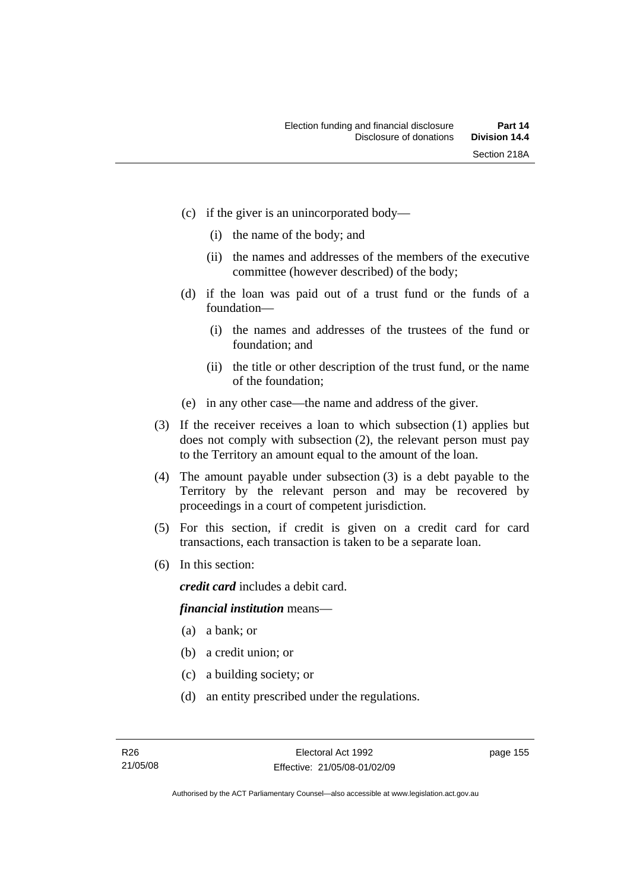- (c) if the giver is an unincorporated body—
	- (i) the name of the body; and
	- (ii) the names and addresses of the members of the executive committee (however described) of the body;
- (d) if the loan was paid out of a trust fund or the funds of a foundation—
	- (i) the names and addresses of the trustees of the fund or foundation; and
	- (ii) the title or other description of the trust fund, or the name of the foundation;
- (e) in any other case—the name and address of the giver.
- (3) If the receiver receives a loan to which subsection (1) applies but does not comply with subsection (2), the relevant person must pay to the Territory an amount equal to the amount of the loan.
- (4) The amount payable under subsection (3) is a debt payable to the Territory by the relevant person and may be recovered by proceedings in a court of competent jurisdiction.
- (5) For this section, if credit is given on a credit card for card transactions, each transaction is taken to be a separate loan.
- (6) In this section:

*credit card* includes a debit card.

#### *financial institution* means—

- (a) a bank; or
- (b) a credit union; or
- (c) a building society; or
- (d) an entity prescribed under the regulations.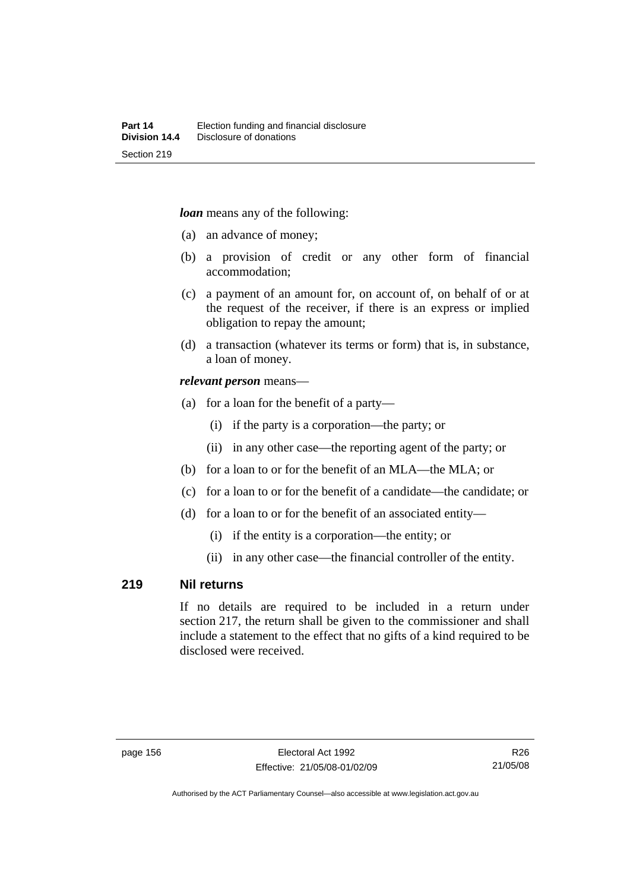*loan* means any of the following:

- (a) an advance of money;
- (b) a provision of credit or any other form of financial accommodation;
- (c) a payment of an amount for, on account of, on behalf of or at the request of the receiver, if there is an express or implied obligation to repay the amount;
- (d) a transaction (whatever its terms or form) that is, in substance, a loan of money.

#### *relevant person* means—

- (a) for a loan for the benefit of a party—
	- (i) if the party is a corporation—the party; or
	- (ii) in any other case—the reporting agent of the party; or
- (b) for a loan to or for the benefit of an MLA—the MLA; or
- (c) for a loan to or for the benefit of a candidate—the candidate; or
- (d) for a loan to or for the benefit of an associated entity—
	- (i) if the entity is a corporation—the entity; or
	- (ii) in any other case—the financial controller of the entity.

#### **219 Nil returns**

If no details are required to be included in a return under section 217, the return shall be given to the commissioner and shall include a statement to the effect that no gifts of a kind required to be disclosed were received.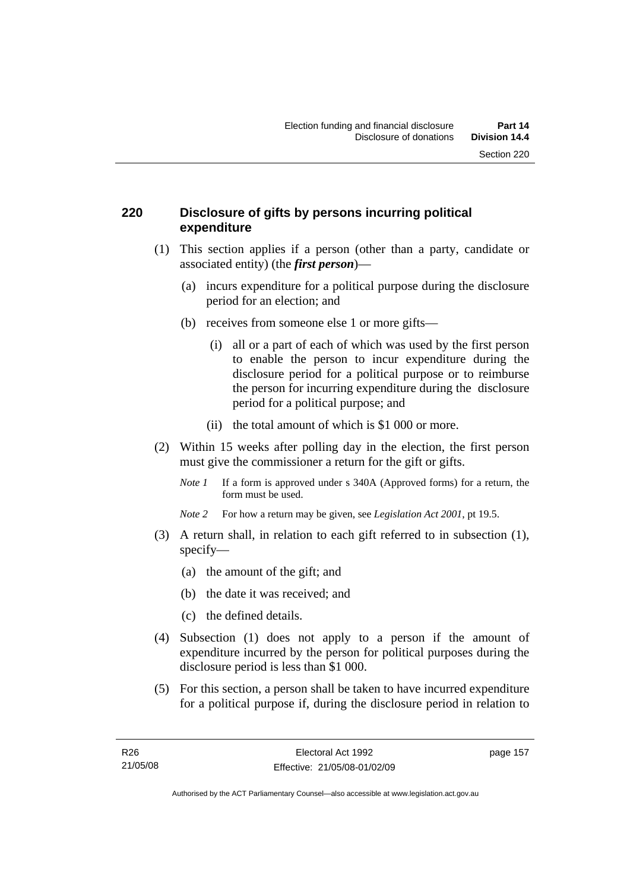#### **220 Disclosure of gifts by persons incurring political expenditure**

- (1) This section applies if a person (other than a party, candidate or associated entity) (the *first person*)—
	- (a) incurs expenditure for a political purpose during the disclosure period for an election; and
	- (b) receives from someone else 1 or more gifts—
		- (i) all or a part of each of which was used by the first person to enable the person to incur expenditure during the disclosure period for a political purpose or to reimburse the person for incurring expenditure during the disclosure period for a political purpose; and
		- (ii) the total amount of which is \$1 000 or more.
- (2) Within 15 weeks after polling day in the election, the first person must give the commissioner a return for the gift or gifts.
	- *Note 1* If a form is approved under s 340A (Approved forms) for a return, the form must be used.
	- *Note 2* For how a return may be given, see *Legislation Act 2001*, pt 19.5.
- (3) A return shall, in relation to each gift referred to in subsection (1), specify—
	- (a) the amount of the gift; and
	- (b) the date it was received; and
	- (c) the defined details.
- (4) Subsection (1) does not apply to a person if the amount of expenditure incurred by the person for political purposes during the disclosure period is less than \$1 000.
- (5) For this section, a person shall be taken to have incurred expenditure for a political purpose if, during the disclosure period in relation to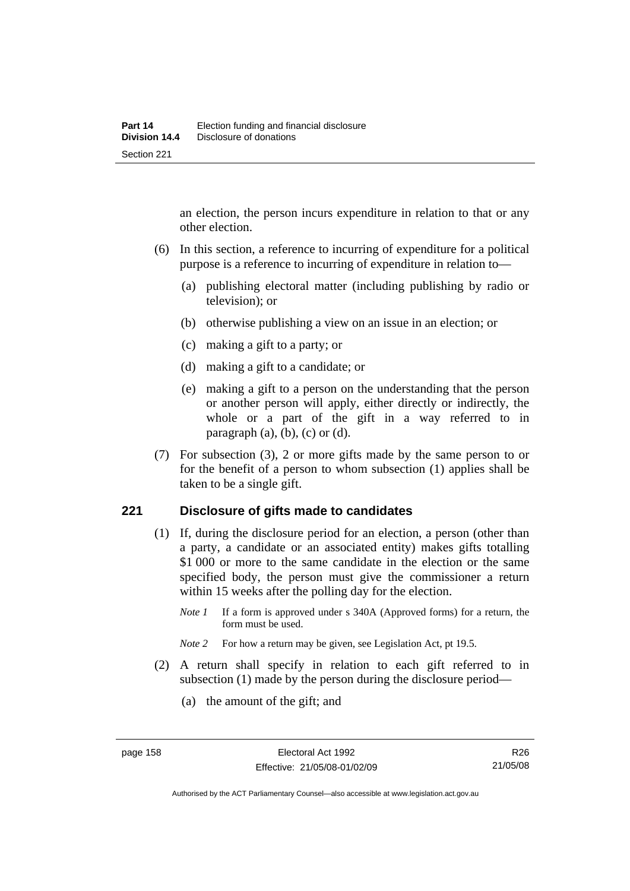an election, the person incurs expenditure in relation to that or any other election.

- (6) In this section, a reference to incurring of expenditure for a political purpose is a reference to incurring of expenditure in relation to—
	- (a) publishing electoral matter (including publishing by radio or television); or
	- (b) otherwise publishing a view on an issue in an election; or
	- (c) making a gift to a party; or
	- (d) making a gift to a candidate; or
	- (e) making a gift to a person on the understanding that the person or another person will apply, either directly or indirectly, the whole or a part of the gift in a way referred to in paragraph  $(a)$ ,  $(b)$ ,  $(c)$  or  $(d)$ .
- (7) For subsection (3), 2 or more gifts made by the same person to or for the benefit of a person to whom subsection (1) applies shall be taken to be a single gift.

#### **221 Disclosure of gifts made to candidates**

- (1) If, during the disclosure period for an election, a person (other than a party, a candidate or an associated entity) makes gifts totalling \$1 000 or more to the same candidate in the election or the same specified body, the person must give the commissioner a return within 15 weeks after the polling day for the election.
	- *Note 1* If a form is approved under s 340A (Approved forms) for a return, the form must be used.
	- *Note* 2 For how a return may be given, see Legislation Act, pt 19.5.
- (2) A return shall specify in relation to each gift referred to in subsection (1) made by the person during the disclosure period—
	- (a) the amount of the gift; and

Authorised by the ACT Parliamentary Counsel—also accessible at www.legislation.act.gov.au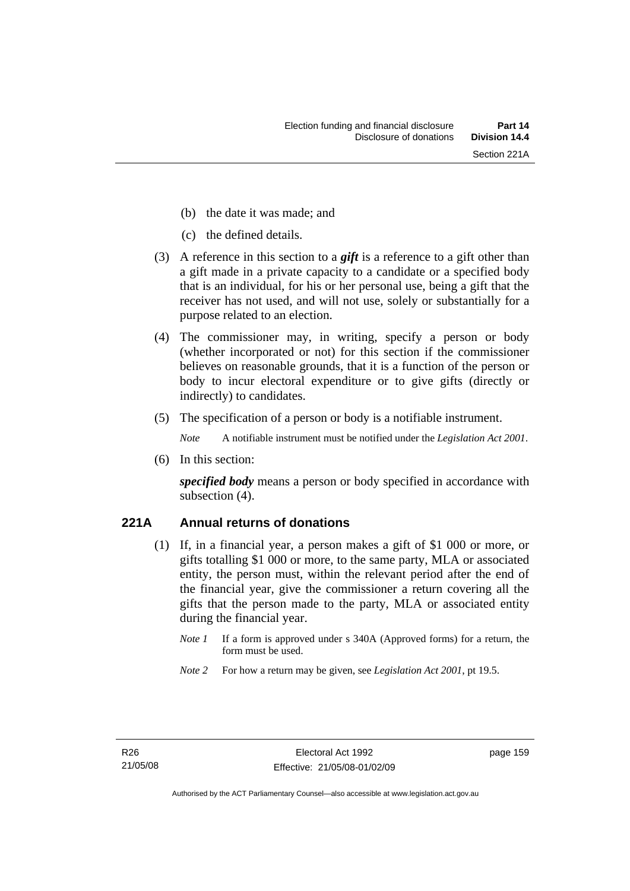- (b) the date it was made; and
- (c) the defined details.
- (3) A reference in this section to a *gift* is a reference to a gift other than a gift made in a private capacity to a candidate or a specified body that is an individual, for his or her personal use, being a gift that the receiver has not used, and will not use, solely or substantially for a purpose related to an election.
- (4) The commissioner may, in writing, specify a person or body (whether incorporated or not) for this section if the commissioner believes on reasonable grounds, that it is a function of the person or body to incur electoral expenditure or to give gifts (directly or indirectly) to candidates.
- (5) The specification of a person or body is a notifiable instrument.

*Note* A notifiable instrument must be notified under the *Legislation Act 2001*.

(6) In this section:

*specified body* means a person or body specified in accordance with subsection (4).

## **221A Annual returns of donations**

- (1) If, in a financial year, a person makes a gift of \$1 000 or more, or gifts totalling \$1 000 or more, to the same party, MLA or associated entity, the person must, within the relevant period after the end of the financial year, give the commissioner a return covering all the gifts that the person made to the party, MLA or associated entity during the financial year.
	- *Note 1* If a form is approved under s 340A (Approved forms) for a return, the form must be used.
	- *Note 2* For how a return may be given, see *Legislation Act 2001*, pt 19.5.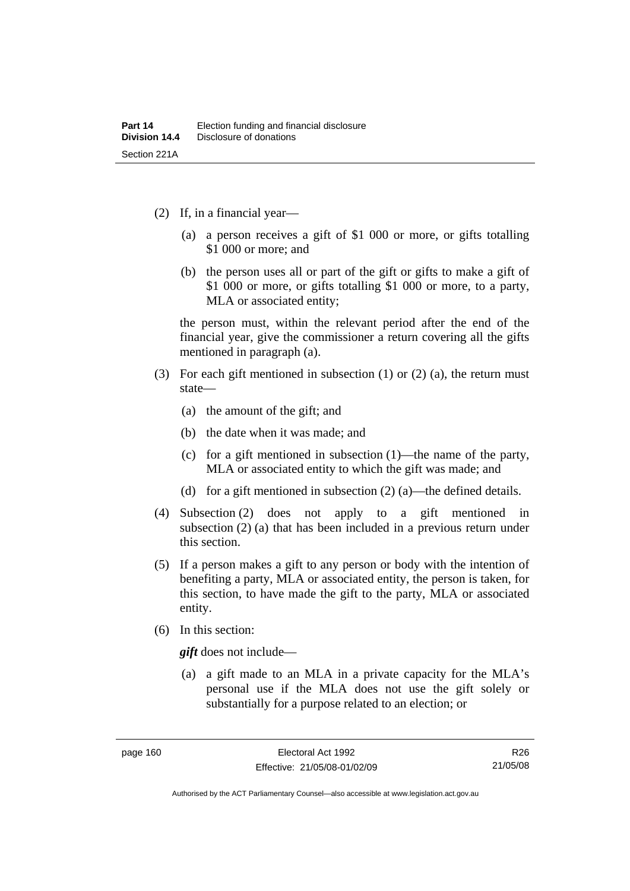- (2) If, in a financial year—
	- (a) a person receives a gift of \$1 000 or more, or gifts totalling \$1 000 or more; and
	- (b) the person uses all or part of the gift or gifts to make a gift of \$1 000 or more, or gifts totalling \$1 000 or more, to a party, MLA or associated entity;

the person must, within the relevant period after the end of the financial year, give the commissioner a return covering all the gifts mentioned in paragraph (a).

- (3) For each gift mentioned in subsection (1) or (2) (a), the return must state—
	- (a) the amount of the gift; and
	- (b) the date when it was made; and
	- (c) for a gift mentioned in subsection (1)—the name of the party, MLA or associated entity to which the gift was made; and
	- (d) for a gift mentioned in subsection (2) (a)—the defined details.
- (4) Subsection (2) does not apply to a gift mentioned in subsection (2) (a) that has been included in a previous return under this section.
- (5) If a person makes a gift to any person or body with the intention of benefiting a party, MLA or associated entity, the person is taken, for this section, to have made the gift to the party, MLA or associated entity.
- (6) In this section:

*gift* does not include—

 (a) a gift made to an MLA in a private capacity for the MLA's personal use if the MLA does not use the gift solely or substantially for a purpose related to an election; or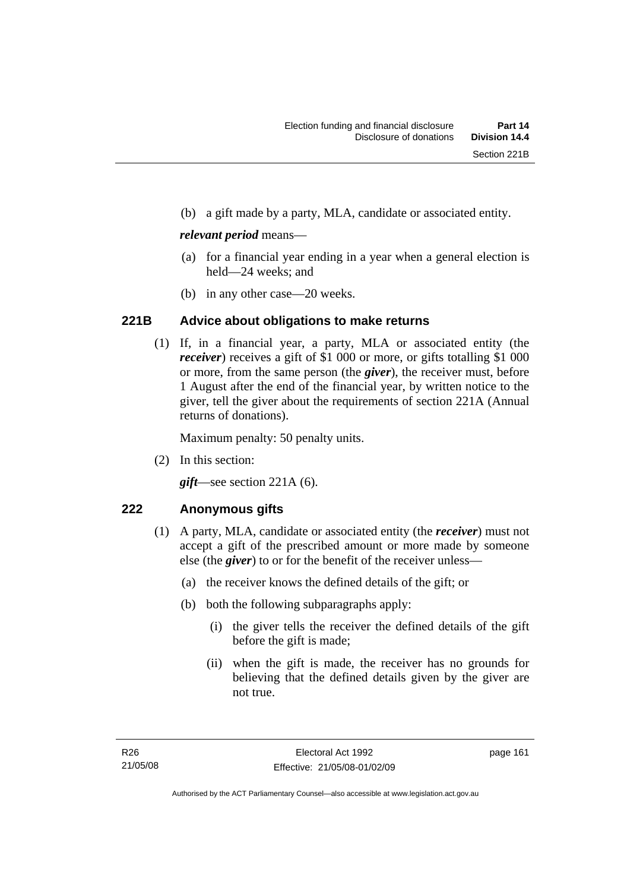(b) a gift made by a party, MLA, candidate or associated entity.

#### *relevant period* means—

- (a) for a financial year ending in a year when a general election is held—24 weeks; and
- (b) in any other case—20 weeks.

## **221B Advice about obligations to make returns**

 (1) If, in a financial year, a party, MLA or associated entity (the *receiver*) receives a gift of \$1 000 or more, or gifts totalling \$1 000 or more, from the same person (the *giver*), the receiver must, before 1 August after the end of the financial year, by written notice to the giver, tell the giver about the requirements of section 221A (Annual returns of donations).

Maximum penalty: 50 penalty units.

(2) In this section:

*gift*—see section 221A (6).

## **222 Anonymous gifts**

- (1) A party, MLA, candidate or associated entity (the *receiver*) must not accept a gift of the prescribed amount or more made by someone else (the *giver*) to or for the benefit of the receiver unless—
	- (a) the receiver knows the defined details of the gift; or
	- (b) both the following subparagraphs apply:
		- (i) the giver tells the receiver the defined details of the gift before the gift is made;
		- (ii) when the gift is made, the receiver has no grounds for believing that the defined details given by the giver are not true.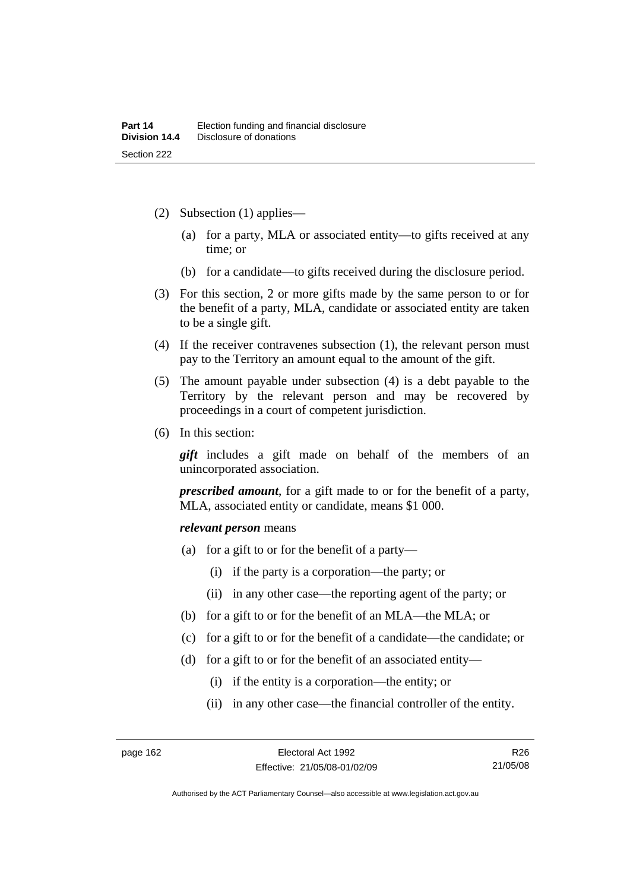- (2) Subsection (1) applies—
	- (a) for a party, MLA or associated entity—to gifts received at any time; or
	- (b) for a candidate—to gifts received during the disclosure period.
- (3) For this section, 2 or more gifts made by the same person to or for the benefit of a party, MLA, candidate or associated entity are taken to be a single gift.
- (4) If the receiver contravenes subsection (1), the relevant person must pay to the Territory an amount equal to the amount of the gift.
- (5) The amount payable under subsection (4) is a debt payable to the Territory by the relevant person and may be recovered by proceedings in a court of competent jurisdiction.
- (6) In this section:

*gift* includes a gift made on behalf of the members of an unincorporated association.

*prescribed amount*, for a gift made to or for the benefit of a party, MLA, associated entity or candidate, means \$1 000.

#### *relevant person* means

- (a) for a gift to or for the benefit of a party—
	- (i) if the party is a corporation—the party; or
	- (ii) in any other case—the reporting agent of the party; or
- (b) for a gift to or for the benefit of an MLA—the MLA; or
- (c) for a gift to or for the benefit of a candidate—the candidate; or
- (d) for a gift to or for the benefit of an associated entity—
	- (i) if the entity is a corporation—the entity; or
	- (ii) in any other case—the financial controller of the entity.

Authorised by the ACT Parliamentary Counsel—also accessible at www.legislation.act.gov.au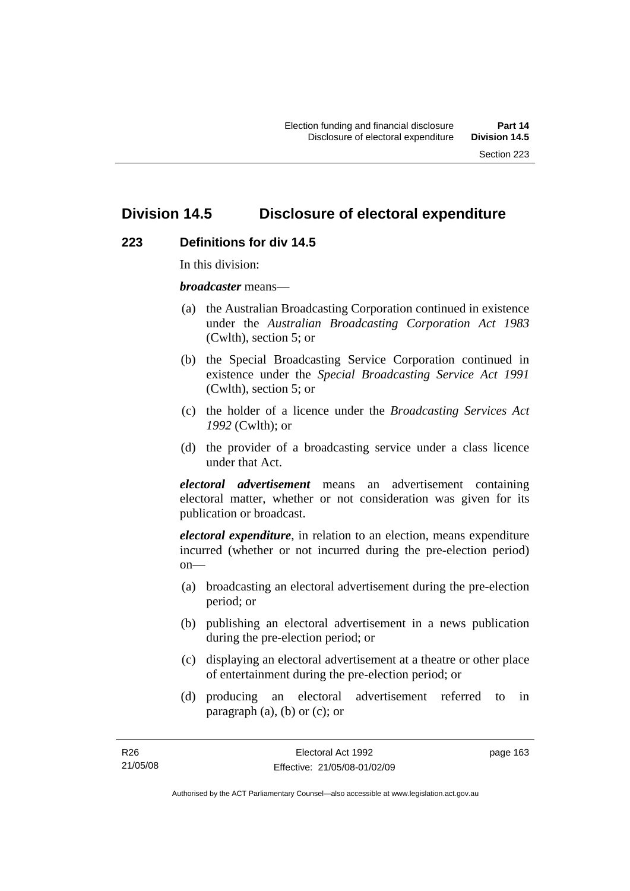# **Division 14.5 Disclosure of electoral expenditure**

#### **223 Definitions for div 14.5**

In this division:

*broadcaster* means—

- (a) the Australian Broadcasting Corporation continued in existence under the *Australian Broadcasting Corporation Act 1983* (Cwlth), section 5; or
- (b) the Special Broadcasting Service Corporation continued in existence under the *Special Broadcasting Service Act 1991*  (Cwlth), section 5; or
- (c) the holder of a licence under the *Broadcasting Services Act 1992* (Cwlth); or
- (d) the provider of a broadcasting service under a class licence under that Act.

*electoral advertisement* means an advertisement containing electoral matter, whether or not consideration was given for its publication or broadcast.

*electoral expenditure*, in relation to an election, means expenditure incurred (whether or not incurred during the pre-election period)  $on$ —

- (a) broadcasting an electoral advertisement during the pre-election period; or
- (b) publishing an electoral advertisement in a news publication during the pre-election period; or
- (c) displaying an electoral advertisement at a theatre or other place of entertainment during the pre-election period; or
- (d) producing an electoral advertisement referred to in paragraph (a), (b) or (c); or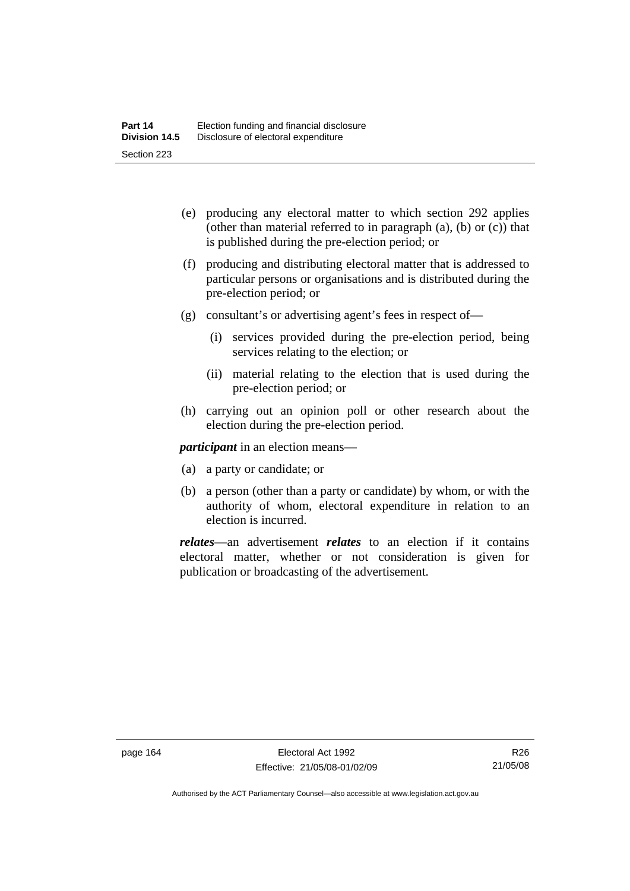- (e) producing any electoral matter to which section 292 applies (other than material referred to in paragraph (a), (b) or (c)) that is published during the pre-election period; or
- (f) producing and distributing electoral matter that is addressed to particular persons or organisations and is distributed during the pre-election period; or
- (g) consultant's or advertising agent's fees in respect of—
	- (i) services provided during the pre-election period, being services relating to the election; or
	- (ii) material relating to the election that is used during the pre-election period; or
- (h) carrying out an opinion poll or other research about the election during the pre-election period.

*participant* in an election means—

- (a) a party or candidate; or
- (b) a person (other than a party or candidate) by whom, or with the authority of whom, electoral expenditure in relation to an election is incurred.

*relates*—an advertisement *relates* to an election if it contains electoral matter, whether or not consideration is given for publication or broadcasting of the advertisement.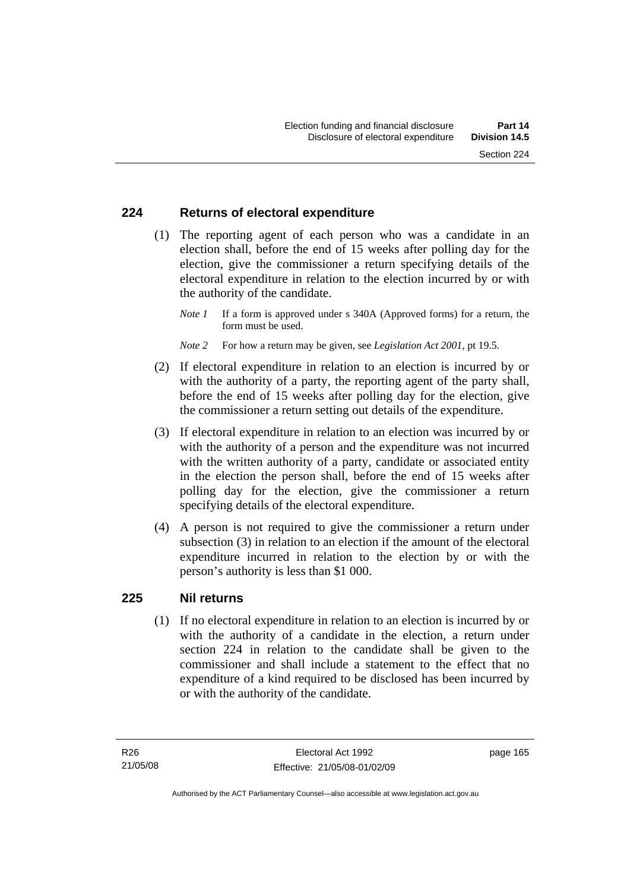#### **224 Returns of electoral expenditure**

 (1) The reporting agent of each person who was a candidate in an election shall, before the end of 15 weeks after polling day for the election, give the commissioner a return specifying details of the electoral expenditure in relation to the election incurred by or with the authority of the candidate.

- *Note 2* For how a return may be given, see *Legislation Act 2001*, pt 19.5.
- (2) If electoral expenditure in relation to an election is incurred by or with the authority of a party, the reporting agent of the party shall, before the end of 15 weeks after polling day for the election, give the commissioner a return setting out details of the expenditure.
- (3) If electoral expenditure in relation to an election was incurred by or with the authority of a person and the expenditure was not incurred with the written authority of a party, candidate or associated entity in the election the person shall, before the end of 15 weeks after polling day for the election, give the commissioner a return specifying details of the electoral expenditure.
- (4) A person is not required to give the commissioner a return under subsection (3) in relation to an election if the amount of the electoral expenditure incurred in relation to the election by or with the person's authority is less than \$1 000.

#### **225 Nil returns**

 (1) If no electoral expenditure in relation to an election is incurred by or with the authority of a candidate in the election, a return under section 224 in relation to the candidate shall be given to the commissioner and shall include a statement to the effect that no expenditure of a kind required to be disclosed has been incurred by or with the authority of the candidate.

*Note 1* If a form is approved under s 340A (Approved forms) for a return, the form must be used.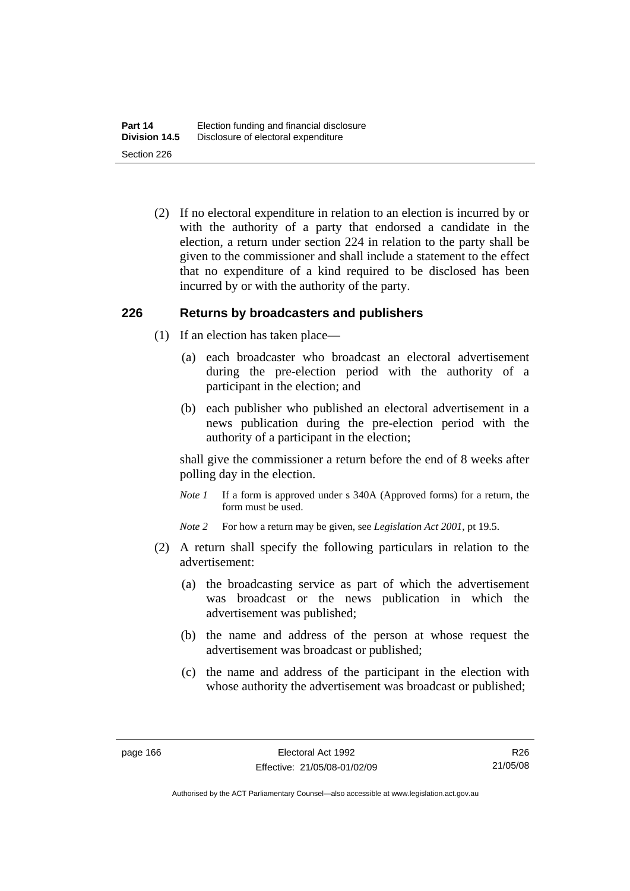(2) If no electoral expenditure in relation to an election is incurred by or with the authority of a party that endorsed a candidate in the election, a return under section 224 in relation to the party shall be given to the commissioner and shall include a statement to the effect that no expenditure of a kind required to be disclosed has been incurred by or with the authority of the party.

#### **226 Returns by broadcasters and publishers**

- (1) If an election has taken place—
	- (a) each broadcaster who broadcast an electoral advertisement during the pre-election period with the authority of a participant in the election; and
	- (b) each publisher who published an electoral advertisement in a news publication during the pre-election period with the authority of a participant in the election;

shall give the commissioner a return before the end of 8 weeks after polling day in the election.

*Note 1* If a form is approved under s 340A (Approved forms) for a return, the form must be used.

*Note 2* For how a return may be given, see *Legislation Act 2001*, pt 19.5.

- (2) A return shall specify the following particulars in relation to the advertisement:
	- (a) the broadcasting service as part of which the advertisement was broadcast or the news publication in which the advertisement was published;
	- (b) the name and address of the person at whose request the advertisement was broadcast or published;
	- (c) the name and address of the participant in the election with whose authority the advertisement was broadcast or published;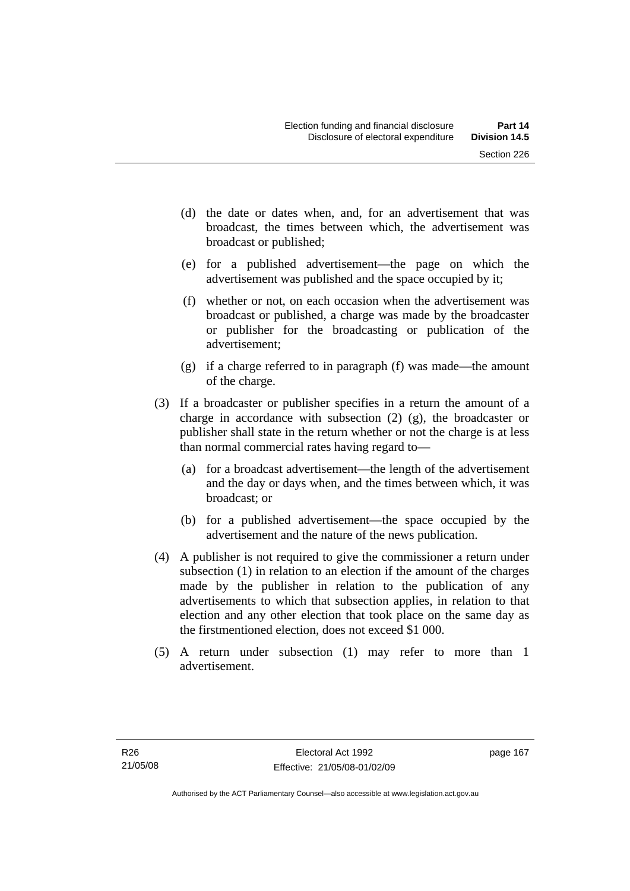- (d) the date or dates when, and, for an advertisement that was broadcast, the times between which, the advertisement was broadcast or published;
- (e) for a published advertisement—the page on which the advertisement was published and the space occupied by it;
- (f) whether or not, on each occasion when the advertisement was broadcast or published, a charge was made by the broadcaster or publisher for the broadcasting or publication of the advertisement;
- (g) if a charge referred to in paragraph (f) was made—the amount of the charge.
- (3) If a broadcaster or publisher specifies in a return the amount of a charge in accordance with subsection (2) (g), the broadcaster or publisher shall state in the return whether or not the charge is at less than normal commercial rates having regard to—
	- (a) for a broadcast advertisement—the length of the advertisement and the day or days when, and the times between which, it was broadcast; or
	- (b) for a published advertisement—the space occupied by the advertisement and the nature of the news publication.
- (4) A publisher is not required to give the commissioner a return under subsection (1) in relation to an election if the amount of the charges made by the publisher in relation to the publication of any advertisements to which that subsection applies, in relation to that election and any other election that took place on the same day as the firstmentioned election, does not exceed \$1 000.
- (5) A return under subsection (1) may refer to more than 1 advertisement.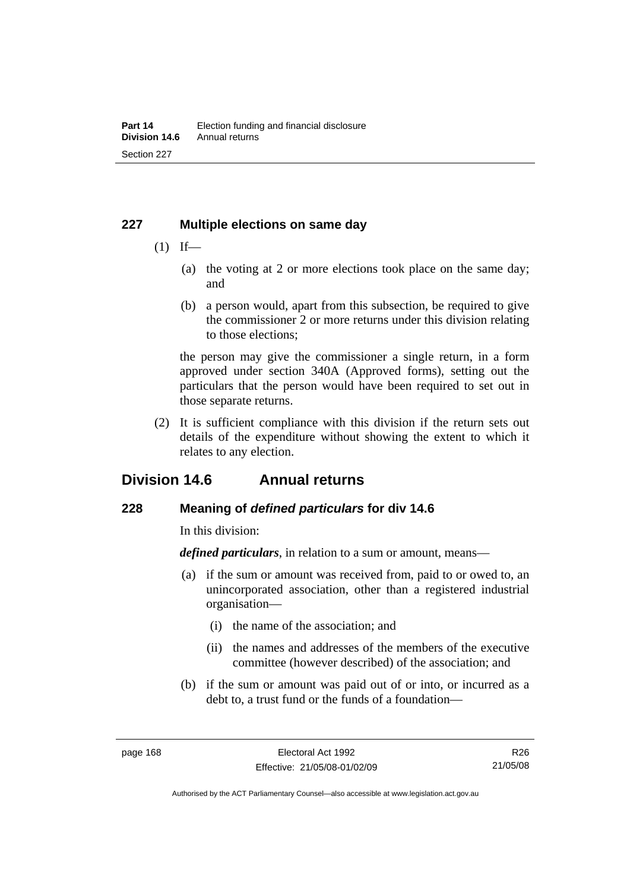#### **227 Multiple elections on same day**

- $(1)$  If—
	- (a) the voting at 2 or more elections took place on the same day; and
	- (b) a person would, apart from this subsection, be required to give the commissioner 2 or more returns under this division relating to those elections;

the person may give the commissioner a single return, in a form approved under section 340A (Approved forms), setting out the particulars that the person would have been required to set out in those separate returns.

 (2) It is sufficient compliance with this division if the return sets out details of the expenditure without showing the extent to which it relates to any election.

# **Division 14.6 Annual returns**

## **228 Meaning of** *defined particulars* **for div 14.6**

In this division:

*defined particulars*, in relation to a sum or amount, means—

- (a) if the sum or amount was received from, paid to or owed to, an unincorporated association, other than a registered industrial organisation—
	- (i) the name of the association; and
	- (ii) the names and addresses of the members of the executive committee (however described) of the association; and
- (b) if the sum or amount was paid out of or into, or incurred as a debt to, a trust fund or the funds of a foundation—

R26 21/05/08

Authorised by the ACT Parliamentary Counsel—also accessible at www.legislation.act.gov.au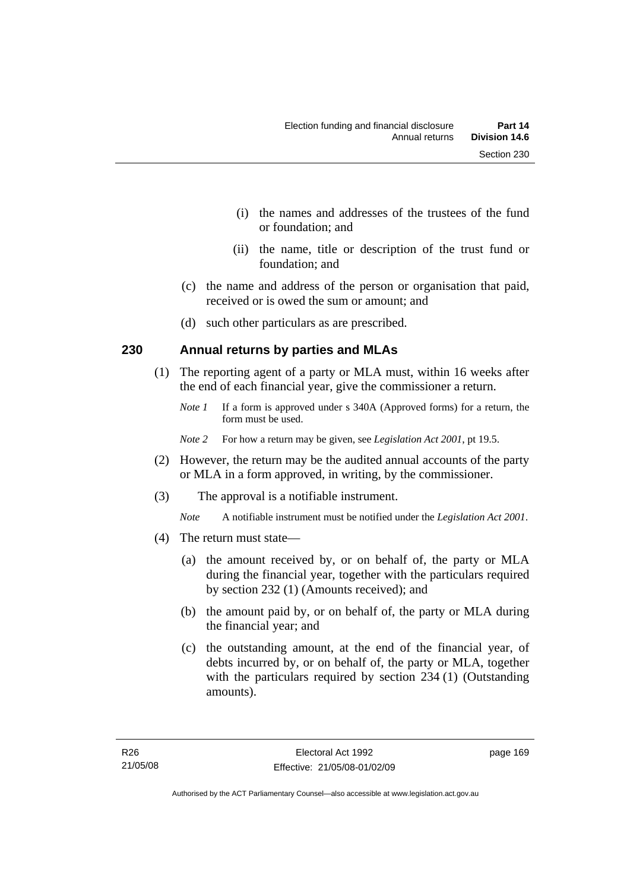- (i) the names and addresses of the trustees of the fund or foundation; and
- (ii) the name, title or description of the trust fund or foundation; and
- (c) the name and address of the person or organisation that paid, received or is owed the sum or amount; and
- (d) such other particulars as are prescribed.

#### **230 Annual returns by parties and MLAs**

- (1) The reporting agent of a party or MLA must, within 16 weeks after the end of each financial year, give the commissioner a return.
	- *Note 1* If a form is approved under s 340A (Approved forms) for a return, the form must be used.
	- *Note 2* For how a return may be given, see *Legislation Act 2001*, pt 19.5.
- (2) However, the return may be the audited annual accounts of the party or MLA in a form approved, in writing, by the commissioner.
- (3) The approval is a notifiable instrument.
	- *Note* A notifiable instrument must be notified under the *Legislation Act 2001*.
- (4) The return must state—
	- (a) the amount received by, or on behalf of, the party or MLA during the financial year, together with the particulars required by section 232 (1) (Amounts received); and
	- (b) the amount paid by, or on behalf of, the party or MLA during the financial year; and
	- (c) the outstanding amount, at the end of the financial year, of debts incurred by, or on behalf of, the party or MLA, together with the particulars required by section 234 (1) (Outstanding amounts).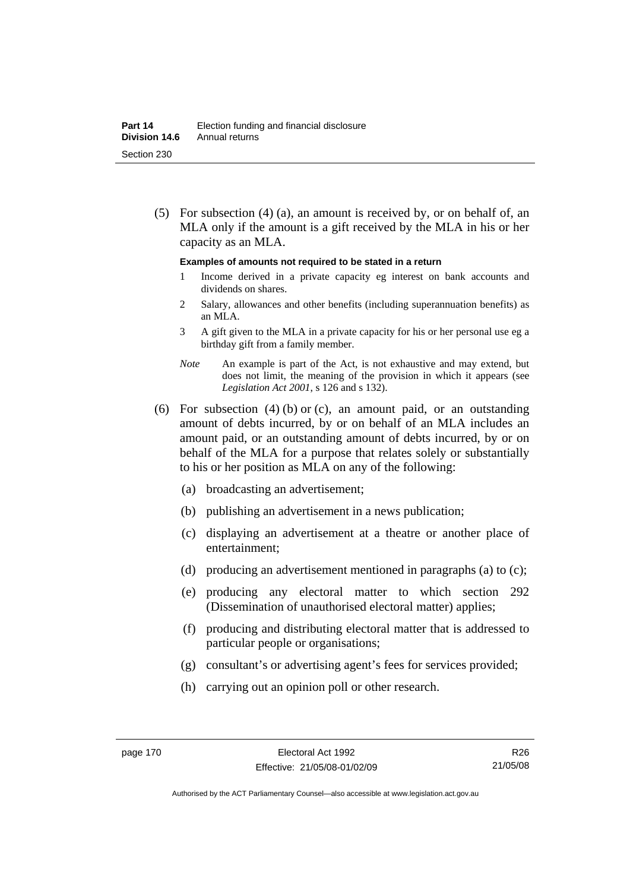(5) For subsection (4) (a), an amount is received by, or on behalf of, an MLA only if the amount is a gift received by the MLA in his or her capacity as an MLA.

#### **Examples of amounts not required to be stated in a return**

- 1 Income derived in a private capacity eg interest on bank accounts and dividends on shares.
- 2 Salary, allowances and other benefits (including superannuation benefits) as an MLA.
- 3 A gift given to the MLA in a private capacity for his or her personal use eg a birthday gift from a family member.
- *Note* An example is part of the Act, is not exhaustive and may extend, but does not limit, the meaning of the provision in which it appears (see *Legislation Act 2001*, s 126 and s 132).
- (6) For subsection (4) (b) or (c), an amount paid, or an outstanding amount of debts incurred, by or on behalf of an MLA includes an amount paid, or an outstanding amount of debts incurred, by or on behalf of the MLA for a purpose that relates solely or substantially to his or her position as MLA on any of the following:
	- (a) broadcasting an advertisement;
	- (b) publishing an advertisement in a news publication;
	- (c) displaying an advertisement at a theatre or another place of entertainment;
	- (d) producing an advertisement mentioned in paragraphs (a) to (c);
	- (e) producing any electoral matter to which section 292 (Dissemination of unauthorised electoral matter) applies;
	- (f) producing and distributing electoral matter that is addressed to particular people or organisations;
	- (g) consultant's or advertising agent's fees for services provided;
	- (h) carrying out an opinion poll or other research.

R26 21/05/08

Authorised by the ACT Parliamentary Counsel—also accessible at www.legislation.act.gov.au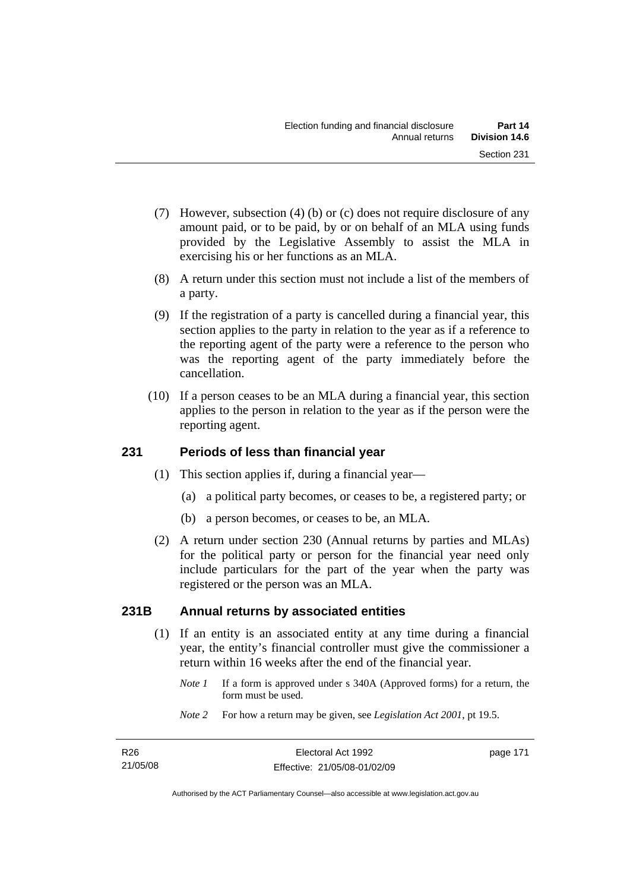- (7) However, subsection (4) (b) or (c) does not require disclosure of any amount paid, or to be paid, by or on behalf of an MLA using funds provided by the Legislative Assembly to assist the MLA in exercising his or her functions as an MLA.
- (8) A return under this section must not include a list of the members of a party.
- (9) If the registration of a party is cancelled during a financial year, this section applies to the party in relation to the year as if a reference to the reporting agent of the party were a reference to the person who was the reporting agent of the party immediately before the cancellation.
- (10) If a person ceases to be an MLA during a financial year, this section applies to the person in relation to the year as if the person were the reporting agent.

## **231 Periods of less than financial year**

- (1) This section applies if, during a financial year—
	- (a) a political party becomes, or ceases to be, a registered party; or
	- (b) a person becomes, or ceases to be, an MLA.
- (2) A return under section 230 (Annual returns by parties and MLAs) for the political party or person for the financial year need only include particulars for the part of the year when the party was registered or the person was an MLA.

## **231B Annual returns by associated entities**

- (1) If an entity is an associated entity at any time during a financial year, the entity's financial controller must give the commissioner a return within 16 weeks after the end of the financial year.
	- *Note 1* If a form is approved under s 340A (Approved forms) for a return, the form must be used.
	- *Note 2* For how a return may be given, see *Legislation Act 2001*, pt 19.5.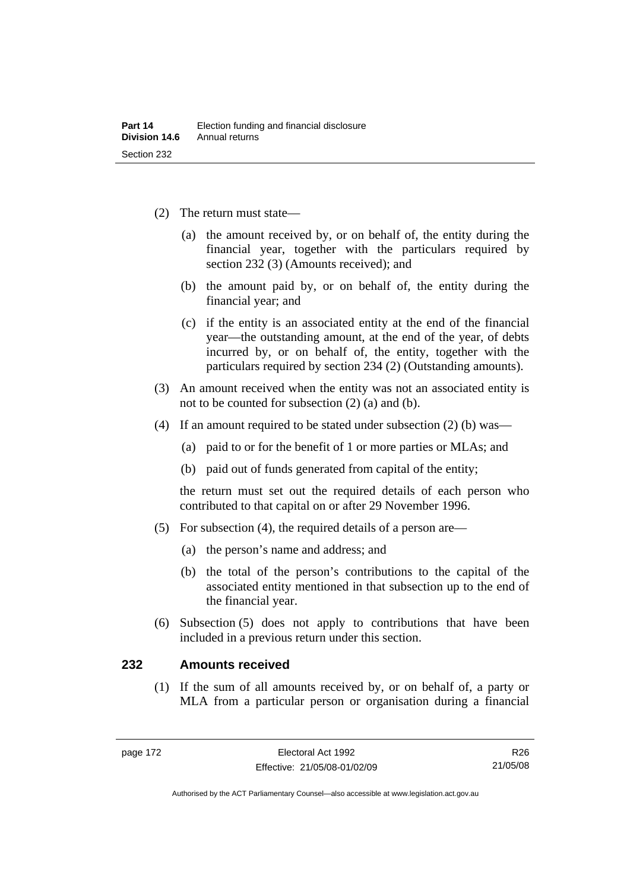- (2) The return must state—
	- (a) the amount received by, or on behalf of, the entity during the financial year, together with the particulars required by section 232 (3) (Amounts received); and
	- (b) the amount paid by, or on behalf of, the entity during the financial year; and
	- (c) if the entity is an associated entity at the end of the financial year—the outstanding amount, at the end of the year, of debts incurred by, or on behalf of, the entity, together with the particulars required by section 234 (2) (Outstanding amounts).
- (3) An amount received when the entity was not an associated entity is not to be counted for subsection (2) (a) and (b).
- (4) If an amount required to be stated under subsection (2) (b) was—
	- (a) paid to or for the benefit of 1 or more parties or MLAs; and
	- (b) paid out of funds generated from capital of the entity;

the return must set out the required details of each person who contributed to that capital on or after 29 November 1996.

- (5) For subsection (4), the required details of a person are—
	- (a) the person's name and address; and
	- (b) the total of the person's contributions to the capital of the associated entity mentioned in that subsection up to the end of the financial year.
- (6) Subsection (5) does not apply to contributions that have been included in a previous return under this section.

#### **232 Amounts received**

 (1) If the sum of all amounts received by, or on behalf of, a party or MLA from a particular person or organisation during a financial

Authorised by the ACT Parliamentary Counsel—also accessible at www.legislation.act.gov.au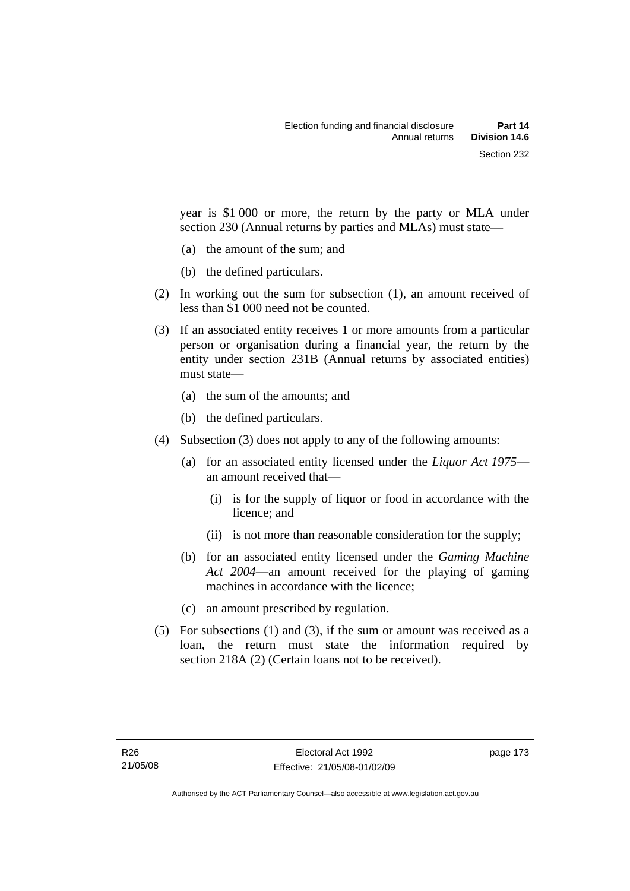year is \$1 000 or more, the return by the party or MLA under section 230 (Annual returns by parties and MLAs) must state—

- (a) the amount of the sum; and
- (b) the defined particulars.
- (2) In working out the sum for subsection (1), an amount received of less than \$1 000 need not be counted.
- (3) If an associated entity receives 1 or more amounts from a particular person or organisation during a financial year, the return by the entity under section 231B (Annual returns by associated entities) must state—
	- (a) the sum of the amounts; and
	- (b) the defined particulars.
- (4) Subsection (3) does not apply to any of the following amounts:
	- (a) for an associated entity licensed under the *Liquor Act 1975* an amount received that—
		- (i) is for the supply of liquor or food in accordance with the licence; and
		- (ii) is not more than reasonable consideration for the supply;
	- (b) for an associated entity licensed under the *Gaming Machine Act 2004*—an amount received for the playing of gaming machines in accordance with the licence;
	- (c) an amount prescribed by regulation.
- (5) For subsections (1) and (3), if the sum or amount was received as a loan, the return must state the information required by section 218A (2) (Certain loans not to be received).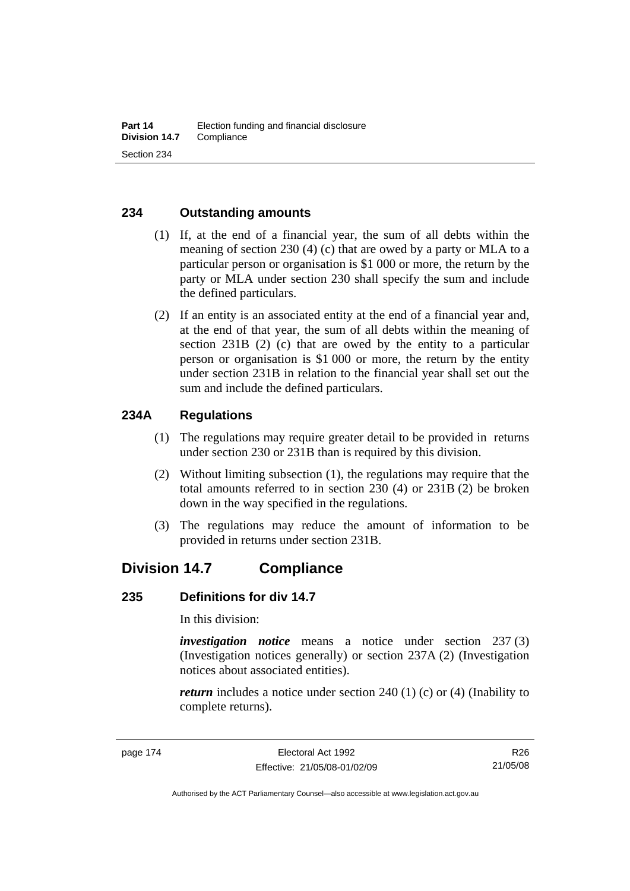#### **234 Outstanding amounts**

- (1) If, at the end of a financial year, the sum of all debts within the meaning of section 230 (4) (c) that are owed by a party or MLA to a particular person or organisation is \$1 000 or more, the return by the party or MLA under section 230 shall specify the sum and include the defined particulars.
- (2) If an entity is an associated entity at the end of a financial year and, at the end of that year, the sum of all debts within the meaning of section 231B (2) (c) that are owed by the entity to a particular person or organisation is \$1 000 or more, the return by the entity under section 231B in relation to the financial year shall set out the sum and include the defined particulars.

#### **234A Regulations**

- (1) The regulations may require greater detail to be provided in returns under section 230 or 231B than is required by this division.
- (2) Without limiting subsection (1), the regulations may require that the total amounts referred to in section 230 (4) or 231B (2) be broken down in the way specified in the regulations.
- (3) The regulations may reduce the amount of information to be provided in returns under section 231B.

# **Division 14.7 Compliance**

#### **235 Definitions for div 14.7**

In this division:

*investigation notice* means a notice under section 237 (3) (Investigation notices generally) or section 237A (2) (Investigation notices about associated entities).

*return* includes a notice under section 240 (1) (c) or (4) (Inability to complete returns).

R26 21/05/08

Authorised by the ACT Parliamentary Counsel—also accessible at www.legislation.act.gov.au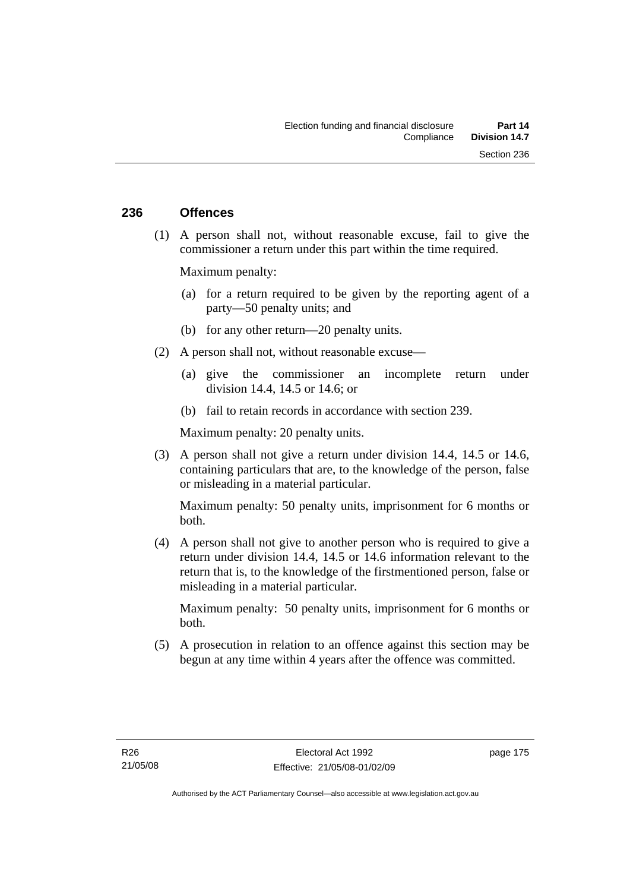#### **236 Offences**

 (1) A person shall not, without reasonable excuse, fail to give the commissioner a return under this part within the time required.

Maximum penalty:

- (a) for a return required to be given by the reporting agent of a party—50 penalty units; and
- (b) for any other return—20 penalty units.
- (2) A person shall not, without reasonable excuse—
	- (a) give the commissioner an incomplete return under division 14.4, 14.5 or 14.6; or
	- (b) fail to retain records in accordance with section 239.

Maximum penalty: 20 penalty units.

 (3) A person shall not give a return under division 14.4, 14.5 or 14.6, containing particulars that are, to the knowledge of the person, false or misleading in a material particular.

Maximum penalty: 50 penalty units, imprisonment for 6 months or both.

 (4) A person shall not give to another person who is required to give a return under division 14.4, 14.5 or 14.6 information relevant to the return that is, to the knowledge of the firstmentioned person, false or misleading in a material particular.

Maximum penalty: 50 penalty units, imprisonment for 6 months or both.

 (5) A prosecution in relation to an offence against this section may be begun at any time within 4 years after the offence was committed.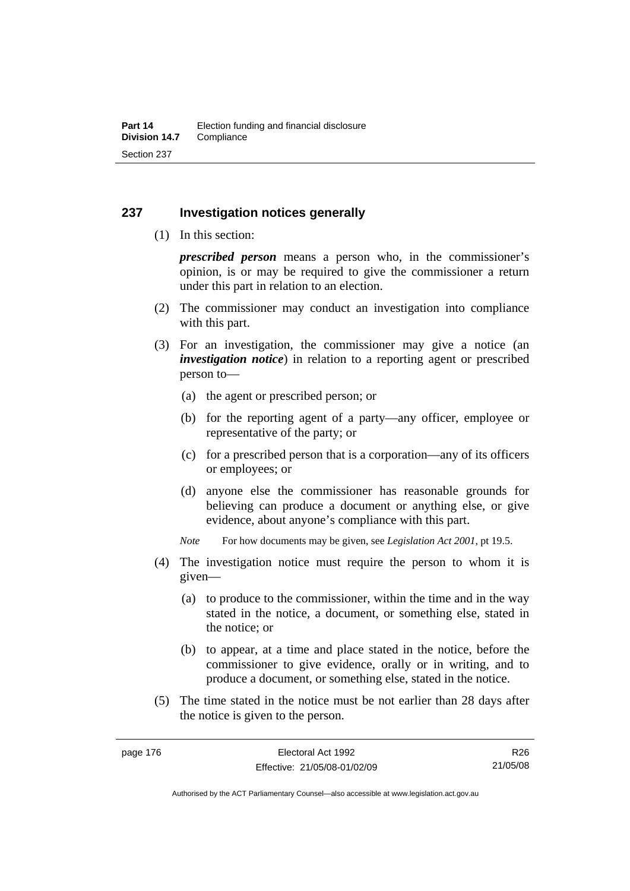#### **237 Investigation notices generally**

(1) In this section:

*prescribed person* means a person who, in the commissioner's opinion, is or may be required to give the commissioner a return under this part in relation to an election.

- (2) The commissioner may conduct an investigation into compliance with this part.
- (3) For an investigation, the commissioner may give a notice (an *investigation notice*) in relation to a reporting agent or prescribed person to—
	- (a) the agent or prescribed person; or
	- (b) for the reporting agent of a party—any officer, employee or representative of the party; or
	- (c) for a prescribed person that is a corporation—any of its officers or employees; or
	- (d) anyone else the commissioner has reasonable grounds for believing can produce a document or anything else, or give evidence, about anyone's compliance with this part.
	- *Note* For how documents may be given, see *Legislation Act 2001*, pt 19.5.
- (4) The investigation notice must require the person to whom it is given—
	- (a) to produce to the commissioner, within the time and in the way stated in the notice, a document, or something else, stated in the notice; or
	- (b) to appear, at a time and place stated in the notice, before the commissioner to give evidence, orally or in writing, and to produce a document, or something else, stated in the notice.
- (5) The time stated in the notice must be not earlier than 28 days after the notice is given to the person.

R26 21/05/08

Authorised by the ACT Parliamentary Counsel—also accessible at www.legislation.act.gov.au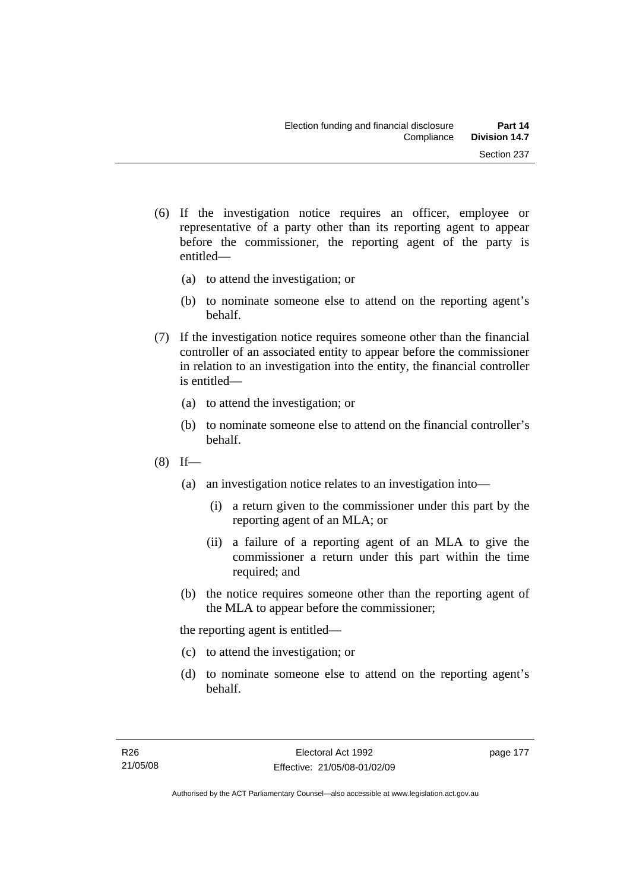- (6) If the investigation notice requires an officer, employee or representative of a party other than its reporting agent to appear before the commissioner, the reporting agent of the party is
	- (a) to attend the investigation; or

entitled—

- (b) to nominate someone else to attend on the reporting agent's behalf.
- (7) If the investigation notice requires someone other than the financial controller of an associated entity to appear before the commissioner in relation to an investigation into the entity, the financial controller is entitled—
	- (a) to attend the investigation; or
	- (b) to nominate someone else to attend on the financial controller's behalf.
- $(8)$  If—
	- (a) an investigation notice relates to an investigation into—
		- (i) a return given to the commissioner under this part by the reporting agent of an MLA; or
		- (ii) a failure of a reporting agent of an MLA to give the commissioner a return under this part within the time required; and
	- (b) the notice requires someone other than the reporting agent of the MLA to appear before the commissioner;

the reporting agent is entitled—

- (c) to attend the investigation; or
- (d) to nominate someone else to attend on the reporting agent's behalf.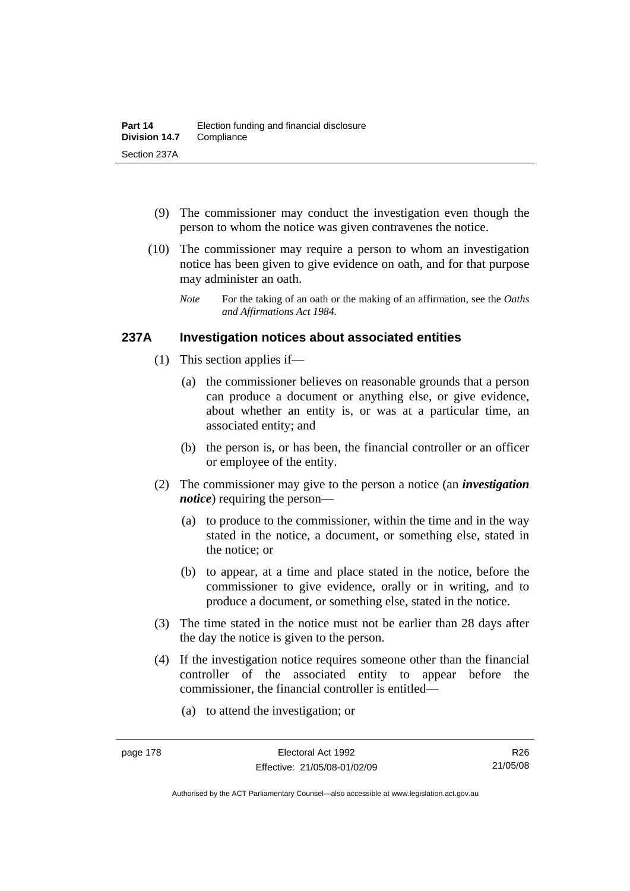- (9) The commissioner may conduct the investigation even though the person to whom the notice was given contravenes the notice.
- (10) The commissioner may require a person to whom an investigation notice has been given to give evidence on oath, and for that purpose may administer an oath.
	- *Note* For the taking of an oath or the making of an affirmation, see the *Oaths and Affirmations Act 1984.*

#### **237A Investigation notices about associated entities**

- (1) This section applies if—
	- (a) the commissioner believes on reasonable grounds that a person can produce a document or anything else, or give evidence, about whether an entity is, or was at a particular time, an associated entity; and
	- (b) the person is, or has been, the financial controller or an officer or employee of the entity.
- (2) The commissioner may give to the person a notice (an *investigation notice*) requiring the person—
	- (a) to produce to the commissioner, within the time and in the way stated in the notice, a document, or something else, stated in the notice; or
	- (b) to appear, at a time and place stated in the notice, before the commissioner to give evidence, orally or in writing, and to produce a document, or something else, stated in the notice.
- (3) The time stated in the notice must not be earlier than 28 days after the day the notice is given to the person.
- (4) If the investigation notice requires someone other than the financial controller of the associated entity to appear before the commissioner, the financial controller is entitled—
	- (a) to attend the investigation; or

Authorised by the ACT Parliamentary Counsel—also accessible at www.legislation.act.gov.au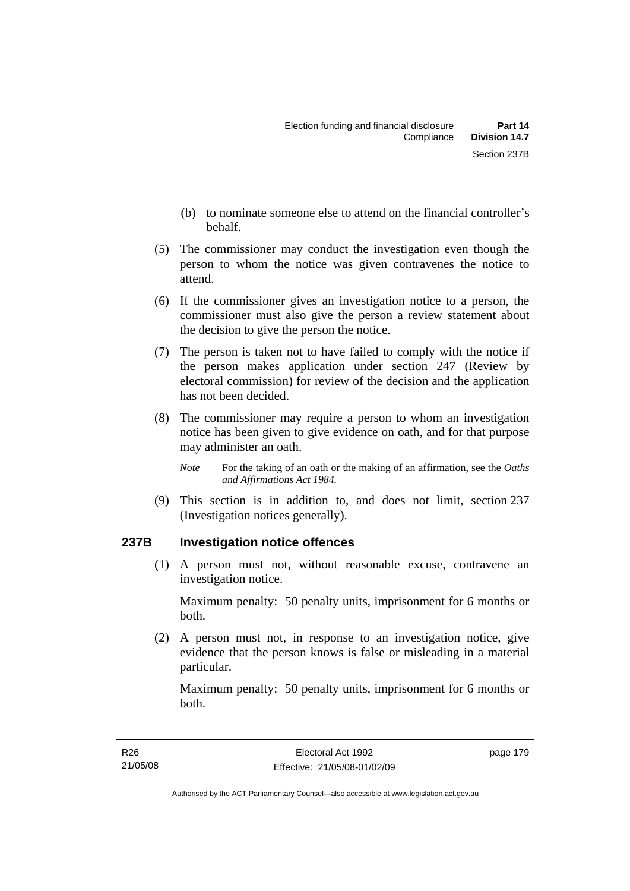- (b) to nominate someone else to attend on the financial controller's behalf.
- (5) The commissioner may conduct the investigation even though the person to whom the notice was given contravenes the notice to attend.
- (6) If the commissioner gives an investigation notice to a person, the commissioner must also give the person a review statement about the decision to give the person the notice.
- (7) The person is taken not to have failed to comply with the notice if the person makes application under section 247 (Review by electoral commission) for review of the decision and the application has not been decided.
- (8) The commissioner may require a person to whom an investigation notice has been given to give evidence on oath, and for that purpose may administer an oath.
	- *Note* For the taking of an oath or the making of an affirmation, see the *Oaths and Affirmations Act 1984.*
- (9) This section is in addition to, and does not limit, section 237 (Investigation notices generally).

## **237B Investigation notice offences**

 (1) A person must not, without reasonable excuse, contravene an investigation notice.

Maximum penalty: 50 penalty units, imprisonment for 6 months or both.

 (2) A person must not, in response to an investigation notice, give evidence that the person knows is false or misleading in a material particular.

Maximum penalty: 50 penalty units, imprisonment for 6 months or both.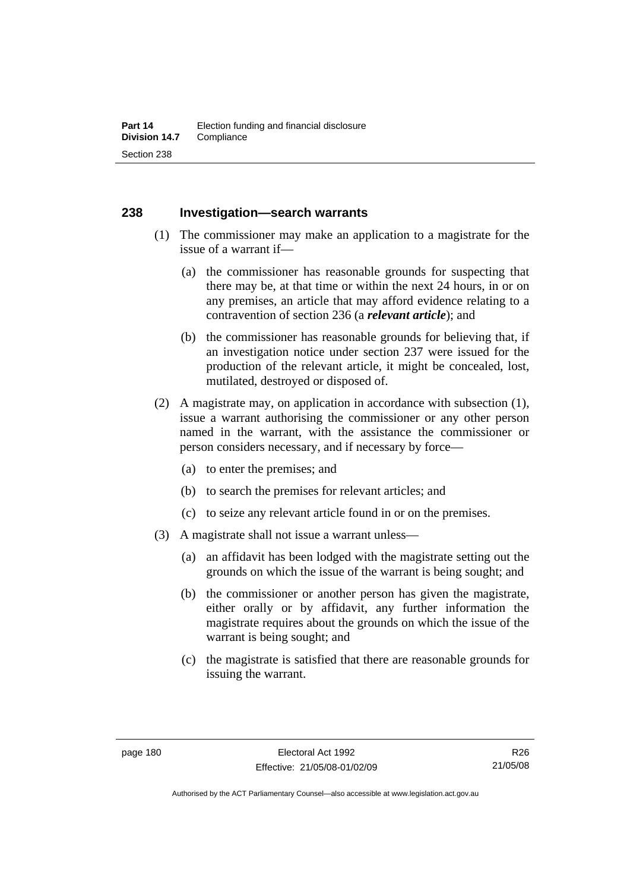#### **238 Investigation—search warrants**

- (1) The commissioner may make an application to a magistrate for the issue of a warrant if—
	- (a) the commissioner has reasonable grounds for suspecting that there may be, at that time or within the next 24 hours, in or on any premises, an article that may afford evidence relating to a contravention of section 236 (a *relevant article*); and
	- (b) the commissioner has reasonable grounds for believing that, if an investigation notice under section 237 were issued for the production of the relevant article, it might be concealed, lost, mutilated, destroyed or disposed of.
- (2) A magistrate may, on application in accordance with subsection (1), issue a warrant authorising the commissioner or any other person named in the warrant, with the assistance the commissioner or person considers necessary, and if necessary by force—
	- (a) to enter the premises; and
	- (b) to search the premises for relevant articles; and
	- (c) to seize any relevant article found in or on the premises.
- (3) A magistrate shall not issue a warrant unless—
	- (a) an affidavit has been lodged with the magistrate setting out the grounds on which the issue of the warrant is being sought; and
	- (b) the commissioner or another person has given the magistrate, either orally or by affidavit, any further information the magistrate requires about the grounds on which the issue of the warrant is being sought; and
	- (c) the magistrate is satisfied that there are reasonable grounds for issuing the warrant.

Authorised by the ACT Parliamentary Counsel—also accessible at www.legislation.act.gov.au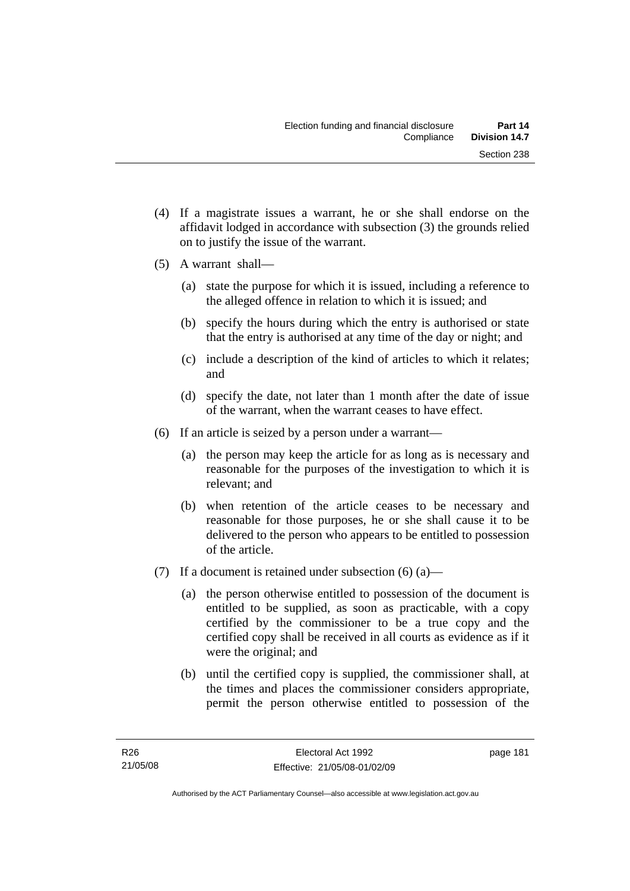- (4) If a magistrate issues a warrant, he or she shall endorse on the affidavit lodged in accordance with subsection (3) the grounds relied on to justify the issue of the warrant.
- (5) A warrant shall—
	- (a) state the purpose for which it is issued, including a reference to the alleged offence in relation to which it is issued; and
	- (b) specify the hours during which the entry is authorised or state that the entry is authorised at any time of the day or night; and
	- (c) include a description of the kind of articles to which it relates; and
	- (d) specify the date, not later than 1 month after the date of issue of the warrant, when the warrant ceases to have effect.
- (6) If an article is seized by a person under a warrant—
	- (a) the person may keep the article for as long as is necessary and reasonable for the purposes of the investigation to which it is relevant; and
	- (b) when retention of the article ceases to be necessary and reasonable for those purposes, he or she shall cause it to be delivered to the person who appears to be entitled to possession of the article.
- (7) If a document is retained under subsection  $(6)$  (a)—
	- (a) the person otherwise entitled to possession of the document is entitled to be supplied, as soon as practicable, with a copy certified by the commissioner to be a true copy and the certified copy shall be received in all courts as evidence as if it were the original; and
	- (b) until the certified copy is supplied, the commissioner shall, at the times and places the commissioner considers appropriate, permit the person otherwise entitled to possession of the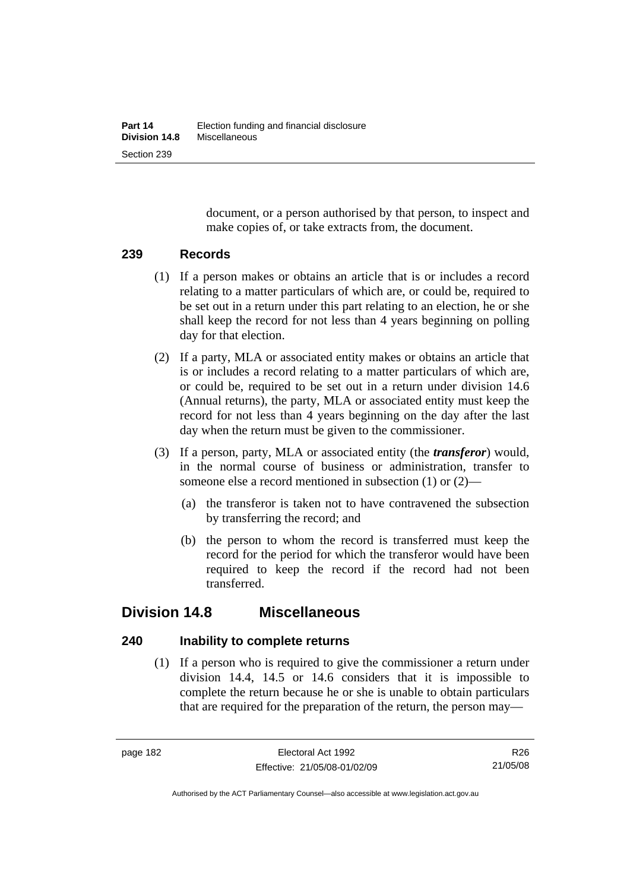document, or a person authorised by that person, to inspect and make copies of, or take extracts from, the document.

#### **239 Records**

- (1) If a person makes or obtains an article that is or includes a record relating to a matter particulars of which are, or could be, required to be set out in a return under this part relating to an election, he or she shall keep the record for not less than 4 years beginning on polling day for that election.
- (2) If a party, MLA or associated entity makes or obtains an article that is or includes a record relating to a matter particulars of which are, or could be, required to be set out in a return under division 14.6 (Annual returns), the party, MLA or associated entity must keep the record for not less than 4 years beginning on the day after the last day when the return must be given to the commissioner.
- (3) If a person, party, MLA or associated entity (the *transferor*) would, in the normal course of business or administration, transfer to someone else a record mentioned in subsection (1) or (2)—
	- (a) the transferor is taken not to have contravened the subsection by transferring the record; and
	- (b) the person to whom the record is transferred must keep the record for the period for which the transferor would have been required to keep the record if the record had not been transferred.

# **Division 14.8 Miscellaneous**

## **240 Inability to complete returns**

 (1) If a person who is required to give the commissioner a return under division 14.4, 14.5 or 14.6 considers that it is impossible to complete the return because he or she is unable to obtain particulars that are required for the preparation of the return, the person may—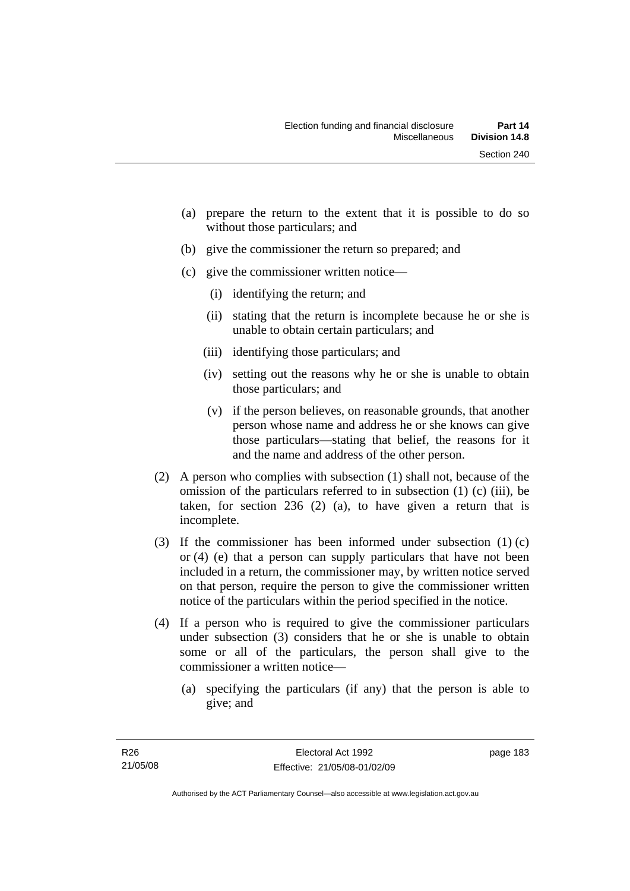- (a) prepare the return to the extent that it is possible to do so without those particulars; and
- (b) give the commissioner the return so prepared; and
- (c) give the commissioner written notice—
	- (i) identifying the return; and
	- (ii) stating that the return is incomplete because he or she is unable to obtain certain particulars; and
	- (iii) identifying those particulars; and
	- (iv) setting out the reasons why he or she is unable to obtain those particulars; and
	- (v) if the person believes, on reasonable grounds, that another person whose name and address he or she knows can give those particulars—stating that belief, the reasons for it and the name and address of the other person.
- (2) A person who complies with subsection (1) shall not, because of the omission of the particulars referred to in subsection (1) (c) (iii), be taken, for section 236 (2) (a), to have given a return that is incomplete.
- (3) If the commissioner has been informed under subsection (1) (c) or (4) (e) that a person can supply particulars that have not been included in a return, the commissioner may, by written notice served on that person, require the person to give the commissioner written notice of the particulars within the period specified in the notice.
- (4) If a person who is required to give the commissioner particulars under subsection (3) considers that he or she is unable to obtain some or all of the particulars, the person shall give to the commissioner a written notice—
	- (a) specifying the particulars (if any) that the person is able to give; and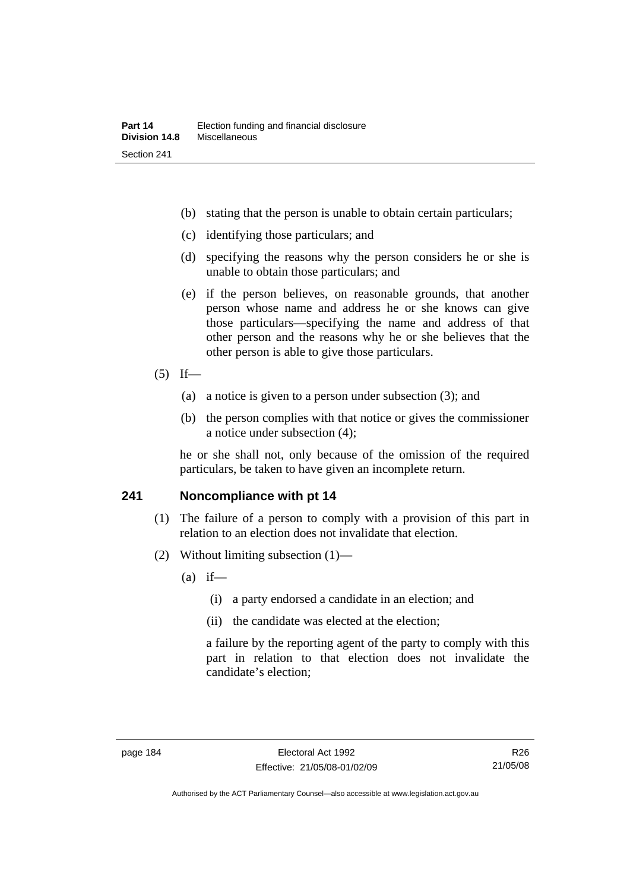- (b) stating that the person is unable to obtain certain particulars;
- (c) identifying those particulars; and
- (d) specifying the reasons why the person considers he or she is unable to obtain those particulars; and
- (e) if the person believes, on reasonable grounds, that another person whose name and address he or she knows can give those particulars—specifying the name and address of that other person and the reasons why he or she believes that the other person is able to give those particulars.

#### $(5)$  If—

- (a) a notice is given to a person under subsection (3); and
- (b) the person complies with that notice or gives the commissioner a notice under subsection (4);

he or she shall not, only because of the omission of the required particulars, be taken to have given an incomplete return.

#### **241 Noncompliance with pt 14**

- (1) The failure of a person to comply with a provision of this part in relation to an election does not invalidate that election.
- (2) Without limiting subsection (1)—
	- $(a)$  if—
		- (i) a party endorsed a candidate in an election; and
		- (ii) the candidate was elected at the election;

a failure by the reporting agent of the party to comply with this part in relation to that election does not invalidate the candidate's election;

Authorised by the ACT Parliamentary Counsel—also accessible at www.legislation.act.gov.au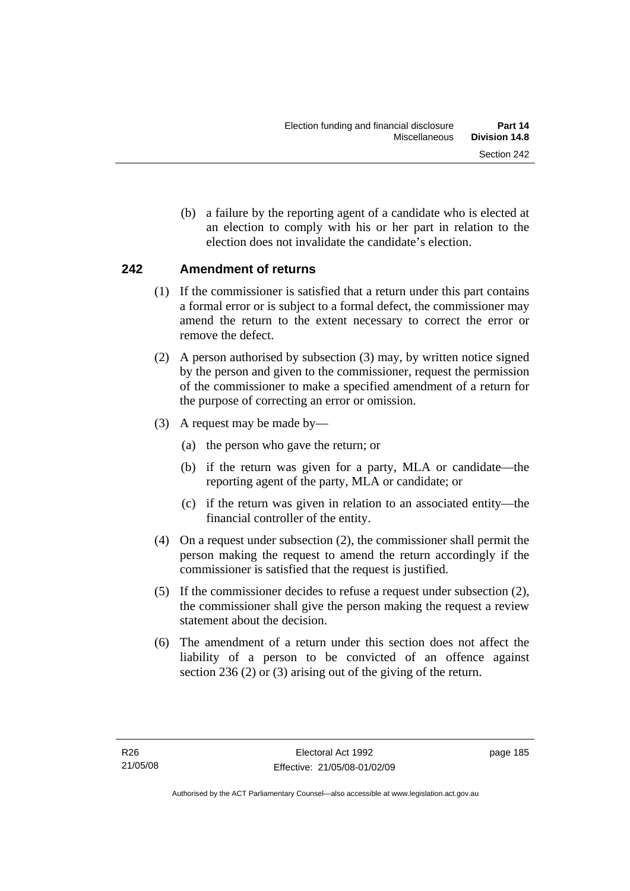(b) a failure by the reporting agent of a candidate who is elected at an election to comply with his or her part in relation to the election does not invalidate the candidate's election.

## **242 Amendment of returns**

- (1) If the commissioner is satisfied that a return under this part contains a formal error or is subject to a formal defect, the commissioner may amend the return to the extent necessary to correct the error or remove the defect.
- (2) A person authorised by subsection (3) may, by written notice signed by the person and given to the commissioner, request the permission of the commissioner to make a specified amendment of a return for the purpose of correcting an error or omission.
- (3) A request may be made by—
	- (a) the person who gave the return; or
	- (b) if the return was given for a party, MLA or candidate—the reporting agent of the party, MLA or candidate; or
	- (c) if the return was given in relation to an associated entity—the financial controller of the entity.
- (4) On a request under subsection (2), the commissioner shall permit the person making the request to amend the return accordingly if the commissioner is satisfied that the request is justified.
- (5) If the commissioner decides to refuse a request under subsection (2), the commissioner shall give the person making the request a review statement about the decision.
- (6) The amendment of a return under this section does not affect the liability of a person to be convicted of an offence against section 236 (2) or (3) arising out of the giving of the return.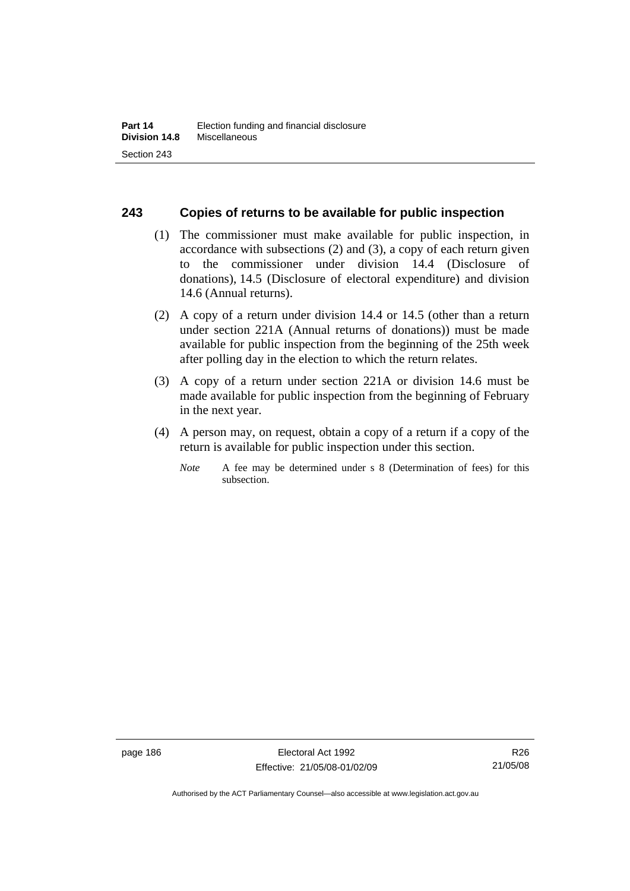#### **243 Copies of returns to be available for public inspection**

- (1) The commissioner must make available for public inspection, in accordance with subsections (2) and (3), a copy of each return given to the commissioner under division 14.4 (Disclosure of donations), 14.5 (Disclosure of electoral expenditure) and division 14.6 (Annual returns).
- (2) A copy of a return under division 14.4 or 14.5 (other than a return under section 221A (Annual returns of donations)) must be made available for public inspection from the beginning of the 25th week after polling day in the election to which the return relates.
- (3) A copy of a return under section 221A or division 14.6 must be made available for public inspection from the beginning of February in the next year.
- (4) A person may, on request, obtain a copy of a return if a copy of the return is available for public inspection under this section.
	- *Note* A fee may be determined under s 8 (Determination of fees) for this subsection.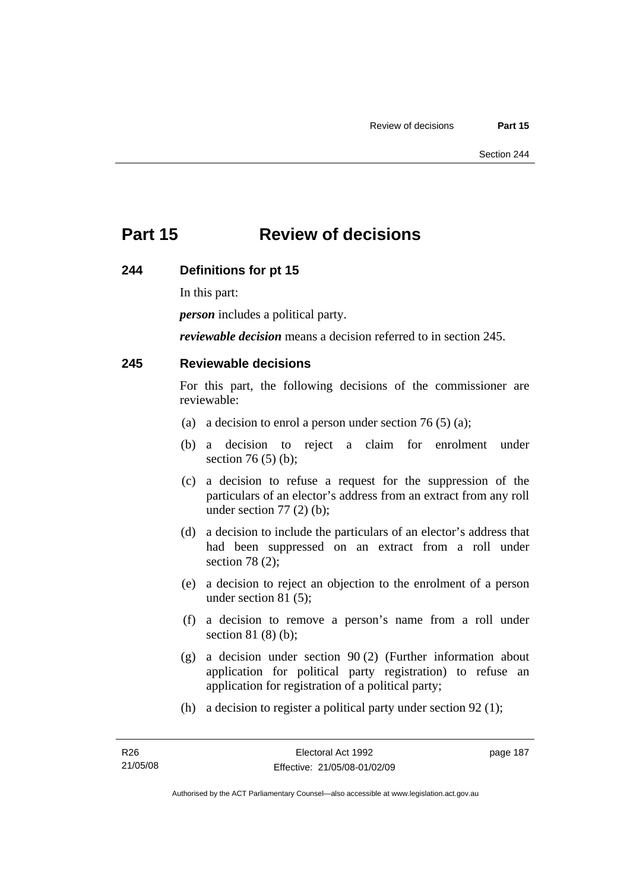# **Part 15 Review of decisions**

#### **244 Definitions for pt 15**

In this part:

*person* includes a political party.

*reviewable decision* means a decision referred to in section 245.

#### **245 Reviewable decisions**

For this part, the following decisions of the commissioner are reviewable:

- (a) a decision to enrol a person under section 76 (5) (a);
- (b) a decision to reject a claim for enrolment under section 76 (5) (b);
- (c) a decision to refuse a request for the suppression of the particulars of an elector's address from an extract from any roll under section  $77(2)$  (b);
- (d) a decision to include the particulars of an elector's address that had been suppressed on an extract from a roll under section 78 (2);
- (e) a decision to reject an objection to the enrolment of a person under section 81 (5);
- (f) a decision to remove a person's name from a roll under section 81 (8) (b);
- (g) a decision under section 90 (2) (Further information about application for political party registration) to refuse an application for registration of a political party;
- (h) a decision to register a political party under section 92 (1);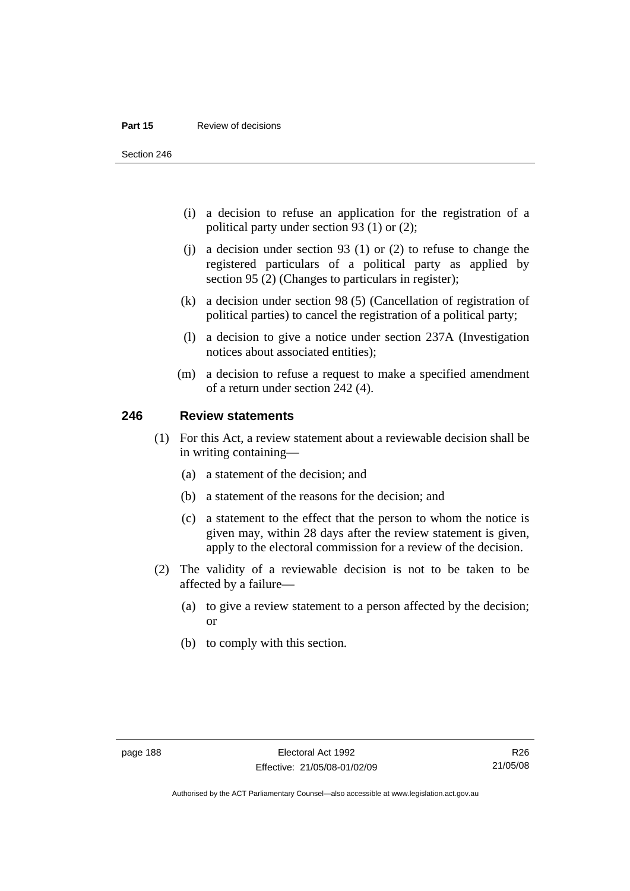#### **Part 15** Review of decisions

Section 246

- (i) a decision to refuse an application for the registration of a political party under section 93 (1) or (2);
- (j) a decision under section 93 (1) or (2) to refuse to change the registered particulars of a political party as applied by section 95 (2) (Changes to particulars in register);
- (k) a decision under section 98 (5) (Cancellation of registration of political parties) to cancel the registration of a political party;
- (l) a decision to give a notice under section 237A (Investigation notices about associated entities);
- (m) a decision to refuse a request to make a specified amendment of a return under section 242 (4).

#### **246 Review statements**

- (1) For this Act, a review statement about a reviewable decision shall be in writing containing—
	- (a) a statement of the decision; and
	- (b) a statement of the reasons for the decision; and
	- (c) a statement to the effect that the person to whom the notice is given may, within 28 days after the review statement is given, apply to the electoral commission for a review of the decision.
- (2) The validity of a reviewable decision is not to be taken to be affected by a failure—
	- (a) to give a review statement to a person affected by the decision; or
	- (b) to comply with this section.

R26 21/05/08

Authorised by the ACT Parliamentary Counsel—also accessible at www.legislation.act.gov.au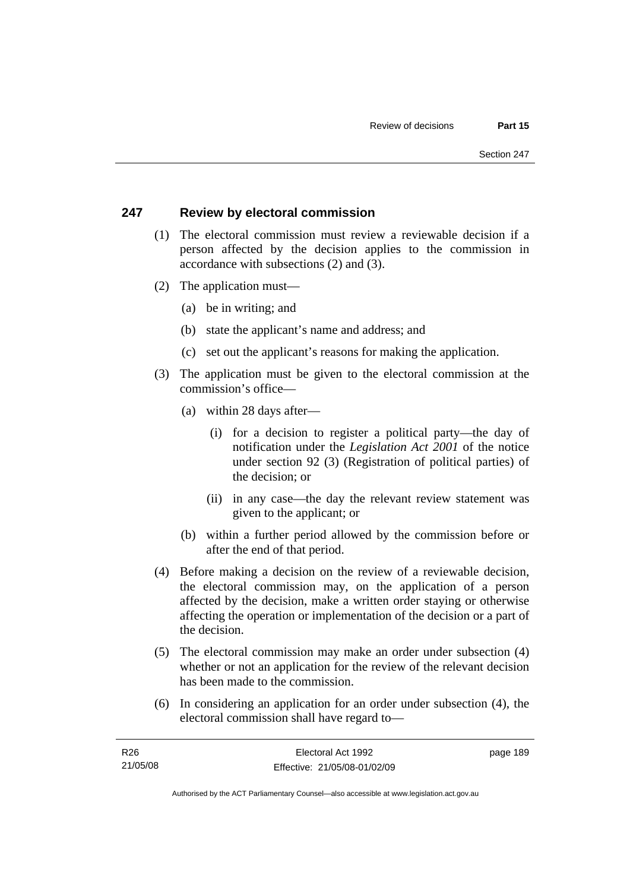#### **247 Review by electoral commission**

- (1) The electoral commission must review a reviewable decision if a person affected by the decision applies to the commission in accordance with subsections (2) and (3).
- (2) The application must—
	- (a) be in writing; and
	- (b) state the applicant's name and address; and
	- (c) set out the applicant's reasons for making the application.
- (3) The application must be given to the electoral commission at the commission's office—
	- (a) within 28 days after—
		- (i) for a decision to register a political party—the day of notification under the *Legislation Act 2001* of the notice under section 92 (3) (Registration of political parties) of the decision; or
		- (ii) in any case—the day the relevant review statement was given to the applicant; or
	- (b) within a further period allowed by the commission before or after the end of that period.
- (4) Before making a decision on the review of a reviewable decision, the electoral commission may, on the application of a person affected by the decision, make a written order staying or otherwise affecting the operation or implementation of the decision or a part of the decision.
- (5) The electoral commission may make an order under subsection (4) whether or not an application for the review of the relevant decision has been made to the commission.
- (6) In considering an application for an order under subsection (4), the electoral commission shall have regard to—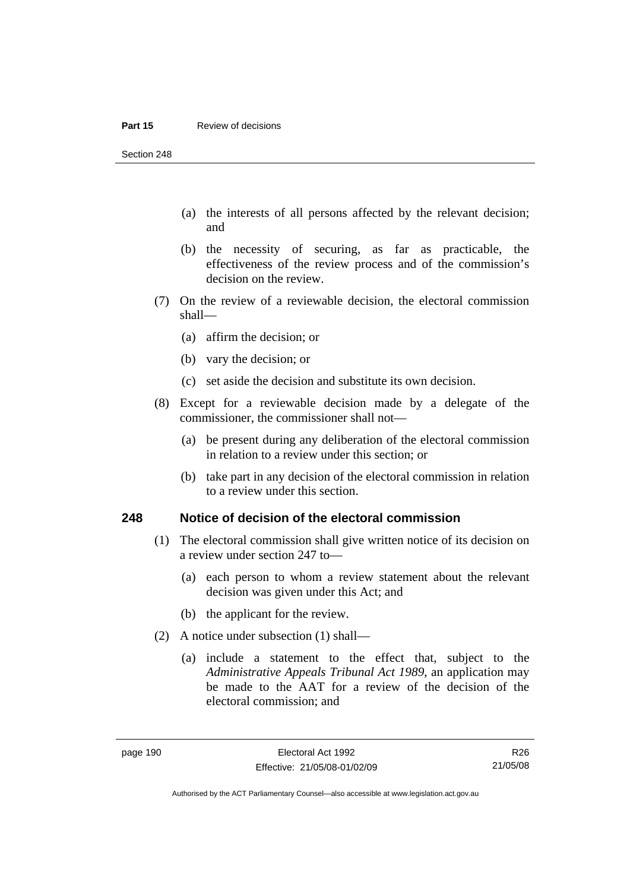#### **Part 15** Review of decisions

Section 248

- (a) the interests of all persons affected by the relevant decision; and
- (b) the necessity of securing, as far as practicable, the effectiveness of the review process and of the commission's decision on the review.
- (7) On the review of a reviewable decision, the electoral commission shall—
	- (a) affirm the decision; or
	- (b) vary the decision; or
	- (c) set aside the decision and substitute its own decision.
- (8) Except for a reviewable decision made by a delegate of the commissioner, the commissioner shall not—
	- (a) be present during any deliberation of the electoral commission in relation to a review under this section; or
	- (b) take part in any decision of the electoral commission in relation to a review under this section.

#### **248 Notice of decision of the electoral commission**

- (1) The electoral commission shall give written notice of its decision on a review under section 247 to—
	- (a) each person to whom a review statement about the relevant decision was given under this Act; and
	- (b) the applicant for the review.
- (2) A notice under subsection (1) shall—
	- (a) include a statement to the effect that, subject to the *Administrative Appeals Tribunal Act 1989*, an application may be made to the AAT for a review of the decision of the electoral commission; and

Authorised by the ACT Parliamentary Counsel—also accessible at www.legislation.act.gov.au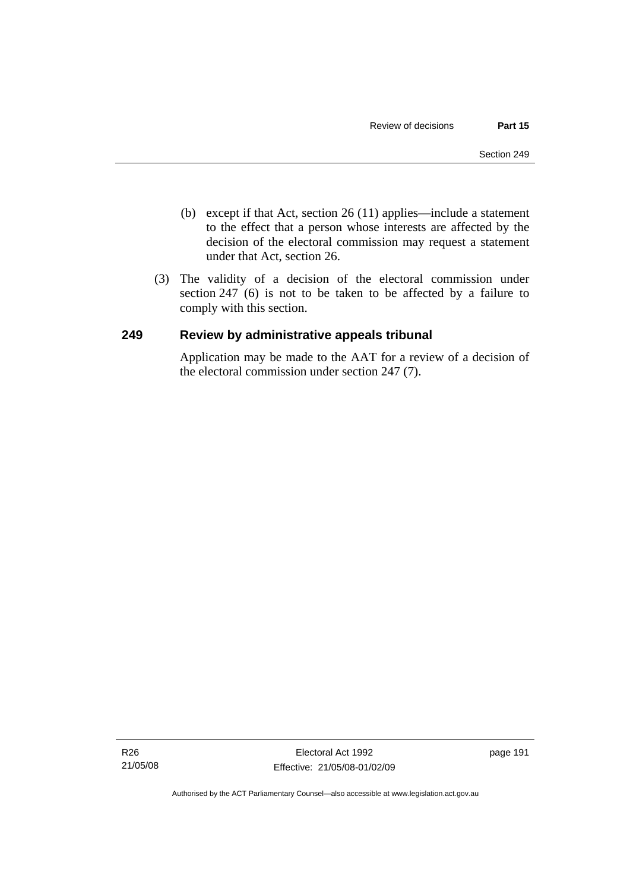- (b) except if that Act, section 26 (11) applies—include a statement to the effect that a person whose interests are affected by the decision of the electoral commission may request a statement under that Act, section 26.
- (3) The validity of a decision of the electoral commission under section 247 (6) is not to be taken to be affected by a failure to comply with this section.

#### **249 Review by administrative appeals tribunal**

Application may be made to the AAT for a review of a decision of the electoral commission under section 247 (7).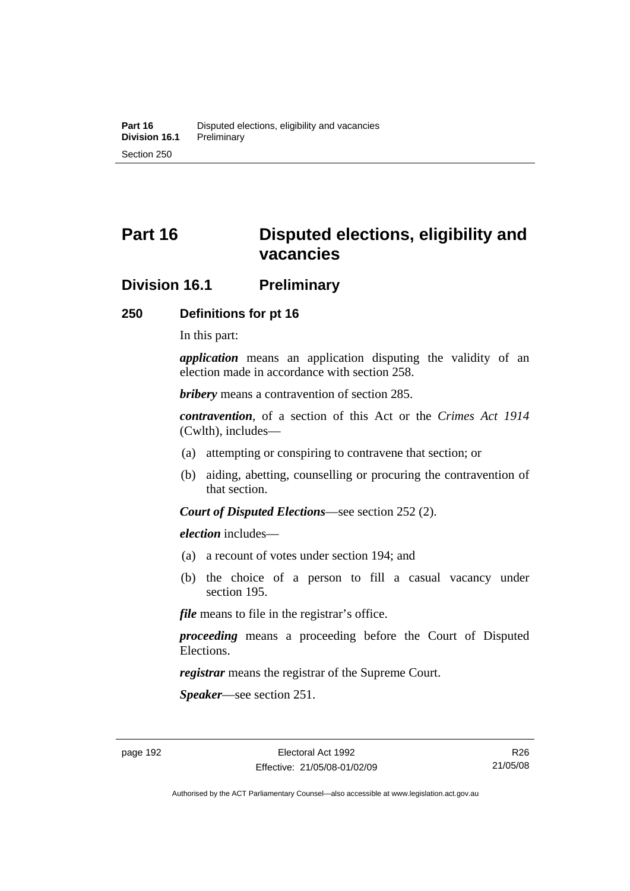# **Part 16 Disputed elections, eligibility and vacancies**

## **Division 16.1 Preliminary**

#### **250 Definitions for pt 16**

In this part:

*application* means an application disputing the validity of an election made in accordance with section 258.

*bribery* means a contravention of section 285.

*contravention*, of a section of this Act or the *Crimes Act 1914* (Cwlth), includes—

- (a) attempting or conspiring to contravene that section; or
- (b) aiding, abetting, counselling or procuring the contravention of that section.

*Court of Disputed Elections*—see section 252 (2).

*election* includes—

- (a) a recount of votes under section 194; and
- (b) the choice of a person to fill a casual vacancy under section 195.

*file* means to file in the registrar's office.

*proceeding* means a proceeding before the Court of Disputed Elections.

*registrar* means the registrar of the Supreme Court.

*Speaker*—see section 251.

R26 21/05/08

Authorised by the ACT Parliamentary Counsel—also accessible at www.legislation.act.gov.au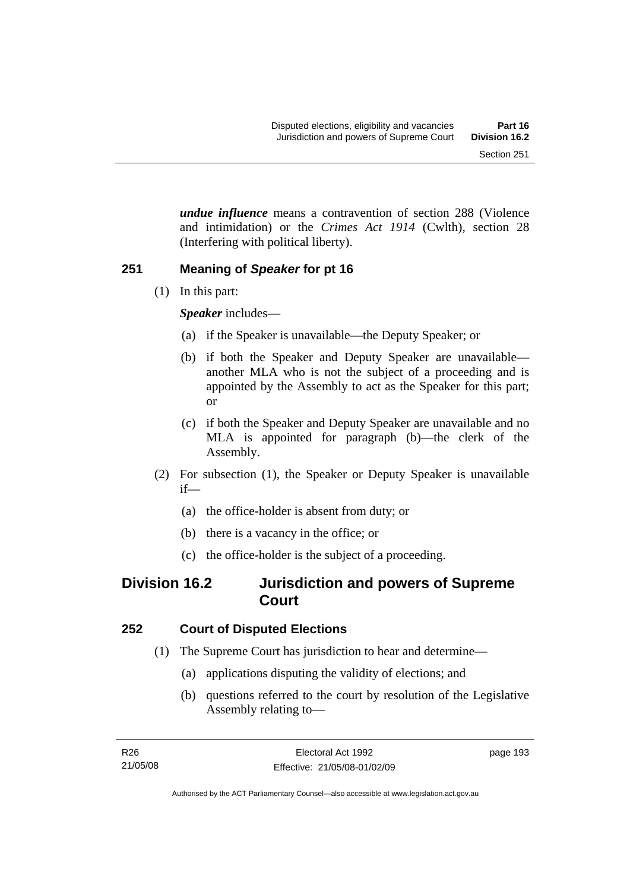*undue influence* means a contravention of section 288 (Violence and intimidation) or the *Crimes Act 1914* (Cwlth), section 28 (Interfering with political liberty).

## **251 Meaning of** *Speaker* **for pt 16**

(1) In this part:

*Speaker* includes—

- (a) if the Speaker is unavailable—the Deputy Speaker; or
- (b) if both the Speaker and Deputy Speaker are unavailable another MLA who is not the subject of a proceeding and is appointed by the Assembly to act as the Speaker for this part; or
- (c) if both the Speaker and Deputy Speaker are unavailable and no MLA is appointed for paragraph (b)—the clerk of the Assembly.
- (2) For subsection (1), the Speaker or Deputy Speaker is unavailable if—
	- (a) the office-holder is absent from duty; or
	- (b) there is a vacancy in the office; or
	- (c) the office-holder is the subject of a proceeding.

# **Division 16.2 Jurisdiction and powers of Supreme Court**

# **252 Court of Disputed Elections**

- (1) The Supreme Court has jurisdiction to hear and determine—
	- (a) applications disputing the validity of elections; and
	- (b) questions referred to the court by resolution of the Legislative Assembly relating to—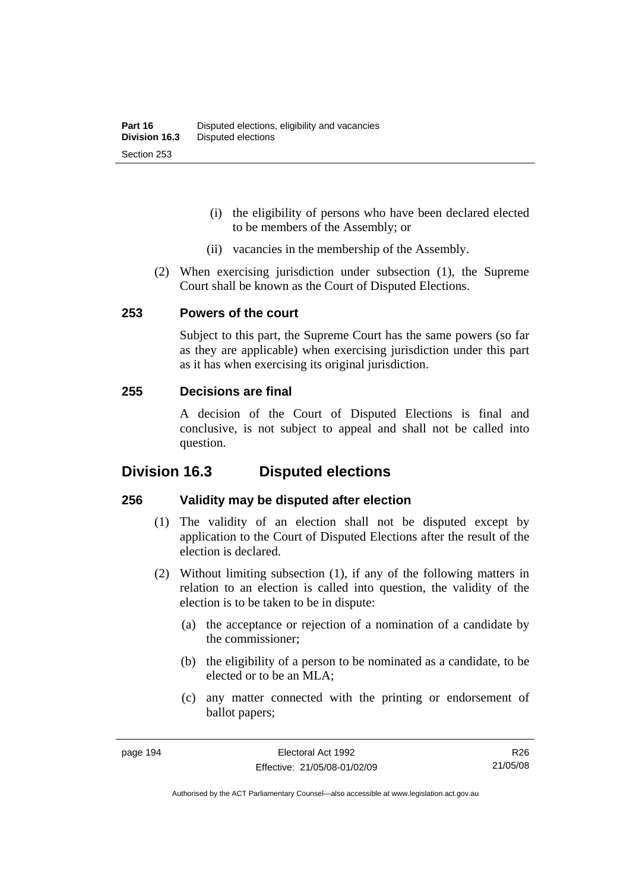- (i) the eligibility of persons who have been declared elected to be members of the Assembly; or
- (ii) vacancies in the membership of the Assembly.
- (2) When exercising jurisdiction under subsection (1), the Supreme Court shall be known as the Court of Disputed Elections.

#### **253 Powers of the court**

Subject to this part, the Supreme Court has the same powers (so far as they are applicable) when exercising jurisdiction under this part as it has when exercising its original jurisdiction.

#### **255 Decisions are final**

A decision of the Court of Disputed Elections is final and conclusive, is not subject to appeal and shall not be called into question.

## **Division 16.3 Disputed elections**

#### **256 Validity may be disputed after election**

- (1) The validity of an election shall not be disputed except by application to the Court of Disputed Elections after the result of the election is declared.
- (2) Without limiting subsection (1), if any of the following matters in relation to an election is called into question, the validity of the election is to be taken to be in dispute:
	- (a) the acceptance or rejection of a nomination of a candidate by the commissioner;
	- (b) the eligibility of a person to be nominated as a candidate, to be elected or to be an MLA;
	- (c) any matter connected with the printing or endorsement of ballot papers;

R26 21/05/08

Authorised by the ACT Parliamentary Counsel—also accessible at www.legislation.act.gov.au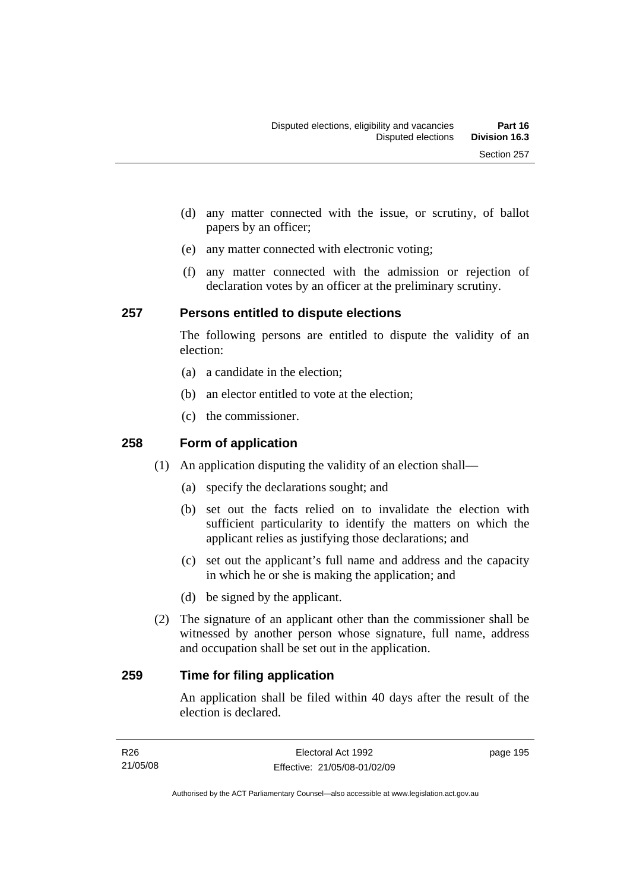- (d) any matter connected with the issue, or scrutiny, of ballot papers by an officer;
- (e) any matter connected with electronic voting;
- (f) any matter connected with the admission or rejection of declaration votes by an officer at the preliminary scrutiny.

#### **257 Persons entitled to dispute elections**

The following persons are entitled to dispute the validity of an election:

- (a) a candidate in the election;
- (b) an elector entitled to vote at the election;
- (c) the commissioner.

#### **258 Form of application**

- (1) An application disputing the validity of an election shall—
	- (a) specify the declarations sought; and
	- (b) set out the facts relied on to invalidate the election with sufficient particularity to identify the matters on which the applicant relies as justifying those declarations; and
	- (c) set out the applicant's full name and address and the capacity in which he or she is making the application; and
	- (d) be signed by the applicant.
- (2) The signature of an applicant other than the commissioner shall be witnessed by another person whose signature, full name, address and occupation shall be set out in the application.

#### **259 Time for filing application**

An application shall be filed within 40 days after the result of the election is declared.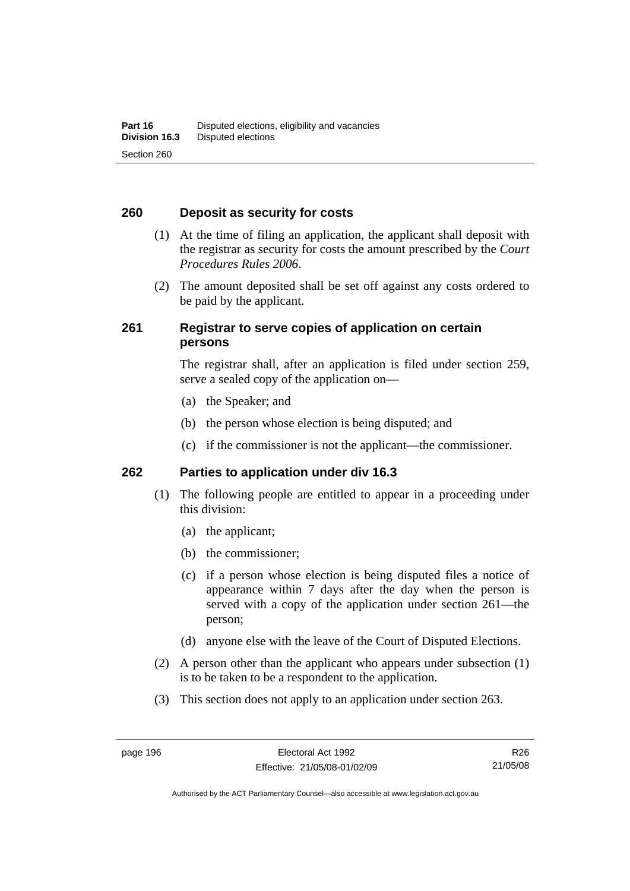#### **260 Deposit as security for costs**

- (1) At the time of filing an application, the applicant shall deposit with the registrar as security for costs the amount prescribed by the *Court Procedures Rules 2006*.
- (2) The amount deposited shall be set off against any costs ordered to be paid by the applicant.

#### **261 Registrar to serve copies of application on certain persons**

The registrar shall, after an application is filed under section 259, serve a sealed copy of the application on—

- (a) the Speaker; and
- (b) the person whose election is being disputed; and
- (c) if the commissioner is not the applicant—the commissioner.

#### **262 Parties to application under div 16.3**

- (1) The following people are entitled to appear in a proceeding under this division:
	- (a) the applicant;
	- (b) the commissioner;
	- (c) if a person whose election is being disputed files a notice of appearance within 7 days after the day when the person is served with a copy of the application under section 261—the person;
	- (d) anyone else with the leave of the Court of Disputed Elections.
- (2) A person other than the applicant who appears under subsection (1) is to be taken to be a respondent to the application.
- (3) This section does not apply to an application under section 263.

R26 21/05/08

Authorised by the ACT Parliamentary Counsel—also accessible at www.legislation.act.gov.au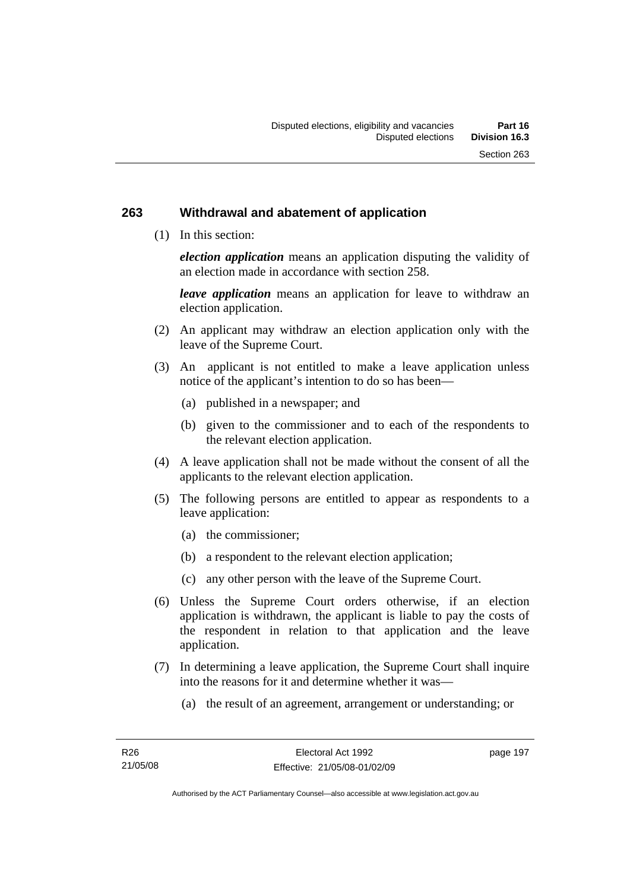#### **263 Withdrawal and abatement of application**

(1) In this section:

*election application* means an application disputing the validity of an election made in accordance with section 258.

*leave application* means an application for leave to withdraw an election application.

- (2) An applicant may withdraw an election application only with the leave of the Supreme Court.
- (3) An applicant is not entitled to make a leave application unless notice of the applicant's intention to do so has been—
	- (a) published in a newspaper; and
	- (b) given to the commissioner and to each of the respondents to the relevant election application.
- (4) A leave application shall not be made without the consent of all the applicants to the relevant election application.
- (5) The following persons are entitled to appear as respondents to a leave application:
	- (a) the commissioner;
	- (b) a respondent to the relevant election application;
	- (c) any other person with the leave of the Supreme Court.
- (6) Unless the Supreme Court orders otherwise, if an election application is withdrawn, the applicant is liable to pay the costs of the respondent in relation to that application and the leave application.
- (7) In determining a leave application, the Supreme Court shall inquire into the reasons for it and determine whether it was—
	- (a) the result of an agreement, arrangement or understanding; or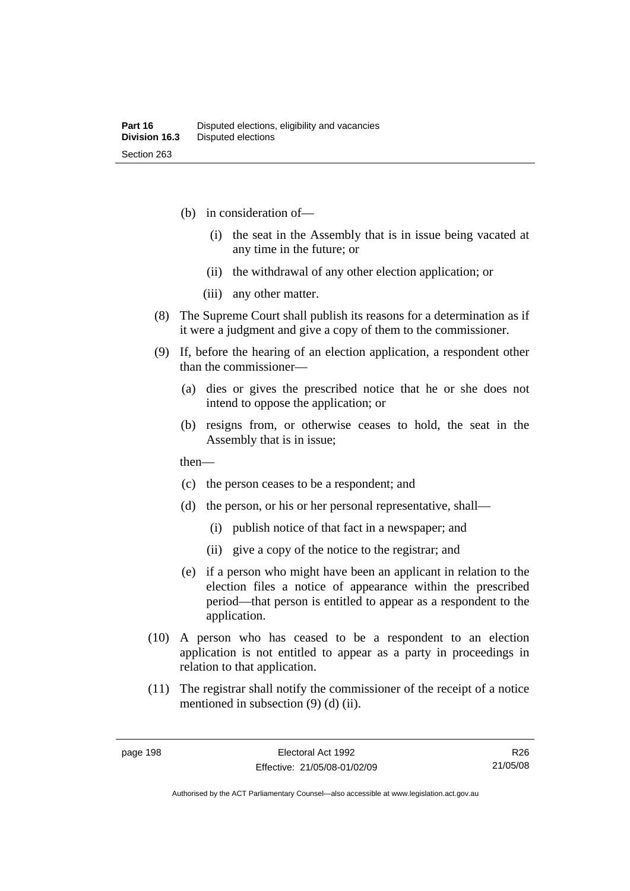- (b) in consideration of—
	- (i) the seat in the Assembly that is in issue being vacated at any time in the future; or
	- (ii) the withdrawal of any other election application; or
	- (iii) any other matter.
- (8) The Supreme Court shall publish its reasons for a determination as if it were a judgment and give a copy of them to the commissioner.
- (9) If, before the hearing of an election application, a respondent other than the commissioner—
	- (a) dies or gives the prescribed notice that he or she does not intend to oppose the application; or
	- (b) resigns from, or otherwise ceases to hold, the seat in the Assembly that is in issue;

then—

- (c) the person ceases to be a respondent; and
- (d) the person, or his or her personal representative, shall—
	- (i) publish notice of that fact in a newspaper; and
	- (ii) give a copy of the notice to the registrar; and
- (e) if a person who might have been an applicant in relation to the election files a notice of appearance within the prescribed period—that person is entitled to appear as a respondent to the application.
- (10) A person who has ceased to be a respondent to an election application is not entitled to appear as a party in proceedings in relation to that application.
- (11) The registrar shall notify the commissioner of the receipt of a notice mentioned in subsection (9) (d) (ii).

R26 21/05/08

Authorised by the ACT Parliamentary Counsel—also accessible at www.legislation.act.gov.au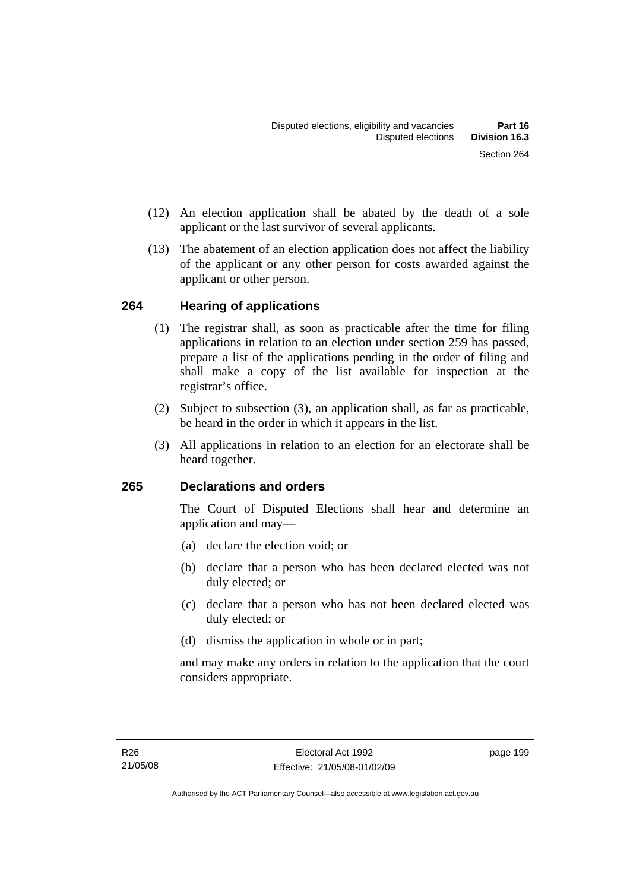- (12) An election application shall be abated by the death of a sole applicant or the last survivor of several applicants.
- (13) The abatement of an election application does not affect the liability of the applicant or any other person for costs awarded against the applicant or other person.

## **264 Hearing of applications**

- (1) The registrar shall, as soon as practicable after the time for filing applications in relation to an election under section 259 has passed, prepare a list of the applications pending in the order of filing and shall make a copy of the list available for inspection at the registrar's office.
- (2) Subject to subsection (3), an application shall, as far as practicable, be heard in the order in which it appears in the list.
- (3) All applications in relation to an election for an electorate shall be heard together.

## **265 Declarations and orders**

The Court of Disputed Elections shall hear and determine an application and may—

- (a) declare the election void; or
- (b) declare that a person who has been declared elected was not duly elected; or
- (c) declare that a person who has not been declared elected was duly elected; or
- (d) dismiss the application in whole or in part;

and may make any orders in relation to the application that the court considers appropriate.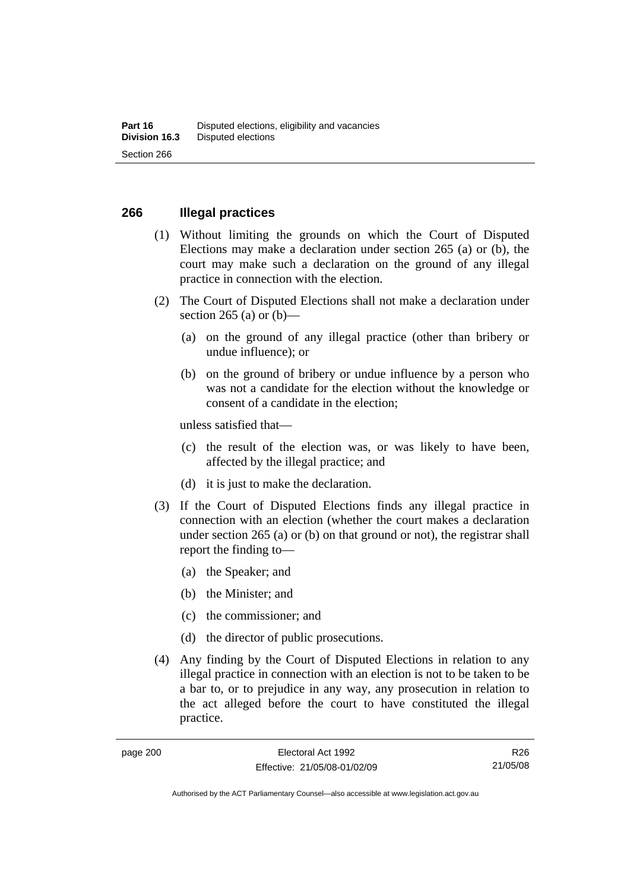#### **266 Illegal practices**

- (1) Without limiting the grounds on which the Court of Disputed Elections may make a declaration under section 265 (a) or (b), the court may make such a declaration on the ground of any illegal practice in connection with the election.
- (2) The Court of Disputed Elections shall not make a declaration under section 265 (a) or  $(b)$ —
	- (a) on the ground of any illegal practice (other than bribery or undue influence); or
	- (b) on the ground of bribery or undue influence by a person who was not a candidate for the election without the knowledge or consent of a candidate in the election;

unless satisfied that—

- (c) the result of the election was, or was likely to have been, affected by the illegal practice; and
- (d) it is just to make the declaration.
- (3) If the Court of Disputed Elections finds any illegal practice in connection with an election (whether the court makes a declaration under section 265 (a) or (b) on that ground or not), the registrar shall report the finding to—
	- (a) the Speaker; and
	- (b) the Minister; and
	- (c) the commissioner; and
	- (d) the director of public prosecutions.
- (4) Any finding by the Court of Disputed Elections in relation to any illegal practice in connection with an election is not to be taken to be a bar to, or to prejudice in any way, any prosecution in relation to the act alleged before the court to have constituted the illegal practice.

Authorised by the ACT Parliamentary Counsel—also accessible at www.legislation.act.gov.au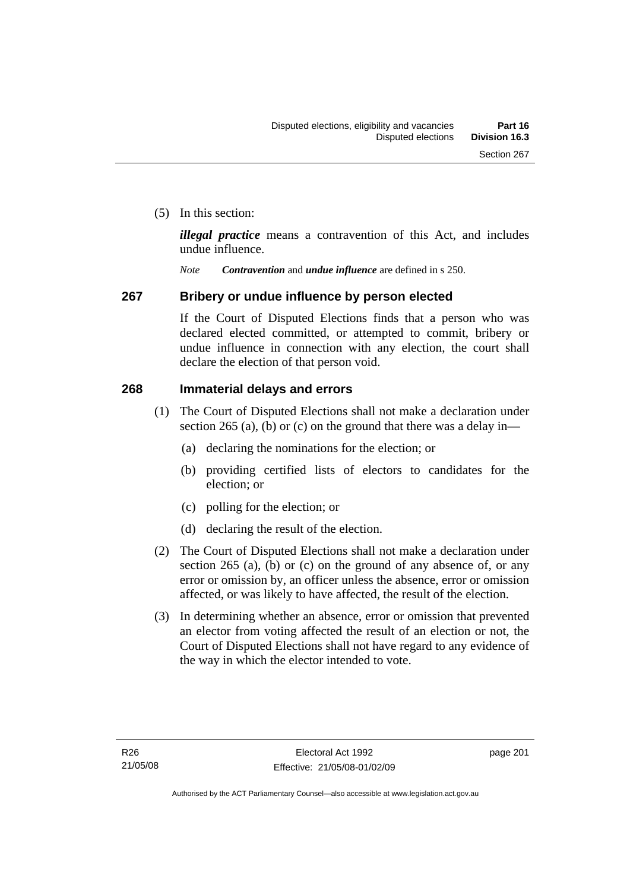(5) In this section:

*illegal practice* means a contravention of this Act, and includes undue influence.

*Note Contravention* and *undue influence* are defined in s 250.

#### **267 Bribery or undue influence by person elected**

If the Court of Disputed Elections finds that a person who was declared elected committed, or attempted to commit, bribery or undue influence in connection with any election, the court shall declare the election of that person void.

#### **268 Immaterial delays and errors**

- (1) The Court of Disputed Elections shall not make a declaration under section 265 (a), (b) or (c) on the ground that there was a delay in—
	- (a) declaring the nominations for the election; or
	- (b) providing certified lists of electors to candidates for the election; or
	- (c) polling for the election; or
	- (d) declaring the result of the election.
- (2) The Court of Disputed Elections shall not make a declaration under section 265 (a), (b) or (c) on the ground of any absence of, or any error or omission by, an officer unless the absence, error or omission affected, or was likely to have affected, the result of the election.
- (3) In determining whether an absence, error or omission that prevented an elector from voting affected the result of an election or not, the Court of Disputed Elections shall not have regard to any evidence of the way in which the elector intended to vote.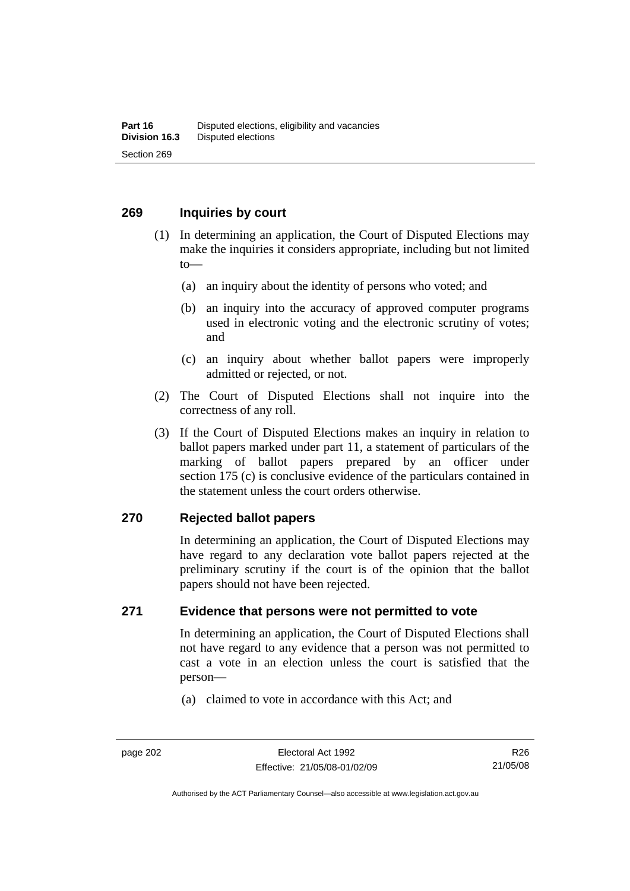#### **269 Inquiries by court**

- (1) In determining an application, the Court of Disputed Elections may make the inquiries it considers appropriate, including but not limited to—
	- (a) an inquiry about the identity of persons who voted; and
	- (b) an inquiry into the accuracy of approved computer programs used in electronic voting and the electronic scrutiny of votes; and
	- (c) an inquiry about whether ballot papers were improperly admitted or rejected, or not.
- (2) The Court of Disputed Elections shall not inquire into the correctness of any roll.
- (3) If the Court of Disputed Elections makes an inquiry in relation to ballot papers marked under part 11, a statement of particulars of the marking of ballot papers prepared by an officer under section 175 (c) is conclusive evidence of the particulars contained in the statement unless the court orders otherwise.

#### **270 Rejected ballot papers**

In determining an application, the Court of Disputed Elections may have regard to any declaration vote ballot papers rejected at the preliminary scrutiny if the court is of the opinion that the ballot papers should not have been rejected.

### **271 Evidence that persons were not permitted to vote**

In determining an application, the Court of Disputed Elections shall not have regard to any evidence that a person was not permitted to cast a vote in an election unless the court is satisfied that the person—

(a) claimed to vote in accordance with this Act; and

Authorised by the ACT Parliamentary Counsel—also accessible at www.legislation.act.gov.au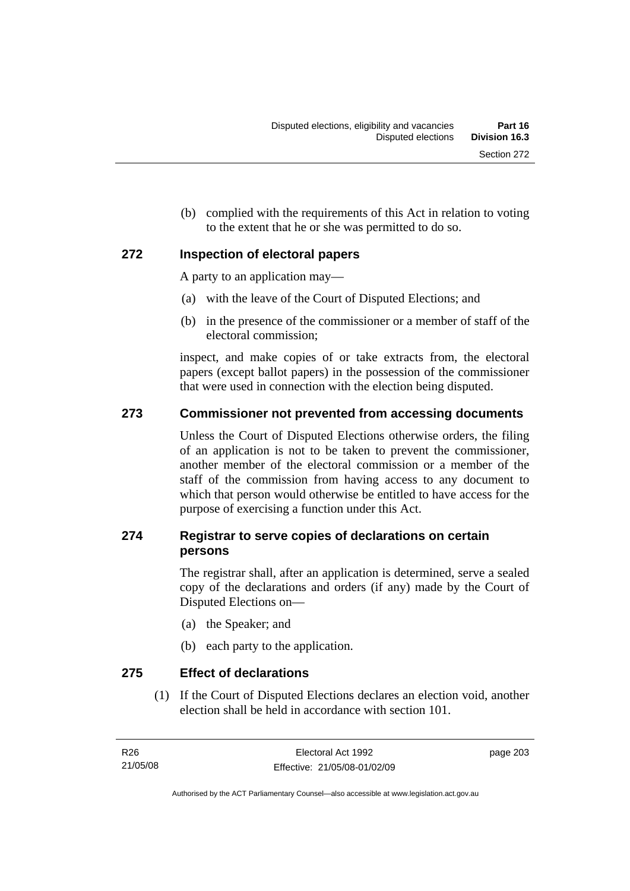(b) complied with the requirements of this Act in relation to voting to the extent that he or she was permitted to do so.

## **272 Inspection of electoral papers**

A party to an application may—

- (a) with the leave of the Court of Disputed Elections; and
- (b) in the presence of the commissioner or a member of staff of the electoral commission;

inspect, and make copies of or take extracts from, the electoral papers (except ballot papers) in the possession of the commissioner that were used in connection with the election being disputed.

## **273 Commissioner not prevented from accessing documents**

Unless the Court of Disputed Elections otherwise orders, the filing of an application is not to be taken to prevent the commissioner, another member of the electoral commission or a member of the staff of the commission from having access to any document to which that person would otherwise be entitled to have access for the purpose of exercising a function under this Act.

## **274 Registrar to serve copies of declarations on certain persons**

The registrar shall, after an application is determined, serve a sealed copy of the declarations and orders (if any) made by the Court of Disputed Elections on—

- (a) the Speaker; and
- (b) each party to the application.

## **275 Effect of declarations**

 (1) If the Court of Disputed Elections declares an election void, another election shall be held in accordance with section 101.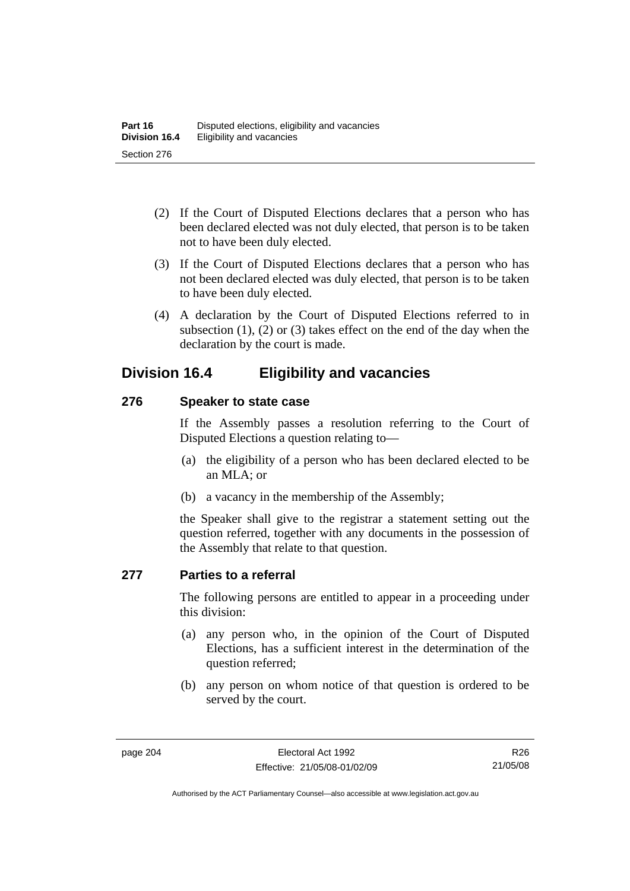- (2) If the Court of Disputed Elections declares that a person who has been declared elected was not duly elected, that person is to be taken not to have been duly elected.
- (3) If the Court of Disputed Elections declares that a person who has not been declared elected was duly elected, that person is to be taken to have been duly elected.
- (4) A declaration by the Court of Disputed Elections referred to in subsection (1), (2) or (3) takes effect on the end of the day when the declaration by the court is made.

## **Division 16.4 Eligibility and vacancies**

#### **276 Speaker to state case**

If the Assembly passes a resolution referring to the Court of Disputed Elections a question relating to—

- (a) the eligibility of a person who has been declared elected to be an MLA; or
- (b) a vacancy in the membership of the Assembly;

the Speaker shall give to the registrar a statement setting out the question referred, together with any documents in the possession of the Assembly that relate to that question.

#### **277 Parties to a referral**

The following persons are entitled to appear in a proceeding under this division:

- (a) any person who, in the opinion of the Court of Disputed Elections, has a sufficient interest in the determination of the question referred;
- (b) any person on whom notice of that question is ordered to be served by the court.

R26 21/05/08

Authorised by the ACT Parliamentary Counsel—also accessible at www.legislation.act.gov.au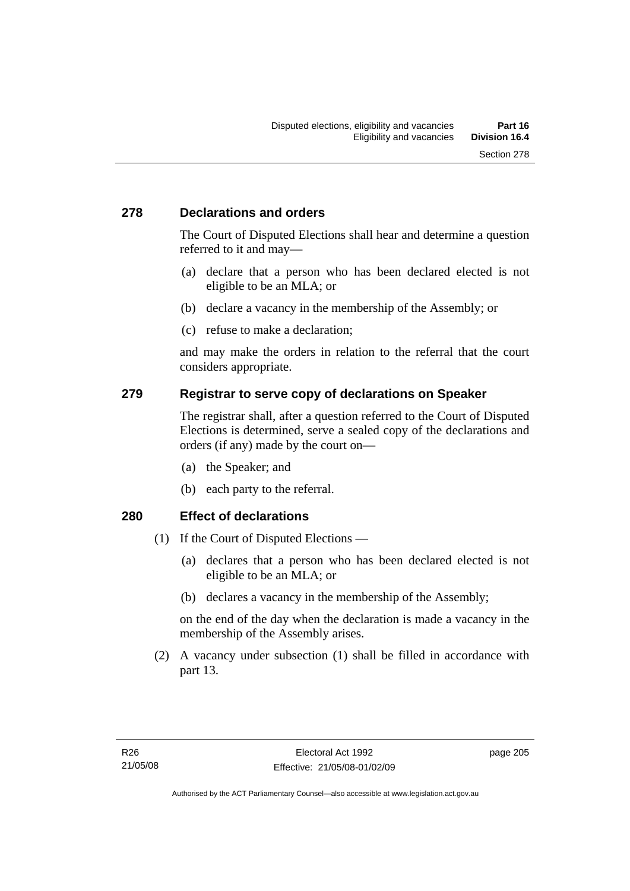### **278 Declarations and orders**

The Court of Disputed Elections shall hear and determine a question referred to it and may—

- (a) declare that a person who has been declared elected is not eligible to be an MLA; or
- (b) declare a vacancy in the membership of the Assembly; or
- (c) refuse to make a declaration;

and may make the orders in relation to the referral that the court considers appropriate.

#### **279 Registrar to serve copy of declarations on Speaker**

The registrar shall, after a question referred to the Court of Disputed Elections is determined, serve a sealed copy of the declarations and orders (if any) made by the court on—

- (a) the Speaker; and
- (b) each party to the referral.

#### **280 Effect of declarations**

- (1) If the Court of Disputed Elections
	- (a) declares that a person who has been declared elected is not eligible to be an MLA; or
	- (b) declares a vacancy in the membership of the Assembly;

on the end of the day when the declaration is made a vacancy in the membership of the Assembly arises.

 (2) A vacancy under subsection (1) shall be filled in accordance with part 13.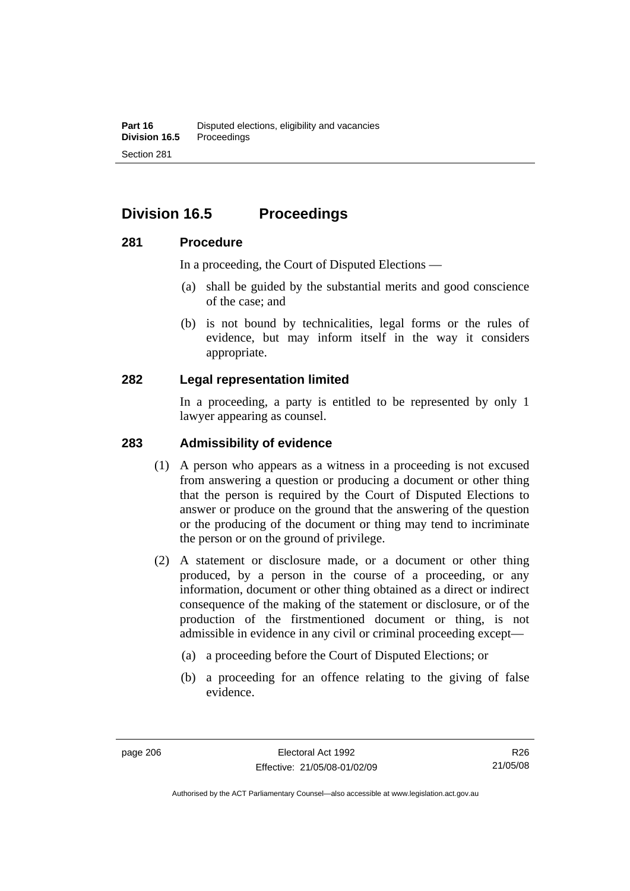# **Division 16.5 Proceedings**

#### **281 Procedure**

In a proceeding, the Court of Disputed Elections —

- (a) shall be guided by the substantial merits and good conscience of the case; and
- (b) is not bound by technicalities, legal forms or the rules of evidence, but may inform itself in the way it considers appropriate.

#### **282 Legal representation limited**

In a proceeding, a party is entitled to be represented by only 1 lawyer appearing as counsel.

#### **283 Admissibility of evidence**

- (1) A person who appears as a witness in a proceeding is not excused from answering a question or producing a document or other thing that the person is required by the Court of Disputed Elections to answer or produce on the ground that the answering of the question or the producing of the document or thing may tend to incriminate the person or on the ground of privilege.
- (2) A statement or disclosure made, or a document or other thing produced, by a person in the course of a proceeding, or any information, document or other thing obtained as a direct or indirect consequence of the making of the statement or disclosure, or of the production of the firstmentioned document or thing, is not admissible in evidence in any civil or criminal proceeding except—
	- (a) a proceeding before the Court of Disputed Elections; or
	- (b) a proceeding for an offence relating to the giving of false evidence.

Authorised by the ACT Parliamentary Counsel—also accessible at www.legislation.act.gov.au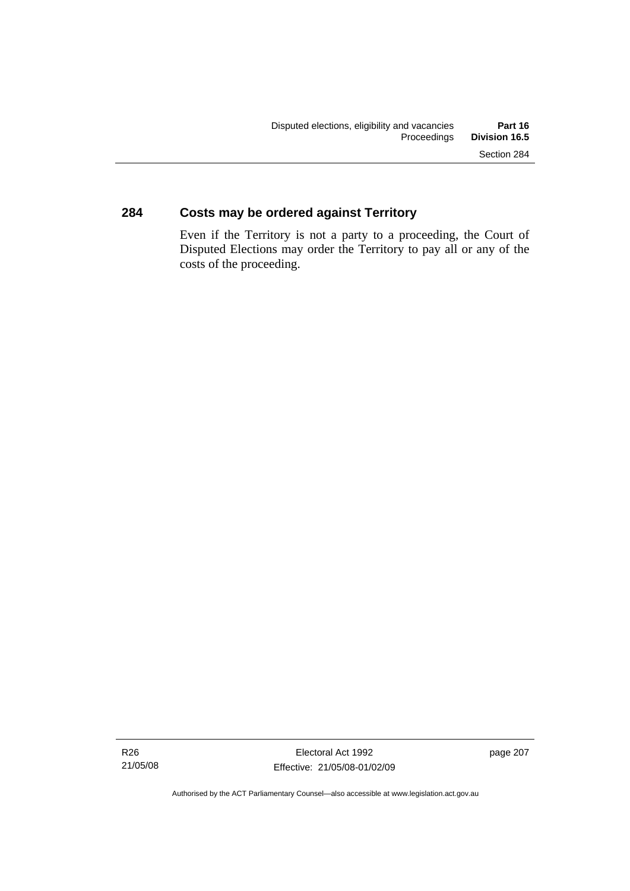## **284 Costs may be ordered against Territory**

Even if the Territory is not a party to a proceeding, the Court of Disputed Elections may order the Territory to pay all or any of the costs of the proceeding.

page 207

Authorised by the ACT Parliamentary Counsel—also accessible at www.legislation.act.gov.au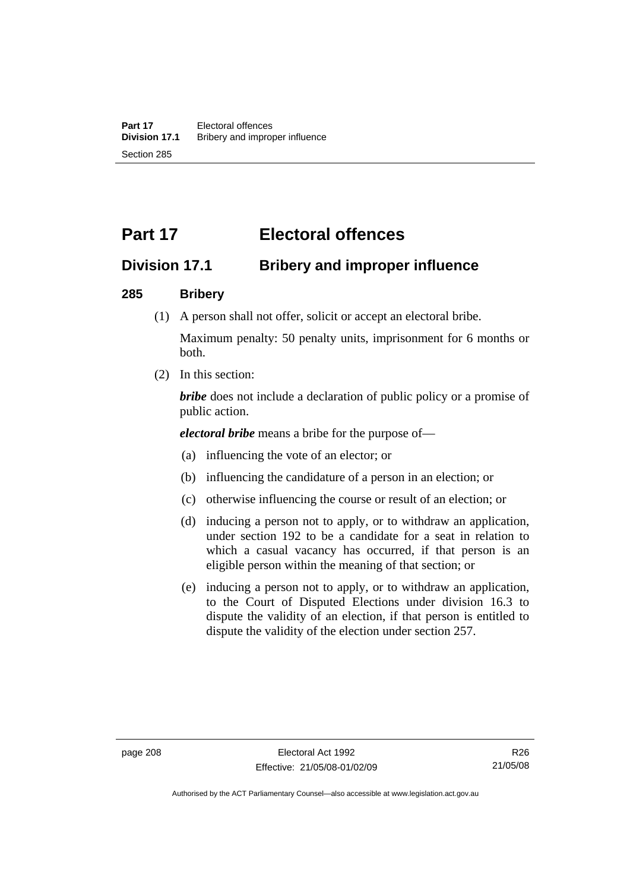# **Part 17 Electoral offences**

## **Division 17.1 Bribery and improper influence**

#### **285 Bribery**

(1) A person shall not offer, solicit or accept an electoral bribe.

Maximum penalty: 50 penalty units, imprisonment for 6 months or both.

(2) In this section:

*bribe* does not include a declaration of public policy or a promise of public action.

*electoral bribe* means a bribe for the purpose of—

- (a) influencing the vote of an elector; or
- (b) influencing the candidature of a person in an election; or
- (c) otherwise influencing the course or result of an election; or
- (d) inducing a person not to apply, or to withdraw an application, under section 192 to be a candidate for a seat in relation to which a casual vacancy has occurred, if that person is an eligible person within the meaning of that section; or
- (e) inducing a person not to apply, or to withdraw an application, to the Court of Disputed Elections under division 16.3 to dispute the validity of an election, if that person is entitled to dispute the validity of the election under section 257.

Authorised by the ACT Parliamentary Counsel—also accessible at www.legislation.act.gov.au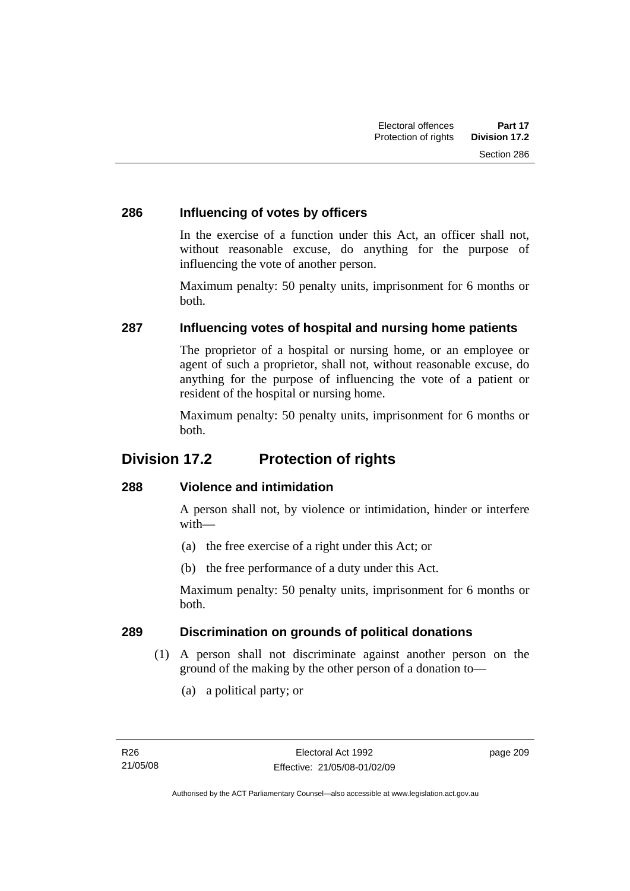### **286 Influencing of votes by officers**

In the exercise of a function under this Act, an officer shall not, without reasonable excuse, do anything for the purpose of influencing the vote of another person.

Maximum penalty: 50 penalty units, imprisonment for 6 months or both.

## **287 Influencing votes of hospital and nursing home patients**

The proprietor of a hospital or nursing home, or an employee or agent of such a proprietor, shall not, without reasonable excuse, do anything for the purpose of influencing the vote of a patient or resident of the hospital or nursing home.

Maximum penalty: 50 penalty units, imprisonment for 6 months or both.

## **Division 17.2 Protection of rights**

## **288 Violence and intimidation**

A person shall not, by violence or intimidation, hinder or interfere with—

- (a) the free exercise of a right under this Act; or
- (b) the free performance of a duty under this Act.

Maximum penalty: 50 penalty units, imprisonment for 6 months or both.

## **289 Discrimination on grounds of political donations**

- (1) A person shall not discriminate against another person on the ground of the making by the other person of a donation to—
	- (a) a political party; or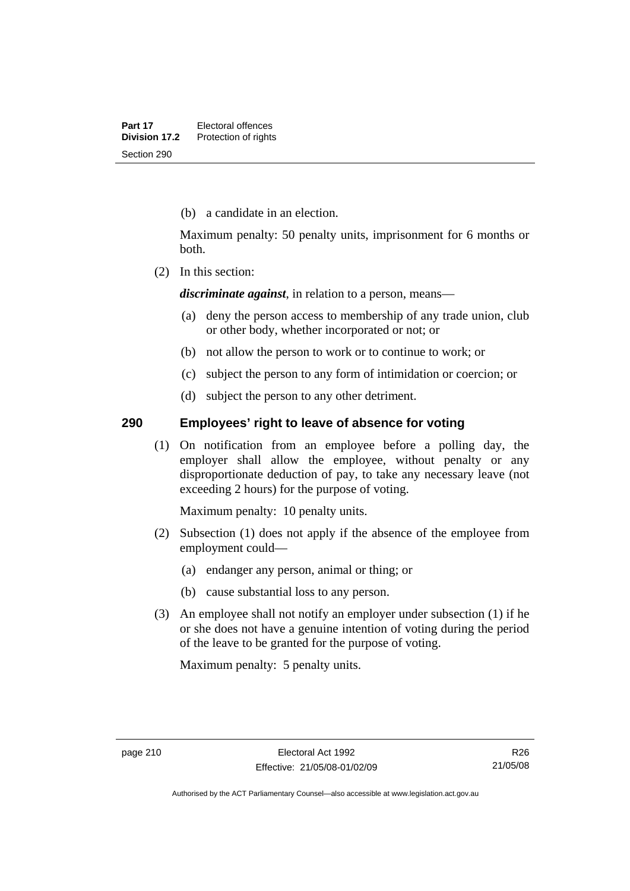(b) a candidate in an election.

Maximum penalty: 50 penalty units, imprisonment for 6 months or both.

(2) In this section:

*discriminate against*, in relation to a person, means—

- (a) deny the person access to membership of any trade union, club or other body, whether incorporated or not; or
- (b) not allow the person to work or to continue to work; or
- (c) subject the person to any form of intimidation or coercion; or
- (d) subject the person to any other detriment.

#### **290 Employees' right to leave of absence for voting**

 (1) On notification from an employee before a polling day, the employer shall allow the employee, without penalty or any disproportionate deduction of pay, to take any necessary leave (not exceeding 2 hours) for the purpose of voting.

Maximum penalty: 10 penalty units.

- (2) Subsection (1) does not apply if the absence of the employee from employment could—
	- (a) endanger any person, animal or thing; or
	- (b) cause substantial loss to any person.
- (3) An employee shall not notify an employer under subsection (1) if he or she does not have a genuine intention of voting during the period of the leave to be granted for the purpose of voting.

Maximum penalty: 5 penalty units.

R26 21/05/08

Authorised by the ACT Parliamentary Counsel—also accessible at www.legislation.act.gov.au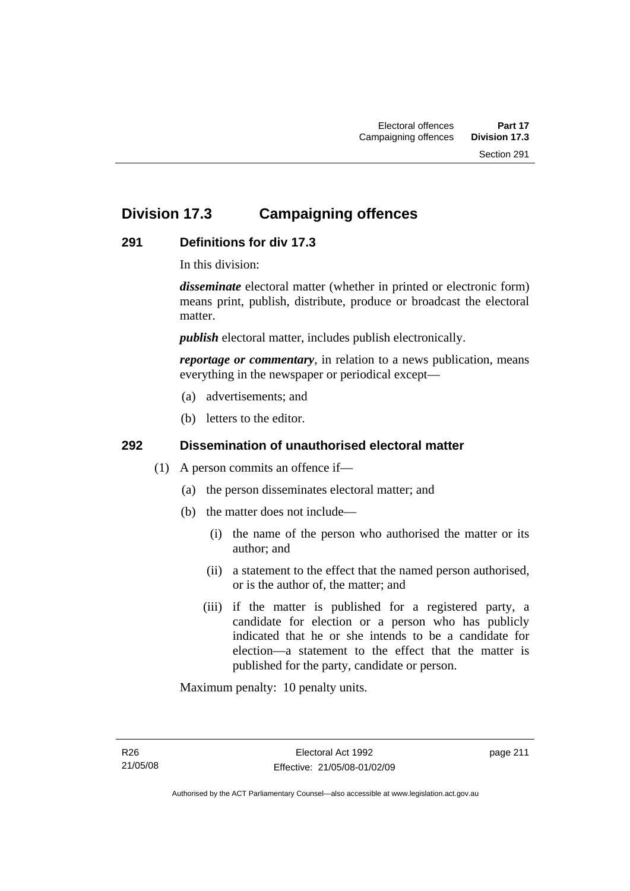## **Division 17.3 Campaigning offences**

## **291 Definitions for div 17.3**

In this division:

*disseminate* electoral matter (whether in printed or electronic form) means print, publish, distribute, produce or broadcast the electoral matter.

*publish* electoral matter, includes publish electronically.

*reportage or commentary*, in relation to a news publication, means everything in the newspaper or periodical except—

- (a) advertisements; and
- (b) letters to the editor.

## **292 Dissemination of unauthorised electoral matter**

- (1) A person commits an offence if—
	- (a) the person disseminates electoral matter; and
	- (b) the matter does not include—
		- (i) the name of the person who authorised the matter or its author; and
		- (ii) a statement to the effect that the named person authorised, or is the author of, the matter; and
		- (iii) if the matter is published for a registered party, a candidate for election or a person who has publicly indicated that he or she intends to be a candidate for election—a statement to the effect that the matter is published for the party, candidate or person.

Maximum penalty: 10 penalty units.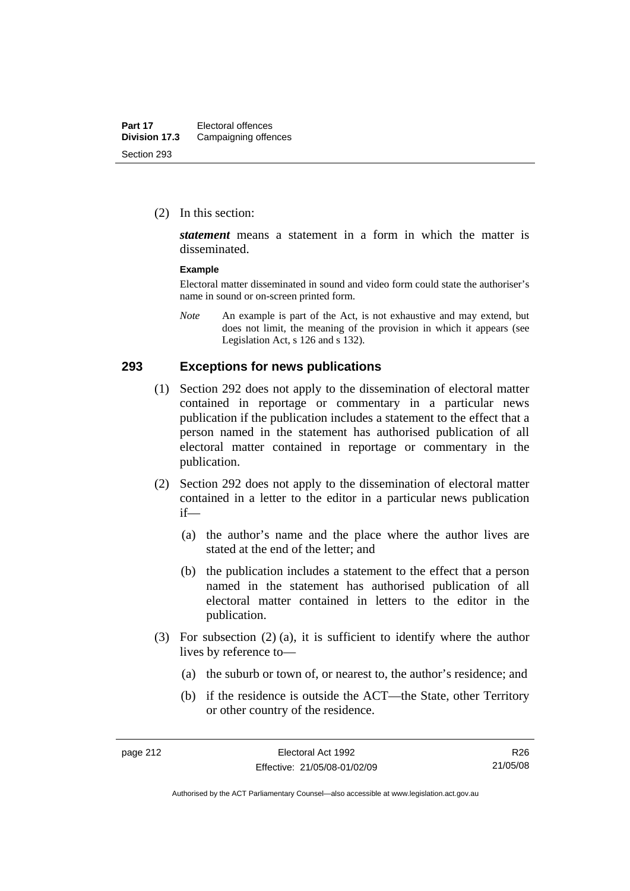(2) In this section:

*statement* means a statement in a form in which the matter is disseminated.

#### **Example**

Electoral matter disseminated in sound and video form could state the authoriser's name in sound or on-screen printed form.

*Note* An example is part of the Act, is not exhaustive and may extend, but does not limit, the meaning of the provision in which it appears (see Legislation Act, s 126 and s 132).

#### **293 Exceptions for news publications**

- (1) Section 292 does not apply to the dissemination of electoral matter contained in reportage or commentary in a particular news publication if the publication includes a statement to the effect that a person named in the statement has authorised publication of all electoral matter contained in reportage or commentary in the publication.
- (2) Section 292 does not apply to the dissemination of electoral matter contained in a letter to the editor in a particular news publication if—
	- (a) the author's name and the place where the author lives are stated at the end of the letter; and
	- (b) the publication includes a statement to the effect that a person named in the statement has authorised publication of all electoral matter contained in letters to the editor in the publication.
- (3) For subsection (2) (a), it is sufficient to identify where the author lives by reference to—
	- (a) the suburb or town of, or nearest to, the author's residence; and
	- (b) if the residence is outside the ACT—the State, other Territory or other country of the residence.

R26 21/05/08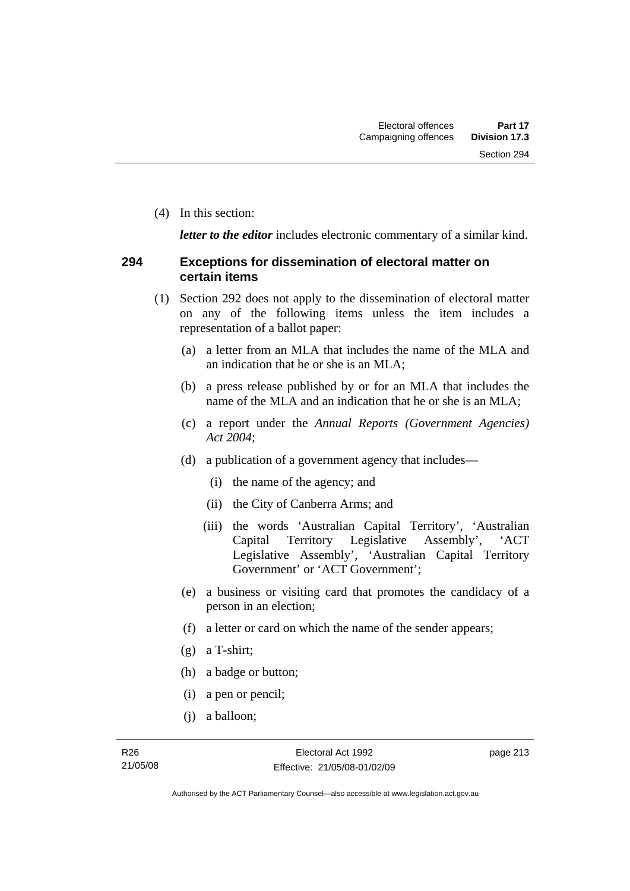(4) In this section:

*letter to the editor* includes electronic commentary of a similar kind.

#### **294 Exceptions for dissemination of electoral matter on certain items**

- (1) Section 292 does not apply to the dissemination of electoral matter on any of the following items unless the item includes a representation of a ballot paper:
	- (a) a letter from an MLA that includes the name of the MLA and an indication that he or she is an MLA;
	- (b) a press release published by or for an MLA that includes the name of the MLA and an indication that he or she is an MLA;
	- (c) a report under the *Annual Reports (Government Agencies) Act 2004*;
	- (d) a publication of a government agency that includes—
		- (i) the name of the agency; and
		- (ii) the City of Canberra Arms; and
		- (iii) the words 'Australian Capital Territory', 'Australian Capital Territory Legislative Assembly', 'ACT Legislative Assembly', 'Australian Capital Territory Government' or 'ACT Government';
	- (e) a business or visiting card that promotes the candidacy of a person in an election;
	- (f) a letter or card on which the name of the sender appears;
	- (g) a T-shirt;
	- (h) a badge or button;
	- (i) a pen or pencil;
	- (j) a balloon;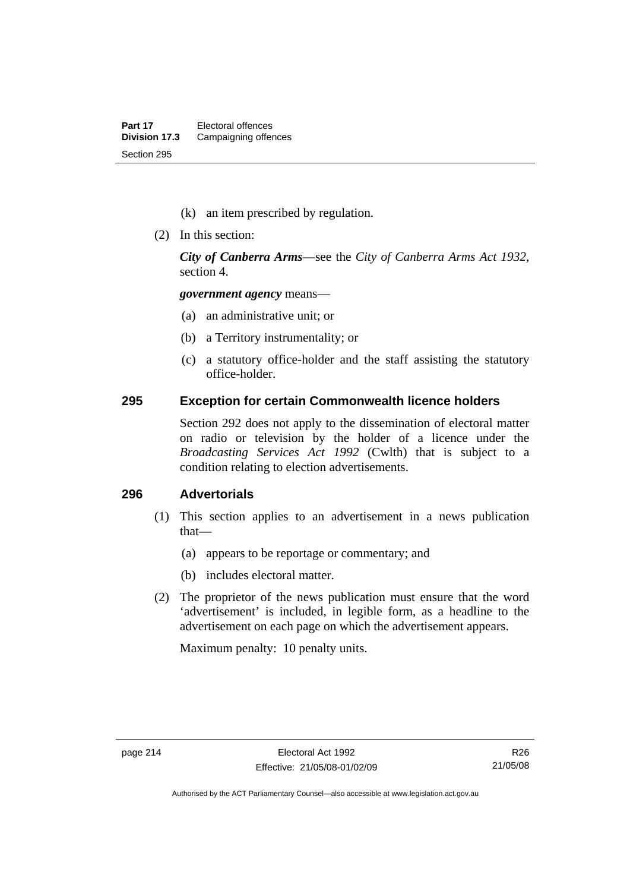- (k) an item prescribed by regulation.
- (2) In this section:

*City of Canberra Arms*—see the *City of Canberra Arms Act 1932*, section 4.

*government agency* means—

- (a) an administrative unit; or
- (b) a Territory instrumentality; or
- (c) a statutory office-holder and the staff assisting the statutory office-holder.

#### **295 Exception for certain Commonwealth licence holders**

Section 292 does not apply to the dissemination of electoral matter on radio or television by the holder of a licence under the *Broadcasting Services Act 1992* (Cwlth) that is subject to a condition relating to election advertisements.

### **296 Advertorials**

- (1) This section applies to an advertisement in a news publication that—
	- (a) appears to be reportage or commentary; and
	- (b) includes electoral matter.
- (2) The proprietor of the news publication must ensure that the word 'advertisement' is included, in legible form, as a headline to the advertisement on each page on which the advertisement appears.

Maximum penalty: 10 penalty units.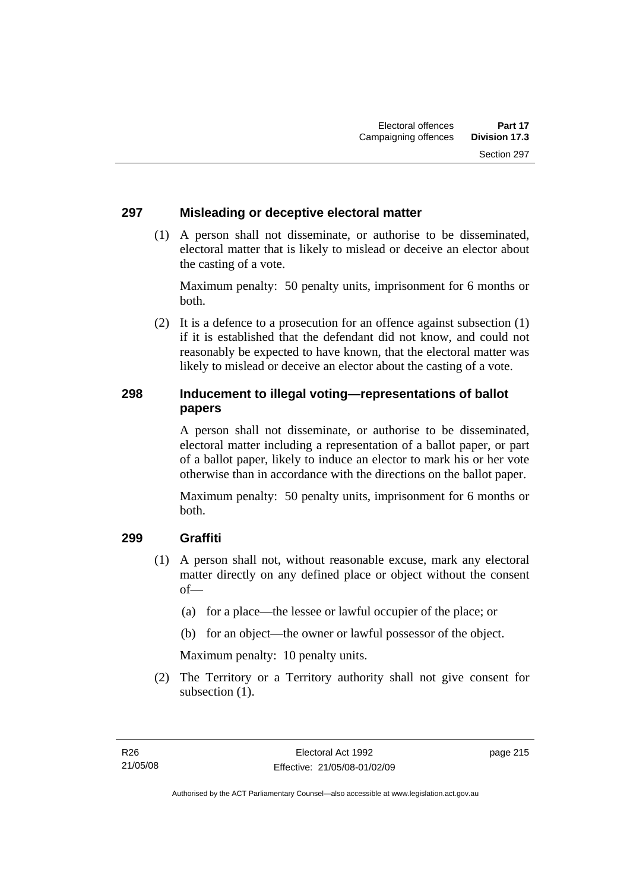#### **297 Misleading or deceptive electoral matter**

 (1) A person shall not disseminate, or authorise to be disseminated, electoral matter that is likely to mislead or deceive an elector about the casting of a vote.

Maximum penalty: 50 penalty units, imprisonment for 6 months or both.

 (2) It is a defence to a prosecution for an offence against subsection (1) if it is established that the defendant did not know, and could not reasonably be expected to have known, that the electoral matter was likely to mislead or deceive an elector about the casting of a vote.

## **298 Inducement to illegal voting—representations of ballot papers**

A person shall not disseminate, or authorise to be disseminated, electoral matter including a representation of a ballot paper, or part of a ballot paper, likely to induce an elector to mark his or her vote otherwise than in accordance with the directions on the ballot paper.

Maximum penalty: 50 penalty units, imprisonment for 6 months or both.

## **299 Graffiti**

- (1) A person shall not, without reasonable excuse, mark any electoral matter directly on any defined place or object without the consent of—
	- (a) for a place—the lessee or lawful occupier of the place; or
	- (b) for an object—the owner or lawful possessor of the object.

Maximum penalty: 10 penalty units.

 (2) The Territory or a Territory authority shall not give consent for subsection  $(1)$ .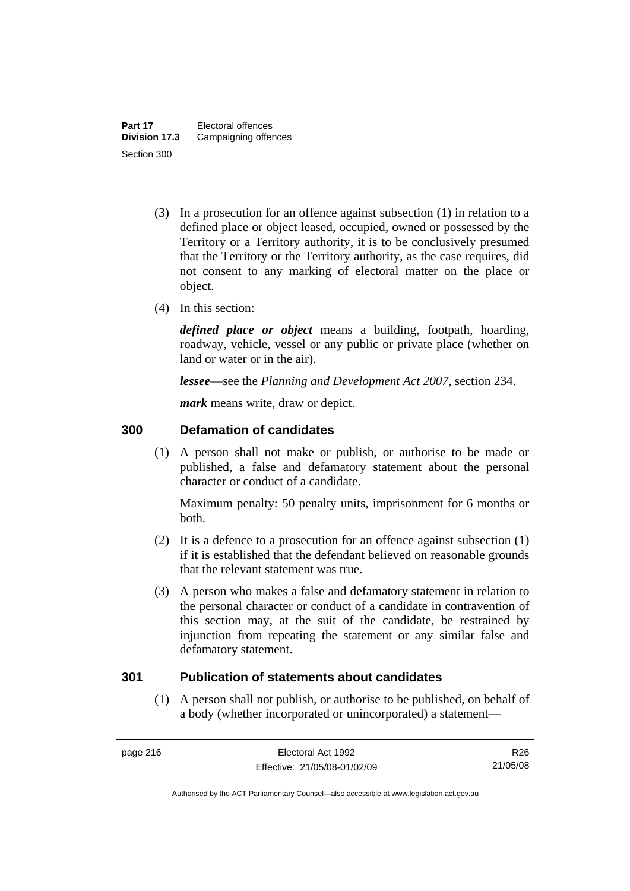- (3) In a prosecution for an offence against subsection (1) in relation to a defined place or object leased, occupied, owned or possessed by the Territory or a Territory authority, it is to be conclusively presumed that the Territory or the Territory authority, as the case requires, did not consent to any marking of electoral matter on the place or object.
- (4) In this section:

*defined place or object* means a building, footpath, hoarding, roadway, vehicle, vessel or any public or private place (whether on land or water or in the air).

*lessee*—see the *Planning and Development Act 2007*, section 234.

*mark* means write, draw or depict.

#### **300 Defamation of candidates**

 (1) A person shall not make or publish, or authorise to be made or published, a false and defamatory statement about the personal character or conduct of a candidate.

Maximum penalty: 50 penalty units, imprisonment for 6 months or both.

- (2) It is a defence to a prosecution for an offence against subsection (1) if it is established that the defendant believed on reasonable grounds that the relevant statement was true.
- (3) A person who makes a false and defamatory statement in relation to the personal character or conduct of a candidate in contravention of this section may, at the suit of the candidate, be restrained by injunction from repeating the statement or any similar false and defamatory statement.

#### **301 Publication of statements about candidates**

 (1) A person shall not publish, or authorise to be published, on behalf of a body (whether incorporated or unincorporated) a statement—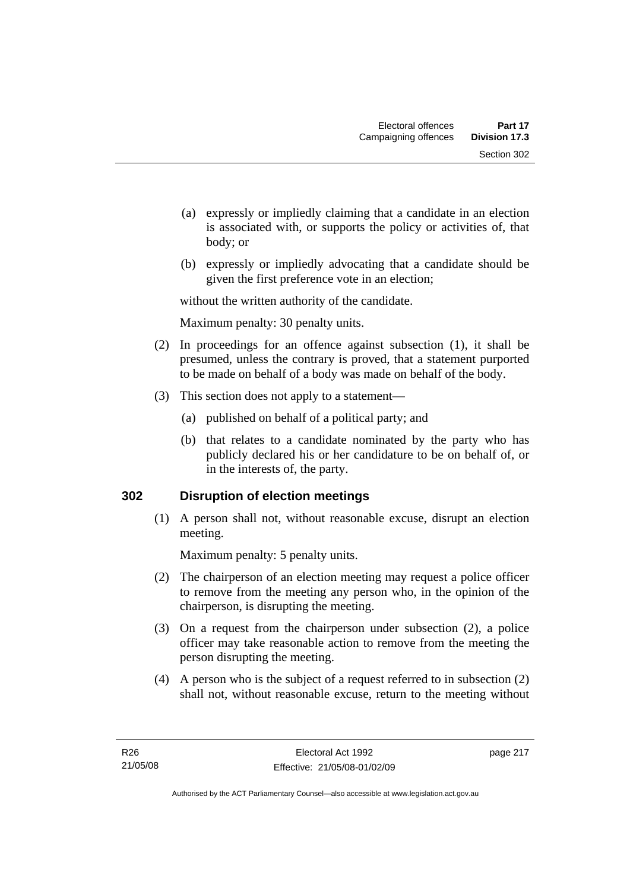- (a) expressly or impliedly claiming that a candidate in an election is associated with, or supports the policy or activities of, that body; or
- (b) expressly or impliedly advocating that a candidate should be given the first preference vote in an election;

without the written authority of the candidate.

Maximum penalty: 30 penalty units.

- (2) In proceedings for an offence against subsection (1), it shall be presumed, unless the contrary is proved, that a statement purported to be made on behalf of a body was made on behalf of the body.
- (3) This section does not apply to a statement—
	- (a) published on behalf of a political party; and
	- (b) that relates to a candidate nominated by the party who has publicly declared his or her candidature to be on behalf of, or in the interests of, the party.

## **302 Disruption of election meetings**

 (1) A person shall not, without reasonable excuse, disrupt an election meeting.

Maximum penalty: 5 penalty units.

- (2) The chairperson of an election meeting may request a police officer to remove from the meeting any person who, in the opinion of the chairperson, is disrupting the meeting.
- (3) On a request from the chairperson under subsection (2), a police officer may take reasonable action to remove from the meeting the person disrupting the meeting.
- (4) A person who is the subject of a request referred to in subsection (2) shall not, without reasonable excuse, return to the meeting without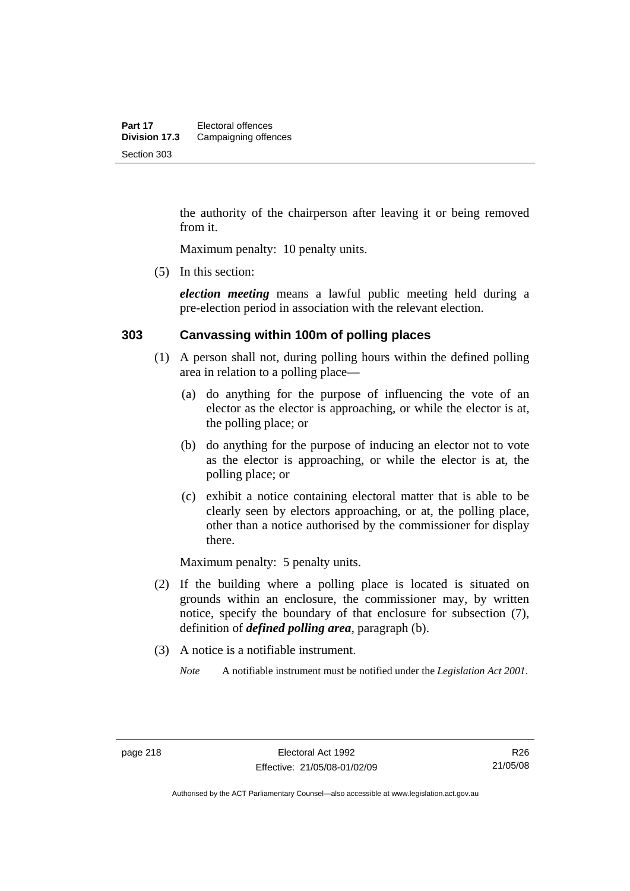the authority of the chairperson after leaving it or being removed from it.

Maximum penalty: 10 penalty units.

(5) In this section:

*election meeting* means a lawful public meeting held during a pre-election period in association with the relevant election.

#### **303 Canvassing within 100m of polling places**

- (1) A person shall not, during polling hours within the defined polling area in relation to a polling place—
	- (a) do anything for the purpose of influencing the vote of an elector as the elector is approaching, or while the elector is at, the polling place; or
	- (b) do anything for the purpose of inducing an elector not to vote as the elector is approaching, or while the elector is at, the polling place; or
	- (c) exhibit a notice containing electoral matter that is able to be clearly seen by electors approaching, or at, the polling place, other than a notice authorised by the commissioner for display there.

Maximum penalty: 5 penalty units.

- (2) If the building where a polling place is located is situated on grounds within an enclosure, the commissioner may, by written notice, specify the boundary of that enclosure for subsection (7), definition of *defined polling area*, paragraph (b).
- (3) A notice is a notifiable instrument.

*Note* A notifiable instrument must be notified under the *Legislation Act 2001*.

Authorised by the ACT Parliamentary Counsel—also accessible at www.legislation.act.gov.au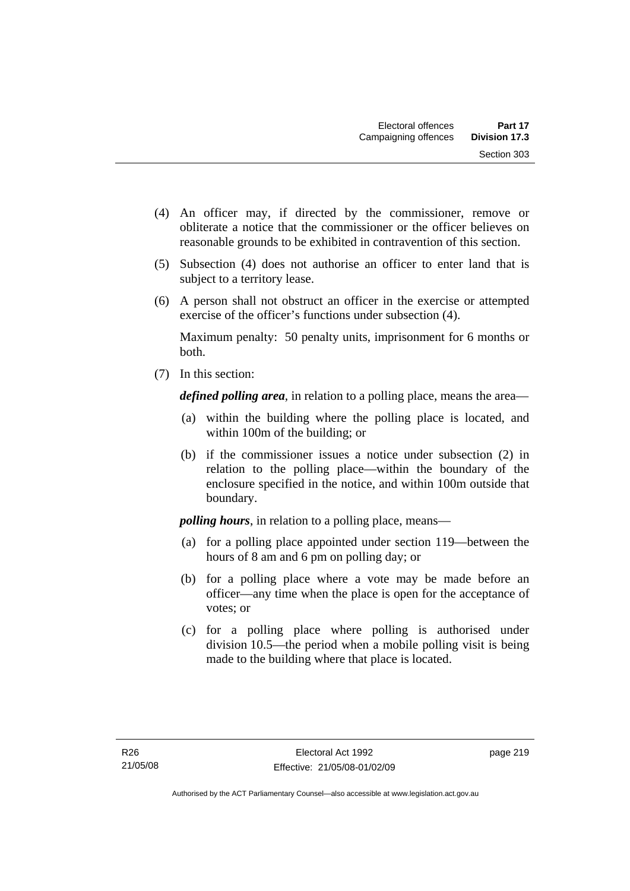- (4) An officer may, if directed by the commissioner, remove or obliterate a notice that the commissioner or the officer believes on reasonable grounds to be exhibited in contravention of this section.
- (5) Subsection (4) does not authorise an officer to enter land that is subject to a territory lease.
- (6) A person shall not obstruct an officer in the exercise or attempted exercise of the officer's functions under subsection (4).

Maximum penalty: 50 penalty units, imprisonment for 6 months or both.

(7) In this section:

*defined polling area*, in relation to a polling place, means the area—

- (a) within the building where the polling place is located, and within 100m of the building; or
- (b) if the commissioner issues a notice under subsection (2) in relation to the polling place—within the boundary of the enclosure specified in the notice, and within 100m outside that boundary.

*polling hours*, in relation to a polling place, means—

- (a) for a polling place appointed under section 119—between the hours of 8 am and 6 pm on polling day; or
- (b) for a polling place where a vote may be made before an officer—any time when the place is open for the acceptance of votes; or
- (c) for a polling place where polling is authorised under division 10.5—the period when a mobile polling visit is being made to the building where that place is located.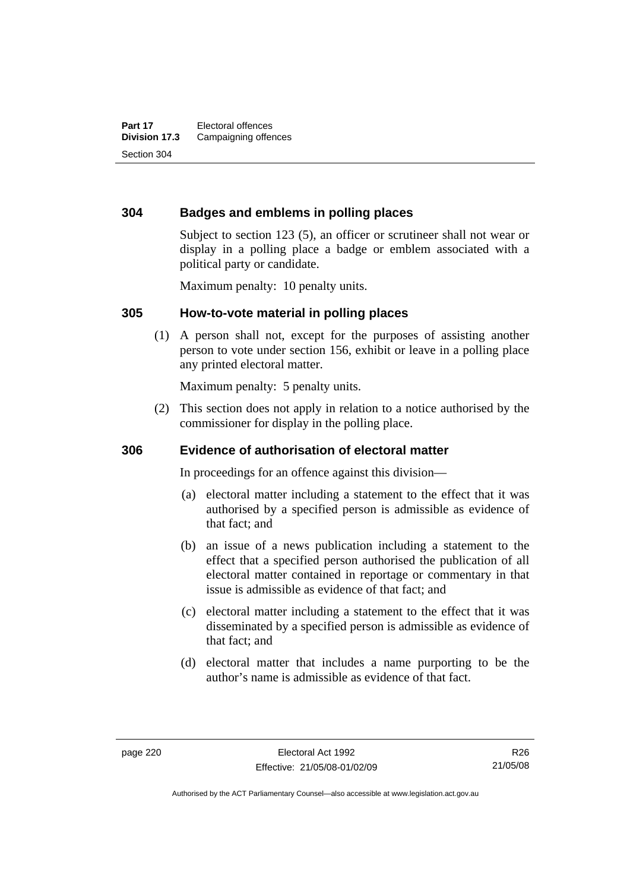### **304 Badges and emblems in polling places**

Subject to section 123 (5), an officer or scrutineer shall not wear or display in a polling place a badge or emblem associated with a political party or candidate.

Maximum penalty: 10 penalty units.

#### **305 How-to-vote material in polling places**

 (1) A person shall not, except for the purposes of assisting another person to vote under section 156, exhibit or leave in a polling place any printed electoral matter.

Maximum penalty: 5 penalty units.

 (2) This section does not apply in relation to a notice authorised by the commissioner for display in the polling place.

#### **306 Evidence of authorisation of electoral matter**

In proceedings for an offence against this division—

- (a) electoral matter including a statement to the effect that it was authorised by a specified person is admissible as evidence of that fact; and
- (b) an issue of a news publication including a statement to the effect that a specified person authorised the publication of all electoral matter contained in reportage or commentary in that issue is admissible as evidence of that fact; and
- (c) electoral matter including a statement to the effect that it was disseminated by a specified person is admissible as evidence of that fact; and
- (d) electoral matter that includes a name purporting to be the author's name is admissible as evidence of that fact.

Authorised by the ACT Parliamentary Counsel—also accessible at www.legislation.act.gov.au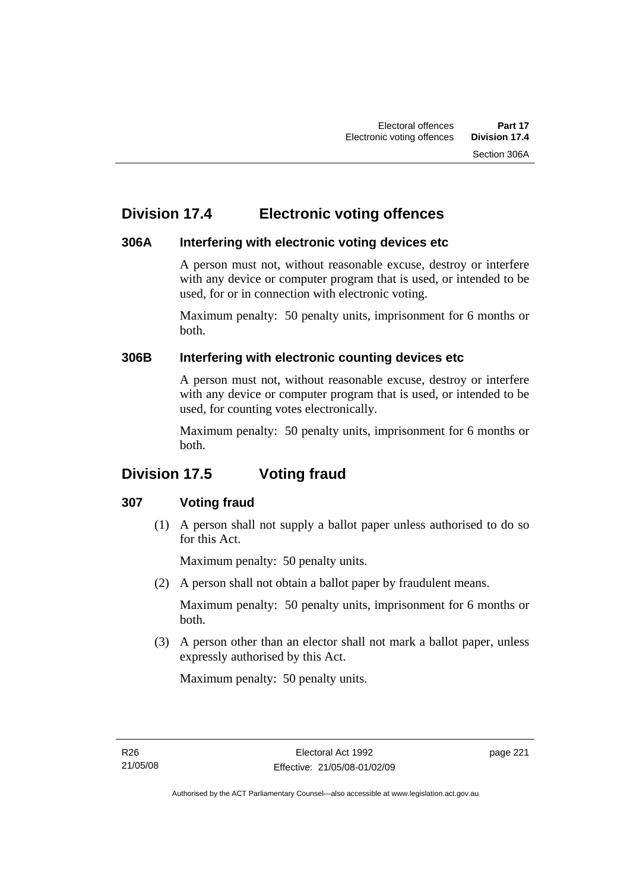## **Division 17.4 Electronic voting offences**

## **306A Interfering with electronic voting devices etc**

A person must not, without reasonable excuse, destroy or interfere with any device or computer program that is used, or intended to be used, for or in connection with electronic voting.

Maximum penalty: 50 penalty units, imprisonment for 6 months or both.

## **306B Interfering with electronic counting devices etc**

A person must not, without reasonable excuse, destroy or interfere with any device or computer program that is used, or intended to be used, for counting votes electronically.

Maximum penalty: 50 penalty units, imprisonment for 6 months or both.

# **Division 17.5 Voting fraud**

## **307 Voting fraud**

 (1) A person shall not supply a ballot paper unless authorised to do so for this Act.

Maximum penalty: 50 penalty units.

(2) A person shall not obtain a ballot paper by fraudulent means.

Maximum penalty: 50 penalty units, imprisonment for 6 months or both.

 (3) A person other than an elector shall not mark a ballot paper, unless expressly authorised by this Act.

Maximum penalty: 50 penalty units.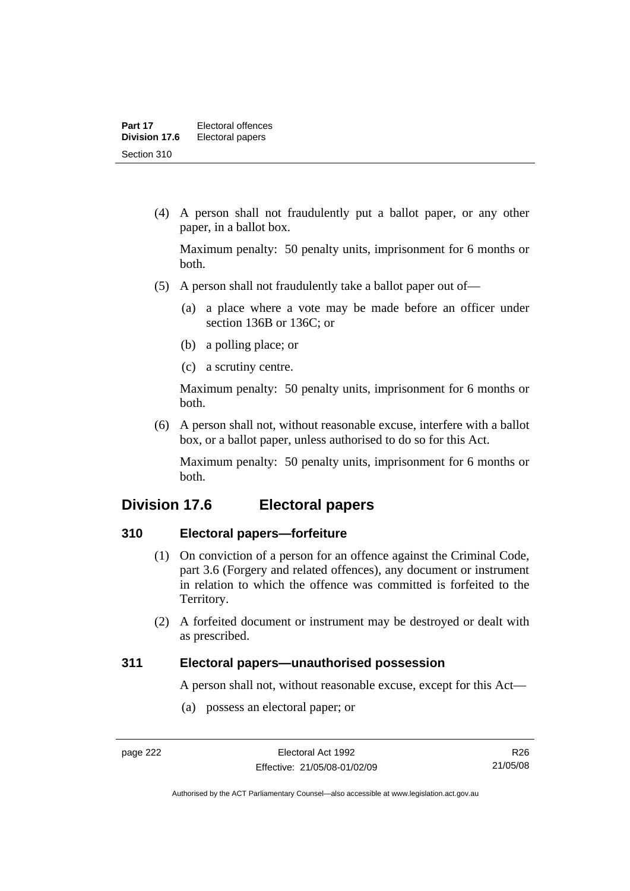(4) A person shall not fraudulently put a ballot paper, or any other paper, in a ballot box.

Maximum penalty: 50 penalty units, imprisonment for 6 months or both.

- (5) A person shall not fraudulently take a ballot paper out of—
	- (a) a place where a vote may be made before an officer under section 136B or 136C; or
	- (b) a polling place; or
	- (c) a scrutiny centre.

Maximum penalty: 50 penalty units, imprisonment for 6 months or both.

 (6) A person shall not, without reasonable excuse, interfere with a ballot box, or a ballot paper, unless authorised to do so for this Act.

Maximum penalty: 50 penalty units, imprisonment for 6 months or both.

## **Division 17.6 Electoral papers**

#### **310 Electoral papers—forfeiture**

- (1) On conviction of a person for an offence against the Criminal Code, part 3.6 (Forgery and related offences), any document or instrument in relation to which the offence was committed is forfeited to the Territory.
- (2) A forfeited document or instrument may be destroyed or dealt with as prescribed.

#### **311 Electoral papers—unauthorised possession**

A person shall not, without reasonable excuse, except for this Act—

(a) possess an electoral paper; or

R26 21/05/08

Authorised by the ACT Parliamentary Counsel—also accessible at www.legislation.act.gov.au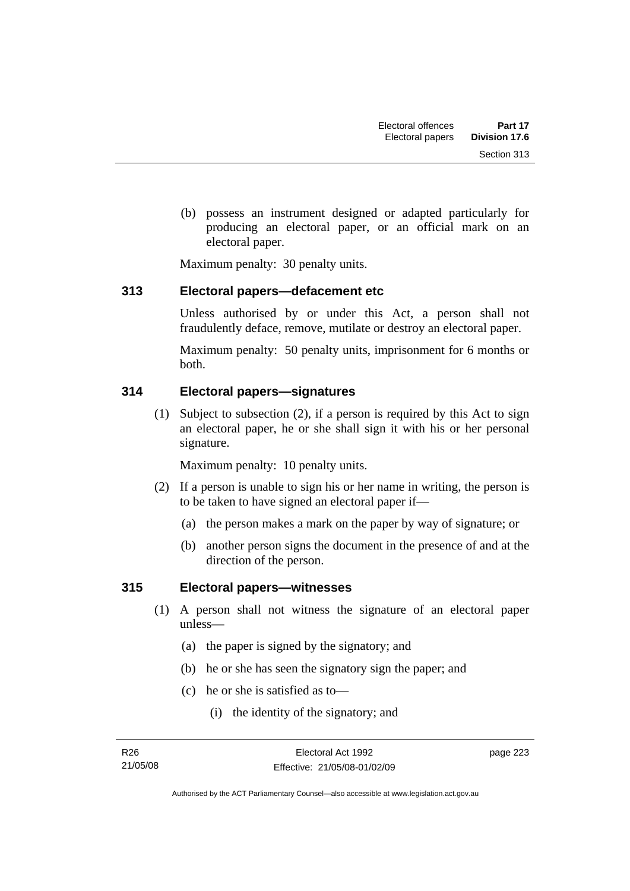(b) possess an instrument designed or adapted particularly for producing an electoral paper, or an official mark on an electoral paper.

Maximum penalty: 30 penalty units.

#### **313 Electoral papers—defacement etc**

Unless authorised by or under this Act, a person shall not fraudulently deface, remove, mutilate or destroy an electoral paper.

Maximum penalty: 50 penalty units, imprisonment for 6 months or both.

## **314 Electoral papers—signatures**

 (1) Subject to subsection (2), if a person is required by this Act to sign an electoral paper, he or she shall sign it with his or her personal signature.

Maximum penalty: 10 penalty units.

- (2) If a person is unable to sign his or her name in writing, the person is to be taken to have signed an electoral paper if—
	- (a) the person makes a mark on the paper by way of signature; or
	- (b) another person signs the document in the presence of and at the direction of the person.

## **315 Electoral papers—witnesses**

- (1) A person shall not witness the signature of an electoral paper unless—
	- (a) the paper is signed by the signatory; and
	- (b) he or she has seen the signatory sign the paper; and
	- (c) he or she is satisfied as to—
		- (i) the identity of the signatory; and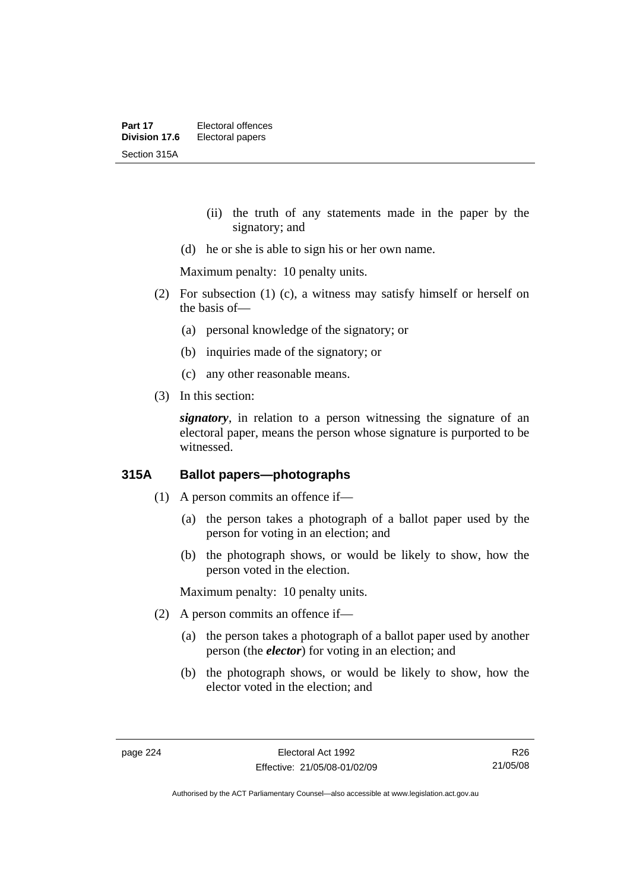- (ii) the truth of any statements made in the paper by the signatory; and
- (d) he or she is able to sign his or her own name.

Maximum penalty: 10 penalty units.

- (2) For subsection (1) (c), a witness may satisfy himself or herself on the basis of—
	- (a) personal knowledge of the signatory; or
	- (b) inquiries made of the signatory; or
	- (c) any other reasonable means.
- (3) In this section:

*signatory*, in relation to a person witnessing the signature of an electoral paper, means the person whose signature is purported to be witnessed.

## **315A Ballot papers—photographs**

- (1) A person commits an offence if—
	- (a) the person takes a photograph of a ballot paper used by the person for voting in an election; and
	- (b) the photograph shows, or would be likely to show, how the person voted in the election.

Maximum penalty: 10 penalty units.

- (2) A person commits an offence if—
	- (a) the person takes a photograph of a ballot paper used by another person (the *elector*) for voting in an election; and
	- (b) the photograph shows, or would be likely to show, how the elector voted in the election; and

R26 21/05/08

Authorised by the ACT Parliamentary Counsel—also accessible at www.legislation.act.gov.au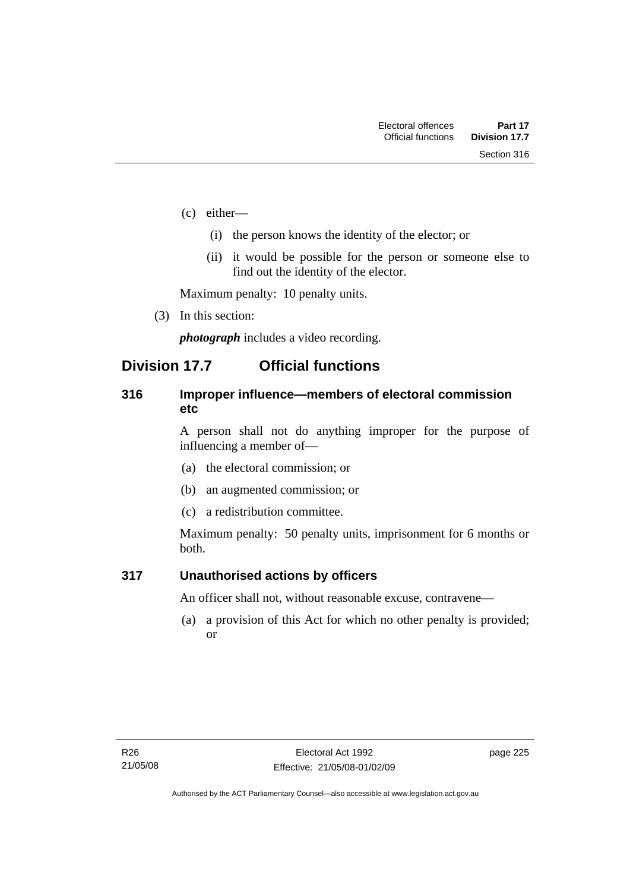- (c) either—
	- (i) the person knows the identity of the elector; or
	- (ii) it would be possible for the person or someone else to find out the identity of the elector.

Maximum penalty: 10 penalty units.

(3) In this section:

*photograph* includes a video recording.

## **Division 17.7 Official functions**

#### **316 Improper influence—members of electoral commission etc**

A person shall not do anything improper for the purpose of influencing a member of—

- (a) the electoral commission; or
- (b) an augmented commission; or
- (c) a redistribution committee.

Maximum penalty: 50 penalty units, imprisonment for 6 months or both.

#### **317 Unauthorised actions by officers**

An officer shall not, without reasonable excuse, contravene—

 (a) a provision of this Act for which no other penalty is provided; or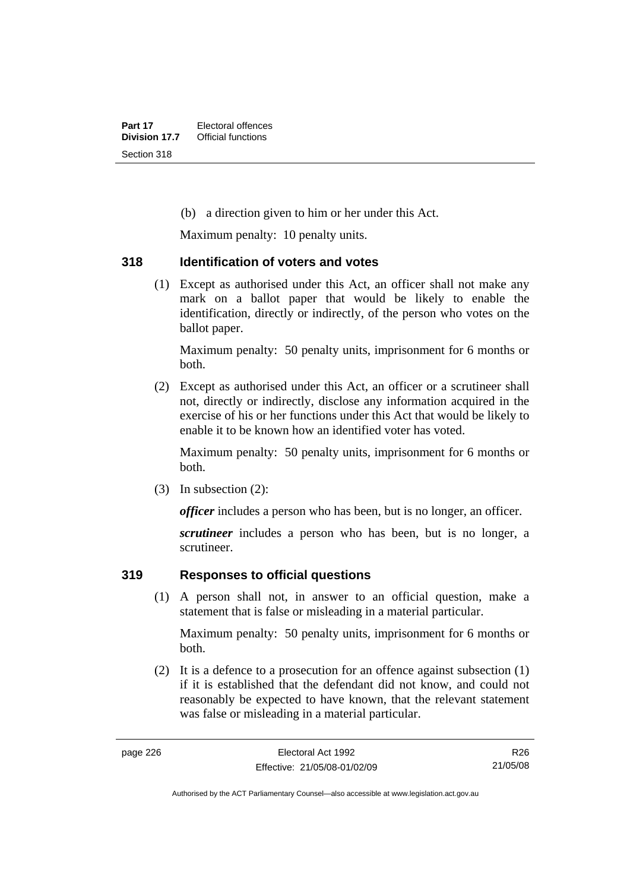(b) a direction given to him or her under this Act.

Maximum penalty: 10 penalty units.

#### **318 Identification of voters and votes**

 (1) Except as authorised under this Act, an officer shall not make any mark on a ballot paper that would be likely to enable the identification, directly or indirectly, of the person who votes on the ballot paper.

Maximum penalty: 50 penalty units, imprisonment for 6 months or both.

 (2) Except as authorised under this Act, an officer or a scrutineer shall not, directly or indirectly, disclose any information acquired in the exercise of his or her functions under this Act that would be likely to enable it to be known how an identified voter has voted.

Maximum penalty: 50 penalty units, imprisonment for 6 months or both.

(3) In subsection (2):

*officer* includes a person who has been, but is no longer, an officer.

*scrutineer* includes a person who has been, but is no longer, a scrutineer.

## **319 Responses to official questions**

 (1) A person shall not, in answer to an official question, make a statement that is false or misleading in a material particular.

Maximum penalty: 50 penalty units, imprisonment for 6 months or both.

 (2) It is a defence to a prosecution for an offence against subsection (1) if it is established that the defendant did not know, and could not reasonably be expected to have known, that the relevant statement was false or misleading in a material particular.

R26 21/05/08

Authorised by the ACT Parliamentary Counsel—also accessible at www.legislation.act.gov.au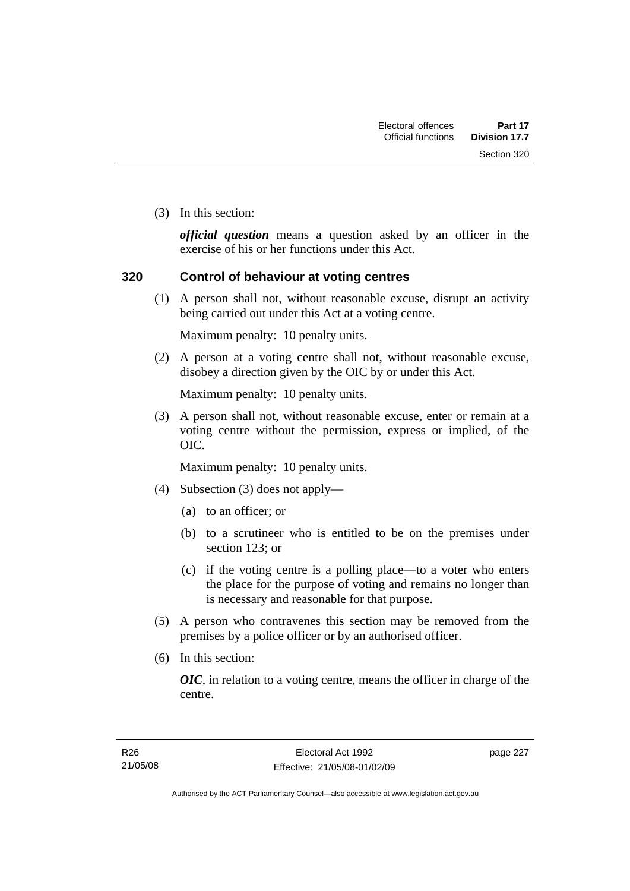Section 320

(3) In this section:

*official question* means a question asked by an officer in the exercise of his or her functions under this Act.

#### **320 Control of behaviour at voting centres**

 (1) A person shall not, without reasonable excuse, disrupt an activity being carried out under this Act at a voting centre.

Maximum penalty: 10 penalty units.

 (2) A person at a voting centre shall not, without reasonable excuse, disobey a direction given by the OIC by or under this Act.

Maximum penalty: 10 penalty units.

 (3) A person shall not, without reasonable excuse, enter or remain at a voting centre without the permission, express or implied, of the OIC.

Maximum penalty: 10 penalty units.

- (4) Subsection (3) does not apply—
	- (a) to an officer; or
	- (b) to a scrutineer who is entitled to be on the premises under section 123; or
	- (c) if the voting centre is a polling place—to a voter who enters the place for the purpose of voting and remains no longer than is necessary and reasonable for that purpose.
- (5) A person who contravenes this section may be removed from the premises by a police officer or by an authorised officer.
- (6) In this section:

*OIC*, in relation to a voting centre, means the officer in charge of the centre.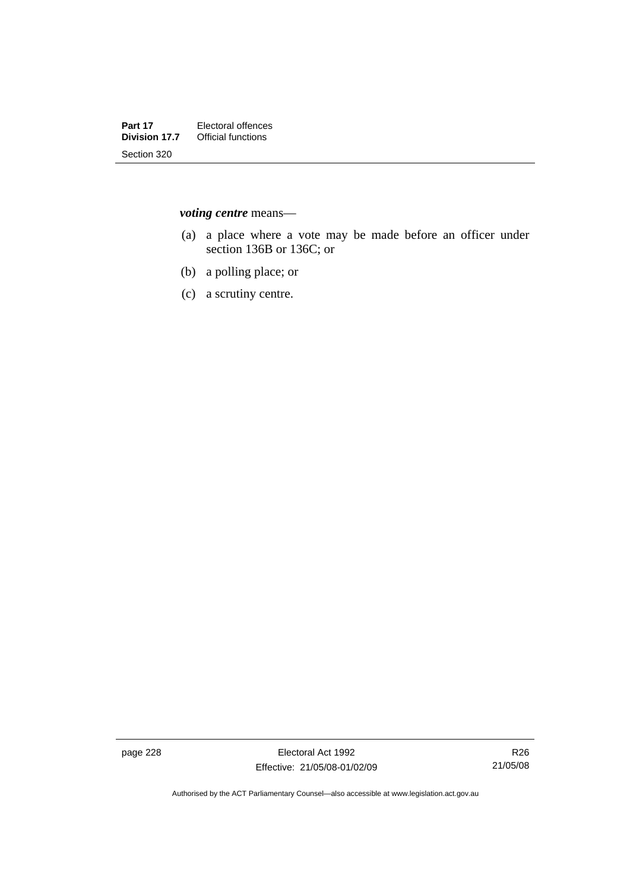*voting centre* means—

- (a) a place where a vote may be made before an officer under section 136B or 136C; or
- (b) a polling place; or
- (c) a scrutiny centre.

page 228 Electoral Act 1992 Effective: 21/05/08-01/02/09

Authorised by the ACT Parliamentary Counsel—also accessible at www.legislation.act.gov.au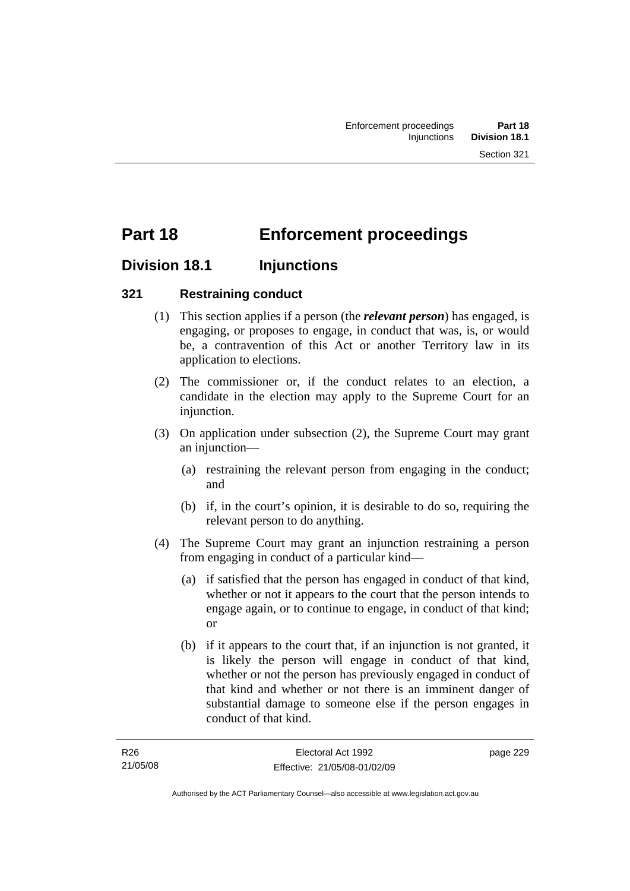# **Part 18 Enforcement proceedings**

## **Division 18.1 Injunctions**

## **321 Restraining conduct**

- (1) This section applies if a person (the *relevant person*) has engaged, is engaging, or proposes to engage, in conduct that was, is, or would be, a contravention of this Act or another Territory law in its application to elections.
- (2) The commissioner or, if the conduct relates to an election, a candidate in the election may apply to the Supreme Court for an injunction.
- (3) On application under subsection (2), the Supreme Court may grant an injunction—
	- (a) restraining the relevant person from engaging in the conduct; and
	- (b) if, in the court's opinion, it is desirable to do so, requiring the relevant person to do anything.
- (4) The Supreme Court may grant an injunction restraining a person from engaging in conduct of a particular kind—
	- (a) if satisfied that the person has engaged in conduct of that kind, whether or not it appears to the court that the person intends to engage again, or to continue to engage, in conduct of that kind; or
	- (b) if it appears to the court that, if an injunction is not granted, it is likely the person will engage in conduct of that kind, whether or not the person has previously engaged in conduct of that kind and whether or not there is an imminent danger of substantial damage to someone else if the person engages in conduct of that kind.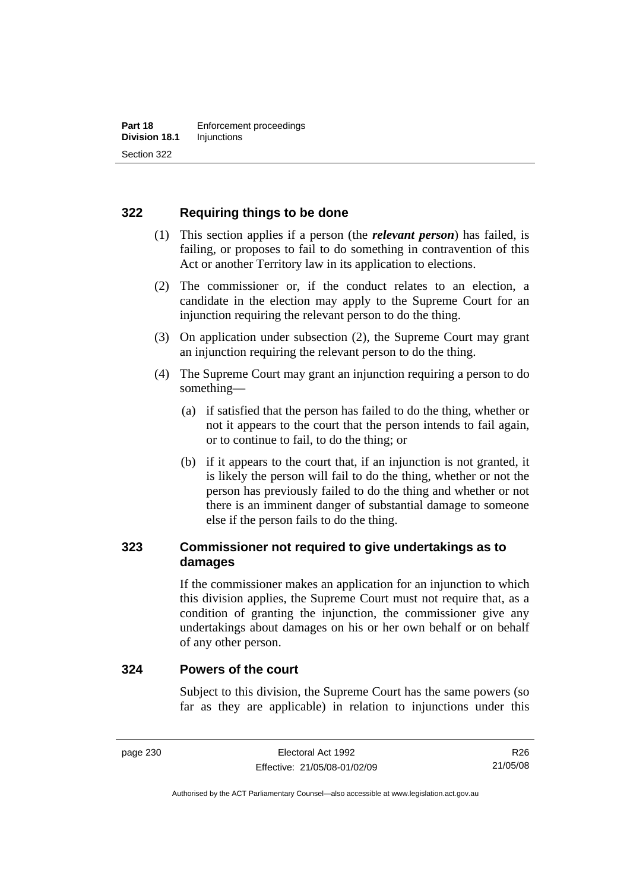## **322 Requiring things to be done**

- (1) This section applies if a person (the *relevant person*) has failed, is failing, or proposes to fail to do something in contravention of this Act or another Territory law in its application to elections.
- (2) The commissioner or, if the conduct relates to an election, a candidate in the election may apply to the Supreme Court for an injunction requiring the relevant person to do the thing.
- (3) On application under subsection (2), the Supreme Court may grant an injunction requiring the relevant person to do the thing.
- (4) The Supreme Court may grant an injunction requiring a person to do something—
	- (a) if satisfied that the person has failed to do the thing, whether or not it appears to the court that the person intends to fail again, or to continue to fail, to do the thing; or
	- (b) if it appears to the court that, if an injunction is not granted, it is likely the person will fail to do the thing, whether or not the person has previously failed to do the thing and whether or not there is an imminent danger of substantial damage to someone else if the person fails to do the thing.

## **323 Commissioner not required to give undertakings as to damages**

If the commissioner makes an application for an injunction to which this division applies, the Supreme Court must not require that, as a condition of granting the injunction, the commissioner give any undertakings about damages on his or her own behalf or on behalf of any other person.

#### **324 Powers of the court**

Subject to this division, the Supreme Court has the same powers (so far as they are applicable) in relation to injunctions under this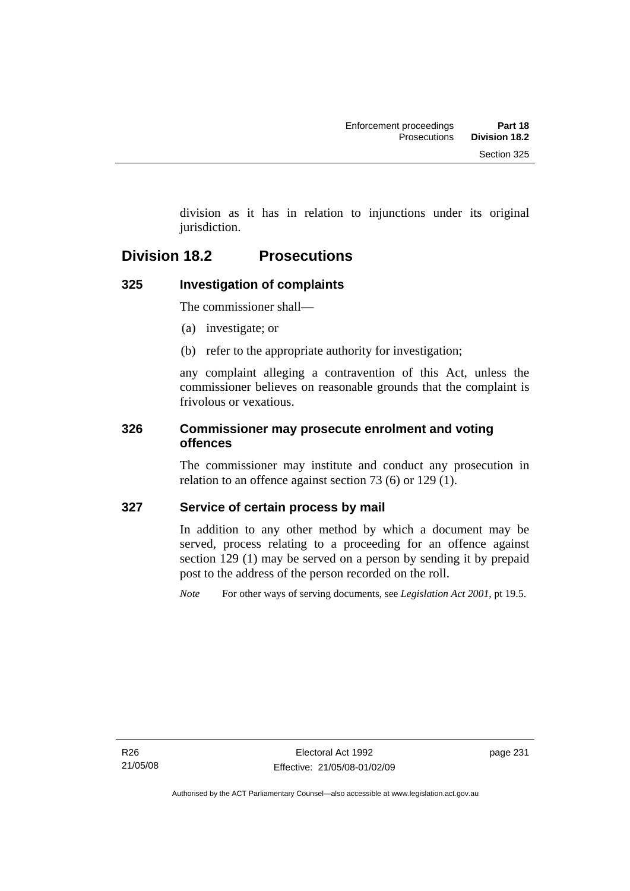division as it has in relation to injunctions under its original jurisdiction.

## **Division 18.2 Prosecutions**

## **325 Investigation of complaints**

The commissioner shall—

- (a) investigate; or
- (b) refer to the appropriate authority for investigation;

any complaint alleging a contravention of this Act, unless the commissioner believes on reasonable grounds that the complaint is frivolous or vexatious.

### **326 Commissioner may prosecute enrolment and voting offences**

The commissioner may institute and conduct any prosecution in relation to an offence against section 73 (6) or 129 (1).

## **327 Service of certain process by mail**

In addition to any other method by which a document may be served, process relating to a proceeding for an offence against section 129 (1) may be served on a person by sending it by prepaid post to the address of the person recorded on the roll.

*Note* For other ways of serving documents, see *Legislation Act 2001*, pt 19.5.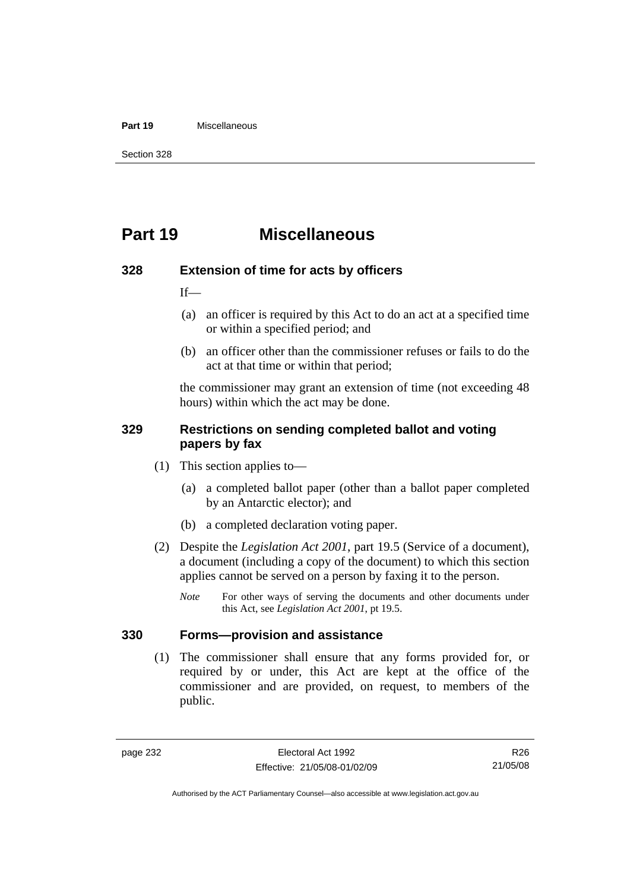#### **Part 19** Miscellaneous

Section 328

## **Part 19 Miscellaneous**

#### **328 Extension of time for acts by officers**

If—

- (a) an officer is required by this Act to do an act at a specified time or within a specified period; and
- (b) an officer other than the commissioner refuses or fails to do the act at that time or within that period;

the commissioner may grant an extension of time (not exceeding 48 hours) within which the act may be done.

#### **329 Restrictions on sending completed ballot and voting papers by fax**

- (1) This section applies to—
	- (a) a completed ballot paper (other than a ballot paper completed by an Antarctic elector); and
	- (b) a completed declaration voting paper.
- (2) Despite the *Legislation Act 2001*, part 19.5 (Service of a document), a document (including a copy of the document) to which this section applies cannot be served on a person by faxing it to the person.
	- *Note* For other ways of serving the documents and other documents under this Act, see *Legislation Act 2001*, pt 19.5.

### **330 Forms—provision and assistance**

 (1) The commissioner shall ensure that any forms provided for, or required by or under, this Act are kept at the office of the commissioner and are provided, on request, to members of the public.

Authorised by the ACT Parliamentary Counsel—also accessible at www.legislation.act.gov.au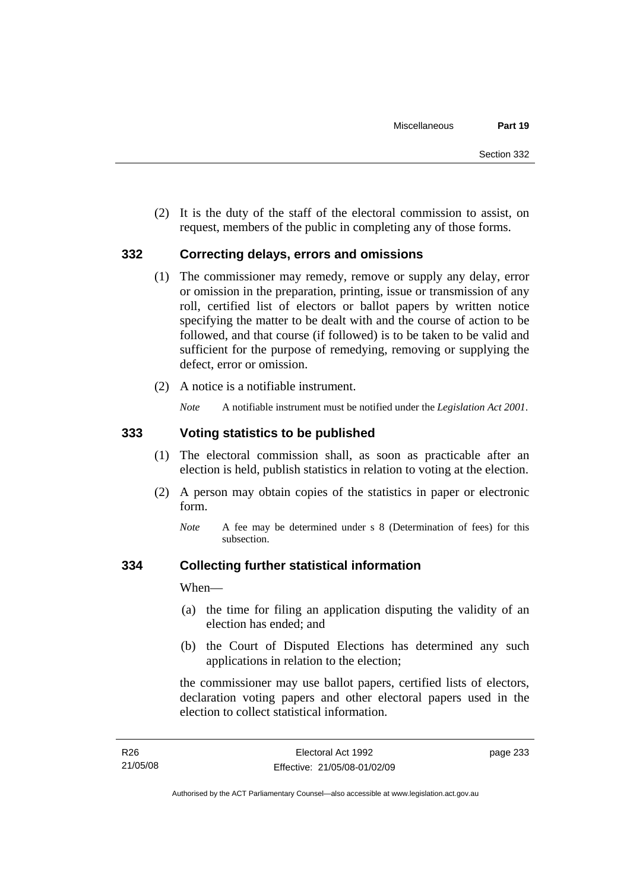(2) It is the duty of the staff of the electoral commission to assist, on request, members of the public in completing any of those forms.

#### **332 Correcting delays, errors and omissions**

- (1) The commissioner may remedy, remove or supply any delay, error or omission in the preparation, printing, issue or transmission of any roll, certified list of electors or ballot papers by written notice specifying the matter to be dealt with and the course of action to be followed, and that course (if followed) is to be taken to be valid and sufficient for the purpose of remedying, removing or supplying the defect, error or omission.
- (2) A notice is a notifiable instrument.

*Note* A notifiable instrument must be notified under the *Legislation Act 2001*.

#### **333 Voting statistics to be published**

- (1) The electoral commission shall, as soon as practicable after an election is held, publish statistics in relation to voting at the election.
- (2) A person may obtain copies of the statistics in paper or electronic form.
	- *Note* A fee may be determined under s 8 (Determination of fees) for this subsection.

#### **334 Collecting further statistical information**

When—

- (a) the time for filing an application disputing the validity of an election has ended; and
- (b) the Court of Disputed Elections has determined any such applications in relation to the election;

the commissioner may use ballot papers, certified lists of electors, declaration voting papers and other electoral papers used in the election to collect statistical information.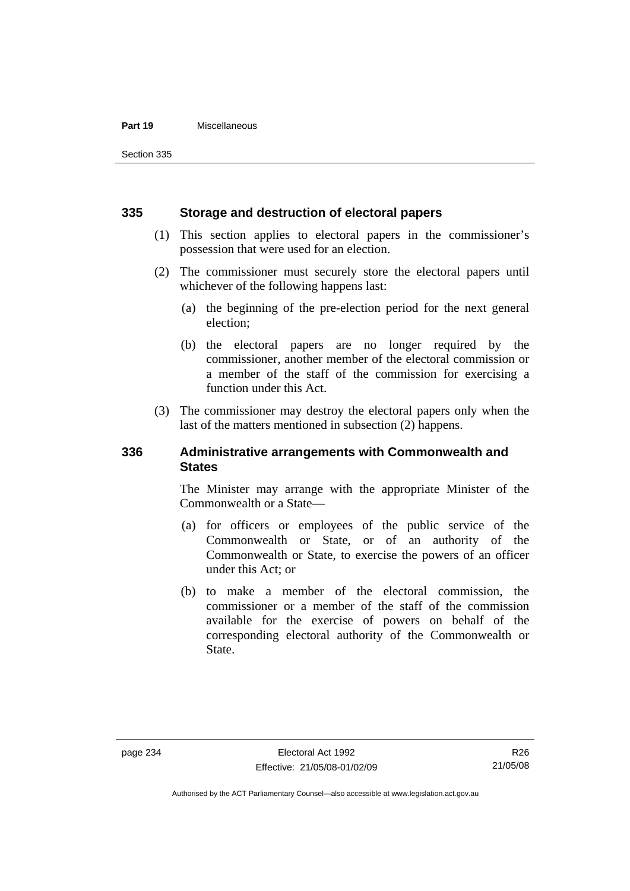#### **Part 19** Miscellaneous

Section 335

#### **335 Storage and destruction of electoral papers**

- (1) This section applies to electoral papers in the commissioner's possession that were used for an election.
- (2) The commissioner must securely store the electoral papers until whichever of the following happens last:
	- (a) the beginning of the pre-election period for the next general election;
	- (b) the electoral papers are no longer required by the commissioner, another member of the electoral commission or a member of the staff of the commission for exercising a function under this Act.
- (3) The commissioner may destroy the electoral papers only when the last of the matters mentioned in subsection (2) happens.

#### **336 Administrative arrangements with Commonwealth and States**

The Minister may arrange with the appropriate Minister of the Commonwealth or a State—

- (a) for officers or employees of the public service of the Commonwealth or State, or of an authority of the Commonwealth or State, to exercise the powers of an officer under this Act; or
- (b) to make a member of the electoral commission, the commissioner or a member of the staff of the commission available for the exercise of powers on behalf of the corresponding electoral authority of the Commonwealth or State.

R26 21/05/08

Authorised by the ACT Parliamentary Counsel—also accessible at www.legislation.act.gov.au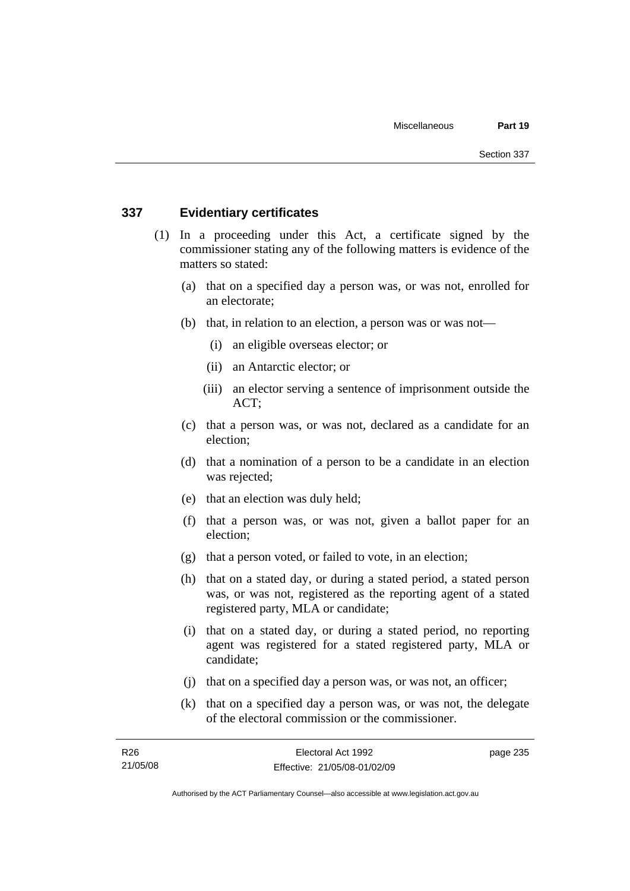#### **337 Evidentiary certificates**

- (1) In a proceeding under this Act, a certificate signed by the commissioner stating any of the following matters is evidence of the matters so stated:
	- (a) that on a specified day a person was, or was not, enrolled for an electorate;
	- (b) that, in relation to an election, a person was or was not—
		- (i) an eligible overseas elector; or
		- (ii) an Antarctic elector; or
		- (iii) an elector serving a sentence of imprisonment outside the ACT;
	- (c) that a person was, or was not, declared as a candidate for an election;
	- (d) that a nomination of a person to be a candidate in an election was rejected;
	- (e) that an election was duly held;
	- (f) that a person was, or was not, given a ballot paper for an election;
	- (g) that a person voted, or failed to vote, in an election;
	- (h) that on a stated day, or during a stated period, a stated person was, or was not, registered as the reporting agent of a stated registered party, MLA or candidate;
	- (i) that on a stated day, or during a stated period, no reporting agent was registered for a stated registered party, MLA or candidate;
	- (j) that on a specified day a person was, or was not, an officer;
	- (k) that on a specified day a person was, or was not, the delegate of the electoral commission or the commissioner.

page 235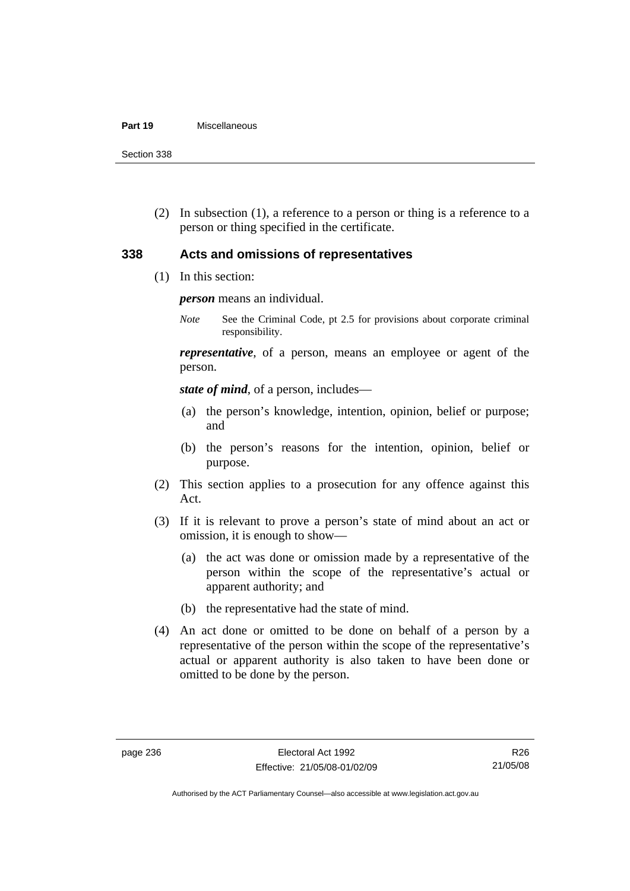#### **Part 19** Miscellaneous

Section 338

 (2) In subsection (1), a reference to a person or thing is a reference to a person or thing specified in the certificate.

#### **338 Acts and omissions of representatives**

(1) In this section:

*person* means an individual.

*Note* See the Criminal Code, pt 2.5 for provisions about corporate criminal responsibility.

*representative*, of a person, means an employee or agent of the person.

*state of mind*, of a person, includes—

- (a) the person's knowledge, intention, opinion, belief or purpose; and
- (b) the person's reasons for the intention, opinion, belief or purpose.
- (2) This section applies to a prosecution for any offence against this Act.
- (3) If it is relevant to prove a person's state of mind about an act or omission, it is enough to show—
	- (a) the act was done or omission made by a representative of the person within the scope of the representative's actual or apparent authority; and
	- (b) the representative had the state of mind.
- (4) An act done or omitted to be done on behalf of a person by a representative of the person within the scope of the representative's actual or apparent authority is also taken to have been done or omitted to be done by the person.

Authorised by the ACT Parliamentary Counsel—also accessible at www.legislation.act.gov.au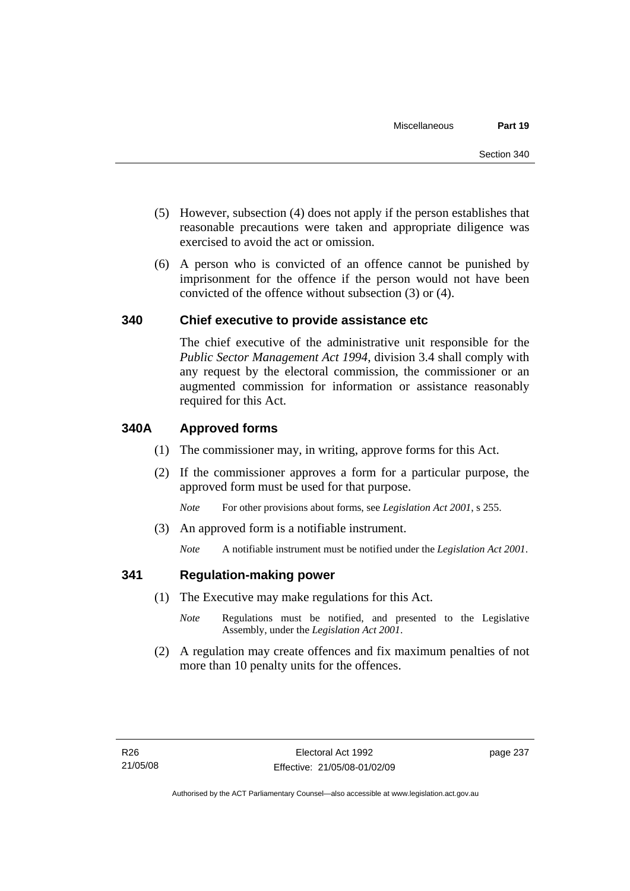- (5) However, subsection (4) does not apply if the person establishes that reasonable precautions were taken and appropriate diligence was exercised to avoid the act or omission.
- (6) A person who is convicted of an offence cannot be punished by imprisonment for the offence if the person would not have been convicted of the offence without subsection (3) or (4).

#### **340 Chief executive to provide assistance etc**

The chief executive of the administrative unit responsible for the *Public Sector Management Act 1994*, division 3.4 shall comply with any request by the electoral commission, the commissioner or an augmented commission for information or assistance reasonably required for this Act.

#### **340A Approved forms**

- (1) The commissioner may, in writing, approve forms for this Act.
- (2) If the commissioner approves a form for a particular purpose, the approved form must be used for that purpose.

*Note* For other provisions about forms, see *Legislation Act 2001*, s 255.

(3) An approved form is a notifiable instrument.

*Note* A notifiable instrument must be notified under the *Legislation Act 2001*.

#### **341 Regulation-making power**

- (1) The Executive may make regulations for this Act.
	- *Note* **Regulations** must be notified, and presented to the Legislative Assembly, under the *Legislation Act 2001*.
- (2) A regulation may create offences and fix maximum penalties of not more than 10 penalty units for the offences.

page 237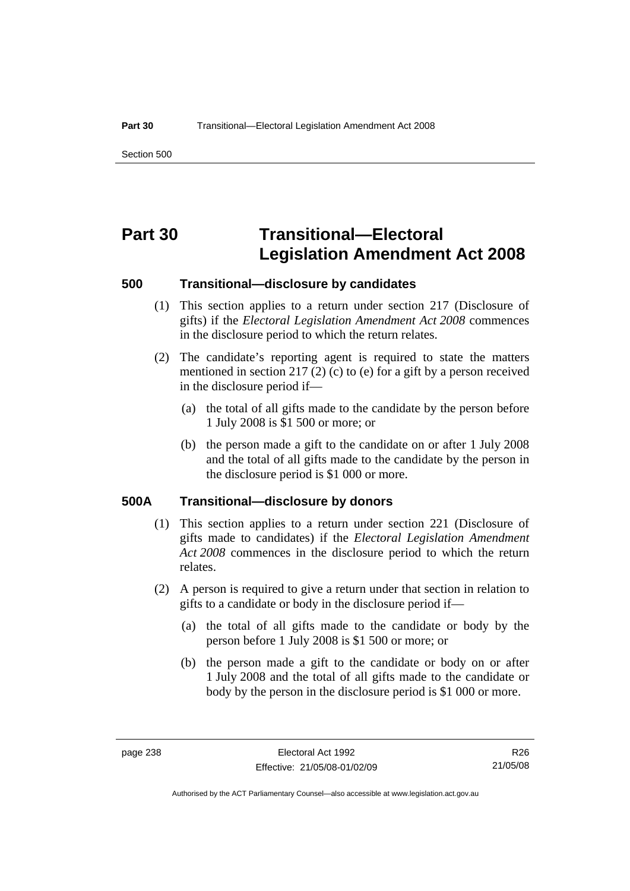Section 500

## **Part 30 Transitional—Electoral Legislation Amendment Act 2008**

#### **500 Transitional—disclosure by candidates**

- (1) This section applies to a return under section 217 (Disclosure of gifts) if the *Electoral Legislation Amendment Act 2008* commences in the disclosure period to which the return relates.
- (2) The candidate's reporting agent is required to state the matters mentioned in section 217 (2) (c) to (e) for a gift by a person received in the disclosure period if—
	- (a) the total of all gifts made to the candidate by the person before 1 July 2008 is \$1 500 or more; or
	- (b) the person made a gift to the candidate on or after 1 July 2008 and the total of all gifts made to the candidate by the person in the disclosure period is \$1 000 or more.

#### **500A Transitional—disclosure by donors**

- (1) This section applies to a return under section 221 (Disclosure of gifts made to candidates) if the *Electoral Legislation Amendment Act 2008* commences in the disclosure period to which the return relates.
- (2) A person is required to give a return under that section in relation to gifts to a candidate or body in the disclosure period if—
	- (a) the total of all gifts made to the candidate or body by the person before 1 July 2008 is \$1 500 or more; or
	- (b) the person made a gift to the candidate or body on or after 1 July 2008 and the total of all gifts made to the candidate or body by the person in the disclosure period is \$1 000 or more.

R26 21/05/08

Authorised by the ACT Parliamentary Counsel—also accessible at www.legislation.act.gov.au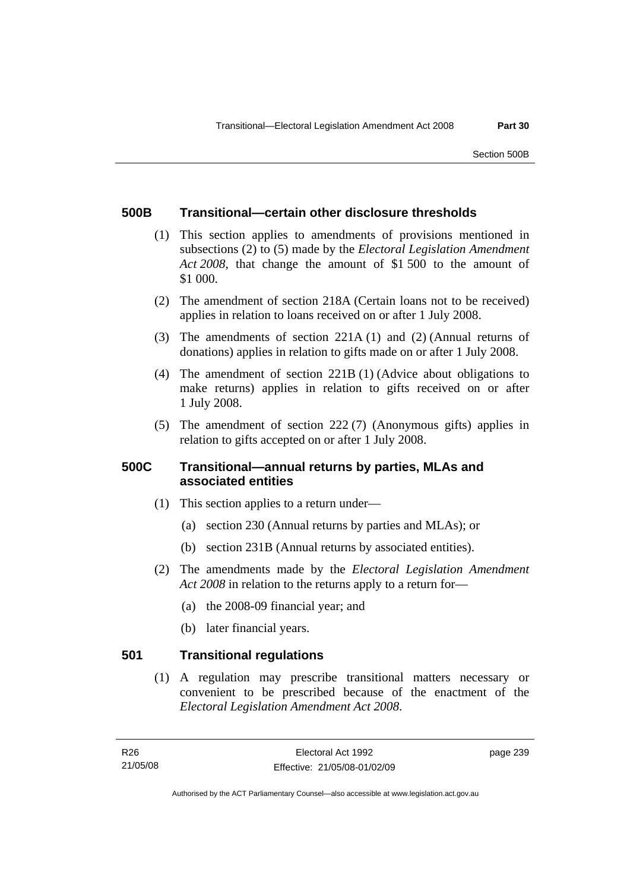#### **500B Transitional—certain other disclosure thresholds**

- (1) This section applies to amendments of provisions mentioned in subsections (2) to (5) made by the *Electoral Legislation Amendment Act 2008*, that change the amount of \$1 500 to the amount of \$1 000.
- (2) The amendment of section 218A (Certain loans not to be received) applies in relation to loans received on or after 1 July 2008.
- (3) The amendments of section 221A (1) and (2) (Annual returns of donations) applies in relation to gifts made on or after 1 July 2008.
- (4) The amendment of section 221B (1) (Advice about obligations to make returns) applies in relation to gifts received on or after 1 July 2008.
- (5) The amendment of section 222 (7) (Anonymous gifts) applies in relation to gifts accepted on or after 1 July 2008.

### **500C Transitional—annual returns by parties, MLAs and associated entities**

- (1) This section applies to a return under—
	- (a) section 230 (Annual returns by parties and MLAs); or
	- (b) section 231B (Annual returns by associated entities).
- (2) The amendments made by the *Electoral Legislation Amendment Act 2008* in relation to the returns apply to a return for—
	- (a) the 2008-09 financial year; and
	- (b) later financial years.

### **501 Transitional regulations**

 (1) A regulation may prescribe transitional matters necessary or convenient to be prescribed because of the enactment of the *Electoral Legislation Amendment Act 2008*.

page 239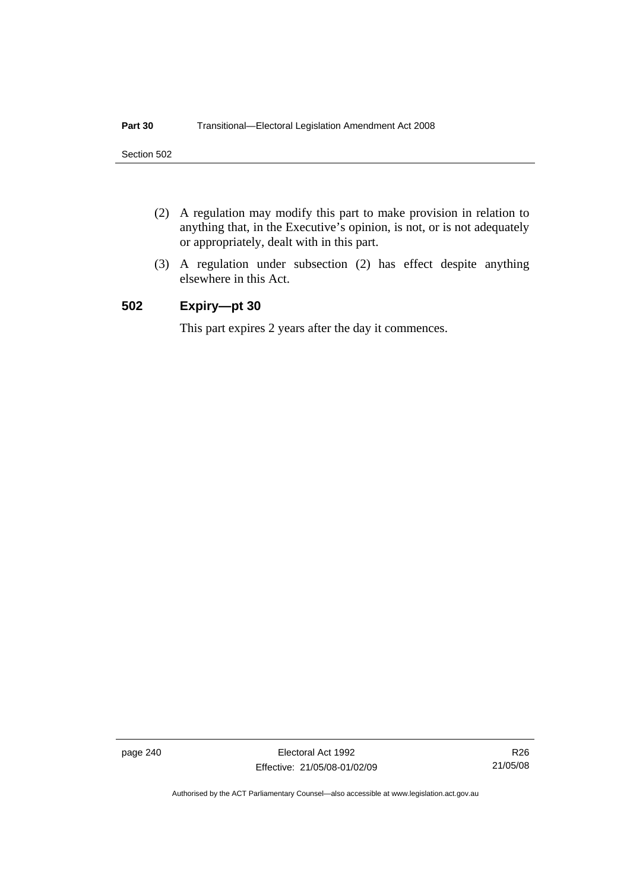- (2) A regulation may modify this part to make provision in relation to anything that, in the Executive's opinion, is not, or is not adequately or appropriately, dealt with in this part.
- (3) A regulation under subsection (2) has effect despite anything elsewhere in this Act.

### **502 Expiry—pt 30**

This part expires 2 years after the day it commences.

page 240 Electoral Act 1992 Effective: 21/05/08-01/02/09

R26 21/05/08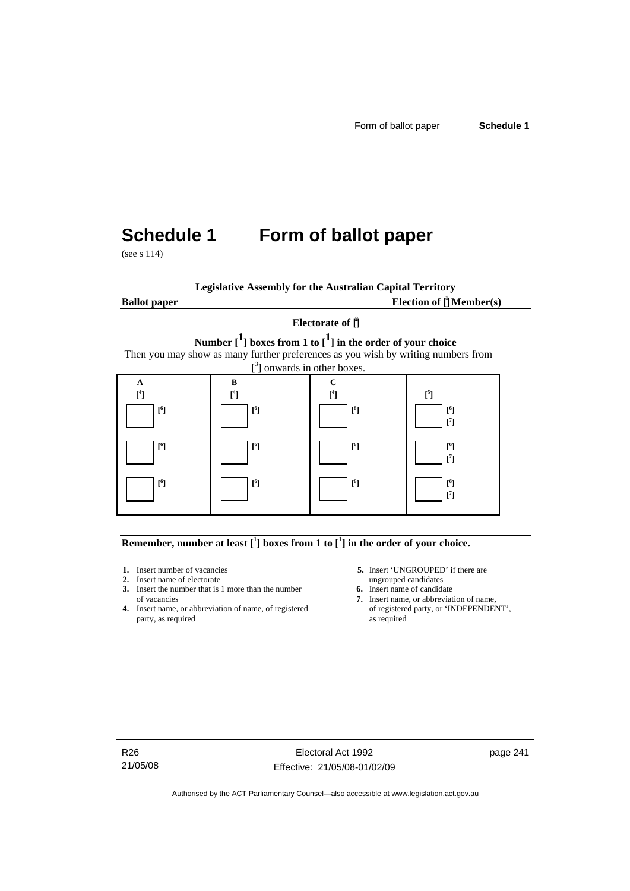# **Schedule 1 Form of ballot paper**

(see s 114)

**Legislative Assembly for the Australian Capital Territory Ballot paper** Election of  $\prod_{i=1}^{n} \text{Member}(s)$ 

#### **Electorate of [ 2 ]**

**Number [1] boxes from 1 to [1] in the order of your choice**  Then you may show as many further preferences as you wish by writing numbers from



**Remember, number at least**  $\begin{bmatrix} 1 \end{bmatrix}$  boxes from 1 to  $\begin{bmatrix} 1 \end{bmatrix}$  in the order of your choice.

- 
- 
- **2.** Insert name of electorate ungrouped candidates<br> **3.** Insert the number that is 1 more than the number **6.** Insert name of candidate **3.** Insert the number that is 1 more than the number
- **4.** Insert name, or abbreviation of name, of registered of registere party, as required as party, as required
- **1.** Insert number of vacancies **5.** Insert 'UNGROUPED' if there are **2.** Insert name of electorate **1.** Insert name of electorate
	-
	- of vacancies **7.** Insert name, or abbreviation of name, or abbreviation of name, or abbreviation of name, of registered **7.** Insert name, or 'INDEPENDENT',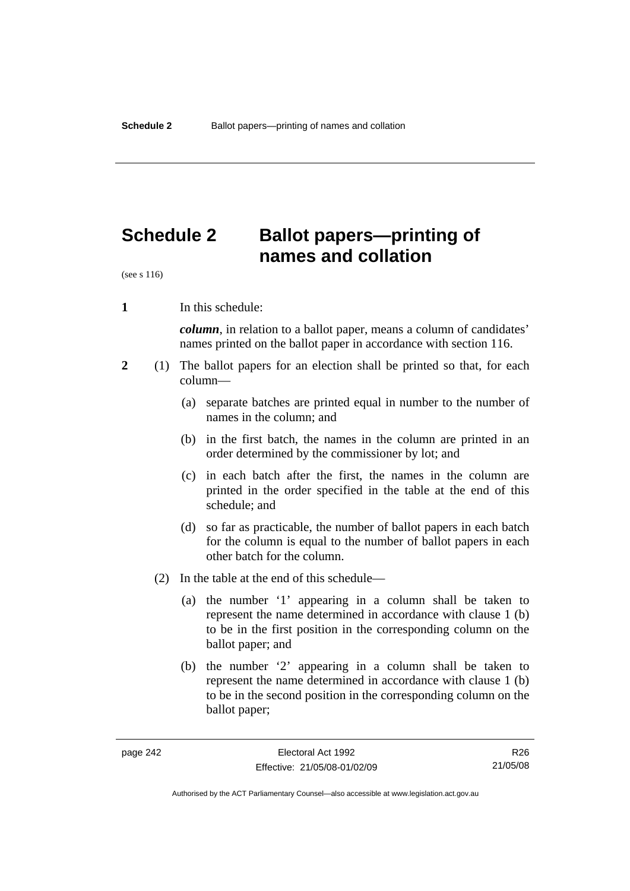## **Schedule 2 Ballot papers—printing of names and collation**

(see s 116)

**1** In this schedule:

*column*, in relation to a ballot paper, means a column of candidates' names printed on the ballot paper in accordance with section 116.

- **2** (1) The ballot papers for an election shall be printed so that, for each column—
	- (a) separate batches are printed equal in number to the number of names in the column; and
	- (b) in the first batch, the names in the column are printed in an order determined by the commissioner by lot; and
	- (c) in each batch after the first, the names in the column are printed in the order specified in the table at the end of this schedule; and
	- (d) so far as practicable, the number of ballot papers in each batch for the column is equal to the number of ballot papers in each other batch for the column.
	- (2) In the table at the end of this schedule—
		- (a) the number '1' appearing in a column shall be taken to represent the name determined in accordance with clause 1 (b) to be in the first position in the corresponding column on the ballot paper; and
		- (b) the number '2' appearing in a column shall be taken to represent the name determined in accordance with clause 1 (b) to be in the second position in the corresponding column on the ballot paper;

R26 21/05/08

Authorised by the ACT Parliamentary Counsel—also accessible at www.legislation.act.gov.au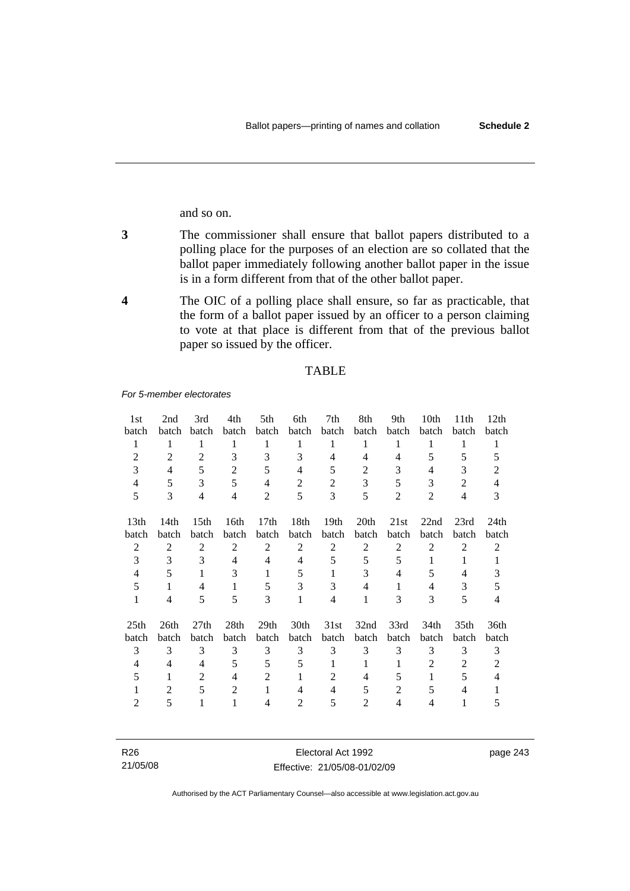and so on.

- **3** The commissioner shall ensure that ballot papers distributed to a polling place for the purposes of an election are so collated that the ballot paper immediately following another ballot paper in the issue is in a form different from that of the other ballot paper.
- **4** The OIC of a polling place shall ensure, so far as practicable, that the form of a ballot paper issued by an officer to a person claiming to vote at that place is different from that of the previous ballot paper so issued by the officer.

#### TABLE

*For 5-member electorates*

| 1st                      | 2nd            | 3rd              | 4th            | 5th              | 6th            | 7th              | 8th            | 9th            | 10th           | 11 <sup>th</sup> | 12th           |
|--------------------------|----------------|------------------|----------------|------------------|----------------|------------------|----------------|----------------|----------------|------------------|----------------|
| batch                    | batch          | <b>batch</b>     | batch          | batch            | batch          | batch            | batch          | batch          | <b>batch</b>   | batch            | batch          |
| 1                        | 1              | 1                | 1              | 1                | 1              | 1                | 1              | 1              | 1              | 1                | 1              |
| 2                        | 2              | 2                | 3              | 3                | 3              | 4                | 4              | 4              | 5              | 5                | 5              |
| 3                        | $\overline{4}$ | 5                | $\overline{2}$ | 5                | $\overline{4}$ | 5                | 2              | 3              | 4              | 3                | 2              |
| 4                        | 5              | 3                | 5              | 4                | $\overline{2}$ | 2                | 3              | 5              | 3              | $\overline{2}$   | $\overline{4}$ |
| 5                        | 3              | $\overline{4}$   | $\overline{4}$ | 2                | 5              | 3                | 5              | $\overline{2}$ | 2              | $\overline{4}$   | 3              |
| 13 <sub>th</sub>         | 14th           | 15 <sup>th</sup> | 16th           | 17 <sub>th</sub> | 18th           | 19 <sub>th</sub> | 20th           | 21st           | 22nd           | 23rd             | 24th           |
| batch                    | batch          | batch            | batch          | batch            | batch          | batch            | batch          | batch          | batch          | batch            | batch          |
| $\overline{2}$           | $\overline{2}$ | $\overline{2}$   | $\overline{2}$ | $\overline{2}$   | $\overline{2}$ | $\overline{2}$   | $\overline{2}$ | $\overline{2}$ | $\overline{2}$ | $\overline{2}$   | $\overline{2}$ |
| 3                        | 3              | 3                | 4              | 4                | 4              | 5                | 5              | 5              | 1              | 1                | 1              |
| 4                        | 5              | 1                | 3              | 1                | 5              | 1                | 3              | 4              | 5              | 4                | 3              |
| 5                        | 1              | 4                | 1              | 5                | 3              | 3                | 4              | 1              | 4              | 3                | 5              |
| 1                        | 4              | 5                | 5              | 3                | $\mathbf{1}$   | 4                | 1              | 3              | 3              | 5                | 4              |
| 25 <sub>th</sub>         | 26th           | 27th             | 28th           | 29 <sub>th</sub> | 30th           | 31st             | 32nd           | 33rd           | 34th           | 35 <sub>th</sub> | 36th           |
| batch                    | batch          | batch            | batch          | batch            | batch          | batch            | batch          | batch          | batch          | batch            | batch          |
| 3                        | 3              | 3                | 3              | 3                | 3              | 3                | 3              | 3              | 3              | 3                | 3              |
| $\overline{\mathcal{A}}$ | 4              | 4                | 5              | 5                | 5              | 1                | 1              | 1              | $\overline{2}$ | 2                | 2              |
| 5                        | 1              | $\overline{2}$   | 4              | 2                | 1              | 2                | 4              | 5              | 1              | 5                | 4              |
|                          | 2              | 5                | 2              | 1                | 4              | 4                | 5              | $\overline{2}$ | 5              | 4                |                |
| 2                        | 5              |                  | 1              | 4                | $\overline{2}$ | 5                | 2              | 4              | $\overline{4}$ | 1                | 5              |

| R26      | Electoral Act 1992           | page 243 |
|----------|------------------------------|----------|
| 21/05/08 | Effective: 21/05/08-01/02/09 |          |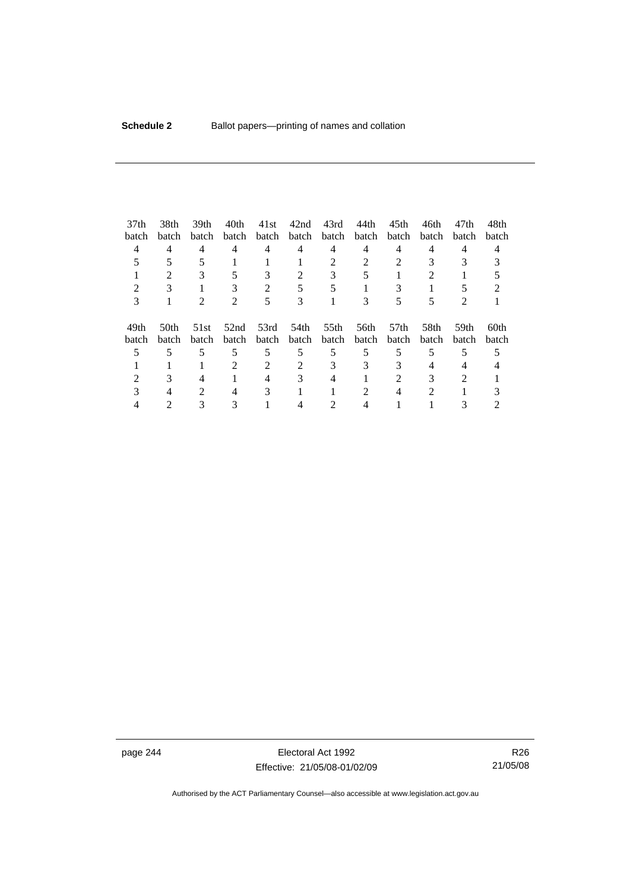| 37 <sub>th</sub> | 38th           | 39 <sub>th</sub> | 40th                        | 41st           | 42nd  | 43rd  | 44th  | 45 <sub>th</sub> | 46th                        | 47th                        | 48th  |
|------------------|----------------|------------------|-----------------------------|----------------|-------|-------|-------|------------------|-----------------------------|-----------------------------|-------|
| batch            | batch          | batch            | batch                       | batch          | batch | batch | batch | batch            | <b>batch</b>                | batch                       | batch |
| 4                | 4              | 4                | 4                           | 4              | 4     | 4     | 4     | 4                | 4                           | 4                           | 4     |
|                  |                |                  |                             |                |       | 2     |       |                  |                             |                             |       |
|                  | $\mathfrak{D}$ |                  |                             | 3              | 2     | 3     |       |                  | $\mathcal{D}_{\mathcal{L}}$ |                             |       |
|                  |                |                  |                             | $\mathfrak{D}$ |       |       |       |                  |                             |                             |       |
| 3                |                |                  | $\mathcal{D}_{\mathcal{L}}$ | 5              | 3     |       |       |                  |                             | $\mathcal{D}_{\mathcal{A}}$ |       |
| 49th             | 50th           | 51st             | 52nd                        | 53rd           | 54th  | 55th  | 56th  | 57 <sub>th</sub> | 58th                        | 59th                        | 60th  |
| batch            | batch          | batch            | batch                       | batch          | batch | batch | batch | batch            | batch                       | batch                       | batch |
|                  | 5              |                  | 5                           | 5              | 5     | 5     | 5     |                  | 5                           |                             |       |
|                  |                |                  | $\mathfrak{D}$              | $\mathfrak{D}$ |       | 3     | 3     |                  |                             | 4                           |       |
|                  |                |                  |                             |                |       |       |       | 2                |                             |                             |       |
|                  |                |                  | 4                           | 3              |       |       |       |                  | 2                           |                             |       |
|                  |                |                  |                             |                |       |       |       |                  |                             |                             |       |

page 244 Electoral Act 1992 Effective: 21/05/08-01/02/09

R26 21/05/08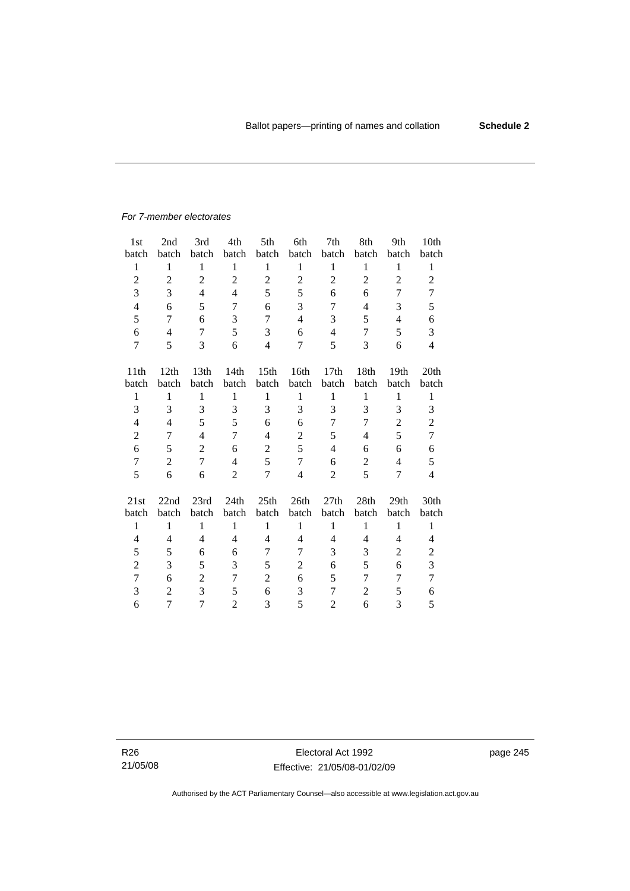#### *For 7-member electorates*

| 1 <sub>st</sub> | 2nd              | 3rd              | 4th            | 5th              | 6th                      | 7th            | 8th            | 9th              | 10th                     |
|-----------------|------------------|------------------|----------------|------------------|--------------------------|----------------|----------------|------------------|--------------------------|
| batch           | batch            | batch            | batch          | batch            | batch                    | batch          | batch          | batch            | batch                    |
| $\mathbf{1}$    | $\mathbf{1}$     | $\mathbf{1}$     | $\mathbf{1}$   | $\mathbf{1}$     | $\mathbf{1}$             | $\mathbf{1}$   | $\,1$          | $\mathbf{1}$     | $\mathbf{1}$             |
| $\overline{2}$  | $\boldsymbol{2}$ | $\overline{2}$   | $\overline{2}$ | $\overline{2}$   | $\overline{2}$           | $\overline{2}$ | $\overline{2}$ | $\overline{2}$   | $\overline{2}$           |
| 3               | 3                | $\overline{4}$   | 4              | 5                | 5                        | 6              | 6              | 7                | 7                        |
| $\overline{4}$  | 6                | 5                | 7              | 6                | 3                        | 7              | 4              | 3                | 5                        |
| 5               | 7                | 6                | 3              | 7                | $\overline{\mathcal{L}}$ | 3              | 5              | 4                | 6                        |
| 6               | $\overline{4}$   | 7                | 5              | 3                | 6                        | 4              | 7              | 5                | 3                        |
| 7               | 5                | 3                | 6              | $\overline{4}$   | 7                        | 5              | 3              | 6                | $\overline{4}$           |
|                 |                  |                  |                |                  |                          |                |                |                  |                          |
| 11th            | 12th             | 13 <sup>th</sup> | 14th           | 15 <sup>th</sup> | 16th                     | 17th           | 18th           | 19 <sub>th</sub> | 20th                     |
| batch           | batch            | batch            | batch          | batch            | batch                    | batch          | batch          | batch            | batch                    |
| 1               | 1                | 1                | 1              | $\mathbf{1}$     | 1                        | $\mathbf{1}$   | 1              | $\mathbf{1}$     | $\mathbf{1}$             |
| 3               | 3                | 3                | 3              | 3                | 3                        | 3              | 3              | 3                | 3                        |
| 4               | $\overline{4}$   | 5                | 5              | 6                | 6                        | 7              | 7              | $\overline{2}$   | $\overline{2}$           |
| $\overline{c}$  | 7                | $\overline{4}$   | $\overline{7}$ | 4                | $\mathbf{2}$             | 5              | 4              | 5                | $\overline{7}$           |
| 6               | 5                | $\overline{2}$   | 6              | $\overline{2}$   | 5                        | $\overline{4}$ | 6              | 6                | 6                        |
| $\overline{7}$  | $\overline{2}$   | $\overline{7}$   | $\overline{4}$ | 5                | $\tau$                   | 6              | $\overline{2}$ | $\overline{4}$   | 5                        |
| 5               | 6                | 6                | $\overline{c}$ | 7                | $\overline{\mathbf{4}}$  | $\overline{2}$ | 5              | 7                | $\overline{\mathcal{L}}$ |
|                 |                  |                  |                |                  |                          |                |                |                  |                          |
| 21st            | 22nd             | 23rd             | 24th           | 25th             | 26th                     | 27th           | 28th           | 29 <sub>th</sub> | 30th                     |
| batch           | batch            | batch            | batch          | batch            | batch                    | batch          | batch          | batch            | batch                    |
| $\mathbf{1}$    | $\mathbf{1}$     | $\mathbf{1}$     | $\mathbf{1}$   | $\mathbf{1}$     | $\mathbf{1}$             | $\mathbf{1}$   | $\mathbf{1}$   | $\mathbf{1}$     | $\mathbf{1}$             |
| $\overline{4}$  | $\overline{4}$   | $\overline{4}$   | 4              | 4                | $\overline{4}$           | 4              | 4              | 4                | $\overline{\mathcal{L}}$ |
| 5               | 5                | 6                | 6              | 7                | 7                        | 3              | 3              | $\overline{c}$   | $\overline{c}$           |
| $\mathbf{2}$    | 3                | 5                | 3              | 5                | $\overline{c}$           | 6              | 5              | 6                | 3                        |
| $\overline{7}$  | 6                | $\overline{c}$   | 7              | $\overline{2}$   | 6                        | 5              | 7              | 7                | $\tau$                   |
| 3               | $\overline{2}$   | 3                | 5              | 6                | 3                        | 7              | $\overline{2}$ | 5                | 6                        |
| 6               | 7                | 7                | $\overline{2}$ | 3                | 5                        | $\overline{2}$ | 6              | 3                | 5                        |

R26 21/05/08 page 245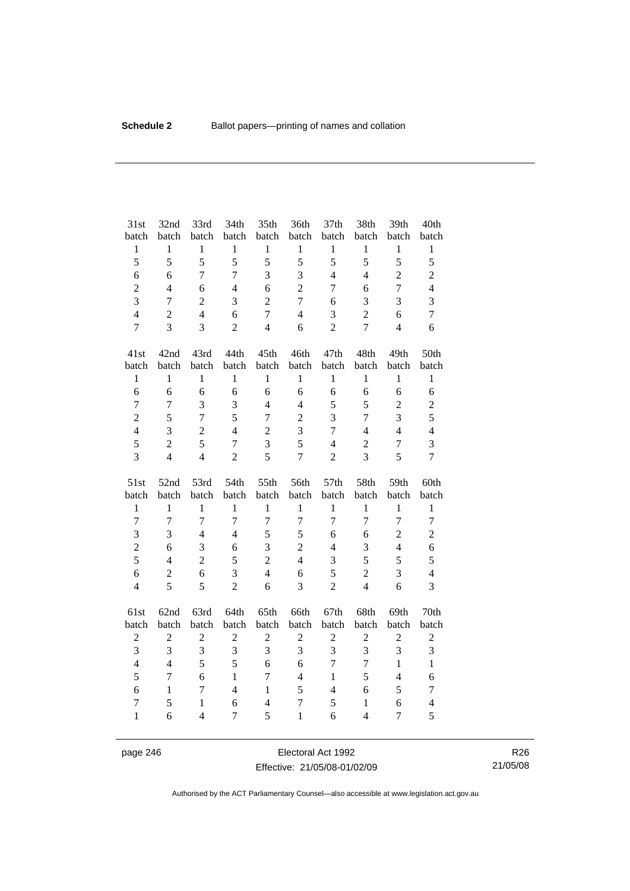| 31st             | 32nd             | 33rd           | 34th           | 35th             | 36th             | 37th           | 38th           | 39th           | 40th             |
|------------------|------------------|----------------|----------------|------------------|------------------|----------------|----------------|----------------|------------------|
| batch            | batch            | batch          | batch          | batch            | batch            | batch          | batch          | batch          | batch            |
| $\,1$            | $\,1$            | $\mathbf{1}$   | $\mathbf{1}$   | $\mathbf{1}$     | $\,1\,$          | $\,1$          | $\,1$          | $\,1$          | $\mathbf{1}$     |
| 5                | 5                | 5              | 5              | 5                | 5                | 5              | 5              | 5              | 5                |
| 6                | 6                | $\overline{7}$ | 7              | 3                | $\overline{3}$   | $\overline{4}$ | $\overline{4}$ | $\overline{2}$ | $\overline{c}$   |
| $\overline{c}$   | $\overline{4}$   | 6              | $\overline{4}$ | 6                | $\overline{2}$   | $\tau$         | 6              | $\overline{7}$ | $\overline{4}$   |
| $\overline{3}$   | $\overline{7}$   | $\overline{c}$ | 3              | $\sqrt{2}$       | $\overline{7}$   | 6              | 3              | 3              | 3                |
| $\overline{4}$   | $\overline{2}$   | $\overline{4}$ | 6              | $\overline{7}$   | $\overline{4}$   | 3              | $\overline{2}$ | 6              | $\overline{7}$   |
| $\overline{7}$   | 3                | 3              | $\overline{2}$ | $\overline{4}$   | 6                | $\overline{2}$ | $\overline{7}$ | $\overline{4}$ | 6                |
| 41st             | 42nd             | 43rd           | 44th           | 45th             | 46th             | 47th           | 48th           | 49th           | 50th             |
| batch            | batch            | batch          | batch          | batch            | batch            | batch          | batch          | batch          | batch            |
| $\,1$            | $\mathbf{1}$     | $\mathbf{1}$   | $\mathbf{1}$   | $\mathbf{1}$     | $\mathbf{1}$     | $\mathbf{1}$   | $\mathbf{1}$   | $\mathbf{1}$   | $\mathbf{1}$     |
| 6                | 6                | 6              | 6              | 6                | 6                | 6              | 6              | 6              | 6                |
| $\overline{7}$   | $\overline{7}$   | $\overline{3}$ | 3              | $\overline{4}$   | $\overline{4}$   | 5              | 5              | $\overline{c}$ | $\overline{2}$   |
| $\overline{2}$   | 5                | $\overline{7}$ | 5              | $\overline{7}$   | $\overline{2}$   | 3              | $\overline{7}$ | 3              | 5                |
| $\overline{4}$   | 3                | $\overline{c}$ | $\overline{4}$ | $\boldsymbol{2}$ | 3                | 7              | $\overline{4}$ | $\overline{4}$ | $\overline{4}$   |
| 5                | $\overline{2}$   | 5              | $\overline{7}$ | 3                | 5                | $\overline{4}$ | $\overline{2}$ | $\tau$         | 3                |
| 3                | $\overline{4}$   | $\overline{4}$ | $\overline{2}$ | 5                | $\overline{7}$   | $\overline{2}$ | 3              | 5              | $\overline{7}$   |
|                  |                  |                |                |                  |                  |                |                |                |                  |
| 51st             | 52nd             | 53rd           | 54th           | 55th             | 56th             | 57th           | 58th           | 59th           | 60th             |
| batch            | batch            | batch          | batch          | batch            | batch            | batch          | batch          | batch          | batch            |
| $\mathbf{1}$     | $\mathbf{1}$     | $\mathbf{1}$   | $\mathbf{1}$   | $\mathbf{1}$     | $\mathbf{1}$     | $\mathbf{1}$   | $\mathbf{1}$   | $\mathbf{1}$   | $\mathbf{1}$     |
| $\overline{7}$   | $\overline{7}$   | $\overline{7}$ | $\overline{7}$ | $\overline{7}$   | $\boldsymbol{7}$ | $\overline{7}$ | $\overline{7}$ | $\overline{7}$ | $\boldsymbol{7}$ |
| 3                | 3                | $\overline{4}$ | $\overline{4}$ | 5                | 5                | 6              | 6              | $\overline{c}$ | $\overline{c}$   |
| $\overline{c}$   | 6                | 3              | 6              | 3                | $\overline{2}$   | $\overline{4}$ | 3              | $\overline{4}$ | 6                |
| 5                | $\overline{4}$   | $\overline{c}$ | 5              | $\overline{2}$   | $\overline{4}$   | 3              | 5              | 5              | 5                |
| 6                | $\boldsymbol{2}$ | 6              | 3              | $\overline{4}$   | 6                | 5              | $\overline{c}$ | 3              | $\overline{4}$   |
| $\overline{4}$   | 5                | 5              | $\overline{2}$ | 6                | $\overline{3}$   | $\overline{2}$ | $\overline{4}$ | 6              | 3                |
| 61st             | 62nd             | 63rd           | 64th           | 65th             | 66th             | 67th           | 68th           | 69th           | 70th             |
| batch            | batch            | batch          | batch          | batch            | batch            | batch          | batch          | batch          | batch            |
| $\boldsymbol{2}$ | $\boldsymbol{2}$ | $\overline{2}$ | $\overline{2}$ | $\sqrt{2}$       | $\sqrt{2}$       | $\overline{2}$ | $\overline{2}$ | $\sqrt{2}$     | $\overline{c}$   |
| 3                | 3                | 3              | 3              | 3                | 3                | 3              | 3              | 3              | 3                |
| $\overline{4}$   | $\overline{4}$   | 5              | 5              | 6                | 6                | $\overline{7}$ | $\overline{7}$ | $\mathbf{1}$   | $\mathbf{1}$     |
| 5                | $\overline{7}$   | 6              | $\mathbf{1}$   | $\overline{7}$   | $\overline{4}$   | $\mathbf{1}$   | 5              | $\overline{4}$ | 6                |
| 6                | $\mathbf{1}$     | $\overline{7}$ | $\overline{4}$ | $\mathbf{1}$     | 5                | $\overline{4}$ | 6              | 5              | $\boldsymbol{7}$ |
| 7                | 5                | $\mathbf{1}$   | 6              | $\overline{4}$   | $\overline{7}$   | 5              | $\mathbf{1}$   | 6              | $\overline{4}$   |

page 246 Electoral Act 1992 Effective: 21/05/08-01/02/09

R26 21/05/08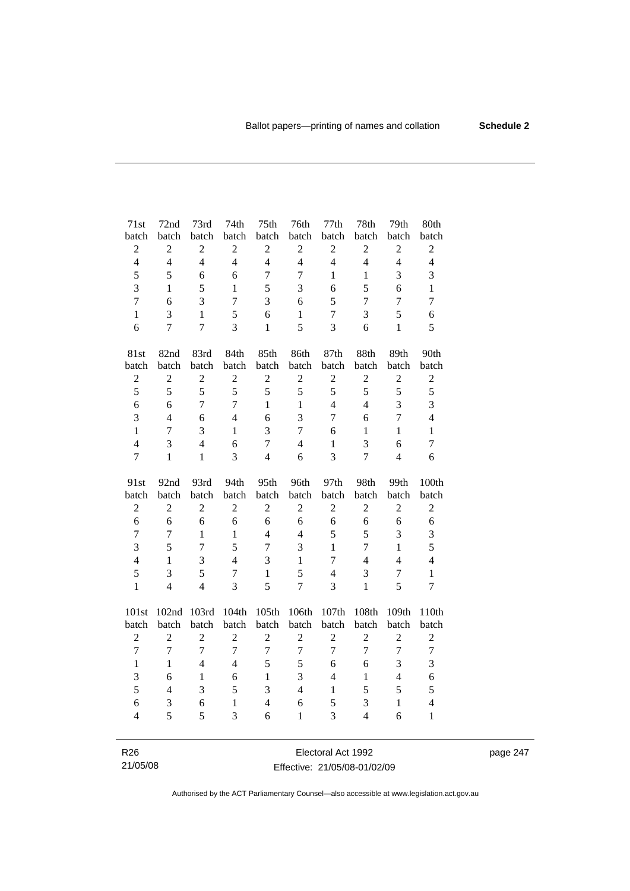| 71st                    | 72nd             | 73rd           | 74th           | 75 <sup>th</sup> | 76th             | 77th           | 78th           | 79th             | 80th             |
|-------------------------|------------------|----------------|----------------|------------------|------------------|----------------|----------------|------------------|------------------|
| batch                   | batch            | batch          | batch          | batch            | batch            | batch          | batch          | batch            | batch            |
| $\overline{c}$          | $\boldsymbol{2}$ | $\overline{c}$ | $\overline{2}$ | $\overline{2}$   | $\sqrt{2}$       | $\overline{2}$ | $\sqrt{2}$     | $\boldsymbol{2}$ | $\sqrt{2}$       |
| $\overline{4}$          | $\overline{4}$   | $\overline{4}$ | $\overline{4}$ | $\overline{4}$   | $\overline{4}$   | $\overline{4}$ | $\overline{4}$ | $\overline{4}$   | $\overline{4}$   |
| 5                       | 5                | 6              | 6              | $\overline{7}$   | $\overline{7}$   | $\mathbf{1}$   | $\mathbf{1}$   | 3                | 3                |
| 3                       | 1                | 5              | $\mathbf{1}$   | 5                | 3                | 6              | 5              | 6                | $\mathbf{1}$     |
| $\overline{7}$          | 6                | $\overline{3}$ | $\overline{7}$ | 3                | 6                | 5              | 7              | 7                | $\overline{7}$   |
| $\mathbf{1}$            | 3                | $\mathbf{1}$   | 5              | 6                | $\mathbf{1}$     | $\tau$         | 3              | 5                | 6                |
| 6                       | $\overline{7}$   | $\overline{7}$ | 3              | $\mathbf{1}$     | 5                | 3              | 6              | $\mathbf{1}$     | 5                |
| 81st                    | 82nd             | 83rd           | 84th           | 85th             | 86th             | 87th           | 88th           | 89th             | 90th             |
| batch                   | batch            | batch          | batch          | batch            | batch            | batch          | batch          | batch            | batch            |
| $\overline{2}$          | $\overline{2}$   | $\overline{2}$ | $\overline{2}$ | $\overline{2}$   | $\overline{2}$   | $\overline{2}$ | $\overline{2}$ | $\overline{2}$   | $\overline{2}$   |
| 5                       | 5                | 5              | 5              | 5                | 5                | 5              | 5              | 5                | 5                |
| 6                       | 6                | $\overline{7}$ | $\overline{7}$ | $\mathbf{1}$     | $\mathbf{1}$     | $\overline{4}$ | $\overline{4}$ | $\overline{3}$   | $\overline{3}$   |
| 3                       | $\overline{4}$   | 6              | $\overline{4}$ | 6                | 3                | 7              | 6              | 7                | $\overline{4}$   |
| $\mathbf{1}$            | $\overline{7}$   | 3              | $\mathbf{1}$   | 3                | $\overline{7}$   | 6              | $\mathbf{1}$   | $\mathbf{1}$     | $\mathbf{1}$     |
| $\overline{\mathbf{4}}$ | 3                | $\overline{4}$ | 6              | $\overline{7}$   | $\overline{4}$   | $\mathbf{1}$   | 3              | 6                | $\overline{7}$   |
| $\overline{7}$          | $\mathbf{1}$     | $\mathbf{1}$   | 3              | $\overline{4}$   | 6                | $\overline{3}$ | $\overline{7}$ | $\overline{4}$   | 6                |
|                         |                  |                |                |                  |                  |                |                |                  |                  |
| 91st                    | 92nd             | 93rd           | 94th           | 95th             | 96th             | 97th           | 98th           | 99th             | 100th            |
| batch                   | batch            | batch          | batch          | batch            | batch            | batch          | batch          | batch            | batch            |
| $\boldsymbol{2}$        | $\overline{2}$   | $\overline{2}$ | $\overline{c}$ | $\overline{2}$   | $\mathfrak{2}$   | $\overline{c}$ | $\overline{2}$ | $\overline{2}$   | $\boldsymbol{2}$ |
| 6                       | 6                | 6              | 6              | 6                | 6                | 6              | 6              | 6                | $\sqrt{6}$       |
| $\overline{7}$          | $\overline{7}$   | $\mathbf{1}$   | $\mathbf{1}$   | $\overline{4}$   | $\overline{4}$   | 5              | 5              | 3                | $\mathfrak{Z}$   |
| $\overline{3}$          | 5                | $\overline{7}$ | 5              | $\overline{7}$   | 3                | $\mathbf{1}$   | $\overline{7}$ | $\mathbf{1}$     | 5                |
| $\overline{\mathbf{4}}$ | $\mathbf{1}$     | 3              | $\overline{4}$ | 3                | $\mathbf{1}$     | $\overline{7}$ | $\overline{4}$ | $\overline{4}$   | $\overline{4}$   |
| 5                       | 3                | 5              | $\overline{7}$ | $\mathbf{1}$     | 5                | $\overline{4}$ | 3              | $\tau$           | $\mathbf{1}$     |
| $\mathbf{1}$            | $\overline{4}$   | $\overline{4}$ | $\overline{3}$ | 5                | $\overline{7}$   | 3              | $\mathbf{1}$   | 5                | $\overline{7}$   |
| 101st                   | 102nd            | 103rd          | 104th          | 105th            | 106th            | 107th          | 108th          | 109th            | 110th            |
| batch                   | batch            | batch          | batch          | batch            | batch            | batch          | batch          | batch            | batch            |
| $\overline{c}$          | $\overline{c}$   | $\overline{2}$ | $\overline{2}$ | $\overline{2}$   | $\overline{2}$   | $\overline{c}$ | $\overline{2}$ | $\overline{2}$   | $\overline{c}$   |
| $\overline{7}$          | $\overline{7}$   | $\overline{7}$ | $\overline{7}$ | $\overline{7}$   | $\boldsymbol{7}$ | $\overline{7}$ | $\overline{7}$ | $\overline{7}$   | $\boldsymbol{7}$ |
| $\mathbf{1}$            | $\mathbf{1}$     | $\overline{4}$ | $\overline{4}$ | 5                | 5                | 6              | 6              | 3                | 3                |
| 3                       | 6                | $\mathbf{1}$   | 6              | $\mathbf{1}$     | 3                | $\overline{4}$ | $\,1\,$        | $\overline{4}$   | 6                |
| 5                       | $\overline{4}$   | 3              | 5              | 3                | $\overline{4}$   | $\mathbf{1}$   | 5              | 5                | 5                |
| 6                       | 3                | 6              | $\mathbf{1}$   | $\overline{4}$   | 6                | 5              | $\mathfrak{Z}$ | $\mathbf{1}$     | $\overline{4}$   |
| $\overline{4}$          | 5                | 5              | 3              | 6                | $\mathbf{1}$     | 3              | $\overline{4}$ | 6                | $\mathbf{1}$     |

R26 21/05/08

Electoral Act 1992 Effective: 21/05/08-01/02/09 page 247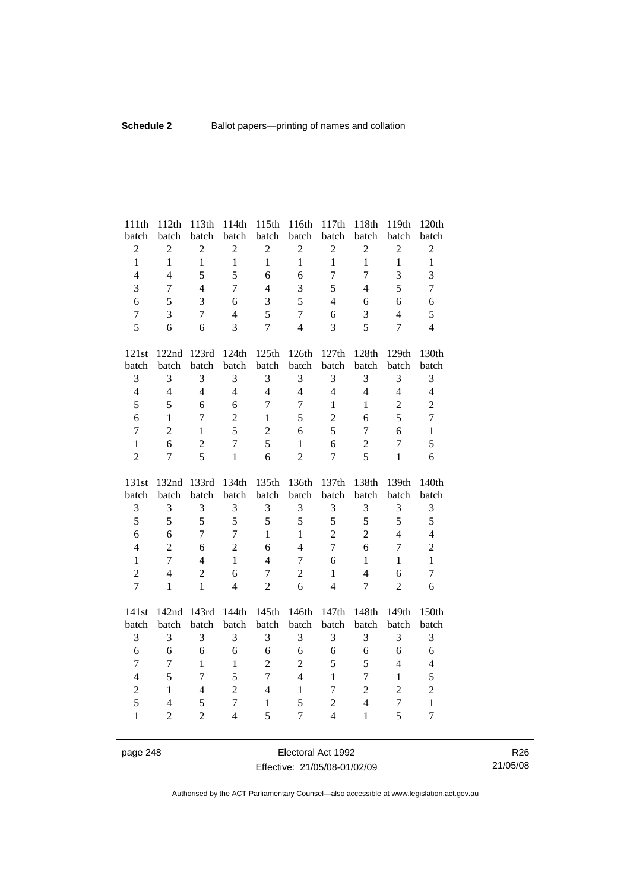| 111th                   | 112th          | 113th          | 114th          | 115th          | 116th          | 117th                   | 118th                   | 119th            | 120th                          |
|-------------------------|----------------|----------------|----------------|----------------|----------------|-------------------------|-------------------------|------------------|--------------------------------|
| batch                   | batch          | batch          | batch          | batch          | batch          | batch                   | batch                   | batch            | batch                          |
| $\overline{c}$          | $\overline{c}$ | $\overline{c}$ | $\overline{c}$ | $\sqrt{2}$     | $\overline{c}$ | $\sqrt{2}$              | $\sqrt{2}$              | $\overline{c}$   | $\sqrt{2}$                     |
| $\mathbf{1}$            | $\mathbf{1}$   | $\mathbf{1}$   | $\mathbf{1}$   | $\mathbf{1}$   | $\mathbf{1}$   | $\mathbf{1}$            | $\mathbf{1}$            | $\mathbf{1}$     | $\mathbf{1}$                   |
| $\overline{4}$          | $\overline{4}$ | 5              | 5              | 6              | 6              | $\overline{7}$          | $\overline{7}$          | 3                | 3                              |
| 3                       | $\overline{7}$ | $\overline{4}$ | $\overline{7}$ | $\overline{4}$ | 3              | 5                       | $\overline{4}$          | 5                | $\overline{7}$                 |
| 6                       | 5              | 3              | 6              | $\mathfrak{Z}$ | 5              | $\overline{4}$          | 6                       | 6                | 6                              |
| $\boldsymbol{7}$        | 3              | $\overline{7}$ | $\overline{4}$ | 5              | $\overline{7}$ | 6                       | 3                       | $\overline{4}$   | 5                              |
| 5                       | 6              | 6              | 3              | $\overline{7}$ | $\overline{4}$ | 3                       | 5                       | $\overline{7}$   | $\overline{4}$                 |
| 121st                   |                | 122nd 123rd    | 124th          | 125th          | 126th          | 127th                   | 128th                   | 129th            | 130th                          |
| batch                   | batch          | batch          | batch          | batch          | batch          | batch                   | batch                   | batch            | batch                          |
| 3                       | 3              | 3              | 3              | 3              | 3              | $\mathfrak{Z}$          | $\mathfrak{Z}$          | 3                | 3                              |
| $\overline{4}$          | $\overline{4}$ | $\overline{4}$ | $\overline{4}$ | $\overline{4}$ | $\overline{4}$ | $\overline{4}$          | $\overline{4}$          | $\overline{4}$   | $\overline{4}$                 |
| 5                       | 5              | 6              | 6              | $\overline{7}$ | $\overline{7}$ | $\mathbf{1}$            | $\mathbf{1}$            | $\overline{2}$   | $\overline{2}$                 |
| 6                       | $\mathbf{1}$   | $\overline{7}$ | $\overline{2}$ | $\mathbf{1}$   | 5              | $\boldsymbol{2}$        | 6                       | 5                | $\tau$                         |
| $\overline{7}$          | $\overline{2}$ | $\mathbf{1}$   | 5              | $\sqrt{2}$     | 6              | 5                       | $\overline{7}$          | 6                | $\mathbf{1}$                   |
| $\mathbf{1}$            | 6              | $\overline{2}$ | $\overline{7}$ | 5              | $\mathbf{1}$   | 6                       | $\sqrt{2}$              | $\tau$           | 5                              |
| $\overline{2}$          | $\overline{7}$ | 5              | $\mathbf{1}$   | 6              | $\overline{2}$ | $\overline{7}$          | 5                       | $\mathbf{1}$     | 6                              |
|                         |                |                |                |                |                |                         |                         |                  |                                |
|                         |                |                |                |                |                |                         |                         |                  |                                |
| 131st                   | 132nd          | 133rd          | 134th          | 135th          | 136th          | 137th                   | 138th                   | 139th            | 140th                          |
| batch                   | batch<br>3     | batch<br>3     | batch<br>3     | batch<br>3     | batch<br>3     | batch<br>$\mathfrak{Z}$ | batch<br>$\mathfrak{Z}$ | batch<br>3       | batch                          |
| 3<br>5                  | 5              | 5              | 5              | 5              | 5              | 5                       | 5                       | 5                | $\mathfrak{Z}$<br>5            |
| 6                       | 6              | $\overline{7}$ | $\overline{7}$ | $\mathbf{1}$   | $\mathbf{1}$   | $\overline{2}$          | $\overline{2}$          | $\overline{4}$   | $\overline{4}$                 |
| $\overline{\mathbf{4}}$ | $\overline{c}$ | 6              | $\overline{2}$ | 6              | $\overline{4}$ | $\overline{7}$          | 6                       | $\boldsymbol{7}$ |                                |
| $\mathbf{1}$            | $\overline{7}$ | $\overline{4}$ | $\mathbf{1}$   | $\overline{4}$ | $\overline{7}$ | 6                       | $\mathbf{1}$            | $\mathbf{1}$     | $\overline{c}$<br>$\mathbf{1}$ |
| $\overline{2}$          | $\overline{4}$ | $\overline{c}$ | 6              | $\tau$         | $\overline{2}$ | $\mathbf{1}$            | $\overline{4}$          | 6                | $\tau$                         |
| $\overline{7}$          | $\mathbf{1}$   | $\mathbf{1}$   | $\overline{4}$ | $\overline{2}$ | 6              | $\overline{4}$          | $\overline{7}$          | $\overline{2}$   | 6                              |
|                         |                |                |                |                |                |                         |                         |                  |                                |
| 141st                   | 142nd<br>batch | 143rd<br>batch | 144th          | 145th          | 146th          | 147th<br>batch          | 148th                   | 149th<br>batch   | 150th                          |
| batch                   | 3              | 3              | batch<br>3     | batch<br>3     | batch          | 3                       | batch                   |                  | batch                          |
| 3<br>6                  | 6              | 6              | 6              | 6              | 3<br>6         | 6                       | $\mathfrak{Z}$<br>6     | 3<br>6           | 3<br>6                         |
| $\overline{7}$          | $\tau$         | $\mathbf{1}$   | $\mathbf{1}$   | $\sqrt{2}$     | $\overline{c}$ | 5                       | 5                       | $\overline{4}$   | $\overline{4}$                 |
| $\overline{\mathbf{4}}$ | 5              | $\overline{7}$ | 5              | $\overline{7}$ | $\overline{4}$ | $\mathbf{1}$            | $\boldsymbol{7}$        | $\mathbf{1}$     | 5                              |
| $\overline{2}$          | $\mathbf{1}$   | $\overline{4}$ | $\overline{c}$ | $\overline{4}$ | $\mathbf{1}$   | $\overline{7}$          | $\overline{2}$          | $\overline{2}$   | $\overline{2}$                 |
| 5                       | $\overline{4}$ | 5              | $\overline{7}$ | $\mathbf{1}$   | 5              | $\sqrt{2}$              | $\overline{4}$          | $\boldsymbol{7}$ | $\mathbf{1}$                   |
| $\mathbf{1}$            | $\overline{2}$ | $\overline{2}$ | $\overline{4}$ | 5              | $\overline{7}$ | $\overline{4}$          | $\mathbf{1}$            | 5                | $\overline{7}$                 |

page 248 Electoral Act 1992 Effective: 21/05/08-01/02/09

R26 21/05/08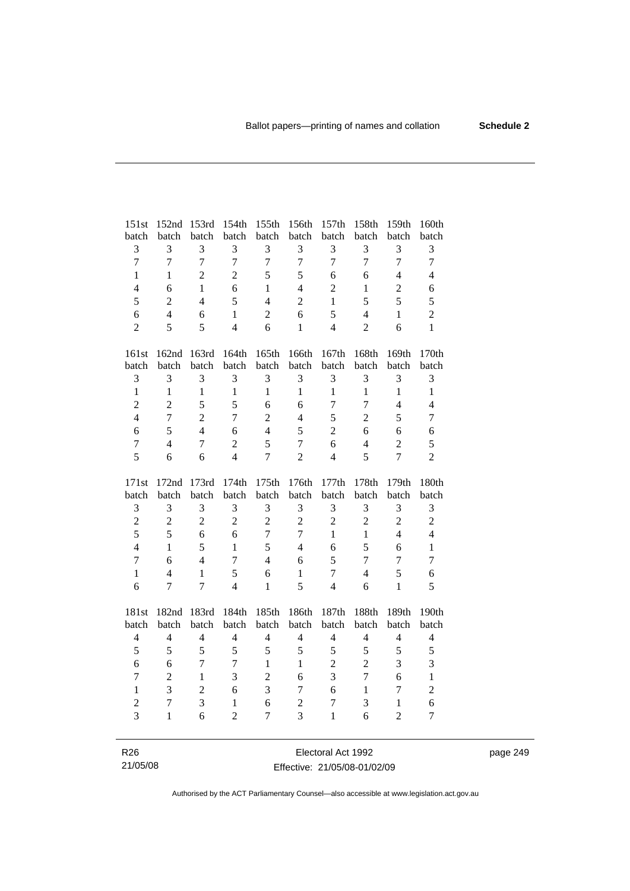| 151st          | 152nd          | 153rd            | 154th          | 155th          | 156th          | 157 <sub>th</sub> | 158th          | 159th          | 160th          |
|----------------|----------------|------------------|----------------|----------------|----------------|-------------------|----------------|----------------|----------------|
| batch          | batch          | batch            | batch          | batch          | batch          | batch             | batch          | batch          | batch          |
| 3              | 3              | 3                | 3              | 3              | 3              | 3                 | 3              | 3              | 3              |
| $\overline{7}$ | $\overline{7}$ | $\boldsymbol{7}$ | $\overline{7}$ | $\overline{7}$ | $\overline{7}$ | $\overline{7}$    | $\overline{7}$ | $\overline{7}$ | $\overline{7}$ |
| $\mathbf{1}$   | $\mathbf{1}$   | $\overline{2}$   | $\overline{2}$ | 5              | 5              | 6                 | 6              | $\overline{4}$ | $\overline{4}$ |
| $\overline{4}$ | 6              | $\mathbf{1}$     | 6              | $\mathbf{1}$   | $\overline{4}$ | $\overline{2}$    | $\mathbf{1}$   | $\overline{2}$ | 6              |
| 5              | $\overline{2}$ | $\overline{4}$   | 5              | $\overline{4}$ | $\overline{2}$ | $\mathbf{1}$      | 5              | 5              | 5              |
| 6              | $\overline{4}$ | 6                | $\mathbf{1}$   | $\overline{2}$ | 6              | 5                 | $\overline{4}$ | $\mathbf{1}$   | $\overline{2}$ |
| $\overline{2}$ | 5              | 5                | $\overline{4}$ | 6              | $\mathbf{1}$   | $\overline{4}$    | $\overline{2}$ | 6              | $\mathbf{1}$   |
|                |                |                  |                |                |                |                   |                |                |                |
| 161st          | 162nd          | 163rd            | 164th          | 165th          | 166th          | 167th             | 168th          | 169th          | 170th          |
| batch          | batch          | batch            | batch          | batch          | batch          | batch             | batch          | batch          | batch          |
| 3              | 3              | 3                | 3              | 3              | 3              | 3                 | 3              | 3              | 3              |
| $\mathbf{1}$   | $\mathbf{1}$   | $\mathbf{1}$     | $\mathbf{1}$   | $\mathbf{1}$   | $\mathbf{1}$   | $\mathbf{1}$      | $\mathbf{1}$   | $\mathbf{1}$   | $\mathbf{1}$   |
| $\overline{2}$ | $\overline{2}$ | 5                | 5              | 6              | 6              | 7                 | 7              | $\overline{4}$ | $\overline{4}$ |
| $\overline{4}$ | $\overline{7}$ | $\overline{2}$   | $\overline{7}$ | $\overline{2}$ | $\overline{4}$ | 5                 | $\overline{2}$ | 5              | $\tau$         |
| $\sqrt{6}$     | 5              | $\overline{4}$   | 6              | $\overline{4}$ | 5              | $\overline{2}$    | 6              | 6              | 6              |
| $\overline{7}$ | $\overline{4}$ | $\overline{7}$   | $\overline{c}$ | 5              | $\overline{7}$ | 6                 | $\overline{4}$ | $\overline{c}$ | 5              |
| 5              | 6              | 6                | $\overline{4}$ | $\overline{7}$ | $\overline{2}$ | $\overline{4}$    | 5              | $\overline{7}$ | $\overline{2}$ |
|                |                |                  |                |                |                |                   |                |                |                |
|                |                |                  |                |                |                |                   |                |                |                |
| 171st          | 172nd          | 173rd            | 174th          | 175th          | 176th          | 177th             | 178th          | 179th          | 180th          |
| batch          | batch          | batch            | batch          | batch          | batch          | batch             | batch          | batch          | batch          |
| $\mathfrak 3$  | $\mathfrak{Z}$ | 3                | $\mathfrak{Z}$ | $\mathfrak{Z}$ | 3              | 3                 | 3              | 3              | $\mathfrak{Z}$ |
| $\overline{2}$ | $\mathbf{2}$   | $\sqrt{2}$       | $\overline{2}$ | $\overline{2}$ | $\overline{2}$ | $\overline{c}$    | $\overline{2}$ | $\overline{2}$ | $\overline{2}$ |
| 5              | 5              | 6                | 6              | $\overline{7}$ | $\overline{7}$ | $\mathbf{1}$      | $\mathbf{1}$   | $\overline{4}$ | $\overline{4}$ |
| $\overline{4}$ | $\mathbf{1}$   | 5                | $\mathbf{1}$   | 5              | $\overline{4}$ | 6                 | 5              | 6              | $\mathbf{1}$   |
| $\overline{7}$ | 6              | $\overline{4}$   | $\overline{7}$ | $\overline{4}$ | 6              | 5                 | $\overline{7}$ | $\overline{7}$ | $\tau$         |
| $\mathbf{1}$   | $\overline{4}$ | $\mathbf{1}$     | 5              | 6              | $\mathbf{1}$   | 7                 | $\overline{4}$ | 5              | 6              |
| 6              | 7              | $\overline{7}$   | $\overline{4}$ | $\mathbf{1}$   | 5              | $\overline{4}$    | 6              | $\mathbf{1}$   | 5              |
|                |                |                  |                |                |                |                   |                |                |                |
| 181st          | 182nd          | 183rd            | 184th          | 185th          | 186th          | 187th             | 188th          | 189th          | 190th          |
| batch          | batch          | batch            | batch          | batch          | batch          | batch             | batch          | batch          | batch          |
| $\overline{4}$ | $\overline{4}$ | $\overline{4}$   | $\overline{4}$ | $\overline{4}$ | $\overline{4}$ | $\overline{4}$    | $\overline{4}$ | $\overline{4}$ | $\overline{4}$ |
| 5              | 5              | 5                | 5              | 5              | 5              | 5                 | 5              | 5              | 5              |
| 6              | 6              | $\overline{7}$   | $\overline{7}$ | $\mathbf{1}$   | $\mathbf{1}$   | $\overline{2}$    | $\overline{2}$ | 3              | 3              |
| $\overline{7}$ | $\overline{2}$ | $\mathbf{1}$     | 3              | $\overline{2}$ | 6              | 3                 | $\overline{7}$ | 6              | $\mathbf{1}$   |
| $\mathbf{1}$   | 3              | $\overline{c}$   | 6              | 3              | 7              | 6                 | $\mathbf{1}$   | $\overline{7}$ | $\overline{c}$ |
| $\overline{2}$ | $\overline{7}$ | 3                | $\mathbf{1}$   | 6              | $\overline{2}$ | $\tau$            | 3              | $\mathbf{1}$   | 6              |
| 3              | $\mathbf{1}$   | 6                | $\overline{2}$ | $\overline{7}$ | $\overline{3}$ | $\mathbf{1}$      | 6              | $\overline{2}$ | $\overline{7}$ |

R26 21/05/08

Electoral Act 1992 Effective: 21/05/08-01/02/09 page 249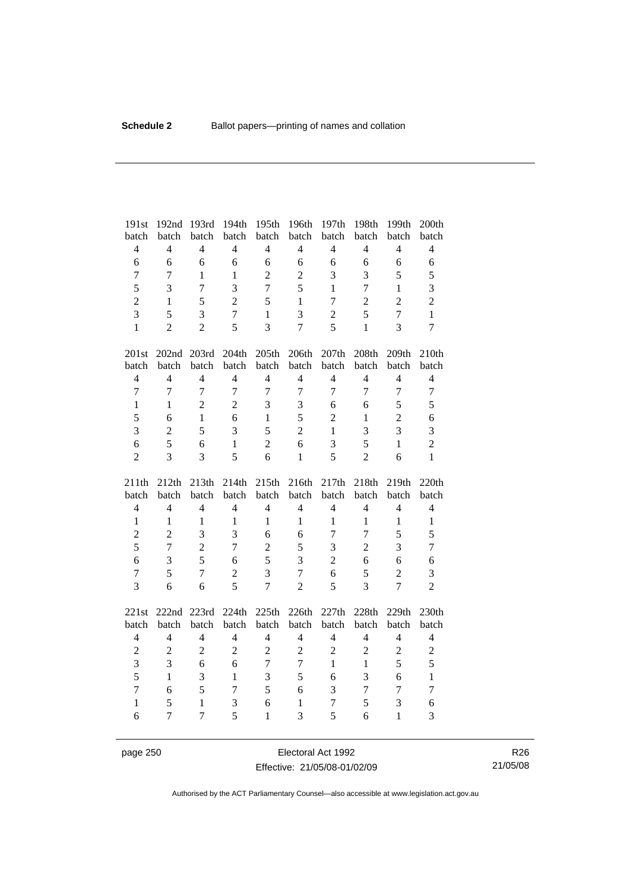| 191st          | 192nd                | 193rd          | 194th          | 195th            | 196th          | 197th          | 198th          | 199th          | 200th          |
|----------------|----------------------|----------------|----------------|------------------|----------------|----------------|----------------|----------------|----------------|
| batch          | batch                | batch          | batch          | batch            | batch          | batch          | batch          | batch          | batch          |
| $\overline{4}$ | $\overline{4}$       | $\overline{4}$ | $\overline{4}$ | $\overline{4}$   | $\overline{4}$ | $\overline{4}$ | $\overline{4}$ | $\overline{4}$ | $\overline{4}$ |
| $\sqrt{6}$     | 6                    | 6              | 6              | 6                | 6              | 6              | 6              | 6              | 6              |
| $\overline{7}$ | $\overline{7}$       | $\mathbf{1}$   | $\mathbf{1}$   | $\overline{2}$   | $\overline{2}$ | 3              | 3              | 5              | 5              |
| 5              | 3                    | $\overline{7}$ | 3              | $\overline{7}$   | 5              | $\mathbf{1}$   | $\overline{7}$ | $\mathbf{1}$   | 3              |
| $\overline{c}$ | $\mathbf{1}$         | 5              | $\overline{2}$ | 5                | $\mathbf{1}$   | $\tau$         | $\overline{2}$ | $\overline{2}$ | $\overline{2}$ |
| $\overline{3}$ | 5                    | 3              | $\overline{7}$ | $\mathbf{1}$     | 3              | $\overline{c}$ | 5              | $\overline{7}$ | $\mathbf{1}$   |
| $\mathbf{1}$   | $\overline{2}$       | $\overline{2}$ | 5              | 3                | $\overline{7}$ | 5              | $\mathbf{1}$   | 3              | $\overline{7}$ |
| 201st          | 202nd 203rd          |                | 204th          | 205th            | 206th          | 207th          | 208th          | 209th          | 210th          |
| batch          | batch                | batch          | batch          | batch            | batch          | batch          | batch          | batch          | batch          |
| $\overline{4}$ | $\overline{4}$       | $\overline{4}$ | $\overline{4}$ | $\overline{4}$   | $\overline{4}$ | $\overline{4}$ | $\overline{4}$ | $\overline{4}$ | $\overline{4}$ |
| $\overline{7}$ | $\overline{7}$       | $\overline{7}$ | $\overline{7}$ | $\overline{7}$   | $\overline{7}$ | $\overline{7}$ | $\overline{7}$ | $\overline{7}$ | $\overline{7}$ |
| $\mathbf{1}$   | $\mathbf{1}$         | $\overline{2}$ | $\overline{2}$ | 3                | 3              | 6              | 6              | 5              | 5              |
| 5              | 6                    | $\mathbf{1}$   | 6              | $\mathbf{1}$     | 5              | $\overline{2}$ | $\mathbf{1}$   | $\sqrt{2}$     | 6              |
| 3              | $\overline{2}$       | 5              | 3              | 5                | $\overline{2}$ | $\mathbf{1}$   | 3              | 3              | 3              |
| 6              | 5                    | 6              | $\mathbf{1}$   | $\overline{2}$   | 6              | 3              | 5              | $\mathbf{1}$   | $\overline{2}$ |
| $\overline{2}$ | 3                    | 3              | 5              | 6                | $\mathbf{1}$   | 5              | $\overline{2}$ | 6              | $\mathbf{1}$   |
|                |                      |                |                |                  |                |                |                |                |                |
| 211th          | 212th                | 213th          | 214th          | 215th            | 216th          | 217th          | 218th          | 219th          | 220th          |
| batch          | batch                | batch          | batch          | batch            | batch          | batch          | batch          | batch          | batch          |
| $\overline{4}$ | $\overline{4}$       | $\overline{4}$ | $\overline{4}$ | $\overline{4}$   | $\overline{4}$ | $\overline{4}$ | $\overline{4}$ | $\overline{4}$ | $\overline{4}$ |
| $\mathbf{1}$   | $\mathbf{1}$         | $\mathbf{1}$   | $\mathbf{1}$   | $\mathbf{1}$     | $\mathbf{1}$   | $\mathbf{1}$   | $\mathbf{1}$   | $\mathbf{1}$   | $\mathbf{1}$   |
| $\overline{c}$ | $\overline{2}$       | 3              | 3              | 6                | 6              | $\overline{7}$ | $\overline{7}$ | 5              | 5              |
| 5              | $\overline{7}$       | $\overline{c}$ | $\overline{7}$ | $\overline{2}$   | 5              | 3              | $\overline{2}$ | 3              | $\tau$         |
| 6              | 3                    | 5              | 6              | 5                | 3              | $\overline{2}$ | 6              | 6              | 6              |
| $\overline{7}$ | 5                    | $\overline{7}$ | $\overline{2}$ | 3                | $\overline{7}$ | 6              | 5              | $\overline{2}$ | 3              |
| 3              | 6                    | 6              | 5              | $\overline{7}$   | $\overline{2}$ | 5              | $\overline{3}$ | $\overline{7}$ | $\overline{2}$ |
|                |                      |                |                |                  |                |                |                | 229th          | 230th          |
| 221st<br>batch | 222nd 223rd<br>batch | batch          | 224th<br>batch | 225th<br>batch   | 226th<br>batch | 227th<br>batch | 228th<br>batch | batch          | batch          |
| $\overline{4}$ | $\overline{4}$       | $\overline{4}$ | $\overline{4}$ | $\overline{4}$   | $\overline{4}$ | $\overline{4}$ | $\overline{4}$ | $\overline{4}$ | $\overline{4}$ |
| $\overline{2}$ | $\sqrt{2}$           | $\overline{2}$ | $\overline{2}$ | $\overline{2}$   | $\overline{2}$ | $\overline{2}$ | $\overline{2}$ | $\overline{c}$ | $\overline{2}$ |
| 3              | 3                    | 6              | 6              | $\boldsymbol{7}$ | $\tau$         | $\mathbf{1}$   | $\mathbf{1}$   | 5              | 5              |
| 5              | $\mathbf{1}$         | 3              | $\mathbf{1}$   | 3                | 5              | 6              | 3              | 6              | $\mathbf{1}$   |
| $\overline{7}$ | 6                    | 5              | $\tau$         | 5                | 6              | 3              | $\tau$         | $\overline{7}$ | $\tau$         |
| $\mathbf{1}$   | 5                    | $\mathbf{1}$   | 3              | 6                | $\mathbf{1}$   | $\tau$         | 5              | 3              | 6              |

page 250 **Electoral Act 1992** Effective: 21/05/08-01/02/09

R26 21/05/08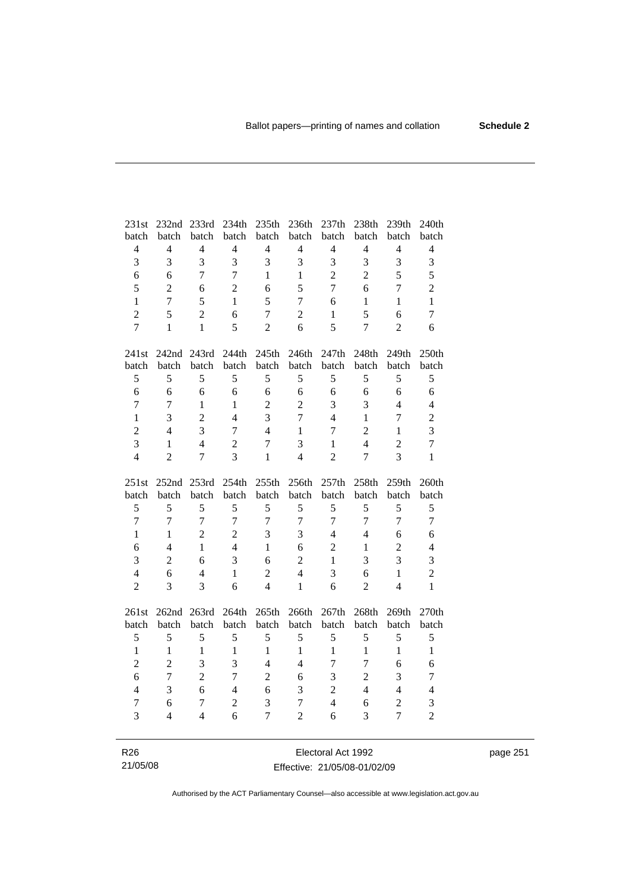| 231st          | 232nd 233rd                   |                          | 234th               | 235th               | 236th               | 237th               | 238th                   | 239th                            | 240th               |
|----------------|-------------------------------|--------------------------|---------------------|---------------------|---------------------|---------------------|-------------------------|----------------------------------|---------------------|
| batch          | batch                         | batch                    | batch               | batch               | batch               | batch               | batch                   | batch                            | batch               |
| $\overline{4}$ | $\overline{4}$                | $\overline{4}$           | $\overline{4}$      | $\overline{4}$      | $\overline{4}$      | $\overline{4}$      | $\overline{4}$          | $\overline{4}$                   | $\overline{4}$      |
| 3              | 3                             | 3                        | 3                   | 3                   | 3                   | 3                   | $\overline{3}$          | 3                                | $\overline{3}$      |
| $\sqrt{6}$     | 6                             | $\overline{7}$           | $\tau$              | $\mathbf{1}$        | $\mathbf{1}$        | $\overline{2}$      | $\overline{c}$          | 5                                | 5                   |
| 5              | $\overline{c}$                | 6                        | $\overline{2}$      | 6                   | 5                   | $\overline{7}$      | 6                       | $\overline{7}$                   | $\overline{c}$      |
| $\mathbf{1}$   | $\overline{7}$                | 5                        | $\mathbf{1}$        | 5                   | $\overline{7}$      | 6                   | $\mathbf{1}$            | $\mathbf{1}$                     | $\mathbf{1}$        |
| $\overline{2}$ | 5                             | $\overline{2}$           | 6                   | $\overline{7}$      | $\overline{c}$      | $\mathbf{1}$        | 5                       | 6                                | $\tau$              |
| $\overline{7}$ | $\mathbf{1}$                  | $\mathbf{1}$             | 5                   | $\overline{2}$      | 6                   | 5                   | $\overline{7}$          | $\overline{2}$                   | 6                   |
| 241st          |                               | 242nd 243rd              | 244th               | 245th               | 246th               | 247th               | 248th                   | 249th                            | 250th               |
| batch          | batch                         | batch                    | batch               | batch               | batch               | batch               | batch                   | batch                            | batch               |
| 5              | 5                             | 5                        | 5                   | 5                   | 5                   | 5                   | 5                       | 5                                | 5                   |
| $\sqrt{6}$     | 6                             | 6                        | 6                   | 6                   | 6                   | $\sqrt{6}$          | 6                       | 6                                | $\sqrt{6}$          |
| $\tau$         | 7                             | $\mathbf{1}$             | 1                   | $\overline{2}$      | $\overline{2}$      | 3                   | 3                       | $\overline{4}$                   | $\overline{4}$      |
| $\mathbf{1}$   | 3                             | $\overline{2}$           | $\overline{4}$      | 3                   | $\overline{7}$      | $\overline{4}$      | $\mathbf{1}$            | $\tau$                           | $\overline{c}$      |
| $\overline{2}$ | $\overline{4}$                | 3                        | $\boldsymbol{7}$    | $\overline{4}$      | $\mathbf{1}$        | $\tau$              | $\overline{2}$          | $\mathbf{1}$                     | $\overline{3}$      |
| $\overline{3}$ | $\mathbf{1}$                  | $\overline{4}$           | $\overline{2}$      | $\overline{7}$      | 3                   | $\mathbf{1}$        | $\overline{\mathbf{4}}$ | $\overline{c}$                   | $\overline{7}$      |
| $\overline{4}$ | $\overline{2}$                | $\overline{7}$           | 3                   | $\mathbf{1}$        | $\overline{4}$      | $\overline{2}$      | $\overline{7}$          | 3                                | $\mathbf{1}$        |
|                |                               |                          |                     |                     |                     |                     |                         |                                  |                     |
|                |                               |                          |                     |                     |                     |                     |                         |                                  |                     |
| 251st          | 252nd 253rd                   |                          | 254th               | 255th               | 256th               | 257th               | 258th                   | 259th                            | 260th               |
| batch          | batch                         | batch                    | batch               | batch               | batch               | batch               | batch                   | batch                            | batch               |
| 5              | 5                             | 5                        | 5                   | 5                   | 5                   | 5                   | 5                       | 5                                | 5                   |
| $\overline{7}$ | $\tau$                        | $\overline{7}$           | $\overline{7}$      | $\overline{7}$      | $\tau$              | $\tau$              | $\tau$                  | $\overline{7}$                   | $\overline{7}$      |
| $\mathbf{1}$   | $\mathbf{1}$                  | $\overline{2}$           | $\overline{2}$      | 3                   | 3                   | $\overline{4}$      | $\overline{4}$          | 6                                | 6                   |
| 6              | $\overline{4}$                | $\mathbf{1}$             | $\overline{4}$      | $\mathbf{1}$        | 6                   | $\overline{2}$      | $\mathbf{1}$            | $\overline{c}$                   | $\overline{4}$      |
| $\overline{3}$ | $\overline{c}$                | 6                        | 3                   | 6                   | $\overline{c}$      | $\mathbf{1}$        | 3                       | 3                                | 3                   |
| $\overline{4}$ | 6                             | $\overline{4}$           | $\mathbf{1}$        | $\sqrt{2}$          | $\overline{4}$      | 3                   | 6                       | $\mathbf{1}$                     | $\overline{c}$      |
| $\overline{2}$ | 3                             | 3                        | 6                   | $\overline{4}$      | $\mathbf{1}$        | 6                   | $\overline{2}$          | $\overline{4}$                   | $\mathbf{1}$        |
|                |                               |                          |                     |                     |                     |                     |                         |                                  |                     |
| 261st          | 262nd                         | 263rd                    | 264th               | 265th               | 266th               | 267th               | 268th                   | 269th                            | 270th               |
| batch          | batch                         | batch                    | batch               | batch               | batch               | batch               | batch                   | batch                            | batch               |
| 5              | 5                             | 5                        | 5                   | 5                   | 5                   | 5                   | 5                       | 5                                | 5                   |
| $\mathbf{1}$   | $\mathbf{1}$                  | $\mathbf{1}$             | $\mathbf{1}$        | $\mathbf{1}$        | $\mathbf{1}$        | $\mathbf{1}$        | $\mathbf{1}$            | $\mathbf{1}$                     | $\mathbf{1}$        |
| $\overline{c}$ | $\overline{c}$                | 3                        | 3                   | $\overline{4}$      | $\overline{4}$      | $\overline{7}$      | $\overline{7}$          | 6                                | 6                   |
| 6              | $\overline{7}$                | $\overline{2}$           | $\overline{7}$      | $\overline{2}$      | 6                   | 3                   | $\overline{2}$          | 3                                | $\overline{7}$      |
| $\overline{4}$ | 3                             | 6                        | $\overline{4}$      | 6                   | 3                   | $\overline{2}$      | $\overline{4}$          | $\overline{4}$                   | $\overline{4}$      |
| $\tau$<br>3    | 6<br>$\overline{\mathcal{L}}$ | $\tau$<br>$\overline{4}$ | $\overline{2}$<br>6 | 3<br>$\overline{7}$ | 7<br>$\overline{2}$ | $\overline{4}$<br>6 | 6<br>3                  | $\overline{2}$<br>$\overline{7}$ | 3<br>$\overline{c}$ |

R26 21/05/08

Electoral Act 1992 Effective: 21/05/08-01/02/09 page 251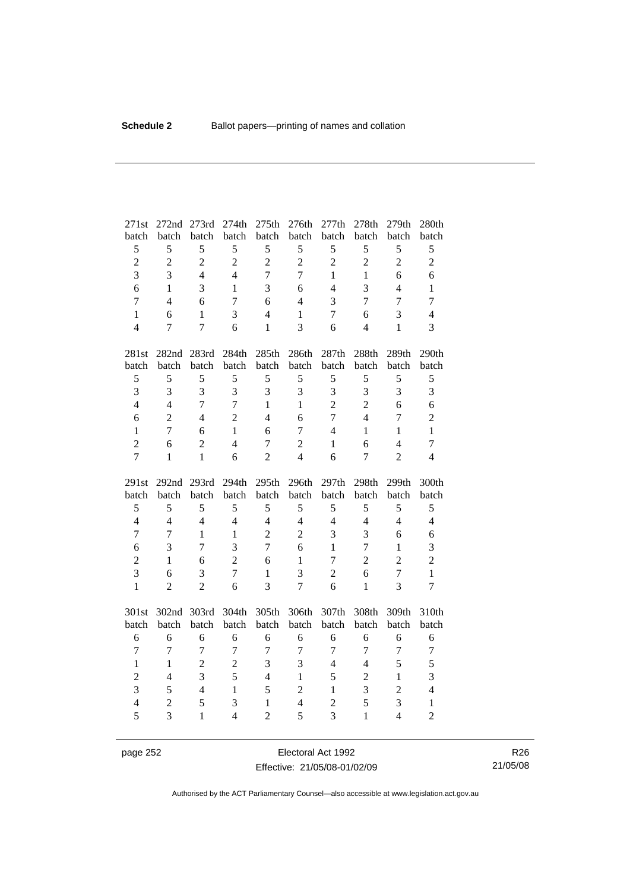| 271st               | 272nd               | 273rd             | 274th               | 275th                          | 276th               | 277th               | 278th             | 279th               | 280th                          |
|---------------------|---------------------|-------------------|---------------------|--------------------------------|---------------------|---------------------|-------------------|---------------------|--------------------------------|
| batch               | batch               | batch             | batch               | batch                          | batch               | batch               | batch             | batch               | batch                          |
| 5                   | 5                   | 5                 | 5                   | 5                              | 5                   | 5                   | 5                 | 5                   | 5                              |
| $\overline{c}$      | $\overline{c}$      | $\overline{2}$    | $\overline{2}$      | $\overline{2}$                 | $\overline{c}$      | $\overline{2}$      | $\overline{c}$    | $\overline{2}$      | $\overline{2}$                 |
| $\overline{3}$      | 3                   | $\overline{4}$    | $\overline{4}$      | $\overline{7}$                 | $\overline{7}$      | $\mathbf{1}$        | $\mathbf{1}$      | 6                   | 6                              |
| 6                   | $\mathbf{1}$        | 3                 | $\mathbf{1}$        | 3                              | 6                   | $\overline{4}$      | 3                 | $\overline{4}$      | $\mathbf{1}$                   |
| $\overline{7}$      | $\overline{4}$      | 6                 | $\overline{7}$      | 6                              | $\overline{4}$      | 3                   | $\overline{7}$    | $\overline{7}$      | $\overline{7}$                 |
| $\mathbf{1}$        | 6                   | $\mathbf{1}$      | 3                   | $\overline{4}$                 | $\mathbf{1}$        | $\tau$              | 6                 | 3                   | $\overline{4}$                 |
| $\overline{4}$      | 7                   | $\tau$            | 6                   | $\mathbf{1}$                   | $\overline{3}$      | 6                   | $\overline{4}$    | $\mathbf{1}$        | 3                              |
| 281st               | 282nd               | 283rd             | 284th               | 285th                          | 286th               | 287th               | 288th             | 289th               | 290th                          |
| batch               | batch               | batch             | batch               | batch                          | batch               | batch               | batch             | batch               | batch                          |
| 5                   | 5                   | 5                 | 5                   | 5                              | $\sqrt{5}$          | 5                   | 5                 | 5                   | 5                              |
| $\overline{3}$      | 3                   | $\overline{3}$    | $\overline{3}$      | 3                              | 3                   | 3                   | 3                 | 3                   | 3                              |
| $\overline{4}$      | $\overline{4}$      | $\overline{7}$    | $\overline{7}$      | $\mathbf{1}$                   | $\mathbf{1}$        | $\overline{2}$      | $\overline{2}$    | 6                   | 6                              |
| 6                   | $\overline{2}$      | $\overline{4}$    | $\overline{2}$      | $\overline{4}$                 | 6                   | $\overline{7}$      | $\overline{4}$    | 7                   | $\overline{c}$                 |
| $\mathbf{1}$        | $\overline{7}$      | 6                 | $\mathbf{1}$        | 6                              | $\overline{7}$      | $\overline{4}$      | $\mathbf{1}$      | $\mathbf{1}$        | $\mathbf{1}$                   |
| $\overline{2}$      | 6                   | $\overline{2}$    | $\overline{4}$      | $\overline{7}$                 | $\overline{c}$      | $\mathbf{1}$        | 6                 | $\overline{4}$      | $\overline{7}$                 |
| $\overline{7}$      | $\mathbf{1}$        | $\mathbf{1}$      | 6                   | $\overline{2}$                 | $\overline{4}$      | 6                   | $\overline{7}$    | $\overline{2}$      | $\overline{4}$                 |
|                     |                     |                   |                     |                                |                     |                     |                   |                     |                                |
| 291st               | 292 <sub>nd</sub>   | 293rd             | 294th               | 295th                          | 296th               | 297th               | 298th             | 299th               | 300th                          |
| batch               | batch               | batch             | batch               | batch                          | batch               | batch               | batch             | batch               | batch                          |
| 5                   | 5                   | 5                 | 5                   | 5                              | 5                   | 5                   | 5                 | 5                   | 5                              |
| $\overline{4}$      | $\overline{4}$      | $\overline{4}$    | $\overline{4}$      | $\overline{4}$                 | $\overline{4}$      | $\overline{4}$      | $\overline{4}$    | $\overline{4}$      | $\overline{4}$                 |
| $\overline{7}$      | $\overline{7}$      | $\mathbf{1}$      | $\mathbf{1}$        | $\overline{2}$                 | $\overline{c}$      | 3                   | $\overline{3}$    | 6                   | 6                              |
| 6                   | 3                   | 7                 | 3                   | $\overline{7}$                 | 6                   | $\mathbf{1}$        | $\tau$            | $\mathbf{1}$        | 3                              |
| $\overline{c}$      | $\mathbf{1}$        | 6                 | $\overline{2}$      | 6                              | $\mathbf{1}$        | 7                   | $\overline{2}$    | $\overline{2}$      | $\overline{2}$                 |
| 3                   | 6                   | 3                 | $\overline{7}$      | $\mathbf{1}$                   | 3                   | $\overline{2}$      | 6                 | $\overline{7}$      | $\mathbf{1}$                   |
| $\mathbf{1}$        | $\overline{2}$      | $\overline{2}$    | 6                   | 3                              | $\overline{7}$      | 6                   | $\mathbf{1}$      | 3                   | $\overline{7}$                 |
| 301st               | 302nd 303rd         |                   | 304th               | 305th                          | 306th               | 307th               | 308th             | 309th               | 310th                          |
| batch               | batch               | batch             | batch               | batch                          | batch               | batch               | batch             | batch               | batch                          |
| 6                   | 6                   | 6                 | 6                   | 6                              | 6                   | 6                   | 6                 | 6                   | 6                              |
| $\overline{7}$      | $\tau$              | $\overline{7}$    | $\boldsymbol{7}$    | $\overline{7}$                 | $\boldsymbol{7}$    | $\overline{7}$      | $\boldsymbol{7}$  | $\boldsymbol{7}$    | $\boldsymbol{7}$               |
| $\mathbf{1}$        | $\mathbf{1}$        | $\overline{2}$    | $\overline{2}$      | 3                              | 3                   | $\overline{4}$      | $\overline{4}$    | 5                   | 5                              |
| $\overline{c}$      | $\overline{4}$      | $\overline{3}$    | 5                   | $\overline{4}$                 | $\mathbf{1}$        | 5                   | $\overline{2}$    | $\mathbf{1}$        | 3                              |
| 3                   | 5                   | $\overline{4}$    | $\mathbf{1}$        | 5                              | $\overline{2}$      | $\mathbf{1}$        | 3                 | $\overline{2}$      | $\overline{4}$                 |
| $\overline{4}$<br>5 | $\overline{2}$<br>3 | 5<br>$\mathbf{1}$ | 3<br>$\overline{4}$ | $\mathbf{1}$<br>$\overline{2}$ | $\overline{4}$<br>5 | $\overline{2}$<br>3 | 5<br>$\mathbf{1}$ | 3<br>$\overline{4}$ | $\mathbf{1}$<br>$\overline{2}$ |

page 252 **Electoral Act 1992** Effective: 21/05/08-01/02/09

R26 21/05/08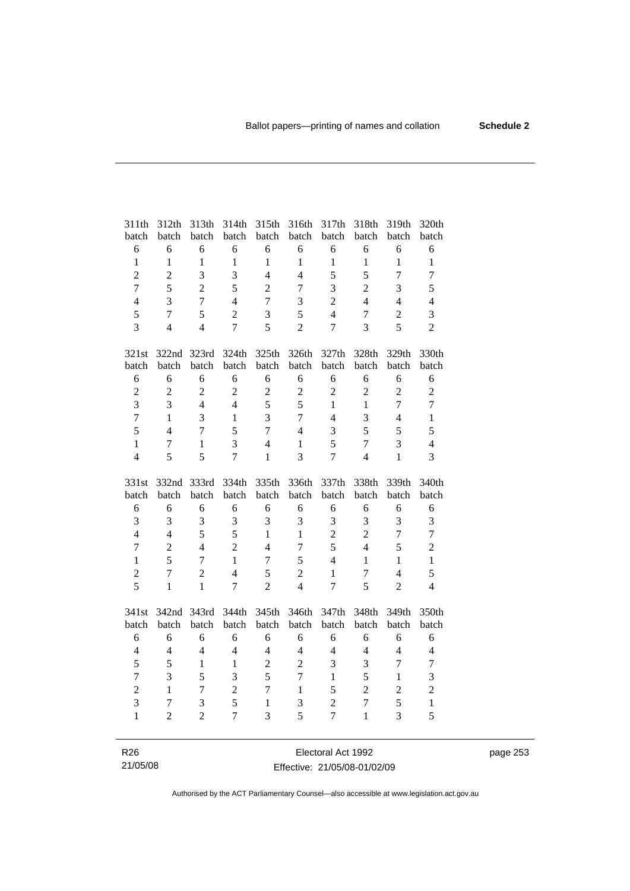| 311th            | 312th            | 313th          | 314th                   | 315th            | 316th            | 317th          | 318th            | 319th          | 320th          |
|------------------|------------------|----------------|-------------------------|------------------|------------------|----------------|------------------|----------------|----------------|
| batch            | batch            | batch          | batch                   | batch            | batch            | batch          | batch            | batch          | batch          |
| $\epsilon$       | 6                | 6              | 6                       | 6                | $\sqrt{6}$       | 6              | 6                | 6              | 6              |
| $\mathbf{1}$     | $\mathbf{1}$     | $\mathbf{1}$   | $\mathbf{1}$            | $\mathbf{1}$     | $\mathbf{1}$     | $\mathbf{1}$   | $\mathbf{1}$     | $\mathbf{1}$   | $\mathbf{1}$   |
| $\overline{2}$   | $\overline{2}$   | 3              | 3                       | $\overline{4}$   | $\overline{4}$   | 5              | 5                | $\overline{7}$ | $\overline{7}$ |
| $\overline{7}$   | 5                | $\overline{2}$ | 5                       | $\overline{2}$   | $\tau$           | 3              | $\overline{2}$   | 3              | 5              |
| $\overline{4}$   | 3                | $\overline{7}$ | $\overline{4}$          | $\overline{7}$   | 3                | $\overline{2}$ | $\overline{4}$   | $\overline{4}$ | $\overline{4}$ |
| 5                | $\overline{7}$   | 5              | $\overline{2}$          | 3                | 5                | $\overline{4}$ | $\tau$           | $\sqrt{2}$     | 3              |
| $\overline{3}$   | $\overline{4}$   | $\overline{4}$ | $\overline{7}$          | 5                | $\overline{2}$   | $\overline{7}$ | $\overline{3}$   | 5              | $\overline{2}$ |
| 321st            |                  | 322nd 323rd    | 324th                   | 325th            | 326th            | 327th          | 328th            | 329th          | 330th          |
| batch            | batch            | batch          | batch                   | batch            | batch            | batch          | batch            | batch          | batch          |
| 6                | 6                | 6              | 6                       | 6                | 6                | 6              | 6                | 6              | 6              |
| $\overline{c}$   | $\sqrt{2}$       | $\overline{c}$ | $\overline{2}$          | $\overline{2}$   | $\mathbf{2}$     | $\overline{2}$ | $\overline{c}$   | $\overline{c}$ | $\overline{c}$ |
| $\overline{3}$   | 3                | $\overline{4}$ | $\overline{4}$          | 5                | 5                | $\mathbf{1}$   | $\mathbf{1}$     | $\overline{7}$ | $\overline{7}$ |
| $\overline{7}$   | $\mathbf{1}$     | $\overline{3}$ | $\mathbf{1}$            | 3                | $\overline{7}$   | $\overline{4}$ | 3                | $\overline{4}$ | $\mathbf{1}$   |
| 5                | $\overline{4}$   | $\tau$         | 5                       | $\overline{7}$   | $\overline{4}$   | 3              | 5                | 5              | 5              |
| $\mathbf{1}$     | $\boldsymbol{7}$ | $\mathbf{1}$   | $\overline{\mathbf{3}}$ | $\overline{4}$   | $\mathbf{1}$     | 5              | $\overline{7}$   | 3              | $\overline{4}$ |
| $\overline{4}$   | 5                | 5              | $\overline{7}$          | $\mathbf{1}$     | 3                | $\overline{7}$ | $\overline{4}$   | $\mathbf{1}$   | $\overline{3}$ |
|                  |                  |                |                         |                  |                  |                |                  |                |                |
| 331st            | 332nd 333rd      |                | 334th                   | 335th            | 336th            | 337th          | 338th            | 339th          | 340th          |
| batch            | batch            | batch          | batch                   | batch            | batch            | batch          | batch            | batch          | batch          |
| 6                | 6                | 6              | 6                       | 6                | 6                | 6              | 6                | 6              | 6              |
| $\overline{3}$   | 3                | 3              | 3                       | 3                | 3                | 3              | 3                | 3              | 3              |
| $\overline{4}$   | $\overline{4}$   | 5              | 5                       | $\mathbf{1}$     | $\mathbf{1}$     | $\overline{c}$ | $\overline{2}$   | $\overline{7}$ | $\overline{7}$ |
| $\boldsymbol{7}$ | $\overline{2}$   | $\overline{4}$ | $\overline{2}$          | $\overline{4}$   | $\overline{7}$   | 5              | $\overline{4}$   | 5              | $\overline{2}$ |
| $\mathbf{1}$     | 5                | $\overline{7}$ | $\mathbf{1}$            | $\boldsymbol{7}$ | 5                | $\overline{4}$ | $\mathbf{1}$     | $\mathbf{1}$   | $\mathbf{1}$   |
| $\overline{c}$   | $\overline{7}$   | $\overline{2}$ | $\overline{4}$          | 5                | $\overline{2}$   | $\mathbf{1}$   | $\boldsymbol{7}$ | $\overline{4}$ | 5              |
| 5                | $\mathbf{1}$     | $\mathbf{1}$   | $\overline{7}$          | $\overline{2}$   | $\overline{4}$   | $\overline{7}$ | 5                | $\overline{2}$ | $\overline{4}$ |
| 341st            | 342nd            | 343rd          | 344th                   | 345th            | 346th            | 347th          | 348th            | 349th          | 350th          |
| batch            | batch            | batch          | batch                   | batch            | batch            | batch          | batch            | batch          | batch          |
| 6                | 6                | 6              | 6                       | 6                | 6                | 6              | 6                | 6              | 6              |
| $\overline{4}$   | $\overline{4}$   | $\overline{4}$ | $\overline{4}$          | $\overline{4}$   | $\overline{4}$   | $\overline{4}$ | $\overline{4}$   | $\overline{4}$ | $\overline{4}$ |
| 5                | 5                | $\mathbf{1}$   | $\mathbf{1}$            | $\overline{2}$   | $\overline{c}$   | 3              | 3                | $\overline{7}$ | $\tau$         |
| $\overline{7}$   | 3                | 5              | 3                       | 5                | $\boldsymbol{7}$ | $\mathbf{1}$   | 5                | $\mathbf{1}$   | 3              |
| $\overline{c}$   | $\mathbf{1}$     | $\overline{7}$ | $\overline{2}$          | $\overline{7}$   | $\mathbf{1}$     | 5              | $\overline{2}$   | $\overline{c}$ | $\overline{2}$ |
| 3                | 7                | $\mathfrak{Z}$ | 5                       | $\mathbf{1}$     | 3                | $\overline{2}$ | $\overline{7}$   | 5              | $\mathbf{1}$   |
| $\mathbf{1}$     | 2                | $\overline{2}$ | $\overline{7}$          | 3                | 5                | $\overline{7}$ | $\mathbf{1}$     | 3              | 5              |

page 253

R26 21/05/08

Electoral Act 1992 Effective: 21/05/08-01/02/09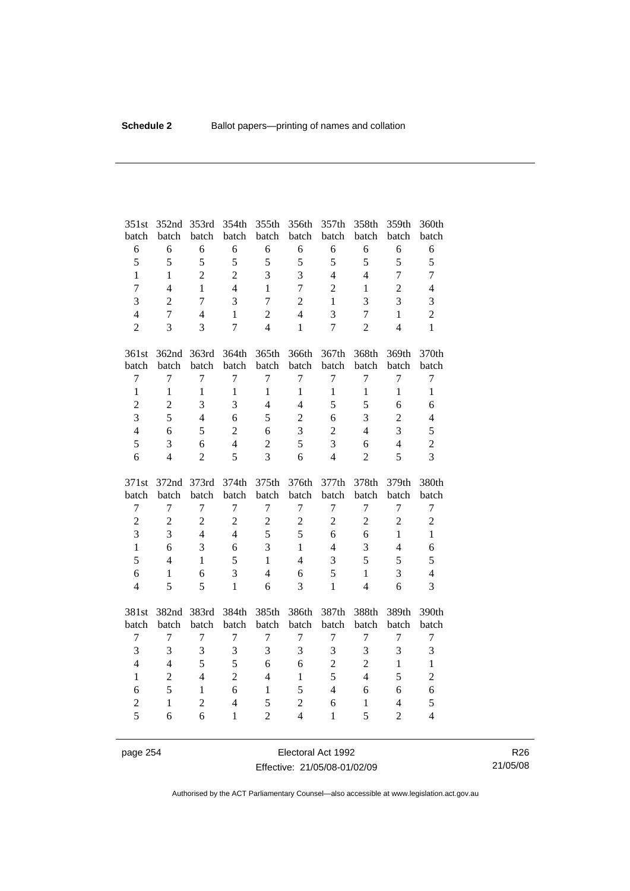| 351st                            | 352nd          | 353rd          | 354th          | 355th          | 356th          | 357th          | 358th          | 359th          | 360th                   |
|----------------------------------|----------------|----------------|----------------|----------------|----------------|----------------|----------------|----------------|-------------------------|
| batch                            | batch          | batch          | batch          | batch          | batch          | batch          | batch          | batch          | batch                   |
| 6                                | 6              | 6              | 6              | 6              | 6              | 6              | 6              | 6              | $\sqrt{6}$              |
| 5                                | 5              | 5              | 5              | 5              | 5              | 5              | 5              | 5              | 5                       |
| $\mathbf{1}$                     | $\mathbf{1}$   | $\overline{c}$ | $\overline{2}$ | 3              | $\overline{3}$ | $\overline{4}$ | $\overline{4}$ | $\overline{7}$ | $\overline{7}$          |
| $\overline{7}$                   | $\overline{4}$ | $\mathbf{1}$   | $\overline{4}$ | $\mathbf{1}$   | $\overline{7}$ | $\overline{2}$ | $\mathbf{1}$   | $\overline{2}$ | $\overline{4}$          |
| $\overline{3}$                   | $\overline{2}$ | $\overline{7}$ | 3              | $\overline{7}$ | $\overline{2}$ | $\mathbf{1}$   | 3              | 3              | 3                       |
| $\overline{4}$                   | $\overline{7}$ | $\overline{4}$ | $\mathbf{1}$   | $\overline{2}$ | $\overline{4}$ | 3              | $\overline{7}$ | $\mathbf{1}$   | $\overline{2}$          |
| $\overline{2}$                   | 3              | 3              | $\overline{7}$ | $\overline{4}$ | $\mathbf{1}$   | $\overline{7}$ | $\overline{2}$ | $\overline{4}$ | $\mathbf{1}$            |
| 361st                            | 362nd          | 363rd          | 364th          | 365th          | 366th          | 367th          | 368th          | 369th          | 370th                   |
| batch                            | batch          | batch          | batch          | batch          | batch          | batch          | batch          | batch          | batch                   |
| $\tau$                           | $\overline{7}$ | $\tau$         | $\tau$         | $\overline{7}$ | $\tau$         | $\tau$         | $\tau$         | $\overline{7}$ | $\boldsymbol{7}$        |
| $\mathbf{1}$                     | $\mathbf{1}$   | $\mathbf{1}$   | $\mathbf{1}$   | $\mathbf{1}$   | $\mathbf{1}$   | $\mathbf{1}$   | $\mathbf{1}$   | $\mathbf{1}$   | $\mathbf{1}$            |
| $\overline{c}$                   | $\overline{c}$ | $\overline{3}$ | 3              | $\overline{4}$ | $\overline{4}$ | 5              | 5              | 6              | 6                       |
| 3                                | 5              | $\overline{4}$ | 6              | 5              | $\overline{c}$ | 6              | 3              | $\overline{2}$ | $\overline{4}$          |
| $\overline{4}$                   | 6              | 5              | $\overline{2}$ | 6              | 3              | $\overline{2}$ | $\overline{4}$ | 3              | 5                       |
| 5                                | 3              | 6              | $\overline{4}$ | $\overline{2}$ | 5              | 3              | 6              | $\overline{4}$ | $\overline{2}$          |
| 6                                | $\overline{4}$ | $\overline{2}$ | 5              | $\overline{3}$ | 6              | $\overline{4}$ | $\overline{2}$ | 5              | $\overline{3}$          |
|                                  |                |                |                |                |                |                |                |                |                         |
| 371st                            | 372nd          | 373rd          | 374th          | 375th          | 376th          | 377th          | 378th          | 379th          | 380th                   |
| batch                            | batch          | batch          | batch          | batch          | batch          | batch          | batch          | batch          | batch                   |
| $\boldsymbol{7}$                 | $\overline{7}$ | $\tau$         | $\tau$         | $\overline{7}$ | $\tau$         | $\tau$         | $\tau$         | $\overline{7}$ | $\boldsymbol{7}$        |
| $\overline{2}$                   | $\overline{2}$ | $\overline{2}$ | $\overline{2}$ | $\overline{2}$ | $\overline{c}$ | $\overline{2}$ | $\overline{2}$ | $\overline{2}$ | $\overline{c}$          |
| 3                                | 3              | $\overline{4}$ | $\overline{4}$ | 5              | 5              | 6              | 6              | $\mathbf{1}$   | $\mathbf{1}$            |
| $\mathbf{1}$                     | 6              | 3              | 6              | 3              | $\mathbf{1}$   | $\overline{4}$ | $\overline{3}$ | $\overline{4}$ | 6                       |
| 5                                | $\overline{4}$ | $\mathbf{1}$   | 5              | $\mathbf{1}$   | $\overline{4}$ | 3              | 5              | 5              | 5                       |
| 6                                | $\mathbf{1}$   | 6              | 3              | $\overline{4}$ | 6              | 5              | $\mathbf{1}$   | 3              | $\overline{4}$          |
| $\overline{4}$                   | 5              | 5              | $\mathbf{1}$   | 6              | 3              | $\mathbf{1}$   | $\overline{4}$ | 6              | 3                       |
| 381st                            | 382nd          | 383rd          | 384th          | 385th          | 386th          | 387th          | 388th          | 389th          | 390th                   |
| batch                            | batch          | batch          | batch          | batch          | batch          | batch          | batch          | batch          | batch                   |
| $\tau$                           | $\overline{7}$ | $\tau$         | $\tau$         | $\overline{7}$ | $\tau$         | $\tau$         | $\tau$         | $\tau$         | $\boldsymbol{7}$        |
| 3                                | 3              | 3              | 3              | 3              | 3              | 3              | 3              | 3              | $\overline{\mathbf{3}}$ |
| $\overline{\mathbf{4}}$          | $\overline{4}$ | 5              | 5              | 6              | 6              | $\overline{2}$ | $\overline{2}$ | $\mathbf{1}$   | $\,1\,$                 |
| $\mathbf{1}$                     | $\overline{2}$ | $\overline{4}$ | $\overline{2}$ | $\overline{4}$ | $\mathbf{1}$   | 5              | $\overline{4}$ | 5              | $\overline{c}$          |
| 6                                | 5              | $\mathbf{1}$   | 6              | $\mathbf{1}$   | 5              | $\overline{4}$ | 6              | 6              | 6                       |
| $\overline{c}$<br>$\overline{5}$ | $\mathbf{1}$   | $\overline{c}$ | $\overline{4}$ | 5              | $\overline{2}$ | 6              | $\mathbf{1}$   | $\overline{4}$ | 5                       |

page 254 Electoral Act 1992 Effective: 21/05/08-01/02/09

R26 21/05/08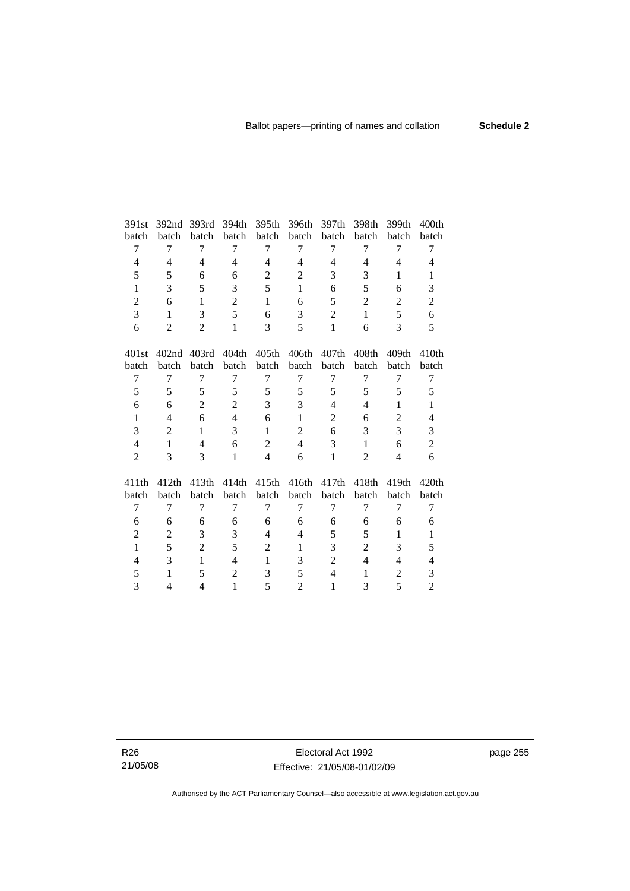| 391st                    | 392nd             | 393rd          | 394th            | 395th          | 396th             | 397th             | 398th          | 399th             | 400 <sub>th</sub>        |
|--------------------------|-------------------|----------------|------------------|----------------|-------------------|-------------------|----------------|-------------------|--------------------------|
| batch                    | batch             | batch          | batch            | batch          | batch             | batch             | batch          | batch             | batch                    |
| 7                        | 7                 | 7              | 7                | 7              | 7                 | 7                 | 7              | 7                 | 7                        |
| $\overline{\mathcal{L}}$ | 4                 | 4              | 4                | 4              | 4                 | 4                 | 4              | 4                 | 4                        |
| 5                        | 5                 | 6              | 6                | $\mathbf{2}$   | $\mathbf{2}$      | 3                 | 3              | $\mathbf{1}$      | $\mathbf{1}$             |
| $\mathbf{1}$             | 3                 | 5              | 3                | 5              | $\mathbf{1}$      | 6                 | 5              | 6                 | 3                        |
| $\overline{2}$           | 6                 | $\mathbf{1}$   | $\overline{2}$   | $\mathbf{1}$   | 6                 | 5                 | $\overline{2}$ | $\overline{2}$    | $\mathfrak{2}$           |
| 3                        | $\mathbf{1}$      | 3              | 5                | 6              | 3                 | $\overline{2}$    | $\mathbf{1}$   | 5                 | 6                        |
| 6                        | $\overline{2}$    | $\overline{2}$ | $\mathbf{1}$     | 3              | 5                 | $\mathbf{1}$      | 6              | 3                 | 5                        |
| 401st                    | 402 <sub>nd</sub> | 403rd          | 404th            | 405th          | 406th             | 407 <sub>th</sub> | 408th          | 409th             | 410th                    |
| batch                    | batch             | batch          | batch            | batch          | batch             | batch             | batch          | batch             | batch                    |
| 7                        | $\overline{7}$    | 7              | $\tau$           | $\overline{7}$ | 7                 | 7                 | 7              | 7                 | $\tau$                   |
| 5                        | 5                 | 5              | 5                | 5              | 5                 | 5                 | 5              | 5                 | 5                        |
| 6                        | 6                 | $\overline{2}$ | $\overline{2}$   | 3              | 3                 | $\overline{4}$    | $\overline{4}$ | $\mathbf{1}$      | $\mathbf{1}$             |
| $\mathbf{1}$             | 4                 | 6              | $\overline{4}$   | 6              | $\mathbf{1}$      | $\overline{2}$    | 6              | $\overline{2}$    | $\overline{\mathcal{L}}$ |
| 3                        | 2                 | $\mathbf{1}$   | 3                | $\mathbf{1}$   | $\overline{2}$    | 6                 | 3              | 3                 | 3                        |
| $\overline{4}$           | 1                 | 4              | 6                | $\mathbf{2}$   | $\overline{4}$    | 3                 | 1              | 6                 | $\overline{c}$           |
| $\overline{2}$           | 3                 | 3              | $\mathbf{1}$     | $\overline{4}$ | 6                 | $\mathbf{1}$      | $\overline{2}$ | $\overline{4}$    | 6                        |
| 411th                    | 412th             | 413th          | 414th            | 415th          | 416 <sup>th</sup> | 417th             | 418th          | 419 <sub>th</sub> | 420 <sub>th</sub>        |
| batch                    | batch             | batch          | batch            | batch          | batch             | batch             | batch          | batch             | batch                    |
| 7                        | 7                 | 7              | 7                | $\overline{7}$ | 7                 | 7                 | 7              | 7                 | 7                        |
| 6                        | 6                 | 6              | 6                | 6              | 6                 | 6                 | 6              | 6                 | 6                        |
| $\overline{c}$           | $\overline{c}$    | 3              | 3                | $\overline{4}$ | 4                 | 5                 | 5              | $\mathbf{1}$      | $\mathbf{1}$             |
| $\mathbf{1}$             | 5                 | $\overline{2}$ | 5                | $\overline{2}$ | $\mathbf{1}$      | 3                 | $\overline{2}$ | 3                 | 5                        |
| 4                        | 3                 | $\mathbf{1}$   | 4                | $\mathbf{1}$   | 3                 | $\overline{c}$    | 4              | 4                 | $\overline{\mathbf{4}}$  |
| 5                        | $\mathbf{1}$      | 5              | $\boldsymbol{2}$ | 3              | 5                 | $\overline{4}$    | 1              | $\overline{c}$    | 3                        |
| 3                        | 4                 | 4              | 1                | 5              | $\overline{2}$    | $\mathbf{1}$      | 3              | 5                 | $\mathbf{2}$             |
|                          |                   |                |                  |                |                   |                   |                |                   |                          |

R26 21/05/08 page 255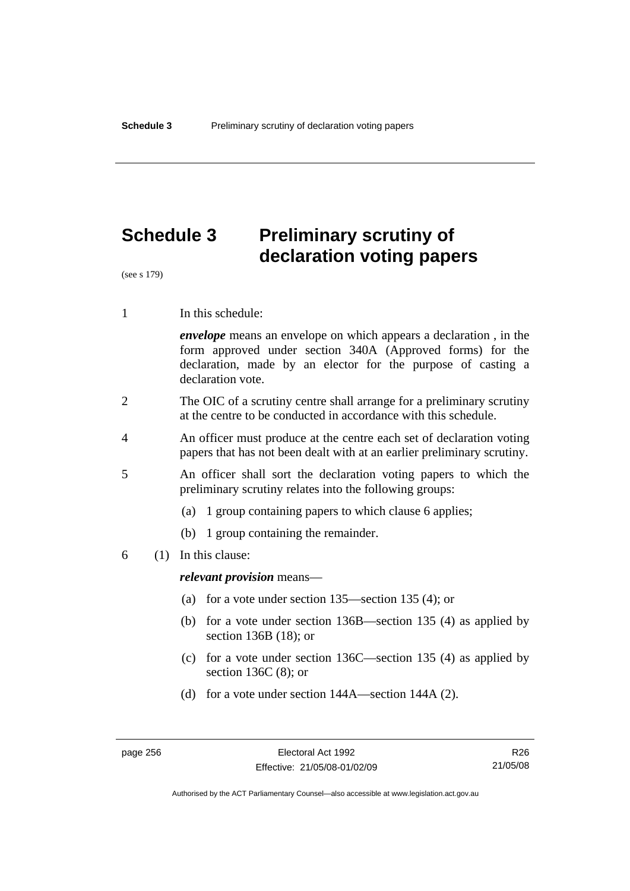# **Schedule 3 Preliminary scrutiny of declaration voting papers**

(see s 179)

1 In this schedule:

*envelope* means an envelope on which appears a declaration , in the form approved under section 340A (Approved forms) for the declaration, made by an elector for the purpose of casting a declaration vote.

- 2 The OIC of a scrutiny centre shall arrange for a preliminary scrutiny at the centre to be conducted in accordance with this schedule.
- 4 An officer must produce at the centre each set of declaration voting papers that has not been dealt with at an earlier preliminary scrutiny.
- 5 An officer shall sort the declaration voting papers to which the preliminary scrutiny relates into the following groups:
	- (a) 1 group containing papers to which clause 6 applies;
	- (b) 1 group containing the remainder.
- 6 (1) In this clause:

*relevant provision* means—

- (a) for a vote under section 135—section 135 (4); or
- (b) for a vote under section 136B—section 135 (4) as applied by section 136B (18); or
- (c) for a vote under section 136C—section 135 (4) as applied by section 136C (8); or
- (d) for a vote under section 144A—section 144A (2).

R26 21/05/08

Authorised by the ACT Parliamentary Counsel—also accessible at www.legislation.act.gov.au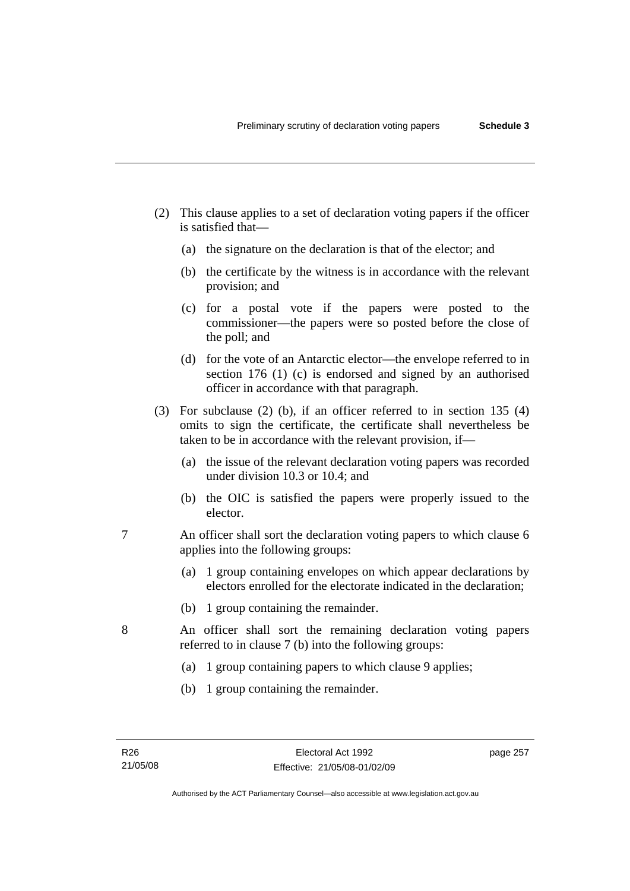- (2) This clause applies to a set of declaration voting papers if the officer is satisfied that—
	- (a) the signature on the declaration is that of the elector; and
	- (b) the certificate by the witness is in accordance with the relevant provision; and
	- (c) for a postal vote if the papers were posted to the commissioner—the papers were so posted before the close of the poll; and
	- (d) for the vote of an Antarctic elector—the envelope referred to in section 176 (1) (c) is endorsed and signed by an authorised officer in accordance with that paragraph.
- (3) For subclause (2) (b), if an officer referred to in section 135 (4) omits to sign the certificate, the certificate shall nevertheless be taken to be in accordance with the relevant provision, if—
	- (a) the issue of the relevant declaration voting papers was recorded under division 10.3 or 10.4; and
	- (b) the OIC is satisfied the papers were properly issued to the elector.
- 7 An officer shall sort the declaration voting papers to which clause 6 applies into the following groups:
	- (a) 1 group containing envelopes on which appear declarations by electors enrolled for the electorate indicated in the declaration;
	- (b) 1 group containing the remainder.
- 8 An officer shall sort the remaining declaration voting papers referred to in clause 7 (b) into the following groups:
	- (a) 1 group containing papers to which clause 9 applies;
	- (b) 1 group containing the remainder.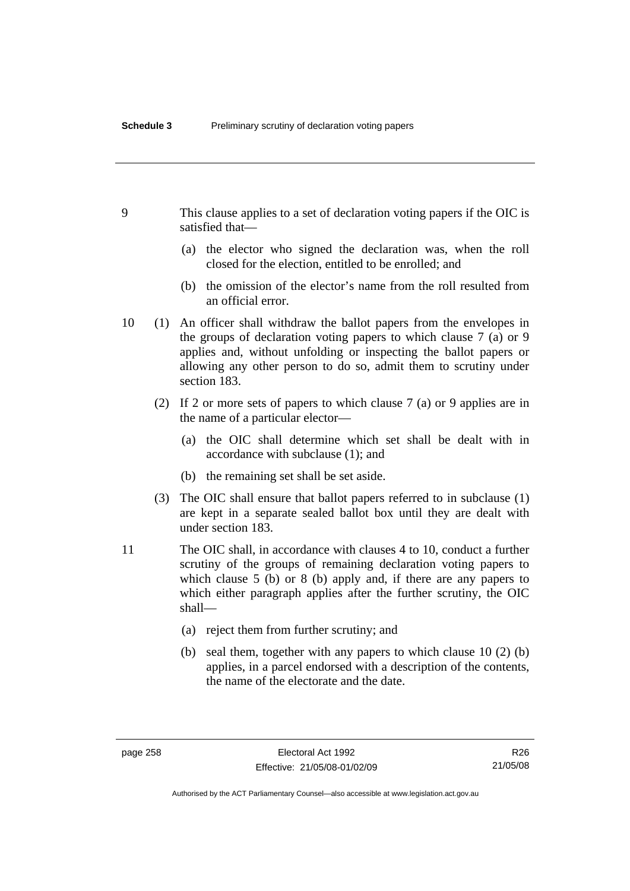- 9 This clause applies to a set of declaration voting papers if the OIC is satisfied that—
	- (a) the elector who signed the declaration was, when the roll closed for the election, entitled to be enrolled; and
	- (b) the omission of the elector's name from the roll resulted from an official error.
- 10 (1) An officer shall withdraw the ballot papers from the envelopes in the groups of declaration voting papers to which clause 7 (a) or 9 applies and, without unfolding or inspecting the ballot papers or allowing any other person to do so, admit them to scrutiny under section 183.
	- (2) If 2 or more sets of papers to which clause 7 (a) or 9 applies are in the name of a particular elector—
		- (a) the OIC shall determine which set shall be dealt with in accordance with subclause (1); and
		- (b) the remaining set shall be set aside.
	- (3) The OIC shall ensure that ballot papers referred to in subclause (1) are kept in a separate sealed ballot box until they are dealt with under section 183.
- 11 The OIC shall, in accordance with clauses 4 to 10, conduct a further scrutiny of the groups of remaining declaration voting papers to which clause 5 (b) or 8 (b) apply and, if there are any papers to which either paragraph applies after the further scrutiny, the OIC shall—
	- (a) reject them from further scrutiny; and
	- (b) seal them, together with any papers to which clause 10 (2) (b) applies, in a parcel endorsed with a description of the contents, the name of the electorate and the date.

Authorised by the ACT Parliamentary Counsel—also accessible at www.legislation.act.gov.au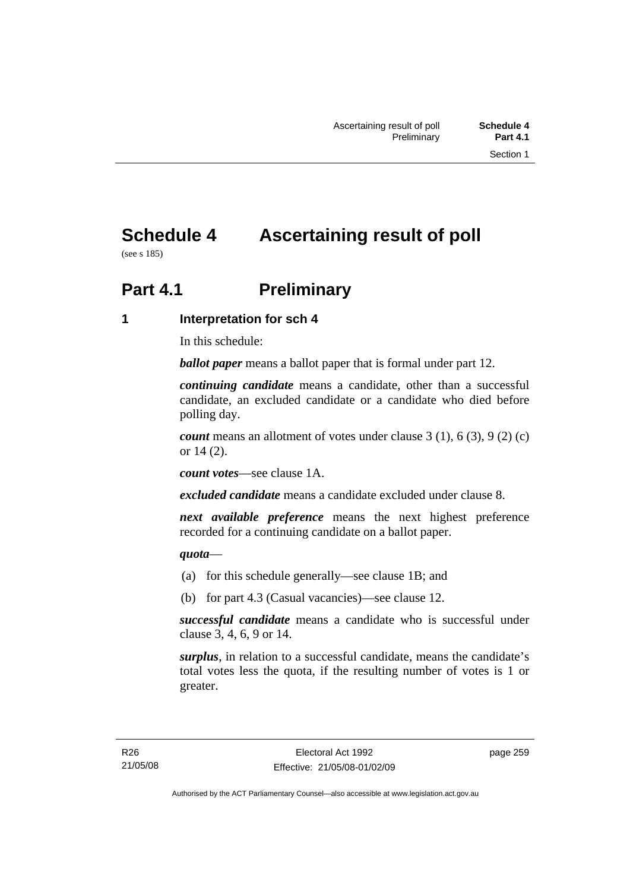# **Schedule 4 Ascertaining result of poll**

(see s 185)

## **Part 4.1** Preliminary

**1 Interpretation for sch 4** 

In this schedule:

*ballot paper* means a ballot paper that is formal under part 12.

*continuing candidate* means a candidate, other than a successful candidate, an excluded candidate or a candidate who died before polling day.

*count* means an allotment of votes under clause 3 (1), 6 (3), 9 (2) (c) or 14 (2).

*count votes*—see clause 1A.

*excluded candidate* means a candidate excluded under clause 8.

*next available preference* means the next highest preference recorded for a continuing candidate on a ballot paper.

*quota*—

- (a) for this schedule generally—see clause 1B; and
- (b) for part 4.3 (Casual vacancies)—see clause 12.

*successful candidate* means a candidate who is successful under clause 3, 4, 6, 9 or 14.

*surplus*, in relation to a successful candidate, means the candidate's total votes less the quota, if the resulting number of votes is 1 or greater.

page 259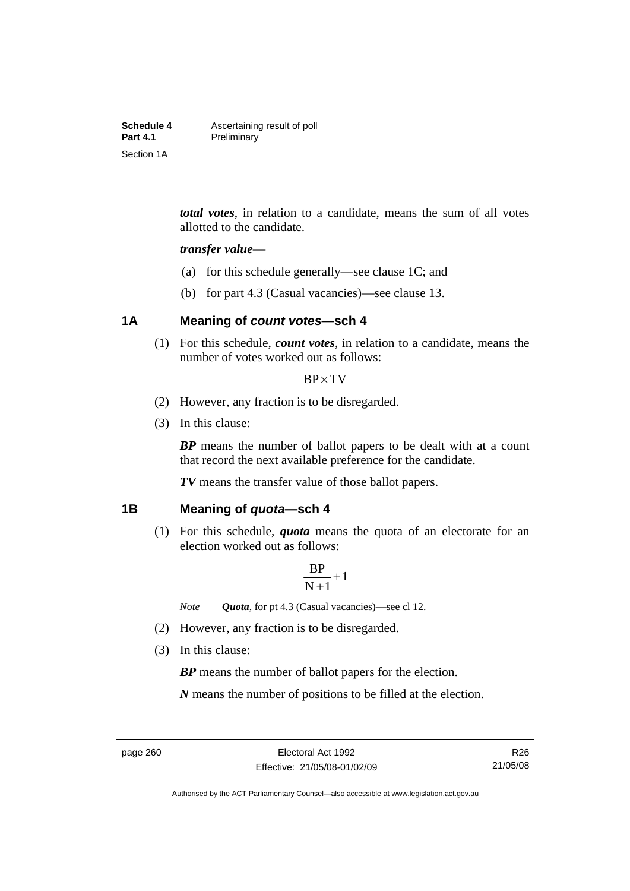| Schedule 4      | Ascertaining result of poll |
|-----------------|-----------------------------|
| <b>Part 4.1</b> | Preliminary                 |
| Section 1A      |                             |

*total votes*, in relation to a candidate, means the sum of all votes allotted to the candidate.

#### *transfer value*—

- (a) for this schedule generally—see clause 1C; and
- (b) for part 4.3 (Casual vacancies)—see clause 13.

### **1A Meaning of** *count votes***—sch 4**

 (1) For this schedule, *count votes*, in relation to a candidate, means the number of votes worked out as follows:

#### BP×TV

- (2) However, any fraction is to be disregarded.
- (3) In this clause:

*BP* means the number of ballot papers to be dealt with at a count that record the next available preference for the candidate.

*TV* means the transfer value of those ballot papers.

#### **1B Meaning of** *quota***—sch 4**

 (1) For this schedule, *quota* means the quota of an electorate for an election worked out as follows:

$$
\frac{BP}{N+1}\!+\!1
$$

*Note Quota*, for pt 4.3 (Casual vacancies)—see cl 12.

- (2) However, any fraction is to be disregarded.
- (3) In this clause:

*BP* means the number of ballot papers for the election.

*N* means the number of positions to be filled at the election.

Authorised by the ACT Parliamentary Counsel—also accessible at www.legislation.act.gov.au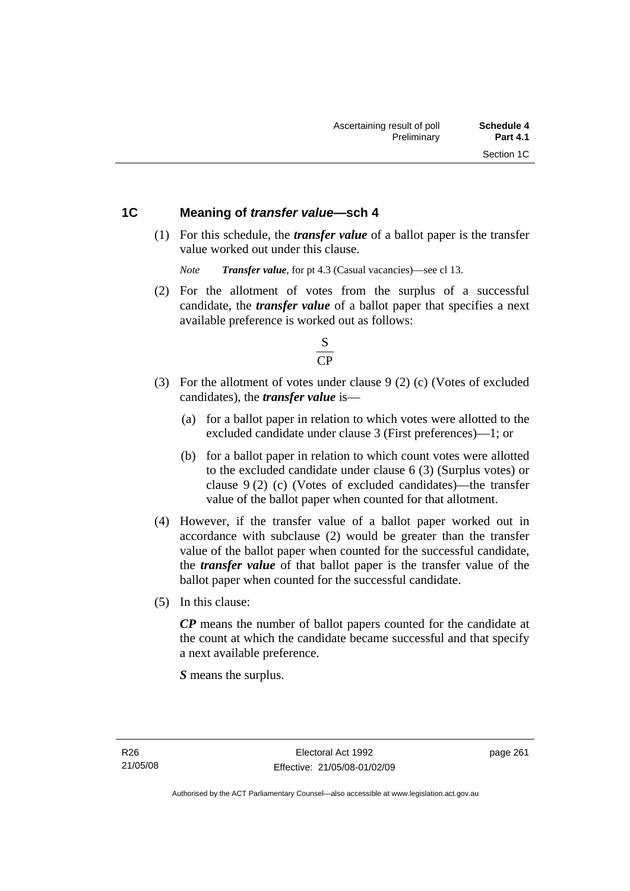### **1C Meaning of** *transfer value***—sch 4**

 (1) For this schedule, the *transfer value* of a ballot paper is the transfer value worked out under this clause.

*Note Transfer value*, for pt 4.3 (Casual vacancies)—see cl 13.

 (2) For the allotment of votes from the surplus of a successful candidate, the *transfer value* of a ballot paper that specifies a next available preference is worked out as follows:



- (3) For the allotment of votes under clause 9 (2) (c) (Votes of excluded candidates), the *transfer value* is—
	- (a) for a ballot paper in relation to which votes were allotted to the excluded candidate under clause 3 (First preferences)—1; or
	- (b) for a ballot paper in relation to which count votes were allotted to the excluded candidate under clause 6 (3) (Surplus votes) or clause 9 (2) (c) (Votes of excluded candidates)—the transfer value of the ballot paper when counted for that allotment.
- (4) However, if the transfer value of a ballot paper worked out in accordance with subclause (2) would be greater than the transfer value of the ballot paper when counted for the successful candidate, the *transfer value* of that ballot paper is the transfer value of the ballot paper when counted for the successful candidate.
- (5) In this clause:

*CP* means the number of ballot papers counted for the candidate at the count at which the candidate became successful and that specify a next available preference.

*S* means the surplus.

page 261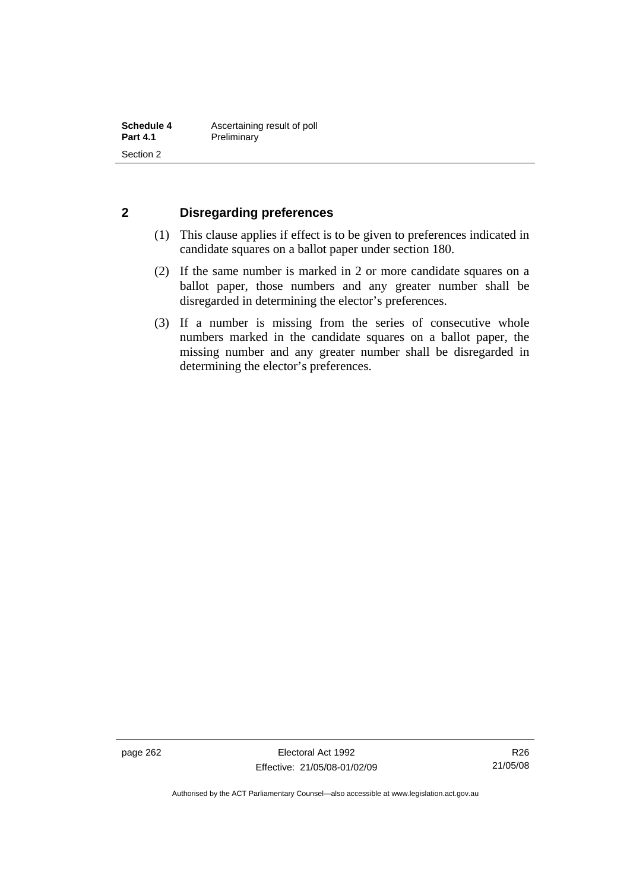### **2 Disregarding preferences**

- (1) This clause applies if effect is to be given to preferences indicated in candidate squares on a ballot paper under section 180.
- (2) If the same number is marked in 2 or more candidate squares on a ballot paper, those numbers and any greater number shall be disregarded in determining the elector's preferences.
- (3) If a number is missing from the series of consecutive whole numbers marked in the candidate squares on a ballot paper, the missing number and any greater number shall be disregarded in determining the elector's preferences.

page 262 Electoral Act 1992 Effective: 21/05/08-01/02/09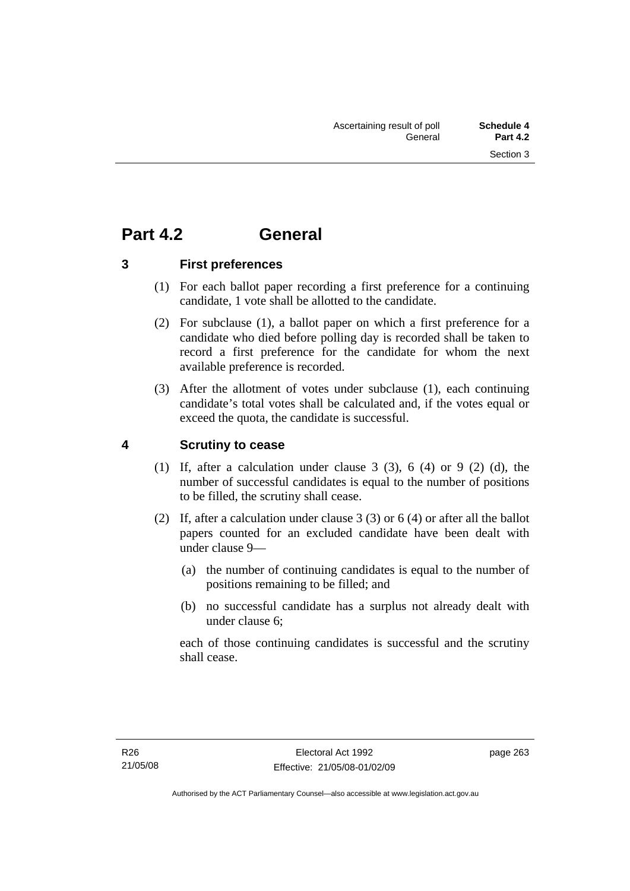## **Part 4.2 General**

**3 First preferences** 

- (1) For each ballot paper recording a first preference for a continuing candidate, 1 vote shall be allotted to the candidate.
- (2) For subclause (1), a ballot paper on which a first preference for a candidate who died before polling day is recorded shall be taken to record a first preference for the candidate for whom the next available preference is recorded.
- (3) After the allotment of votes under subclause (1), each continuing candidate's total votes shall be calculated and, if the votes equal or exceed the quota, the candidate is successful.

## **4 Scrutiny to cease**

- (1) If, after a calculation under clause  $3$  (3),  $6$  (4) or  $9$  (2) (d), the number of successful candidates is equal to the number of positions to be filled, the scrutiny shall cease.
- (2) If, after a calculation under clause 3 (3) or 6 (4) or after all the ballot papers counted for an excluded candidate have been dealt with under clause 9—
	- (a) the number of continuing candidates is equal to the number of positions remaining to be filled; and
	- (b) no successful candidate has a surplus not already dealt with under clause 6;

each of those continuing candidates is successful and the scrutiny shall cease.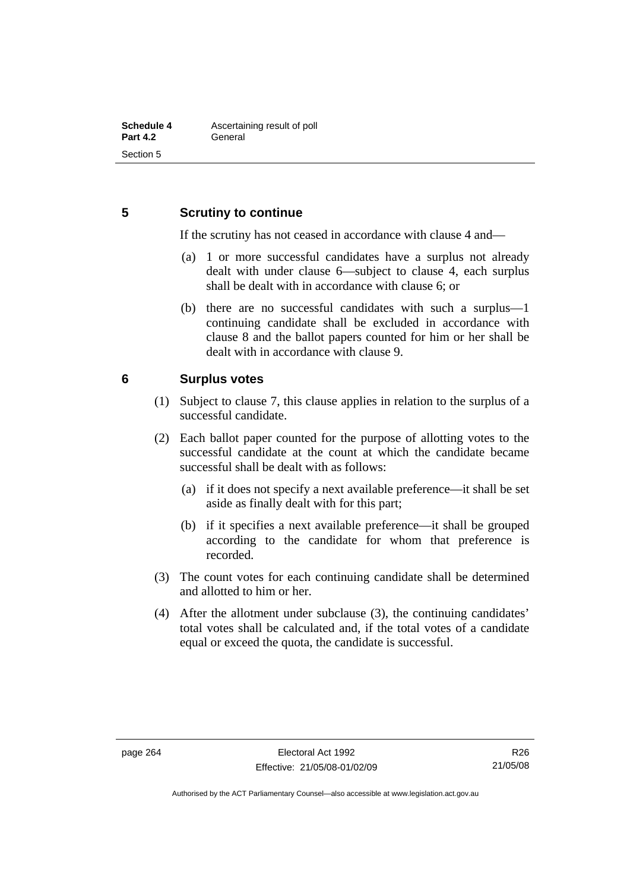### **5 Scrutiny to continue**

If the scrutiny has not ceased in accordance with clause 4 and—

- (a) 1 or more successful candidates have a surplus not already dealt with under clause 6—subject to clause 4, each surplus shall be dealt with in accordance with clause 6; or
- (b) there are no successful candidates with such a surplus—1 continuing candidate shall be excluded in accordance with clause 8 and the ballot papers counted for him or her shall be dealt with in accordance with clause 9.

### **6 Surplus votes**

- (1) Subject to clause 7, this clause applies in relation to the surplus of a successful candidate.
- (2) Each ballot paper counted for the purpose of allotting votes to the successful candidate at the count at which the candidate became successful shall be dealt with as follows:
	- (a) if it does not specify a next available preference—it shall be set aside as finally dealt with for this part;
	- (b) if it specifies a next available preference—it shall be grouped according to the candidate for whom that preference is recorded.
- (3) The count votes for each continuing candidate shall be determined and allotted to him or her.
- (4) After the allotment under subclause (3), the continuing candidates' total votes shall be calculated and, if the total votes of a candidate equal or exceed the quota, the candidate is successful.

Authorised by the ACT Parliamentary Counsel—also accessible at www.legislation.act.gov.au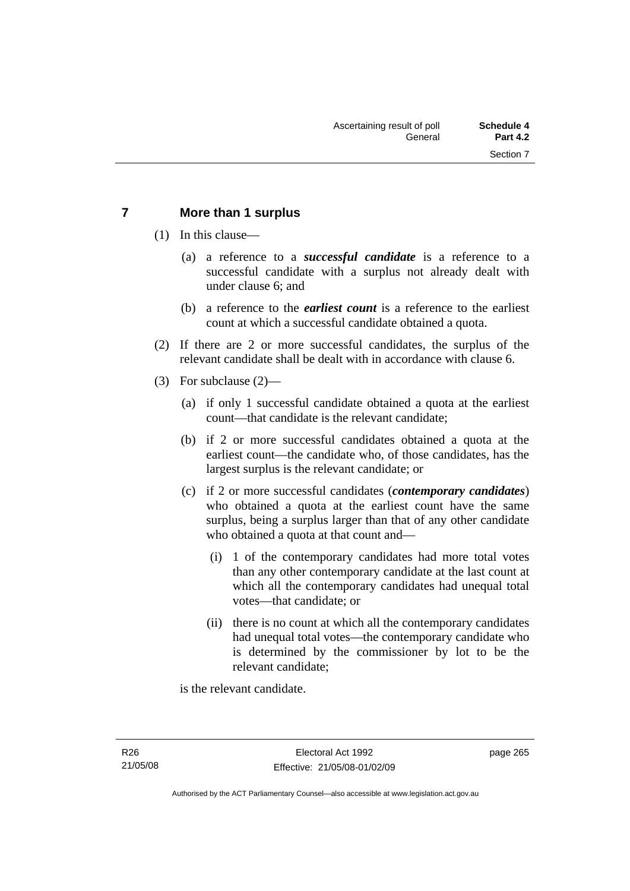### **7 More than 1 surplus**

(1) In this clause—

- (a) a reference to a *successful candidate* is a reference to a successful candidate with a surplus not already dealt with under clause 6; and
- (b) a reference to the *earliest count* is a reference to the earliest count at which a successful candidate obtained a quota.
- (2) If there are 2 or more successful candidates, the surplus of the relevant candidate shall be dealt with in accordance with clause 6.
- (3) For subclause (2)—
	- (a) if only 1 successful candidate obtained a quota at the earliest count—that candidate is the relevant candidate;
	- (b) if 2 or more successful candidates obtained a quota at the earliest count—the candidate who, of those candidates, has the largest surplus is the relevant candidate; or
	- (c) if 2 or more successful candidates (*contemporary candidates*) who obtained a quota at the earliest count have the same surplus, being a surplus larger than that of any other candidate who obtained a quota at that count and—
		- (i) 1 of the contemporary candidates had more total votes than any other contemporary candidate at the last count at which all the contemporary candidates had unequal total votes—that candidate; or
		- (ii) there is no count at which all the contemporary candidates had unequal total votes—the contemporary candidate who is determined by the commissioner by lot to be the relevant candidate;

is the relevant candidate.

page 265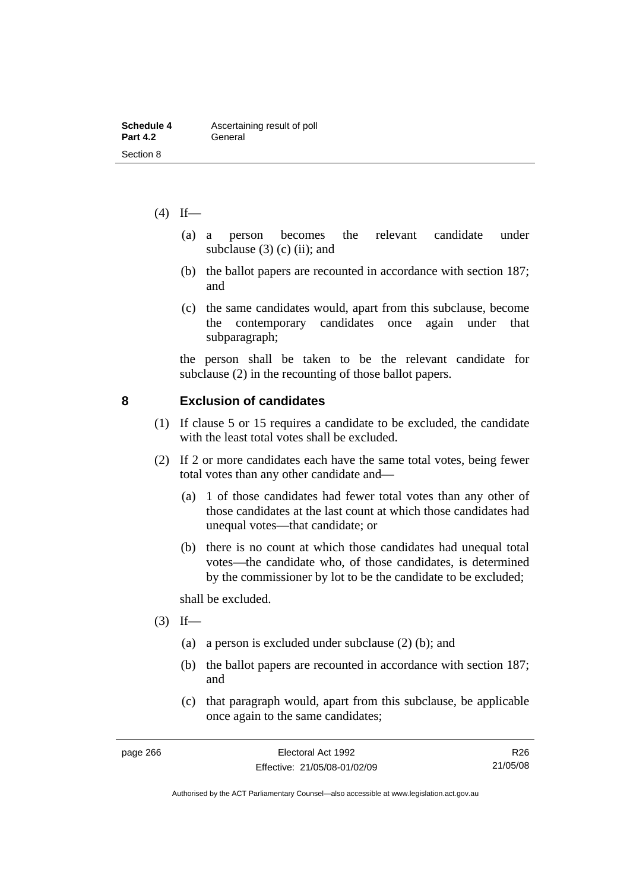| Schedule 4      | Ascertaining result of poll |
|-----------------|-----------------------------|
| <b>Part 4.2</b> | General                     |
| Section 8       |                             |

- $(4)$  If—
	- (a) a person becomes the relevant candidate under subclause  $(3)$  (c) (ii); and
	- (b) the ballot papers are recounted in accordance with section 187; and
	- (c) the same candidates would, apart from this subclause, become the contemporary candidates once again under that subparagraph;

the person shall be taken to be the relevant candidate for subclause (2) in the recounting of those ballot papers.

#### **8 Exclusion of candidates**

- (1) If clause 5 or 15 requires a candidate to be excluded, the candidate with the least total votes shall be excluded.
- (2) If 2 or more candidates each have the same total votes, being fewer total votes than any other candidate and—
	- (a) 1 of those candidates had fewer total votes than any other of those candidates at the last count at which those candidates had unequal votes—that candidate; or
	- (b) there is no count at which those candidates had unequal total votes—the candidate who, of those candidates, is determined by the commissioner by lot to be the candidate to be excluded;

shall be excluded.

- $(3)$  If—
	- (a) a person is excluded under subclause (2) (b); and
	- (b) the ballot papers are recounted in accordance with section 187; and
	- (c) that paragraph would, apart from this subclause, be applicable once again to the same candidates;

R26 21/05/08

Authorised by the ACT Parliamentary Counsel—also accessible at www.legislation.act.gov.au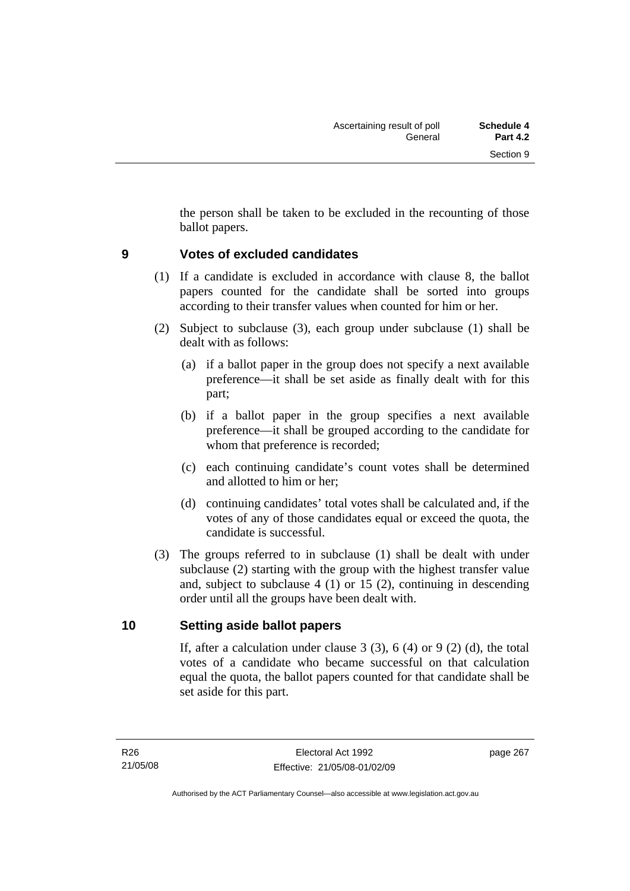the person shall be taken to be excluded in the recounting of those ballot papers.

### **9 Votes of excluded candidates**

- (1) If a candidate is excluded in accordance with clause 8, the ballot papers counted for the candidate shall be sorted into groups according to their transfer values when counted for him or her.
- (2) Subject to subclause (3), each group under subclause (1) shall be dealt with as follows:
	- (a) if a ballot paper in the group does not specify a next available preference—it shall be set aside as finally dealt with for this part;
	- (b) if a ballot paper in the group specifies a next available preference—it shall be grouped according to the candidate for whom that preference is recorded;
	- (c) each continuing candidate's count votes shall be determined and allotted to him or her;
	- (d) continuing candidates' total votes shall be calculated and, if the votes of any of those candidates equal or exceed the quota, the candidate is successful.
- (3) The groups referred to in subclause (1) shall be dealt with under subclause (2) starting with the group with the highest transfer value and, subject to subclause 4 (1) or 15 (2), continuing in descending order until all the groups have been dealt with.

### **10 Setting aside ballot papers**

If, after a calculation under clause 3  $(3)$ , 6  $(4)$  or 9  $(2)$   $(d)$ , the total votes of a candidate who became successful on that calculation equal the quota, the ballot papers counted for that candidate shall be set aside for this part.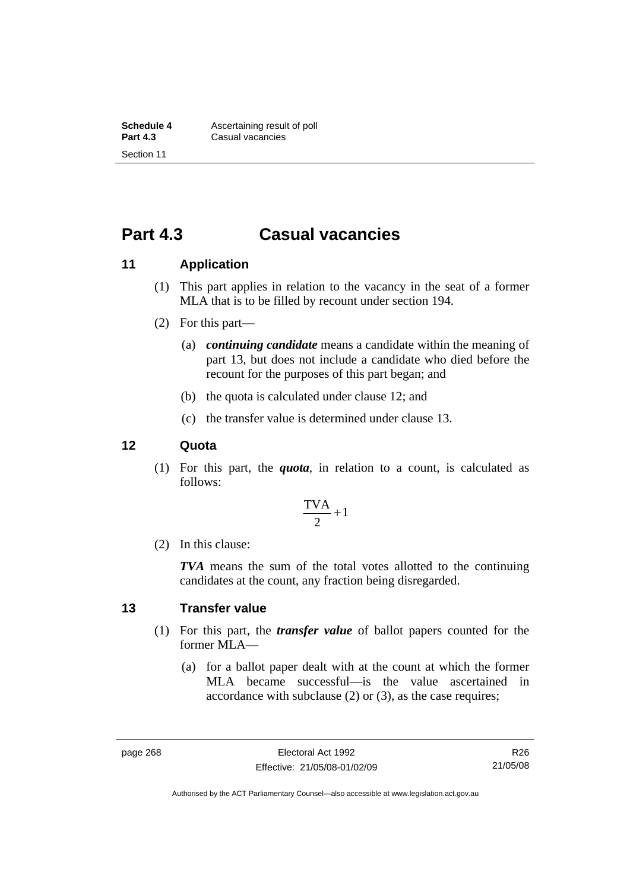## **Part 4.3 Casual vacancies**

### **11 Application**

- (1) This part applies in relation to the vacancy in the seat of a former MLA that is to be filled by recount under section 194.
- (2) For this part—
	- (a) *continuing candidate* means a candidate within the meaning of part 13, but does not include a candidate who died before the recount for the purposes of this part began; and
	- (b) the quota is calculated under clause 12; and
	- (c) the transfer value is determined under clause 13.

#### **12 Quota**

 (1) For this part, the *quota*, in relation to a count, is calculated as follows:

$$
\frac{\text{TVA}}{2} + 1
$$

(2) In this clause:

*TVA* means the sum of the total votes allotted to the continuing candidates at the count, any fraction being disregarded.

#### **13 Transfer value**

- (1) For this part, the *transfer value* of ballot papers counted for the former MLA—
	- (a) for a ballot paper dealt with at the count at which the former MLA became successful—is the value ascertained in accordance with subclause (2) or (3), as the case requires;

R26 21/05/08

Authorised by the ACT Parliamentary Counsel—also accessible at www.legislation.act.gov.au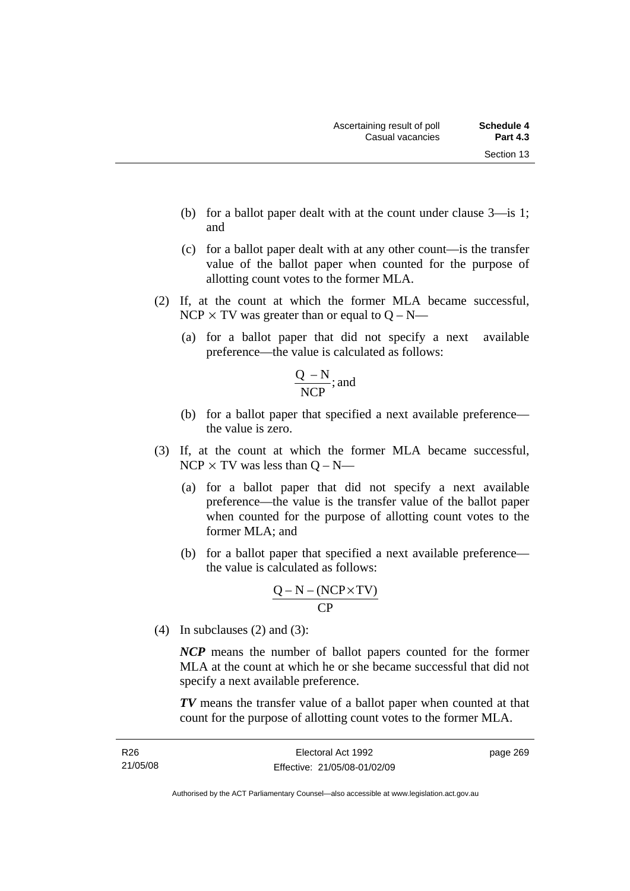- (b) for a ballot paper dealt with at the count under clause 3—is 1; and
- (c) for a ballot paper dealt with at any other count—is the transfer value of the ballot paper when counted for the purpose of allotting count votes to the former MLA.
- (2) If, at the count at which the former MLA became successful, NCP  $\times$  TV was greater than or equal to Q – N—
	- (a) for a ballot paper that did not specify a next available preference—the value is calculated as follows:

$$
\frac{Q-N}{NCP}
$$
; and

- (b) for a ballot paper that specified a next available preference the value is zero.
- (3) If, at the count at which the former MLA became successful,  $NCP \times TV$  was less than  $Q - N$ —
	- (a) for a ballot paper that did not specify a next available preference—the value is the transfer value of the ballot paper when counted for the purpose of allotting count votes to the former MLA; and
	- (b) for a ballot paper that specified a next available preference the value is calculated as follows:

$$
\frac{Q-N-(NCP \times TV)}{CP}
$$

(4) In subclauses (2) and (3):

*NCP* means the number of ballot papers counted for the former MLA at the count at which he or she became successful that did not specify a next available preference.

*TV* means the transfer value of a ballot paper when counted at that count for the purpose of allotting count votes to the former MLA.

Authorised by the ACT Parliamentary Counsel—also accessible at www.legislation.act.gov.au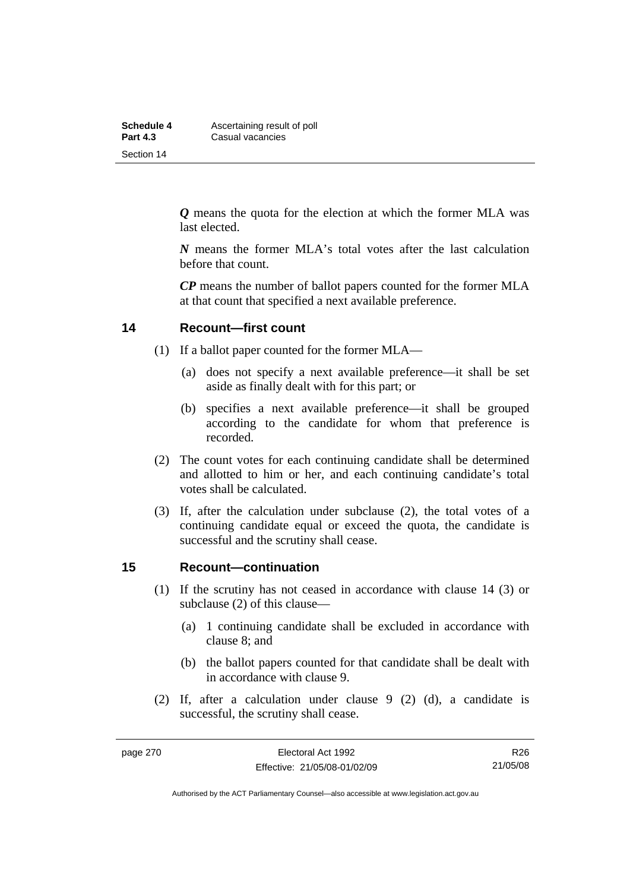| Schedule 4      | Ascertaining result of poll |  |  |  |
|-----------------|-----------------------------|--|--|--|
| <b>Part 4.3</b> | Casual vacancies            |  |  |  |
| Section 14      |                             |  |  |  |

*Q* means the quota for the election at which the former MLA was last elected.

*N* means the former MLA's total votes after the last calculation before that count.

*CP* means the number of ballot papers counted for the former MLA at that count that specified a next available preference.

#### **14 Recount—first count**

- (1) If a ballot paper counted for the former MLA—
	- (a) does not specify a next available preference—it shall be set aside as finally dealt with for this part; or
	- (b) specifies a next available preference—it shall be grouped according to the candidate for whom that preference is recorded.
- (2) The count votes for each continuing candidate shall be determined and allotted to him or her, and each continuing candidate's total votes shall be calculated.
- (3) If, after the calculation under subclause (2), the total votes of a continuing candidate equal or exceed the quota, the candidate is successful and the scrutiny shall cease.

#### **15 Recount—continuation**

- (1) If the scrutiny has not ceased in accordance with clause 14 (3) or subclause (2) of this clause—
	- (a) 1 continuing candidate shall be excluded in accordance with clause 8; and
	- (b) the ballot papers counted for that candidate shall be dealt with in accordance with clause 9.
- (2) If, after a calculation under clause 9 (2) (d), a candidate is successful, the scrutiny shall cease.

R26 21/05/08

Authorised by the ACT Parliamentary Counsel—also accessible at www.legislation.act.gov.au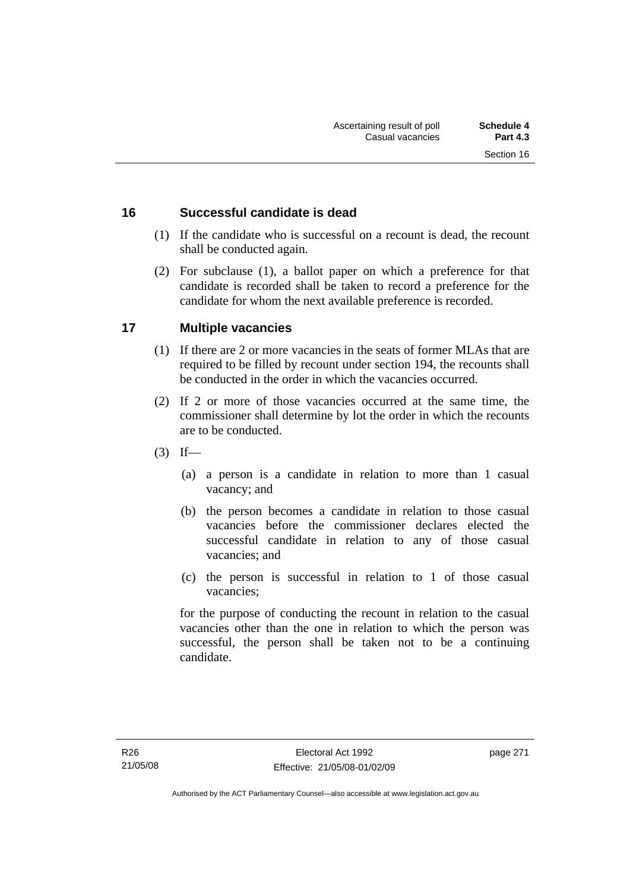# **16 Successful candidate is dead**

- (1) If the candidate who is successful on a recount is dead, the recount shall be conducted again.
- (2) For subclause (1), a ballot paper on which a preference for that candidate is recorded shall be taken to record a preference for the candidate for whom the next available preference is recorded.

# **17 Multiple vacancies**

- (1) If there are 2 or more vacancies in the seats of former MLAs that are required to be filled by recount under section 194, the recounts shall be conducted in the order in which the vacancies occurred.
- (2) If 2 or more of those vacancies occurred at the same time, the commissioner shall determine by lot the order in which the recounts are to be conducted.
- $(3)$  If—
	- (a) a person is a candidate in relation to more than 1 casual vacancy; and
	- (b) the person becomes a candidate in relation to those casual vacancies before the commissioner declares elected the successful candidate in relation to any of those casual vacancies; and
	- (c) the person is successful in relation to 1 of those casual vacancies;

for the purpose of conducting the recount in relation to the casual vacancies other than the one in relation to which the person was successful, the person shall be taken not to be a continuing candidate.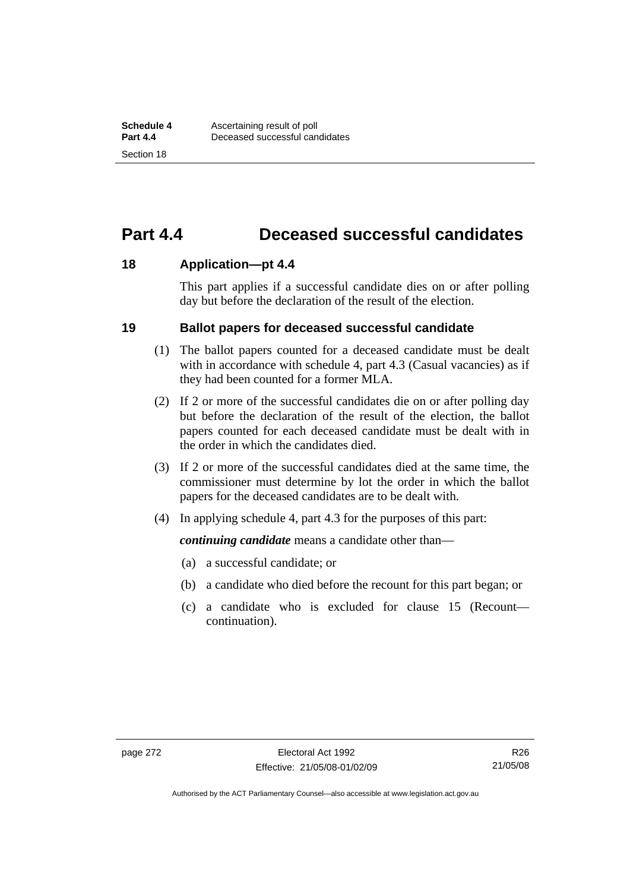# **Part 4.4 Deceased successful candidates**

## **18 Application—pt 4.4**

This part applies if a successful candidate dies on or after polling day but before the declaration of the result of the election.

## **19 Ballot papers for deceased successful candidate**

- (1) The ballot papers counted for a deceased candidate must be dealt with in accordance with schedule 4, part 4.3 (Casual vacancies) as if they had been counted for a former MLA.
- (2) If 2 or more of the successful candidates die on or after polling day but before the declaration of the result of the election, the ballot papers counted for each deceased candidate must be dealt with in the order in which the candidates died.
- (3) If 2 or more of the successful candidates died at the same time, the commissioner must determine by lot the order in which the ballot papers for the deceased candidates are to be dealt with.
- (4) In applying schedule 4, part 4.3 for the purposes of this part:

*continuing candidate* means a candidate other than—

- (a) a successful candidate; or
- (b) a candidate who died before the recount for this part began; or
- (c) a candidate who is excluded for clause 15 (Recount continuation).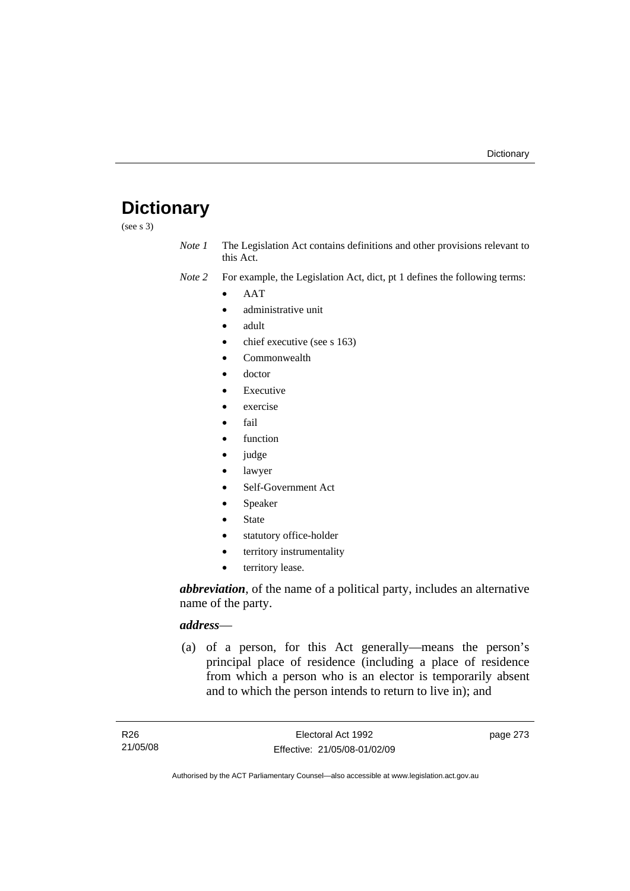# **Dictionary**

(see s 3)

*Note 1* The Legislation Act contains definitions and other provisions relevant to this Act.

*Note 2* For example, the Legislation Act, dict, pt 1 defines the following terms:

- AAT
- administrative unit
- adult
- chief executive (see s 163)
- Commonwealth
- doctor
- **Executive**
- exercise
- fail
- function
- judge
- lawyer
- Self-Government Act
- Speaker
- **State**
- statutory office-holder
- territory instrumentality
- territory lease.

*abbreviation*, of the name of a political party, includes an alternative name of the party.

## *address*—

 (a) of a person, for this Act generally—means the person's principal place of residence (including a place of residence from which a person who is an elector is temporarily absent and to which the person intends to return to live in); and

page 273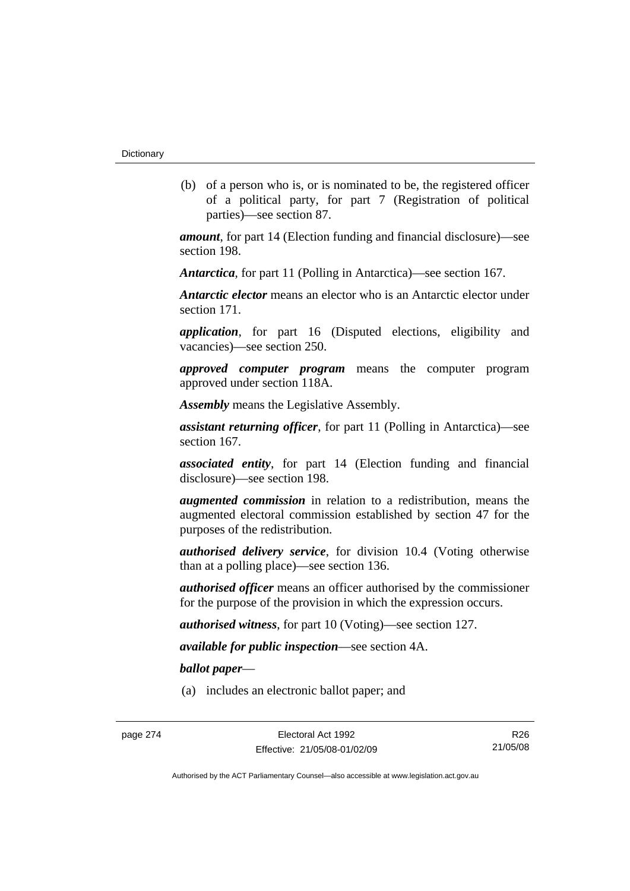(b) of a person who is, or is nominated to be, the registered officer of a political party, for part 7 (Registration of political parties)—see section 87.

*amount*, for part 14 (Election funding and financial disclosure)—see section 198.

*Antarctica*, for part 11 (Polling in Antarctica)—see section 167.

*Antarctic elector* means an elector who is an Antarctic elector under section 171.

*application*, for part 16 (Disputed elections, eligibility and vacancies)—see section 250.

*approved computer program* means the computer program approved under section 118A.

*Assembly* means the Legislative Assembly.

*assistant returning officer*, for part 11 (Polling in Antarctica)—see section 167.

*associated entity*, for part 14 (Election funding and financial disclosure)—see section 198.

*augmented commission* in relation to a redistribution, means the augmented electoral commission established by section 47 for the purposes of the redistribution.

*authorised delivery service*, for division 10.4 (Voting otherwise than at a polling place)—see section 136.

*authorised officer* means an officer authorised by the commissioner for the purpose of the provision in which the expression occurs.

*authorised witness*, for part 10 (Voting)—see section 127.

*available for public inspection*—see section 4A.

*ballot paper*—

(a) includes an electronic ballot paper; and

R26 21/05/08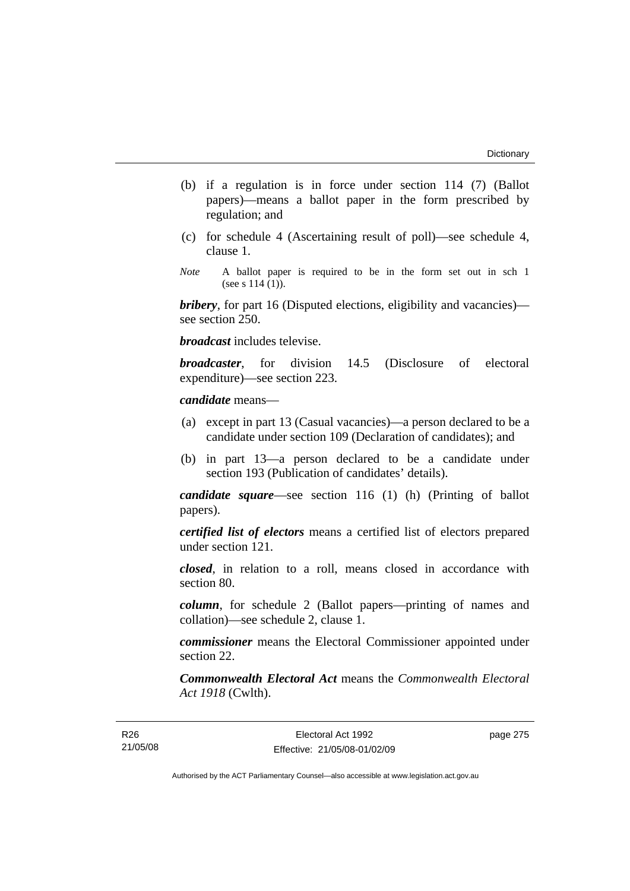- (b) if a regulation is in force under section 114 (7) (Ballot papers)—means a ballot paper in the form prescribed by regulation; and
- (c) for schedule 4 (Ascertaining result of poll)—see schedule 4, clause 1.
- *Note* A ballot paper is required to be in the form set out in sch 1 (see s  $114(1)$ ).

*bribery*, for part 16 (Disputed elections, eligibility and vacancies) see section 250.

*broadcast* includes televise.

*broadcaster*, for division 14.5 (Disclosure of electoral expenditure)—see section 223.

## *candidate* means—

- (a) except in part 13 (Casual vacancies)—a person declared to be a candidate under section 109 (Declaration of candidates); and
- (b) in part 13—a person declared to be a candidate under section 193 (Publication of candidates' details).

*candidate square*—see section 116 (1) (h) (Printing of ballot papers).

*certified list of electors* means a certified list of electors prepared under section 121.

*closed*, in relation to a roll, means closed in accordance with section 80.

*column*, for schedule 2 (Ballot papers—printing of names and collation)—see schedule 2, clause 1.

*commissioner* means the Electoral Commissioner appointed under section 22.

*Commonwealth Electoral Act* means the *Commonwealth Electoral Act 1918* (Cwlth).

page 275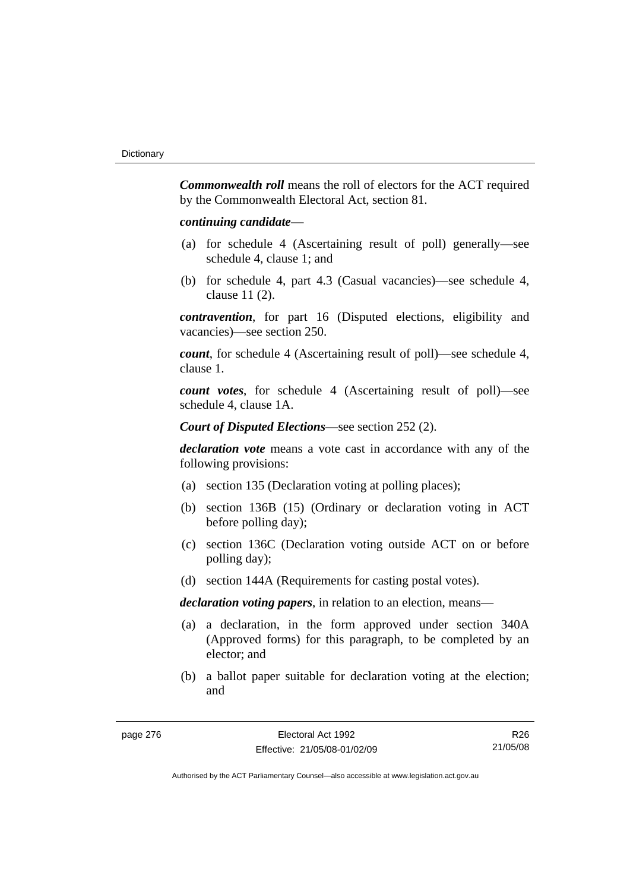*Commonwealth roll* means the roll of electors for the ACT required by the Commonwealth Electoral Act, section 81.

## *continuing candidate*—

- (a) for schedule 4 (Ascertaining result of poll) generally—see schedule 4, clause 1; and
- (b) for schedule 4, part 4.3 (Casual vacancies)—see schedule 4, clause 11 (2).

*contravention*, for part 16 (Disputed elections, eligibility and vacancies)—see section 250.

*count*, for schedule 4 (Ascertaining result of poll)—see schedule 4, clause 1.

*count votes*, for schedule 4 (Ascertaining result of poll)—see schedule 4, clause 1A.

*Court of Disputed Elections*—see section 252 (2).

*declaration vote* means a vote cast in accordance with any of the following provisions:

- (a) section 135 (Declaration voting at polling places);
- (b) section 136B (15) (Ordinary or declaration voting in ACT before polling day);
- (c) section 136C (Declaration voting outside ACT on or before polling day);
- (d) section 144A (Requirements for casting postal votes).

*declaration voting papers*, in relation to an election, means—

- (a) a declaration, in the form approved under section 340A (Approved forms) for this paragraph, to be completed by an elector; and
- (b) a ballot paper suitable for declaration voting at the election; and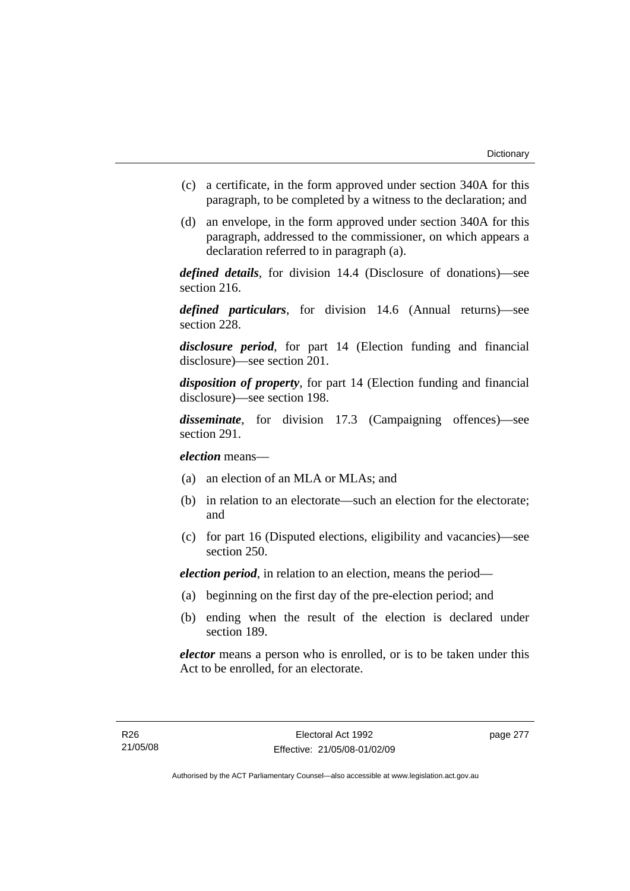- (c) a certificate, in the form approved under section 340A for this paragraph, to be completed by a witness to the declaration; and
- (d) an envelope, in the form approved under section 340A for this paragraph, addressed to the commissioner, on which appears a declaration referred to in paragraph (a).

*defined details*, for division 14.4 (Disclosure of donations)—see section 216.

*defined particulars*, for division 14.6 (Annual returns)—see section 228.

*disclosure period*, for part 14 (Election funding and financial disclosure)—see section 201.

*disposition of property*, for part 14 (Election funding and financial disclosure)—see section 198.

*disseminate*, for division 17.3 (Campaigning offences)—see section 291.

*election* means—

- (a) an election of an MLA or MLAs; and
- (b) in relation to an electorate—such an election for the electorate; and
- (c) for part 16 (Disputed elections, eligibility and vacancies)—see section 250.

*election period*, in relation to an election, means the period—

- (a) beginning on the first day of the pre-election period; and
- (b) ending when the result of the election is declared under section 189.

*elector* means a person who is enrolled, or is to be taken under this Act to be enrolled, for an electorate.

page 277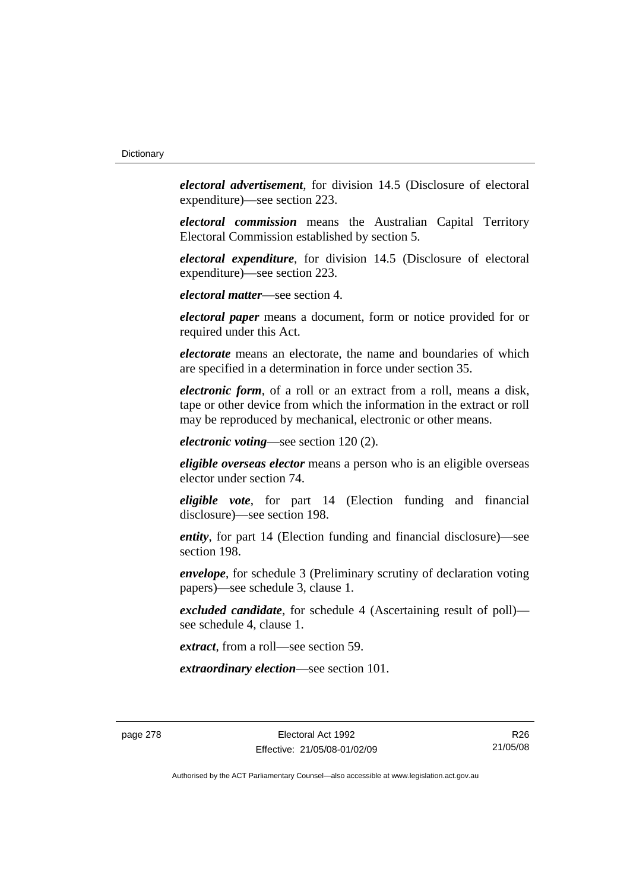*electoral advertisement*, for division 14.5 (Disclosure of electoral expenditure)—see section 223.

*electoral commission* means the Australian Capital Territory Electoral Commission established by section 5.

*electoral expenditure*, for division 14.5 (Disclosure of electoral expenditure)—see section 223.

*electoral matter*—see section 4.

*electoral paper* means a document, form or notice provided for or required under this Act.

*electorate* means an electorate, the name and boundaries of which are specified in a determination in force under section 35.

*electronic form*, of a roll or an extract from a roll, means a disk, tape or other device from which the information in the extract or roll may be reproduced by mechanical, electronic or other means.

*electronic voting*—see section 120 (2).

*eligible overseas elector* means a person who is an eligible overseas elector under section 74.

*eligible vote*, for part 14 (Election funding and financial disclosure)—see section 198.

*entity*, for part 14 (Election funding and financial disclosure)—see section 198.

*envelope*, for schedule 3 (Preliminary scrutiny of declaration voting papers)—see schedule 3, clause 1.

*excluded candidate*, for schedule 4 (Ascertaining result of poll) see schedule 4, clause 1.

*extract*, from a roll—see section 59.

*extraordinary election*—see section 101.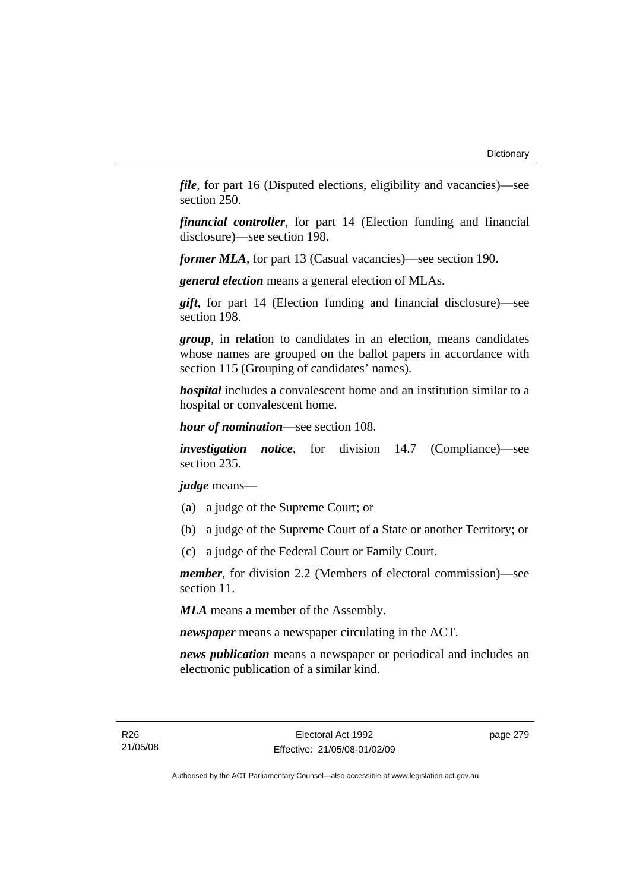*file*, for part 16 (Disputed elections, eligibility and vacancies)—see section 250.

*financial controller*, for part 14 (Election funding and financial disclosure)—see section 198.

*former MLA*, for part 13 (Casual vacancies)—see section 190.

*general election* means a general election of MLAs.

*gift*, for part 14 (Election funding and financial disclosure)—see section 198.

*group*, in relation to candidates in an election, means candidates whose names are grouped on the ballot papers in accordance with section 115 (Grouping of candidates' names).

*hospital* includes a convalescent home and an institution similar to a hospital or convalescent home.

*hour of nomination*—see section 108.

*investigation notice*, for division 14.7 (Compliance)—see section 235.

*judge* means—

- (a) a judge of the Supreme Court; or
- (b) a judge of the Supreme Court of a State or another Territory; or
- (c) a judge of the Federal Court or Family Court.

*member*, for division 2.2 (Members of electoral commission)—see section 11.

*MLA* means a member of the Assembly.

*newspaper* means a newspaper circulating in the ACT.

*news publication* means a newspaper or periodical and includes an electronic publication of a similar kind.

page 279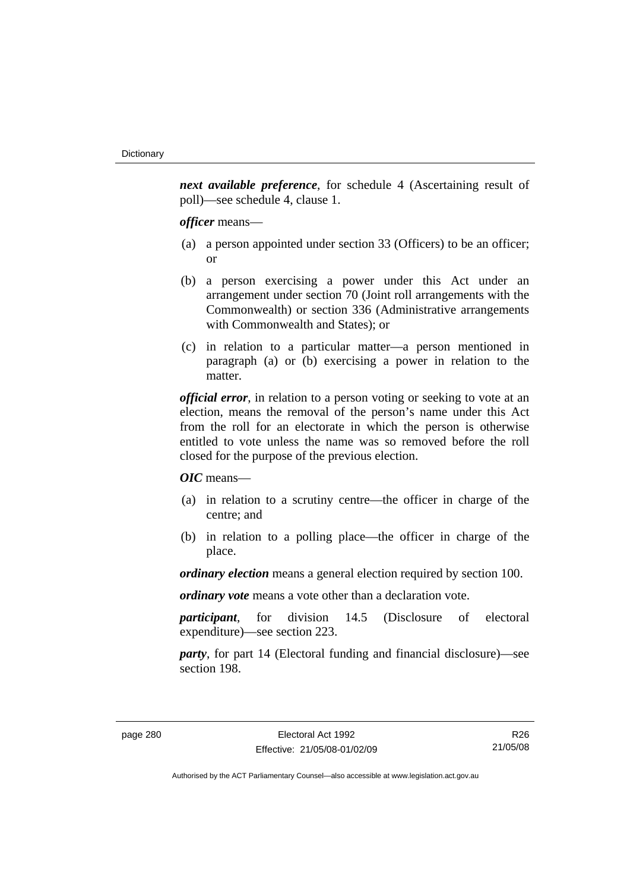*next available preference*, for schedule 4 (Ascertaining result of poll)—see schedule 4, clause 1.

*officer* means—

- (a) a person appointed under section 33 (Officers) to be an officer; or
- (b) a person exercising a power under this Act under an arrangement under section 70 (Joint roll arrangements with the Commonwealth) or section 336 (Administrative arrangements with Commonwealth and States); or
- (c) in relation to a particular matter—a person mentioned in paragraph (a) or (b) exercising a power in relation to the matter.

*official error*, in relation to a person voting or seeking to vote at an election, means the removal of the person's name under this Act from the roll for an electorate in which the person is otherwise entitled to vote unless the name was so removed before the roll closed for the purpose of the previous election.

*OIC* means—

- (a) in relation to a scrutiny centre—the officer in charge of the centre; and
- (b) in relation to a polling place—the officer in charge of the place.

*ordinary election* means a general election required by section 100.

*ordinary vote* means a vote other than a declaration vote.

*participant*, for division 14.5 (Disclosure of electoral expenditure)—see section 223.

*party*, for part 14 (Electoral funding and financial disclosure)—see section 198.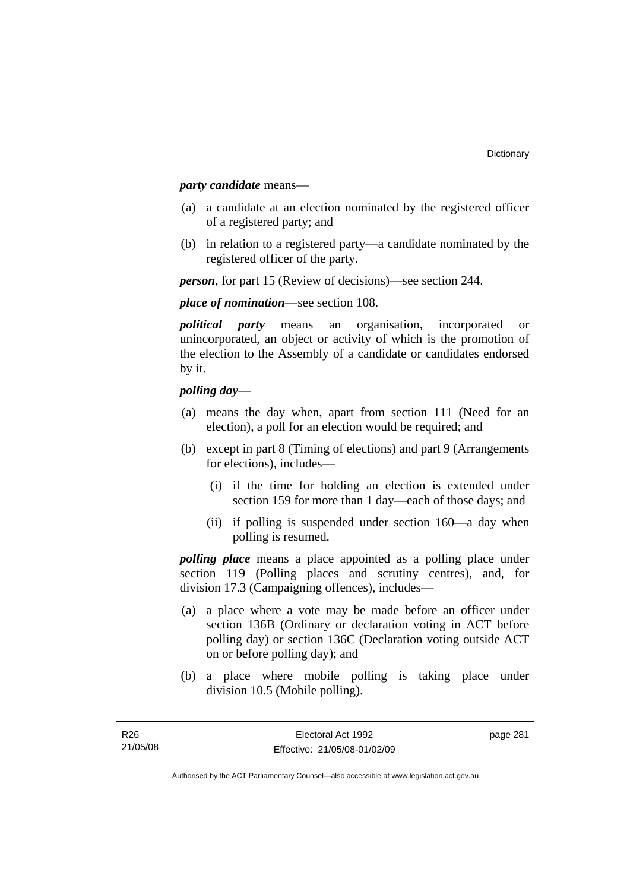## *party candidate* means—

- (a) a candidate at an election nominated by the registered officer of a registered party; and
- (b) in relation to a registered party—a candidate nominated by the registered officer of the party.

*person*, for part 15 (Review of decisions)—see section 244.

## *place of nomination*—see section 108.

*political party* means an organisation, incorporated or unincorporated, an object or activity of which is the promotion of the election to the Assembly of a candidate or candidates endorsed by it.

## *polling day*—

- (a) means the day when, apart from section 111 (Need for an election), a poll for an election would be required; and
- (b) except in part 8 (Timing of elections) and part 9 (Arrangements for elections), includes—
	- (i) if the time for holding an election is extended under section 159 for more than 1 day—each of those days; and
	- (ii) if polling is suspended under section 160—a day when polling is resumed.

*polling place* means a place appointed as a polling place under section 119 (Polling places and scrutiny centres), and, for division 17.3 (Campaigning offences), includes—

- (a) a place where a vote may be made before an officer under section 136B (Ordinary or declaration voting in ACT before polling day) or section 136C (Declaration voting outside ACT on or before polling day); and
- (b) a place where mobile polling is taking place under division 10.5 (Mobile polling).

page 281

Authorised by the ACT Parliamentary Counsel—also accessible at www.legislation.act.gov.au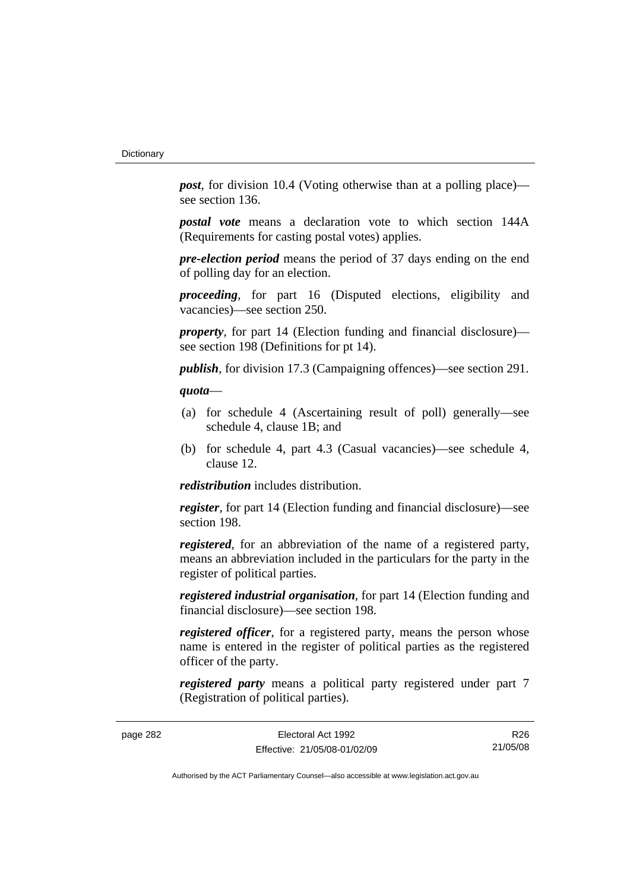*post*, for division 10.4 (Voting otherwise than at a polling place) see section 136.

*postal vote* means a declaration vote to which section 144A (Requirements for casting postal votes) applies.

*pre-election period* means the period of 37 days ending on the end of polling day for an election.

*proceeding*, for part 16 (Disputed elections, eligibility and vacancies)—see section 250.

*property*, for part 14 (Election funding and financial disclosure) see section 198 (Definitions for pt 14).

*publish*, for division 17.3 (Campaigning offences)—see section 291.

## *quota*—

- (a) for schedule 4 (Ascertaining result of poll) generally—see schedule 4, clause 1B; and
- (b) for schedule 4, part 4.3 (Casual vacancies)—see schedule 4, clause 12.

*redistribution* includes distribution.

*register*, for part 14 (Election funding and financial disclosure)—see section 198.

*registered*, for an abbreviation of the name of a registered party, means an abbreviation included in the particulars for the party in the register of political parties.

*registered industrial organisation*, for part 14 (Election funding and financial disclosure)—see section 198.

*registered officer*, for a registered party, means the person whose name is entered in the register of political parties as the registered officer of the party.

*registered party* means a political party registered under part 7 (Registration of political parties).

page 282 Electoral Act 1992 Effective: 21/05/08-01/02/09

R26 21/05/08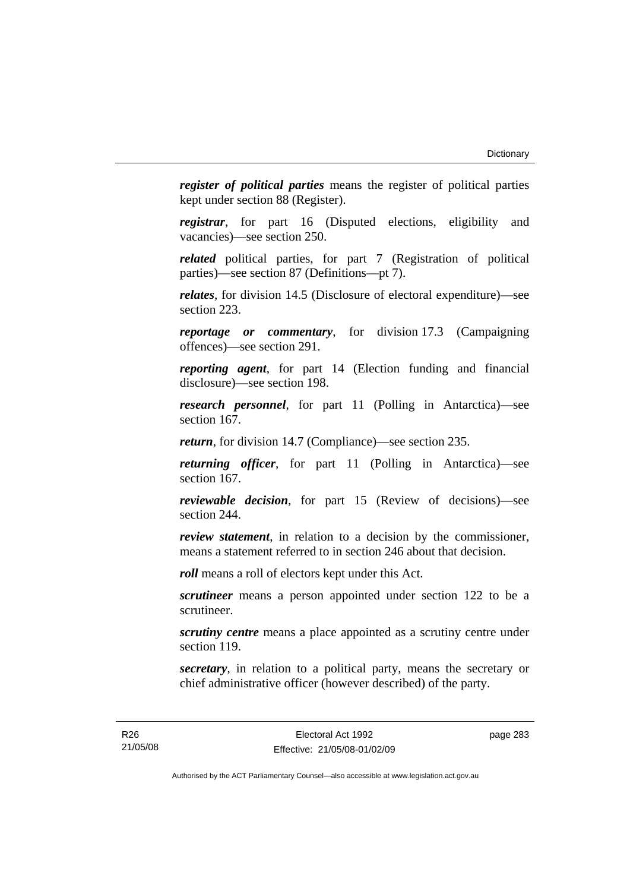*register of political parties* means the register of political parties kept under section 88 (Register).

*registrar*, for part 16 (Disputed elections, eligibility and vacancies)—see section 250.

*related* political parties, for part 7 (Registration of political parties)—see section 87 (Definitions—pt 7).

*relates*, for division 14.5 (Disclosure of electoral expenditure)—see section 223.

*reportage or commentary*, for division 17.3 (Campaigning offences)—see section 291.

*reporting agent*, for part 14 (Election funding and financial disclosure)—see section 198.

*research personnel*, for part 11 (Polling in Antarctica)—see section 167.

*return*, for division 14.7 (Compliance)—see section 235.

*returning officer*, for part 11 (Polling in Antarctica)—see section 167.

*reviewable decision*, for part 15 (Review of decisions)—see section 244.

*review statement*, in relation to a decision by the commissioner, means a statement referred to in section 246 about that decision.

*roll* means a roll of electors kept under this Act.

*scrutineer* means a person appointed under section 122 to be a scrutineer.

*scrutiny centre* means a place appointed as a scrutiny centre under section 119.

*secretary*, in relation to a political party, means the secretary or chief administrative officer (however described) of the party.

page 283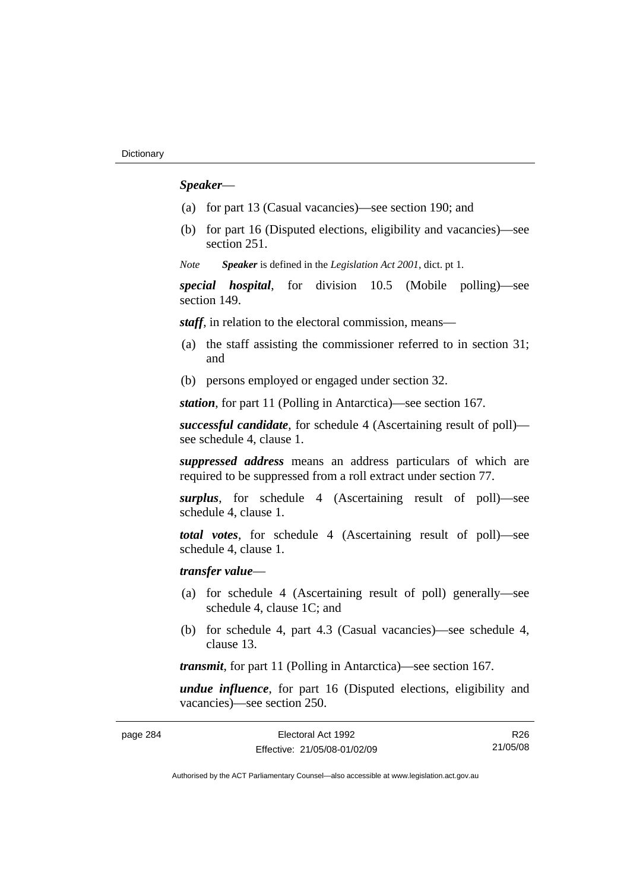## *Speaker*—

- (a) for part 13 (Casual vacancies)—see section 190; and
- (b) for part 16 (Disputed elections, eligibility and vacancies)—see section 251.

*Note Speaker* is defined in the *Legislation Act 2001*, dict. pt 1.

*special hospital*, for division 10.5 (Mobile polling)—see section 149.

*staff*, in relation to the electoral commission, means—

- (a) the staff assisting the commissioner referred to in section 31; and
- (b) persons employed or engaged under section 32.

*station*, for part 11 (Polling in Antarctica)—see section 167.

*successful candidate*, for schedule 4 (Ascertaining result of poll) see schedule 4, clause 1.

*suppressed address* means an address particulars of which are required to be suppressed from a roll extract under section 77.

*surplus*, for schedule 4 (Ascertaining result of poll)—see schedule 4, clause 1.

*total votes*, for schedule 4 (Ascertaining result of poll)—see schedule 4, clause 1.

## *transfer value*—

- (a) for schedule 4 (Ascertaining result of poll) generally—see schedule 4, clause 1C; and
- (b) for schedule 4, part 4.3 (Casual vacancies)—see schedule 4, clause 13.

*transmit*, for part 11 (Polling in Antarctica)—see section 167.

*undue influence*, for part 16 (Disputed elections, eligibility and vacancies)—see section 250.

| page 284 | Electoral Act 1992           | R26      |
|----------|------------------------------|----------|
|          | Effective: 21/05/08-01/02/09 | 21/05/08 |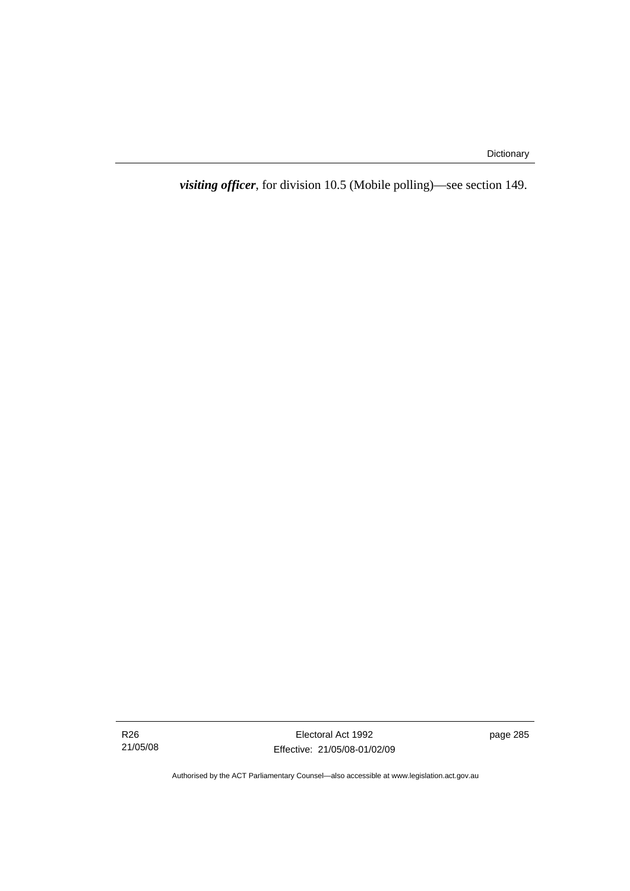*visiting officer*, for division 10.5 (Mobile polling)—see section 149.

R26 21/05/08

Electoral Act 1992 Effective: 21/05/08-01/02/09 page 285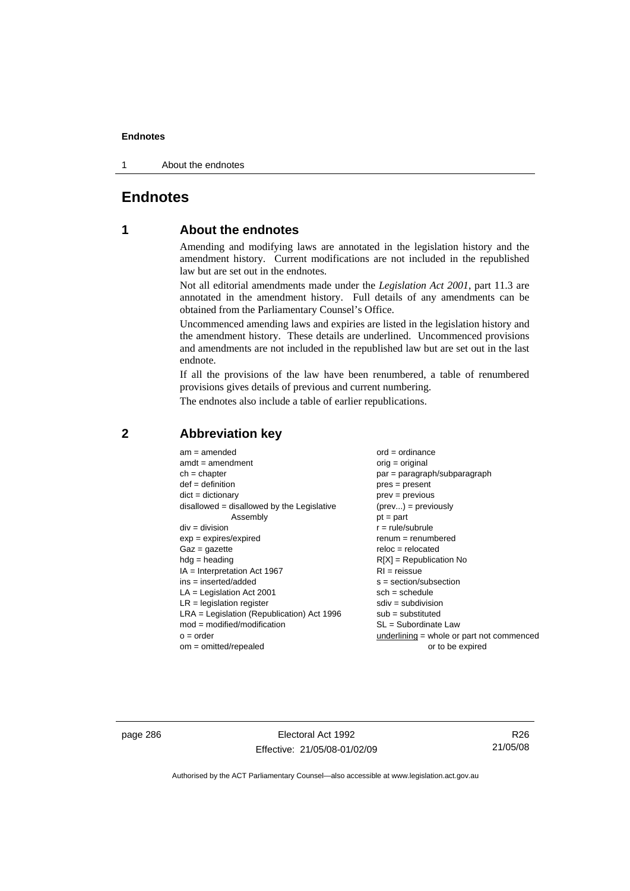1 About the endnotes

## **Endnotes**

## **1 About the endnotes**

Amending and modifying laws are annotated in the legislation history and the amendment history. Current modifications are not included in the republished law but are set out in the endnotes.

Not all editorial amendments made under the *Legislation Act 2001*, part 11.3 are annotated in the amendment history. Full details of any amendments can be obtained from the Parliamentary Counsel's Office.

Uncommenced amending laws and expiries are listed in the legislation history and the amendment history. These details are underlined. Uncommenced provisions and amendments are not included in the republished law but are set out in the last endnote.

If all the provisions of the law have been renumbered, a table of renumbered provisions gives details of previous and current numbering.

The endnotes also include a table of earlier republications.

| $am = amended$                               | $ord = ordinance$                         |
|----------------------------------------------|-------------------------------------------|
| $amdt = amendment$                           | $orig = original$                         |
| $ch = chapter$                               | par = paragraph/subparagraph              |
| $def = definition$                           | $pres = present$                          |
| $dict = dictionary$                          | $prev = previous$                         |
| $disallowed = disallowed by the Legislative$ | $(\text{prev}) = \text{previously}$       |
| Assembly                                     | $pt = part$                               |
| $div = division$                             | $r = rule/subrule$                        |
| $exp = expires/expired$                      | $renum = renumbered$                      |
| $Gaz = gazette$                              | $reloc = relocated$                       |
| $hdg =$ heading                              | $R[X]$ = Republication No                 |
| $IA = Interpretation Act 1967$               | $RI = reissue$                            |
| $ins = inserted/added$                       | $s = section/subsection$                  |
| $LA =$ Legislation Act 2001                  | $sch = schedule$                          |
| $LR =$ legislation register                  | $sdiv = subdivision$                      |
| $LRA =$ Legislation (Republication) Act 1996 | $sub = substituted$                       |
| $mod = modified/modification$                | $SL = Subordinate$ Law                    |
| $o = order$                                  | underlining = whole or part not commenced |
| $om = omitted/repealed$                      | or to be expired                          |
|                                              |                                           |

## **2 Abbreviation key**

page 286 **Electoral Act 1992** Effective: 21/05/08-01/02/09

R26 21/05/08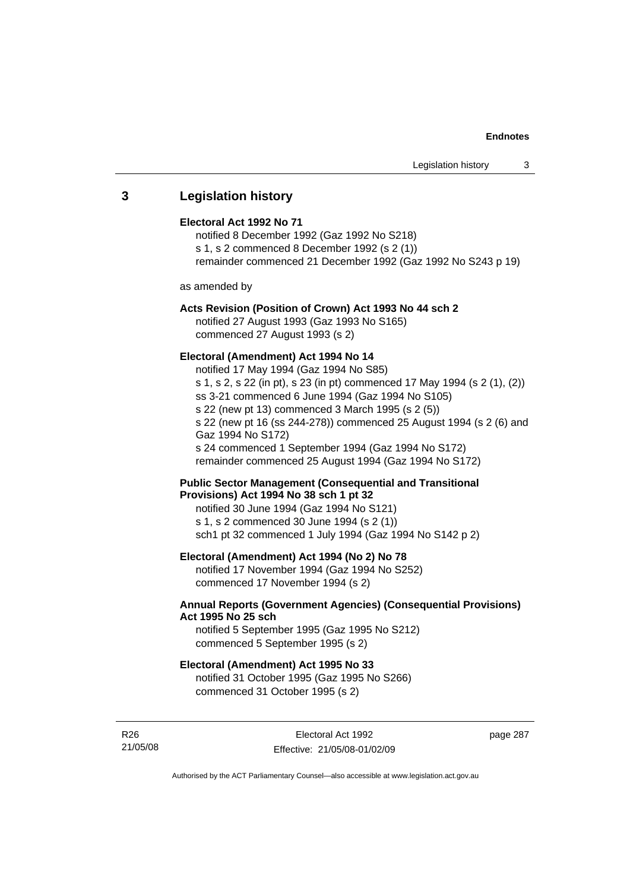## **3 Legislation history**

## **Electoral Act 1992 No 71**

notified 8 December 1992 (Gaz 1992 No S218) s 1, s 2 commenced 8 December 1992 (s 2 (1)) remainder commenced 21 December 1992 (Gaz 1992 No S243 p 19)

as amended by

## **Acts Revision (Position of Crown) Act 1993 No 44 sch 2**

notified 27 August 1993 (Gaz 1993 No S165) commenced 27 August 1993 (s 2)

## **Electoral (Amendment) Act 1994 No 14**

notified 17 May 1994 (Gaz 1994 No S85) s 1, s 2, s 22 (in pt), s 23 (in pt) commenced 17 May 1994 (s 2 (1), (2)) ss 3-21 commenced 6 June 1994 (Gaz 1994 No S105) s 22 (new pt 13) commenced 3 March 1995 (s 2 (5)) s 22 (new pt 16 (ss 244-278)) commenced 25 August 1994 (s 2 (6) and Gaz 1994 No S172) s 24 commenced 1 September 1994 (Gaz 1994 No S172) remainder commenced 25 August 1994 (Gaz 1994 No S172)

## **Public Sector Management (Consequential and Transitional Provisions) Act 1994 No 38 sch 1 pt 32**

notified 30 June 1994 (Gaz 1994 No S121) s 1, s 2 commenced 30 June 1994 (s 2 (1)) sch1 pt 32 commenced 1 July 1994 (Gaz 1994 No S142 p 2)

## **Electoral (Amendment) Act 1994 (No 2) No 78**

notified 17 November 1994 (Gaz 1994 No S252) commenced 17 November 1994 (s 2)

## **Annual Reports (Government Agencies) (Consequential Provisions) Act 1995 No 25 sch**

notified 5 September 1995 (Gaz 1995 No S212) commenced 5 September 1995 (s 2)

### **Electoral (Amendment) Act 1995 No 33**

notified 31 October 1995 (Gaz 1995 No S266) commenced 31 October 1995 (s 2)

R26 21/05/08 page 287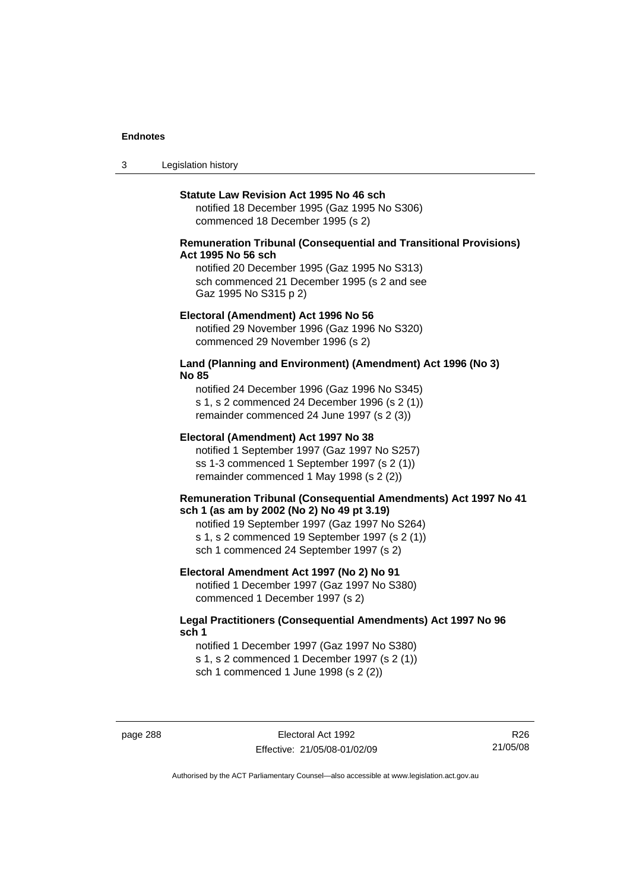3 Legislation history

#### **Statute Law Revision Act 1995 No 46 sch**

notified 18 December 1995 (Gaz 1995 No S306) commenced 18 December 1995 (s 2)

## **Remuneration Tribunal (Consequential and Transitional Provisions) Act 1995 No 56 sch**

notified 20 December 1995 (Gaz 1995 No S313) sch commenced 21 December 1995 (s 2 and see Gaz 1995 No S315 p 2)

#### **Electoral (Amendment) Act 1996 No 56**

notified 29 November 1996 (Gaz 1996 No S320) commenced 29 November 1996 (s 2)

## **Land (Planning and Environment) (Amendment) Act 1996 (No 3) No 85**

notified 24 December 1996 (Gaz 1996 No S345) s 1, s 2 commenced 24 December 1996 (s 2 (1)) remainder commenced 24 June 1997 (s 2 (3))

#### **Electoral (Amendment) Act 1997 No 38**

notified 1 September 1997 (Gaz 1997 No S257) ss 1-3 commenced 1 September 1997 (s 2 (1)) remainder commenced 1 May 1998 (s 2 (2))

#### **Remuneration Tribunal (Consequential Amendments) Act 1997 No 41 sch 1 (as am by 2002 (No 2) No 49 pt 3.19)**

notified 19 September 1997 (Gaz 1997 No S264) s 1, s 2 commenced 19 September 1997 (s 2 (1)) sch 1 commenced 24 September 1997 (s 2)

#### **Electoral Amendment Act 1997 (No 2) No 91**

notified 1 December 1997 (Gaz 1997 No S380) commenced 1 December 1997 (s 2)

## **Legal Practitioners (Consequential Amendments) Act 1997 No 96 sch 1**

notified 1 December 1997 (Gaz 1997 No S380) s 1, s 2 commenced 1 December 1997 (s 2 (1)) sch 1 commenced 1 June 1998 (s 2 (2))

page 288 Electoral Act 1992 Effective: 21/05/08-01/02/09

R26 21/05/08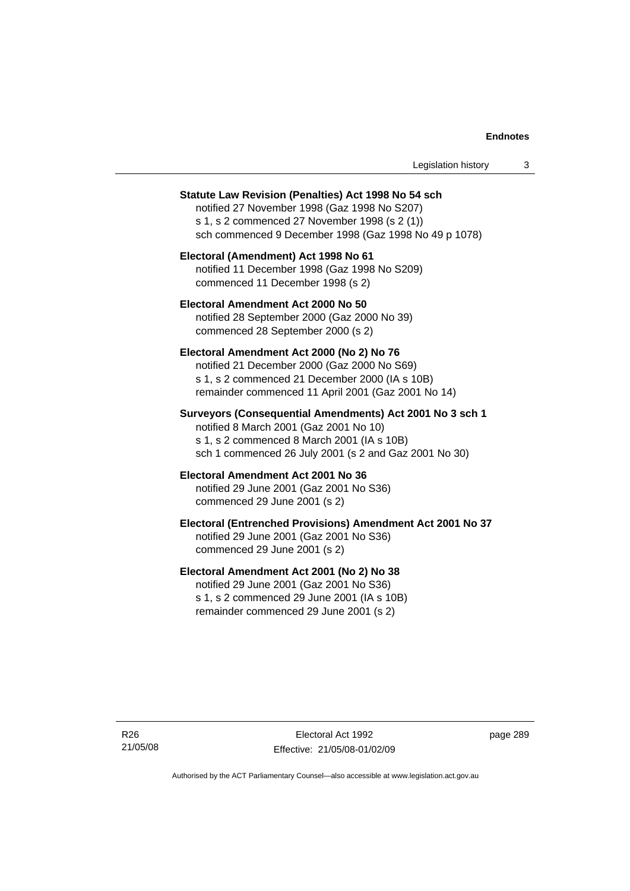| Legislation history |  |
|---------------------|--|
|---------------------|--|

#### **Statute Law Revision (Penalties) Act 1998 No 54 sch**

notified 27 November 1998 (Gaz 1998 No S207) s 1, s 2 commenced 27 November 1998 (s 2 (1)) sch commenced 9 December 1998 (Gaz 1998 No 49 p 1078)

## **Electoral (Amendment) Act 1998 No 61**  notified 11 December 1998 (Gaz 1998 No S209) commenced 11 December 1998 (s 2)

**Electoral Amendment Act 2000 No 50**  notified 28 September 2000 (Gaz 2000 No 39) commenced 28 September 2000 (s 2)

#### **Electoral Amendment Act 2000 (No 2) No 76**

notified 21 December 2000 (Gaz 2000 No S69) s 1, s 2 commenced 21 December 2000 (IA s 10B) remainder commenced 11 April 2001 (Gaz 2001 No 14)

## **Surveyors (Consequential Amendments) Act 2001 No 3 sch 1**

notified 8 March 2001 (Gaz 2001 No 10) s 1, s 2 commenced 8 March 2001 (IA s 10B) sch 1 commenced 26 July 2001 (s 2 and Gaz 2001 No 30)

# **Electoral Amendment Act 2001 No 36**

notified 29 June 2001 (Gaz 2001 No S36) commenced 29 June 2001 (s 2)

## **Electoral (Entrenched Provisions) Amendment Act 2001 No 37**

notified 29 June 2001 (Gaz 2001 No S36) commenced 29 June 2001 (s 2)

## **Electoral Amendment Act 2001 (No 2) No 38**

notified 29 June 2001 (Gaz 2001 No S36) s 1, s 2 commenced 29 June 2001 (IA s 10B) remainder commenced 29 June 2001 (s 2)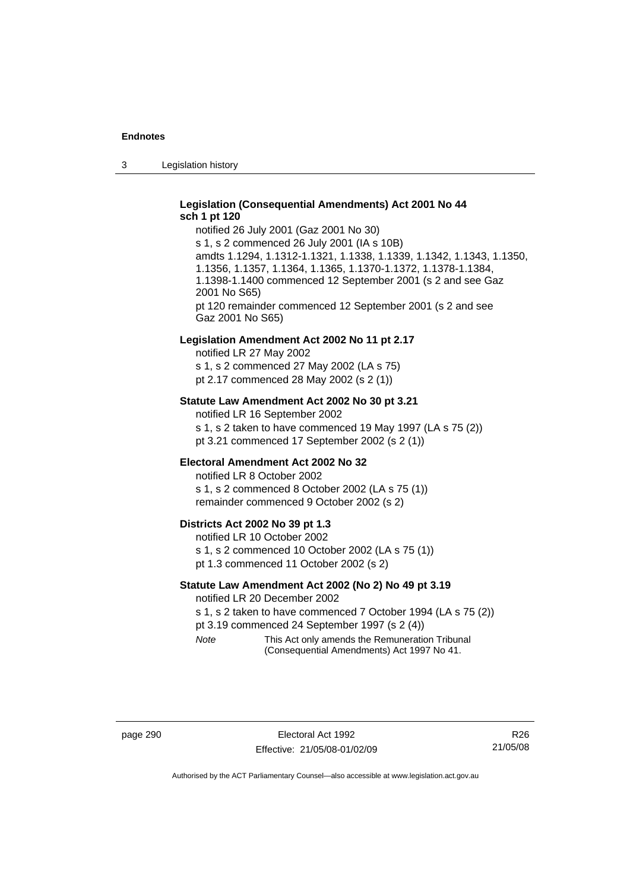3 Legislation history

## **Legislation (Consequential Amendments) Act 2001 No 44 sch 1 pt 120**

notified 26 July 2001 (Gaz 2001 No 30) s 1, s 2 commenced 26 July 2001 (IA s 10B) amdts 1.1294, 1.1312-1.1321, 1.1338, 1.1339, 1.1342, 1.1343, 1.1350, 1.1356, 1.1357, 1.1364, 1.1365, 1.1370-1.1372, 1.1378-1.1384, 1.1398-1.1400 commenced 12 September 2001 (s 2 and see Gaz 2001 No S65) pt 120 remainder commenced 12 September 2001 (s 2 and see Gaz 2001 No S65)

#### **Legislation Amendment Act 2002 No 11 pt 2.17**

notified LR 27 May 2002 s 1, s 2 commenced 27 May 2002 (LA s 75) pt 2.17 commenced 28 May 2002 (s 2 (1))

## **Statute Law Amendment Act 2002 No 30 pt 3.21**

notified LR 16 September 2002 s 1, s 2 taken to have commenced 19 May 1997 (LA s 75 (2)) pt 3.21 commenced 17 September 2002 (s 2 (1))

#### **Electoral Amendment Act 2002 No 32**

notified LR 8 October 2002 s 1, s 2 commenced 8 October 2002 (LA s 75 (1)) remainder commenced 9 October 2002 (s 2)

#### **Districts Act 2002 No 39 pt 1.3**

notified LR 10 October 2002 s 1, s 2 commenced 10 October 2002 (LA s 75 (1)) pt 1.3 commenced 11 October 2002 (s 2)

### **Statute Law Amendment Act 2002 (No 2) No 49 pt 3.19**

notified LR 20 December 2002

s 1, s 2 taken to have commenced 7 October 1994 (LA s 75 (2)) pt 3.19 commenced 24 September 1997 (s 2 (4))

*Note* This Act only amends the Remuneration Tribunal (Consequential Amendments) Act 1997 No 41.

page 290 **Electoral Act 1992** Effective: 21/05/08-01/02/09

R26 21/05/08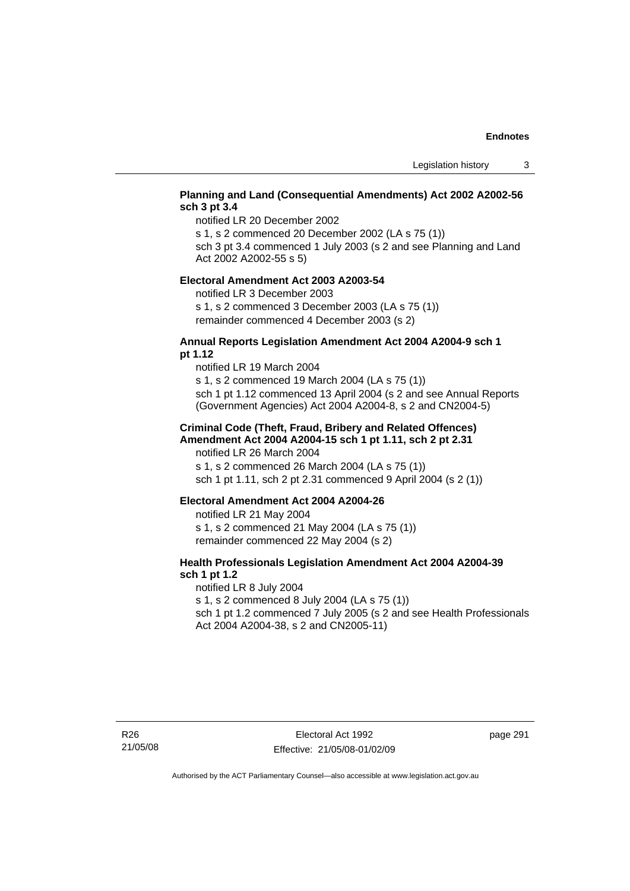## **Planning and Land (Consequential Amendments) Act 2002 A2002-56 sch 3 pt 3.4**

notified LR 20 December 2002

s 1, s 2 commenced 20 December 2002 (LA s 75 (1))

sch 3 pt 3.4 commenced 1 July 2003 (s 2 and see Planning and Land Act 2002 A2002-55 s 5)

#### **Electoral Amendment Act 2003 A2003-54**

notified LR 3 December 2003

s 1, s 2 commenced 3 December 2003 (LA s 75 (1)) remainder commenced 4 December 2003 (s 2)

## **Annual Reports Legislation Amendment Act 2004 A2004-9 sch 1 pt 1.12**

notified LR 19 March 2004 s 1, s 2 commenced 19 March 2004 (LA s 75 (1)) sch 1 pt 1.12 commenced 13 April 2004 (s 2 and see Annual Reports (Government Agencies) Act 2004 A2004-8, s 2 and CN2004-5)

## **Criminal Code (Theft, Fraud, Bribery and Related Offences) Amendment Act 2004 A2004-15 sch 1 pt 1.11, sch 2 pt 2.31**

notified LR 26 March 2004 s 1, s 2 commenced 26 March 2004 (LA s 75 (1)) sch 1 pt 1.11, sch 2 pt 2.31 commenced 9 April 2004 (s 2 (1))

## **Electoral Amendment Act 2004 A2004-26**

notified LR 21 May 2004 s 1, s 2 commenced 21 May 2004 (LA s 75 (1)) remainder commenced 22 May 2004 (s 2)

## **Health Professionals Legislation Amendment Act 2004 A2004-39 sch 1 pt 1.2**

notified LR 8 July 2004 s 1, s 2 commenced 8 July 2004 (LA s 75 (1)) sch 1 pt 1.2 commenced 7 July 2005 (s 2 and see Health Professionals Act 2004 A2004-38, s 2 and CN2005-11)

page 291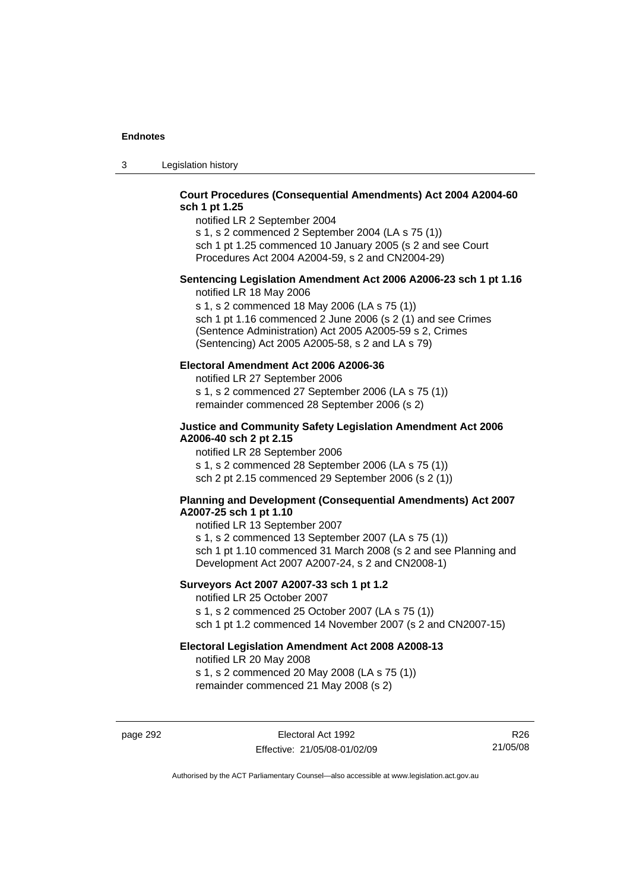3 Legislation history

## **Court Procedures (Consequential Amendments) Act 2004 A2004-60 sch 1 pt 1.25**

notified LR 2 September 2004 s 1, s 2 commenced 2 September 2004 (LA s 75 (1))

sch 1 pt 1.25 commenced 10 January 2005 (s 2 and see Court Procedures Act 2004 A2004-59, s 2 and CN2004-29)

# **Sentencing Legislation Amendment Act 2006 A2006-23 sch 1 pt 1.16**

notified LR 18 May 2006

s 1, s 2 commenced 18 May 2006 (LA s 75 (1)) sch 1 pt 1.16 commenced 2 June 2006 (s 2 (1) and see Crimes (Sentence Administration) Act 2005 A2005-59 s 2, Crimes (Sentencing) Act 2005 A2005-58, s 2 and LA s 79)

## **Electoral Amendment Act 2006 A2006-36**

notified LR 27 September 2006 s 1, s 2 commenced 27 September 2006 (LA s 75 (1)) remainder commenced 28 September 2006 (s 2)

## **Justice and Community Safety Legislation Amendment Act 2006 A2006-40 sch 2 pt 2.15**

notified LR 28 September 2006 s 1, s 2 commenced 28 September 2006 (LA s 75 (1)) sch 2 pt 2.15 commenced 29 September 2006 (s 2 (1))

## **Planning and Development (Consequential Amendments) Act 2007 A2007-25 sch 1 pt 1.10**

notified LR 13 September 2007 s 1, s 2 commenced 13 September 2007 (LA s 75 (1)) sch 1 pt 1.10 commenced 31 March 2008 (s 2 and see Planning and Development Act 2007 A2007-24, s 2 and CN2008-1)

## **Surveyors Act 2007 A2007-33 sch 1 pt 1.2**

notified LR 25 October 2007 s 1, s 2 commenced 25 October 2007 (LA s 75 (1)) sch 1 pt 1.2 commenced 14 November 2007 (s 2 and CN2007-15)

## **Electoral Legislation Amendment Act 2008 A2008-13**

notified LR 20 May 2008 s 1, s 2 commenced 20 May 2008 (LA s 75 (1)) remainder commenced 21 May 2008 (s 2)

page 292 **Electoral Act 1992** Effective: 21/05/08-01/02/09

R26 21/05/08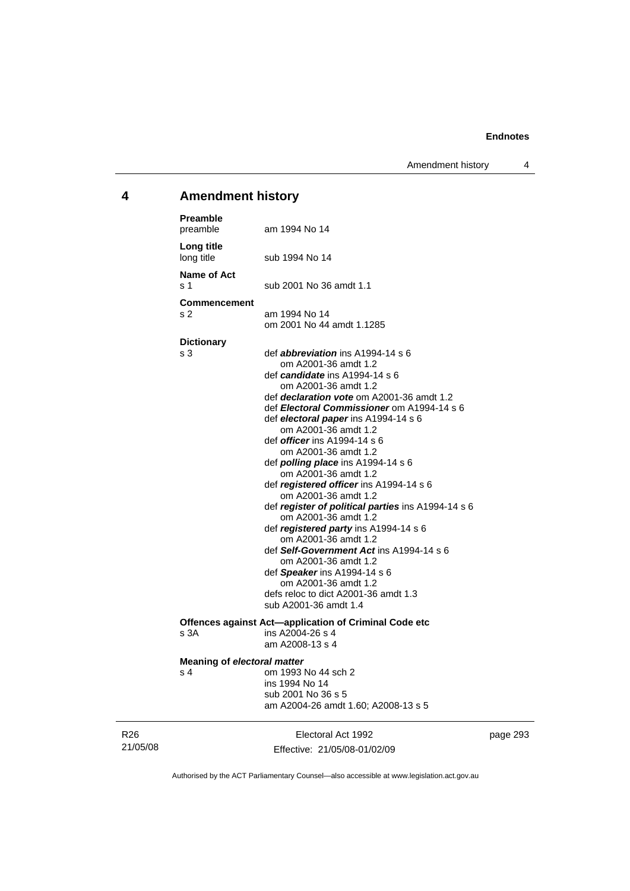Amendment history 4

# **4 Amendment history**

| <b>Preamble</b><br>preamble |                                    | am 1994 No 14                                                                                                                                                                                                                                                                                                                                                                                                                                                                                                                                                                                                                                                                                                                                                                                                                                                 |
|-----------------------------|------------------------------------|---------------------------------------------------------------------------------------------------------------------------------------------------------------------------------------------------------------------------------------------------------------------------------------------------------------------------------------------------------------------------------------------------------------------------------------------------------------------------------------------------------------------------------------------------------------------------------------------------------------------------------------------------------------------------------------------------------------------------------------------------------------------------------------------------------------------------------------------------------------|
| Long title<br>long title    |                                    | sub 1994 No 14                                                                                                                                                                                                                                                                                                                                                                                                                                                                                                                                                                                                                                                                                                                                                                                                                                                |
| <b>Name of Act</b><br>s 1   |                                    | sub 2001 No 36 amdt 1.1                                                                                                                                                                                                                                                                                                                                                                                                                                                                                                                                                                                                                                                                                                                                                                                                                                       |
| s 2                         | <b>Commencement</b>                | am 1994 No 14<br>om 2001 No 44 amdt 1.1285                                                                                                                                                                                                                                                                                                                                                                                                                                                                                                                                                                                                                                                                                                                                                                                                                    |
| <b>Dictionary</b><br>s 3    |                                    | def <i>abbreviation</i> ins A1994-14 s 6<br>om A2001-36 amdt 1.2<br>def <i>candidate</i> ins A1994-14 s 6<br>om A2001-36 amdt 1.2<br>def <i>declaration vote</i> om A2001-36 amdt 1.2<br>def Electoral Commissioner om A1994-14 s 6<br>def electoral paper ins A1994-14 s 6<br>om A2001-36 amdt 1.2<br>def <i>officer</i> ins A1994-14 s 6<br>om A2001-36 amdt 1.2<br>def <i>polling place</i> ins A1994-14 s 6<br>om A2001-36 amdt 1.2<br>def <i>registered officer</i> ins A1994-14 s 6<br>om A2001-36 amdt 1.2<br>def register of political parties ins A1994-14 s 6<br>om A2001-36 amdt 1.2<br>def registered party ins A1994-14 s 6<br>om A2001-36 amdt 1.2<br>def Self-Government Act ins A1994-14 s 6<br>om A2001-36 amdt 1.2<br>def Speaker ins A1994-14 s 6<br>om A2001-36 amdt 1.2<br>defs reloc to dict A2001-36 amdt 1.3<br>sub A2001-36 amdt 1.4 |
| s 3A                        |                                    | Offences against Act-application of Criminal Code etc<br>ins A2004-26 s 4<br>am A2008-13 s 4                                                                                                                                                                                                                                                                                                                                                                                                                                                                                                                                                                                                                                                                                                                                                                  |
| s <sub>4</sub>              | <b>Meaning of electoral matter</b> | om 1993 No 44 sch 2<br>ins 1994 No 14<br>sub 2001 No 36 s 5<br>am A2004-26 amdt 1.60; A2008-13 s 5                                                                                                                                                                                                                                                                                                                                                                                                                                                                                                                                                                                                                                                                                                                                                            |

R26 21/05/08

Electoral Act 1992 Effective: 21/05/08-01/02/09 page 293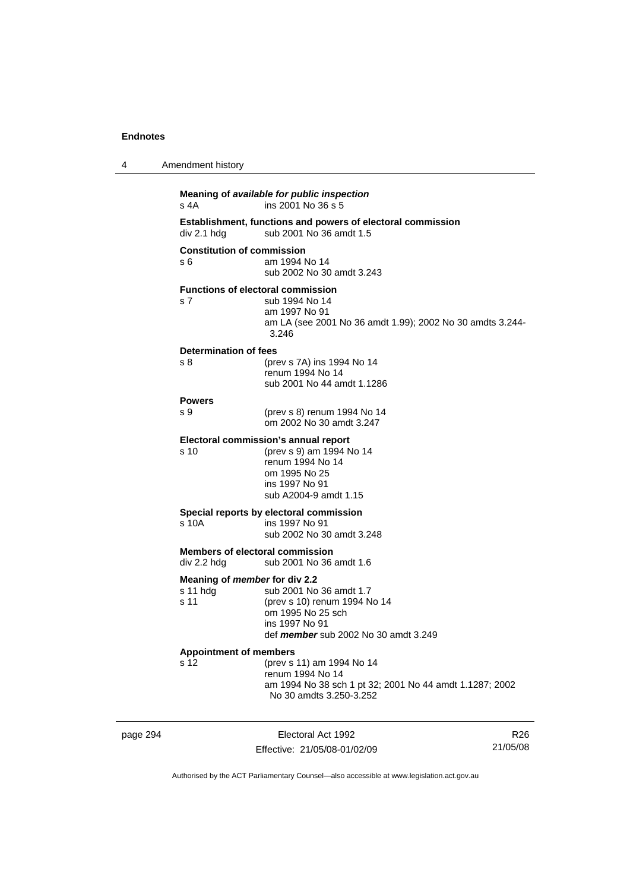| 4 | Amendment history                                        |                                                                                                                                                   |
|---|----------------------------------------------------------|---------------------------------------------------------------------------------------------------------------------------------------------------|
|   | s 4A                                                     | Meaning of available for public inspection<br>ins 2001 No 36 s 5                                                                                  |
|   | div 2.1 h dg                                             | Establishment, functions and powers of electoral commission<br>sub 2001 No 36 amdt 1.5                                                            |
|   | <b>Constitution of commission</b><br>s6                  | am 1994 No 14<br>sub 2002 No 30 amdt 3.243                                                                                                        |
|   | s 7                                                      | <b>Functions of electoral commission</b><br>sub 1994 No 14<br>am 1997 No 91<br>am LA (see 2001 No 36 amdt 1.99); 2002 No 30 amdts 3.244-<br>3.246 |
|   | Determination of fees<br>s 8                             | (prev s 7A) ins 1994 No 14<br>renum 1994 No 14<br>sub 2001 No 44 amdt 1.1286                                                                      |
|   | <b>Powers</b><br>s 9                                     | (prev s 8) renum 1994 No 14<br>om 2002 No 30 amdt 3.247                                                                                           |
|   | s 10                                                     | Electoral commission's annual report<br>(prev s 9) am 1994 No 14<br>renum 1994 No 14<br>om 1995 No 25<br>ins 1997 No 91<br>sub A2004-9 amdt 1.15  |
|   | s 10A                                                    | Special reports by electoral commission<br>ins 1997 No 91<br>sub 2002 No 30 amdt 3.248                                                            |
|   | <b>Members of electoral commission</b><br>div 2.2 hdg    | sub 2001 No 36 amdt 1.6                                                                                                                           |
|   | Meaning of <i>member</i> for div 2.2<br>s 11 hdg<br>s 11 | sub 2001 No 36 amdt 1.7<br>(prev s 10) renum 1994 No 14<br>om 1995 No 25 sch<br>ins 1997 No 91<br>def member sub 2002 No 30 amdt 3.249            |
|   | <b>Appointment of members</b><br>s 12                    | (prev s 11) am 1994 No 14<br>renum 1994 No 14<br>am 1994 No 38 sch 1 pt 32; 2001 No 44 amdt 1.1287; 2002<br>No 30 amdts 3.250-3.252               |

page 294 Electoral Act 1992 Effective: 21/05/08-01/02/09

R26 21/05/08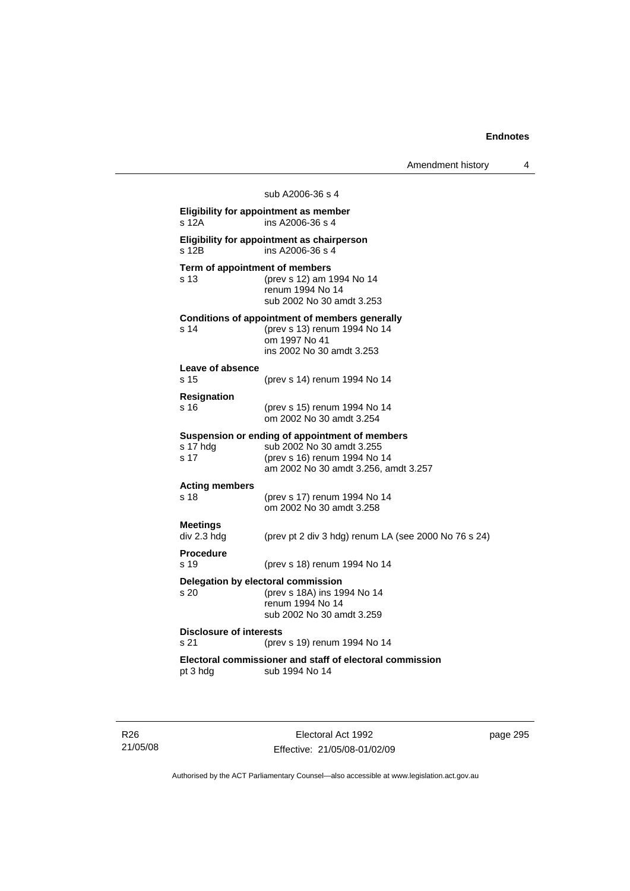|                                        | sub A2006-36 s 4                                                                                                                                    |
|----------------------------------------|-----------------------------------------------------------------------------------------------------------------------------------------------------|
| s 12A                                  | <b>Eligibility for appointment as member</b><br>ins A2006-36 s 4                                                                                    |
| s 12B                                  | Eligibility for appointment as chairperson<br>ins A2006-36 s 4                                                                                      |
| Term of appointment of members<br>s 13 | (prev s 12) am 1994 No 14<br>renum 1994 No 14<br>sub 2002 No 30 amdt 3.253                                                                          |
| s 14                                   | <b>Conditions of appointment of members generally</b><br>(prev s 13) renum 1994 No 14<br>om 1997 No 41<br>ins 2002 No 30 amdt 3.253                 |
| Leave of absence<br>s 15               | (prev s 14) renum 1994 No 14                                                                                                                        |
| <b>Resignation</b><br>s 16             | (prev s 15) renum 1994 No 14<br>om 2002 No 30 amdt 3.254                                                                                            |
| s 17 hdg<br>s 17                       | Suspension or ending of appointment of members<br>sub 2002 No 30 amdt 3.255<br>(prev s 16) renum 1994 No 14<br>am 2002 No 30 amdt 3.256, amdt 3.257 |
| <b>Acting members</b><br>s 18          | (prev s 17) renum 1994 No 14<br>om 2002 No 30 amdt 3.258                                                                                            |
| <b>Meetings</b><br>div 2.3 hdg         | (prev pt 2 div 3 hdg) renum LA (see 2000 No 76 s 24)                                                                                                |
| <b>Procedure</b><br>s 19               | (prev s 18) renum 1994 No 14                                                                                                                        |
| s <sub>20</sub>                        | Delegation by electoral commission<br>(prev s 18A) ins 1994 No 14<br>renum 1994 No 14<br>sub 2002 No 30 amdt 3.259                                  |
| <b>Disclosure of interests</b><br>s 21 | (prev s 19) renum 1994 No 14                                                                                                                        |
| pt 3 hdg                               | Electoral commissioner and staff of electoral commission<br>sub 1994 No 14                                                                          |
|                                        |                                                                                                                                                     |

R26 21/05/08

Electoral Act 1992 Effective: 21/05/08-01/02/09 page 295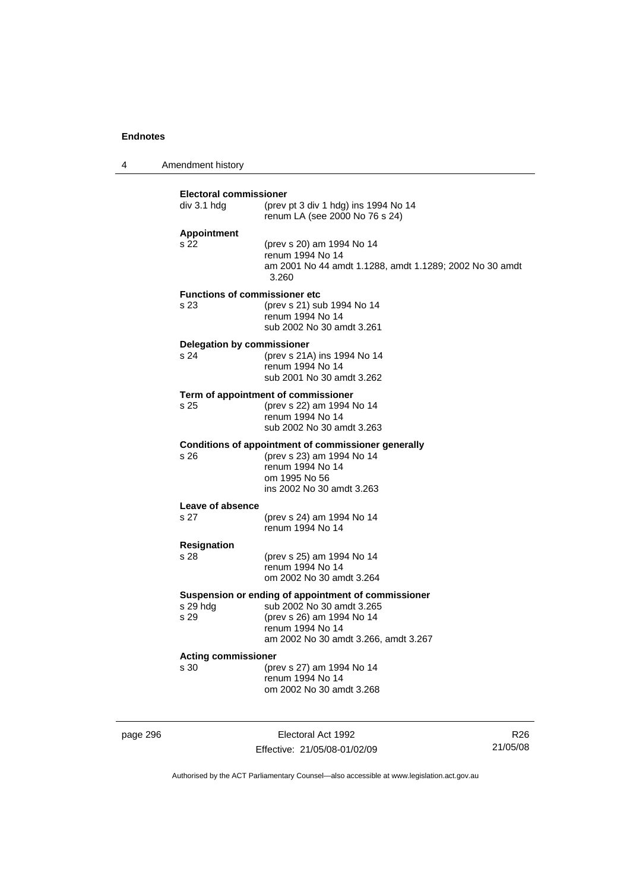4 Amendment history

| div 3.1 hdg                                             | (prev pt 3 div 1 hdg) ins 1994 No 14<br>renum LA (see 2000 No 76 s 24)                                                                                                    |
|---------------------------------------------------------|---------------------------------------------------------------------------------------------------------------------------------------------------------------------------|
| <b>Appointment</b><br>s 22                              | (prev s 20) am 1994 No 14<br>renum 1994 No 14<br>am 2001 No 44 amdt 1.1288, amdt 1.1289; 2002 No 30 amdt<br>3.260                                                         |
| <b>Functions of commissioner etc</b><br>s <sub>23</sub> | (prev s 21) sub 1994 No 14<br>renum 1994 No 14<br>sub 2002 No 30 amdt 3.261                                                                                               |
| <b>Delegation by commissioner</b><br>s 24               | (prev s 21A) ins 1994 No 14<br>renum 1994 No 14<br>sub 2001 No 30 amdt 3.262                                                                                              |
| s 25                                                    | Term of appointment of commissioner<br>(prev s 22) am 1994 No 14<br>renum 1994 No 14<br>sub 2002 No 30 amdt 3.263                                                         |
| s <sub>26</sub>                                         | Conditions of appointment of commissioner generally<br>(prev s 23) am 1994 No 14<br>renum 1994 No 14<br>om 1995 No 56<br>ins 2002 No 30 amdt 3.263                        |
| Leave of absence<br>s 27                                | (prev s 24) am 1994 No 14<br>renum 1994 No 14                                                                                                                             |
| <b>Resignation</b><br>s 28                              | (prev s 25) am 1994 No 14<br>renum 1994 No 14<br>om 2002 No 30 amdt 3.264                                                                                                 |
| s 29 hdg<br>s 29                                        | Suspension or ending of appointment of commissioner<br>sub 2002 No 30 amdt 3.265<br>(prev s 26) am 1994 No 14<br>renum 1994 No 14<br>am 2002 No 30 amdt 3.266, amdt 3.267 |
| <b>Acting commissioner</b><br>s 30                      | (prev s 27) am 1994 No 14<br>renum 1994 No 14<br>om 2002 No 30 amdt 3.268                                                                                                 |

page 296 Electoral Act 1992 Effective: 21/05/08-01/02/09

R26 21/05/08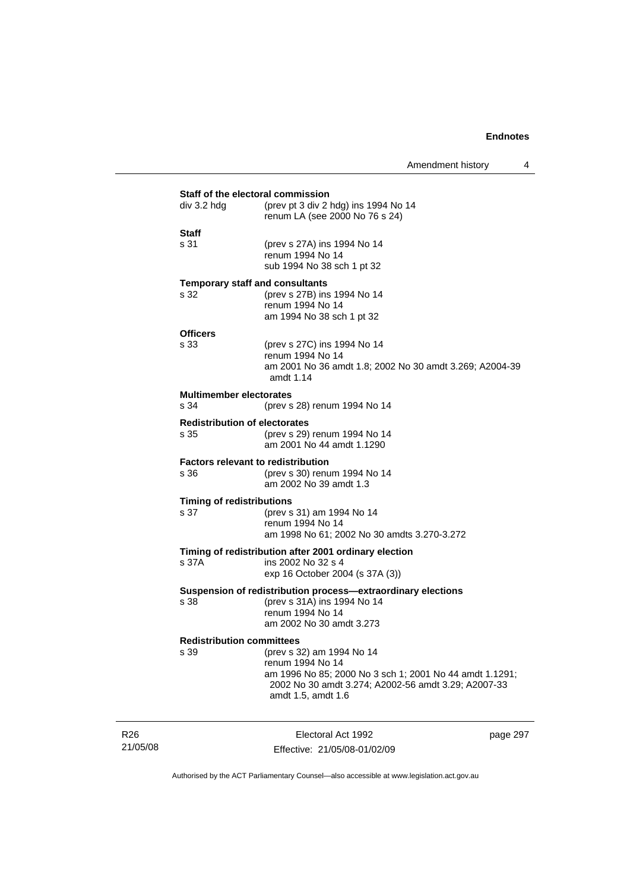|                                              | Staff of the electoral commission                                                                                                                               |
|----------------------------------------------|-----------------------------------------------------------------------------------------------------------------------------------------------------------------|
| div 3.2 hdg                                  | (prev pt 3 div 2 hdg) ins 1994 No 14<br>renum LA (see 2000 No 76 s 24)                                                                                          |
| <b>Staff</b>                                 |                                                                                                                                                                 |
| s 31                                         | (prev s 27A) ins 1994 No 14<br>renum 1994 No 14<br>sub 1994 No 38 sch 1 pt 32                                                                                   |
|                                              | <b>Temporary staff and consultants</b>                                                                                                                          |
| s 32                                         | (prev s 27B) ins 1994 No 14<br>renum 1994 No 14<br>am 1994 No 38 sch 1 pt 32                                                                                    |
| <b>Officers</b>                              |                                                                                                                                                                 |
| s 33                                         | (prev s 27C) ins 1994 No 14<br>renum 1994 No 14<br>am 2001 No 36 amdt 1.8; 2002 No 30 amdt 3.269; A2004-39<br>amdt 1.14                                         |
| <b>Multimember electorates</b><br>s 34       | (prev s 28) renum 1994 No 14                                                                                                                                    |
|                                              |                                                                                                                                                                 |
| <b>Redistribution of electorates</b><br>s 35 | (prev s 29) renum 1994 No 14<br>am 2001 No 44 amdt 1.1290                                                                                                       |
| s 36                                         | <b>Factors relevant to redistribution</b><br>(prev s 30) renum 1994 No 14<br>am 2002 No 39 amdt 1.3                                                             |
| <b>Timing of redistributions</b>             |                                                                                                                                                                 |
| s 37                                         | (prev s 31) am 1994 No 14<br>renum 1994 No 14<br>am 1998 No 61; 2002 No 30 amdts 3.270-3.272                                                                    |
|                                              | Timing of redistribution after 2001 ordinary election                                                                                                           |
| s 37A                                        | ins 2002 No 32 s 4<br>exp 16 October 2004 (s 37A (3))                                                                                                           |
|                                              | Suspension of redistribution process-extraordinary elections                                                                                                    |
| s 38                                         | (prev s 31A) ins 1994 No 14<br>renum 1994 No 14<br>am 2002 No 30 amdt 3.273                                                                                     |
| <b>Redistribution committees</b>             |                                                                                                                                                                 |
| s 39                                         | (prev s 32) am 1994 No 14<br>renum 1994 No 14<br>am 1996 No 85; 2000 No 3 sch 1; 2001 No 44 amdt 1.1291;<br>2002 No 30 amdt 3.274; A2002-56 amdt 3.29; A2007-33 |

R26 21/05/08

Electoral Act 1992 Effective: 21/05/08-01/02/09 page 297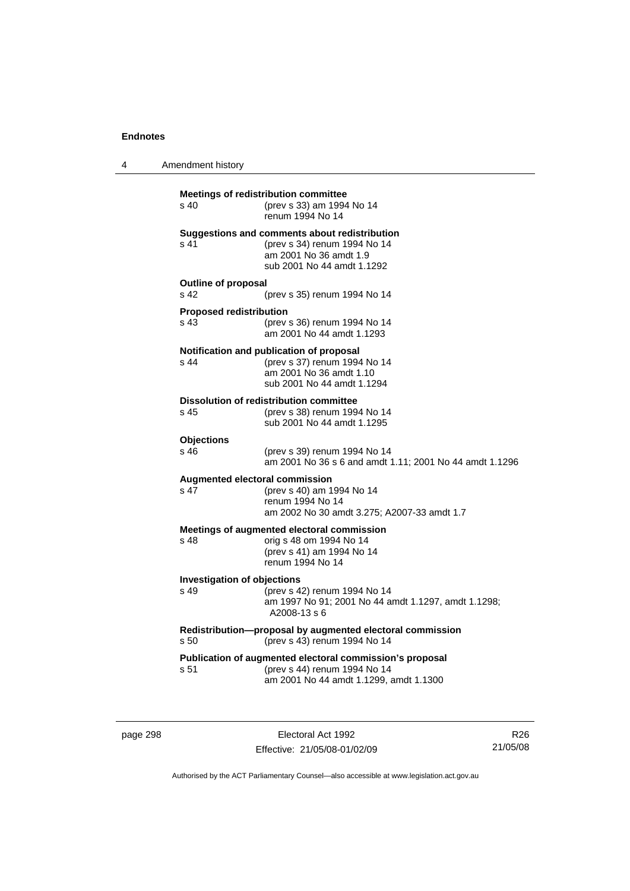4 Amendment history

| s 40                                              | <b>Meetings of redistribution committee</b><br>(prev s 33) am 1994 No 14<br>renum 1994 No 14                                          |
|---------------------------------------------------|---------------------------------------------------------------------------------------------------------------------------------------|
| s 41                                              | Suggestions and comments about redistribution<br>(prev s 34) renum 1994 No 14<br>am 2001 No 36 amdt 1.9<br>sub 2001 No 44 amdt 1.1292 |
| <b>Outline of proposal</b><br>s 42                | (prev s 35) renum 1994 No 14                                                                                                          |
| <b>Proposed redistribution</b><br>s <sub>43</sub> | (prev s 36) renum 1994 No 14<br>am 2001 No 44 amdt 1.1293                                                                             |
| s 44                                              | Notification and publication of proposal<br>(prev s 37) renum 1994 No 14<br>am 2001 No 36 amdt 1.10<br>sub 2001 No 44 amdt 1.1294     |
| s 45                                              | <b>Dissolution of redistribution committee</b><br>(prev s 38) renum 1994 No 14<br>sub 2001 No 44 amdt 1.1295                          |
| <b>Objections</b><br>s 46                         | (prev s 39) renum 1994 No 14<br>am 2001 No 36 s 6 and amdt 1.11; 2001 No 44 amdt 1.1296                                               |
| s 47                                              | Augmented electoral commission<br>(prev s 40) am 1994 No 14<br>renum 1994 No 14<br>am 2002 No 30 amdt 3.275; A2007-33 amdt 1.7        |
| s 48                                              | Meetings of augmented electoral commission<br>orig s 48 om 1994 No 14<br>(prev s 41) am 1994 No 14<br>renum 1994 No 14                |
| <b>Investigation of objections</b><br>s 49        | (prev s 42) renum 1994 No 14<br>am 1997 No 91; 2001 No 44 amdt 1.1297, amdt 1.1298;<br>A2008-13 s 6                                   |
| s 50                                              | Redistribution-proposal by augmented electoral commission<br>(prev s 43) renum 1994 No 14                                             |
| s 51                                              | Publication of augmented electoral commission's proposal<br>(prev s 44) renum 1994 No 14<br>am 2001 No 44 amdt 1.1299, amdt 1.1300    |

page 298 Electoral Act 1992 Effective: 21/05/08-01/02/09

R26 21/05/08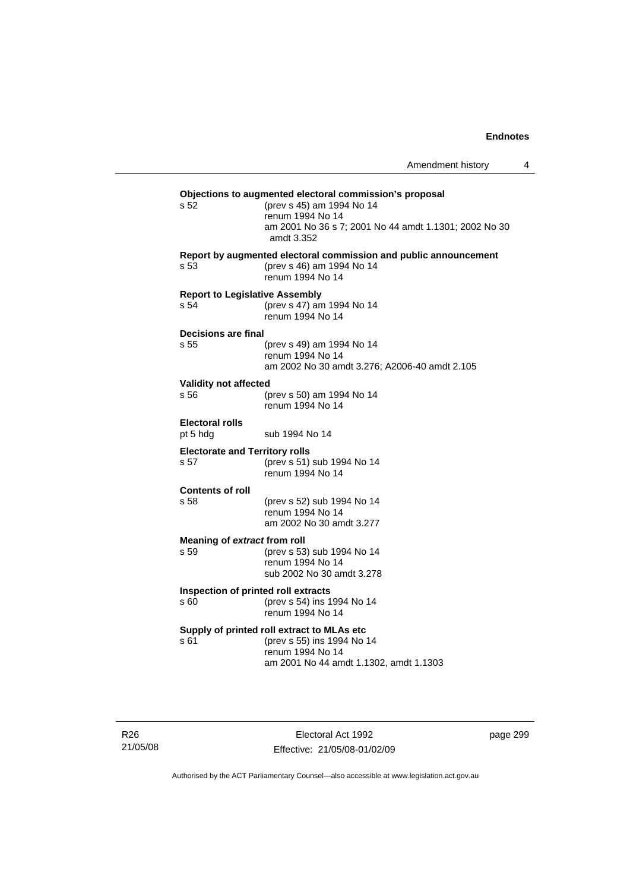| Amendment history |  |
|-------------------|--|
|-------------------|--|

| s 52                                                     | Objections to augmented electoral commission's proposal<br>(prev s 45) am 1994 No 14<br>renum 1994 No 14<br>am 2001 No 36 s 7; 2001 No 44 amdt 1.1301; 2002 No 30<br>amdt 3.352 |
|----------------------------------------------------------|---------------------------------------------------------------------------------------------------------------------------------------------------------------------------------|
| s <sub>53</sub>                                          | Report by augmented electoral commission and public announcement<br>(prev s 46) am 1994 No 14<br>renum 1994 No 14                                                               |
| <b>Report to Legislative Assembly</b><br>s 54            | (prev s 47) am 1994 No 14<br>renum 1994 No 14                                                                                                                                   |
| Decisions are final                                      |                                                                                                                                                                                 |
| s <sub>55</sub>                                          | (prev s 49) am 1994 No 14<br>renum 1994 No 14<br>am 2002 No 30 amdt 3.276; A2006-40 amdt 2.105                                                                                  |
| <b>Validity not affected</b>                             |                                                                                                                                                                                 |
| s 56                                                     | (prev s 50) am 1994 No 14<br>renum 1994 No 14                                                                                                                                   |
| <b>Electoral rolls</b><br>pt 5 hdg                       | sub 1994 No 14                                                                                                                                                                  |
| <b>Electorate and Territory rolls</b><br>s <sub>57</sub> | (prev s 51) sub 1994 No 14<br>renum 1994 No 14                                                                                                                                  |
| <b>Contents of roll</b>                                  |                                                                                                                                                                                 |
| s 58                                                     | (prev s 52) sub 1994 No 14<br>renum 1994 No 14<br>am 2002 No 30 amdt 3.277                                                                                                      |
| Meaning of extract from roll                             |                                                                                                                                                                                 |
| s 59                                                     | (prev s 53) sub 1994 No 14<br>renum 1994 No 14<br>sub 2002 No 30 amdt 3.278                                                                                                     |
| Inspection of printed roll extracts                      |                                                                                                                                                                                 |
| s 60                                                     | (prev s 54) ins 1994 No 14<br>renum 1994 No 14                                                                                                                                  |
| s 61                                                     | Supply of printed roll extract to MLAs etc<br>(prev s 55) ins 1994 No 14<br>renum 1994 No 14<br>am 2001 No 44 amdt 1.1302, amdt 1.1303                                          |
|                                                          |                                                                                                                                                                                 |

Electoral Act 1992 Effective: 21/05/08-01/02/09 page 299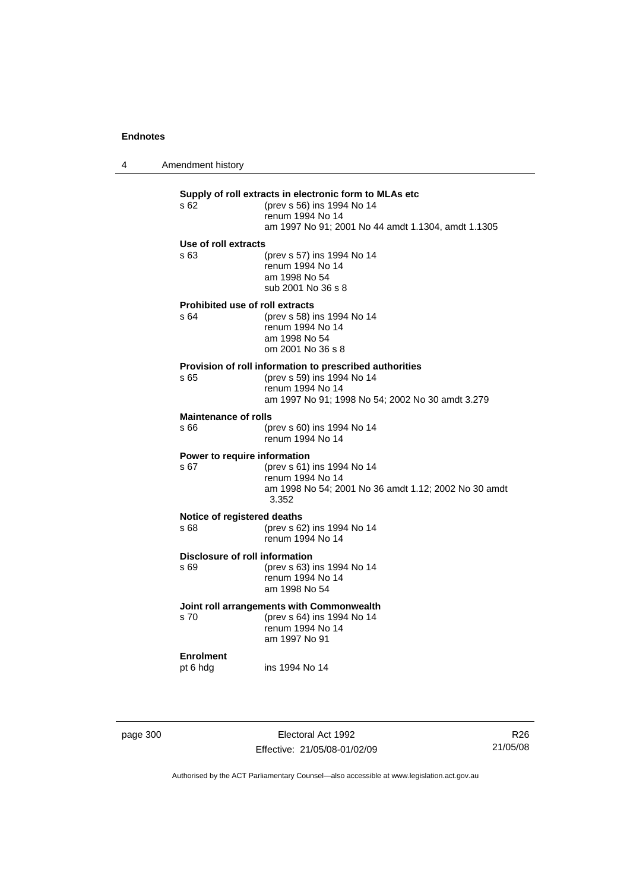4 Amendment history

| s 62.                                  | Supply of roll extracts in electronic form to MLAs etc<br>(prev s 56) ins 1994 No 14<br>renum 1994 No 14<br>am 1997 No 91; 2001 No 44 amdt 1.1304, amdt 1.1305 |
|----------------------------------------|----------------------------------------------------------------------------------------------------------------------------------------------------------------|
| Use of roll extracts                   |                                                                                                                                                                |
| s 63                                   | (prev s 57) ins 1994 No 14<br>renum 1994 No 14<br>am 1998 No 54<br>sub 2001 No 36 s 8                                                                          |
| <b>Prohibited use of roll extracts</b> |                                                                                                                                                                |
| s <sub>64</sub>                        | (prev s 58) ins 1994 No 14<br>renum 1994 No 14<br>am 1998 No 54<br>om 2001 No 36 s 8                                                                           |
|                                        | Provision of roll information to prescribed authorities                                                                                                        |
| s 65                                   | (prev s 59) ins 1994 No 14                                                                                                                                     |
|                                        | renum 1994 No 14<br>am 1997 No 91; 1998 No 54; 2002 No 30 amdt 3.279                                                                                           |
| <b>Maintenance of rolls</b>            |                                                                                                                                                                |
| s 66                                   | (prev s 60) ins 1994 No 14<br>renum 1994 No 14                                                                                                                 |
| Power to require information           |                                                                                                                                                                |
| s 67                                   | (prev s 61) ins 1994 No 14<br>renum 1994 No 14                                                                                                                 |
|                                        | am 1998 No 54; 2001 No 36 amdt 1.12; 2002 No 30 amdt<br>3.352                                                                                                  |
| Notice of registered deaths            |                                                                                                                                                                |
| s 68.                                  | (prev s 62) ins 1994 No 14<br>renum 1994 No 14                                                                                                                 |
| Disclosure of roll information         |                                                                                                                                                                |
| s69                                    | (prev s 63) ins 1994 No 14<br>renum 1994 No 14                                                                                                                 |
|                                        | am 1998 No 54                                                                                                                                                  |
|                                        | Joint roll arrangements with Commonwealth                                                                                                                      |
| s <sub>70</sub>                        | (prev s 64) ins 1994 No 14                                                                                                                                     |
|                                        | renum 1994 No 14<br>am 1997 No 91                                                                                                                              |
| <b>Enrolment</b>                       |                                                                                                                                                                |
| pt 6 hdg                               | ins 1994 No 14                                                                                                                                                 |
|                                        |                                                                                                                                                                |

page 300 Electoral Act 1992 Effective: 21/05/08-01/02/09

R26 21/05/08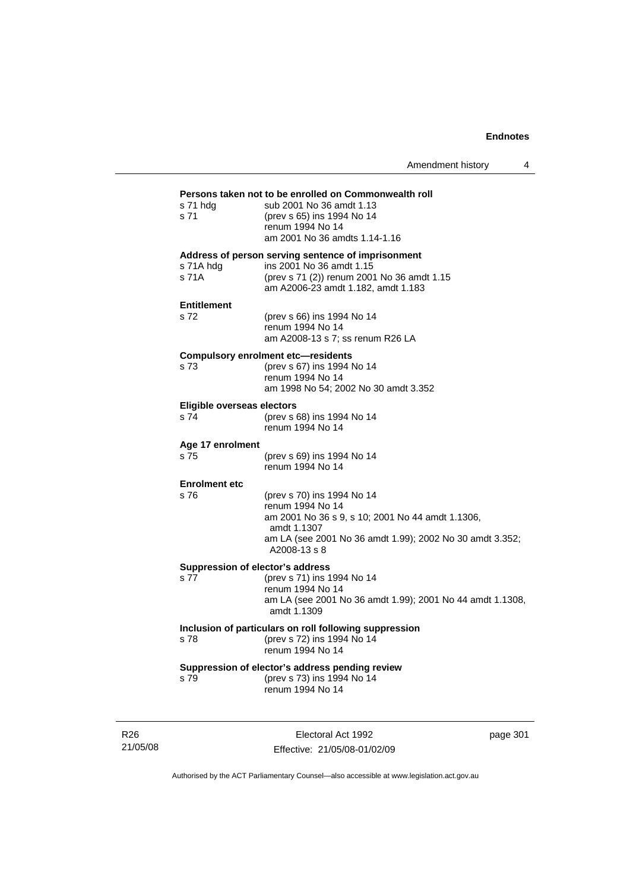# **Persons taken not to be enrolled on Commonwealth roll s 71 hdg sub 2001 No 36 amdt 1.13** s 71 hdg sub 2001 No 36 amdt 1.13<br>s 71 (prev s 65) ins 1994 No 14

| s 71                                     | (prev s 65) ins 1994 No 14<br>renum 1994 No 14<br>am 2001 No 36 amdts 1.14-1.16                                                                                                               |
|------------------------------------------|-----------------------------------------------------------------------------------------------------------------------------------------------------------------------------------------------|
| s 71A hdg<br>s 71A                       | Address of person serving sentence of imprisonment<br>ins 2001 No 36 amdt 1.15<br>(prev s 71 (2)) renum 2001 No 36 amdt 1.15<br>am A2006-23 amdt 1.182, amdt 1.183                            |
| <b>Entitlement</b><br>s 72               | (prev s 66) ins 1994 No 14<br>renum 1994 No 14<br>am A2008-13 s 7; ss renum R26 LA                                                                                                            |
| s 73                                     | <b>Compulsory enrolment etc-residents</b><br>(prev s 67) ins 1994 No 14<br>renum 1994 No 14<br>am 1998 No 54; 2002 No 30 amdt 3.352                                                           |
| Eligible overseas electors<br>s 74       | (prev s 68) ins 1994 No 14<br>renum 1994 No 14                                                                                                                                                |
| Age 17 enrolment<br>s 75                 | (prev s 69) ins 1994 No 14<br>renum 1994 No 14                                                                                                                                                |
| <b>Enrolment etc</b><br>s 76             | (prev s 70) ins 1994 No 14<br>renum 1994 No 14<br>am 2001 No 36 s 9, s 10; 2001 No 44 amdt 1.1306,<br>amdt 1.1307<br>am LA (see 2001 No 36 amdt 1.99); 2002 No 30 amdt 3.352;<br>A2008-13 s 8 |
| Suppression of elector's address<br>s 77 | (prev s 71) ins 1994 No 14<br>renum 1994 No 14<br>am LA (see 2001 No 36 amdt 1.99); 2001 No 44 amdt 1.1308,<br>amdt 1.1309                                                                    |
| s 78                                     | Inclusion of particulars on roll following suppression<br>(prev s 72) ins 1994 No 14<br>renum 1994 No 14                                                                                      |
| s 79                                     | Suppression of elector's address pending review<br>(prev s 73) ins 1994 No 14<br>renum 1994 No 14                                                                                             |

R26 21/05/08

Electoral Act 1992 Effective: 21/05/08-01/02/09 page 301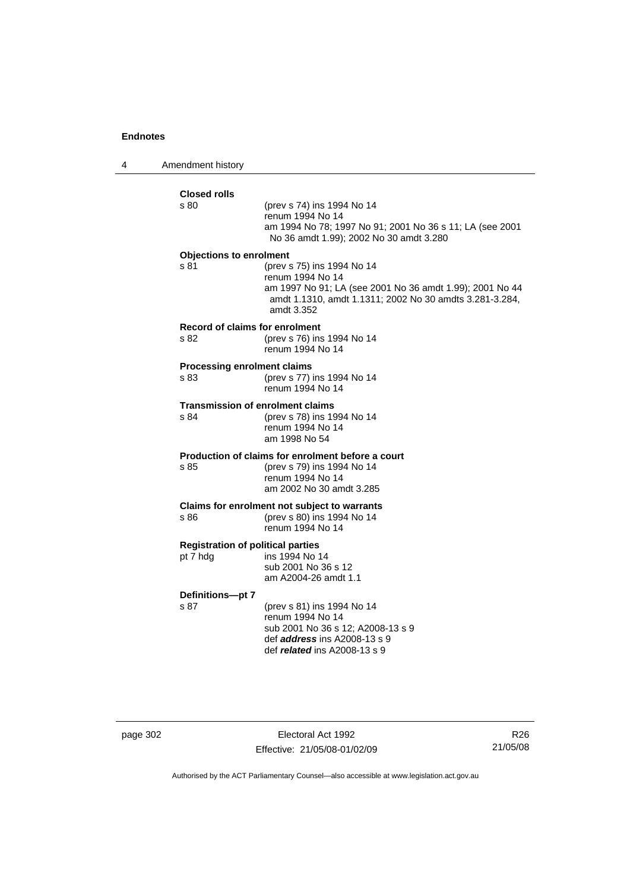4 Amendment history

| <b>Closed rolls</b>            |                                                                                                                                                                                     |
|--------------------------------|-------------------------------------------------------------------------------------------------------------------------------------------------------------------------------------|
| s 80                           | (prev s 74) ins 1994 No 14<br>renum 1994 No 14<br>am 1994 No 78; 1997 No 91; 2001 No 36 s 11; LA (see 2001<br>No 36 amdt 1.99); 2002 No 30 amdt 3.280                               |
| <b>Objections to enrolment</b> |                                                                                                                                                                                     |
| s 81                           | (prev s 75) ins 1994 No 14<br>renum 1994 No 14<br>am 1997 No 91; LA (see 2001 No 36 amdt 1.99); 2001 No 44<br>amdt 1.1310, amdt 1.1311; 2002 No 30 amdts 3.281-3.284,<br>amdt 3.352 |
| s 82                           | Record of claims for enrolment<br>(prev s 76) ins 1994 No 14<br>renum 1994 No 14                                                                                                    |
| s 83                           | <b>Processing enrolment claims</b><br>(prev s 77) ins 1994 No 14<br>renum 1994 No 14                                                                                                |
| s 84                           | <b>Transmission of enrolment claims</b><br>(prev s 78) ins 1994 No 14<br>renum 1994 No 14<br>am 1998 No 54                                                                          |
| s 85                           | Production of claims for enrolment before a court<br>(prev s 79) ins 1994 No 14<br>renum 1994 No 14<br>am 2002 No 30 amdt 3.285                                                     |
| s 86                           | Claims for enrolment not subject to warrants<br>(prev s 80) ins 1994 No 14<br>renum 1994 No 14                                                                                      |
| pt 7 hdg                       | <b>Registration of political parties</b><br>ins 1994 No 14<br>sub 2001 No 36 s 12<br>am A2004-26 amdt 1.1                                                                           |
| Definitions-pt 7               |                                                                                                                                                                                     |
| s 87                           | (prev s 81) ins 1994 No 14<br>renum 1994 No 14<br>sub 2001 No 36 s 12; A2008-13 s 9<br>def <i>address</i> ins A2008-13 s 9<br>def <i>related</i> ins A2008-13 s 9                   |

page 302 Electoral Act 1992 Effective: 21/05/08-01/02/09

R26 21/05/08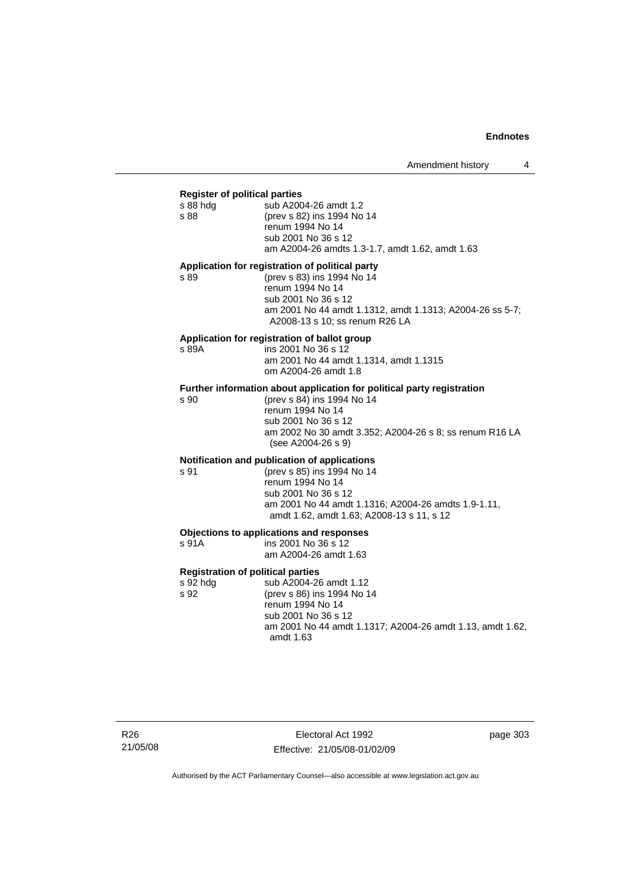#### **Register of political parties**

| s 88 hdg | sub A2004-26 amdt 1.2                           |
|----------|-------------------------------------------------|
| s 88     | (prev s 82) ins 1994 No 14                      |
|          | renum 1994 No 14                                |
|          | sub 2001 No 36 s 12                             |
|          | am A2004-26 amdts 1.3-1.7, amdt 1.62, amdt 1.63 |
|          |                                                 |

#### **Application for registration of political party**

s 89 (prev s 83) ins 1994 No 14 renum 1994 No 14 sub 2001 No 36 s 12 am 2001 No 44 amdt 1.1312, amdt 1.1313; A2004-26 ss 5-7; A2008-13 s 10; ss renum R26 LA

#### **Application for registration of ballot group**

s 89A ins 2001 No 36 s 12 am 2001 No 44 amdt 1.1314, amdt 1.1315 om A2004-26 amdt 1.8

# **Further information about application for political party registration s 90** (prev s 84) ins 1994 No 14

(prev s 84) ins 1994 No 14 renum 1994 No 14 sub 2001 No 36 s 12 am 2002 No 30 amdt 3.352; A2004-26 s 8; ss renum R16 LA (see A2004-26 s 9)

## **Notification and publication of applications**

s 91 (prev s 85) ins 1994 No 14 renum 1994 No 14 sub 2001 No 36 s 12 am 2001 No 44 amdt 1.1316; A2004-26 amdts 1.9-1.11, amdt 1.62, amdt 1.63; A2008-13 s 11, s 12

## **Objections to applications and responses**

| s 91A | ins 2001 No 36 s 12   |
|-------|-----------------------|
|       | am A2004-26 amdt 1.63 |

#### **Registration of political parties**

s 92 hdg sub A2004-26 amdt 1.12 s 92 (prev s 86) ins 1994 No 14 renum 1994 No 14 sub 2001 No 36 s 12 am 2001 No 44 amdt 1.1317; A2004-26 amdt 1.13, amdt 1.62, amdt 1.63

R26 21/05/08

Electoral Act 1992 Effective: 21/05/08-01/02/09 page 303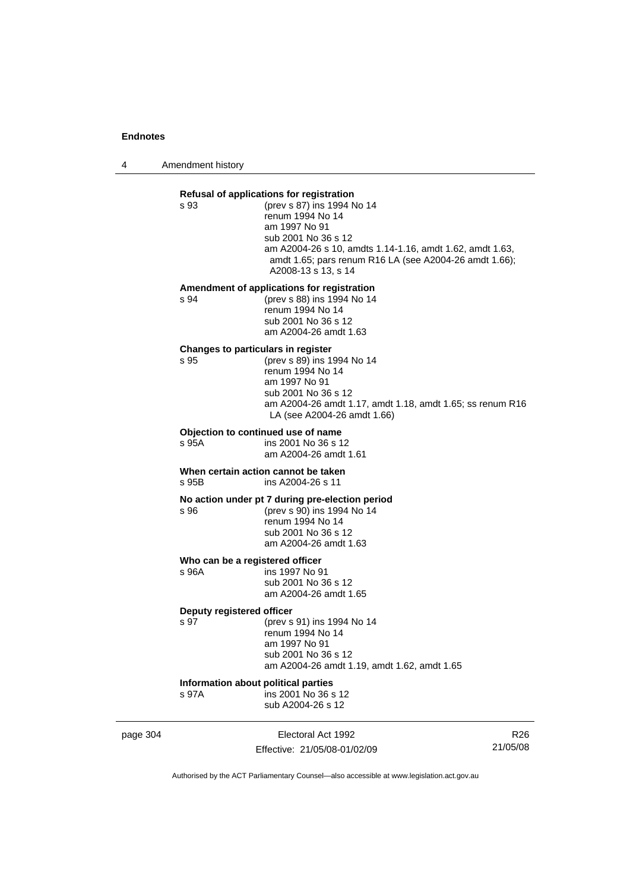4 Amendment history

|          | s 93                                         | Refusal of applications for registration<br>(prev s 87) ins 1994 No 14<br>renum 1994 No 14<br>am 1997 No 91                                                                        |                 |
|----------|----------------------------------------------|------------------------------------------------------------------------------------------------------------------------------------------------------------------------------------|-----------------|
|          |                                              | sub 2001 No 36 s 12<br>am A2004-26 s 10, amdts 1.14-1.16, amdt 1.62, amdt 1.63,<br>amdt 1.65; pars renum R16 LA (see A2004-26 amdt 1.66);<br>A2008-13 s 13, s 14                   |                 |
|          | s 94                                         | Amendment of applications for registration<br>(prev s 88) ins 1994 No 14<br>renum 1994 No 14<br>sub 2001 No 36 s 12<br>am A2004-26 amdt 1.63                                       |                 |
|          | Changes to particulars in register<br>s 95   | (prev s 89) ins 1994 No 14<br>renum 1994 No 14<br>am 1997 No 91<br>sub 2001 No 36 s 12<br>am A2004-26 amdt 1.17, amdt 1.18, amdt 1.65; ss renum R16<br>LA (see A2004-26 amdt 1.66) |                 |
|          | s 95A                                        | Objection to continued use of name<br>ins 2001 No 36 s 12<br>am A2004-26 amdt 1.61                                                                                                 |                 |
|          | s 95B                                        | When certain action cannot be taken<br>ins A2004-26 s 11                                                                                                                           |                 |
|          | s 96                                         | No action under pt 7 during pre-election period<br>(prev s 90) ins 1994 No 14<br>renum 1994 No 14<br>sub 2001 No 36 s 12<br>am A2004-26 amdt 1.63                                  |                 |
|          | Who can be a registered officer<br>s 96A     | ins 1997 No 91<br>sub 2001 No 36 s 12<br>am A2004-26 amdt 1.65                                                                                                                     |                 |
|          | Deputy registered officer<br>s 97            | (prev s 91) ins 1994 No 14<br>renum 1994 No 14<br>am 1997 No 91<br>sub 2001 No 36 s 12<br>am A2004-26 amdt 1.19, amdt 1.62, amdt 1.65                                              |                 |
|          | Information about political parties<br>s 97A | ins 2001 No 36 s 12<br>sub A2004-26 s 12                                                                                                                                           |                 |
| page 304 |                                              | Electoral Act 1992                                                                                                                                                                 | R <sub>26</sub> |

Effective: 21/05/08-01/02/09

21/05/08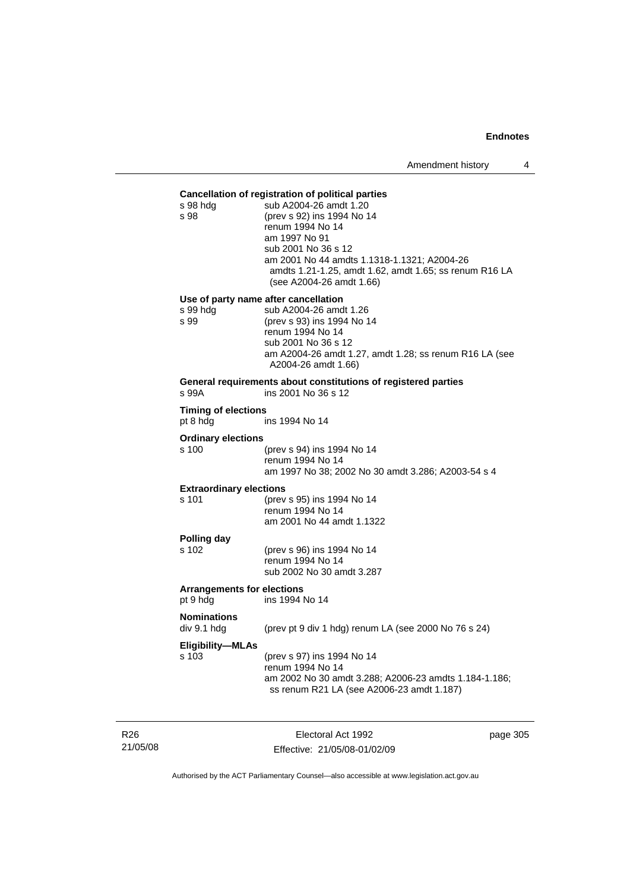## **Cancellation of registration of political parties**

| ~~~~~<br>s 98 hdg<br>s 98                     | ration or region ation or pontiour partix<br>sub A2004-26 amdt 1.20<br>(prev s 92) ins 1994 No 14<br>renum 1994 No 14<br>am 1997 No 91<br>sub 2001 No 36 s 12<br>am 2001 No 44 amdts 1.1318-1.1321; A2004-26<br>amdts 1.21-1.25, amdt 1.62, amdt 1.65; ss renum R16 LA<br>(see A2004-26 amdt 1.66) |
|-----------------------------------------------|----------------------------------------------------------------------------------------------------------------------------------------------------------------------------------------------------------------------------------------------------------------------------------------------------|
| s 99 hdg                                      | Use of party name after cancellation<br>sub A2004-26 amdt 1.26                                                                                                                                                                                                                                     |
| s 99                                          | (prev s 93) ins 1994 No 14<br>renum 1994 No 14<br>sub 2001 No 36 s 12<br>am A2004-26 amdt 1.27, amdt 1.28; ss renum R16 LA (see<br>A2004-26 amdt 1.66)                                                                                                                                             |
| s 99A                                         | General requirements about constitutions of registered parties<br>ins 2001 No 36 s 12                                                                                                                                                                                                              |
| <b>Timing of elections</b><br>pt 8 hdg        | ins 1994 No 14                                                                                                                                                                                                                                                                                     |
| <b>Ordinary elections</b>                     |                                                                                                                                                                                                                                                                                                    |
| s 100                                         | (prev s 94) ins 1994 No 14<br>renum 1994 No 14<br>am 1997 No 38; 2002 No 30 amdt 3.286; A2003-54 s 4                                                                                                                                                                                               |
| <b>Extraordinary elections</b>                |                                                                                                                                                                                                                                                                                                    |
| s 101                                         | (prev s 95) ins 1994 No 14<br>renum 1994 No 14<br>am 2001 No 44 amdt 1.1322                                                                                                                                                                                                                        |
| Polling day                                   |                                                                                                                                                                                                                                                                                                    |
| s 102                                         | (prev s 96) ins 1994 No 14<br>renum 1994 No 14<br>sub 2002 No 30 amdt 3.287                                                                                                                                                                                                                        |
| <b>Arrangements for elections</b><br>pt 9 hdg | ins 1994 No 14                                                                                                                                                                                                                                                                                     |
| <b>Nominations</b><br>div 9.1 hdg             | (prev pt 9 div 1 hdg) renum LA (see 2000 No 76 s 24)                                                                                                                                                                                                                                               |
| <b>Eligibility-MLAs</b><br>s 103              | (prev s 97) ins 1994 No 14                                                                                                                                                                                                                                                                         |

R26 21/05/08

Electoral Act 1992 Effective: 21/05/08-01/02/09 page 305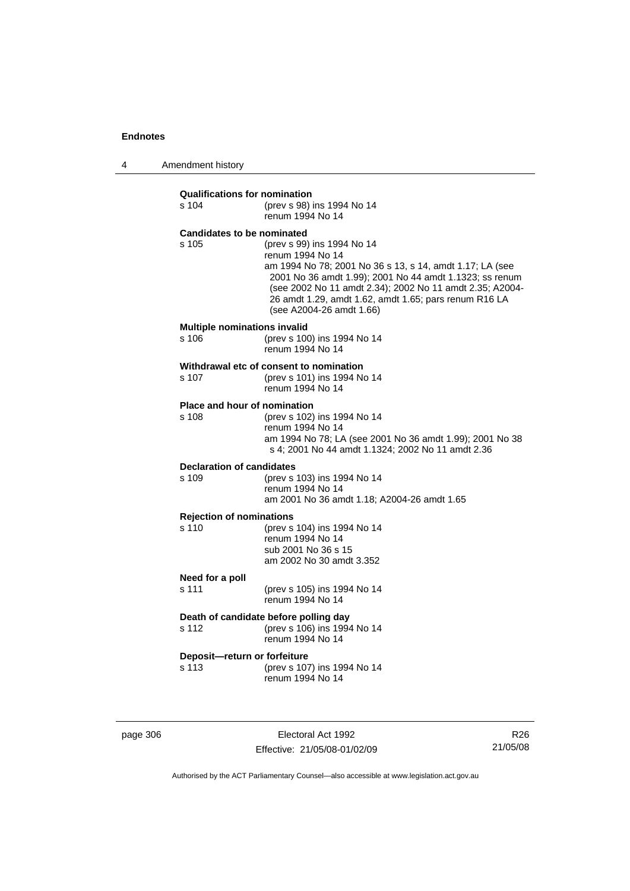4 Amendment history

| <b>Qualifications for nomination</b><br>s 104 | (prev s 98) ins 1994 No 14<br>renum 1994 No 14                                                                                                                                                                                                                                                                         |
|-----------------------------------------------|------------------------------------------------------------------------------------------------------------------------------------------------------------------------------------------------------------------------------------------------------------------------------------------------------------------------|
| <b>Candidates to be nominated</b><br>s 105    | (prev s 99) ins 1994 No 14<br>renum 1994 No 14<br>am 1994 No 78; 2001 No 36 s 13, s 14, amdt 1.17; LA (see<br>2001 No 36 amdt 1.99); 2001 No 44 amdt 1.1323; ss renum<br>(see 2002 No 11 amdt 2.34); 2002 No 11 amdt 2.35; A2004-<br>26 amdt 1.29, amdt 1.62, amdt 1.65; pars renum R16 LA<br>(see A2004-26 amdt 1.66) |
| <b>Multiple nominations invalid</b><br>s 106  | (prev s 100) ins 1994 No 14<br>renum 1994 No 14                                                                                                                                                                                                                                                                        |
| s 107                                         | Withdrawal etc of consent to nomination<br>(prev s 101) ins 1994 No 14<br>renum 1994 No 14                                                                                                                                                                                                                             |
| Place and hour of nomination<br>s 108         | (prev s 102) ins 1994 No 14<br>renum 1994 No 14<br>am 1994 No 78; LA (see 2001 No 36 amdt 1.99); 2001 No 38<br>s 4; 2001 No 44 amdt 1.1324; 2002 No 11 amdt 2.36                                                                                                                                                       |
| <b>Declaration of candidates</b><br>s 109     | (prev s 103) ins 1994 No 14<br>renum 1994 No 14<br>am 2001 No 36 amdt 1.18; A2004-26 amdt 1.65                                                                                                                                                                                                                         |
| <b>Rejection of nominations</b><br>s 110      | (prev s 104) ins 1994 No 14<br>renum 1994 No 14<br>sub 2001 No 36 s 15<br>am 2002 No 30 amdt 3.352                                                                                                                                                                                                                     |
| Need for a poll<br>s 111                      | (prev s 105) ins 1994 No 14<br>renum 1994 No 14                                                                                                                                                                                                                                                                        |
| s 112                                         | Death of candidate before polling day<br>(prev s 106) ins 1994 No 14<br>renum 1994 No 14                                                                                                                                                                                                                               |
| Deposit-return or forfeiture<br>s 113         | (prev s 107) ins 1994 No 14<br>renum 1994 No 14                                                                                                                                                                                                                                                                        |

page 306 Electoral Act 1992 Effective: 21/05/08-01/02/09

R26 21/05/08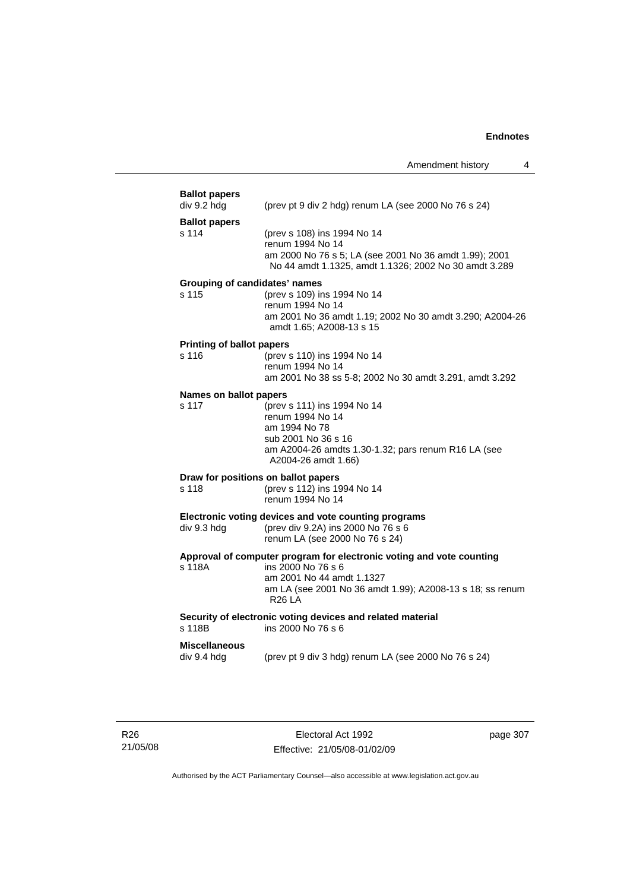| <b>Ballot papers</b><br>div 9.2 hdg | (prev pt 9 div 2 hdg) renum LA (see 2000 No 76 s 24)                                                                                                                                                       |
|-------------------------------------|------------------------------------------------------------------------------------------------------------------------------------------------------------------------------------------------------------|
| <b>Ballot papers</b>                |                                                                                                                                                                                                            |
| s 114                               | (prev s 108) ins 1994 No 14<br>renum 1994 No 14<br>am 2000 No 76 s 5; LA (see 2001 No 36 amdt 1.99); 2001<br>No 44 amdt 1.1325, amdt 1.1326; 2002 No 30 amdt 3.289                                         |
| Grouping of candidates' names       |                                                                                                                                                                                                            |
| s 115                               | (prev s 109) ins 1994 No 14<br>renum 1994 No 14<br>am 2001 No 36 amdt 1.19; 2002 No 30 amdt 3.290; A2004-26<br>amdt 1.65; A2008-13 s 15                                                                    |
| <b>Printing of ballot papers</b>    |                                                                                                                                                                                                            |
| s 116                               | (prev s 110) ins 1994 No 14<br>renum 1994 No 14<br>am 2001 No 38 ss 5-8; 2002 No 30 amdt 3.291, amdt 3.292                                                                                                 |
| Names on ballot papers              |                                                                                                                                                                                                            |
| s 117                               | (prev s 111) ins 1994 No 14<br>renum 1994 No 14<br>am 1994 No 78<br>sub 2001 No 36 s 16<br>am A2004-26 amdts 1.30-1.32; pars renum R16 LA (see<br>A2004-26 amdt 1.66)                                      |
| Draw for positions on ballot papers |                                                                                                                                                                                                            |
| s 118                               | (prev s 112) ins 1994 No 14<br>renum 1994 No 14                                                                                                                                                            |
| div 9.3 hdg                         | Electronic voting devices and vote counting programs<br>(prev div 9.2A) ins 2000 No 76 s 6<br>renum LA (see 2000 No 76 s 24)                                                                               |
| s 118A                              | Approval of computer program for electronic voting and vote counting<br>ins 2000 No 76 s 6<br>am 2001 No 44 amdt 1.1327<br>am LA (see 2001 No 36 amdt 1.99); A2008-13 s 18; ss renum<br>R <sub>26</sub> LA |
| s 118B                              | Security of electronic voting devices and related material<br>ins 2000 No 76 s 6                                                                                                                           |
| <b>Miscellaneous</b><br>div 9.4 hdg | (prev pt 9 div 3 hdg) renum LA (see 2000 No 76 s 24)                                                                                                                                                       |
|                                     |                                                                                                                                                                                                            |

Electoral Act 1992 Effective: 21/05/08-01/02/09 page 307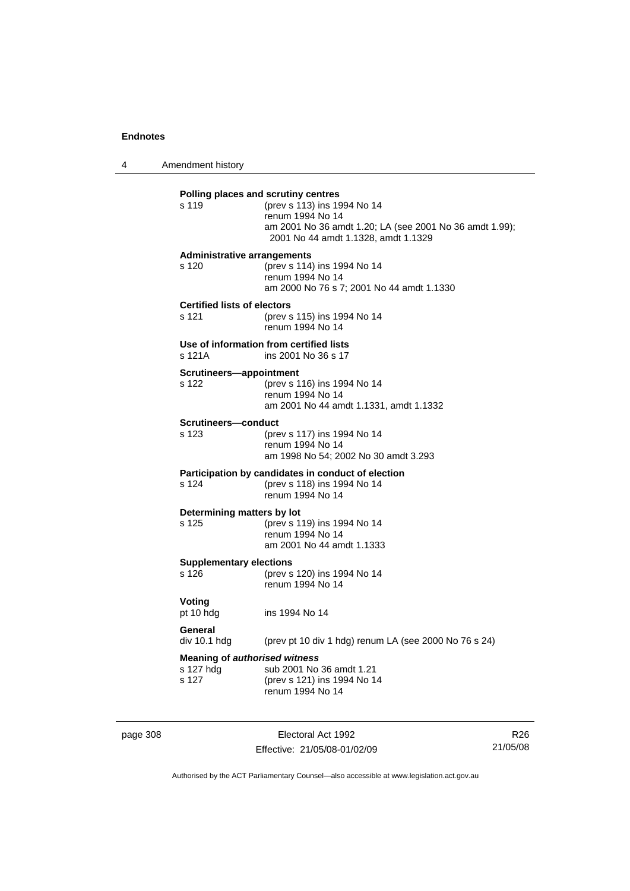4 Amendment history

| <b>Administrative arrangements</b><br>(prev s 114) ins 1994 No 14<br>s 120<br>renum 1994 No 14<br>am 2000 No 76 s 7; 2001 No 44 amdt 1.1330<br><b>Certified lists of electors</b><br>s 121<br>(prev s 115) ins 1994 No 14<br>renum 1994 No 14<br>Use of information from certified lists<br>s 121A<br>ins 2001 No 36 s 17<br>Scrutineers-appointment<br>s 122<br>(prev s 116) ins 1994 No 14<br>renum 1994 No 14<br>am 2001 No 44 amdt 1.1331, amdt 1.1332<br>Scrutineers-conduct<br>(prev s 117) ins 1994 No 14<br>s 123<br>renum 1994 No 14<br>am 1998 No 54; 2002 No 30 amdt 3.293<br>Participation by candidates in conduct of election<br>s 124<br>(prev s 118) ins 1994 No 14<br>renum 1994 No 14<br>Determining matters by lot<br>s 125<br>(prev s 119) ins 1994 No 14<br>renum 1994 No 14<br>am 2001 No 44 amdt 1.1333<br><b>Supplementary elections</b><br>s <sub>126</sub><br>(prev s 120) ins 1994 No 14<br>renum 1994 No 14<br>Voting<br>pt 10 hdg<br>ins 1994 No 14<br>General<br>(prev pt 10 div 1 hdg) renum LA (see 2000 No 76 s 24)<br>div 10.1 hdg<br><b>Meaning of authorised witness</b><br>s 127 hdg<br>sub 2001 No 36 amdt 1.21<br>s 127<br>(prev s 121) ins 1994 No 14<br>renum 1994 No 14 | s 119 | Polling places and scrutiny centres<br>(prev s 113) ins 1994 No 14<br>renum 1994 No 14<br>am 2001 No 36 amdt 1.20; LA (see 2001 No 36 amdt 1.99);<br>2001 No 44 amdt 1.1328, amdt 1.1329 |  |
|-------------------------------------------------------------------------------------------------------------------------------------------------------------------------------------------------------------------------------------------------------------------------------------------------------------------------------------------------------------------------------------------------------------------------------------------------------------------------------------------------------------------------------------------------------------------------------------------------------------------------------------------------------------------------------------------------------------------------------------------------------------------------------------------------------------------------------------------------------------------------------------------------------------------------------------------------------------------------------------------------------------------------------------------------------------------------------------------------------------------------------------------------------------------------------------------------------------------|-------|------------------------------------------------------------------------------------------------------------------------------------------------------------------------------------------|--|
|                                                                                                                                                                                                                                                                                                                                                                                                                                                                                                                                                                                                                                                                                                                                                                                                                                                                                                                                                                                                                                                                                                                                                                                                                   |       |                                                                                                                                                                                          |  |
|                                                                                                                                                                                                                                                                                                                                                                                                                                                                                                                                                                                                                                                                                                                                                                                                                                                                                                                                                                                                                                                                                                                                                                                                                   |       |                                                                                                                                                                                          |  |
|                                                                                                                                                                                                                                                                                                                                                                                                                                                                                                                                                                                                                                                                                                                                                                                                                                                                                                                                                                                                                                                                                                                                                                                                                   |       |                                                                                                                                                                                          |  |
|                                                                                                                                                                                                                                                                                                                                                                                                                                                                                                                                                                                                                                                                                                                                                                                                                                                                                                                                                                                                                                                                                                                                                                                                                   |       |                                                                                                                                                                                          |  |
|                                                                                                                                                                                                                                                                                                                                                                                                                                                                                                                                                                                                                                                                                                                                                                                                                                                                                                                                                                                                                                                                                                                                                                                                                   |       |                                                                                                                                                                                          |  |
|                                                                                                                                                                                                                                                                                                                                                                                                                                                                                                                                                                                                                                                                                                                                                                                                                                                                                                                                                                                                                                                                                                                                                                                                                   |       |                                                                                                                                                                                          |  |
|                                                                                                                                                                                                                                                                                                                                                                                                                                                                                                                                                                                                                                                                                                                                                                                                                                                                                                                                                                                                                                                                                                                                                                                                                   |       |                                                                                                                                                                                          |  |
|                                                                                                                                                                                                                                                                                                                                                                                                                                                                                                                                                                                                                                                                                                                                                                                                                                                                                                                                                                                                                                                                                                                                                                                                                   |       |                                                                                                                                                                                          |  |
|                                                                                                                                                                                                                                                                                                                                                                                                                                                                                                                                                                                                                                                                                                                                                                                                                                                                                                                                                                                                                                                                                                                                                                                                                   |       |                                                                                                                                                                                          |  |
|                                                                                                                                                                                                                                                                                                                                                                                                                                                                                                                                                                                                                                                                                                                                                                                                                                                                                                                                                                                                                                                                                                                                                                                                                   |       |                                                                                                                                                                                          |  |
|                                                                                                                                                                                                                                                                                                                                                                                                                                                                                                                                                                                                                                                                                                                                                                                                                                                                                                                                                                                                                                                                                                                                                                                                                   |       |                                                                                                                                                                                          |  |

page 308 Electoral Act 1992 Effective: 21/05/08-01/02/09

R26 21/05/08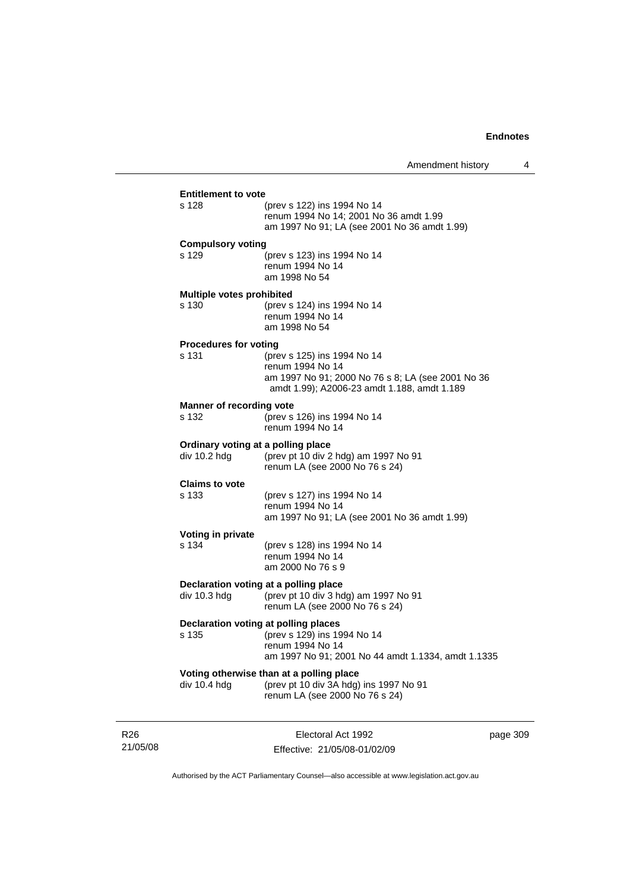| div 10.4 hdg                                       | Voting otherwise than at a polling place<br>(prev pt 10 div 3A hdg) ins 1997 No 91<br>renum LA (see 2000 No 76 s 24)                                |  |
|----------------------------------------------------|-----------------------------------------------------------------------------------------------------------------------------------------------------|--|
| Declaration voting at polling places<br>s 135      | (prev s 129) ins 1994 No 14<br>renum 1994 No 14<br>am 1997 No 91; 2001 No 44 amdt 1.1334, amdt 1.1335                                               |  |
| div 10.3 hdg                                       | Declaration voting at a polling place<br>(prev pt 10 div 3 hdg) am 1997 No 91<br>renum LA (see 2000 No 76 s 24)                                     |  |
| Voting in private<br>s 134                         | (prev s 128) ins 1994 No 14<br>renum 1994 No 14<br>am 2000 No 76 s 9                                                                                |  |
| <b>Claims to vote</b><br>s 133                     | (prev s 127) ins 1994 No 14<br>renum 1994 No 14<br>am 1997 No 91; LA (see 2001 No 36 amdt 1.99)                                                     |  |
| Ordinary voting at a polling place<br>div 10.2 hdg | (prev pt 10 div 2 hdg) am 1997 No 91<br>renum LA (see 2000 No 76 s 24)                                                                              |  |
| <b>Manner of recording vote</b><br>s 132           | (prev s 126) ins 1994 No 14<br>renum 1994 No 14                                                                                                     |  |
| <b>Procedures for voting</b><br>s 131              | (prev s 125) ins 1994 No 14<br>renum 1994 No 14<br>am 1997 No 91; 2000 No 76 s 8; LA (see 2001 No 36<br>amdt 1.99); A2006-23 amdt 1.188, amdt 1.189 |  |
| <b>Multiple votes prohibited</b><br>s 130          | (prev s 124) ins 1994 No 14<br>renum 1994 No 14<br>am 1998 No 54                                                                                    |  |
| <b>Compulsory voting</b><br>s 129                  | (prev s 123) ins 1994 No 14<br>renum 1994 No 14<br>am 1998 No 54                                                                                    |  |
| s 128                                              | (prev s 122) ins 1994 No 14<br>renum 1994 No 14; 2001 No 36 amdt 1.99<br>am 1997 No 91; LA (see 2001 No 36 amdt 1.99)                               |  |

R26 21/05/08

Electoral Act 1992 Effective: 21/05/08-01/02/09 page 309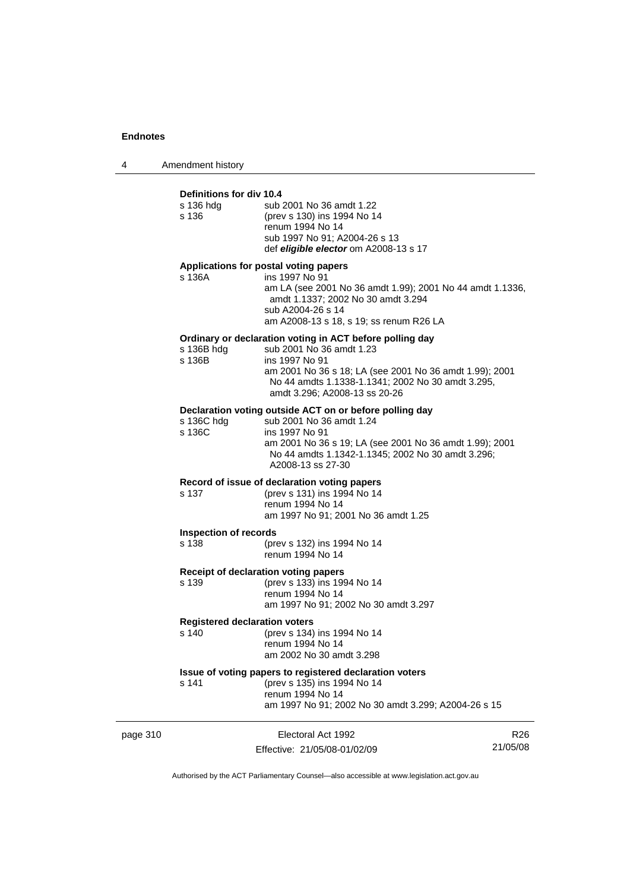4 Amendment history

### page 310 **Electoral Act 1992** R26 **Definitions for div 10.4** s 136 hdg sub 2001 No 36 amdt 1.22 s 136 (prev s 130) ins 1994 No 14 renum 1994 No 14 sub 1997 No 91; A2004-26 s 13 def *eligible elector* om A2008-13 s 17 **Applications for postal voting papers** s 136A ins 1997 No 91 am LA (see 2001 No 36 amdt 1.99); 2001 No 44 amdt 1.1336, amdt 1.1337; 2002 No 30 amdt 3.294 sub A2004-26 s 14 am A2008-13 s 18, s 19; ss renum R26 LA **Ordinary or declaration voting in ACT before polling day** s 136B hdg sub 2001 No 36 amdt 1.23<br>s 136B ins 1997 No 91 ins 1997 No 91 am 2001 No 36 s 18; LA (see 2001 No 36 amdt 1.99); 2001 No 44 amdts 1.1338-1.1341; 2002 No 30 amdt 3.295, amdt 3.296; A2008-13 ss 20-26 **Declaration voting outside ACT on or before polling day** s 136C hdg sub 2001 No 36 amdt 1.24<br>s 136C ins 1997 No 91 ins 1997 No 91 am 2001 No 36 s 19; LA (see 2001 No 36 amdt 1.99); 2001 No 44 amdts 1.1342-1.1345; 2002 No 30 amdt 3.296; A2008-13 ss 27-30 **Record of issue of declaration voting papers** s 137 (prev s 131) ins 1994 No 14 renum 1994 No 14 am 1997 No 91; 2001 No 36 amdt 1.25 **Inspection of records** s 138 (prev s 132) ins 1994 No 14 renum 1994 No 14 **Receipt of declaration voting papers** s 139 (prev s 133) ins 1994 No 14 renum 1994 No 14 am 1997 No 91; 2002 No 30 amdt 3.297 **Registered declaration voters**<br>s 140 (prev s 134) (prev s 134) ins 1994 No 14 renum 1994 No 14 am 2002 No 30 amdt 3.298 **Issue of voting papers to registered declaration voters** s 141 (prev s 135) ins 1994 No 14 renum 1994 No 14 am 1997 No 91; 2002 No 30 amdt 3.299; A2004-26 s 15

Authorised by the ACT Parliamentary Counsel—also accessible at www.legislation.act.gov.au

21/05/08

Effective: 21/05/08-01/02/09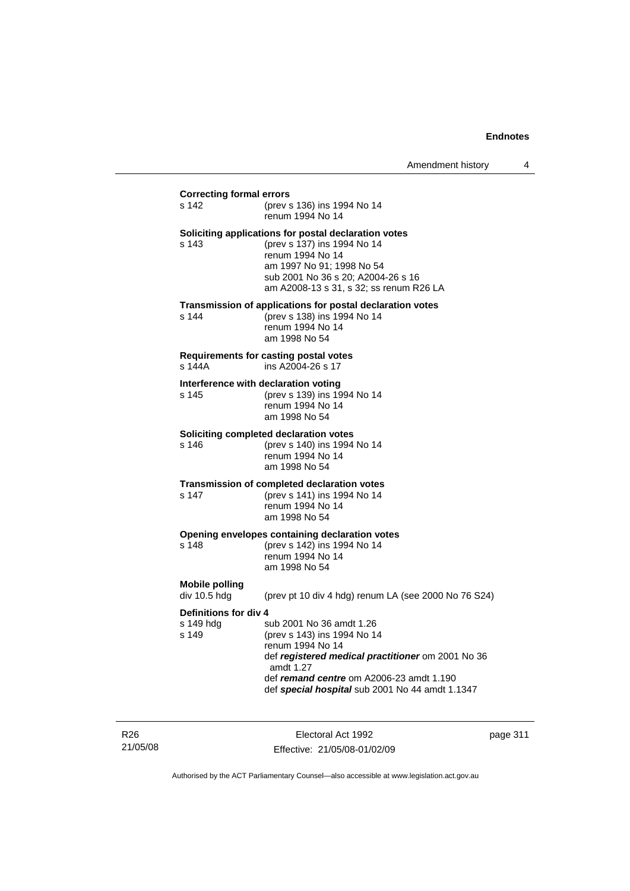### **Correcting formal errors**

s 142 (prev s 136) ins 1994 No 14 renum 1994 No 14 **Soliciting applications for postal declaration votes**

s 143 (prev s 137) ins 1994 No 14 renum 1994 No 14 am 1997 No 91; 1998 No 54 sub 2001 No 36 s 20; A2004-26 s 16 am A2008-13 s 31, s 32; ss renum R26 LA

#### **Transmission of applications for postal declaration votes**

s 144 (prev s 138) ins 1994 No 14 renum 1994 No 14 am 1998 No 54

# **Requirements for casting postal votes**

ins A2004-26 s 17

#### **Interference with declaration voting**

s 145 (prev s 139) ins 1994 No 14 renum 1994 No 14 am 1998 No 54

#### **Soliciting completed declaration votes**

s 146 (prev s 140) ins 1994 No 14 renum 1994 No 14 am 1998 No 54

#### **Transmission of completed declaration votes**

s 147 (prev s 141) ins 1994 No 14 renum 1994 No 14 am 1998 No 54

#### **Opening envelopes containing declaration votes**

s 148 (prev s 142) ins 1994 No 14 renum 1994 No 14 am 1998 No 54

# **Mobile polling**

(prev pt 10 div 4 hdg) renum LA (see 2000 No 76 S24)

### **Definitions for div 4**

s 149 hdg sub 2001 No 36 amdt 1.26<br>s 149 (prev s 143) ins 1994 No 1 (prev s 143) ins 1994 No 14 renum 1994 No 14 def *registered medical practitioner* om 2001 No 36 amdt 1.27 def *remand centre* om A2006-23 amdt 1.190 def *special hospital* sub 2001 No 44 amdt 1.1347

R26 21/05/08

Electoral Act 1992 Effective: 21/05/08-01/02/09 page 311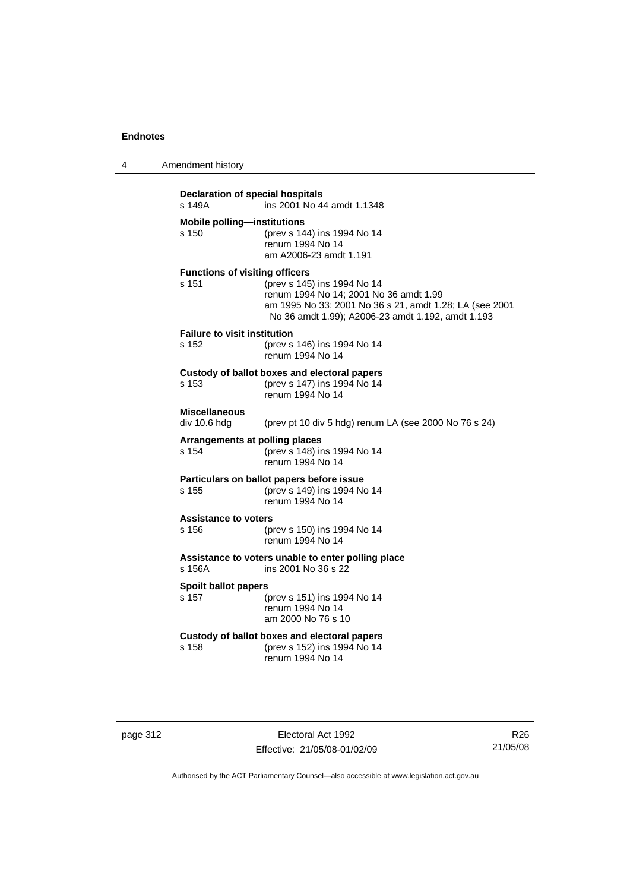| 4        | Amendment history                              |                                                                                                                                                                                       |  |  |  |
|----------|------------------------------------------------|---------------------------------------------------------------------------------------------------------------------------------------------------------------------------------------|--|--|--|
|          | s 149A                                         | Declaration of special hospitals<br>ins 2001 No 44 amdt 1.1348                                                                                                                        |  |  |  |
|          | <b>Mobile polling-institutions</b><br>s 150    | (prev s 144) ins 1994 No 14<br>renum 1994 No 14<br>am A2006-23 amdt 1.191                                                                                                             |  |  |  |
|          | <b>Functions of visiting officers</b><br>s 151 | (prev s 145) ins 1994 No 14<br>renum 1994 No 14; 2001 No 36 amdt 1.99<br>am 1995 No 33; 2001 No 36 s 21, amdt 1.28; LA (see 2001<br>No 36 amdt 1.99); A2006-23 amdt 1.192, amdt 1.193 |  |  |  |
|          | <b>Failure to visit institution</b><br>s 152   | (prev s 146) ins 1994 No 14<br>renum 1994 No 14                                                                                                                                       |  |  |  |
|          | s 153                                          | Custody of ballot boxes and electoral papers<br>(prev s 147) ins 1994 No 14<br>renum 1994 No 14                                                                                       |  |  |  |
|          | <b>Miscellaneous</b><br>div 10.6 hdg           | (prev pt 10 div 5 hdg) renum LA (see 2000 No 76 s 24)                                                                                                                                 |  |  |  |
|          | Arrangements at polling places<br>s 154        | (prev s 148) ins 1994 No 14<br>renum 1994 No 14                                                                                                                                       |  |  |  |
|          | s 155                                          | Particulars on ballot papers before issue<br>(prev s 149) ins 1994 No 14<br>renum 1994 No 14                                                                                          |  |  |  |
|          | <b>Assistance to voters</b><br>s 156           | (prev s 150) ins 1994 No 14<br>renum 1994 No 14                                                                                                                                       |  |  |  |
|          | s 156A                                         | Assistance to voters unable to enter polling place<br>ins 2001 No 36 s 22                                                                                                             |  |  |  |
|          | <b>Spoilt ballot papers</b><br>s 157           | (prev s 151) ins 1994 No 14<br>renum 1994 No 14<br>am 2000 No 76 s 10                                                                                                                 |  |  |  |
|          | s 158                                          | Custody of ballot boxes and electoral papers<br>(prev s 152) ins 1994 No 14<br>renum 1994 No 14                                                                                       |  |  |  |
|          |                                                |                                                                                                                                                                                       |  |  |  |
| page 312 |                                                | Electoral Act 1992                                                                                                                                                                    |  |  |  |

Authorised by the ACT Parliamentary Counsel—also accessible at www.legislation.act.gov.au

Effective: 21/05/08-01/02/09

R26 21/05/08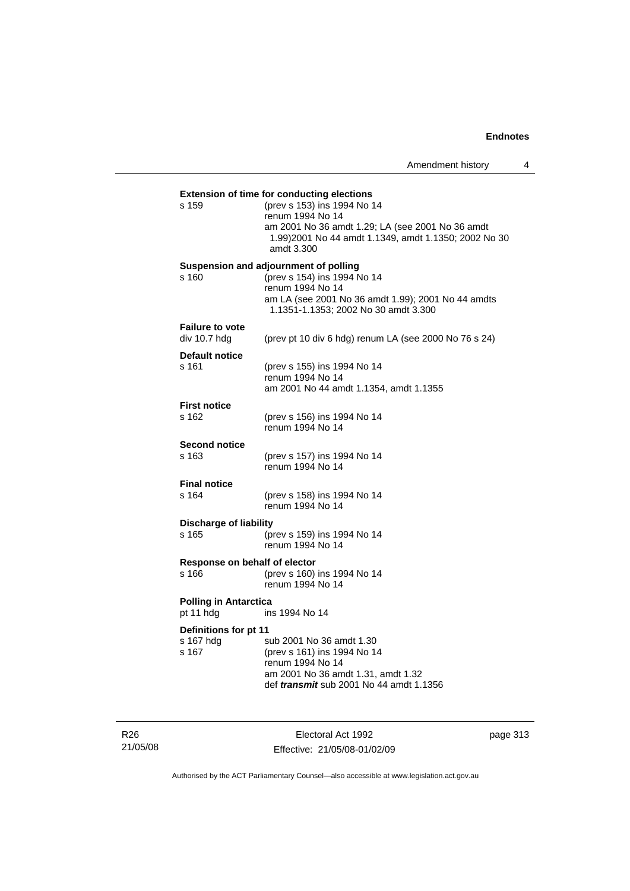| s 159                          | (prev s 153) ins 1994 No 14<br>renum 1994 No 14<br>am 2001 No 36 amdt 1.29; LA (see 2001 No 36 amdt |
|--------------------------------|-----------------------------------------------------------------------------------------------------|
|                                | 1.99) 2001 No 44 amdt 1.1349, amdt 1.1350; 2002 No 30<br>amdt 3.300                                 |
|                                | Suspension and adjournment of polling                                                               |
| s 160                          | (prev s 154) ins 1994 No 14<br>renum 1994 No 14                                                     |
|                                | am LA (see 2001 No 36 amdt 1.99); 2001 No 44 amdts<br>1.1351-1.1353; 2002 No 30 amdt 3.300          |
| <b>Failure to vote</b>         |                                                                                                     |
| div 10.7 hdg                   | (prev pt 10 div 6 hdg) renum LA (see 2000 No 76 s 24)                                               |
| <b>Default notice</b><br>s 161 | (prev s 155) ins 1994 No 14                                                                         |
|                                | renum 1994 No 14                                                                                    |
|                                | am 2001 No 44 amdt 1.1354, amdt 1.1355                                                              |
| <b>First notice</b>            |                                                                                                     |
| s 162                          | (prev s 156) ins 1994 No 14                                                                         |
|                                | renum 1994 No 14                                                                                    |
| <b>Second notice</b>           |                                                                                                     |
| s 163                          | (prev s 157) ins 1994 No 14<br>renum 1994 No 14                                                     |
| <b>Final notice</b>            |                                                                                                     |
| s 164                          | (prev s 158) ins 1994 No 14                                                                         |
|                                | renum 1994 No 14                                                                                    |
| <b>Discharge of liability</b>  |                                                                                                     |
| s 165                          | (prev s 159) ins 1994 No 14<br>renum 1994 No 14                                                     |
| Response on behalf of elector  |                                                                                                     |
| s 166                          | (prev s 160) ins 1994 No 14<br>renum 1994 No 14                                                     |
| <b>Polling in Antarctica</b>   |                                                                                                     |
| pt 11 hdg                      | ins 1994 No 14                                                                                      |
| Definitions for pt 11          |                                                                                                     |
| s 167 hdg<br>s 167             | sub 2001 No 36 amdt 1.30<br>(prev s 161) ins 1994 No 14                                             |
|                                | renum 1994 No 14                                                                                    |
|                                | am 2001 No 36 amdt 1.31, amdt 1.32                                                                  |
|                                | def <i>transmit</i> sub 2001 No 44 amdt 1.1356                                                      |

R26 21/05/08

Electoral Act 1992 Effective: 21/05/08-01/02/09 page 313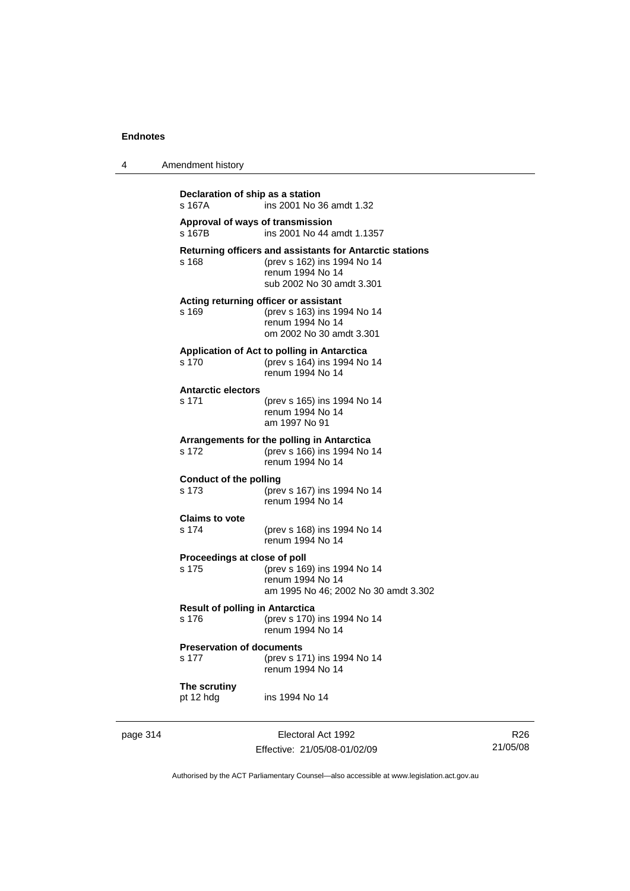4 Amendment history

| s 167A                                          | ins 2001 No 36 amdt 1.32                                                                                                                 |
|-------------------------------------------------|------------------------------------------------------------------------------------------------------------------------------------------|
| s 167B                                          | Approval of ways of transmission<br>ins 2001 No 44 amdt 1.1357                                                                           |
| s 168                                           | Returning officers and assistants for Antarctic stations<br>(prev s 162) ins 1994 No 14<br>renum 1994 No 14<br>sub 2002 No 30 amdt 3.301 |
| s 169                                           | Acting returning officer or assistant<br>(prev s 163) ins 1994 No 14<br>renum 1994 No 14<br>om 2002 No 30 amdt 3.301                     |
| s 170                                           | Application of Act to polling in Antarctica<br>(prev s 164) ins 1994 No 14<br>renum 1994 No 14                                           |
| <b>Antarctic electors</b><br>s 171              | (prev s 165) ins 1994 No 14<br>renum 1994 No 14<br>am 1997 No 91                                                                         |
| s 172                                           | Arrangements for the polling in Antarctica<br>(prev s 166) ins 1994 No 14<br>renum 1994 No 14                                            |
| <b>Conduct of the polling</b><br>s 173          | (prev s 167) ins 1994 No 14<br>renum 1994 No 14                                                                                          |
| <b>Claims to vote</b><br>s 174                  | (prev s 168) ins 1994 No 14<br>renum 1994 No 14                                                                                          |
| Proceedings at close of poll<br>s 175           | (prev s 169) ins 1994 No 14<br>renum 1994 No 14<br>am 1995 No 46; 2002 No 30 amdt 3.302                                                  |
| <b>Result of polling in Antarctica</b><br>s 176 | (prev s 170) ins 1994 No 14<br>renum 1994 No 14                                                                                          |
| <b>Preservation of documents</b><br>s 177       | (prev s 171) ins 1994 No 14<br>renum 1994 No 14                                                                                          |
| The scrutiny<br>pt 12 hdg                       | ins 1994 No 14                                                                                                                           |

page 314 Electoral Act 1992 Effective: 21/05/08-01/02/09

R26 21/05/08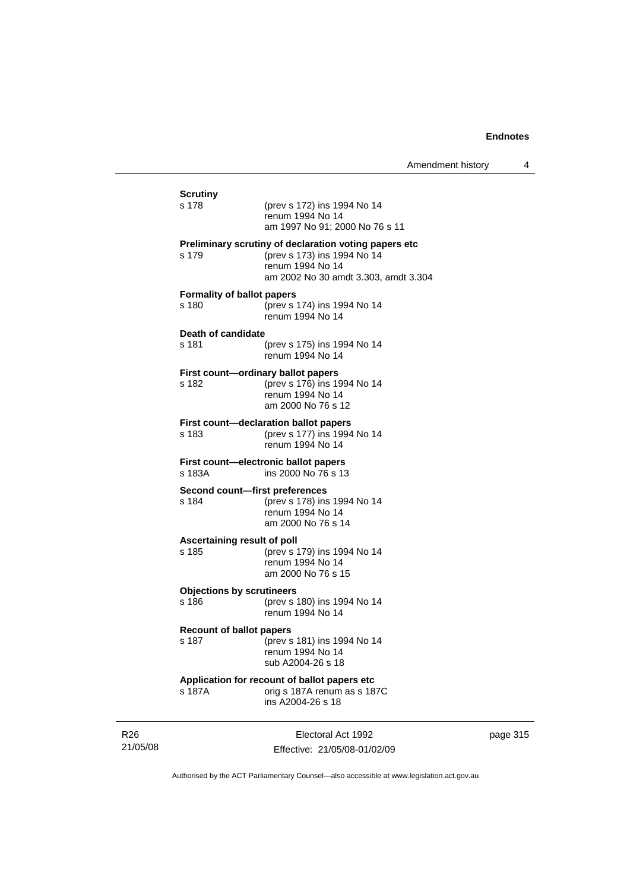| <b>Scrutiny</b><br>s 178                   | (prev s 172) ins 1994 No 14<br>renum 1994 No 14<br>am 1997 No 91; 2000 No 76 s 11                                                                |
|--------------------------------------------|--------------------------------------------------------------------------------------------------------------------------------------------------|
| s 179                                      | Preliminary scrutiny of declaration voting papers etc<br>(prev s 173) ins 1994 No 14<br>renum 1994 No 14<br>am 2002 No 30 amdt 3.303, amdt 3.304 |
| <b>Formality of ballot papers</b><br>s 180 | (prev s 174) ins 1994 No 14<br>renum 1994 No 14                                                                                                  |
| Death of candidate<br>s 181                | (prev s 175) ins 1994 No 14<br>renum 1994 No 14                                                                                                  |
| s 182                                      | First count-ordinary ballot papers<br>(prev s 176) ins 1994 No 14<br>renum 1994 No 14<br>am 2000 No 76 s 12                                      |
| s 183                                      | First count-declaration ballot papers<br>(prev s 177) ins 1994 No 14<br>renum 1994 No 14                                                         |
| s 183A                                     | First count-electronic ballot papers<br>ins 2000 No 76 s 13                                                                                      |
| s 184                                      | Second count-first preferences<br>(prev s 178) ins 1994 No 14<br>renum 1994 No 14<br>am 2000 No 76 s 14                                          |
| Ascertaining result of poll<br>s 185       | (prev s 179) ins 1994 No 14<br>renum 1994 No 14<br>am 2000 No 76 s 15                                                                            |
| <b>Objections by scrutineers</b><br>s 186  | (prev s 180) ins 1994 No 14<br>renum 1994 No 14                                                                                                  |
| <b>Recount of ballot papers</b><br>s 187   | (prev s 181) ins 1994 No 14<br>renum 1994 No 14<br>sub A2004-26 s 18                                                                             |
|                                            | Application for recount of ballot papers etc                                                                                                     |

R26 21/05/08

Electoral Act 1992 Effective: 21/05/08-01/02/09 page 315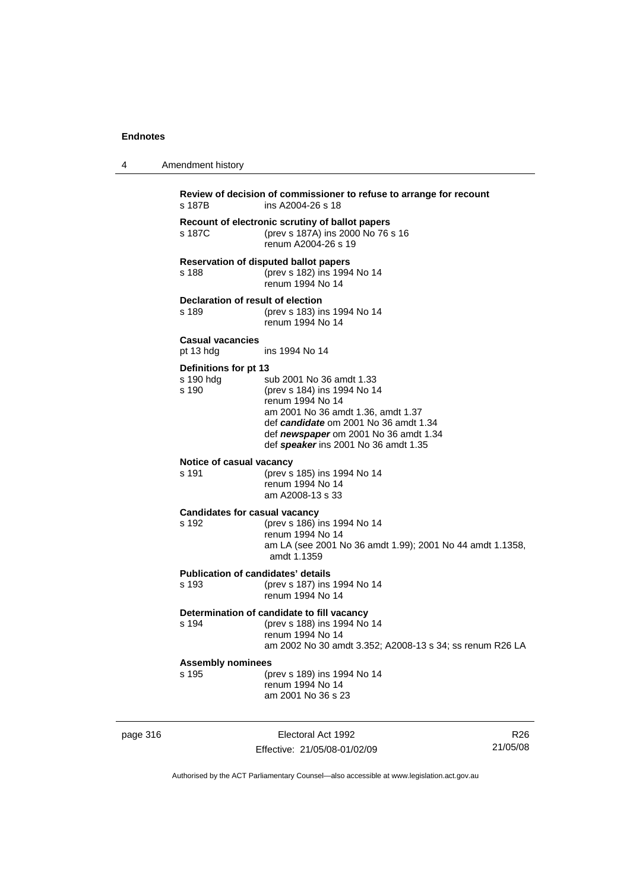4 Amendment history

| s 187B                                             | ins A2004-26 s 18                                                                                                                                                                                                                           |
|----------------------------------------------------|---------------------------------------------------------------------------------------------------------------------------------------------------------------------------------------------------------------------------------------------|
| s 187C                                             | Recount of electronic scrutiny of ballot papers<br>(prev s 187A) ins 2000 No 76 s 16<br>renum A2004-26 s 19                                                                                                                                 |
| s 188                                              | Reservation of disputed ballot papers<br>(prev s 182) ins 1994 No 14<br>renum 1994 No 14                                                                                                                                                    |
| Declaration of result of election<br>s 189         | (prev s 183) ins 1994 No 14<br>renum 1994 No 14                                                                                                                                                                                             |
| <b>Casual vacancies</b><br>pt 13 hdg               | ins 1994 No 14                                                                                                                                                                                                                              |
| Definitions for pt 13<br>s 190 hdg<br>s 190        | sub 2001 No 36 amdt 1.33<br>(prev s 184) ins 1994 No 14<br>renum 1994 No 14<br>am 2001 No 36 amdt 1.36, amdt 1.37<br>def candidate om 2001 No 36 amdt 1.34<br>def newspaper om 2001 No 36 amdt 1.34<br>def speaker ins 2001 No 36 amdt 1.35 |
| Notice of casual vacancy<br>s 191                  | (prev s 185) ins 1994 No 14<br>renum 1994 No 14<br>am A2008-13 s 33                                                                                                                                                                         |
| <b>Candidates for casual vacancy</b><br>s 192      | (prev s 186) ins 1994 No 14<br>renum 1994 No 14<br>am LA (see 2001 No 36 amdt 1.99); 2001 No 44 amdt 1.1358,<br>amdt 1.1359                                                                                                                 |
| <b>Publication of candidates' details</b><br>s 193 | (prev s 187) ins 1994 No 14<br>renum 1994 No 14                                                                                                                                                                                             |
| s 194                                              | Determination of candidate to fill vacancy<br>(prev s 188) ins 1994 No 14<br>renum 1994 No 14<br>am 2002 No 30 amdt 3.352; A2008-13 s 34; ss renum R26 LA                                                                                   |
| <b>Assembly nominees</b><br>s 195                  | (prev s 189) ins 1994 No 14<br>renum 1994 No 14<br>am 2001 No 36 s 23                                                                                                                                                                       |

page 316 Electoral Act 1992 Effective: 21/05/08-01/02/09

R26 21/05/08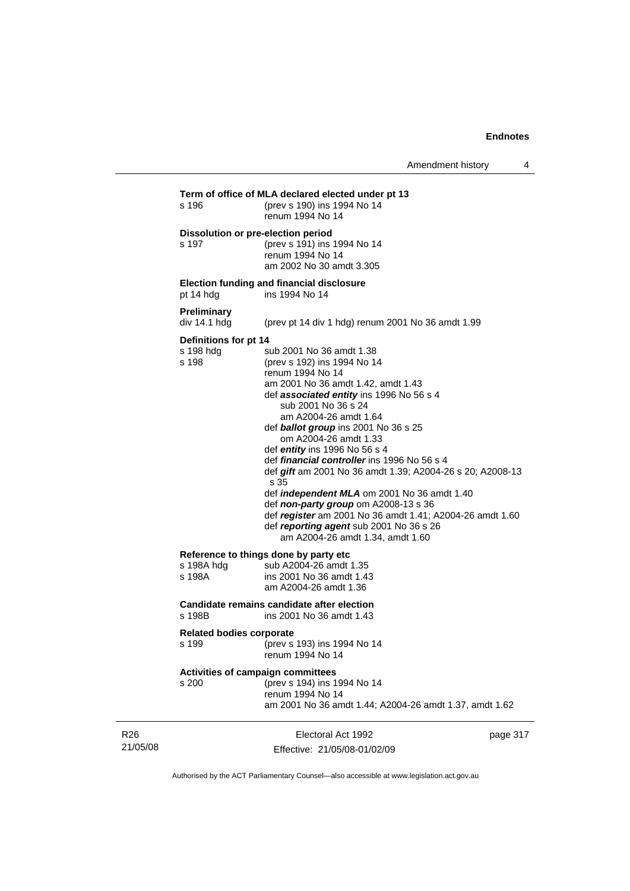| s 196                                       | Term of office of MLA declared elected under pt 13<br>(prev s 190) ins 1994 No 14<br>renum 1994 No 14                                                                                                                                                                                                                                                                                                                                                                                                                                                                                                                                                                                      |          |
|---------------------------------------------|--------------------------------------------------------------------------------------------------------------------------------------------------------------------------------------------------------------------------------------------------------------------------------------------------------------------------------------------------------------------------------------------------------------------------------------------------------------------------------------------------------------------------------------------------------------------------------------------------------------------------------------------------------------------------------------------|----------|
| s 197                                       | Dissolution or pre-election period<br>(prev s 191) ins 1994 No 14<br>renum 1994 No 14<br>am 2002 No 30 amdt 3.305                                                                                                                                                                                                                                                                                                                                                                                                                                                                                                                                                                          |          |
| pt 14 hdg                                   | Election funding and financial disclosure<br>ins 1994 No 14                                                                                                                                                                                                                                                                                                                                                                                                                                                                                                                                                                                                                                |          |
| <b>Preliminary</b><br>div 14.1 hdg          | (prev pt 14 div 1 hdg) renum 2001 No 36 amdt 1.99                                                                                                                                                                                                                                                                                                                                                                                                                                                                                                                                                                                                                                          |          |
| Definitions for pt 14<br>s 198 hdg<br>s 198 | sub 2001 No 36 amdt 1.38<br>(prev s 192) ins 1994 No 14<br>renum 1994 No 14<br>am 2001 No 36 amdt 1.42, amdt 1.43<br>def associated entity ins 1996 No 56 s 4<br>sub 2001 No 36 s 24<br>am A2004-26 amdt 1.64<br>def <b>ballot group</b> ins 2001 No 36 s 25<br>om A2004-26 amdt 1.33<br>def entity ins 1996 No 56 s 4<br>def <i>financial controller</i> ins 1996 No 56 s 4<br>def gift am 2001 No 36 amdt 1.39; A2004-26 s 20; A2008-13<br>s 35<br>def <i>independent MLA</i> om 2001 No 36 amdt 1.40<br>def non-party group om A2008-13 s 36<br>def register am 2001 No 36 amdt 1.41; A2004-26 amdt 1.60<br>def reporting agent sub 2001 No 36 s 26<br>am A2004-26 amdt 1.34, amdt 1.60 |          |
| s 198A hdg<br>s 198A                        | Reference to things done by party etc<br>sub A2004-26 amdt 1.35<br>ins 2001 No 36 amdt 1.43<br>am A2004-26 amdt 1.36                                                                                                                                                                                                                                                                                                                                                                                                                                                                                                                                                                       |          |
| s 198B                                      | Candidate remains candidate after election<br>ins 2001 No 36 amdt 1.43                                                                                                                                                                                                                                                                                                                                                                                                                                                                                                                                                                                                                     |          |
| <b>Related bodies corporate</b><br>s 199    | (prev s 193) ins 1994 No 14<br>renum 1994 No 14                                                                                                                                                                                                                                                                                                                                                                                                                                                                                                                                                                                                                                            |          |
| s 200                                       | <b>Activities of campaign committees</b><br>(prev s 194) ins 1994 No 14<br>renum 1994 No 14<br>am 2001 No 36 amdt 1.44; A2004-26 amdt 1.37, amdt 1.62                                                                                                                                                                                                                                                                                                                                                                                                                                                                                                                                      |          |
|                                             | Electoral Act 1992                                                                                                                                                                                                                                                                                                                                                                                                                                                                                                                                                                                                                                                                         | page 317 |

Authorised by the ACT Parliamentary Counsel—also accessible at www.legislation.act.gov.au

Effective: 21/05/08-01/02/09

R26 21/05/08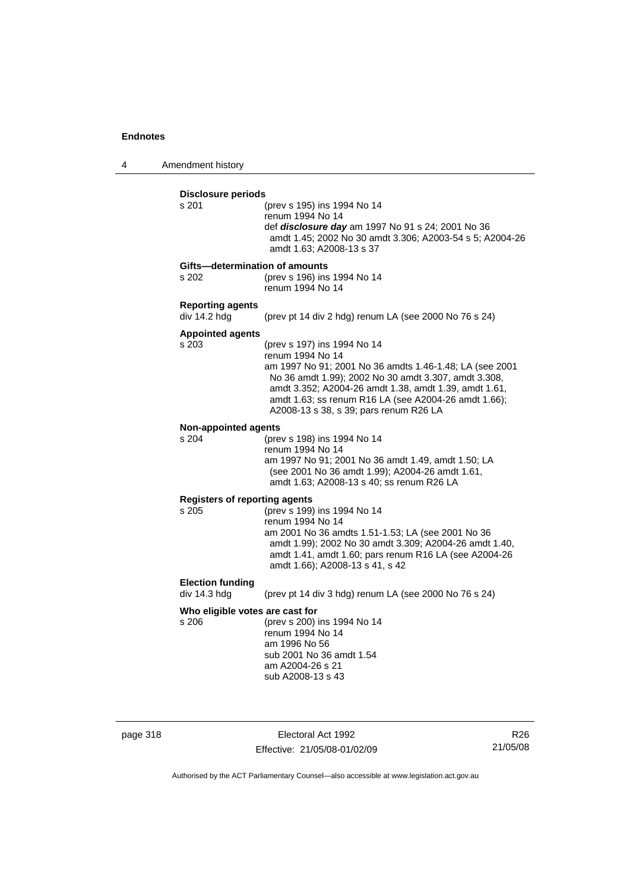4 Amendment history

### **Disclosure periods** s 201 (prev s 195) ins 1994 No 14 renum 1994 No 14 def *disclosure day* am 1997 No 91 s 24; 2001 No 36 amdt 1.45; 2002 No 30 amdt 3.306; A2003-54 s 5; A2004-26 amdt 1.63; A2008-13 s 37 **Gifts—determination of amounts** s 202 (prev s 196) ins 1994 No 14 renum 1994 No 14 **Reporting agents**  div 14.2 hdg (prev pt 14 div 2 hdg) renum LA (see 2000 No 76 s 24) **Appointed agents** s 203 (prev s 197) ins 1994 No 14 renum 1994 No 14 am 1997 No 91; 2001 No 36 amdts 1.46-1.48; LA (see 2001 No 36 amdt 1.99); 2002 No 30 amdt 3.307, amdt 3.308, amdt 3.352; A2004-26 amdt 1.38, amdt 1.39, amdt 1.61, amdt 1.63; ss renum R16 LA (see A2004-26 amdt 1.66); A2008-13 s 38, s 39; pars renum R26 LA **Non-appointed agents** s 204 (prev s 198) ins 1994 No 14 renum 1994 No 14 am 1997 No 91; 2001 No 36 amdt 1.49, amdt 1.50; LA (see 2001 No 36 amdt 1.99); A2004-26 amdt 1.61, amdt 1.63; A2008-13 s 40; ss renum R26 LA **Registers of reporting agents** s 205 (prev s 199) ins 1994 No 14 renum 1994 No 14 am 2001 No 36 amdts 1.51-1.53; LA (see 2001 No 36 amdt 1.99); 2002 No 30 amdt 3.309; A2004-26 amdt 1.40, amdt 1.41, amdt 1.60; pars renum R16 LA (see A2004-26 amdt 1.66); A2008-13 s 41, s 42 **Election funding**  div 14.3 hdg (prev pt 14 div 3 hdg) renum LA (see 2000 No 76 s 24) **Who eligible votes are cast for** s 206 (prev s 200) ins 1994 No 14 renum 1994 No 14 am 1996 No 56 sub 2001 No 36 amdt 1.54 am A2004-26 s 21 sub A2008-13 s 43

page 318 **Electoral Act 1992** Effective: 21/05/08-01/02/09

R26 21/05/08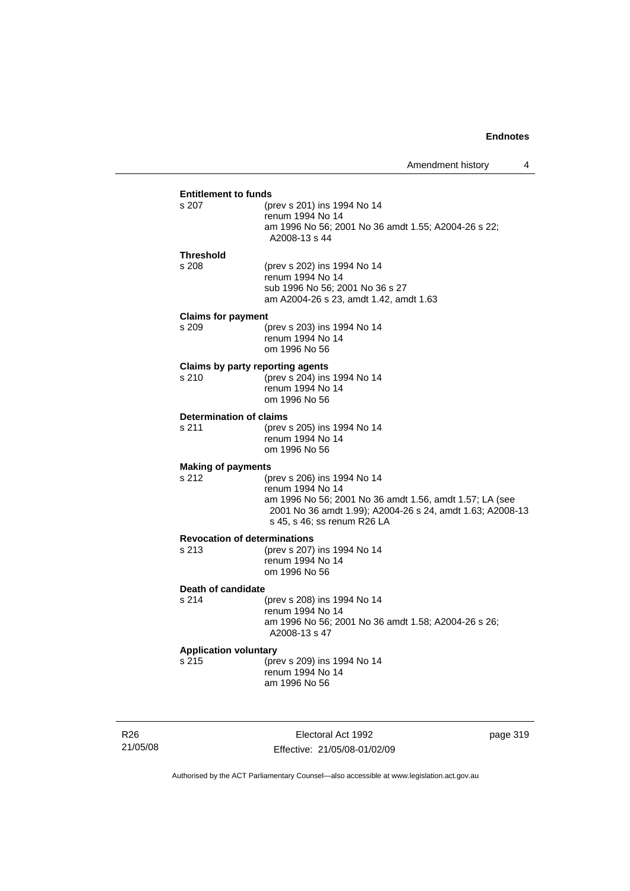# **Entitlement to funds**<br>s 207 (b)

| s 207     | (prev s 201) ins 1994 No 14                                          |
|-----------|----------------------------------------------------------------------|
|           | renum 1994 No 14                                                     |
|           | am 1996 No 56; 2001 No 36 amdt 1.55; A2004-26 s 22;<br>A2008-13 s 44 |
| Threshold |                                                                      |

s 208 (prev s 202) ins 1994 No 14 renum 1994 No 14 sub 1996 No 56; 2001 No 36 s 27 am A2004-26 s 23, amdt 1.42, amdt 1.63

#### **Claims for payment**

| s 209 | (prev s 203) ins 1994 No 14 |
|-------|-----------------------------|
|       | renum 1994 No 14            |
|       | om 1996 No 56               |

# **Claims by party reporting agents**<br>s 210 (prev s 204) ins

 $S$  (prev s 204) ins 1994 No 14 renum 1994 No 14 om 1996 No 56

#### **Determination of claims**

s 211 (prev s 205) ins 1994 No 14 renum 1994 No 14 om 1996 No 56

#### **Making of payments**

s 212 (prev s 206) ins 1994 No 14 renum 1994 No 14 am 1996 No 56; 2001 No 36 amdt 1.56, amdt 1.57; LA (see 2001 No 36 amdt 1.99); A2004-26 s 24, amdt 1.63; A2008-13 s 45, s 46; ss renum R26 LA

# **Revocation of determinations**

(prev s 207) ins 1994 No 14 renum 1994 No 14 om 1996 No 56

### **Death of candidate**

s 214 (prev s 208) ins 1994 No 14 renum 1994 No 14 am 1996 No 56; 2001 No 36 amdt 1.58; A2004-26 s 26; A2008-13 s 47

#### **Application voluntary**

s 215 (prev s 209) ins 1994 No 14 renum 1994 No 14 am 1996 No 56

R26 21/05/08

Electoral Act 1992 Effective: 21/05/08-01/02/09 page 319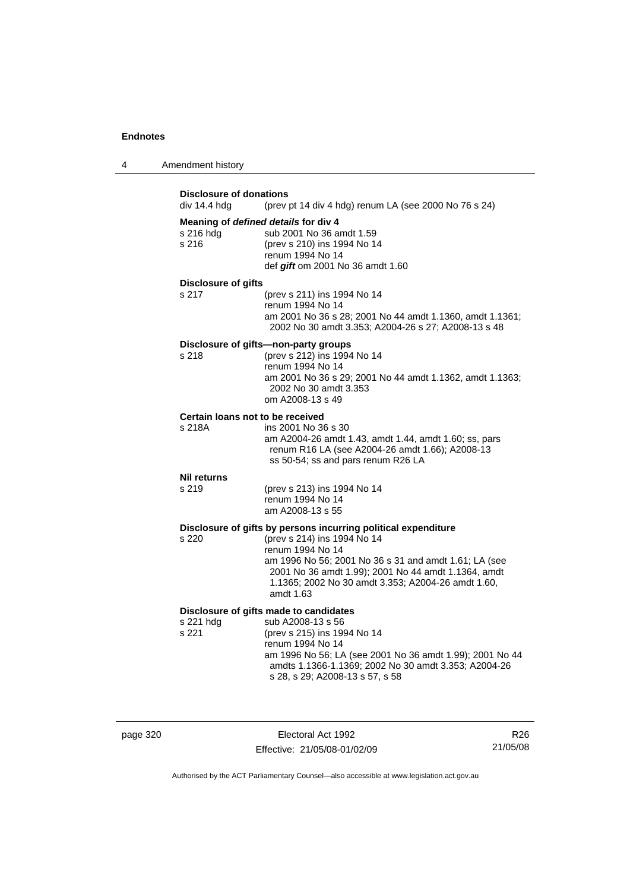| 4 | Amendment history |
|---|-------------------|
|---|-------------------|

| div 14.4 hdg                               | <b>Disclosure of donations</b><br>(prev pt 14 div 4 hdg) renum LA (see 2000 No 76 s 24)                                                                                                                                                                                                              |  |
|--------------------------------------------|------------------------------------------------------------------------------------------------------------------------------------------------------------------------------------------------------------------------------------------------------------------------------------------------------|--|
| s 216 hda<br>s 216                         | Meaning of defined details for div 4<br>sub 2001 No 36 amdt 1.59<br>(prev s 210) ins 1994 No 14<br>renum 1994 No 14<br>def gift om 2001 No 36 amdt 1.60                                                                                                                                              |  |
| <b>Disclosure of gifts</b><br>s 217        | (prev s 211) ins 1994 No 14<br>renum 1994 No 14<br>am 2001 No 36 s 28; 2001 No 44 amdt 1.1360, amdt 1.1361;<br>2002 No 30 amdt 3.353; A2004-26 s 27; A2008-13 s 48                                                                                                                                   |  |
| s 218                                      | Disclosure of gifts-non-party groups<br>(prev s 212) ins 1994 No 14<br>renum 1994 No 14<br>am 2001 No 36 s 29; 2001 No 44 amdt 1.1362, amdt 1.1363;<br>2002 No 30 amdt 3.353<br>om A2008-13 s 49                                                                                                     |  |
| Certain loans not to be received<br>s 218A | ins 2001 No 36 s 30<br>am A2004-26 amdt 1.43, amdt 1.44, amdt 1.60; ss, pars<br>renum R16 LA (see A2004-26 amdt 1.66); A2008-13<br>ss 50-54; ss and pars renum R26 LA                                                                                                                                |  |
| <b>Nil returns</b><br>s 219                | (prev s 213) ins 1994 No 14<br>renum 1994 No 14<br>am A2008-13 s 55                                                                                                                                                                                                                                  |  |
| s 220                                      | Disclosure of gifts by persons incurring political expenditure<br>(prev s 214) ins 1994 No 14<br>renum 1994 No 14<br>am 1996 No 56; 2001 No 36 s 31 and amdt 1.61; LA (see<br>2001 No 36 amdt 1.99); 2001 No 44 amdt 1.1364, amdt<br>1.1365; 2002 No 30 amdt 3.353; A2004-26 amdt 1.60,<br>amdt 1.63 |  |
| s 221 hdg<br>s 221                         | Disclosure of gifts made to candidates<br>sub A2008-13 s 56<br>(prev s 215) ins 1994 No 14<br>renum 1994 No 14<br>am 1996 No 56; LA (see 2001 No 36 amdt 1.99); 2001 No 44<br>amdts 1.1366-1.1369; 2002 No 30 amdt 3.353; A2004-26<br>s 28, s 29; A2008-13 s 57, s 58                                |  |

page 320 Electoral Act 1992 Effective: 21/05/08-01/02/09

R26 21/05/08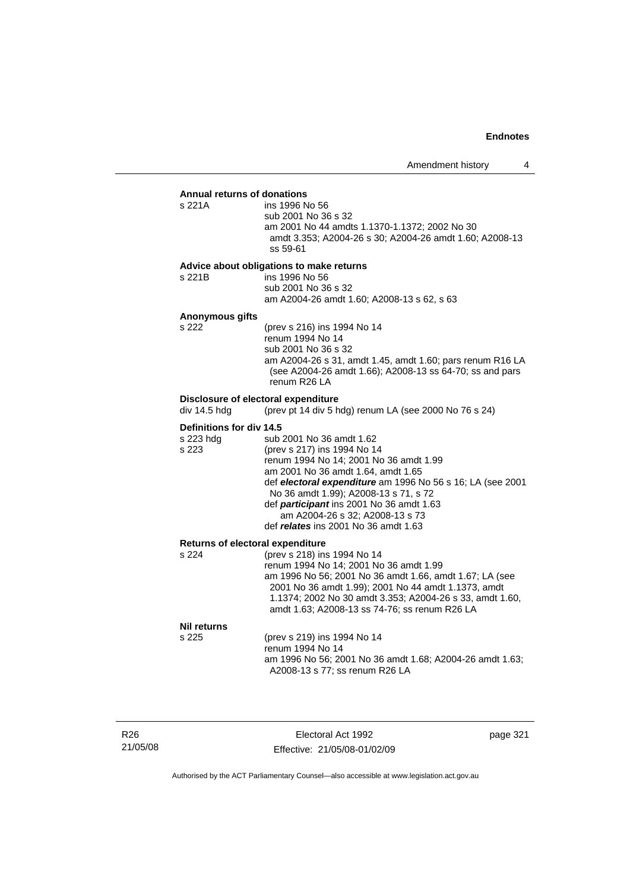#### **Annual returns of donations**

| s 221A | ins 1996 No 56                                          |
|--------|---------------------------------------------------------|
|        | sub 2001 No 36 s 32                                     |
|        | am 2001 No 44 amdts 1.1370-1.1372: 2002 No 30           |
|        | amdt 3.353; A2004-26 s 30; A2004-26 amdt 1.60; A2008-13 |
|        | ss 59-61                                                |

### **Advice about obligations to make returns**

s 221B ins 1996 No 56 sub 2001 No 36 s 32 am A2004-26 amdt 1.60; A2008-13 s 62, s 63

# **Anonymous gifts**

s 221A

(prev s 216) ins 1994 No 14 renum 1994 No 14 sub 2001 No 36 s 32 am A2004-26 s 31, amdt 1.45, amdt 1.60; pars renum R16 LA (see A2004-26 amdt 1.66); A2008-13 ss 64-70; ss and pars renum R26 LA

# **Disclosure of electoral expenditure**<br>div 14.5 hdg (prev pt 14 div 5 h

(prev pt 14 div 5 hdg) renum LA (see 2000 No 76 s 24)

#### **Definitions for div 14.5**

| s 223 hdg | sub 2001 No 36 amdt 1.62                                   |
|-----------|------------------------------------------------------------|
| s 223     | (prev s 217) ins 1994 No 14                                |
|           | renum 1994 No 14; 2001 No 36 amdt 1.99                     |
|           | am 2001 No 36 amdt 1.64, amdt 1.65                         |
|           | def electoral expenditure am 1996 No 56 s 16; LA (see 2001 |
|           | No 36 amdt 1.99); A2008-13 s 71, s 72                      |
|           | def <i>participant</i> ins 2001 No 36 amdt 1.63            |
|           | am A2004-26 s 32; A2008-13 s 73                            |
|           | def relates ins 2001 No 36 amdt 1.63                       |

#### **Returns of electoral expenditure**

| s 224 | (prev s 218) ins 1994 No 14                              |
|-------|----------------------------------------------------------|
|       | renum 1994 No 14: 2001 No 36 amdt 1.99                   |
|       | am 1996 No 56; 2001 No 36 amdt 1.66, amdt 1.67; LA (see  |
|       | 2001 No 36 amdt 1.99); 2001 No 44 amdt 1.1373, amdt      |
|       | 1.1374; 2002 No 30 amdt 3.353; A2004-26 s 33, amdt 1.60, |
|       | amdt 1.63; A2008-13 ss 74-76; ss renum R26 LA            |
|       |                                                          |

#### **Nil returns**

s 225 (prev s 219) ins 1994 No 14 renum 1994 No 14 am 1996 No 56; 2001 No 36 amdt 1.68; A2004-26 amdt 1.63; A2008-13 s 77; ss renum R26 LA

R26 21/05/08

Electoral Act 1992 Effective: 21/05/08-01/02/09 page 321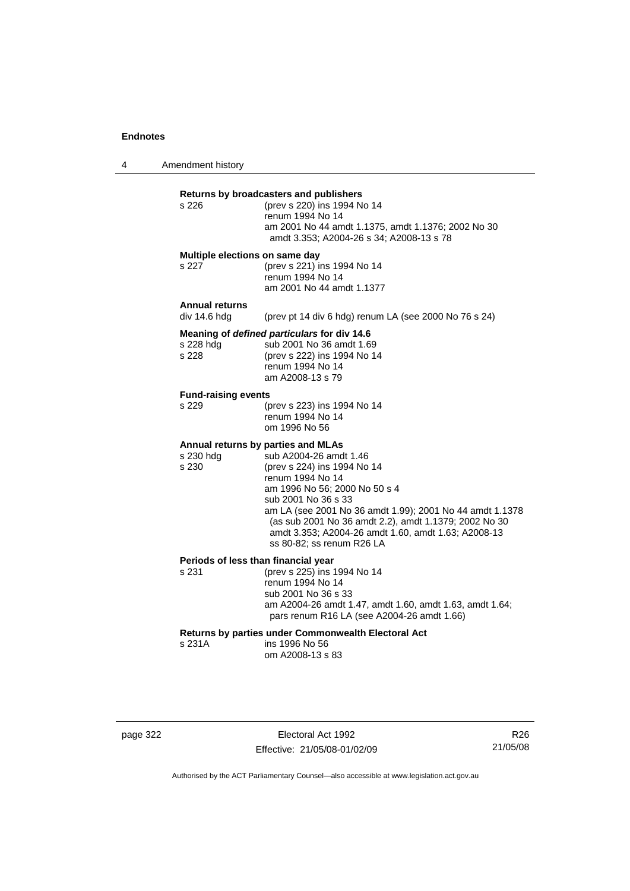4 Amendment history

| s 226                                   | Returns by broadcasters and publishers<br>(prev s 220) ins 1994 No 14<br>renum 1994 No 14<br>am 2001 No 44 amdt 1.1375, amdt 1.1376; 2002 No 30<br>amdt 3.353; A2004-26 s 34; A2008-13 s 78                                                                                                                                                                                      |
|-----------------------------------------|----------------------------------------------------------------------------------------------------------------------------------------------------------------------------------------------------------------------------------------------------------------------------------------------------------------------------------------------------------------------------------|
| Multiple elections on same day<br>s 227 | (prev s 221) ins 1994 No 14<br>renum 1994 No 14<br>am 2001 No 44 amdt 1.1377                                                                                                                                                                                                                                                                                                     |
| <b>Annual returns</b><br>div 14.6 hdg   | (prev pt 14 div 6 hdg) renum LA (see 2000 No 76 s 24)                                                                                                                                                                                                                                                                                                                            |
| s 228 hdg<br>s 228                      | Meaning of defined particulars for div 14.6<br>sub 2001 No 36 amdt 1.69<br>(prev s 222) ins 1994 No 14<br>renum 1994 No 14<br>am A2008-13 s 79                                                                                                                                                                                                                                   |
| <b>Fund-raising events</b><br>s 229     | (prev s 223) ins 1994 No 14<br>renum 1994 No 14<br>om 1996 No 56                                                                                                                                                                                                                                                                                                                 |
| s 230 hdg<br>s 230                      | Annual returns by parties and MLAs<br>sub A2004-26 amdt 1.46<br>(prev s 224) ins 1994 No 14<br>renum 1994 No 14<br>am 1996 No 56: 2000 No 50 s 4<br>sub 2001 No 36 s 33<br>am LA (see 2001 No 36 amdt 1.99); 2001 No 44 amdt 1.1378<br>(as sub 2001 No 36 amdt 2.2), amdt 1.1379; 2002 No 30<br>amdt 3.353; A2004-26 amdt 1.60, amdt 1.63; A2008-13<br>ss 80-82: ss renum R26 LA |
| s 231                                   | Periods of less than financial year<br>(prev s 225) ins 1994 No 14<br>renum 1994 No 14<br>sub 2001 No 36 s 33<br>am A2004-26 amdt 1.47, amdt 1.60, amdt 1.63, amdt 1.64;<br>pars renum R16 LA (see A2004-26 amdt 1.66)                                                                                                                                                           |
| s 231A                                  | Returns by parties under Commonwealth Electoral Act<br>ins 1996 No 56<br>om A2008-13 s 83                                                                                                                                                                                                                                                                                        |

page 322 Electoral Act 1992 Effective: 21/05/08-01/02/09

R26 21/05/08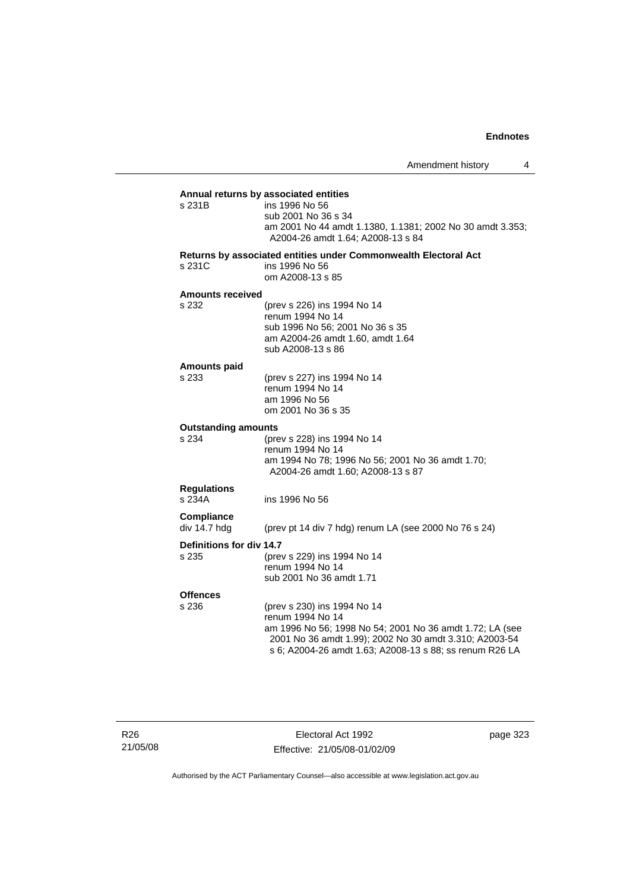**Annual returns by associated entities** ins 1996 No 56 sub 2001 No 36 s 34 am 2001 No 44 amdt 1.1380, 1.1381; 2002 No 30 amdt 3.353; A2004-26 amdt 1.64; A2008-13 s 84 **Returns by associated entities under Commonwealth Electoral Act**

s 231C ins 1996 No 56 om A2008-13 s 85

#### **Amounts received**

s 232

| s 232 | (prev s 226) ins 1994 No 14      |
|-------|----------------------------------|
|       | renum 1994 No 14                 |
|       | sub 1996 No 56: 2001 No 36 s 35  |
|       | am A2004-26 amdt 1.60, amdt 1.64 |
|       | sub A2008-13 s 86                |
|       |                                  |

### **Amounts paid**

| s 233 | (prev s 227) ins 1994 No 14 |
|-------|-----------------------------|
|       | renum 1994 No 14            |
|       | am 1996 No 56               |
|       | om 2001 No 36 s 35          |
|       |                             |

#### **Outstanding amounts**

| s 234 | (prev s 228) ins 1994 No 14                      |
|-------|--------------------------------------------------|
|       | renum 1994 No 14                                 |
|       | am 1994 No 78: 1996 No 56: 2001 No 36 amdt 1.70: |
|       | A2004-26 amdt 1.60: A2008-13 s 87                |
|       |                                                  |

# **Regulations**

ins 1996 No 56

**Compliance** 

(prev pt 14 div 7 hdg) renum LA (see 2000 No 76 s 24)

### **Definitions for div 14.7**

| s 235 | (prev s 229) ins 1994 No 14 |
|-------|-----------------------------|
|       | renum 1994 No 14            |
|       | sub 2001 No 36 amdt 1.71    |

# **Offences**

s 236 (prev s 230) ins 1994 No 14 renum 1994 No 14 am 1996 No 56; 1998 No 54; 2001 No 36 amdt 1.72; LA (see 2001 No 36 amdt 1.99); 2002 No 30 amdt 3.310; A2003-54 s 6; A2004-26 amdt 1.63; A2008-13 s 88; ss renum R26 LA

Electoral Act 1992 Effective: 21/05/08-01/02/09 page 323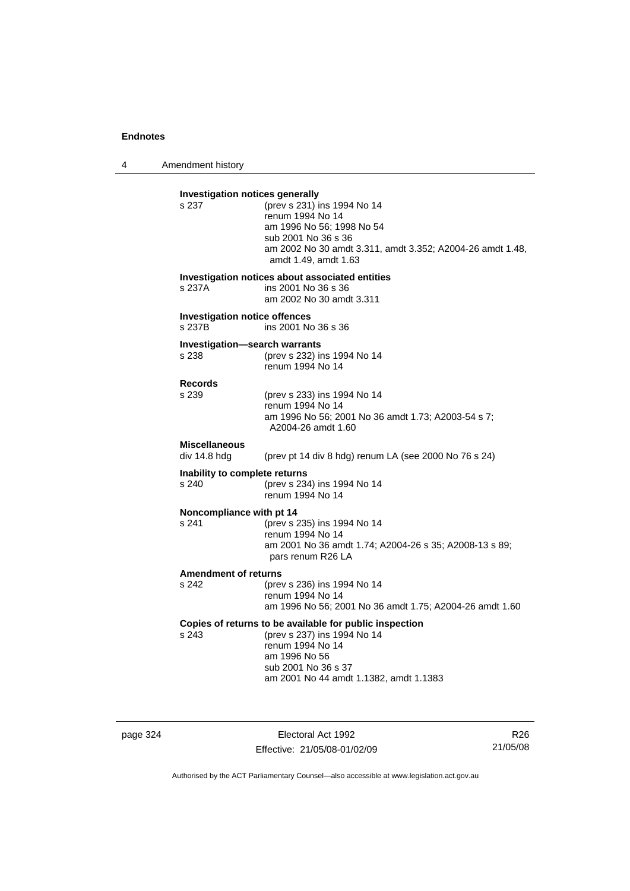4 Amendment history

| s 237                                         | <b>Investigation notices generally</b><br>(prev s 231) ins 1994 No 14            |
|-----------------------------------------------|----------------------------------------------------------------------------------|
|                                               | renum 1994 No 14                                                                 |
|                                               | am 1996 No 56; 1998 No 54                                                        |
|                                               | sub 2001 No 36 s 36<br>am 2002 No 30 amdt 3.311, amdt 3.352; A2004-26 amdt 1.48, |
|                                               | amdt 1.49, amdt 1.63                                                             |
|                                               | Investigation notices about associated entities                                  |
| s 237A                                        | ins 2001 No 36 s 36<br>am 2002 No 30 amdt 3.311                                  |
| <b>Investigation notice offences</b>          |                                                                                  |
| s 237B                                        | ins 2001 No 36 s 36                                                              |
| <b>Investigation-search warrants</b><br>s 238 | (prev s 232) ins 1994 No 14                                                      |
|                                               | renum 1994 No 14                                                                 |
| <b>Records</b>                                |                                                                                  |
| s 239                                         | (prev s 233) ins 1994 No 14<br>renum 1994 No 14                                  |
|                                               | am 1996 No 56; 2001 No 36 amdt 1.73; A2003-54 s 7;                               |
|                                               | A2004-26 amdt 1.60                                                               |
| <b>Miscellaneous</b><br>div 14.8 hdg          | (prev pt 14 div 8 hdg) renum LA (see 2000 No 76 s 24)                            |
| Inability to complete returns                 |                                                                                  |
| s 240                                         | (prev s 234) ins 1994 No 14                                                      |
|                                               | renum 1994 No 14                                                                 |
| Noncompliance with pt 14<br>s 241             | (prev s 235) ins 1994 No 14                                                      |
|                                               | renum 1994 No 14                                                                 |
|                                               | am 2001 No 36 amdt 1.74; A2004-26 s 35; A2008-13 s 89;<br>pars renum R26 LA      |
| <b>Amendment of returns</b>                   |                                                                                  |
| s 242                                         | (prev s 236) ins 1994 No 14                                                      |
|                                               | renum 1994 No 14<br>am 1996 No 56; 2001 No 36 amdt 1.75; A2004-26 amdt 1.60      |
|                                               | Copies of returns to be available for public inspection                          |
| s 243                                         | (prev s 237) ins 1994 No 14                                                      |
|                                               | renum 1994 No 14                                                                 |
|                                               | am 1996 No 56<br>sub 2001 No 36 s 37                                             |
|                                               |                                                                                  |

page 324 Electoral Act 1992 Effective: 21/05/08-01/02/09

R26 21/05/08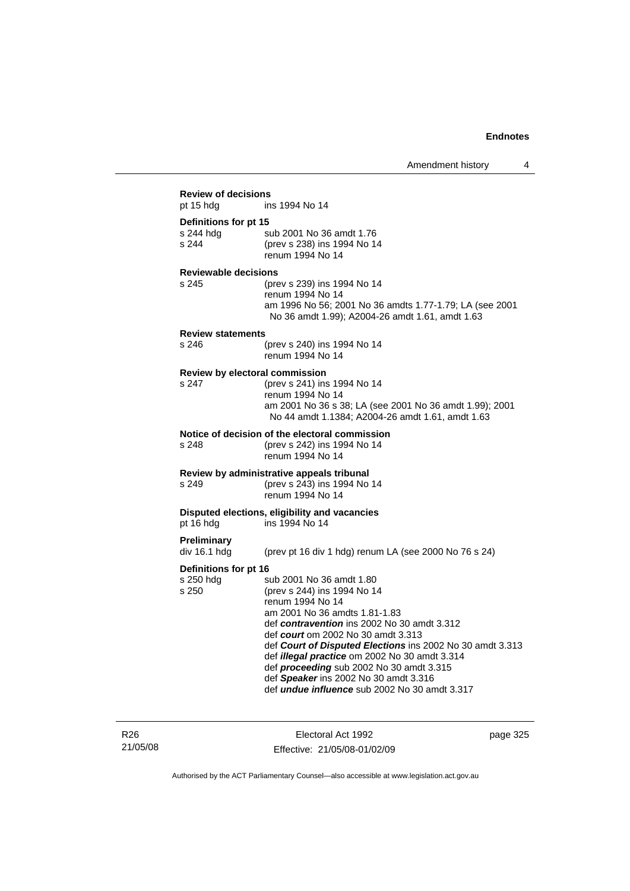| <b>Review of decisions</b>                  |                                                                                                                                                                                                                                                                                                                                                                                                                                                                     |
|---------------------------------------------|---------------------------------------------------------------------------------------------------------------------------------------------------------------------------------------------------------------------------------------------------------------------------------------------------------------------------------------------------------------------------------------------------------------------------------------------------------------------|
| pt 15 hdg                                   | ins 1994 No 14                                                                                                                                                                                                                                                                                                                                                                                                                                                      |
| Definitions for pt 15<br>s 244 hdg<br>s 244 | sub 2001 No 36 amdt 1.76<br>(prev s 238) ins 1994 No 14<br>renum 1994 No 14                                                                                                                                                                                                                                                                                                                                                                                         |
| <b>Reviewable decisions</b><br>s 245        | (prev s 239) ins 1994 No 14<br>renum 1994 No 14<br>am 1996 No 56; 2001 No 36 amdts 1.77-1.79; LA (see 2001<br>No 36 amdt 1.99); A2004-26 amdt 1.61, amdt 1.63                                                                                                                                                                                                                                                                                                       |
| <b>Review statements</b><br>s 246           | (prev s 240) ins 1994 No 14<br>renum 1994 No 14                                                                                                                                                                                                                                                                                                                                                                                                                     |
| Review by electoral commission<br>s 247     | (prev s 241) ins 1994 No 14<br>renum 1994 No 14<br>am 2001 No 36 s 38; LA (see 2001 No 36 amdt 1.99); 2001<br>No 44 amdt 1.1384; A2004-26 amdt 1.61, amdt 1.63                                                                                                                                                                                                                                                                                                      |
| s 248                                       | Notice of decision of the electoral commission<br>(prev s 242) ins 1994 No 14<br>renum 1994 No 14                                                                                                                                                                                                                                                                                                                                                                   |
| s 249                                       | Review by administrative appeals tribunal<br>(prev s 243) ins 1994 No 14<br>renum 1994 No 14                                                                                                                                                                                                                                                                                                                                                                        |
| pt 16 hdg                                   | Disputed elections, eligibility and vacancies<br>ins 1994 No 14                                                                                                                                                                                                                                                                                                                                                                                                     |
| <b>Preliminary</b><br>div 16.1 hdg          | (prev pt 16 div 1 hdg) renum LA (see 2000 No 76 s 24)                                                                                                                                                                                                                                                                                                                                                                                                               |
| Definitions for pt 16<br>s 250 hdg<br>s 250 | sub 2001 No 36 amdt 1.80<br>(prev s 244) ins 1994 No 14<br>renum 1994 No 14<br>am 2001 No 36 amdts 1.81-1.83<br>def contravention ins 2002 No 30 amdt 3.312<br>def <i>court</i> om 2002 No 30 amdt 3.313<br>def Court of Disputed Elections ins 2002 No 30 amdt 3.313<br>def illegal practice om 2002 No 30 amdt 3.314<br>def proceeding sub 2002 No 30 amdt 3.315<br>def Speaker ins 2002 No 30 amdt 3.316<br>def <i>undue influence</i> sub 2002 No 30 amdt 3.317 |

R26 21/05/08

Electoral Act 1992 Effective: 21/05/08-01/02/09 page 325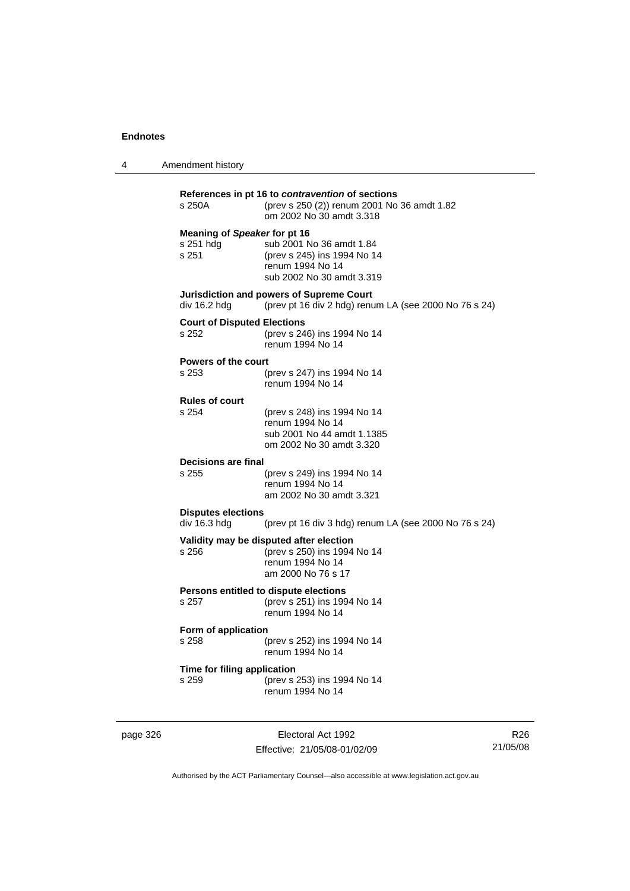4 Amendment history

| s 250A                                             | (prev s 250 (2)) renum 2001 No 36 amdt 1.82<br>om 2002 No 30 amdt 3.318                                          |
|----------------------------------------------------|------------------------------------------------------------------------------------------------------------------|
| Meaning of Speaker for pt 16<br>s 251 hdg<br>s 251 | sub 2001 No 36 amdt 1.84<br>(prev s 245) ins 1994 No 14<br>renum 1994 No 14<br>sub 2002 No 30 amdt 3.319         |
| div 16.2 hdg                                       | Jurisdiction and powers of Supreme Court<br>(prev pt 16 div 2 hdg) renum LA (see 2000 No 76 s 24)                |
| <b>Court of Disputed Elections</b><br>s 252        | (prev s 246) ins 1994 No 14<br>renum 1994 No 14                                                                  |
| <b>Powers of the court</b>                         |                                                                                                                  |
| s 253                                              | (prev s 247) ins 1994 No 14<br>renum 1994 No 14                                                                  |
| <b>Rules of court</b><br>s 254                     | (prev s 248) ins 1994 No 14<br>renum 1994 No 14<br>sub 2001 No 44 amdt 1.1385<br>om 2002 No 30 amdt 3.320        |
| <b>Decisions are final</b><br>s 255                | (prev s 249) ins 1994 No 14<br>renum 1994 No 14<br>am 2002 No 30 amdt 3.321                                      |
| <b>Disputes elections</b><br>div 16.3 hdg          | (prev pt 16 div 3 hdg) renum LA (see 2000 No 76 s 24)                                                            |
| s 256                                              | Validity may be disputed after election<br>(prev s 250) ins 1994 No 14<br>renum 1994 No 14<br>am 2000 No 76 s 17 |
| s 257                                              | Persons entitled to dispute elections<br>(prev s 251) ins 1994 No 14<br>renum 1994 No 14                         |
| Form of application<br>s 258                       | (prev s 252) ins 1994 No 14<br>renum 1994 No 14                                                                  |
| Time for filing application<br>s 259               | (prev s 253) ins 1994 No 14<br>renum 1994 No 14                                                                  |

page 326 Electoral Act 1992 Effective: 21/05/08-01/02/09

R26 21/05/08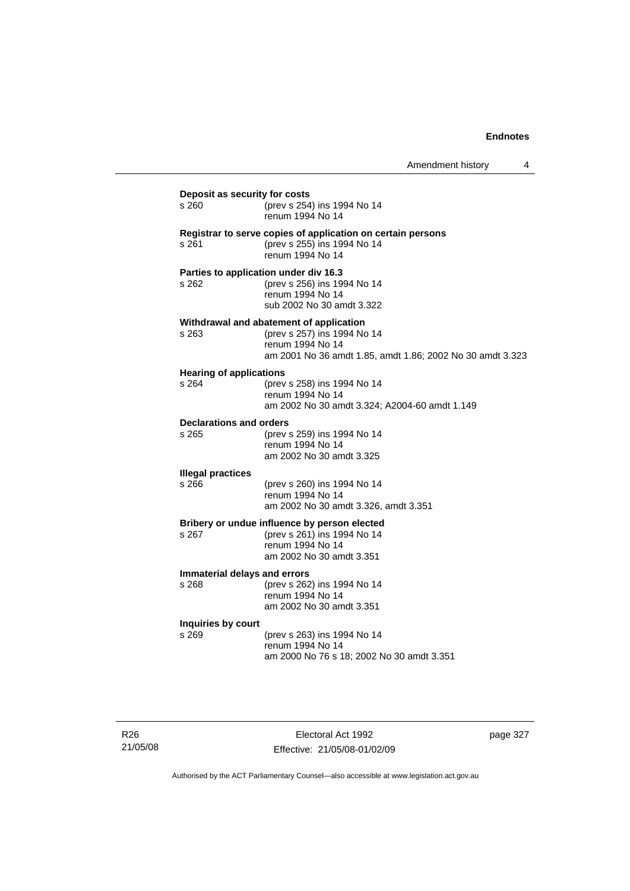| Amendment history |  |
|-------------------|--|
|-------------------|--|

| Deposit as security for costs           |                                                                                                                                                         |  |
|-----------------------------------------|---------------------------------------------------------------------------------------------------------------------------------------------------------|--|
| s 260                                   | (prev s 254) ins 1994 No 14<br>renum 1994 No 14                                                                                                         |  |
| s 261                                   | Registrar to serve copies of application on certain persons<br>(prev s 255) ins 1994 No 14<br>renum 1994 No 14                                          |  |
| s 262                                   | Parties to application under div 16.3<br>(prev s 256) ins 1994 No 14<br>renum 1994 No 14<br>sub 2002 No 30 amdt 3.322                                   |  |
| s 263                                   | Withdrawal and abatement of application<br>(prev s 257) ins 1994 No 14<br>renum 1994 No 14<br>am 2001 No 36 amdt 1.85, amdt 1.86; 2002 No 30 amdt 3.323 |  |
| <b>Hearing of applications</b><br>s 264 | (prev s 258) ins 1994 No 14<br>renum 1994 No 14<br>am 2002 No 30 amdt 3.324; A2004-60 amdt 1.149                                                        |  |
| <b>Declarations and orders</b><br>s 265 | (prev s 259) ins 1994 No 14<br>renum 1994 No 14<br>am 2002 No 30 amdt 3.325                                                                             |  |
| <b>Illegal practices</b><br>s 266       | (prev s 260) ins 1994 No 14<br>renum 1994 No 14<br>am 2002 No 30 amdt 3.326, amdt 3.351                                                                 |  |
| s 267                                   | Bribery or undue influence by person elected<br>(prev s 261) ins 1994 No 14<br>renum 1994 No 14<br>am 2002 No 30 amdt 3.351                             |  |
| Immaterial delays and errors<br>s 268   | (prev s 262) ins 1994 No 14<br>renum 1994 No 14<br>am 2002 No 30 amdt 3.351                                                                             |  |
| Inquiries by court<br>s 269             | (prev s 263) ins 1994 No 14<br>renum 1994 No 14<br>am 2000 No 76 s 18; 2002 No 30 amdt 3.351                                                            |  |

Electoral Act 1992 Effective: 21/05/08-01/02/09 page 327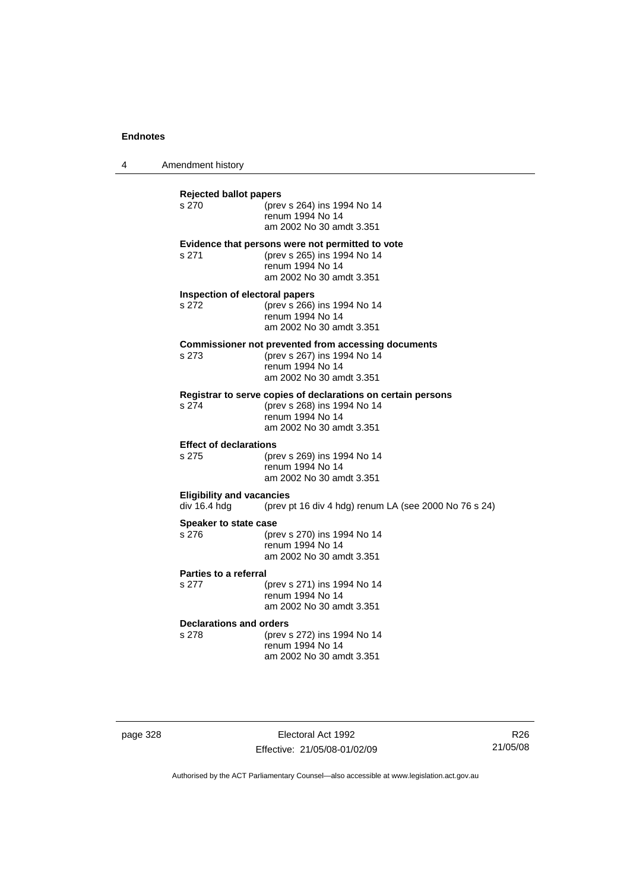4 Amendment history

**Rejected ballot papers** (prev s 264) ins 1994 No 14 renum 1994 No 14 am 2002 No 30 amdt 3.351 **Evidence that persons were not permitted to vote** s 271 (prev s 265) ins 1994 No 14 renum 1994 No 14 am 2002 No 30 amdt 3.351 **Inspection of electoral papers** s 272 (prev s 266) ins 1994 No 14 renum 1994 No 14 am 2002 No 30 amdt 3.351 **Commissioner not prevented from accessing documents** s 273 (prev s 267) ins 1994 No 14 renum 1994 No 14 am 2002 No 30 amdt 3.351 **Registrar to serve copies of declarations on certain persons** s 274 (prev s 268) ins 1994 No 14 renum 1994 No 14 am 2002 No 30 amdt 3.351 **Effect of declarations**<br>s 275 (pre (prev s 269) ins 1994 No 14 renum 1994 No 14 am 2002 No 30 amdt 3.351 **Eligibility and vacancies**<br>div 16.4 hdg (prev) (prev pt 16 div 4 hdg) renum LA (see 2000 No 76 s 24) **Speaker to state case** s 276 (prev s 270) ins 1994 No 14 renum 1994 No 14 am 2002 No 30 amdt 3.351 **Parties to a referral** s 277 (prev s 271) ins 1994 No 14 renum 1994 No 14 am 2002 No 30 amdt 3.351 **Declarations and orders** s 278 (prev s 272) ins 1994 No 14 renum 1994 No 14 am 2002 No 30 amdt 3.351

| page 328 |  |
|----------|--|
|----------|--|

page 328 Electoral Act 1992 Effective: 21/05/08-01/02/09

R26 21/05/08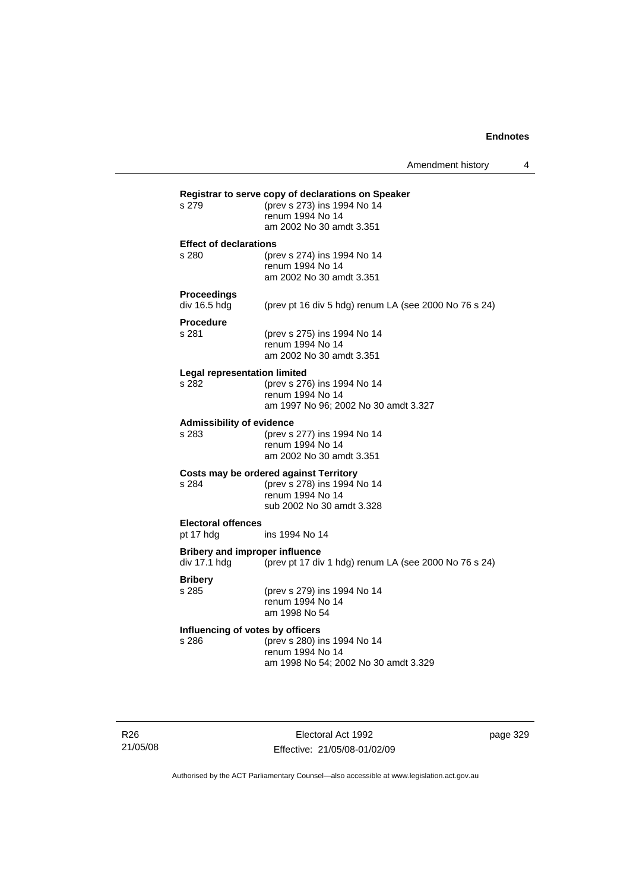| s 279                              | (prev s 273) ins 1994 No 14<br>renum 1994 No 14<br>am 2002 No 30 amdt 3.351                    |
|------------------------------------|------------------------------------------------------------------------------------------------|
| <b>Effect of declarations</b>      |                                                                                                |
| s 280                              | (prev s 274) ins 1994 No 14<br>renum 1994 No 14<br>am 2002 No 30 amdt 3.351                    |
| <b>Proceedings</b><br>div 16.5 hdg | (prev pt 16 div 5 hdg) renum LA (see 2000 No $76$ s 24)                                        |
| <b>Procedure</b><br>s 281          | (prev s 275) ins 1994 No 14                                                                    |
|                                    | renum 1994 No 14<br>am 2002 No 30 amdt 3.351                                                   |
| Legal representation limited       |                                                                                                |
| s 282                              | (prev s 276) ins 1994 No 14<br>renum 1994 No 14                                                |
|                                    | am 1997 No 96; 2002 No 30 amdt 3.327                                                           |
| <b>Admissibility of evidence</b>   |                                                                                                |
| s 283                              | (prev s 277) ins 1994 No 14                                                                    |
|                                    | renum 1994 No 14<br>am 2002 No 30 amdt 3.351                                                   |
|                                    | Costs may be ordered against Territory                                                         |
| s 284                              | (prev s 278) ins 1994 No 14                                                                    |
|                                    | renum 1994 No 14<br>sub 2002 No 30 amdt 3.328                                                  |
| <b>Electoral offences</b>          |                                                                                                |
| pt 17 hdg                          | ins 1994 No 14                                                                                 |
| div 17.1 hdg                       | <b>Bribery and improper influence</b><br>(prev pt 17 div 1 hdg) renum LA (see 2000 No 76 s 24) |
| <b>Bribery</b>                     |                                                                                                |
| s 285                              | (prev s 279) ins 1994 No 14<br>renum 1994 No 14                                                |
|                                    | am 1998 No 54                                                                                  |
|                                    | Influencing of votes by officers                                                               |
| s 286                              | (prev s 280) ins 1994 No 14                                                                    |
|                                    | renum 1994 No 14<br>am 1998 No 54; 2002 No 30 amdt 3.329                                       |

R26 21/05/08

Electoral Act 1992 Effective: 21/05/08-01/02/09 page 329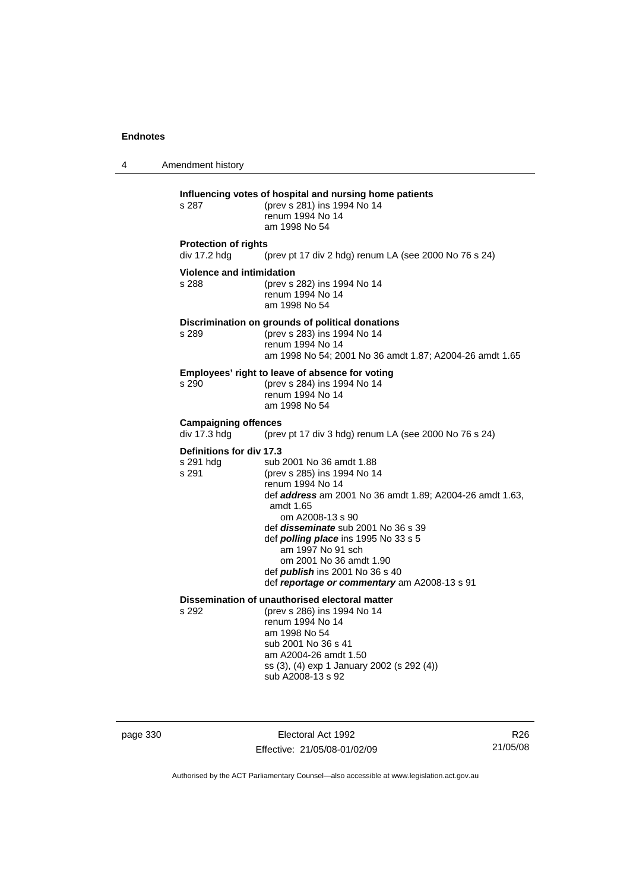4 Amendment history **Influencing votes of hospital and nursing home patients** s 287 (prev s 281) ins 1994 No 14 renum 1994 No 14 am 1998 No 54 **Protection of rights**  div 17.2 hdg (prev pt 17 div 2 hdg) renum LA (see 2000 No 76 s 24) **Violence and intimidation** s 288 (prev s 282) ins 1994 No 14 renum 1994 No 14 am 1998 No 54 **Discrimination on grounds of political donations**<br>s 289 (prev s 283) ins 1994 No 14 s 289 (prev s 283) ins 1994 No 14 renum 1994 No 14 am 1998 No 54; 2001 No 36 amdt 1.87; A2004-26 amdt 1.65 **Employees' right to leave of absence for voting** s 290 (prev s 284) ins 1994 No 14 renum 1994 No 14 am 1998 No 54 **Campaigning offences**<br>div 17.3 hdg (prev (prev pt 17 div 3 hdg) renum LA (see 2000 No 76 s 24) **Definitions for div 17.3** s 291 hdg sub 2001 No 36 amdt 1.88<br>s 291 (prev s 285) ins 1994 No 1 (prev s 285) ins 1994 No 14 renum 1994 No 14 def *address* am 2001 No 36 amdt 1.89; A2004-26 amdt 1.63, amdt 1.65 om A2008-13 s 90 def *disseminate* sub 2001 No 36 s 39 def *polling place* ins 1995 No 33 s 5 am 1997 No 91 sch om 2001 No 36 amdt 1.90 def *publish* ins 2001 No 36 s 40 def *reportage or commentary* am A2008-13 s 91 **Dissemination of unauthorised electoral matter** s 292 (prev s 286) ins 1994 No 14 renum 1994 No 14 am 1998 No 54 sub 2001 No 36 s 41 am A2004-26 amdt 1.50 ss (3), (4) exp 1 January 2002 (s 292 (4)) sub A2008-13 s 92

page 330 Electoral Act 1992 Effective: 21/05/08-01/02/09

R26 21/05/08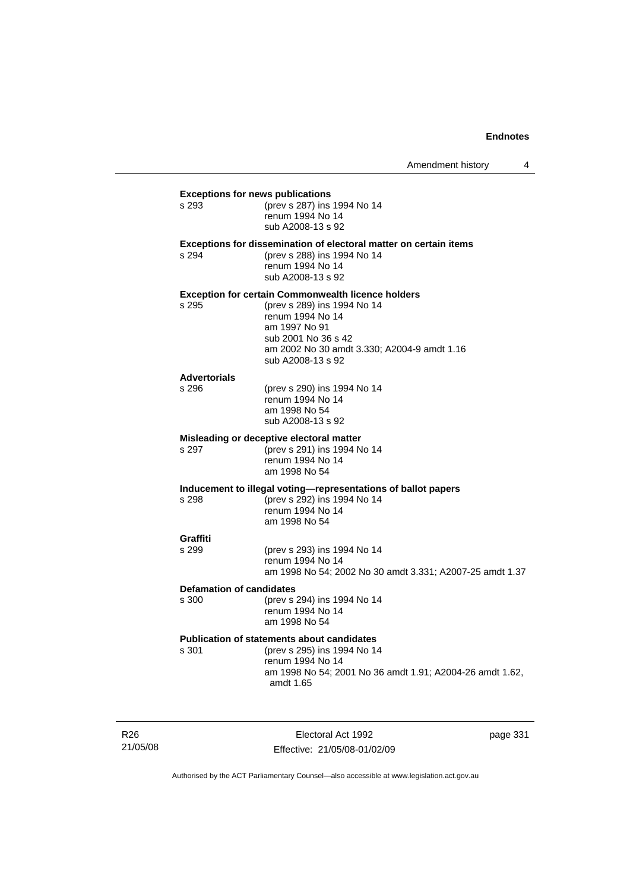# **Exceptions for news publications**<br>s 293 (prev s 287) ins s 293 (prev s 287) ins 1994 No 14 renum 1994 No 14 sub A2008-13 s 92 **Exceptions for dissemination of electoral matter on certain items** s 294 (prev s 288) ins 1994 No 14 renum 1994 No 14 sub A2008-13 s 92 **Exception for certain Commonwealth licence holders** s 295 (prev s 289) ins 1994 No 14 renum 1994 No 14 am 1997 No 91 sub 2001 No 36 s 42 am 2002 No 30 amdt 3.330; A2004-9 amdt 1.16 sub A2008-13 s 92 **Advertorials** s 296 (prev s 290) ins 1994 No 14 renum 1994 No 14 am 1998 No 54 sub A2008-13 s 92 **Misleading or deceptive electoral matter** s 297 (prev s 291) ins 1994 No 14 renum 1994 No 14 am 1998 No 54 **Inducement to illegal voting—representations of ballot papers** s 298 (prev s 292) ins 1994 No 14 renum 1994 No 14 am 1998 No 54 **Graffiti** s 299 (prev s 293) ins 1994 No 14 renum 1994 No 14 am 1998 No 54; 2002 No 30 amdt 3.331; A2007-25 amdt 1.37 **Defamation of candidates** s 300 (prev s 294) ins 1994 No 14 renum 1994 No 14 am 1998 No 54 **Publication of statements about candidates** s 301 (prev s 295) ins 1994 No 14 renum 1994 No 14 am 1998 No 54; 2001 No 36 amdt 1.91; A2004-26 amdt 1.62, amdt 1.65

R26 21/05/08

Electoral Act 1992 Effective: 21/05/08-01/02/09 page 331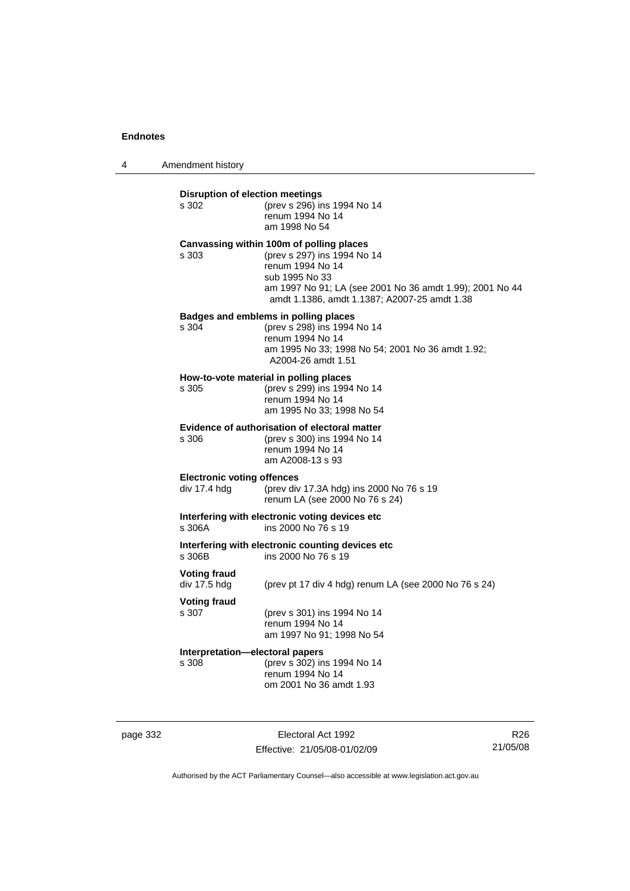4 Amendment history

| s 302                                             | (prev s 296) ins 1994 No 14<br>renum 1994 No 14<br>am 1998 No 54                                                                                                                                                          |
|---------------------------------------------------|---------------------------------------------------------------------------------------------------------------------------------------------------------------------------------------------------------------------------|
| s 303                                             | Canvassing within 100m of polling places<br>(prev s 297) ins 1994 No 14<br>renum 1994 No 14<br>sub 1995 No 33<br>am 1997 No 91; LA (see 2001 No 36 amdt 1.99); 2001 No 44<br>amdt 1.1386, amdt 1.1387; A2007-25 amdt 1.38 |
| s 304                                             | Badges and emblems in polling places<br>(prev s 298) ins 1994 No 14<br>renum 1994 No 14<br>am 1995 No 33; 1998 No 54; 2001 No 36 amdt 1.92;<br>A2004-26 amdt 1.51                                                         |
| s 305                                             | How-to-vote material in polling places<br>(prev s 299) ins 1994 No 14<br>renum 1994 No 14<br>am 1995 No 33: 1998 No 54                                                                                                    |
| s 306                                             | Evidence of authorisation of electoral matter<br>(prev s 300) ins 1994 No 14<br>renum 1994 No 14<br>am A2008-13 s 93                                                                                                      |
| <b>Electronic voting offences</b><br>div 17.4 hdg | (prev div 17.3A hdg) ins 2000 No 76 s 19<br>renum LA (see 2000 No 76 s 24)                                                                                                                                                |
| s 306A                                            | Interfering with electronic voting devices etc<br>ins 2000 No 76 s 19                                                                                                                                                     |
| s 306B                                            | Interfering with electronic counting devices etc<br>ins 2000 No 76 s 19                                                                                                                                                   |
| <b>Voting fraud</b><br>div 17.5 hdg               | (prev pt 17 div 4 hdg) renum LA (see 2000 No 76 s 24)                                                                                                                                                                     |
| <b>Voting fraud</b><br>s 307                      | (prev s 301) ins 1994 No 14<br>renum 1994 No 14<br>am 1997 No 91; 1998 No 54                                                                                                                                              |
| s 308                                             | Interpretation-electoral papers<br>(prev s 302) ins 1994 No 14<br>renum 1994 No 14<br>om 2001 No 36 amdt 1.93                                                                                                             |

page 332 Electoral Act 1992 Effective: 21/05/08-01/02/09

R26 21/05/08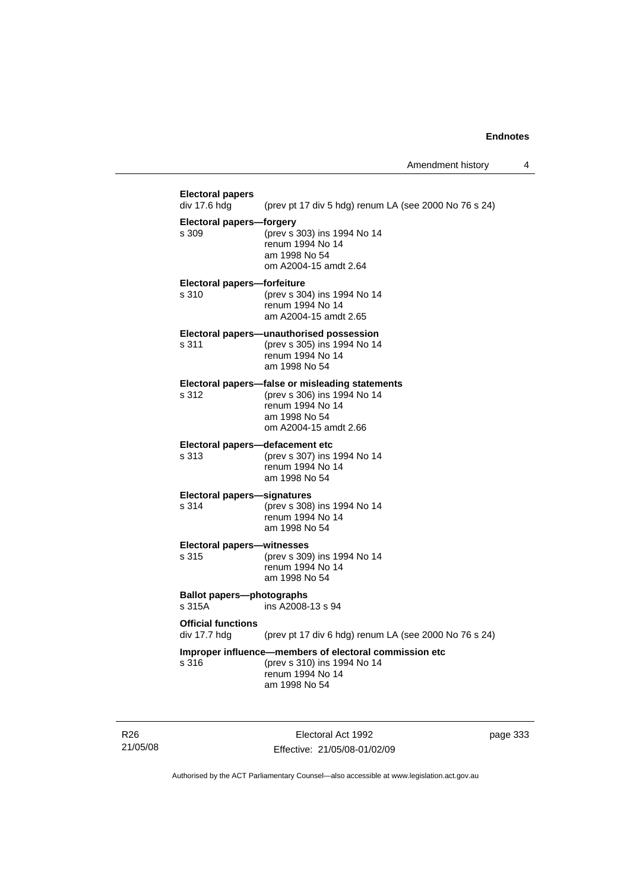| <b>Electoral papers</b><br>div 17.6 hdg    | (prev pt 17 div 5 hdg) renum LA (see 2000 No 76 s 24)                                                                                        |
|--------------------------------------------|----------------------------------------------------------------------------------------------------------------------------------------------|
| <b>Electoral papers-forgery</b><br>s 309   | (prev s 303) ins 1994 No 14<br>renum 1994 No 14<br>am 1998 No 54<br>om A2004-15 amdt 2.64                                                    |
| Electoral papers-forfeiture<br>s 310       | (prev s 304) ins 1994 No 14<br>renum 1994 No 14<br>am A2004-15 amdt 2.65                                                                     |
| s 311                                      | Electoral papers-unauthorised possession<br>(prev s 305) ins 1994 No 14<br>renum 1994 No 14<br>am 1998 No 54                                 |
| s.312                                      | Electoral papers-false or misleading statements<br>(prev s 306) ins 1994 No 14<br>renum 1994 No 14<br>am 1998 No 54<br>om A2004-15 amdt 2.66 |
| Electoral papers-defacement etc<br>s 313   | (prev s 307) ins 1994 No 14<br>renum 1994 No 14<br>am 1998 No 54                                                                             |
| Electoral papers-signatures<br>s 314       | (prev s 308) ins 1994 No 14<br>renum 1994 No 14<br>am 1998 No 54                                                                             |
| <b>Electoral papers-witnesses</b><br>s 315 | (prev s 309) ins 1994 No 14<br>renum 1994 No 14<br>am 1998 No 54                                                                             |
| <b>Ballot papers-photographs</b><br>s 315A | ins A2008-13 s 94                                                                                                                            |
| <b>Official functions</b><br>div 17.7 hdg  | (prev pt 17 div 6 hdg) renum LA (see 2000 No 76 s 24)                                                                                        |
| s 316                                      | Improper influence-members of electoral commission etc<br>(prev s 310) ins 1994 No 14<br>renum 1994 No 14<br>am 1998 No 54                   |

R26 21/05/08

Electoral Act 1992 Effective: 21/05/08-01/02/09 page 333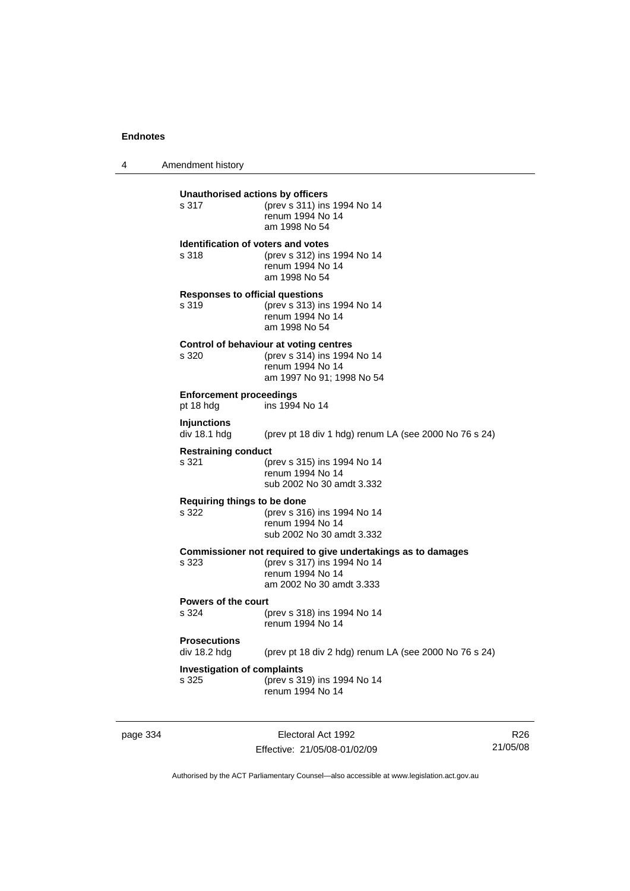4 Amendment history

| Unauthorised actions by officers<br>s 317          | (prev s 311) ins 1994 No 14<br>renum 1994 No 14<br>am 1998 No 54                                                                            |
|----------------------------------------------------|---------------------------------------------------------------------------------------------------------------------------------------------|
| <b>Identification of voters and votes</b><br>s 318 | (prev s 312) ins 1994 No 14<br>renum 1994 No 14<br>am 1998 No 54                                                                            |
| <b>Responses to official questions</b><br>s 319    | (prev s 313) ins 1994 No 14<br>renum 1994 No 14<br>am 1998 No 54                                                                            |
| s 320                                              | Control of behaviour at voting centres<br>(prev s 314) ins 1994 No 14<br>renum 1994 No 14<br>am 1997 No 91; 1998 No 54                      |
| <b>Enforcement proceedings</b><br>pt 18 hdg        | ins 1994 No 14                                                                                                                              |
| <b>Injunctions</b><br>div 18.1 hdg                 | (prev pt 18 div 1 hdg) renum LA (see 2000 No 76 s 24)                                                                                       |
| <b>Restraining conduct</b><br>s 321                | (prev s 315) ins 1994 No 14<br>renum 1994 No 14<br>sub 2002 No 30 amdt 3.332                                                                |
| Requiring things to be done<br>s 322               | (prev s 316) ins 1994 No 14<br>renum 1994 No 14<br>sub 2002 No 30 amdt 3.332                                                                |
| s 323                                              | Commissioner not required to give undertakings as to damages<br>(prev s 317) ins 1994 No 14<br>renum 1994 No 14<br>am 2002 No 30 amdt 3.333 |
| <b>Powers of the court</b><br>s.324                | (prev s 318) ins 1994 No 14<br>renum 1994 No 14                                                                                             |
| <b>Prosecutions</b><br>div 18.2 hdg                | (prev pt 18 div 2 hdg) renum LA (see 2000 No 76 s 24)                                                                                       |
| <b>Investigation of complaints</b><br>s 325        | (prev s 319) ins 1994 No 14<br>renum 1994 No 14                                                                                             |

page 334 Electoral Act 1992 Effective: 21/05/08-01/02/09

R26 21/05/08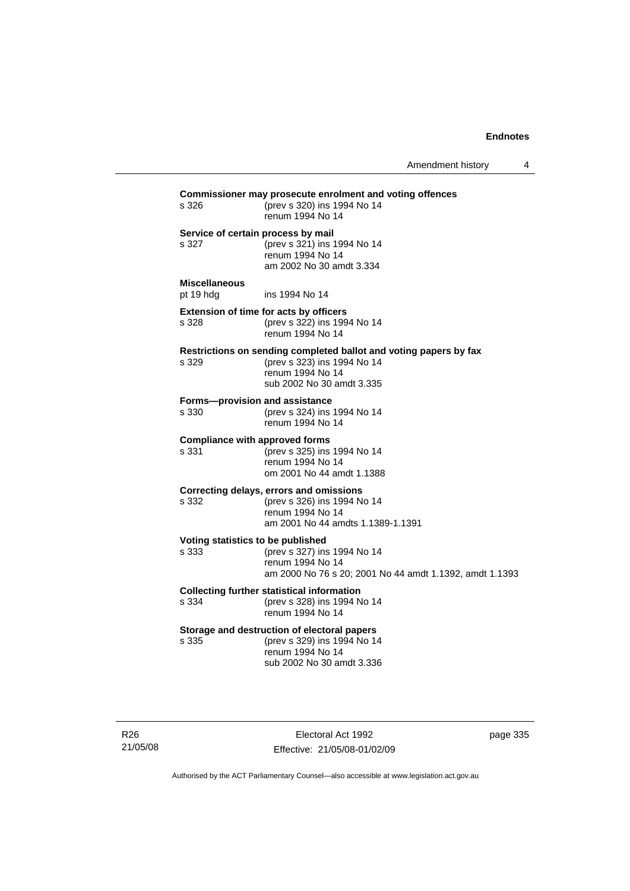| s 326                                                                                                         | Commissioner may prosecute enrolment and voting offences<br>(prev s 320) ins 1994 No 14<br>renum 1994 No 14                                       |  |
|---------------------------------------------------------------------------------------------------------------|---------------------------------------------------------------------------------------------------------------------------------------------------|--|
| Service of certain process by mail<br>s 327                                                                   | (prev s 321) ins 1994 No 14<br>renum 1994 No 14<br>am 2002 No 30 amdt 3.334                                                                       |  |
| <b>Miscellaneous</b><br>pt 19 hdg                                                                             | ins 1994 No 14                                                                                                                                    |  |
| s 328                                                                                                         | <b>Extension of time for acts by officers</b><br>(prev s 322) ins 1994 No 14<br>renum 1994 No 14                                                  |  |
| s 329                                                                                                         | Restrictions on sending completed ballot and voting papers by fax<br>(prev s 323) ins 1994 No 14<br>renum 1994 No 14<br>sub 2002 No 30 amdt 3.335 |  |
| Forms-provision and assistance<br>s 330                                                                       | (prev s 324) ins 1994 No 14<br>renum 1994 No 14                                                                                                   |  |
| <b>Compliance with approved forms</b><br>s 331                                                                | (prev s 325) ins 1994 No 14<br>renum 1994 No 14<br>om 2001 No 44 amdt 1.1388                                                                      |  |
| s 332                                                                                                         | Correcting delays, errors and omissions<br>(prev s 326) ins 1994 No 14<br>renum 1994 No 14<br>am 2001 No 44 amdts 1.1389-1.1391                   |  |
| Voting statistics to be published<br>s 333                                                                    | (prev s 327) ins 1994 No 14<br>renum 1994 No 14<br>am 2000 No 76 s 20; 2001 No 44 amdt 1.1392, amdt 1.1393                                        |  |
| <b>Collecting further statistical information</b><br>(prev s 328) ins 1994 No 14<br>s 334<br>renum 1994 No 14 |                                                                                                                                                   |  |
| s 335                                                                                                         | Storage and destruction of electoral papers<br>(prev s 329) ins 1994 No 14<br>renum 1994 No 14<br>sub 2002 No 30 amdt 3.336                       |  |

R26 21/05/08

Electoral Act 1992 Effective: 21/05/08-01/02/09 page 335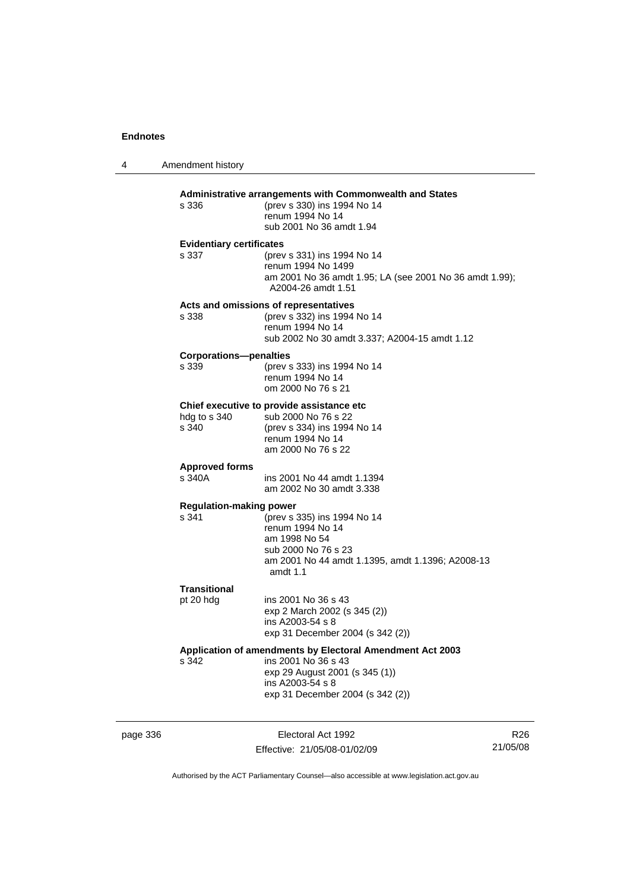4 Amendment history page 336 Electoral Act 1992 **Administrative arrangements with Commonwealth and States** s 336 (prev s 330) ins 1994 No 14 renum 1994 No 14 sub 2001 No 36 amdt 1.94 **Evidentiary certificates** s 337 (prev s 331) ins 1994 No 14 renum 1994 No 1499 am 2001 No 36 amdt 1.95; LA (see 2001 No 36 amdt 1.99); A2004-26 amdt 1.51 **Acts and omissions of representatives** s 338 (prev s 332) ins 1994 No 14 renum 1994 No 14 sub 2002 No 30 amdt 3.337; A2004-15 amdt 1.12 **Corporations—penalties**<br>s 339 (prev s s 339 (prev s 333) ins 1994 No 14 renum 1994 No 14 om 2000 No 76 s 21 **Chief executive to provide assistance etc** hdg to s 340 sub 2000 No 76 s 22 s 340 (prev s 334) ins 1994 No 14 renum 1994 No 14 am 2000 No 76 s 22 **Approved forms**  s 340A ins 2001 No 44 amdt 1.1394 am 2002 No 30 amdt 3.338 **Regulation-making power**<br>s 341 (prev s) s 341 (prev s 335) ins 1994 No 14 renum 1994 No 14 am 1998 No 54 sub 2000 No 76 s 23 am 2001 No 44 amdt 1.1395, amdt 1.1396; A2008-13 amdt 1.1 **Transitional** pt 20 hdg ins 2001 No 36 s 43 exp 2 March 2002 (s 345 (2)) ins A2003-54 s 8 exp 31 December 2004 (s 342 (2)) **Application of amendments by Electoral Amendment Act 2003** s 342 ins 2001 No 36 s 43 exp 29 August 2001 (s 345 (1)) ins A2003-54 s 8 exp 31 December 2004 (s 342 (2))

Effective: 21/05/08-01/02/09

R26 21/05/08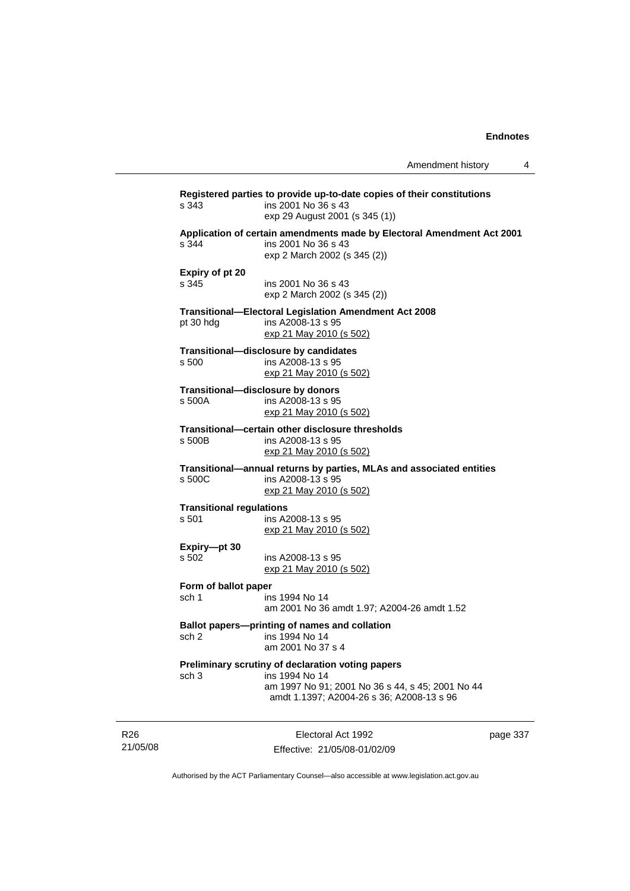| s 343                                    | ins 2001 No 36 s 43<br>exp 29 August 2001 (s 345 (1))                                                                                                                |
|------------------------------------------|----------------------------------------------------------------------------------------------------------------------------------------------------------------------|
| s 344                                    | Application of certain amendments made by Electoral Amendment Act 2001<br>ins 2001 No 36 s 43<br>exp 2 March 2002 (s 345 (2))                                        |
| Expiry of pt 20<br>s 345                 | ins 2001 No 36 s 43<br>exp 2 March 2002 (s 345 (2))                                                                                                                  |
| pt 30 hdg                                | <b>Transitional-Electoral Legislation Amendment Act 2008</b><br>ins A2008-13 s 95<br>exp 21 May 2010 (s 502)                                                         |
| s 500                                    | Transitional-disclosure by candidates<br>ins A2008-13 s 95<br>exp 21 May 2010 (s 502)                                                                                |
| s 500A                                   | Transitional-disclosure by donors<br>ins A2008-13 s 95<br>exp 21 May 2010 (s 502)                                                                                    |
| s 500B                                   | Transitional-certain other disclosure thresholds<br>ins A2008-13 s 95<br>exp 21 May 2010 (s 502)                                                                     |
| s 500C                                   | Transitional-annual returns by parties, MLAs and associated entities<br>ins A2008-13 s 95<br>exp 21 May 2010 (s 502)                                                 |
| <b>Transitional regulations</b><br>s 501 | ins A2008-13 s 95<br>exp 21 May 2010 (s 502)                                                                                                                         |
| Expiry-pt 30<br>s 502                    | ins A2008-13 s 95<br>exp 21 May 2010 (s 502)                                                                                                                         |
| Form of ballot paper<br>sch 1            | ins 1994 No 14<br>am 2001 No 36 amdt 1.97; A2004-26 amdt 1.52                                                                                                        |
| sch 2                                    | Ballot papers-printing of names and collation<br>ins 1994 No 14<br>am 2001 No 37 s 4                                                                                 |
| sch <sub>3</sub>                         | Preliminary scrutiny of declaration voting papers<br>ins 1994 No 14<br>am 1997 No 91; 2001 No 36 s 44, s 45; 2001 No 44<br>amdt 1.1397; A2004-26 s 36; A2008-13 s 96 |

R26 21/05/08

Electoral Act 1992 Effective: 21/05/08-01/02/09 page 337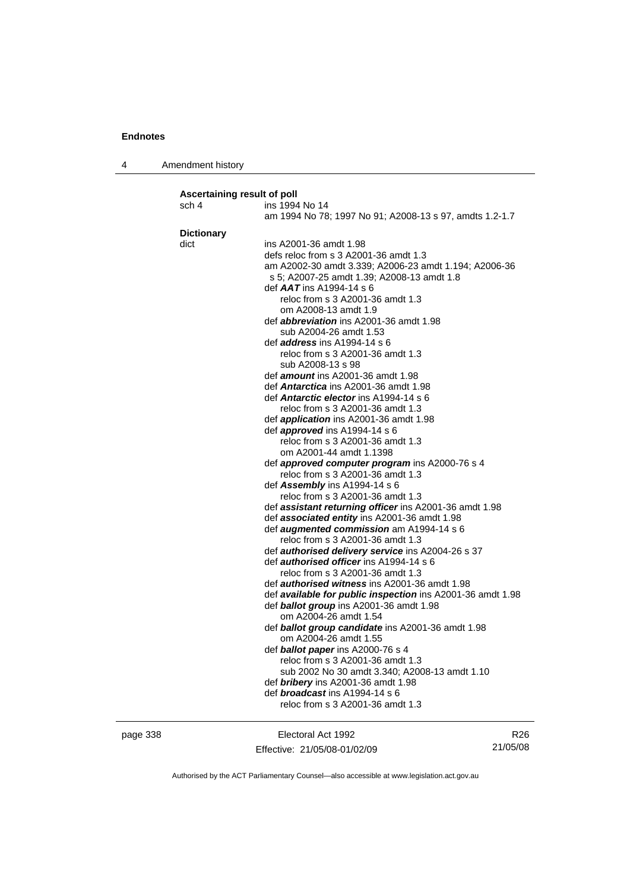4 Amendment history

| Ascertaining result of poll |                                                                                                       |
|-----------------------------|-------------------------------------------------------------------------------------------------------|
| sch 4                       | ins 1994 No 14                                                                                        |
|                             | am 1994 No 78; 1997 No 91; A2008-13 s 97, amdts 1.2-1.7                                               |
| <b>Dictionary</b>           |                                                                                                       |
| dict                        | ins A2001-36 amdt 1.98                                                                                |
|                             | defs reloc from s 3 A2001-36 amdt 1.3                                                                 |
|                             | am A2002-30 amdt 3.339; A2006-23 amdt 1.194; A2006-36                                                 |
|                             | s 5; A2007-25 amdt 1.39; A2008-13 amdt 1.8                                                            |
|                             | def $AAT$ ins A1994-14 s 6                                                                            |
|                             | reloc from s 3 A2001-36 amdt 1.3                                                                      |
|                             | om A2008-13 amdt 1.9                                                                                  |
|                             | def <i>abbreviation</i> ins A2001-36 amdt 1.98                                                        |
|                             | sub A2004-26 amdt 1.53                                                                                |
|                             | def <i>address</i> ins A1994-14 s 6                                                                   |
|                             | reloc from s 3 A2001-36 amdt 1.3                                                                      |
|                             | sub A2008-13 s 98                                                                                     |
|                             | def <i>amount</i> ins A2001-36 amdt 1.98                                                              |
|                             | def <b>Antarctica</b> ins A2001-36 amdt 1.98                                                          |
|                             | def <b>Antarctic elector</b> ins A1994-14 s 6                                                         |
|                             | reloc from s 3 A2001-36 amdt 1.3                                                                      |
|                             | def <i>application</i> ins A2001-36 amdt 1.98                                                         |
|                             | def approved ins A1994-14 s 6                                                                         |
|                             | reloc from s 3 A2001-36 amdt 1.3                                                                      |
|                             | om A2001-44 amdt 1.1398                                                                               |
|                             | def approved computer program ins A2000-76 s 4                                                        |
|                             | reloc from s 3 A2001-36 amdt 1.3                                                                      |
|                             | def Assembly ins A1994-14 s 6                                                                         |
|                             | reloc from s 3 A2001-36 amdt 1.3                                                                      |
|                             | def <b>assistant returning officer</b> ins A2001-36 amdt 1.98                                         |
|                             | def associated entity ins A2001-36 amdt 1.98                                                          |
|                             | def augmented commission am A1994-14 s 6                                                              |
|                             | reloc from s 3 A2001-36 amdt 1.3                                                                      |
|                             | def <b>authorised delivery service</b> ins A2004-26 s 37                                              |
|                             | def <i>authorised officer</i> ins A1994-14 s 6                                                        |
|                             | reloc from s 3 A2001-36 amdt 1.3                                                                      |
|                             | def <b>authorised witness</b> ins A2001-36 amdt 1.98                                                  |
|                             | def available for public inspection ins A2001-36 amdt 1.98<br>def ballot group ins A2001-36 amdt 1.98 |
|                             | om A2004-26 amdt 1.54                                                                                 |
|                             |                                                                                                       |
|                             | def <b>ballot group candidate</b> ins A2001-36 amdt 1.98<br>om A2004-26 amdt 1.55                     |
|                             | def <b>ballot paper</b> ins A2000-76 s 4                                                              |
|                             | reloc from s 3 A2001-36 amdt 1.3                                                                      |
|                             | sub 2002 No 30 amdt 3.340; A2008-13 amdt 1.10                                                         |
|                             | def <b>bribery</b> ins A2001-36 amdt 1.98                                                             |
|                             | def <b>broadcast</b> ins A1994-14 s 6                                                                 |
|                             | reloc from s 3 A2001-36 amdt 1.3                                                                      |
|                             |                                                                                                       |
|                             |                                                                                                       |

page 338 Electoral Act 1992 Effective: 21/05/08-01/02/09

R26 21/05/08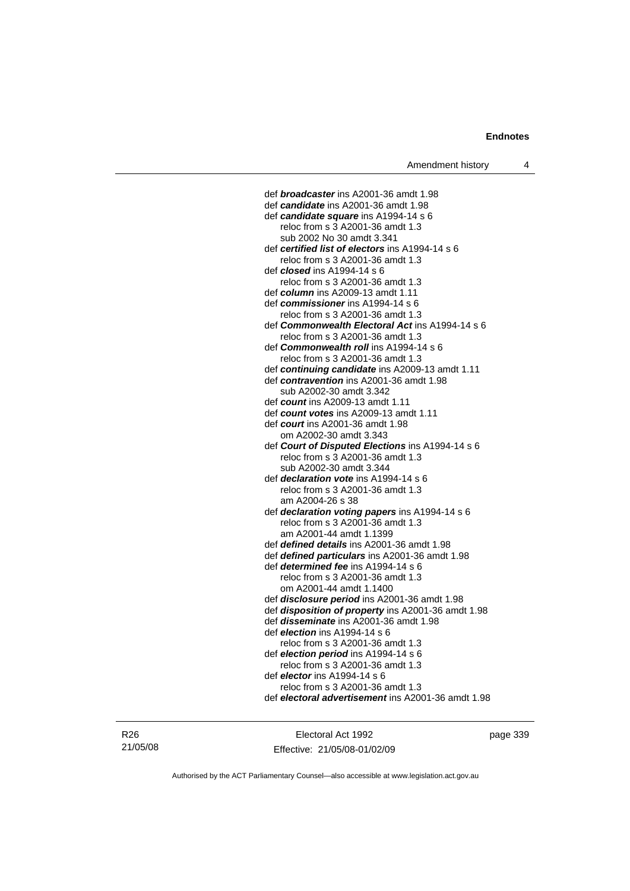def *broadcaster* ins A2001-36 amdt 1.98 def *candidate* ins A2001-36 amdt 1.98 def *candidate square* ins A1994-14 s 6 reloc from s 3 A2001-36 amdt 1.3 sub 2002 No 30 amdt 3.341 def *certified list of electors* ins A1994-14 s 6 reloc from s 3 A2001-36 amdt 1.3 def *closed* ins A1994-14 s 6 reloc from s 3 A2001-36 amdt 1.3 def *column* ins A2009-13 amdt 1.11 def *commissioner* ins A1994-14 s 6 reloc from s 3 A2001-36 amdt 1.3 def *Commonwealth Electoral Act* ins A1994-14 s 6 reloc from s 3 A2001-36 amdt 1.3 def *Commonwealth roll* ins A1994-14 s 6 reloc from s 3 A2001-36 amdt 1.3 def *continuing candidate* ins A2009-13 amdt 1.11 def *contravention* ins A2001-36 amdt 1.98 sub A2002-30 amdt 3.342 def *count* ins A2009-13 amdt 1.11 def *count votes* ins A2009-13 amdt 1.11 def *court* ins A2001-36 amdt 1.98 om A2002-30 amdt 3.343 def *Court of Disputed Elections* ins A1994-14 s 6 reloc from s 3 A2001-36 amdt 1.3 sub A2002-30 amdt 3.344 def *declaration vote* ins A1994-14 s 6 reloc from s 3 A2001-36 amdt 1.3 am A2004-26 s 38 def *declaration voting papers* ins A1994-14 s 6 reloc from s 3 A2001-36 amdt 1.3 am A2001-44 amdt 1.1399 def *defined details* ins A2001-36 amdt 1.98 def *defined particulars* ins A2001-36 amdt 1.98 def *determined fee* ins A1994-14 s 6 reloc from s 3 A2001-36 amdt 1.3 om A2001-44 amdt 1.1400 def *disclosure period* ins A2001-36 amdt 1.98 def *disposition of property* ins A2001-36 amdt 1.98 def *disseminate* ins A2001-36 amdt 1.98 def *election* ins A1994-14 s 6 reloc from s 3 A2001-36 amdt 1.3 def *election period* ins A1994-14 s 6 reloc from s 3 A2001-36 amdt 1.3 def *elector* ins A1994-14 s 6 reloc from s 3 A2001-36 amdt 1.3 def *electoral advertisement* ins A2001-36 amdt 1.98

R26 21/05/08

Electoral Act 1992 Effective: 21/05/08-01/02/09 page 339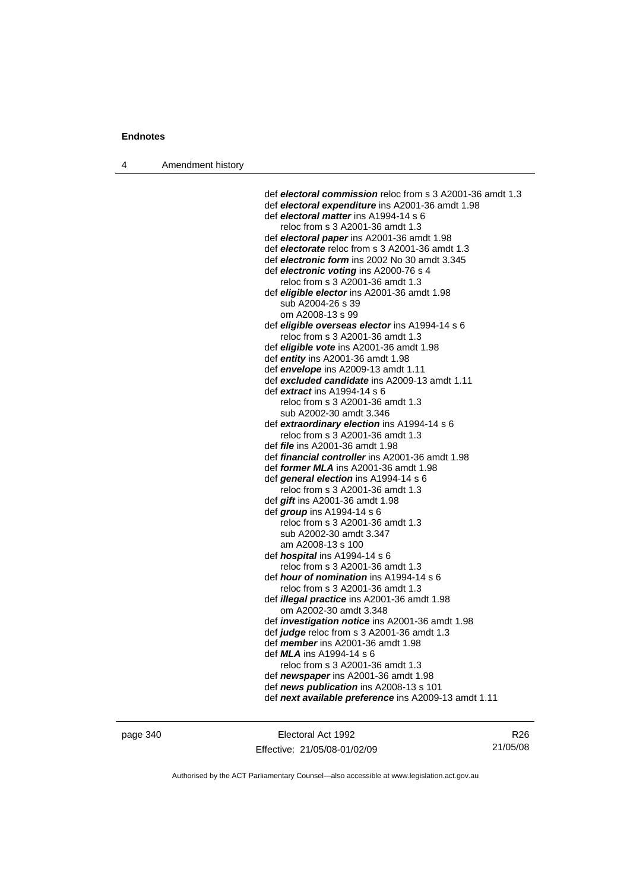4 Amendment history

 def *electoral commission* reloc from s 3 A2001-36 amdt 1.3 def *electoral expenditure* ins A2001-36 amdt 1.98 def *electoral matter* ins A1994-14 s 6 reloc from s 3 A2001-36 amdt 1.3 def *electoral paper* ins A2001-36 amdt 1.98 def *electorate* reloc from s 3 A2001-36 amdt 1.3 def *electronic form* ins 2002 No 30 amdt 3.345 def *electronic voting* ins A2000-76 s 4 reloc from s 3 A2001-36 amdt 1.3 def *eligible elector* ins A2001-36 amdt 1.98 sub A2004-26 s 39 om A2008-13 s 99 def *eligible overseas elector* ins A1994-14 s 6 reloc from s 3 A2001-36 amdt 1.3 def *eligible vote* ins A2001-36 amdt 1.98 def *entity* ins A2001-36 amdt 1.98 def *envelope* ins A2009-13 amdt 1.11 def *excluded candidate* ins A2009-13 amdt 1.11 def *extract* ins A1994-14 s 6 reloc from s 3 A2001-36 amdt 1.3 sub A2002-30 amdt 3.346 def *extraordinary election* ins A1994-14 s 6 reloc from s 3 A2001-36 amdt 1.3 def *file* ins A2001-36 amdt 1.98 def *financial controller* ins A2001-36 amdt 1.98 def *former MLA* ins A2001-36 amdt 1.98 def *general election* ins A1994-14 s 6 reloc from s 3 A2001-36 amdt 1.3 def *gift* ins A2001-36 amdt 1.98 def *group* ins A1994-14 s 6 reloc from s 3 A2001-36 amdt 1.3 sub A2002-30 amdt 3.347 am A2008-13 s 100 def *hospital* ins A1994-14 s 6 reloc from s 3 A2001-36 amdt 1.3 def *hour of nomination* ins A1994-14 s 6 reloc from s 3 A2001-36 amdt 1.3 def *illegal practice* ins A2001-36 amdt 1.98 om A2002-30 amdt 3.348 def *investigation notice* ins A2001-36 amdt 1.98 def *judge* reloc from s 3 A2001-36 amdt 1.3 def *member* ins A2001-36 amdt 1.98 def *MLA* ins A1994-14 s 6 reloc from s 3 A2001-36 amdt 1.3 def *newspaper* ins A2001-36 amdt 1.98 def *news publication* ins A2008-13 s 101 def *next available preference* ins A2009-13 amdt 1.11

page 340 Electoral Act 1992 Effective: 21/05/08-01/02/09

R26 21/05/08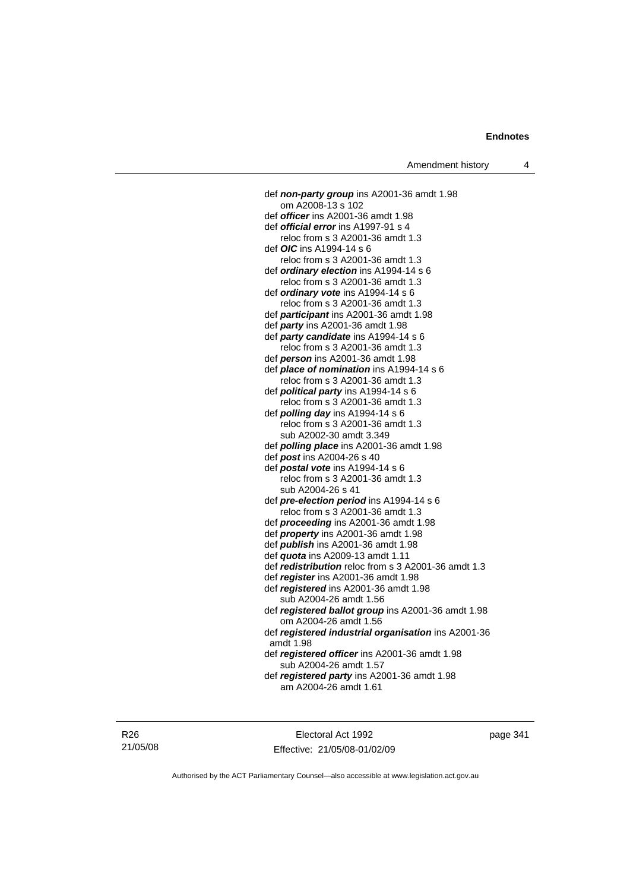def *non-party group* ins A2001-36 amdt 1.98 om A2008-13 s 102 def *officer* ins A2001-36 amdt 1.98 def *official error* ins A1997-91 s 4 reloc from s 3 A2001-36 amdt 1.3 def *OIC* ins A1994-14 s 6 reloc from s 3 A2001-36 amdt 1.3 def *ordinary election* ins A1994-14 s 6 reloc from s 3 A2001-36 amdt 1.3 def *ordinary vote* ins A1994-14 s 6 reloc from s 3 A2001-36 amdt 1.3 def *participant* ins A2001-36 amdt 1.98 def *party* ins A2001-36 amdt 1.98 def *party candidate* ins A1994-14 s 6 reloc from s 3 A2001-36 amdt 1.3 def *person* ins A2001-36 amdt 1.98 def *place of nomination* ins A1994-14 s 6 reloc from s 3 A2001-36 amdt 1.3 def *political party* ins A1994-14 s 6 reloc from s 3 A2001-36 amdt 1.3 def *polling day* ins A1994-14 s 6 reloc from s 3 A2001-36 amdt 1.3 sub A2002-30 amdt 3.349 def *polling place* ins A2001-36 amdt 1.98 def *post* ins A2004-26 s 40 def *postal vote* ins A1994-14 s 6 reloc from s 3 A2001-36 amdt 1.3 sub A2004-26 s 41 def *pre-election period* ins A1994-14 s 6 reloc from s 3 A2001-36 amdt 1.3 def *proceeding* ins A2001-36 amdt 1.98 def *property* ins A2001-36 amdt 1.98 def *publish* ins A2001-36 amdt 1.98 def *quota* ins A2009-13 amdt 1.11 def *redistribution* reloc from s 3 A2001-36 amdt 1.3 def *register* ins A2001-36 amdt 1.98 def *registered* ins A2001-36 amdt 1.98 sub A2004-26 amdt 1.56 def *registered ballot group* ins A2001-36 amdt 1.98 om A2004-26 amdt 1.56 def *registered industrial organisation* ins A2001-36 amdt 1.98 def *registered officer* ins A2001-36 amdt 1.98 sub A2004-26 amdt 1.57 def *registered party* ins A2001-36 amdt 1.98 am A2004-26 amdt 1.61

Electoral Act 1992 Effective: 21/05/08-01/02/09 page 341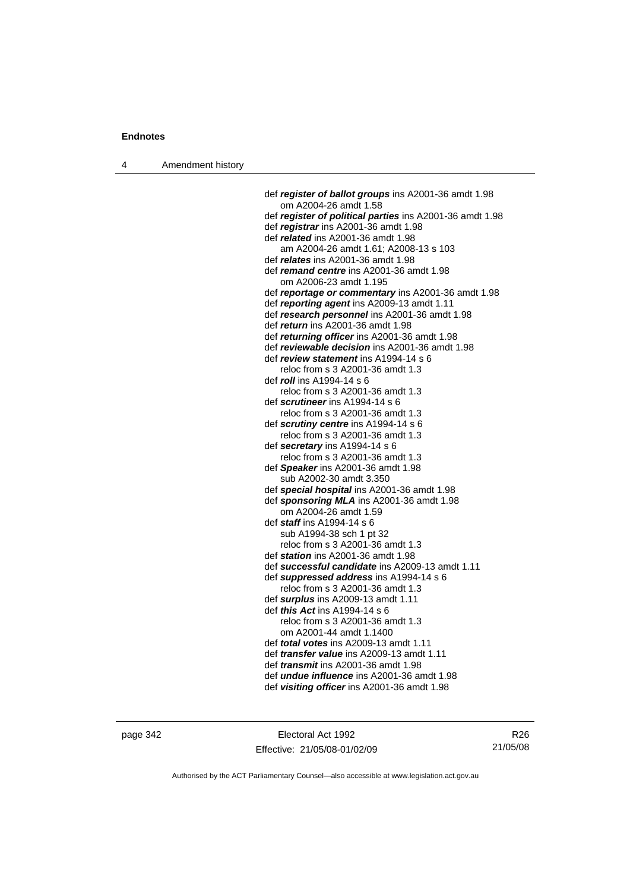4 Amendment history

 def *register of ballot groups* ins A2001-36 amdt 1.98 om A2004-26 amdt 1.58 def *register of political parties* ins A2001-36 amdt 1.98 def *registrar* ins A2001-36 amdt 1.98 def *related* ins A2001-36 amdt 1.98 am A2004-26 amdt 1.61; A2008-13 s 103 def *relates* ins A2001-36 amdt 1.98 def *remand centre* ins A2001-36 amdt 1.98 om A2006-23 amdt 1.195 def *reportage or commentary* ins A2001-36 amdt 1.98 def *reporting agent* ins A2009-13 amdt 1.11 def *research personnel* ins A2001-36 amdt 1.98 def *return* ins A2001-36 amdt 1.98 def *returning officer* ins A2001-36 amdt 1.98 def *reviewable decision* ins A2001-36 amdt 1.98 def *review statement* ins A1994-14 s 6 reloc from s 3 A2001-36 amdt 1.3 def *roll* ins A1994-14 s 6 reloc from s 3 A2001-36 amdt 1.3 def *scrutineer* ins A1994-14 s 6 reloc from s 3 A2001-36 amdt 1.3 def *scrutiny centre* ins A1994-14 s 6 reloc from s 3 A2001-36 amdt 1.3 def *secretary* ins A1994-14 s 6 reloc from s 3 A2001-36 amdt 1.3 def *Speaker* ins A2001-36 amdt 1.98 sub A2002-30 amdt 3.350 def *special hospital* ins A2001-36 amdt 1.98 def *sponsoring MLA* ins A2001-36 amdt 1.98 om A2004-26 amdt 1.59 def *staff* ins A1994-14 s 6 sub A1994-38 sch 1 pt 32 reloc from s 3 A2001-36 amdt 1.3 def *station* ins A2001-36 amdt 1.98 def *successful candidate* ins A2009-13 amdt 1.11 def *suppressed address* ins A1994-14 s 6 reloc from s 3 A2001-36 amdt 1.3 def *surplus* ins A2009-13 amdt 1.11 def *this Act* ins A1994-14 s 6 reloc from s 3 A2001-36 amdt 1.3 om A2001-44 amdt 1.1400 def *total votes* ins A2009-13 amdt 1.11 def *transfer value* ins A2009-13 amdt 1.11 def *transmit* ins A2001-36 amdt 1.98 def *undue influence* ins A2001-36 amdt 1.98 def *visiting officer* ins A2001-36 amdt 1.98

page 342 Electoral Act 1992 Effective: 21/05/08-01/02/09

R26 21/05/08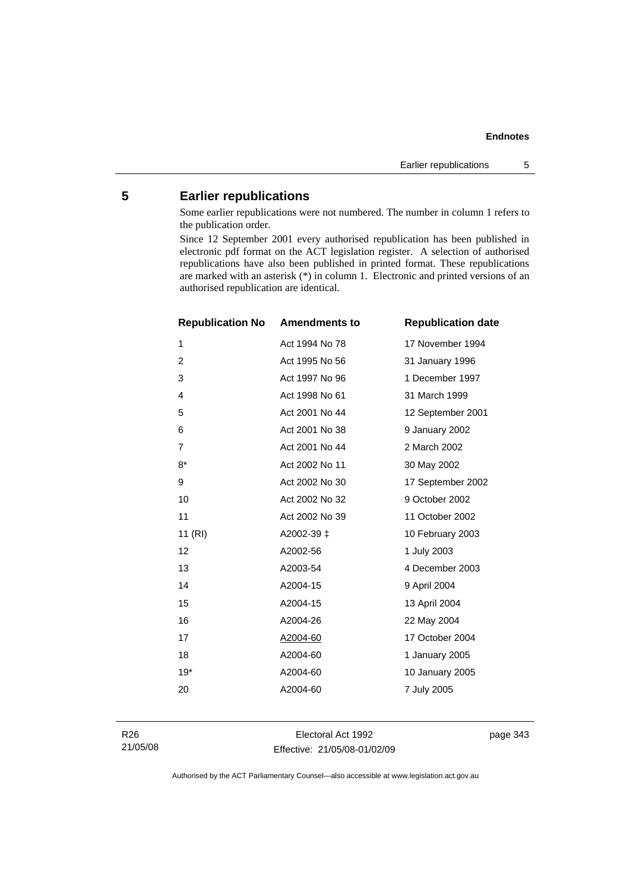### **Endnotes**

## **5 Earlier republications**

Some earlier republications were not numbered. The number in column 1 refers to the publication order.

Since 12 September 2001 every authorised republication has been published in electronic pdf format on the ACT legislation register. A selection of authorised republications have also been published in printed format. These republications are marked with an asterisk (\*) in column 1. Electronic and printed versions of an authorised republication are identical.

| <b>Republication No</b> | <b>Amendments to</b> | <b>Republication date</b> |
|-------------------------|----------------------|---------------------------|
| 1                       | Act 1994 No 78       | 17 November 1994          |
| $\overline{c}$          | Act 1995 No 56       | 31 January 1996           |
| 3                       | Act 1997 No 96       | 1 December 1997           |
| 4                       | Act 1998 No 61       | 31 March 1999             |
| 5                       | Act 2001 No 44       | 12 September 2001         |
| 6                       | Act 2001 No 38       | 9 January 2002            |
| $\overline{7}$          | Act 2001 No 44       | 2 March 2002              |
| $8*$                    | Act 2002 No 11       | 30 May 2002               |
| 9                       | Act 2002 No 30       | 17 September 2002         |
| 10                      | Act 2002 No 32       | 9 October 2002            |
| 11                      | Act 2002 No 39       | 11 October 2002           |
| 11 (RI)                 | A2002-39 ‡           | 10 February 2003          |
| 12                      | A2002-56             | 1 July 2003               |
| 13                      | A2003-54             | 4 December 2003           |
| 14                      | A2004-15             | 9 April 2004              |
| 15                      | A2004-15             | 13 April 2004             |
| 16                      | A2004-26             | 22 May 2004               |
| 17                      | A2004-60             | 17 October 2004           |
| 18                      | A2004-60             | 1 January 2005            |
| $19*$                   | A2004-60             | 10 January 2005           |
| 20                      | A2004-60             | 7 July 2005               |
|                         |                      |                           |

Electoral Act 1992 Effective: 21/05/08-01/02/09 page 343

Authorised by the ACT Parliamentary Counsel—also accessible at www.legislation.act.gov.au